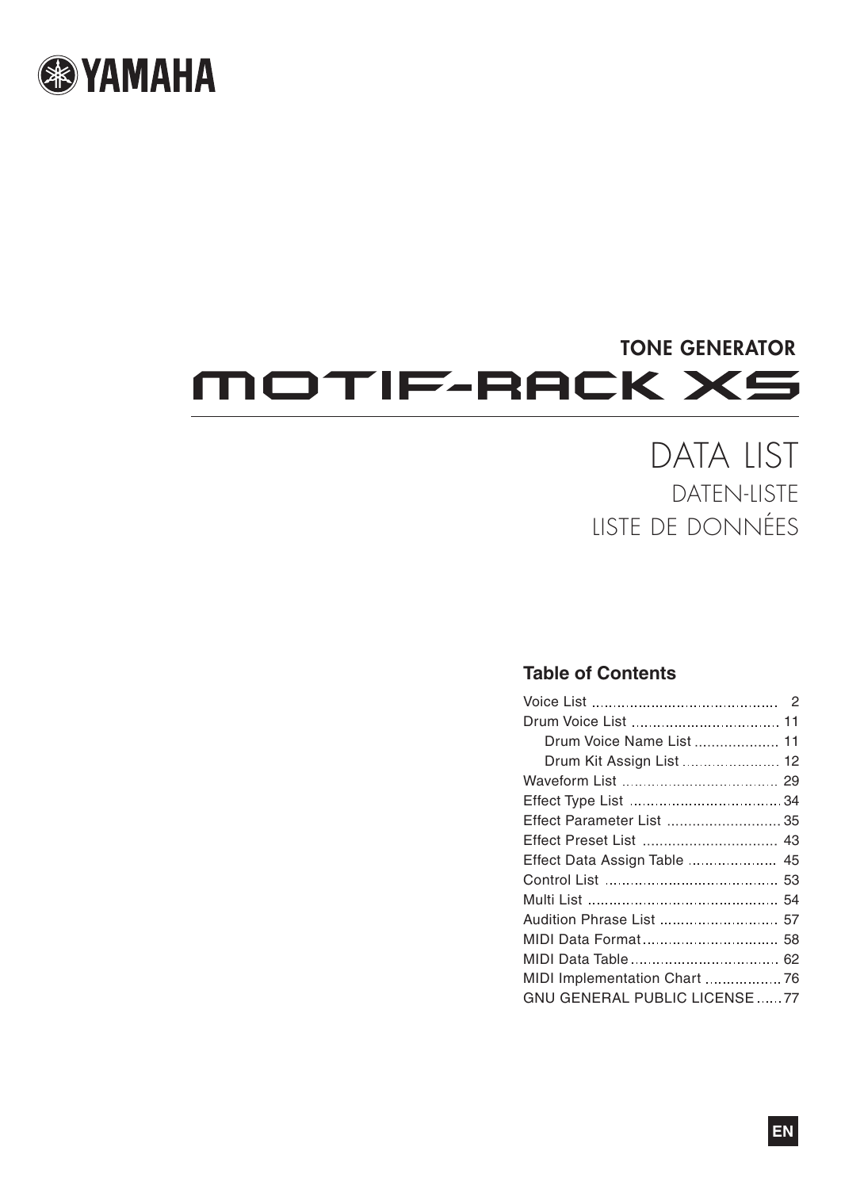

# **TONE GENERATOR** MOTIF-RACK XS

# DATA LIST DATEN-LISTE LISTE DE DONNÉES

# **Table of Contents**

| Drum Voice Name List  11       |  |
|--------------------------------|--|
| Drum Kit Assign List  12       |  |
|                                |  |
|                                |  |
| Effect Parameter List  35      |  |
| Effect Preset List  43         |  |
| Effect Data Assign Table  45   |  |
|                                |  |
|                                |  |
| Audition Phrase List  57       |  |
| MIDI Data Format 58            |  |
|                                |  |
| MIDI Implementation Chart  76  |  |
| GNU GENERAL PUBLIC LICENSE  77 |  |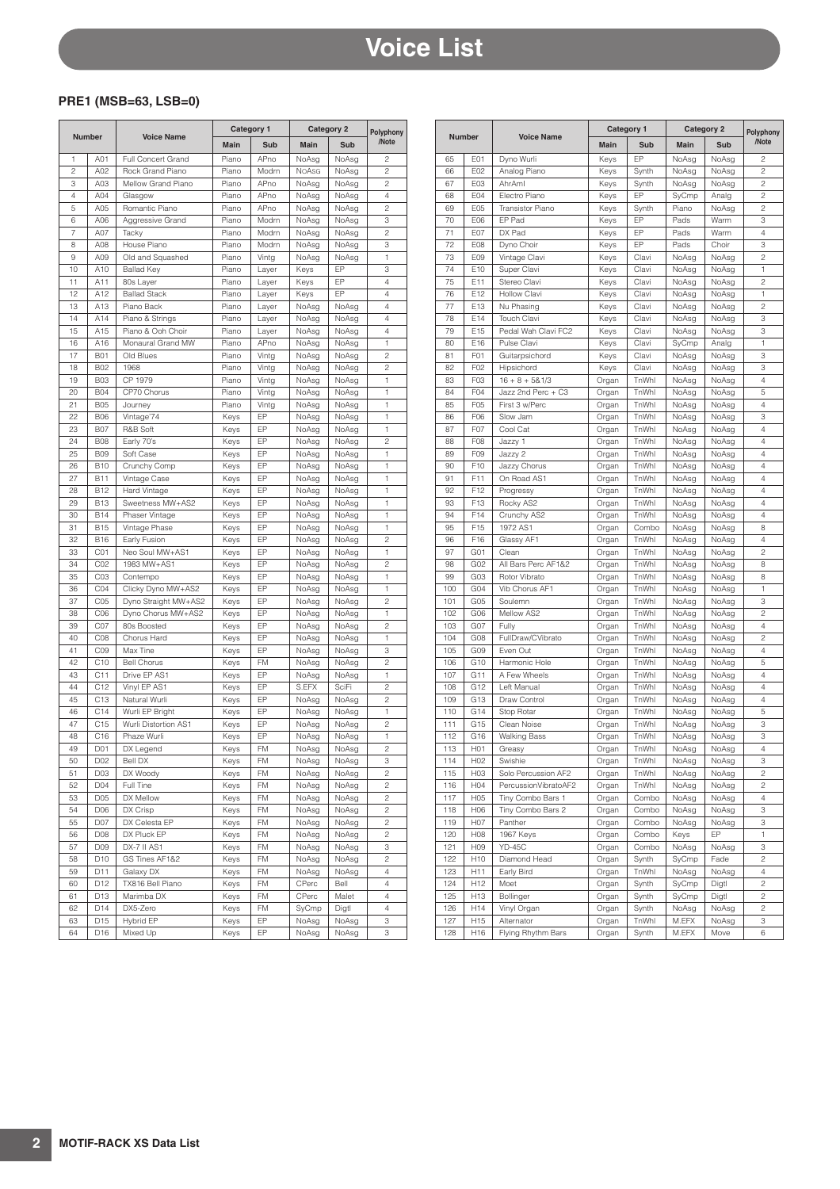# **Voice List**

# **PRE1 (MSB=63, LSB=0)**

|                |                                    |                                | Category 1    |             | Category 2            |                |                         |
|----------------|------------------------------------|--------------------------------|---------------|-------------|-----------------------|----------------|-------------------------|
|                | <b>Number</b>                      | <b>Voice Name</b>              |               |             |                       |                | Polyphony<br>/Note      |
| 1              | A01                                | Full Concert Grand             | Main<br>Piano | Sub<br>APno | Main                  | Sub            | 2                       |
| $\overline{c}$ | A02                                | Rock Grand Piano               | Piano         | Modrn       | NoAsg<br><b>NOASG</b> | NoAsg<br>NoAsg | $\overline{c}$          |
| 3              | A03                                | Mellow Grand Piano             | Piano         | APno        | NoAsg                 | NoAsg          | $\mathfrak{p}$          |
| 4              | A04                                | Glasgow                        | Piano         | APno        | NoAsg                 | NoAsg          | $\overline{4}$          |
| 5              | A05                                | Romantic Piano                 | Piano         | APno        | NoAsg                 | NoAsg          | $\overline{c}$          |
| 6              | A06                                | Aggressive Grand               | Piano         | Modrn       | NoAsq                 | NoAsg          | 3                       |
| $\overline{7}$ | A07                                | Tacky                          | Piano         | Modrn       | NoAsg                 | NoAsg          | $\overline{c}$          |
| 8              | A08                                | House Piano                    | Piano         | Modrn       | NoAsg                 | NoAsg          | 3                       |
| 9              | A09                                | Old and Squashed               | Piano         | Vintg       | NoAsq                 | NoAsg          | 1                       |
| 10             | A10                                | <b>Ballad Key</b>              | Piano         | Layer       | Keys                  | EP             | 3                       |
| 11             | A11                                | 80s Laver                      | Piano         | Layer       | Keys                  | EP             | 4                       |
| 12             | A12                                | <b>Ballad Stack</b>            | Piano         | Layer       | Keys                  | EP             | 4                       |
| 13             | A13                                | Piano Back                     | Piano         | Layer       | NoAsq                 | NoAsg          | 4                       |
| 14             | A14                                | Piano & Strings                | Piano         | Layer       | NoAsg                 | NoAsg          | 4                       |
| 15             | A <sub>15</sub>                    | Piano & Ooh Choir              | Piano         | Layer       | NoAsq                 | NoAsg          | 4                       |
| 16             | A16                                | Monaural Grand MW              | Piano         | APno        | NoAsg                 | NoAsg          | 1                       |
| 17             | <b>B01</b>                         | Old Blues                      | Piano         | Vintg       | NoAsg                 | NoAsg          | $\overline{c}$          |
| 18             | <b>B02</b>                         | 1968                           | Piano         | Vintg       | NoAsg                 | NoAsg          | $\overline{c}$          |
| 19             | <b>B03</b>                         | CP 1979                        | Piano         | Vintg       | NoAsg                 | NoAsg          | 1                       |
| 20             | <b>B04</b>                         | CP70 Chorus                    | Piano         | Vintg       | NoAsg                 | NoAsg          | 1                       |
| 21             | <b>B05</b>                         | Journey                        | Piano         | Vintg       | NoAsg                 | NoAsg          | 1                       |
| 22             | <b>B06</b>                         | Vintage'74                     | Keys          | EP          | NoAsg                 | NoAsg          | 1                       |
| 23             | <b>B07</b>                         | R&B Soft                       | Keys          | EP          | NoAsg                 | NoAsg          | 1                       |
| 24             | <b>B08</b>                         | Early 70's                     | Keys          | EP          | NoAsg                 | NoAsg          | $\overline{c}$          |
| 25             | <b>B09</b>                         | Soft Case                      | Keys          | EP          | NoAsg                 | NoAsg          | 1                       |
| 26             | <b>B10</b>                         | Crunchy Comp                   | Keys          | EP          | NoAsg                 | NoAsg          | 1                       |
| 27             | <b>B11</b>                         | Vintage Case                   | Keys          | EP          | NoAsg                 | NoAsg          | $\mathbf{1}$            |
| 28             | <b>B12</b>                         | Hard Vintage                   | Keys          | EP          | NoAsg                 | NoAsg          | 1                       |
| 29             | <b>B13</b>                         | Sweetness MW+AS2               | Keys          | EP          | NoAsg                 | NoAsg          | 1                       |
| 30             | <b>B14</b>                         | Phaser Vintage                 | Keys          | EP          | NoAsg                 | NoAsg          | 1                       |
| 31             | <b>B15</b>                         | Vintage Phase                  | Keys          | EP          | NoAsg                 | NoAsg          | 1                       |
| 32             | <b>B16</b>                         | Early Fusion                   | Keys          | EP          | NoAsg                 | NoAsg          | $\overline{c}$          |
| 33             | CO <sub>1</sub>                    | Neo Soul MW+AS1                | Keys          | EP          | NoAsg                 | NoAsg          | 1                       |
| 34             | CO <sub>2</sub>                    | 1983 MW+AS1                    | Keys          | EP          | NoAsg                 | NoAsg          | $\overline{c}$          |
| 35<br>36       | CO <sub>3</sub><br>CO <sub>4</sub> | Contempo<br>Clicky Dyno MW+AS2 | Keys          | EP<br>EP    | NoAsg                 | NoAsg          | 1<br>1                  |
| 37             | CO <sub>5</sub>                    | Dyno Straight MW+AS2           | Keys<br>Keys  | EP          | NoAsg<br>NoAsg        | NoAsg<br>NoAsg | $\overline{c}$          |
| 38             | C06                                | Dyno Chorus MW+AS2             | Keys          | EP          | NoAsg                 | NoAsg          | 1                       |
| 39             | CO7                                | 80s Boosted                    | Keys          | EP          | NoAsg                 | NoAsg          | $\overline{c}$          |
| 40             | CO8                                | Chorus Hard                    | Keys          | EP          | NoAsg                 | NoAsg          | 1                       |
| 41             | C09                                | Max Tine                       | Keys          | EP          | NoAsg                 | NoAsg          | 3                       |
| 42             | C10                                | <b>Bell Chorus</b>             | Keys          | FM          | NoAsg                 | NoAsg          | $\overline{c}$          |
| 43             | C11                                | Drive EP AS1                   | Keys          | EP          | NoAsg                 | NoAsg          | 1                       |
| 44             | C12                                | Vinvl EP AS1                   | Keys          | EP          | S.EFX                 | SciFi          | $\overline{c}$          |
| 45             | C13                                | Natural Wurli                  | Keys          | EP          | NoAsg                 | NoAsg          | $\overline{c}$          |
| 46             | C14                                | Wurli EP Bright                | Keys          | EP          | NoAsg                 | NoAsg          | 1                       |
| 47             | C <sub>15</sub>                    | Wurli Distortion AS1           | Keys          | EP          | NoAsg                 | NoAsq          | $\overline{c}$          |
| 48             | C16                                | Phaze Wurli                    | Keys          | EP          | NoAsg                 | NoAsg          | 1                       |
| 49             | D01                                | DX Legend                      | Keys          | FM          | NoAsg                 | NoAsg          | $\mathfrak{D}$          |
| 50             | D <sub>02</sub>                    | Bell DX                        | Keys          | FM          | NoAsg                 | NoAsg          | 3                       |
| 51             | D <sub>0</sub> 3                   | DX Woody                       | Keys          | FM          | NoAsg                 | NoAsg          | 2                       |
| 52             | D04                                | Full Tine                      | Keys          | FM          | NoAsg                 | NoAsg          | $\overline{c}$          |
| 53             | D05                                | DX Mellow                      | Keys          | FM          | NoAsg                 | NoAsg          | $\overline{\mathbf{c}}$ |
| 54             | D06                                | DX Crisp                       | Keys          | FM          | NoAsg                 | NoAsg          | 2                       |
| 55             | D07                                | DX Celesta EP                  | Keys          | FM          | NoAsg                 | NoAsg          | 2                       |
| 56             | D08                                | DX Pluck EP                    | Keys          | FM          | NoAsg                 | NoAsg          | $\overline{c}$          |
| 57             | D <sub>09</sub>                    | DX-7 II AS1                    | Keys          | FM          | NoAsg                 | NoAsg          | 3                       |
| 58             | D10                                | GS Tines AF1&2                 | Keys          | FM          | NoAsg                 | NoAsg          | $\overline{\mathbf{c}}$ |
| 59             | D11                                | Galaxy DX                      | Keys          | FM          | NoAsg                 | NoAsg          | 4                       |
| 60             | D12                                | TX816 Bell Piano               | Keys          | FM          | CPerc                 | Bell           | 4                       |
| 61             | D13                                | Marimba DX                     | Keys          | FM          | CPerc                 | Malet          | 4                       |
| 62             | D14                                | DX5-Zero                       | Keys          | FM          | SyCmp                 | Digtl          | 4                       |
| 63             | D15                                | Hybrid EP                      | Keys          | EP          | NoAsg                 | NoAsg          | 3                       |
| 64             | D16                                | Mixed Up                       | Keys          | EP          | NoAsg                 | NoAsg          | 3                       |

|               |                        |                      | Category 1     |                | Category 2     |                | Polyphony           |
|---------------|------------------------|----------------------|----------------|----------------|----------------|----------------|---------------------|
| <b>Number</b> |                        | <b>Voice Name</b>    | Main           | Sub            | Main           | Sub            | /Note               |
| 65            | E01                    | Dyno Wurli           | Keys           | EP             | NoAsg          | NoAsg          | $\overline{c}$      |
| 66            | E02                    | Analog Piano         | Keys           | Synth          | NoAsg          | NoAsg          | $\overline{c}$      |
| 67            | E03                    | AhrAml               | Keys           | Synth          | NoAsg          | NoAsg          | $\overline{c}$      |
| 68            | E04                    | Electro Piano        | Keys           | EP             | SyCmp          | Analg          | $\overline{c}$      |
| 69            | E <sub>05</sub>        | Transistor Piano     | Keys           | Synth          | Piano          | NoAsg          | $\overline{c}$      |
| 70            | E06                    | EP Pad               | Keys           | EP             | Pads           | Warm           | 3                   |
| 71            | <b>E07</b>             | DX Pad               | Keys           | EP             | Pads           | Warm           | 4                   |
| 72            | E08                    | Dyno Choir           | Keys           | EP             | Pads           | Choir          | 3                   |
| 73            | E09                    | Vintage Clavi        | Keys           | Clavi          | NoAsg          | NoAsq          | $\overline{c}$      |
| 74            | E10                    | Super Clavi          | Keys           | Clavi          | NoAsg          | NoAsg          | 1                   |
| 75            | E11                    | Stereo Clavi         | Keys           | Clavi          | NoAsg          | NoAsg          | $\overline{c}$      |
| 76            | F <sub>12</sub>        | <b>Hollow Clavi</b>  | Keys           | Clavi          | NoAsg          | NoAsg          | 1                   |
| 77            | E13                    | Nu Phasing           | Keys           | Clavi          | NoAsg          | NoAsq          | $\overline{c}$      |
| 78            | E14                    | <b>Touch Clavi</b>   | Keys           | Clavi          | NoAsg          | NoAsg          | 3                   |
| 79            | E15                    | Pedal Wah Clavi FC2  | Keys           | Clavi          | NoAsg          | NoAsg          | 3                   |
| 80            | E16                    | Pulse Clavi          | Keys           | Clavi          | SyCmp          | Analg          | 1                   |
| 81            | F <sub>01</sub>        | Guitarpsichord       | Keys           | Clavi          | NoAsg          | NoAsg          | 3                   |
| 82            | F02                    | Hipsichord           | Keys           | Clavi          | NoAsg          | NoAsg          | 3                   |
| 83            | F <sub>03</sub>        | $16 + 8 + 5&1/3$     | Organ          | TnWhl          | NoAsg          | NoAsg          | 4                   |
| 84            | F <sub>04</sub>        | Jazz 2nd Perc + C3   | Organ          | TnWhl          | NoAsg          | NoAsg          | 5                   |
| 85            | F <sub>05</sub>        | First 3 w/Perc       | Organ          | TnWhl          | NoAsg          | NoAsg          | $\overline{4}$      |
| 86<br>87      | F06                    | Slow Jam             | Organ          | TnWhl          | NoAsg          | NoAsg          | 3<br>$\overline{4}$ |
|               | F07                    | Cool Cat             | Organ          | TnWhl          | NoAsg          | NoAsq          |                     |
| 88            | F <sub>08</sub><br>F09 | Jazzy 1<br>Jazzy 2   | Organ          | TnWhl<br>TnWhl | NoAsg<br>NoAsg | NoAsg          | $\overline{4}$<br>4 |
| 89<br>90      | F <sub>10</sub>        | Jazzy Chorus         | Organ<br>Organ | TnWhl          | NoAsg          | NoAsg<br>NoAsg | 4                   |
| 91            | F11                    | On Road AS1          | Organ          | TnWhl          | NoAsg          | NoAsg          | 4                   |
| 92            | F12                    | Progressy            | Organ          | TnWhl          | NoAsg          | NoAsq          | 4                   |
| 93            | F <sub>13</sub>        | Rocky AS2            | Organ          | TnWhl          | NoAsg          | NoAsg          | 4                   |
| 94            | F <sub>14</sub>        | Crunchy AS2          | Organ          | TnWhl          | NoAsg          | NoAsg          | 4                   |
| 95            | F <sub>15</sub>        | 1972 AS1             | Organ          | Combo          | NoAsg          | NoAsg          | 8                   |
| 96            | F16                    | Glassy AF1           | Organ          | TnWhl          | NoAsg          | NoAsg          | 4                   |
| 97            | G <sub>01</sub>        | Clean                | Organ          | TnWhl          | NoAsg          | NoAsg          | $\overline{c}$      |
| 98            | G02                    | All Bars Perc AF1&2  | Organ          | TnWhl          | NoAsg          | NoAsg          | 8                   |
| 99            | G03                    | Rotor Vibrato        | Organ          | TnWhl          | NoAsg          | NoAsg          | 8                   |
| 100           | G <sub>04</sub>        | Vib Chorus AF1       | Organ          | TnWhl          | NoAsg          | NoAsg          | 1                   |
| 101           | G <sub>05</sub>        | Soulemn              | Organ          | TnWhl          | NoAsg          | NoAsg          | 3                   |
| 102           | G06                    | Mellow AS2           | Organ          | TnWhl          | NoAsg          | NoAsg          | $\overline{c}$      |
| 103           | G07                    | Fully                | Organ          | TnWhl          | NoAsg          | NoAsg          | 4                   |
| 104           | G08                    | FullDraw/CVibrato    | Organ          | TnWhl          | NoAsg          | NoAsg          | $\overline{c}$      |
| 105           | G09                    | Even Out             | Organ          | TnWhl          | NoAsg          | NoAsg          | 4                   |
| 106           | G10                    | Harmonic Hole        | Organ          | TnWhl          | NoAsg          | NoAsq          | 5                   |
| 107           | G11                    | A Few Wheels         | Organ          | TnWhl          | NoAsg          | NoAsg          | $\overline{4}$      |
| 108           | G12                    | Left Manual          | Organ          | TnWhl          | NoAsg          | NoAsg          | $\overline{4}$      |
| 109           | G13                    | Draw Control         | Organ          | TnWhl          | NoAsg          | NoAsg          | 4                   |
| 110           | G14                    | Stop Rotar           | Organ          | TnWhl          | NoAsg          | NoAsg          | 5                   |
| 111           | G15                    | Clean Noise          | Organ          | TnWhl          | NoAsg          | NoAsg          | 3                   |
| 112           | G16                    | <b>Walking Bass</b>  | Organ          | TnWhl          | NoAsq          | NoAsg          | 3                   |
| 113           | H01                    | Greasy               | Organ          | TnWhl          | NoAsa          | NoAsa          | 4                   |
| 114           | H <sub>02</sub>        | Swishie              | Organ          | TnWhl          | NoAsg          | NoAsg          | 3                   |
| 115           | H03                    | Solo Percussion AF2  | Organ          | TnWhl          | NoAsq          | NoAsg          | $\overline{c}$      |
| 116           | H04                    | PercussionVibratoAF2 | Organ          | TnWhl          | NoAsg          | NoAsg          | $\overline{c}$      |
| 117           | H05                    | Tiny Combo Bars 1    | Organ          | Combo          | NoAsg          | NoAsg          | 4                   |
| 118           | H06                    | Tiny Combo Bars 2    | Organ          | Combo          | NoAsg          | NoAsg          | 3                   |
| 119           | H07                    | Panther              | Organ          | Combo          | NoAsg          | NoAsg          | 3                   |
| 120           | H08                    | 1967 Keys            | Organ          | Combo          | Keys           | EP             | 1                   |
| 121           | H09                    | <b>YD-45C</b>        | Organ          | Combo          | NoAsg          | NoAsg          | 3                   |
| 122           | H10                    | Diamond Head         | Organ          | Synth          | SyCmp          | Fade           | $\overline{c}$      |
| 123<br>124    | H11                    | Early Bird<br>Moet   | Organ          | TnWhl          | NoAsg          | NoAsg          | 4<br>$\overline{c}$ |
| 125           | H12<br>H13             | Bollinger            | Organ<br>Organ | Synth<br>Synth | SyCmp<br>SyCmp | Digtl<br>Digtl | $\overline{c}$      |
| 126           | H14                    | Vinyl Organ          | Organ          | Synth          | NoAsg          | NoAsg          | 2                   |
| 127           | H15                    | Alternator           | Organ          | TnWhl          | M.EFX          | NoAsg          | 3                   |
| 128           | H16                    | Flying Rhythm Bars   | Organ          | Synth          | M.EFX          | Move           | 6                   |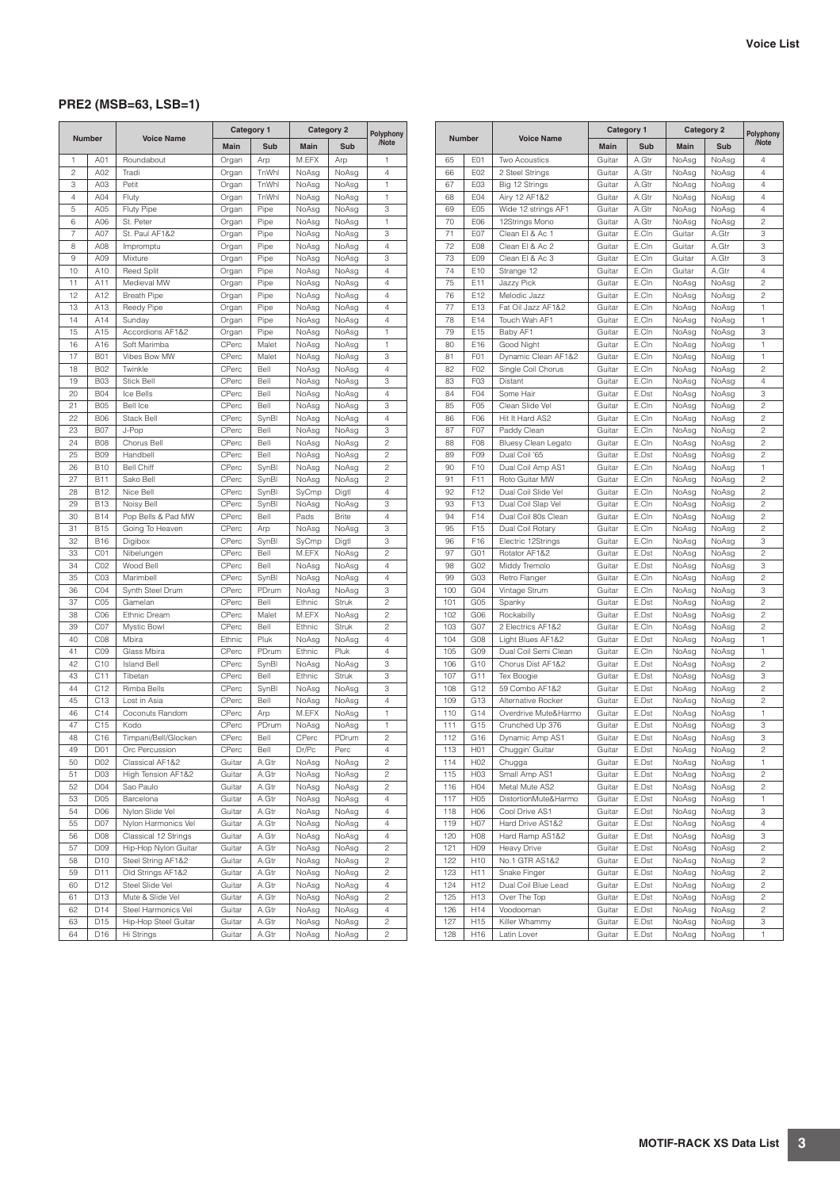# **PRE2 (MSB=63, LSB=1)**

|                |                        |                                        |                | Category 1     | <b>Category 2</b> |              |                         |
|----------------|------------------------|----------------------------------------|----------------|----------------|-------------------|--------------|-------------------------|
|                | <b>Number</b>          | <b>Voice Name</b>                      | Main           | Sub            | Main              | Sub          | Polyphony<br>/Note      |
| 1              | A01                    | Roundabout                             | Organ          | Arp            | M.EFX             | Arp          | 1                       |
| $\overline{c}$ | A02                    | Tradi                                  | Organ          | TnWhl          | NoAsg             | NoAsg        | 4                       |
| 3              | A03                    | Petit                                  | Organ          | TnWhl          | NoAsg             | NoAsg        | 1                       |
| 4              | A04                    | Fluty                                  | Organ          | TnWhl          | NoAsg             | NoAsg        | 1                       |
| 5              | A05                    | Fluty Pipe                             | Organ          | Pipe           | NoAsg             | NoAsg        | 3                       |
| 6              | A06                    | St. Peter                              | Organ          | Pipe           | NoAsg             | NoAsg        | 1                       |
| $\overline{7}$ | A07                    | St. Paul AF1&2                         | Organ          | Pipe           | NoAsg             | NoAsg        | 3                       |
| 8              | A08                    | Impromptu                              | Organ          | Pipe           | NoAsg             | NoAsg        | 4                       |
| 9              | A09                    | Mixture                                | Organ          | Pipe           | NoAsg             | NoAsg        | 3                       |
| 10             | A10                    |                                        |                |                |                   |              | 4                       |
| 11             | A11                    | <b>Reed Split</b><br>Medieval MW       | Organ<br>Organ | Pipe           | NoAsg             | NoAsg        | 4                       |
|                |                        |                                        |                | Pipe           | NoAsg             | NoAsg        | 4                       |
| 12             | A12                    | <b>Breath Pipe</b>                     | Organ          | Pipe           | NoAsg             | NoAsg        |                         |
| 13             | A13                    | Reedy Pipe                             | Organ          | Pipe           | NoAsg             | NoAsg        | 4                       |
| 14             | A14                    | Sunday                                 | Organ          | Pipe           | NoAsg             | NoAsg        | 4                       |
| 15             | A15                    | Accordions AF1&2                       | Organ          | Pipe           | NoAsg             | NoAsg        | 1                       |
| 16             | A16                    | Soft Marimba                           | CPerc          | Malet          | NoAsg             | NoAsg        | 1                       |
| 17             | <b>B01</b>             | Vibes Bow MW                           | CPerc          | Malet          | NoAsg             | NoAsg        | 3                       |
| 18             | <b>B02</b>             | Twinkle                                | CPerc          | Bell           | NoAsg             | NoAsg        | 4                       |
| 19             | <b>B03</b>             | <b>Stick Bell</b>                      | CPerc          | Bell           | NoAsg             | NoAsg        | 3                       |
| 20             | <b>B04</b>             | Ice Bells                              | CPerc          | Bell           | NoAsq             | NoAsg        | 4                       |
| 21             | <b>B05</b>             | Bell Ice                               | CPerc          | Bell           | NoAsg             | NoAsg        | 3                       |
| 22             | <b>B06</b>             | Stack Bell                             | CPerc          | SynBI          | NoAsq             | NoAsg        | 4                       |
| 23             | <b>B07</b>             | J-Pop                                  | CPerc          | Bell           | NoAsg             | NoAsg        | 3                       |
| 24             | <b>B08</b>             | Chorus Bell                            | CPerc          | Bell           | NoAsg             | NoAsg        | $\overline{c}$          |
| 25             | <b>B09</b>             | Handbell                               | CPerc          | Bell           | NoAsg             | NoAsg        | $\overline{c}$          |
| 26             | <b>B10</b>             | <b>Bell Chiff</b>                      | CPerc          | SynBI          | NoAsg             | NoAsg        | $\overline{c}$          |
| 27             | <b>B11</b>             | Sako Bell                              | CPerc          | SynBI          | NoAsg             | NoAsg        | $\overline{c}$          |
| 28             | <b>B12</b>             | Nice Bell                              | CPerc          | SynBI          | SyCmp             | Digtl        | 4                       |
| 29             | <b>B13</b>             | Noisy Bell                             | CPerc          | SynBI          | NoAsg             | NoAsg        | 3                       |
| 30             | <b>B14</b>             | Pop Bells & Pad MW                     | CPerc          | Bell           | Pads              | <b>Brite</b> | 4                       |
| 31             | <b>B15</b>             | Going To Heaven                        | CPerc          | Arp            | NoAsg             | NoAsg        | 3                       |
| 32             | <b>B16</b>             | Digibox                                | CPerc          | SynBI          | SyCmp             | Digtl        | 3                       |
| 33             | CO <sub>1</sub>        | Nibelungen                             | CPerc          | Bell           | M.EFX             | NoAsg        | $\overline{c}$          |
| 34             | CO <sub>2</sub>        | Wood Bell                              | CPerc          | Bell           | NoAsg             | NoAsg        | $\overline{4}$          |
| 35             | CO <sub>3</sub>        | Marimbell                              | CPerc          | SynBI          | NoAsg             | NoAsg        | $\overline{4}$          |
| 36             | CO <sub>4</sub>        | Synth Steel Drum                       | CPerc          | PDrum          | NoAsg             | NoAsg        | 3                       |
| 37             | CO <sub>5</sub>        | Gamelan                                | CPerc          | Bell           | Ethnic            | Struk        | $\overline{c}$          |
| 38             | C06                    | Ethnic Dream                           | CPerc          | Malet          | M.EFX             | NoAsg        | $\overline{c}$          |
| 39             | CO7                    | Mystic Bowl                            | CPerc          | Bell           | Ethnic            | Struk        | $\overline{c}$          |
| 40             | CO8                    | Mbira                                  | Ethnic         | Pluk           | NoAsg             | NoAsg        | 4                       |
| 41             | C09                    | Glass Mbira                            | CPerc          | PDrum          | Ethnic            | Pluk         | 4                       |
| 42             | C10                    | <b>Island Bell</b>                     | CPerc          | SynBI          | NoAsg             | NoAsg        | 3                       |
| 43             | C11                    | Tibetan                                | CPerc          | Bell           | Ethnic            | Struk        | 3                       |
| 44             | C12                    | Rimba Bells                            | CPerc          | SynBI          | NoAsg             | NoAsg        | 3                       |
| 45             | C <sub>13</sub>        | Lost in Asia                           | CPerc          | Bell           | NoAsg             | NoAsg        | $\overline{4}$          |
| 46             | C14                    | Coconuts Random                        | CPerc          | Arp            | M.EFX             | NoAsg        | 1                       |
| 47             | C15                    | Kodo                                   | CPerc          | PDrum          | NoAsg             | NoAsg        | 1                       |
| 48             | C16                    | Timpani/Bell/Glocken                   | CPerc          | Bell           | CPerc             | PDrum        | $\overline{c}$          |
| 49             | D01                    | Orc Percussion                         | CPerc          | Bell           | Dr/Pc             | Perc         | 4                       |
| 50             | D <sub>02</sub>        | Classical AF1&2                        | Guitar         | A.Gtr          | NoAsg             | NoAsg        | 2                       |
| 51             | D <sub>0</sub> 3       | High Tension AF1&2                     | Guitar         | A.Gtr          | NoAsg             | NoAsg        | 2                       |
| 52             |                        | Sao Paulo                              |                |                |                   |              | 2                       |
|                | D <sub>04</sub><br>D05 | Barcelona                              | Guitar         | A.Gtr<br>A.Gtr | NoAsg             | NoAsg        |                         |
| 53<br>54       | D06                    |                                        | Guitar         |                | NoAsg             | NoAsg        | 4<br>4                  |
|                |                        | Nylon Slide Vel<br>Nylon Harmonics Vel | Guitar         | A.Gtr          | NoAsg             | NoAsg        |                         |
| 55             | D07                    |                                        | Guitar         | A.Gtr          | NoAsg             | NoAsg        | 4                       |
| 56             | D08                    | Classical 12 Strings                   | Guitar         | A.Gtr          | NoAsg             | NoAsg        | 4                       |
| 57             | D09                    | Hip-Hop Nylon Guitar                   | Guitar         | A.Gtr          | NoAsg             | NoAsg        | 2                       |
| 58             | D10                    | Steel String AF1&2                     | Guitar         | A.Gtr          | NoAsg             | NoAsg        | 2                       |
| 59             | D11                    | Old Strings AF1&2                      | Guitar         | A.Gtr          | NoAsg             | NoAsg        | 2                       |
| 60             | D12                    | Steel Slide Vel                        | Guitar         | A.Gtr          | NoAsg             | NoAsg        | 4                       |
| 61             | D13                    | Mute & Slide Vel                       | Guitar         | A.Gtr          | NoAsg             | NoAsg        | 2                       |
| 62             | D14                    | Steel Harmonics Vel                    | Guitar         | A.Gtr          | NoAsg             | NoAsg        | 4                       |
| 63             | D15                    | Hip-Hop Steel Guitar                   | Guitar         | A.Gtr          | NoAsg             | NoAsg        | 2                       |
| 64             | D16                    | Hi Strings                             | Guitar         | A.Gtr          | NoAsg             | NoAsg        | $\overline{\mathbf{c}}$ |

|            |                        |                                        |                  | Category 1     | Category 2     |                |                              |
|------------|------------------------|----------------------------------------|------------------|----------------|----------------|----------------|------------------------------|
|            | <b>Number</b>          | <b>Voice Name</b>                      | <b>Main</b>      | Sub            | <b>Main</b>    | Sub            | Polyphony<br>/Note           |
| 65         | E <sub>01</sub>        | Two Acoustics                          | Guitar           | A.Gtr          | NoAsg          | NoAsg          | 4                            |
| 66         | E02                    | 2 Steel Strings                        | Guitar           | A.Gtr          | NoAsg          | NoAsg          | $\overline{4}$               |
| 67         | E03                    | Big 12 Strings                         | Guitar           | A.Gtr          | NoAsg          | NoAsg          | $\overline{4}$               |
| 68         | F <sub>04</sub>        | Airy 12 AF1&2                          | Guitar           | A.Gtr          | NoAsg          | NoAsg          | 4                            |
| 69         | E05                    | Wide 12 strings AF1                    | Guitar           | A.Gtr          | NoAsg          | NoAsg          | 4                            |
| 70         | E06                    | 12Strings Mono                         | Guitar           | A.Gtr          | NoAsg          | NoAsg          | $\overline{c}$               |
| 71         | <b>E07</b>             | Clean El & Ac 1                        | Guitar           | E.CIn          | Guitar         | A.Gtr          | 3                            |
| 72         | E08                    | Clean El & Ac 2                        | Guitar           | E.CIn          | Guitar         | A.Gtr          | 3                            |
| 73         | E09                    | Clean El & Ac 3                        | Guitar           | E.CIn          | Guitar         | A.Gtr          | 3                            |
| 74<br>75   | E <sub>10</sub><br>E11 | Strange 12<br>Jazzy Pick               | Guitar<br>Guitar | E.CIn<br>E.CIn | Guitar         | A.Gtr          | 4<br>$\overline{c}$          |
| 76         | E12                    | Melodic Jazz                           | Guitar           | E.CIn          | NoAsg<br>NoAsg | NoAsg<br>NoAsg | $\overline{c}$               |
| 77         | F <sub>13</sub>        | Fat Oil Jazz AF1&2                     | Guitar           | F.CIn          | NoAsg          | NoAsg          | 1                            |
| 78         | E <sub>14</sub>        | Touch Wah AF1                          | Guitar           | E.CIn          | NoAsg          | NoAsg          | 1                            |
| 79         | E15                    | Baby AF1                               | Guitar           | E.CIn          | NoAsg          | NoAsg          | 3                            |
| 80         | E16                    | Good Night                             | Guitar           | E.CIn          | NoAsg          | NoAsg          | 1                            |
| 81         | F01                    | Dynamic Clean AF1&2                    | Guitar           | E.CIn          | NoAsg          | NoAsg          | 1                            |
| 82         | F02                    | Single Coil Chorus                     | Guitar           | E.CIn          | NoAsg          | NoAsg          | $\overline{c}$               |
| 83         | F03                    | Distant                                | Guitar           | E.CIn          | NoAsg          | NoAsg          | $\overline{4}$               |
| 84         | F04                    | Some Hair                              | Guitar           | E.Dst          | NoAsg          | NoAsg          | 3                            |
| 85         | F <sub>05</sub>        | Clean Slide Vel                        | Guitar           | E.CIn          | NoAsg          | NoAsg          | $\overline{c}$               |
| 86         | F06                    | Hit It Hard AS2                        | Guitar           | E.CIn          | NoAsg          | NoAsq          | $\overline{c}$               |
| 87         | F07                    | Paddy Clean                            | Guitar           | F.CIn          | NoAsg          | NoAsg          | $\overline{c}$               |
| 88         | F08                    | <b>Bluesy Clean Legato</b>             | Guitar           | F.CIn          | NoAsg          | NoAsq          | $\overline{c}$               |
| 89         | F09                    | Dual Coil '65                          | Guitar           | E.Dst          | NoAsg          | NoAsg          | $\overline{c}$               |
| 90         | F10                    | Dual Coil Amp AS1                      | Guitar           | E.CIn          | NoAsg          | NoAsg          | 1                            |
| 91         | F11                    | Roto Guitar MW                         | Guitar           | E.CIn          | NoAsg          | NoAsg          | $\overline{c}$               |
| 92         | F <sub>12</sub>        | Dual Coil Slide Vel                    | Guitar           | E.CIn          | NoAsg          | NoAsg          | $\overline{c}$               |
| 93         | F <sub>13</sub>        | Dual Coil Slap Vel                     | Guitar           | F.CIn          | NoAsg          | NoAsg          | $\overline{c}$               |
| 94         | F <sub>14</sub>        | Dual Coil 80s Clean                    | Guitar           | E.CIn          | NoAsg          | NoAsg          | $\overline{c}$               |
| 95         | F <sub>15</sub>        | Dual Coil Rotary                       | Guitar           | E.CIn          | NoAsg          | NoAsg          | $\overline{c}$               |
| 96         | F <sub>16</sub>        | Electric 12Strings                     | Guitar           | E.CIn<br>E.Dst | NoAsg          | NoAsg          | 3                            |
| 97<br>98   | G <sub>01</sub><br>G02 | Rotator AF1&2<br>Middy Tremolo         | Guitar<br>Guitar | E.Dst          | NoAsg<br>NoAsg | NoAsg<br>NoAsg | $\overline{c}$<br>3          |
| 99         | G03                    | Retro Flanger                          | Guitar           | E.CIn          | NoAsg          | NoAsg          | $\overline{c}$               |
| 100        | G <sub>04</sub>        | Vintage Strum                          | Guitar           | E.CIn          | NoAsg          | NoAsg          | 3                            |
| 101        | G <sub>05</sub>        | Spanky                                 | Guitar           | E.Dst          | NoAsg          | NoAsg          | $\overline{c}$               |
| 102        | G06                    | Rockabilly                             | Guitar           | E.Dst          | NoAsg          | NoAsg          | $\overline{c}$               |
| 103        | G07                    | 2 Electrics AF1&2                      | Guitar           | E.CIn          | NoAsg          | NoAsg          | $\overline{c}$               |
| 104        | G08                    | Light Blues AF1&2                      | Guitar           | E.Dst          | NoAsg          | NoAsg          | 1                            |
| 105        | G <sub>09</sub>        | Dual Coil Semi Clean                   | Guitar           | E.CIn          | NoAsg          | NoAsg          | 1                            |
| 106        | G10                    | Chorus Dist AF1&2                      | Guitar           | E.Dst          | NoAsg          | NoAsg          | $\overline{c}$               |
| 107        | G11                    | Tex Boogie                             | Guitar           | E.Dst          | NoAsg          | NoAsg          | 3                            |
| 108        | G12                    | 59 Combo AF1&2                         | Guitar           | E.Dst          | NoAsg          | NoAsg          | $\overline{c}$               |
| 109        | G <sub>13</sub>        | Alternative Rocker                     | Guitar           | E.Dst          | NoAsg          | NoAsg          | $\overline{c}$               |
| 110        | G14                    | Overdrive Mute&Harmo                   | Guitar           | E.Dst          | NoAsg          | NoAsg          | 1                            |
| 111        | G15                    | Crunched Up 376                        | Guitar           | E.Dst          | NoAsg          | NoAsg          | 3                            |
| 112        | G16                    | Dynamic Amp AS1                        | Guitar           | F.Dst          | NoAsg          | NoAsg          | 3                            |
| 113        | H <sub>0</sub> 1       | Chuggin' Guitar                        | Guitar           | E.Dst          | NoAsg          | NoAsg          | 2                            |
| 114        | H02                    | Chugga                                 | Guitar           | E.Dst          | NoAsg          | NoAsg          | 1                            |
| 115        | H03                    | Small Amp AS1                          | Guitar           | E.Dst          | NoAsg          | NoAsg          | $\overline{c}$               |
| 116<br>117 | H04<br>H05             | Metal Mute AS2<br>DistortionMute&Harmo | Guitar           | E.Dst<br>E.Dst | NoAsg          | NoAsg          | $\overline{\mathbf{c}}$<br>1 |
| 118        | H06                    | Cool Drive AS1                         | Guitar<br>Guitar | E.Dst          | NoAsg<br>NoAsg | NoAsg<br>NoAsg | 3                            |
| 119        | H07                    | Hard Drive AS1&2                       | Guitar           | E.Dst          | NoAsg          | NoAsg          | 4                            |
| 120        | H08                    | Hard Ramp AS1&2                        | Guitar           | E.Dst          | NoAsg          | NoAsg          | З                            |
| 121        | H09                    | Heavy Drive                            | Guitar           | E.Dst          | NoAsg          | NoAsg          | $\overline{\mathbf{c}}$      |
| 122        | H10                    | No.1 GTR AS1&2                         | Guitar           | E.Dst          | NoAsg          | NoAsg          | 2                            |
| 123        | H11                    | Snake Finger                           | Guitar           | E.Dst          | NoAsg          | NoAsg          | 2                            |
| 124        | H12                    | Dual Coil Blue Lead                    | Guitar           | E.Dst          | NoAsg          | NoAsg          | 2                            |
| 125        | H13                    | Over The Top                           | Guitar           | E.Dst          | NoAsg          | NoAsg          | 2                            |
| 126        | H14                    | Voodooman                              | Guitar           | E.Dst          | NoAsg          | NoAsg          | 2                            |
| 127        | H <sub>15</sub>        | Killer Whammy                          | Guitar           | E.Dst          | NoAsg          | NoAsg          | 3                            |
| 128        | H16                    | Latin Lover                            | Guitar           | E.Dst          | NoAsg          | NoAsg          | 1                            |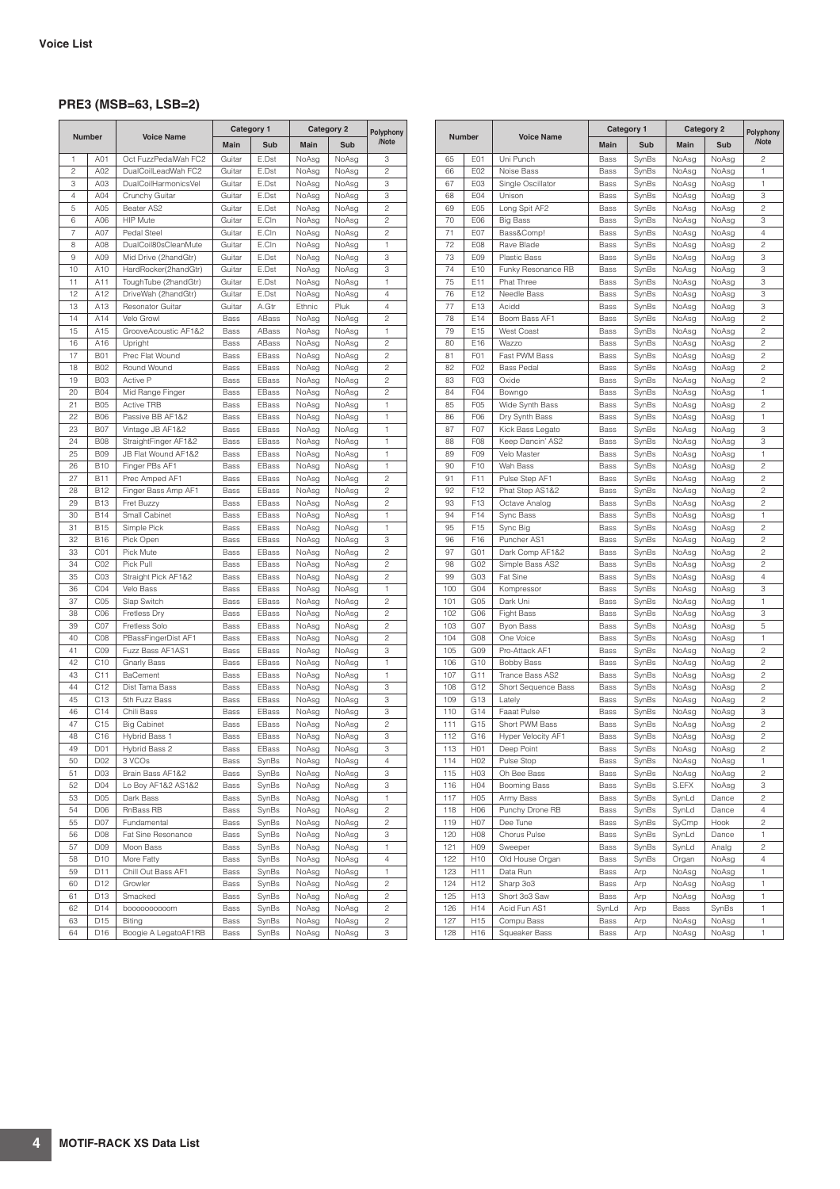# **PRE3 (MSB=63, LSB=2)**

|                |                          |                                          | <b>Category 1</b> |                | <b>Category 2</b> |                | Polyphony      |
|----------------|--------------------------|------------------------------------------|-------------------|----------------|-------------------|----------------|----------------|
|                | <b>Number</b>            | <b>Voice Name</b>                        | Main              | Sub            | Main              | Sub            | /Note          |
| 1              | A01                      | Oct FuzzPedalWah FC2                     | Guitar            | E.Dst          | NoAsg             | NoAsg          | 3              |
| $\overline{c}$ | A02                      | DualCoilLeadWah FC2                      | Guitar            | E.Dst          | NoAsg             | NoAsg          | $\overline{c}$ |
| 3              | A03                      | DualCoilHarmonicsVel                     | Guitar            | E.Dst          | NoAsg             | NoAsg          | 3              |
| 4              | A04                      | Crunchy Guitar                           | Guitar            | E.Dst          | NoAsg             | NoAsg          | 3              |
| 5              | A05                      | Beater AS2                               | Guitar            | E.Dst          | NoAsg             | NoAsq          | $\overline{c}$ |
| 6              | A06                      | <b>HIP Mute</b>                          | Guitar            | E.CIn          | NoAsg             | NoAsg          | $\overline{c}$ |
| $\overline{7}$ | A07                      | Pedal Steel                              | Guitar            | E.CIn          | NoAsg             | NoAsg          | $\overline{c}$ |
| 8              | A08                      | DualCoil80sCleanMute                     | Guitar            | E.CIn          | NoAsg             | NoAsg          | 1              |
| $\mathsf 9$    | A09                      | Mid Drive (2handGtr)                     | Guitar            | E.Dst          | NoAsg             | NoAsg          | 3              |
| 10             | A10                      | HardRocker(2handGtr)                     | Guitar            | E.Dst          | NoAsg             | NoAsg          | 3              |
| 11             | A11                      | ToughTube (2handGtr)                     | Guitar            | E.Dst          | NoAsg             | NoAsg          | 1              |
| 12             | A12                      | DriveWah (2handGtr)                      | Guitar            | E.Dst          | NoAsg             | NoAsq          | 4              |
| 13             | A13                      | Resonator Guitar                         | Guitar            | A.Gtr          | Ethnic            | Pluk           | $\overline{4}$ |
| 14             | A14                      | Velo Growl                               | Bass              | ABass          | NoAsg             | NoAsg          | $\overline{c}$ |
| 15             | A15                      | GrooveAcoustic AF1&2                     | Bass              | ABass          | NoAsg             | NoAsg          | 1              |
| 16             | A16                      | Upright                                  | Bass              | ABass          | NoAsg             | NoAsg          | $\overline{c}$ |
| 17             | <b>B01</b>               | Prec Flat Wound                          | Bass              | EBass          | NoAsg             | NoAsg          | $\overline{c}$ |
| 18             | <b>B02</b>               | Round Wound                              | Bass              | EBass          | NoAsg             | NoAsg          | $\overline{c}$ |
| 19             | <b>B03</b>               | Active P                                 | Bass              | EBass          | NoAsg             | NoAsg          | $\overline{c}$ |
| 20             | <b>B04</b>               | Mid Range Finger                         | Bass              | EBass          | NoAsg             | NoAsq          | $\overline{c}$ |
| 21             | <b>B05</b>               | <b>Active TRB</b>                        | Bass              | EBass<br>EBass | NoAsg             | NoAsq          | 1              |
| 22<br>23       | <b>B06</b><br><b>B07</b> | Passive BB AF1&2                         | Bass<br>Bass      | EBass          | NoAsg             | NoAsq          | 1              |
| 24             |                          | Vintage JB AF1&2<br>StraightFinger AF1&2 |                   |                | NoAsg             | NoAsg          | 1              |
| 25             | <b>B08</b><br><b>B09</b> | JB Flat Wound AF1&2                      | Bass<br>Bass      | EBass<br>EBass | NoAsg             | NoAsg          | 1<br>1         |
| 26             | <b>B10</b>               | Finger PBs AF1                           | Bass              | EBass          | NoAsg<br>NoAsa    | NoAsg<br>NoAsq | 1              |
| 27             | <b>B11</b>               | Prec Amped AF1                           | Bass              | EBass          | NoAsg             | NoAsg          | $\overline{c}$ |
| 28             | <b>B12</b>               | Finger Bass Amp AF1                      | Bass              | EBass          | NoAsg             | NoAsg          | $\overline{c}$ |
| 29             | <b>B13</b>               | Fret Buzzy                               | Bass              | EBass          | NoAsg             | NoAsg          | $\overline{c}$ |
| 30             | <b>B14</b>               | Small Cabinet                            | Bass              | EBass          | NoAsg             | NoAsg          | 1              |
| 31             | <b>B15</b>               | Simple Pick                              | Bass              | EBass          | NoAsg             | NoAsg          | 1              |
| 32             | <b>B16</b>               | Pick Open                                | Bass              | EBass          | NoAsg             | NoAsg          | 3              |
| 33             | CO <sub>1</sub>          | Pick Mute                                | Bass              | EBass          | NoAsg             | NoAsg          | $\overline{c}$ |
| 34             | CO <sub>2</sub>          | Pick Pull                                | Bass              | EBass          | NoAsg             | NoAsg          | $\overline{c}$ |
| 35             | CO <sub>3</sub>          | Straight Pick AF1&2                      | Bass              | EBass          | NoAsg             | NoAsg          | $\overline{c}$ |
| 36             | CO <sub>4</sub>          | Velo Bass                                | Bass              | EBass          | NoAsg             | NoAsg          | 1              |
| 37             | CO <sub>5</sub>          | Slap Switch                              | Bass              | EBass          | NoAsg             | NoAsg          | $\overline{c}$ |
| 38             | C06                      | Fretless Dry                             | Bass              | EBass          | NoAsg             | NoAsg          | $\overline{c}$ |
| 39             | C <sub>07</sub>          | Fretless Solo                            | Bass              | EBass          | NoAsg             | NoAsg          | $\overline{c}$ |
| 40             | CO8                      | PBassFingerDist AF1                      | Bass              | EBass          | NoAsg             | NoAsg          | $\overline{c}$ |
| 41             | CO9                      | Fuzz Bass AF1AS1                         | Bass              | EBass          | NoAsg             | NoAsg          | 3              |
| 42             | C10                      | <b>Gnarly Bass</b>                       | Bass              | EBass          | NoAsg             | NoAsg          | 1              |
| 43             | C11                      | <b>BaCement</b>                          | Bass              | EBass          | NoAsg             | NoAsg          | 1              |
| 44             | C12                      | Dist Tama Bass                           | Bass              | EBass          | NoAsg             | NoAsg          | 3              |
| 45             | C13                      | 5th Fuzz Bass                            | Bass              | EBass          | NoAsq             | NoAsg          | 3              |
| 46             | C14                      | Chili Bass                               | Bass              | EBass          | NoAsg             | NoAsg          | 3              |
| 47             | C <sub>15</sub>          | <b>Big Cabinet</b>                       | Bass              | EBass          | NoAsg             | NoAsg          | $\overline{c}$ |
| 48             | C <sub>16</sub>          | Hybrid Bass 1                            | Bass              | EBass          | NoAsg             | NoAsg          | 3              |
| 49             | D01                      | Hybrid Bass 2                            | Bass              | EBass          | NoAsg             | NoAsg          | 3              |
| 50             | D <sub>02</sub>          | 3 VCOs                                   | Bass              | SynBs          | NoAsg             | NoAsg          | 4              |
| 51             | D03                      | Brain Bass AF1&2                         | Bass              | SynBs          | NoAsg             | NoAsg          | 3              |
| 52             | D <sub>04</sub>          | Lo Boy AF1&2 AS1&2                       | Bass              | SynBs          | NoAsg             | NoAsg          | 3              |
| 53             | D05                      | Dark Bass                                | Bass              | SynBs          | NoAsg             | NoAsg          | 1              |
| 54             | D06                      | RnBass RB                                | Bass              | SynBs          | NoAsg             | NoAsg          | 2              |
| 55             | D07                      | Fundamental                              | Bass              | SynBs          | NoAsg             | NoAsg          | 2              |
| 56             | D <sub>0</sub> 8         | Fat Sine Resonance                       | Bass              | SynBs          | NoAsg             | NoAsg          | 3              |
| 57             | D09                      | Moon Bass                                | Bass              | SynBs          | NoAsg             | NoAsg          | 1              |
| 58             | D10                      | More Fatty                               | Bass              | SynBs          | NoAsg             | NoAsg          | 4              |
| 59             | D11                      | Chill Out Bass AF1                       | Bass              | SynBs          | NoAsg<br>NoAsg    | NoAsg          | 1<br>2         |
| 60<br>61       | D12<br>D13               | Growler<br>Smacked                       | Bass<br>Bass      | SynBs<br>SynBs | NoAsg             | NoAsg<br>NoAsg | 2              |
| 62             | D14                      | booooooooom                              | Bass              | SynBs          | NoAsg             | NoAsg          | 2              |
| 63             | D15                      | Biting                                   | Bass              | SynBs          | NoAsg             | NoAsg          | 2              |
| 64             | D16                      | Boogie A LegatoAF1RB                     | Bass              | SynBs          | NoAsg             | NoAsg          | 3              |
|                |                          |                                          |                   |                |                   |                |                |

|            |                         |                                    | Category 1   |                | <b>Category 2</b> |                |                                  |
|------------|-------------------------|------------------------------------|--------------|----------------|-------------------|----------------|----------------------------------|
|            | <b>Number</b>           | <b>Voice Name</b>                  | Main         | Sub            | Main              | Sub            | Polyphony<br>/Note               |
| 65         | E01                     | Uni Punch                          | Bass         | SynBs          | NoAsg             | NoAsg          | $\overline{c}$                   |
| 66         | E02                     | Noise Bass                         | Bass         | SynBs          | NoAsg             | NoAsg          | 1                                |
| 67         | E03                     | Single Oscillator                  | Bass         | SynBs          | NoAsg             | NoAsg          | 1                                |
| 68         | E04                     | Unison                             | Bass         | SynBs          | NoAsg             | NoAsg          | 3                                |
| 69         | F <sub>05</sub>         | Long Spit AF2                      | Bass         | SynBs          | NoAsg             | NoAsg          | $\overline{c}$                   |
| 70         | E06                     | <b>Big Bass</b>                    | Bass         | SynBs          | NoAsg             | NoAsg          | 3                                |
| 71         | E07                     | Bass&Comp!                         | Bass         | SynBs          | NoAsg             | NoAsg          | $\overline{4}$                   |
| 72         | E08                     | Rave Blade                         | Bass         | SynBs          | NoAsg             | NoAsg          | $\overline{c}$                   |
| 73         | E09                     | Plastic Bass                       | Bass         | SynBs          | NoAsg             | NoAsg          | 3                                |
| 74         | E10                     | Funky Resonance RB                 | Bass         | SynBs          | NoAsg             | NoAsq          | 3                                |
| 75         | E11                     | <b>Phat Three</b>                  | Bass         | SynBs          | NoAsg             | NoAsg          | 3                                |
| 76         | E12                     | Needle Bass                        | Bass         | SynBs          | NoAsg             | NoAsg          | 3                                |
| 77         | E13                     | Acidd                              | Bass         | SynBs          | NoAsg             | NoAsg          | 3                                |
| 78         | E14                     | Boom Bass AF1                      | Bass         | SynBs          | NoAsq             | NoAsg          | $\overline{c}$                   |
| 79         | E15                     | <b>West Coast</b>                  | Bass         | SynBs          | NoAsg             | NoAsg          | $\overline{c}$                   |
| 80         | E16                     | Wazzo                              | Bass         | SynBs          | NoAsg             | NoAsg          | $\overline{c}$                   |
| 81<br>82   | F <sub>0</sub> 1<br>F02 | Fast PWM Bass<br><b>Bass Pedal</b> | Bass         | SynBs          | NoAsg             | NoAsg          | $\overline{c}$<br>$\overline{c}$ |
| 83         | F <sub>03</sub>         |                                    | Bass         | SynBs          | NoAsg             | NoAsg          | $\overline{c}$                   |
| 84         | F04                     | Oxide                              | Bass<br>Bass | SynBs          | NoAsg<br>NoAsq    | NoAsg<br>NoAsq | 1                                |
| 85         | F05                     | Bowngo<br>Wide Synth Bass          | Bass         | SynBs<br>SynBs | NoAsg             | NoAsg          | $\overline{c}$                   |
| 86         | F06                     | Dry Synth Bass                     | Bass         | SynBs          | NoAsg             | NoAsg          | 1                                |
| 87         | F07                     | Kick Bass Legato                   | Bass         | SynBs          | NoAsg             | NoAsg          | 3                                |
| 88         | F <sub>08</sub>         | Keep Dancin' AS2                   | Bass         | SynBs          | NoAsg             | NoAsg          | 3                                |
| 89         | F09                     | Velo Master                        | Bass         | SynBs          | NoAsg             | NoAsg          | 1                                |
| 90         | F <sub>10</sub>         | Wah Bass                           | Bass         | SynBs          | NoAsg             | NoAsg          | $\overline{c}$                   |
| 91         | F11                     | Pulse Step AF1                     | Bass         | SynBs          | NoAsg             | NoAsg          | $\overline{c}$                   |
| 92         | F12                     | Phat Step AS1&2                    | Bass         | SynBs          | NoAsg             | NoAsg          | $\overline{c}$                   |
| 93         | F <sub>13</sub>         | Octave Analog                      | Bass         | SynBs          | NoAsg             | NoAsg          | $\overline{c}$                   |
| 94         | F14                     | Sync Bass                          | Bass         | SynBs          | NoAsg             | NoAsq          | 1                                |
| 95         | F <sub>15</sub>         | Sync Big                           | Bass         | SynBs          | NoAsg             | NoAsg          | $\overline{c}$                   |
| 96         | F16                     | Puncher AS1                        | Bass         | SynBs          | NoAsg             | NoAsg          | $\overline{c}$                   |
| 97         | G <sub>01</sub>         | Dark Comp AF1&2                    | Bass         | SynBs          | NoAsg             | NoAsg          | $\overline{c}$                   |
| 98         | G <sub>02</sub>         | Simple Bass AS2                    | Bass         | SynBs          | NoAsg             | NoAsg          | $\overline{c}$                   |
| 99         | G03                     | Fat Sine                           | Bass         | SynBs          | NoAsg             | NoAsg          | 4                                |
| 100        | G04                     | Kompressor                         | Bass         | SynBs          | NoAsg             | NoAsg          | 3                                |
| 101        | G05                     | Dark Uni                           | Bass         | SynBs          | NoAsg             | NoAsg          | 1                                |
| 102        | G06                     | Fight Bass                         | Bass         | SynBs          | NoAsg             | NoAsg          | 3                                |
| 103        | G07                     | <b>Byon Bass</b>                   | Bass         | SynBs          | NoAsg             | NoAsg          | 5                                |
| 104        | G08                     | One Voice                          | Bass         | SynBs          | NoAsg             | NoAsg          | 1                                |
| 105        | G <sub>09</sub>         | Pro-Attack AF1                     | Bass         | SynBs          | NoAsg             | NoAsg          | $\overline{c}$                   |
| 106        | G <sub>10</sub>         | Bobby Bass                         | Bass         | SynBs          | NoAsg             | NoAsg          | 2                                |
| 107        | G11                     | Trance Bass AS2                    | Bass         | SynBs          | NoAsg             | NoAsg          | $\overline{c}$                   |
| 108        | G12                     | Short Sequence Bass                | Bass         | SynBs          | NoAsg             | NoAsg          | $\overline{c}$                   |
| 109        | G13                     | Lately                             | Bass         | SynBs          | NoAsg             | NoAsg          | $\overline{c}$                   |
| 110        | G14                     | <b>Faaat Pulse</b>                 | Bass         | SynBs          | NoAsg             | NoAsg          | 3                                |
| 111        | G15                     | Short PWM Bass                     | Bass         | SynBs          | NoAsg             | NoAsg          | $\overline{c}$                   |
| 112        | G16                     | Hyper Velocity AF1<br>Deep Point   | Bass         | SynBs<br>SynBs | NoAsg             | NoAsg          | $\overline{c}$<br>2              |
| 113<br>114 | H01<br>H02              | Pulse Stop                         | Bass<br>Bass | SynBs          | NoAsg<br>NoAsg    | NoAsg<br>NoAsg | 1                                |
| 115        | H03                     | Oh Bee Bass                        | Bass         | SynBs          | NoAsg             | NoAsg          | $\overline{c}$                   |
| 116        | H04                     | Booming Bass                       | Bass         | SynBs          | S.EFX             | NoAsg          | 3                                |
| 117        | H05                     | Army Bass                          | Bass         | SynBs          | SynLd             | Dance          | $\overline{\mathbf{c}}$          |
| 118        | H06                     | Punchy Drone RB                    | Bass         | SynBs          | SynLd             | Dance          | 4                                |
| 119        | H07                     | Dee Tune                           | Bass         | SynBs          | SyCmp             | Hook           | $\overline{c}$                   |
| 120        | H08                     | Chorus Pulse                       | Bass         | SynBs          | SynLd             | Dance          | 1                                |
| 121        | H09                     | Sweeper                            | Bass         | SynBs          | SynLd             | Analg          | $\overline{\mathbf{c}}$          |
| 122        | H10                     | Old House Organ                    | Bass         | SynBs          | Organ             | NoAsg          | 4                                |
| 123        | H11                     | Data Run                           | Bass         | Arp            | NoAsg             | NoAsg          | 1                                |
| 124        | H <sub>12</sub>         | Sharp 3o3                          | Bass         | Arp            | NoAsg             | NoAsg          | 1                                |
| 125        | H13                     | Short 3o3 Saw                      | Bass         | Arp            | NoAsg             | NoAsg          | 1                                |
| 126        | H14                     | Acid Fun AS1                       | SynLd        | Arp            | Bass              | SynBs          | 1                                |
| 127        | H15                     | Compu Bass                         | Bass         | Arp            | NoAsg             | NoAsg          | 1                                |
| 128        | H16                     | Squeaker Bass                      | Bass         | Arp            | NoAsg             | NoAsg          | 1                                |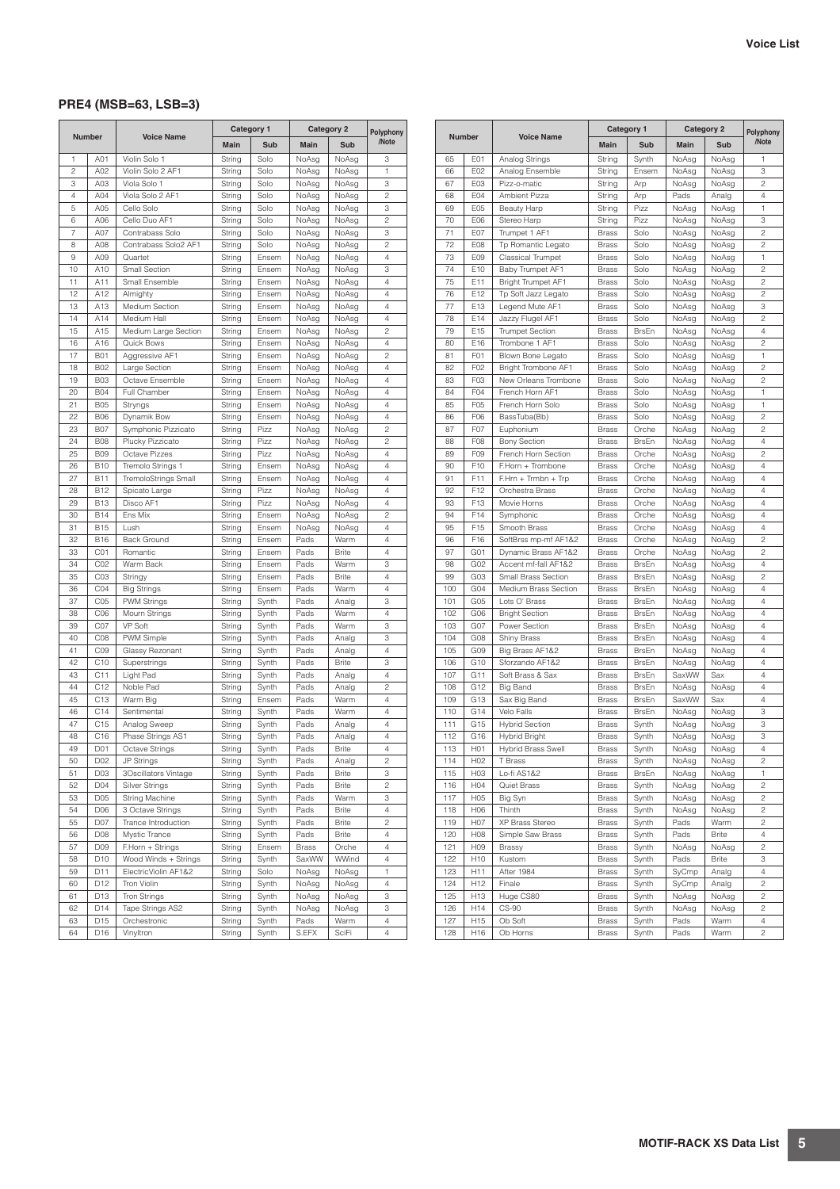# **PRE4 (MSB=63, LSB=3)**

|                |                 |                                |        | Category 1 | Category 2   |                      |                         |
|----------------|-----------------|--------------------------------|--------|------------|--------------|----------------------|-------------------------|
|                | <b>Number</b>   | <b>Voice Name</b>              | Main   | Sub        | Main         | Sub                  | Polyphony<br>/Note      |
| 1              | A01             | Violin Solo 1                  | String | Solo       | NoAsg        | NoAsg                | 3                       |
| $\overline{c}$ | A02             | Violin Solo 2 AF1              | String | Solo       | NoAsg        | NoAsg                | 1                       |
| 3              | A03             | Viola Solo 1                   | String | Solo       | NoAsg        | NoAsg                | 3                       |
| 4              | A04             | Viola Solo 2 AF1               | String | Solo       | NoAsq        | NoAsg                | $\overline{c}$          |
| 5              | A05             | Cello Solo                     | String | Solo       | NoAsg        | NoAsg                | 3                       |
| 6              | A06             | Cello Duo AF1                  | String | Solo       | NoAsq        | NoAsg                | $\overline{c}$          |
| $\overline{7}$ | A07             | Contrabass Solo                | String | Solo       | NoAsg        | NoAsg                | 3                       |
| 8              | A08             | Contrabass Solo2 AF1           | String | Solo       | NoAsg        | NoAsg                | $\overline{c}$          |
| 9              | A09             | Quartet                        | String | Ensem      | NoAsg        | NoAsg                | 4                       |
| 10             | A10             | Small Section                  | String | Ensem      | NoAsg        | NoAsg                | 3                       |
| 11             | A11             | Small Ensemble                 | String | Ensem      | NoAsg        | NoAsg                | 4                       |
| 12             | A12             | Almighty                       | String | Ensem      | NoAsg        | NoAsg                | 4                       |
| 13             | A13             | Medium Section                 | String | Ensem      | NoAsg        | NoAsg                | $\overline{4}$          |
| 14             | A14             | Medium Hall                    | String | Ensem      | NoAsg        | NoAsg                | $\overline{4}$          |
| 15             | A15             | Medium Large Section           | String | Ensem      | NoAsg        | NoAsg                | $\overline{c}$          |
| 16             | A16             | Quick Bows                     | String | Ensem      | NoAsg        | NoAsg                | 4                       |
| 17             | <b>B01</b>      | Aggressive AF1                 | String | Ensem      | NoAsg        | NoAsg                | $\overline{c}$          |
| 18             | <b>B02</b>      | Large Section                  | String | Ensem      | NoAsg        | NoAsg                | 4                       |
| 19             | <b>B03</b>      | Octave Ensemble                | String | Ensem      | NoAsg        | NoAsg                | $\overline{4}$          |
| 20             | <b>B04</b>      | Full Chamber                   | String | Ensem      | NoAsg        | NoAsg                | $\overline{4}$          |
| 21             | <b>B05</b>      | Stryngs                        | String | Ensem      | NoAsg        | NoAsg                | $\overline{4}$          |
| 22             | <b>B06</b>      | Dynamik Bow                    | String | Ensem      | NoAsg        | NoAsg                | 4                       |
| 23             | <b>B07</b>      | Symphonic Pizzicato            | String | Pizz       | NoAsg        | NoAsg                | $\overline{c}$          |
| 24             | <b>B08</b>      | Plucky Pizzicato               | String | Pizz       | NoAsg        | NoAsg                | $\overline{c}$          |
| 25             | <b>B09</b>      | Octave Pizzes                  | String | Pizz       | NoAsg        | NoAsg                | $\overline{4}$          |
| 26             | <b>B10</b>      | Tremolo Strings 1              | String | Ensem      | NoAsq        | NoAsg                | $\overline{4}$          |
| 27             | <b>B11</b>      | TremoloStrings Small           | String | Ensem      | NoAsq        | NoAsg                | $\overline{4}$          |
| 28             | <b>B12</b>      | Spicato Large                  | String | Pizz       | NoAsg        | NoAsg                | $\overline{4}$          |
| 29             | <b>B13</b>      | Disco AF1                      |        | Pizz       |              |                      | 4                       |
| 30             | <b>B14</b>      | Ens Mix                        | String | Ensem      | NoAsg        | NoAsg                | $\overline{c}$          |
| 31             | <b>B15</b>      | Lush                           | String |            | NoAsg        | NoAsg                | $\overline{4}$          |
|                |                 |                                | String | Ensem      | NoAsg        | NoAsg                | $\overline{4}$          |
| 32             | <b>B16</b>      | <b>Back Ground</b><br>Romantic | String | Ensem      | Pads         | Warm<br><b>Brite</b> | $\overline{4}$          |
| 33<br>34       | CO <sub>1</sub> |                                | String | Ensem      | Pads         |                      |                         |
|                | CO <sub>2</sub> | Warm Back                      | String | Ensem      | Pads         | Warm                 | 3                       |
| 35             | CO <sub>3</sub> | Stringy                        | String | Ensem      | Pads         | <b>Brite</b>         | $\overline{4}$          |
| 36             | CO4             | <b>Big Strings</b>             | String | Ensem      | Pads         | Warm                 | $\overline{4}$          |
| 37             | CO <sub>5</sub> | <b>PWM Strings</b>             | String | Synth      | Pads         | Analg                | 3                       |
| 38             | C06             | Mourn Strings                  | String | Synth      | Pads         | Warm                 | 4                       |
| 39             | C <sub>07</sub> | VP Soft                        | String | Synth      | Pads         | Warm                 | 3                       |
| 40             | CO8             | PWM Simple                     | String | Synth      | Pads         | Analg                | 3                       |
| 41             | C09             | Glassy Rezonant                | String | Synth      | Pads         | Analg                | $\overline{4}$          |
| 42             | C10             | Superstrings                   | String | Synth      | Pads         | <b>Brite</b>         | 3                       |
| 43             | C11             | Light Pad                      | String | Synth      | Pads         | Analg                | $\overline{4}$          |
| 44             | C12             | Noble Pad                      | String | Svnth      | Pads         | Analg                | $\overline{c}$          |
| 45             | C13             | Warm Big                       | String | Ensem      | Pads         | Warm                 | $\overline{4}$          |
| 46             | C14             | Sentimental                    | String | Synth      | Pads         | Warm                 | $\overline{4}$          |
| 47             | C15             | Analog Sweep                   | String | Synth      | Pads         | Analg                | $\overline{4}$          |
| 48             | C16             | Phase Strings AS1              | String | Synth      | Pads         | Analg                | 4                       |
| 49             | D01             | Octave Strings                 | String | Synth      | Pads         | Brite                | 4                       |
| 50             | D <sub>02</sub> | JP Strings                     | String | Synth      | Pads         | Analg                | $\overline{c}$          |
| 51             | D03             | 3Oscillators Vintage           | String | Synth      | Pads         | <b>Brite</b>         | 3                       |
| 52             | D04             | Silver Strings                 | String | Synth      | Pads         | Brite                | $\sqrt{2}$              |
| 53             | D05             | String Machine                 | String | Synth      | Pads         | Warm                 | 3                       |
| 54             | D06             | 3 Octave Strings               | String | Synth      | Pads         | Brite                | 4                       |
| 55             | D07             | Trance Introduction            | String | Synth      | Pads         | <b>Brite</b>         | $\overline{\mathbf{c}}$ |
| 56             | D <sub>08</sub> | Mystic Trance                  | String | Synth      | Pads         | Brite                | 4                       |
| 57             | D09             | F.Horn + Strings               | String | Ensem      | <b>Brass</b> | Orche                | 4                       |
| 58             | D10             | Wood Winds + Strings           | String | Synth      | SaxWW        | WWind                | 4                       |
| 59             | D11             | ElectricViolin AF1&2           | String | Solo       | NoAsg        | NoAsg                | 1                       |
| 60             | D12             | Tron Violin                    | String | Synth      | NoAsg        | NoAsg                | 4                       |
| 61             | D13             | <b>Tron Strings</b>            | String | Synth      | NoAsg        | NoAsg                | 3                       |
| 62             | D14             | Tape Strings AS2               | String | Synth      | NoAsg        | NoAsg                | 3                       |
| 63             | D15             | Orchestronic                   | String | Synth      | Pads         | Warm                 | 4                       |
| 64             | D16             | Vinyltron                      | String | Synth      | S.EFX        | SciFi                | 4                       |

|            |                        |                                            |                              | Category 1     |                | Category 2     |                                  |
|------------|------------------------|--------------------------------------------|------------------------------|----------------|----------------|----------------|----------------------------------|
|            | <b>Number</b>          | <b>Voice Name</b>                          | Main                         | Sub            | Main           | Sub            | Polyphony<br>/Note               |
| 65         | E <sub>01</sub>        | Analog Strings                             | String                       | Synth          | NoAsg          | NoAsg          | 1                                |
| 66         | E02                    | Analog Ensemble                            | String                       | Ensem          | NoAsg          | NoAsg          | 3                                |
| 67         | E03                    | Pizz-o-matic                               | String                       | Arp            | NoAsa          | NoAsg          | $\overline{c}$                   |
| 68         | E04                    | Ambient Pizza                              | String                       | Arp            | Pads           | Analg          | $\overline{4}$                   |
| 69         | E05                    | Beauty Harp                                | String                       | Pizz           | NoAsg          | NoAsg          | 1                                |
| 70         | E06                    | Stereo Harp                                | String                       | Pizz           | NoAsg          | NoAsg          | 3                                |
| 71         | <b>E07</b>             | Trumpet 1 AF1                              | <b>Brass</b>                 | Solo           | NoAsg          | NoAsg          | $\overline{c}$                   |
| 72         | E08                    | Tp Romantic Legato                         | <b>Brass</b>                 | Solo           | NoAsg          | NoAsg          | $\overline{c}$                   |
| 73         | E09                    | <b>Classical Trumpet</b>                   | <b>Brass</b>                 | Solo           | NoAsg          | NoAsg          | 1                                |
| 74         | E10                    | Baby Trumpet AF1                           | <b>Brass</b>                 | Solo           | NoAsg          | NoAsg          | $\overline{c}$                   |
| 75         | F11                    | Bright Trumpet AF1                         | <b>Brass</b>                 | Solo           | NoAsg          | NoAsg          | $\mathfrak{p}$                   |
| 76         | E12                    | Tp Soft Jazz Legato                        | <b>Brass</b>                 | Solo           | NoAsg          | NoAsg          | $\overline{c}$                   |
| 77         | E13                    | Legend Mute AF1                            | <b>Brass</b>                 | Solo           | NoAsg          | NoAsg          | 3                                |
| 78         | E14                    | Jazzy Flugel AF1                           | <b>Brass</b>                 | Solo           | NoAsg          | NoAsg          | $\overline{c}$                   |
| 79         | E15                    | <b>Trumpet Section</b>                     | <b>Brass</b>                 | BrsEn          | NoAsg          | NoAsg          | $\overline{4}$                   |
| 80         | E16                    | Trombone 1 AF1                             | <b>Brass</b>                 | Solo           | NoAsg          | NoAsg          | $\overline{c}$                   |
| 81         | F01                    | Blown Bone Legato                          | <b>Brass</b>                 | Solo           | NoAsg          | NoAsg          | 1                                |
| 82         | F02                    | <b>Bright Trombone AF1</b>                 | <b>Brass</b>                 | Solo           | NoAsg          | NoAsg          | $\overline{c}$                   |
| 83         | F03                    | New Orleans Trombone                       | <b>Brass</b>                 | Solo           | NoAsg          | NoAsg          | $\overline{c}$                   |
| 84         | F04                    | French Horn AF1                            | <b>Brass</b>                 | Solo           | NoAsg          | NoAsg          | 1                                |
| 85         | F05                    | French Horn Solo                           | <b>Brass</b>                 | Solo           | NoAsg          | NoAsg          | 1                                |
| 86         | F06                    | BassTuba(Bb)                               | <b>Brass</b>                 | Solo           | NoAsg          | NoAsg          | $\overline{c}$                   |
| 87         | F07                    | Euphonium                                  | <b>Brass</b>                 | Orche          | NoAsg          | NoAsg          | $\overline{c}$                   |
| 88         | F <sub>08</sub>        | <b>Bony Section</b><br>French Horn Section | <b>Brass</b><br><b>Brass</b> | <b>BrsEn</b>   | NoAsg          | NoAsg          | $\overline{4}$<br>$\overline{c}$ |
| 89<br>90   | F09<br>F <sub>10</sub> | F.Horn + Trombone                          | <b>Brass</b>                 | Orche<br>Orche | NoAsg<br>NoAsg | NoAsg          | $\overline{4}$                   |
| 91         | F11                    | F.Hrn + Trmbn + Trp                        | <b>Brass</b>                 | Orche          | NoAsg          | NoAsg<br>NoAsg | $\overline{4}$                   |
| 92         | F <sub>12</sub>        | Orchestra Brass                            | <b>Brass</b>                 | Orche          | NoAsg          | NoAsg          | 4                                |
| 93         | F <sub>13</sub>        | Movie Horns                                | <b>Brass</b>                 | Orche          | NoAsa          | NoAsg          | $\overline{4}$                   |
| 94         | F <sub>14</sub>        | Symphonic                                  | <b>Brass</b>                 | Orche          | NoAsg          | NoAsg          | $\overline{4}$                   |
| 95         | F <sub>15</sub>        | Smooth Brass                               | <b>Brass</b>                 | Orche          | NoAsg          | NoAsg          | $\overline{4}$                   |
| 96         | F16                    | SoftBrss mp-mf AF1&2                       | <b>Brass</b>                 | Orche          | NoAsg          | NoAsg          | $\overline{c}$                   |
| 97         | G <sub>01</sub>        | Dynamic Brass AF1&2                        | <b>Brass</b>                 | Orche          | NoAsg          | NoAsg          | $\overline{c}$                   |
| 98         | G02                    | Accent mf-fall AF1&2                       | <b>Brass</b>                 | <b>BrsEn</b>   | NoAsg          | NoAsg          | 4                                |
| 99         | G03                    | Small Brass Section                        | <b>Brass</b>                 | <b>BrsEn</b>   | NoAsg          | NoAsg          | $\overline{c}$                   |
| 100        | G04                    | Medium Brass Section                       | <b>Brass</b>                 | <b>BrsEn</b>   | NoAsg          | NoAsg          | $\overline{4}$                   |
| 101        | G05                    | Lots O' Brass                              | <b>Brass</b>                 | <b>BrsEn</b>   | NoAsg          | NoAsg          | $\overline{4}$                   |
| 102        | G06                    | <b>Bright Section</b>                      | <b>Brass</b>                 | <b>BrsEn</b>   | NoAsg          | NoAsg          | $\overline{4}$                   |
| 103        | G07                    | Power Section                              | <b>Brass</b>                 | BrsEn          | NoAsg          | NoAsg          | $\overline{4}$                   |
| 104        | G08                    | Shiny Brass                                | <b>Brass</b>                 | <b>BrsEn</b>   | NoAsg          | NoAsg          | $\overline{4}$                   |
| 105        | G09                    | Big Brass AF1&2                            | <b>Brass</b>                 | <b>BrsEn</b>   | NoAsg          | NoAsg          | $\overline{4}$                   |
| 106        | G <sub>10</sub>        | Sforzando AF1&2                            | <b>Brass</b>                 | <b>BrsEn</b>   | NoAsg          | NoAsg          | $\overline{4}$                   |
| 107        | G11                    | Soft Brass & Sax                           | <b>Brass</b>                 | <b>BrsEn</b>   | SaxWW          | Sax            | $\overline{4}$                   |
| 108        | G <sub>12</sub>        | <b>Big Band</b>                            | <b>Brass</b>                 | BrsEn          | NoAsa          | NoAsg          | $\overline{4}$                   |
| 109        | G13                    | Sax Big Band                               | <b>Brass</b>                 | <b>BrsEn</b>   | SaxWW          | Sax            | $\overline{4}$                   |
| 110        | G14                    | Velo Falls                                 | <b>Brass</b>                 | BrsEn          | NoAsg          | NoAsg          | 3                                |
| 111        | G15                    | <b>Hybrid Section</b>                      | <b>Brass</b>                 | Synth          | NoAsg          | NoAsg          | 3                                |
| 112        | G16                    | <b>Hybrid Bright</b>                       | <b>Brass</b>                 | Synth          | NoAsa          | NoAsg          | 3                                |
| 113        | H <sub>0</sub> 1       | Hybrid Brass Swell                         | Brass                        | Synth          | NoAsg          | NoAsg          | 4                                |
| 114        | H <sub>02</sub>        | T Brass                                    | <b>Brass</b>                 | Synth          | NoAsg          | NoAsg          | $\overline{c}$                   |
| 115        | H03                    | Lo-fi AS1&2                                | <b>Brass</b>                 | BrsEn          | NoAsg          | NoAsg          | 1                                |
| 116<br>117 | H04<br>H05             | Quiet Brass<br>Big Syn                     | <b>Brass</b><br><b>Brass</b> | Synth<br>Synth | NoAsg<br>NoAsg | NoAsg          | 2<br>$\overline{c}$              |
| 118        | H06                    | Thinth                                     | <b>Brass</b>                 | Synth          | NoAsg          | NoAsg<br>NoAsg | $\overline{\mathbf{c}}$          |
| 119        | H07                    | XP Brass Stereo                            | <b>Brass</b>                 | Synth          | Pads           | Warm           | $\overline{\mathbf{c}}$          |
| 120        | H08                    | Simple Saw Brass                           | <b>Brass</b>                 | Synth          | Pads           | <b>Brite</b>   | 4                                |
| 121        | H09                    | <b>Brassy</b>                              | <b>Brass</b>                 | Synth          | NoAsg          | NoAsg          | $\overline{c}$                   |
| 122        | H <sub>10</sub>        | Kustom                                     | <b>Brass</b>                 | Synth          | Pads           | <b>Brite</b>   | 3                                |
| 123        | H11                    | After 1984                                 | <b>Brass</b>                 | Synth          | SyCmp          | Analg          | 4                                |
| 124        | H12                    | Finale                                     | <b>Brass</b>                 | Synth          | SyCmp          | Analg          | 2                                |
| 125        | H13                    | Huge CS80                                  | <b>Brass</b>                 | Synth          | NoAsg          | NoAsg          | $\overline{\mathbf{c}}$          |
| 126        | H14                    | CS-90                                      | <b>Brass</b>                 | Synth          | NoAsg          | NoAsg          | 2                                |
| 127        | H15                    | Ob Soft                                    | <b>Brass</b>                 | Synth          | Pads           | Warm           | 4                                |
| 128        | H16                    | Ob Horns                                   | <b>Brass</b>                 | Synth          | Pads           | Warm           | $\overline{\mathbf{c}}$          |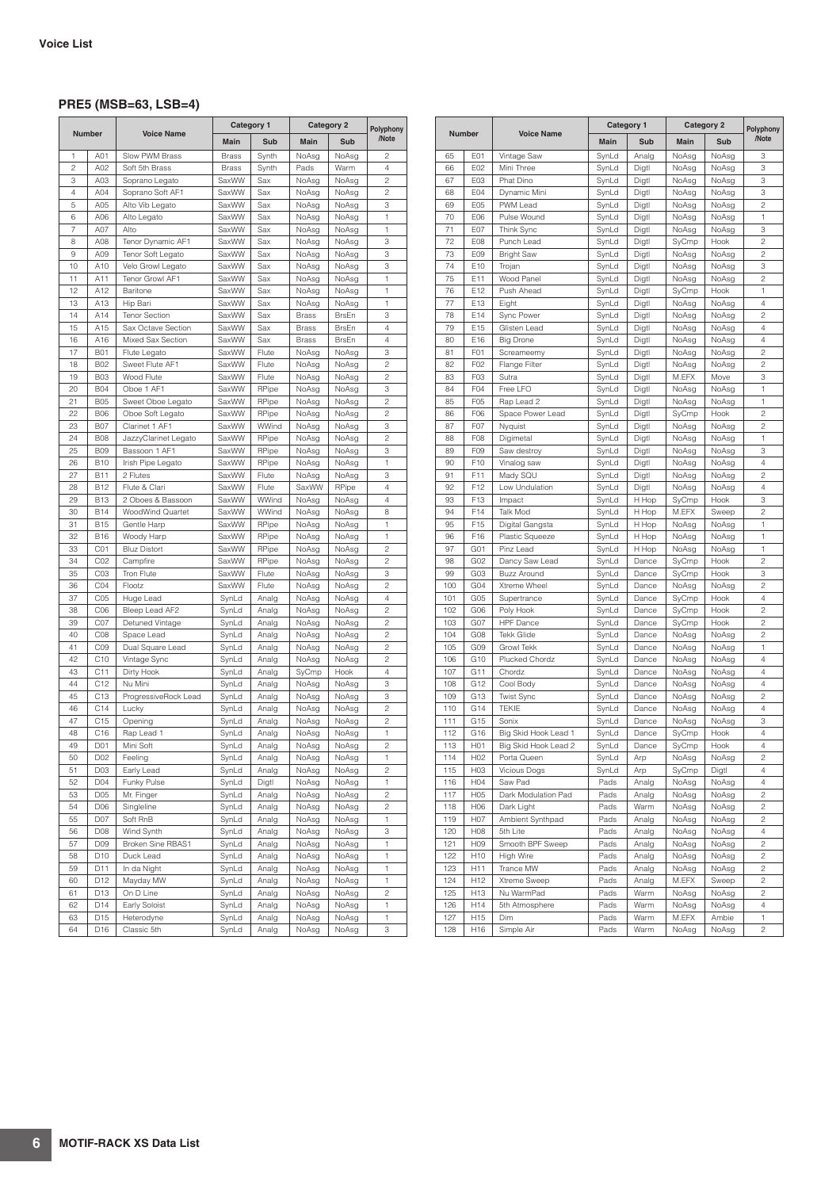# **PRE5 (MSB=63, LSB=4)**

|                |                        |                       | Category 1     |                | <b>Category 2</b> |       | Polyphony               |  |
|----------------|------------------------|-----------------------|----------------|----------------|-------------------|-------|-------------------------|--|
|                | <b>Number</b>          | <b>Voice Name</b>     | Main           | Sub            | Main              | Sub   | /Note                   |  |
| 1              | A01                    | Slow PWM Brass        | <b>Brass</b>   | Synth          | NoAsg             | NoAsg | $\overline{c}$          |  |
| $\overline{c}$ | A02                    | Soft 5th Brass        | <b>Brass</b>   | Synth          | Pads              | Warm  | $\overline{4}$          |  |
| 3              | A03                    | Soprano Legato        | SaxWW          | Sax            | NoAsg             | NoAsg | $\overline{c}$          |  |
| 4              | A04                    | Soprano Soft AF1      | SaxWW          | Sax            | NoAsg             | NoAsq | $\overline{c}$          |  |
| 5              | A05                    | Alto Vib Legato       | SaxWW          | Sax            | NoAsg             | NoAsg | 3                       |  |
| 6              | A06                    | Alto Legato           | SaxWW          | Sax            | NoAsg             | NoAsg | 1                       |  |
| $\overline{7}$ | A07                    | Alto                  | SaxWW          | Sax            | NoAsq             | NoAsq | 1                       |  |
| 8              | A08                    | Tenor Dynamic AF1     | SaxWW          | Sax            | NoAsg             | NoAsg | 3                       |  |
| 9              | A09                    | Tenor Soft Legato     | SaxWW          | Sax            | NoAsg             | NoAsg | 3                       |  |
| 10             | A10                    | Velo Growl Legato     | SaxWW          | Sax            | NoAsg             | NoAsg | 3                       |  |
| 11             | A11                    | Tenor Growl AF1       | SaxWW          | Sax            | NoAsq             | NoAsq | 1                       |  |
| 12             | A12                    | <b>Baritone</b>       | SaxWW          | Sax            | NoAsg             | NoAsg | 1                       |  |
| 13             | A13                    | Hip Bari              | SaxWW          | Sax            | NoAsg             | NoAsg | 1                       |  |
| 14             | A14                    | <b>Tenor Section</b>  | SaxWW          | Sax            | <b>Brass</b>      | BrsEn | 3                       |  |
| 15             | A15                    | Sax Octave Section    | SaxWW          | Sax            | <b>Brass</b>      | BrsEn | 4                       |  |
| 16             | A16                    | Mixed Sax Section     | SaxWW          | Sax            | <b>Brass</b>      | BrsEn | 4                       |  |
| 17             | <b>B01</b>             | Flute Legato          | SaxWW          | Flute          | NoAsg             | NoAsg | 3                       |  |
| 18             | <b>B02</b>             | Sweet Flute AF1       | SaxWW          | Flute          | NoAsg             | NoAsg | $\overline{c}$          |  |
| 19             | <b>B03</b>             | Wood Flute            | SaxWW          | Flute          | NoAsg             | NoAsg | $\overline{c}$          |  |
| 20             | <b>B04</b>             | Oboe 1 AF1            | SaxWW          | RPipe          | NoAsg             | NoAsg | 3                       |  |
| 21             | <b>B05</b>             | Sweet Oboe Legato     | SaxWW          | RPipe          | NoAsg             | NoAsg | $\overline{c}$          |  |
| 22             | <b>B06</b>             | Oboe Soft Legato      | SaxWW          | RPipe          | NoAsg             | NoAsg | $\overline{c}$          |  |
| 23             | <b>B07</b>             | Clarinet 1 AF1        | SaxWW          | WWind          | NoAsg             | NoAsg | 3                       |  |
| 24             | <b>B08</b>             | JazzyClarinet Legato  | SaxWW          | RPipe          | NoAsq             | NoAsq | $\overline{c}$          |  |
| 25             | <b>B09</b>             | Bassoon 1 AF1         | SaxWW          | RPipe          | NoAsg             | NoAsg | 3                       |  |
| 26             | <b>B10</b>             | Irish Pipe Legato     | SaxWW          | RPipe          | NoAsg             | NoAsg | 1                       |  |
| 27             | <b>B11</b>             | 2 Flutes              | SaxWW          | Flute          | NoAsg             | NoAsg | 3                       |  |
| 28             | <b>B12</b>             | Flute & Clari         | SaxWW          | Flute          | SaxWW             | RPipe | $\overline{4}$          |  |
| 29             | <b>B13</b>             | 2 Oboes & Bassoon     | SaxWW          | WWind          | NoAsg             | NoAsg | $\overline{4}$          |  |
| 30             | <b>B14</b>             | WoodWind Quartet      | SaxWW          | WWind          | NoAsg             | NoAsg | 8                       |  |
| 31             | <b>B15</b>             | Gentle Harp           | SaxWW          | RPipe          | NoAsg             | NoAsg | 1                       |  |
| 32             | <b>B16</b>             | Woody Harp            | SaxWW          | RPipe          | NoAsg             | NoAsg | 1                       |  |
| 33             | CO <sub>1</sub>        | <b>Bluz Distort</b>   | SaxWW          | RPipe          | NoAsg             | NoAsg | $\overline{c}$          |  |
| 34             | CO <sub>2</sub>        | Campfire              | SaxWW          | RPipe          | NoAsg             | NoAsg | $\overline{c}$          |  |
| 35             | CO <sub>3</sub>        | Tron Flute            | SaxWW          | Flute          | NoAsg             | NoAsg | 3                       |  |
| 36             | CO <sub>4</sub>        | Flootz                | SaxWW          | Flute          | NoAsg             | NoAsg | $\overline{c}$          |  |
| 37             | CO <sub>5</sub>        | Huge Lead             | SynLd          | Analg          | NoAsg             | NoAsg | $\overline{4}$          |  |
| 38             | C06                    | Bleep Lead AF2        | SynLd          | Analg          | NoAsg             | NoAsg | $\overline{c}$          |  |
| 39             | CO7                    | Detuned Vintage       | SynLd          | Analg          | NoAsg             | NoAsg | $\overline{c}$          |  |
| 40             | CO8                    | Space Lead            | SynLd          | Analg          | NoAsq             | NoAsg | $\overline{c}$          |  |
| 41             | C <sub>09</sub>        | Dual Square Lead      | SynLd          | Analg          | NoAsg             | NoAsg | $\overline{c}$          |  |
| 42             | C10                    | Vintage Sync          | SynLd          | Analg          | NoAsg             | NoAsg | $\overline{c}$          |  |
| 43             | C11                    |                       |                | Analg          |                   | Hook  | 4                       |  |
| 44             | C12                    | Dirty Hook<br>Nu Mini | SynLd<br>SynLd | Analg          | SyCmp<br>NoAsg    | NoAsg | 3                       |  |
| 45             | C <sub>13</sub>        | ProgressiveRock Lead  |                |                |                   |       | 3                       |  |
| 46             |                        |                       | SynLd          | Analg          | NoAsg             | NoAsg | $\overline{c}$          |  |
| 47             | C14<br>C <sub>15</sub> | Lucky                 | SynLd<br>SynLd | Analg<br>Analg | NoAsg             | NoAsg | $\overline{c}$          |  |
|                |                        | Opening               |                |                | NoAsg             | NoAsg | 1                       |  |
| 48             | C16                    | Rap Lead 1            | SynLd          | Analg          | NoAsg             | NoAsg |                         |  |
| 49             | D <sub>01</sub>        | Mini Soft             | SynLd          | Analg          | NoAsg             | NoAsg | $\overline{c}$          |  |
| 50             | D02                    | Feeling               | SynLd          | Analg          | NoAsg             | NoAsg | 1                       |  |
| 51             | D03                    | Early Lead            | SynLd          | Analg          | NoAsg             | NoAsg | $\overline{\mathbf{c}}$ |  |
| 52             | D04                    | Funky Pulse           | SynLd          | Digtl          | NoAsg             | NoAsg | 1                       |  |
| 53             | D05                    | Mr. Finger            | SynLd          | Analg          | NoAsg             | NoAsg | $\overline{\mathbf{c}}$ |  |
| 54             | D06                    | Singleline            | SynLd          | Analg          | NoAsg             | NoAsg | $\overline{c}$          |  |
| 55             | D07                    | Soft RnB              | SynLd          | Analg          | NoAsg             | NoAsg | 1                       |  |
| 56             | D08                    | Wind Synth            | SynLd          | Analg          | NoAsg             | NoAsg | 3                       |  |
| 57             | D09                    | Broken Sine RBAS1     | SynLd          | Analg          | NoAsg             | NoAsg | 1                       |  |
| 58             | D10                    | Duck Lead             | SynLd          | Analg          | NoAsg             | NoAsg | 1                       |  |
| 59             | D11                    | In da Night           | SynLd          | Analg          | NoAsg             | NoAsg | 1                       |  |
| 60             | D12                    | Mayday MW             | SynLd          | Analg          | NoAsg             | NoAsg | 1                       |  |
| 61             | D13                    | On D Line             | SynLd          | Analg          | NoAsg             | NoAsg | $\overline{\mathbf{c}}$ |  |
| 62             | D14                    | Early Soloist         | SynLd          | Analg          | NoAsg             | NoAsg | 1                       |  |
| 63             | D15                    | Heterodyne            | SynLd          | Analg          | NoAsg             | NoAsg | 1                       |  |
| 64             | D16                    | Classic 5th           | SynLd          | Analg          | NoAsg             | NoAsg | 3                       |  |

|            |                        |                           | Category 1     |                | Category 2     | Polyphony      |                                  |
|------------|------------------------|---------------------------|----------------|----------------|----------------|----------------|----------------------------------|
| Number     |                        | <b>Voice Name</b>         | Main           | Sub            | Main           | Sub            | /Note                            |
| 65         | E01                    | Vintage Saw               | SynLd          | Analg          | NoAsg          | NoAsg          | 3                                |
| 66         | E02                    | Mini Three                | SynLd          | Digtl          | NoAsg          | NoAsg          | 3                                |
| 67         | E03                    | Phat Dino                 | SynLd          | Digtl          | NoAsg          | NoAsg          | 3                                |
| 68         | E04                    | Dynamic Mini              | SynLd          | Digtl          | NoAsg          | NoAsg          | 3                                |
| 69         | E <sub>05</sub>        | PWM Lead                  | SynLd          | Digtl          | NoAsg          | NoAsq          | $\overline{c}$                   |
| 70         | E06                    | Pulse Wound               | SynLd          | Digtl          | NoAsg          | NoAsg          | 1                                |
| 71         | <b>E07</b>             | Think Sync                | SynLd          | Digtl          | NoAsg          | NoAsg          | 3                                |
| 72         | E08                    | Punch Lead                | SynLd          | Digtl          | SyCmp          | Hook           | $\overline{c}$                   |
| 73         | E09                    | <b>Bright Saw</b>         | SynLd          | Digtl          | NoAsg          | NoAsg          | $\overline{c}$                   |
| 74         | E10                    | Trojan                    | SynLd          | Digtl          | NoAsg          | NoAsg          | 3                                |
| 75         | E11                    | Wood Panel                | SynLd          | Digtl          | NoAsg          | NoAsg          | $\overline{c}$                   |
| 76<br>77   | E <sub>12</sub><br>E13 | Push Ahead                | SynLd          | Digtl          | SyCmp          | Hook           | 1<br>$\overline{4}$              |
| 78         | E14                    | Eight<br>Sync Power       | SynLd<br>SynLd | Digtl<br>Digtl | NoAsg<br>NoAsg | NoAsg<br>NoAsq | $\overline{c}$                   |
| 79         | E15                    | Glisten Lead              | SynLd          | Digtl          | NoAsg          | NoAsg          | 4                                |
| 80         | E16                    | <b>Big Drone</b>          | SynLd          | Digtl          | NoAsg          | NoAsg          | 4                                |
| 81         | F <sub>01</sub>        | Screameemy                | SynLd          | Digtl          | NoAsg          | NoAsg          | $\overline{c}$                   |
| 82         | F02                    | Flange Filter             | SynLd          | Digtl          | NoAsg          | NoAsg          | $\overline{c}$                   |
| 83         | F <sub>03</sub>        | Sutra                     | SynLd          | Digtl          | M.EFX          | Move           | 3                                |
| 84         | F <sub>04</sub>        | Free LFO                  | SynLd          | Digtl          | NoAsq          | NoAsq          | 1                                |
| 85         | F <sub>05</sub>        | Rap Lead 2                | SynLd          | Digtl          | NoAsg          | NoAsg          | 1                                |
| 86         | F06                    | Space Power Lead          | SynLd          | Digtl          | SyCmp          | Hook           | $\overline{c}$                   |
| 87         | <b>F07</b>             | Nyquist                   | SynLd          | Digtl          | NoAsg          | NoAsg          | $\overline{c}$                   |
| 88         | F <sub>08</sub>        | Digimetal                 | SynLd          | Digtl          | NoAsg          | NoAsg          | 1                                |
| 89         | F09                    | Saw destroy               | SynLd          | Digtl          | NoAsg          | NoAsq          | 3                                |
| 90         | F10                    | Vinalog saw               | SynLd          | Digtl          | NoAsg          | NoAsg          | $\overline{4}$                   |
| 91         | F11                    | Mady SQU                  | SynLd          | Digtl          | NoAsq          | NoAsg          | $\overline{c}$                   |
| 92         | F12                    | Low Undulation            | SynLd          | Digtl          | NoAsg          | NoAsq          | $\overline{4}$                   |
| 93         | F <sub>13</sub>        | Impact                    | SynLd          | H Hop          | SyCmp          | Hook           | 3                                |
| 94         | F14                    | Talk Mod                  | SynLd          | H Hop          | M.EFX          | Sweep          | $\overline{c}$                   |
| 95         | F <sub>15</sub>        | Digital Gangsta           | SynLd          | H Hop          | NoAsg          | NoAsg          | 1                                |
| 96         | F16                    | Plastic Squeeze           | SynLd          | H Hop          | NoAsg          | NoAsg          | 1                                |
| 97         | G <sub>01</sub>        | Pinz Lead                 | SynLd          | H Hop          | NoAsg          | NoAsg          | 1                                |
| 98         | G02                    | Dancy Saw Lead            | SynLd          | Dance          | SyCmp          | Hook           | $\overline{c}$                   |
| 99         | G03                    | Buzz Around               | SynLd          | Dance          | SyCmp          | Hook           | 3                                |
| 100        | G <sub>04</sub>        | Xtreme Wheel              | SynLd          | Dance          | NoAsg          | NoAsg          | $\overline{c}$<br>$\overline{4}$ |
| 101<br>102 | G <sub>05</sub><br>G06 | Supertrance<br>Poly Hook  | SynLd<br>SynLd | Dance<br>Dance | SyCmp          | Hook<br>Hook   | $\overline{c}$                   |
| 103        | G07                    | <b>HPF Dance</b>          | SynLd          | Dance          | SyCmp<br>SyCmp | Hook           | $\overline{c}$                   |
| 104        | G08                    | <b>Tekk Glide</b>         | SynLd          | Dance          | NoAsg          | NoAsg          | $\overline{c}$                   |
| 105        | G09                    | Growl Tekk                | SynLd          | Dance          | NoAsg          | NoAsg          | 1                                |
| 106        | G10                    | Plucked Chordz            | SynLd          | Dance          | NoAsg          | NoAsg          | 4                                |
| 107        | G11                    | Chordz                    | SynLd          | Dance          | NoAsg          | NoAsg          | $\overline{4}$                   |
| 108        | G12                    | Cool Body                 | SynLd          | Dance          | NoAsg          | NoAsg          | $\overline{4}$                   |
| 109        | G13                    | <b>Twist Sync</b>         | SynLd          | Dance          | NoAsg          | NoAsg          | $\overline{c}$                   |
| 110        | G14                    | <b>TEKIE</b>              | SynLd          | Dance          | NoAsg          | NoAsg          | 4                                |
| 111        | G15                    | Sonix                     | SynLd          | Dance          | NoAsg          | NoAsg          | 3                                |
| 112        | G16                    | Big Skid Hook Lead 1      | SynLd          | Dance          | SyCmp          | Hook           | $\overline{4}$                   |
| 113        | H01                    | Big Skid Hook Lead 2      | SynLd          | Dance          | SyCmp          | Hook           | 4                                |
| 114        | H02                    | Porta Queen               | SynLd          | Arp            | NoAsg          | NoAsg          | $\overline{c}$                   |
| 115        | H03                    | <b>Vicious Dogs</b>       | SynLd          | Arp            | SyCmp          | Digtl          | 4                                |
| 116        | H04                    | Saw Pad                   | Pads           | Analg          | NoAsg          | NoAsg          | 4                                |
| 117        | H05                    | Dark Modulation Pad       | Pads           | Analg          | NoAsg          | NoAsg          | 2                                |
| 118        | H06                    | Dark Light                | Pads           | Warm           | NoAsg          | NoAsg          | $\overline{c}$                   |
| 119        | H07                    | Ambient Synthpad          | Pads           | Analg          | NoAsg          | NoAsg          | $\overline{\mathbf{c}}$          |
| 120        | H08                    | 5th Lite                  | Pads           | Analg          | NoAsg          | NoAsg          | 4                                |
| 121        | H09                    | Smooth BPF Sweep          | Pads<br>Pads   | Analg          | NoAsg          | NoAsg          | $\overline{\mathbf{c}}$<br>2     |
| 122<br>123 | H10                    | High Wire                 | Pads           | Analg          | NoAsg          | NoAsg<br>NoAsg | $\overline{c}$                   |
| 124        | H11<br>H12             | Trance MW<br>Xtreme Sweep | Pads           | Analg<br>Analg | NoAsg<br>M.EFX | Sweep          | $\overline{c}$                   |
| 125        | H13                    | Nu WarmPad                | Pads           | Warm           | NoAsg          | NoAsg          | 2                                |
| 126        | H14                    | 5th Atmosphere            | Pads           | Warm           | NoAsg          | NoAsg          | 4                                |
| 127        | H15                    | Dim                       | Pads           | Warm           | M.EFX          | Ambie          | 1                                |
| 128        | H16                    | Simple Air                | Pads           | Warm           | NoAsg          | NoAsg          | $\overline{\mathbf{c}}$          |
|            |                        |                           |                |                |                |                |                                  |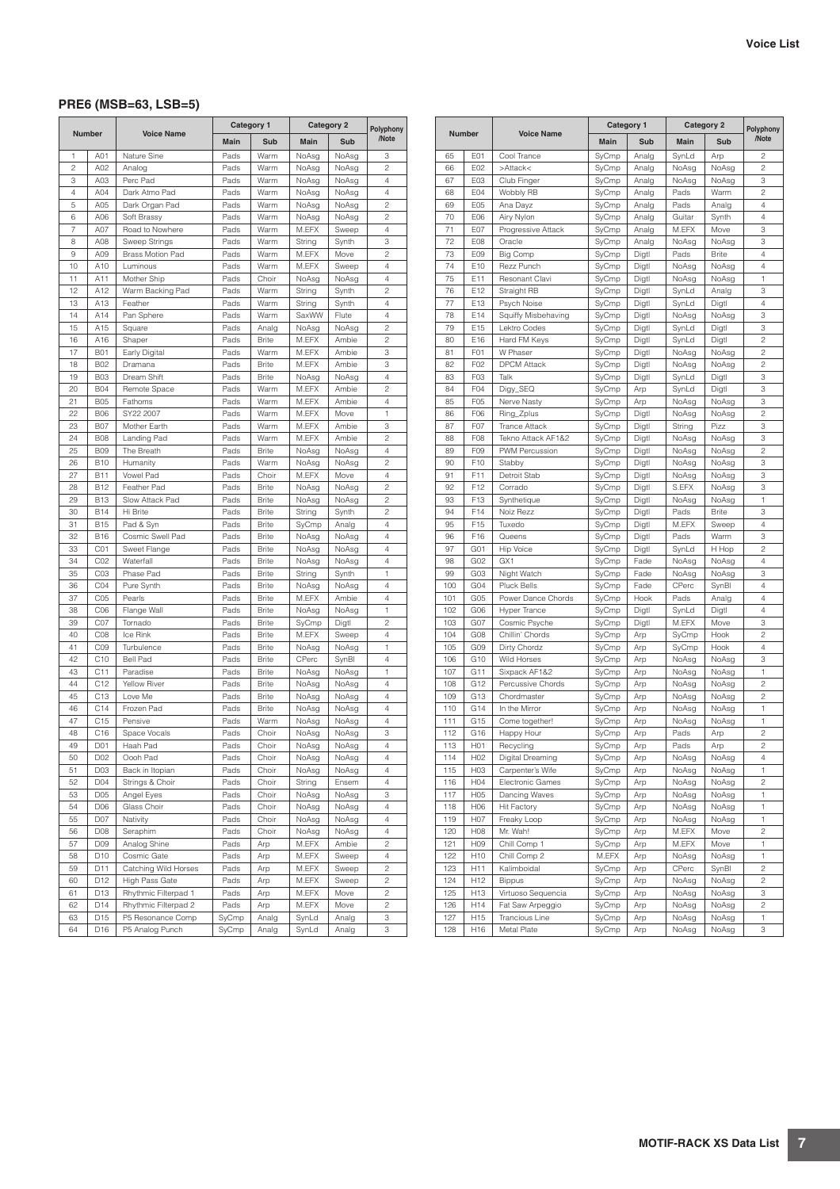# **PRE6 (MSB=63, LSB=5)**

|                |                  |                         | Category 1 |              | Category 2 |       | Polyphony               |
|----------------|------------------|-------------------------|------------|--------------|------------|-------|-------------------------|
|                | <b>Number</b>    | <b>Voice Name</b>       | Main       | Sub          | Main       | Sub   | /Note                   |
| 1              | A01              | Nature Sine             | Pads       | Warm         | NoAsg      | NoAsg | 3                       |
| $\overline{c}$ | A02              | Analog                  | Pads       | Warm         | NoAsg      | NoAsg | $\overline{c}$          |
| 3              | A03              | Perc Pad                | Pads       | Warm         | NoAsg      | NoAsg | $\overline{4}$          |
| 4              | A04              | Dark Atmo Pad           | Pads       | Warm         | NoAsg      | NoAsg | $\overline{4}$          |
| 5              | A05              | Dark Organ Pad          | Pads       | Warm         | NoAsg      | NoAsq | $\overline{c}$          |
| 6              | A06              | Soft Brassv             | Pads       | Warm         | NoAsg      | NoAsg | $\overline{c}$          |
| $\overline{7}$ | A07              | Road to Nowhere         | Pads       | Warm         | M.EFX      | Sweep | 4                       |
| 8              | A08              | Sweep Strings           | Pads       | Warm         | String     | Synth | 3                       |
| 9              | A <sub>0.9</sub> | <b>Brass Motion Pad</b> | Pads       | Warm         | M.EFX      | Move  | $\overline{c}$          |
| 10             | A10              | Luminous                | Pads       | Warm         | M.EFX      | Sweep | $\overline{4}$          |
| 11             | A11              | Mother Ship             | Pads       | Choir        | NoAsg      | NoAsg | $\overline{4}$          |
| 12             | A12              | Warm Backing Pad        | Pads       | Warm         | String     | Synth | $\overline{c}$          |
| 13             | A13              | Feather                 | Pads       | Warm         | String     | Synth | $\overline{4}$          |
| 14             | A14              | Pan Sphere              | Pads       | Warm         | SaxWW      | Flute | $\overline{4}$          |
| 15             | A15              | Square                  | Pads       | Analg        | NoAsg      | NoAsg | $\overline{c}$          |
|                |                  | Shaper                  | Pads       | <b>Brite</b> |            |       | $\overline{c}$          |
| 16             | A16              |                         |            |              | M.EFX      | Ambie |                         |
| 17             | <b>B01</b>       | Early Digital           | Pads       | Warm         | M.EFX      | Ambie | 3                       |
| 18             | <b>B02</b>       | Dramana                 | Pads       | <b>Brite</b> | M.EFX      | Ambie | 3                       |
| 19             | <b>B03</b>       | Dream Shift             | Pads       | <b>Brite</b> | NoAsg      | NoAsg | $\overline{4}$          |
| 20             | <b>B04</b>       | Remote Space            | Pads       | Warm         | M.EFX      | Ambie | $\overline{c}$          |
| 21             | <b>B05</b>       | Fathoms                 | Pads       | Warm         | M.EFX      | Ambie | $\overline{4}$          |
| 22             | <b>B06</b>       | SY22 2007               | Pads       | Warm         | M.EFX      | Move  | 1                       |
| 23             | <b>B07</b>       | Mother Earth            | Pads       | Warm         | M.EFX      | Ambie | 3                       |
| 24             | <b>B08</b>       | Landing Pad             | Pads       | Warm         | M.EFX      | Ambie | $\overline{c}$          |
| 25             | <b>B09</b>       | The Breath              | Pads       | <b>Brite</b> | NoAsg      | NoAsg | $\overline{4}$          |
| 26             | <b>B10</b>       | Humanity                | Pads       | Warm         | NoAsg      | NoAsq | $\overline{c}$          |
| 27             | <b>B11</b>       | Vowel Pad               | Pads       | Choir        | M.EFX      | Move  | 4                       |
| 28             | <b>B12</b>       | Feather Pad             | Pads       | <b>Brite</b> | NoAsg      | NoAsg | $\overline{c}$          |
| 29             | <b>B13</b>       | Slow Attack Pad         | Pads       | <b>Brite</b> | NoAsg      | NoAsg | $\overline{c}$          |
| 30             | <b>B14</b>       | Hi Brite                | Pads       | <b>Brite</b> | String     | Synth | $\overline{c}$          |
| 31             | <b>B15</b>       | Pad & Syn               | Pads       | <b>Brite</b> | SyCmp      | Analg | $\overline{4}$          |
| 32             | <b>B16</b>       | Cosmic Swell Pad        | Pads       | <b>Brite</b> | NoAsg      | NoAsg | $\overline{4}$          |
| 33             | CO <sub>1</sub>  | Sweet Flange            | Pads       | <b>Brite</b> | NoAsg      | NoAsg | $\overline{4}$          |
| 34             | CO <sub>2</sub>  | Waterfall               | Pads       | <b>Brite</b> | NoAsg      | NoAsg | $\overline{4}$          |
|                |                  |                         |            |              |            |       |                         |
| 35             | CO <sub>3</sub>  | Phase Pad               | Pads       | <b>Brite</b> | String     | Synth | 1                       |
| 36             | CO <sub>4</sub>  | Pure Synth              | Pads       | <b>Brite</b> | NoAsg      | NoAsg | $\overline{4}$          |
| 37             | CO <sub>5</sub>  | Pearls                  | Pads       | <b>Brite</b> | M.EFX      | Ambie | $\overline{4}$          |
| 38             | C06              | Flange Wall             | Pads       | <b>Brite</b> | NoAsg      | NoAsg | 1                       |
| 39             | CO7              | Tornado                 | Pads       | <b>Brite</b> | SyCmp      | Digtl | $\overline{c}$          |
| 40             | CO8              | Ice Rink                | Pads       | <b>Brite</b> | M.EFX      | Sweep | $\overline{4}$          |
| 41             | C09              | Turbulence              | Pads       | <b>Brite</b> | NoAsg      | NoAsg | $\mathbf{1}$            |
| 42             | C10              | <b>Bell Pad</b>         | Pads       | <b>Brite</b> | CPerc      | SynBl | $\overline{4}$          |
| 43             | C11              | Paradise                | Pads       | <b>Brite</b> | NoAsg      | NoAsg | 1                       |
| 44             | C12              | <b>Yellow River</b>     | Pads       | <b>Brite</b> | NoAsg      | NoAsg | $\overline{4}$          |
| 45             | C <sub>13</sub>  | Love Me                 | Pads       | <b>Brite</b> | NoAsg      | NoAsg | $\overline{4}$          |
| 46             | C14              | Frozen Pad              | Pads       | <b>Brite</b> | NoAsg      | NoAsg | $\overline{4}$          |
| 47             | C15              | Pensive                 | Pads       | Warm         | NoAsg      | NoAsg | 4                       |
| 48             | C16              | Space Vocals            | Pads       | Choir        | NoAsg      | NoAsg | 3                       |
| 49             | D01              | Haah Pad                | Pads       | Choir        | NoAsg      | NoAsg | 4                       |
| 50             | D02              | Oooh Pad                | Pads       | Choir        | NoAsg      | NoAsg | 4                       |
| 51             | D03              | Back in Itopian         | Pads       | Choir        | NoAsg      | NoAsg | 4                       |
| 52             | D04              | Strings & Choir         | Pads       | Choir        | String     | Ensem | 4                       |
| 53             | D05              | Angel Eyes              | Pads       | Choir        | NoAsg      | NoAsg | 3                       |
| 54             | D06              | Glass Choir             | Pads       | Choir        | NoAsg      | NoAsg | 4                       |
| 55             | D <sub>07</sub>  | Nativity                | Pads       | Choir        | NoAsg      | NoAsg | 4                       |
| 56             | D <sub>08</sub>  | Seraphim                | Pads       | Choir        | NoAsg      | NoAsg | 4                       |
|                |                  |                         |            |              |            |       |                         |
| 57             | D09              | Analog Shine            | Pads       | Arp          | M.EFX      | Ambie | 2                       |
| 58             | D10              | Cosmic Gate             | Pads       | Arp          | M.EFX      | Sweep | $\overline{4}$          |
| 59             | D11              | Catching Wild Horses    | Pads       | Arp          | M.EFX      | Sweep | 2                       |
| 60             | D12              | High Pass Gate          | Pads       | Arp          | M.EFX      | Sweep | $\overline{c}$          |
| 61             | D13              | Rhythmic Filterpad 1    | Pads       | Arp          | M.EFX      | Move  | $\overline{\mathbf{c}}$ |
| 62             | D14              | Rhythmic Filterpad 2    | Pads       | Arp          | M.EFX      | Move  | $\overline{\mathbf{c}}$ |
| 63             | D15              | P5 Resonance Comp       | SyCmp      | Analg        | SynLd      | Analg | 3                       |
| 64             | D16              | P5 Analog Punch         | SyCmp      | Analg        | SynLd      | Analg | 3                       |

|            |                        |                                      | Category 1     |                | Category 2     |                |                         |  |
|------------|------------------------|--------------------------------------|----------------|----------------|----------------|----------------|-------------------------|--|
|            | <b>Number</b>          | <b>Voice Name</b>                    | Main<br>Sub    |                | Main<br>Sub    |                | Polyphony<br>/Note      |  |
| 65         | E01                    | Cool Trance                          | SyCmp          | Analg          | SvnLd          | Arp            | 2                       |  |
| 66         | E02                    | >Attack<                             | SyCmp          | Analg          | NoAsg          | NoAsg          | $\mathfrak{p}$          |  |
| 67         | E03                    | Club Finger                          | SyCmp          | Analg          | NoAsg          | NoAsg          | 3                       |  |
| 68         | <b>E04</b>             | Wobbly RB                            | SyCmp          | Analg          | Pads           | Warm           | $\overline{c}$          |  |
| 69         | E05                    | Ana Dayz                             | SyCmp          | Analg          | Pads           | Analg          | $\overline{4}$          |  |
| 70         | E06                    | Airy Nylon                           | SyCmp          | Analg          | Guitar         | Synth          | $\overline{4}$          |  |
| 71         | <b>E07</b>             | Progressive Attack                   | SyCmp          | Analg          | M.EFX          | Move           | 3                       |  |
| 72         | E <sub>08</sub>        | Oracle                               | SyCmp          | Analg          | NoAsg          | NoAsg          | 3                       |  |
| 73         | E09                    | <b>Big Comp</b>                      | SyCmp          | Digtl          | Pads           | <b>Brite</b>   | 4                       |  |
| 74         | E10                    | Rezz Punch                           | SyCmp          | Digtl          | NoAsg          | NoAsg          | $\overline{4}$          |  |
| 75         | E11                    | Resonant Clavi                       | SyCmp          | Digtl          | NoAsq          | NoAsg          | 1                       |  |
| 76<br>77   | E12<br>E13             | Straight RB                          | SyCmp          | Digtl          | SynLd          | Analg          | 3<br>$\overline{4}$     |  |
| 78         | E14                    | Psych Noise<br>Squiffy Misbehaving   | SyCmp          | Digtl<br>Digtl | SynLd<br>NoAsg | Digtl<br>NoAsg | 3                       |  |
| 79         | E15                    | Lektro Codes                         | SyCmp<br>SyCmp | Digtl          | SynLd          | Digtl          | 3                       |  |
| 80         | E16                    | Hard FM Keys                         | SyCmp          | Digtl          | SynLd          | Digtl          | $\overline{c}$          |  |
| 81         | F01                    | W Phaser                             | SyCmp          | Digtl          | NoAsg          | NoAsg          | $\overline{c}$          |  |
| 82         | F02                    | <b>DPCM Attack</b>                   | SyCmp          | Digtl          | NoAsg          | NoAsg          | $\overline{c}$          |  |
| 83         | F03                    | Talk                                 | SyCmp          | Digtl          | SynLd          | Digtl          | 3                       |  |
| 84         | F <sub>04</sub>        | Digy_SEQ                             | SyCmp          | Arp            | SynLd          | Digtl          | 3                       |  |
| 85         | F05                    | Nerve Nasty                          | SyCmp          | Arp            | NoAsg          | NoAsg          | 3                       |  |
| 86         | F06                    | Ring_Zplus                           | SyCmp          | Digtl          | NoAsg          | NoAsg          | $\mathfrak{p}$          |  |
| 87         | F07                    | <b>Trance Attack</b>                 | SyCmp          | Digtl          | String         | Pizz           | 3                       |  |
| 88         | F08                    | Tekno Attack AF1&2                   | SyCmp          | Digtl          | NoAsg          | NoAsg          | 3                       |  |
| 89         | F09                    | <b>PWM Percussion</b>                | SyCmp          | Digtl          | NoAsg          | NoAsg          | $\overline{c}$          |  |
| 90         | F10                    | Stabby                               | SyCmp          | Digtl          | NoAsg          | NoAsg          | 3                       |  |
| 91         | F11                    | Detroit Stab                         | SyCmp          | Digtl          | NoAsg          | NoAsg          | 3                       |  |
| 92         | F <sub>12</sub>        | Corrado                              | SyCmp          | Digtl          | S.EFX          | NoAsg          | 3                       |  |
| 93         | F <sub>13</sub>        | Synthetique                          | SyCmp          | Digtl          | NoAsg          | NoAsg          | 1                       |  |
| 94         | F <sub>14</sub>        | Noiz Rezz                            | SyCmp          | Digtl          | Pads           | <b>Brite</b>   | 3                       |  |
| 95<br>96   | F15<br>F <sub>16</sub> | Tuxedo<br>Queens                     | SyCmp          | Digtl          | M.EFX<br>Pads  | Sweep<br>Warm  | $\overline{4}$<br>3     |  |
| 97         | G01                    | Hip Voice                            | SyCmp<br>SyCmp | Digtl<br>Digtl | SynLd          | H Hop          | $\overline{c}$          |  |
| 98         | G02                    | GX1                                  | SyCmp          | Fade           | NoAsg          | NoAsg          | 4                       |  |
| 99         | G03                    | Night Watch                          | SyCmp          | Fade           | NoAsg          | NoAsg          | 3                       |  |
| 100        | G <sub>04</sub>        | <b>Pluck Bells</b>                   | SyCmp          | Fade           | CPerc          | SynBl          | $\overline{4}$          |  |
| 101        | G05                    | Power Dance Chords                   | SyCmp          | Hook           | Pads           | Analg          | 4                       |  |
| 102        | G06                    | <b>Hyper Trance</b>                  | SyCmp          | Digtl          | SynLd          | Digtl          | 4                       |  |
| 103        | G07                    | Cosmic Psyche                        | SyCmp          | Digtl          | M.EFX          | Move           | 3                       |  |
| 104        | G08                    | Chillin' Chords                      | SyCmp          | Arp            | SyCmp          | Hook           | $\overline{c}$          |  |
| 105        | G09                    | Dirty Chordz                         | SyCmp          | Arp            | SyCmp          | Hook           | $\overline{4}$          |  |
| 106        | G10                    | Wild Horses                          | SyCmp          | Arp            | NoAsg          | NoAsg          | 3                       |  |
| 107        | G11                    | Sixpack AF1&2                        | SyCmp          | Arp            | NoAsg          | NoAsg          | 1                       |  |
| 108        | G <sub>12</sub>        | Percussive Chords                    | SyCmp          | Arp            | NoAsg          | NoAsg          | $\overline{c}$          |  |
| 109        | G13                    | Chordmaster                          | SyCmp          | Arp            | NoAsg          | NoAsg          | $\overline{c}$          |  |
| 110        | G <sub>14</sub>        | In the Mirror                        | SyCmp          | Arp            | NoAsg          | NoAsg          | 1                       |  |
| 111        | G <sub>15</sub>        | Come together!                       | SyCmp          | Arp            | NoAsg          | NoAsg          | 1                       |  |
| 112        | G16                    | Happy Hour                           | SyCmp          | Arp            | Pads           | Arp            | $\overline{c}$          |  |
| 113        | H <sub>0</sub> 1       | Recycling                            | SyCmp          | Arp            | Pads           | Arp            | 2                       |  |
| 114        | H02                    | Digital Dreaming<br>Carpenter's Wife | SyCmp          | Arp            | NoAsg          | NoAsg          | 4                       |  |
| 115<br>116 | H03<br>H04             | Electronic Games                     | SyCmp<br>SyCmp | Arp<br>Arp     | NoAsg<br>NoAsg | NoAsg<br>NoAsg | 1<br>2                  |  |
| 117        | H05                    | Dancing Waves                        | SyCmp          | Arp            | NoAsg          | NoAsg          | 1                       |  |
| 118        | H06                    | <b>Hit Factory</b>                   | SyCmp          | Arp            | NoAsg          | NoAsg          | 1                       |  |
| 119        | H07                    | Freaky Loop                          | SyCmp          | Arp            | NoAsg          | NoAsg          | 1                       |  |
| 120        | H08                    | Mr. Wah!                             | SyCmp          | Arp            | M.EFX          | Move           | $\overline{\mathbf{c}}$ |  |
| 121        | H09                    | Chill Comp 1                         | SyCmp          | Arp            | M.EFX          | Move           | 1                       |  |
| 122        | H10                    | Chill Comp 2                         | M.EFX          | Arp            | NoAsg          | NoAsg          | 1                       |  |
| 123        | H11                    | Kalimboidal                          | SyCmp          | Arp            | CPerc          | SynBI          | $\overline{c}$          |  |
| 124        | H <sub>12</sub>        | <b>Bippus</b>                        | SyCmp          | Arp            | NoAsg          | NoAsg          | 2                       |  |
| 125        | H13                    | Virtuoso Sequencia                   | SyCmp          | Arp            | NoAsg          | NoAsg          | 3                       |  |
| 126        | H14                    | Fat Saw Arpeggio                     | SyCmp          | Arp            | NoAsg          | NoAsg          | 2                       |  |
| 127        | H15                    | Trancious Line                       | SyCmp          | Arp            | NoAsg          | NoAsg          | 1                       |  |
| 128        | H16                    | Metal Plate                          | SyCmp          | Arp            | NoAsg          | NoAsg          | 3                       |  |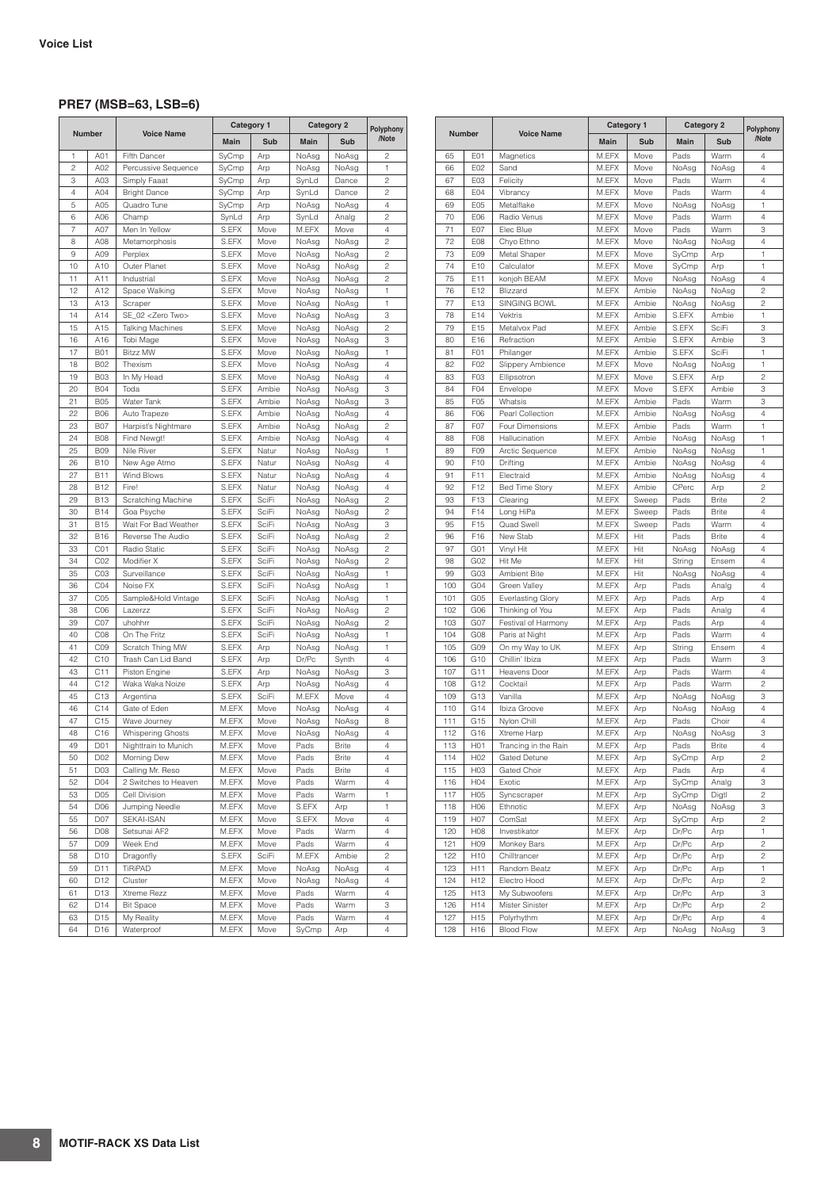# **PRE7 (MSB=63, LSB=6)**

| <b>Number</b>  |                 |                            | Category 1 |       | Category 2 |              | Polyphony      |
|----------------|-----------------|----------------------------|------------|-------|------------|--------------|----------------|
|                |                 | <b>Voice Name</b>          |            | Sub   | Main       | Sub          | /Note          |
| 1              | A01             | Fifth Dancer               | SyCmp      | Arp   | NoAsg      | NoAsg        | $\overline{c}$ |
| $\overline{c}$ | A02             | Percussive Sequence        | SyCmp      | Arp   | NoAsg      | NoAsg        | 1              |
| 3              | A03             | Simply Faaat               | SyCmp      | Arp   | SynLd      | Dance        | $\overline{c}$ |
| 4              | A04             | <b>Bright Dance</b>        | SyCmp      | Arp   | SynLd      | Dance        | $\overline{c}$ |
| 5              | A05             | Quadro Tune                | SyCmp      | Arp   | NoAsg      | NoAsg        | 4              |
| 6              | A06             | Champ                      | SynLd      | Arp   | SynLd      | Analg        | $\overline{c}$ |
| $\overline{7}$ | A07             | Men In Yellow              | S.EFX      | Move  | M.EFX      | Move         | 4              |
| 8              | A08             | Metamorphosis              | S.EFX      | Move  | NoAsg      | NoAsg        | $\overline{c}$ |
| 9              | A09             | Perplex                    | S.EFX      | Move  | NoAsq      | NoAsg        | $\overline{c}$ |
| 10             | A10             | Outer Planet               | S.EFX      | Move  | NoAsg      | NoAsg        | $\overline{c}$ |
| 11             | A11             | Industrial                 | S.EFX      | Move  | NoAsg      | NoAsg        | $\overline{c}$ |
| 12             | A12             | Space Walking              | S.EFX      | Move  | NoAsg      | NoAsg        | 1              |
| 13             | A13             | Scraper                    | S.EFX      | Move  | NoAsg      | NoAsq        | 1              |
| 14             | A14             | SE_02 <zero two=""></zero> | S.EFX      | Move  | NoAsg      | NoAsg        | 3              |
| 15             | A15             | <b>Talking Machines</b>    | S.EFX      | Move  | NoAsg      | NoAsg        | $\overline{c}$ |
| 16             | A16             | Tobi Mage                  | S.EFX      | Move  | NoAsg      | NoAsg        | 3              |
| 17             | <b>B01</b>      | <b>Bitzz MW</b>            | S.EFX      | Move  | NoAsg      | NoAsg        | 1              |
| 18             | <b>B02</b>      | Thexism                    | S.EFX      | Move  | NoAsg      | NoAsg        | $\overline{4}$ |
| 19             | <b>B03</b>      |                            | S.EFX      | Move  |            |              | $\overline{4}$ |
|                |                 | In My Head                 |            |       | NoAsg      | NoAsg        |                |
| 20             | <b>B04</b>      | Toda                       | S.EFX      | Ambie | NoAsg      | NoAsg        | 3              |
| 21             | <b>B05</b>      | Water Tank                 | S.EFX      | Ambie | NoAsg      | NoAsg        | 3              |
| 22             | <b>B06</b>      | Auto Trapeze               | S.EFX      | Ambie | NoAsg      | NoAsg        | 4              |
| 23             | <b>B07</b>      | Harpist's Nightmare        | S.EFX      | Ambie | NoAsg      | NoAsg        | $\overline{c}$ |
| 24             | <b>B08</b>      | Find Newgt!                | S.EFX      | Ambie | NoAsg      | NoAsq        | 4              |
| 25             | <b>B09</b>      | Nile River                 | S.EFX      | Natur | NoAsg      | NoAsg        | 1              |
| 26             | <b>B10</b>      | New Age Atmo               | S.EFX      | Natur | NoAsg      | NoAsq        | 4              |
| 27             | <b>B11</b>      | Wind Blows                 | S.EFX      | Natur | NoAsg      | NoAsg        | 4              |
| 28             | <b>B12</b>      | Fire!                      | S.EFX      | Natur | NoAsg      | NoAsg        | $\overline{4}$ |
| 29             | <b>B13</b>      | Scratching Machine         | S.EFX      | SciFi | NoAsg      | NoAsg        | $\overline{c}$ |
| 30             | <b>B14</b>      | Goa Psyche                 | S.EFX      | SciFi | NoAsg      | NoAsg        | $\overline{c}$ |
| 31             | <b>B15</b>      | Wait For Bad Weather       | S.EFX      | SciFi | NoAsg      | NoAsg        | 3              |
| 32             | <b>B16</b>      | Reverse The Audio          | S.EFX      | SciFi | NoAsg      | NoAsg        | $\overline{c}$ |
| 33             | CO <sub>1</sub> | Radio Static               | S.EFX      | SciFi | NoAsg      | NoAsg        | $\overline{c}$ |
| 34             | CO <sub>2</sub> | Modifier X                 | S.EFX      | SciFi | NoAsg      | NoAsg        | $\overline{c}$ |
| 35             | CO <sub>3</sub> | Surveillance               | S.EFX      | SciFi | NoAsg      | NoAsg        | 1              |
| 36             | CO4             | Noise FX                   | S.EFX      | SciFi | NoAsg      | NoAsg        | 1              |
| 37             | CO <sub>5</sub> | Sample&Hold Vintage        | S.EFX      | SciFi | NoAsg      | NoAsg        | 1              |
| 38             | C06             | Lazerzz                    | S.EFX      | SciFi | NoAsg      | NoAsg        | $\overline{c}$ |
| 39             | CO7             | uhohhrr                    | S.EFX      | SciFi | NoAsg      | NoAsg        | $\overline{c}$ |
| 40             | CO8             | On The Fritz               | S.EFX      | SciFi | NoAsg      | NoAsg        | 1              |
| 41             | C <sub>09</sub> | Scratch Thing MW           | S.EFX      | Arp   | NoAsg      | NoAsg        | 1              |
| 42             | C10             | Trash Can Lid Band         | S.EFX      | Arp   | Dr/Pc      | Synth        | 4              |
| 43             | C11             | Piston Engine              | S.EFX      | Arp   | NoAsg      | NoAsg        | 3              |
| 44             | C12             | Waka Waka Noize            | S.EFX      | Arp   | NoAsg      | NoAsq        | 4              |
| 45             | C13             | Argentina                  | S.EFX      | SciFi | M.EFX      | Move         | $\overline{4}$ |
| 46             | C14             | Gate of Eden               | M.EFX      | Move  | NoAsg      | NoAsg        | 4              |
| 47             | C15             | Wave Journey               | M.EFX      | Move  | NoAsg      | NoAsg        | 8              |
| 48             | C16             | <b>Whispering Ghosts</b>   | M.EFX      | Move  | NoAsg      | NoAsg        | 4              |
| 49             | D01             | Nighttrain to Munich       | M.EFX      | Move  | Pads       | <b>Brite</b> | 4              |
| 50             | D02             | Morning Dew                | M.EFX      | Move  | Pads       | <b>Brite</b> | 4              |
| 51             | D03             | Calling Mr. Reso           | M.EFX      | Move  | Pads       | Brite        | 4              |
| 52             | D04             | 2 Switches to Heaven       | M.EFX      | Move  | Pads       | Warm         | 4              |
| 53             | D <sub>05</sub> | Cell Division              | M.EFX      | Move  | Pads       | Warm         | 1              |
| 54             | D06             | Jumping Needle             | M.EFX      | Move  | S.EFX      | Arp          | 1              |
| 55             | D07             | SEKAI-ISAN                 | M.EFX      | Move  | S.EFX      | Move         | 4              |
|                |                 |                            | M.EFX      |       |            |              | 4              |
| 56             | D <sub>08</sub> | Setsunai AF2               |            | Move  | Pads       | Warm         |                |
| 57             | D09             | Week End                   | M.EFX      | Move  | Pads       | Warm         | 4              |
| 58             | D10             | Dragonfly                  | S.EFX      | SciFi | M.EFX      | Ambie        | 2              |
| 59             | D11             | TiRiPAD                    | M.EFX      | Move  | NoAsg      | NoAsg        | 4              |
| 60             | D12             | Cluster                    | M.EFX      | Move  | NoAsg      | NoAsg        | 4              |
| 61             | D13             | Xtreme Rezz                | M.EFX      | Move  | Pads       | Warm         | 4              |
| 62             | D14             | <b>Bit Space</b>           | M.EFX      | Move  | Pads       | Warm         | 3              |
| 63             | D15             | My Reality                 | M.EFX      | Move  | Pads       | Warm         | 4              |
| 64             | D16             | Waterproof                 | M.EFX      | Move  | SyCmp      | Arp          | 4              |

|            |                 |                                  | Category 1     |               | Category 2     |              |                     |  |
|------------|-----------------|----------------------------------|----------------|---------------|----------------|--------------|---------------------|--|
|            | <b>Number</b>   | <b>Voice Name</b>                | Main           | Sub           | Main           | Sub          | Polyphony<br>/Note  |  |
| 65         | E01             | Magnetics                        | M.EFX          | Move          | Pads           | Warm         | 4                   |  |
| 66         | E02             | Sand                             | M.EFX          | Move          | NoAsg          | NoAsq        | $\overline{4}$      |  |
| 67         | E03             | Felicity                         | M.EFX          | Move          | Pads           | Warm         | 4                   |  |
| 68         | F <sub>04</sub> | Vibrancy                         | M.EFX          | Move          | Pads           | Warm         | 4                   |  |
| 69         | F <sub>05</sub> | Metalflake                       | M.EFX          | Move          | NoAsg          | NoAsa        | 1                   |  |
| 70         | E06             | Radio Venus                      | M.EFX          | Move          | Pads           | Warm         | 4                   |  |
| 71         | <b>E07</b>      | Elec Blue                        | M.EFX          | Move          | Pads           | Warm         | 3                   |  |
| 72         | E08             | Chyo Ethno                       | M.EFX          | Move          | NoAsg          | NoAsq        | 4                   |  |
| 73         | F <sub>09</sub> | Metal Shaper                     | M.EFX          | Move          | SyCmp          | Arp          | 1                   |  |
| 74         | F10             | Calculator                       | M.EFX          | Move          | SyCmp          | Arp          | 1                   |  |
| 75         | E11             | konjoh BEAM                      | M.EFX          | Move          | NoAsg          | NoAsg        | $\overline{4}$      |  |
| 76         | E12             | Blizzard                         | M.EFX          | Ambie         | NoAsa          | NoAsg        | $\overline{c}$      |  |
| 77         | E13             | SINGING BOWL                     | M.EFX          | Ambie         | NoAsg          | NoAsg        | $\overline{c}$      |  |
| 78         | E <sub>14</sub> | Vektris                          | M.EFX          | Ambie         | S.EFX          | Ambie        | 1                   |  |
| 79         | E15             | Metalvox Pad                     | M.EFX          | Ambie         | S.EFX          | SciFi        | 3                   |  |
| 80         | E16             | Refraction                       | M.EFX          | Ambie         | S.EFX          | Ambie        | 3                   |  |
| 81<br>82   | F01<br>F02      | Philanger                        | M.EFX          | Ambie<br>Move | S.EFX          | SciFi        | $\mathbf{1}$<br>1   |  |
| 83         | F03             | Slippery Ambience<br>Ellipsotron | M.EFX<br>M.EFX | Move          | NoAsg<br>S.EFX | NoAsg<br>Arp | $\overline{c}$      |  |
| 84         | F04             | Envelope                         | M.EFX          | Move          | S.EFX          | Ambie        | 3                   |  |
| 85         | F <sub>05</sub> | Whatsis                          | M.EFX          | Ambie         | Pads           | Warm         | 3                   |  |
| 86         | F06             | Pearl Collection                 | M.EFX          | Ambie         | NoAsg          | NoAsq        | 4                   |  |
| 87         | F07             | Four Dimensions                  | M.EFX          | Ambie         | Pads           | Warm         | 1                   |  |
| 88         | F08             | Hallucination                    | M.EFX          | Ambie         | NoAsg          | NoAsg        | 1                   |  |
| 89         | F09             | Arctic Sequence                  | M.EFX          | Ambie         | NoAsg          | NoAsg        | 1                   |  |
| 90         | F <sub>10</sub> | Drifting                         | M.EFX          | Ambie         | NoAsg          | NoAsq        | 4                   |  |
| 91         | F11             | Electraid                        | M.EFX          | Ambie         | NoAsg          | NoAsg        | 4                   |  |
| 92         | F12             | <b>Bed Time Story</b>            | M.EFX          | Ambie         | CPerc          | Arp          | $\overline{c}$      |  |
| 93         | F <sub>13</sub> | Clearing                         | M.EFX          | Sweep         | Pads           | <b>Brite</b> | $\overline{c}$      |  |
| 94         | F <sub>14</sub> | Long HiPa                        | M.EFX          | Sweep         | Pads           | <b>Brite</b> | $\overline{4}$      |  |
| 95         | F <sub>15</sub> | Quad Swell                       | M.EFX          | Sweep         | Pads           | Warm         | 4                   |  |
| 96         | F <sub>16</sub> | New Stab                         | M.EFX          | Hit           | Pads           | <b>Brite</b> | 4                   |  |
| 97         | G <sub>01</sub> | Vinyl Hit                        | M.EFX          | Hit           | NoAsg          | NoAsg        | 4                   |  |
| 98         | G <sub>02</sub> | Hit Me                           | M.EFX          | Hit           | String         | Ensem        | $\overline{4}$      |  |
| 99         | G03             | Ambient Bite                     | M.EFX          | Hit           | NoAsg          | NoAsg        | $\overline{4}$      |  |
| 100        | G04             | Green Valley                     | M.EFX          | Arp           | Pads           | Analg        | $\overline{4}$      |  |
| 101        | G <sub>05</sub> | <b>Everlasting Glory</b>         | M.EFX          | Arp           | Pads           | Arp          | 4                   |  |
| 102        | G06             | Thinking of You                  | M.EFX          | Arp           | Pads           | Analg        | 4                   |  |
| 103        | G07             | Festival of Harmony              | M.EFX          | Arp           | Pads           | Arp          | $\overline{4}$      |  |
| 104        | G08             | Paris at Night                   | M.EFX          | Arp           | Pads           | Warm         | $\overline{4}$      |  |
| 105        | G09             | On my Way to UK                  | M.EFX          | Arp           | String         | Ensem        | $\overline{4}$      |  |
| 106        | G10             | Chillin' Ibiza                   | M.EFX          | Arp           | Pads           | Warm         | 3                   |  |
| 107        | G11             | Heavens Door                     | M.EFX          | Arp           | Pads           | Warm         | 4                   |  |
| 108        | G12             | Cocktail                         | M.EFX          | Arp           | Pads           | Warm         | $\overline{c}$      |  |
| 109        | G13             | Vanilla                          | M.EFX          | Arp           | NoAsg          | NoAsg        | 3                   |  |
| 110        | G <sub>14</sub> | Ibiza Groove                     | M.EFX          | Arp           | NoAsg          | NoAsg        | 4                   |  |
| 111        | G15             | Nylon Chill<br>Xtreme Harp       | M.EFX          | Arp           | Pads           | Choir        | $\overline{4}$      |  |
| 112        | G16             |                                  | M.EFX          | Arp           | NoAsg          | NoAsg        | 3                   |  |
| 113        | H01             | Trancing in the Rain             | M.EFX          | Arp           | Pads           | <b>Brite</b> | 4<br>$\overline{c}$ |  |
| 114<br>115 | H02<br>H03      | Gated Detune<br>Gated Choir      | M.EFX<br>M.EFX | Arp<br>Arp    | SyCmp<br>Pads  | Arp<br>Arp   | 4                   |  |
| 116        | H04             | Exotic                           | M.EFX          | Arp           | SyCmp          | Analg        | 3                   |  |
| 117        | H05             | Syncscraper                      | M.EFX          | Arp           | SyCmp          | Digtl        | 2                   |  |
| 118        | H06             | Ethnotic                         | M.EFX          | Arp           | NoAsg          | NoAsg        | 3                   |  |
| 119        | H07             | ComSat                           | M.EFX          | Arp           | SyCmp          | Arp          | $\overline{c}$      |  |
| 120        | H08             | Investikator                     | M.EFX          | Arp           | Dr/Pc          | Arp          | 1                   |  |
| 121        | H09             | Monkey Bars                      | M.EFX          | Arp           | Dr/Pc          | Arp          | $\overline{c}$      |  |
| 122        | H10             | Chilltrancer                     | M.EFX          | Arp           | Dr/Pc          | Arp          | 2                   |  |
| 123        | H11             | Random Beatz                     | M.EFX          | Arp           | Dr/Pc          | Arp          | 1                   |  |
| 124        | H12             | Electro Hood                     | M.EFX          | Arp           | Dr/Pc          | Arp          | $\overline{c}$      |  |
| 125        | H13             | My Subwoofers                    | M.EFX          | Arp           | Dr/Pc          | Arp          | 3                   |  |
| 126        | H14             | Mister Sinister                  | M.EFX          | Arp           | Dr/Pc          | Arp          | $\overline{c}$      |  |
| 127        | H15             | Polyrhythm                       | M.EFX          | Arp           | Dr/Pc          | Arp          | 4                   |  |
| 128        | H16             | <b>Blood Flow</b>                | M.EFX          | Arp           | NoAsg          | NoAsg        | 3                   |  |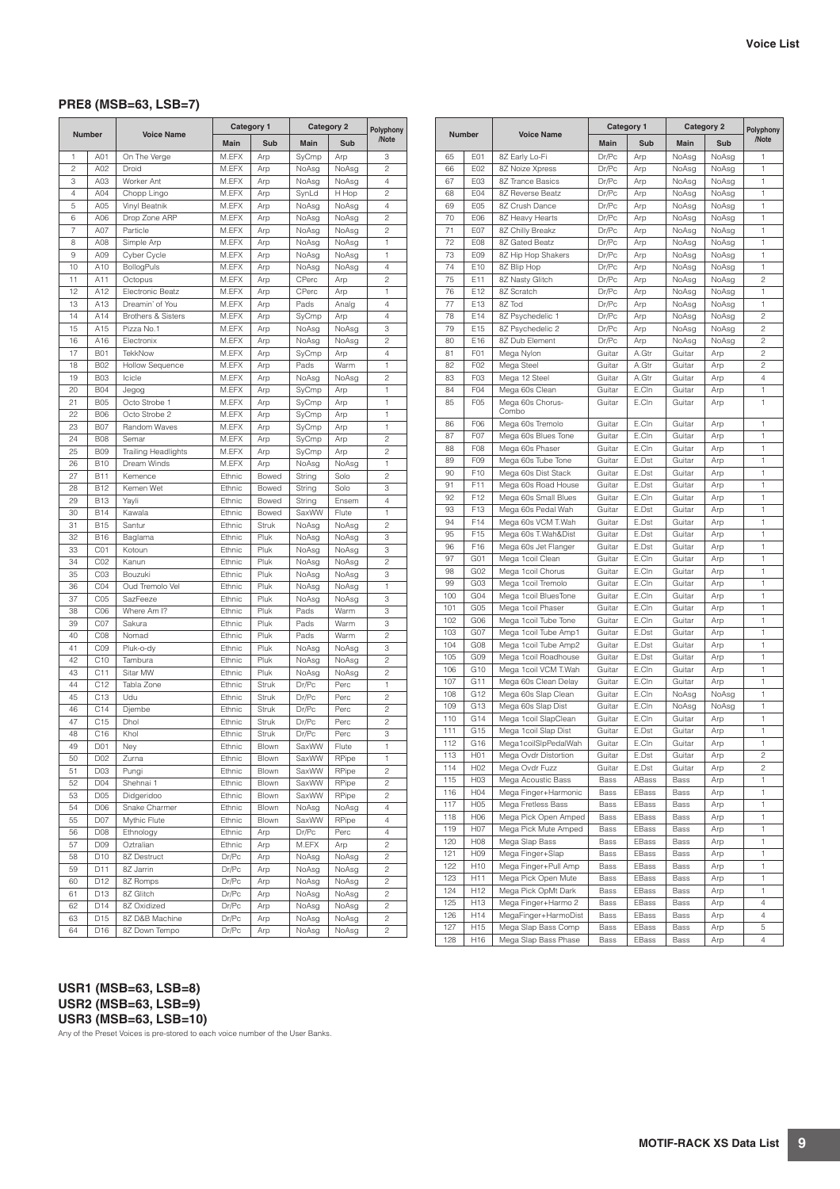### **PRE8 (MSB=63, LSB=7)**

|                |                 |                               |        | Category 1     |        | Category 2 |                         |
|----------------|-----------------|-------------------------------|--------|----------------|--------|------------|-------------------------|
|                | <b>Number</b>   | <b>Voice Name</b>             | Main   | Sub            | Main   | Sub        | Polyphony<br>/Note      |
| 1              | A01             | On The Verge                  | M.EFX  | Arp            | SyCmp  | Arp        | 3                       |
| $\overline{c}$ | A02             | Droid                         | M.EFX  | Arp            | NoAsg  | NoAsa      | $\overline{c}$          |
| 3              | A03             | Worker Ant                    | M.EFX  | Arp            | NoAsg  | NoAsg      | 4                       |
| 4              | A04             | Chopp Lingo                   | M.EFX  | Arp            | SynLd  | H Hop      | $\overline{c}$          |
| 5              | A05             | Vinyl Beatnik                 | M.EFX  | Arp            | NoAsg  | NoAsg      | $\overline{4}$          |
| 6              | A06             | Drop Zone ARP                 | M.EFX  | Arp            | NoAsq  | NoAsg      | $\overline{c}$          |
| $\overline{7}$ | A07             | Particle                      | M.EFX  | Arp            | NoAsg  | NoAsg      | $\overline{c}$          |
| 8              | A08             | Simple Arp                    | M.EFX  | Arp            | NoAsg  | NoAsg      | 1                       |
| 9              | A09             | Cyber Cycle                   | M.EFX  | Arp            | NoAsg  | NoAsg      | 1                       |
| 10             | A10             | BollogPuls                    | M.EFX  | Arp            | NoAsg  | NoAsg      | 4                       |
| 11             | A11             | Octopus                       | M.EFX  | Arp            | CPerc  | Arp        | $\overline{c}$          |
| 12             | A12             | Electronic Beatz              | M.EFX  | Arp            | CPerc  | Arp        | $\mathbf{1}$            |
| 13             | A13             | Dreamin' of You               | M.EFX  | Arp            | Pads   | Analg      | $\overline{4}$          |
| 14             | A14             | <b>Brothers &amp; Sisters</b> | M.EFX  | Arp            | SyCmp  | Arp        | 4                       |
| 15             | A15             | Pizza No.1                    | M.EFX  |                | NoAsg  | NoAsg      | 3                       |
|                |                 |                               |        | Arp            |        |            | $\overline{c}$          |
| 16             | A16             | Electronix                    | M.EFX  | Arp            | NoAsg  | NoAsg      |                         |
| 17             | <b>B01</b>      | TekkNow                       | M.EFX  | Arp            | SyCmp  | Arp        | 4                       |
| 18             | <b>B02</b>      | Hollow Sequence               | M.EFX  | Arp            | Pads   | Warm       | 1                       |
| 19             | <b>B03</b>      | Icicle                        | M.EFX  | Arp            | NoAsg  | NoAsg      | $\overline{c}$          |
| 20             | <b>B04</b>      | Jegog                         | M.EFX  | Arp            | SyCmp  | Arp        | $\mathbf{1}$            |
| 21             | <b>B05</b>      | Octo Strobe 1                 | M.EFX  | Arp            | SyCmp  | Arp        | $\mathbf{1}$            |
| 22             | <b>B06</b>      | Octo Strobe 2                 | M.EFX  | Arp            | SyCmp  | Arp        | 1                       |
| 23             | <b>B07</b>      | Random Waves                  | M.EFX  | Arp            | SyCmp  | Arp        | 1                       |
| 24             | <b>B08</b>      | Semar                         | M.EFX  | Arp            | SyCmp  | Arp        | $\overline{c}$          |
| 25             | <b>B09</b>      | <b>Trailing Headlights</b>    | M.EFX  | Arp            | SyCmp  | Arp        | $\overline{c}$          |
| 26             | <b>B10</b>      | Dream Winds                   | M.EFX  | Arp            | NoAsg  | NoAsq      | 1                       |
| 27             | <b>B11</b>      | Kemence                       | Ethnic | Bowed          | String | Solo       | $\overline{c}$          |
| 28             | <b>B12</b>      | Kemen Wet                     | Ethnic | Bowed          | String | Solo       | 3                       |
| 29             | <b>B13</b>      | Yayli                         | Ethnic | Bowed          | String | Ensem      | 4                       |
| 30             | <b>B14</b>      | Kawala                        | Ethnic | Bowed          | SaxWW  | Flute      | $\mathbf{1}$            |
| 31             | <b>B15</b>      | Santur                        | Ethnic | Struk          | NoAsq  | NoAsq      | $\overline{c}$          |
| 32             | <b>B16</b>      | Baglama                       | Ethnic | Pluk           | NoAsg  | NoAsg      | 3                       |
| 33             | CO <sub>1</sub> | Kotoun                        | Ethnic | Pluk           | NoAsg  | NoAsg      | 3                       |
| 34             | CO <sub>2</sub> | Kanun                         | Ethnic | Pluk           | NoAsg  | NoAsg      | $\overline{c}$          |
| 35             | CO <sub>3</sub> | Bouzuki                       | Ethnic | Pluk           | NoAsg  | NoAsg      | 3                       |
| 36             | CO4             | Oud Tremolo Vel               | Ethnic | Pluk           | NoAsg  | NoAsg      | 1                       |
| 37             | CO <sub>5</sub> | SazFeeze                      | Ethnic | Pluk           | NoAsg  | NoAsg      | 3                       |
| 38             | C06             | Where Am I?                   | Ethnic | Pluk           | Pads   | Warm       | 3                       |
| 39             | CO7             | Sakura                        | Ethnic | Pluk           | Pads   | Warm       | 3                       |
| 40             | CO8             | Nomad                         | Ethnic | Pluk           | Pads   | Warm       | $\overline{c}$          |
| 41             | C <sub>09</sub> | Pluk-o-dy                     | Ethnic | Pluk           | NoAsg  | NoAsg      | 3                       |
| 42             | C10             | Tambura                       | Ethnic | Pluk           | NoAsg  | NoAsg      | $\overline{c}$          |
| 43             | C11             | Sitar MW                      | Ethnic | Pluk           | NoAsg  | NoAsg      | $\overline{c}$          |
| 44             | C12             | Tabla Zone                    | Ethnic | Struk          | Dr/Pc  | Perc       | 1                       |
| 45             | C <sub>13</sub> | Udu                           | Ethnic | Struk          | Dr/Pc  | Perc       | $\overline{c}$          |
|                |                 |                               |        |                |        |            |                         |
| 46             | C14             | Djembe                        | Ethnic | Struk<br>Struk | Dr/Pc  | Perc       | $\overline{c}$          |
| 47             | C15             | Dhol                          | Ethnic |                | Dr/Pc  | Perc       | $\overline{c}$          |
| 48             | C16             | Khol                          | Ethnic | Struk          | Dr/Pc  | Perc       | 3                       |
| 49             | D01             | Ney                           | Ethnic | Blown          | SaxWW  | Flute      | 1                       |
| 50             | D02             | Zurna                         | Ethnic | Blown          | SaxWW  | RPipe      | 1                       |
| 51             | D03             | Pungi                         | Ethnic | Blown          | SaxWW  | RPipe      | $\overline{\mathbf{c}}$ |
| 52             | D04             | Shehnai 1                     | Ethnic | Blown          | SaxWW  | RPipe      | $\overline{c}$          |
| 53             | D05             | Didgeridoo                    | Ethnic | Blown          | SaxWW  | RPipe      | $\overline{\mathbf{c}}$ |
| 54             | D06             | Snake Charmer                 | Ethnic | Blown          | NoAsg  | NoAsg      | 4                       |
| 55             | D07             | Mythic Flute                  | Ethnic | Blown          | SaxWW  | RPipe      | $\overline{4}$          |
| 56             | D <sub>08</sub> | Ethnology                     | Ethnic | Arp            | Dr/Pc  | Perc       | 4                       |
| 57             | D09             | Oztralian                     | Ethnic | Arp            | M.EFX  | Arp        | 2                       |
| 58             | D10             | 8Z Destruct                   | Dr/Pc  | Arp            | NoAsg  | NoAsg      | $\overline{\mathbf{c}}$ |
| 59             | D11             | 8Z Jarrin                     | Dr/Pc  | Arp            | NoAsg  | NoAsg      | $\overline{\mathbf{c}}$ |
| 60             | D12             | 8Z Romps                      | Dr/Pc  | Arp            | NoAsg  | NoAsg      | $\overline{\mathbf{c}}$ |
| 61             | D13             | 8Z Glitch                     | Dr/Pc  | Arp            | NoAsg  | NoAsg      | $\overline{\mathbf{c}}$ |
| 62             | D14             | 8Z Oxidized                   | Dr/Pc  | Arp            | NoAsg  | NoAsg      | $\overline{\mathbf{c}}$ |
| 63             | D15             | 8Z D&B Machine                | Dr/Pc  | Arp            | NoAsg  | NoAsg      | $\overline{\mathbf{c}}$ |
| 64             | D16             | 8Z Down Tempo                 | Dr/Pc  | Arp            | NoAsg  | NoAsg      | $\overline{\mathbf{c}}$ |

|               |                 |                                            | Category 1       |                | <b>Category 2</b> |            |                    |
|---------------|-----------------|--------------------------------------------|------------------|----------------|-------------------|------------|--------------------|
| <b>Number</b> |                 | <b>Voice Name</b>                          | Main             | Sub            | Main              | Sub        | Polyphony<br>/Note |
| 65            | E <sub>01</sub> | 8Z Early Lo-Fi                             | Dr/Pc            | Arp            | NoAsq             | NoAsg      | 1                  |
| 66            | E02             | 8Z Noize Xpress                            | Dr/Pc            | Arp            | NoAsg             | NoAsg      | 1                  |
| 67            | E03             | 8Z Trance Basics                           | Dr/Pc            | Arp            | NoAsg             | NoAsg      | 1                  |
| 68            | E04             | 8Z Reverse Beatz                           | Dr/Pc            | Arp            | NoAsg             | NoAsq      | 1                  |
| 69            | E05             | 8Z Crush Dance                             | Dr/Pc            | Arp            | NoAsg             | NoAsg      | 1                  |
| 70            | E06             | 8Z Heavy Hearts                            | Dr/Pc            | Arp            | NoAsg             | NoAsg      | 1                  |
| 71            | E07             | 8Z Chilly Breakz                           | Dr/Pc            | Arp            | NoAsg             | NoAsg      | 1                  |
| 72            | E08             | 8Z Gated Beatz                             | Dr/Pc            | Arp            | NoAsg             | NoAsg      | 1                  |
| 73            | E09             | 8Z Hip Hop Shakers                         | Dr/Pc            | Arp            | NoAsg             | NoAsg      | 1                  |
| 74            | E10             | 8Z Blip Hop                                | Dr/Pc            | Arp            | NoAsg             | NoAsq      | 1                  |
| 75            | E11             | 8Z Nasty Glitch                            | Dr/Pc            | Arp            | NoAsg             | NoAsg      | $\overline{c}$     |
| 76            | E12             | 8Z Scratch                                 | Dr/Pc            | Arp            | NoAsg             | NoAsg      | 1                  |
| 77            | E13             | 8Z Tod                                     | Dr/Pc            | Arp            | NoAsg             | NoAsg      | 1                  |
| 78            | E14             | 8Z Psychedelic 1                           | Dr/Pc            | Arp            | NoAsg             | NoAsg      | $\overline{c}$     |
| 79            | E15             | 8Z Psychedelic 2                           | Dr/Pc            | Arp            | NoAsg             | NoAsg      | $\overline{c}$     |
| 80            | E16             | 8Z Dub Element                             | Dr/Pc            | Arp            | NoAsg             | NoAsg      | $\overline{c}$     |
| 81            | F01             | Mega Nylon                                 | Guitar           | A.Gtr          | Guitar            | Arp        | $\overline{c}$     |
| 82            | F02             | Mega Steel                                 | Guitar           | A.Gtr          | Guitar            | Arp        | $\overline{c}$     |
| 83            | F <sub>03</sub> | Mega 12 Steel                              | Guitar           | A.Gtr          | Guitar            | Arp        | 4                  |
| 84            | F <sub>04</sub> | Mega 60s Clean                             | Guitar           | E.CIn          | Guitar            | Arp        | 1                  |
| 85            | F <sub>05</sub> | Mega 60s Chorus-                           | Guitar           | E.CIn          | Guitar            | Arp        | 1                  |
|               |                 | Combo                                      |                  |                |                   |            |                    |
| 86            | F06             | Mega 60s Tremolo                           | Guitar           | E.CIn<br>E.CIn | Guitar            | Arp        | 1                  |
| 87<br>88      | F07<br>F08      | Mega 60s Blues Tone<br>Mega 60s Phaser     | Guitar<br>Guitar | E.CIn          | Guitar<br>Guitar  | Arp        | 1<br>1             |
| 89            | F09             | Mega 60s Tube Tone                         | Guitar           | E.Dst          | Guitar            | Arp        | 1                  |
| 90            | F <sub>10</sub> | Mega 60s Dist Stack                        | Guitar           | E.Dst          | Guitar            | Arp<br>Arp | 1                  |
| 91            | F11             | Mega 60s Road House                        | Guitar           | E.Dst          | Guitar            | Arp        | 1                  |
| 92            | F12             | Mega 60s Small Blues                       | Guitar           | E.CIn          | Guitar            | Arp        | 1                  |
| 93            | F <sub>13</sub> | Mega 60s Pedal Wah                         | Guitar           | E.Dst          | Guitar            | Arp        | 1                  |
| 94            | F <sub>14</sub> | Mega 60s VCM T.Wah                         | Guitar           | E.Dst          | Guitar            | Arp        | 1                  |
| 95            | F <sub>15</sub> | Mega 60s T.Wah&Dist                        | Guitar           | E.Dst          | Guitar            | Arp        | 1                  |
| 96            | F16             | Mega 60s Jet Flanger                       | Guitar           | E.Dst          | Guitar            | Arp        | 1                  |
| 97            | G <sub>01</sub> | Mega 1coil Clean                           | Guitar           | E.CIn          | Guitar            | Arp        | 1                  |
| 98            | G02             | Mega 1coil Chorus                          | Guitar           | E.CIn          | Guitar            | Arp        | 1                  |
| 99            | G03             | Mega 1coil Tremolo                         | Guitar           | E.CIn          | Guitar            | Arp        | 1                  |
| 100           | G <sub>04</sub> | Mega 1coil BluesTone                       | Guitar           | E.CIn          | Guitar            | Arp        | 1                  |
| 101           | G <sub>05</sub> | Mega 1coil Phaser                          | Guitar           | E.CIn          | Guitar            | Arp        | 1                  |
| 102           | G06             | Mega 1coil Tube Tone                       | Guitar           | E.CIn          | Guitar            | Arp        | 1                  |
| 103           | G07             | Mega 1coil Tube Amp1                       | Guitar           | E.Dst          | Guitar            | Arp        | 1                  |
| 104           | G08             | Mega 1coil Tube Amp2                       | Guitar           | E.Dst          | Guitar            | Arp        | 1                  |
| 105           | G09             | Mega 1coil Roadhouse                       | Guitar           | E.Dst          | Guitar            | Arp        | 1                  |
| 106           | G10             | Mega 1coil VCM T.Wah                       | Guitar           | E.CIn          | Guitar            | Arp        | 1                  |
| 107           | G11             | Mega 60s Clean Delay                       | Guitar           | E.CIn          | Guitar            | Arp        | 1                  |
| 108           | G12             | Mega 60s Slap Clean                        | Guitar           | E.CIn          | NoAsg             | NoAsg      | 1                  |
| 109           | G13             | Mega 60s Slap Dist                         | Guitar           | E.CIn          | NoAsg             | NoAsg      | 1                  |
| 110           | G14             | Mega 1coil SlapClean                       | Guitar           | E.CIn          | Guitar            | Arp        | 1                  |
| 111           | G15             | Mega 1coil Slap Dist                       | Guitar           | E.Dst          | Guitar            | Arp        | 1                  |
| 112           | G16             | Mega1coilSlpPedalWah                       | Guitar           | E.CIn          | Guitar            | Arp        | 1                  |
| 113           | H <sub>01</sub> | Mega Ovdr Distortion                       | Guitar           | E.Dst          | Guitar            | Arp        | $\overline{c}$     |
| 114           | H02             | Mega Ovdr Fuzz                             | Guitar           | E.Dst          | Guitar            | Arp        | 2                  |
| 115           | H03             | Mega Acoustic Bass                         | Bass             | ABass          | Bass              | Arp        | 1                  |
| 116           | H04             | Mega Finger+Harmonic                       | Bass             | EBass          | Bass              | Arp        | 1                  |
| 117           | H05             | Mega Fretless Bass                         | Bass             | EBass          | Bass              | Arp        | 1                  |
| 118           | H06             | Mega Pick Open Amped                       | Bass             | EBass          | Bass              | Arp        | 1                  |
| 119           | H07             | Mega Pick Mute Amped                       | Bass             | EBass          | Bass              | Arp        | 1                  |
| 120           | H08             | Mega Slap Bass                             | Bass             | EBass          | Bass              | Arp        | 1                  |
| 121           | H09             | Mega Finger+Slap                           | Bass             | EBass          | Bass              | Arp        | 1                  |
| 122           | H10             | Mega Finger+Pull Amp                       | Bass             | EBass          | Bass              | Arp        | 1                  |
| 123<br>124    | H11             | Mega Pick Open Mute                        | Bass             | EBass          | Bass              | Arp        | 1<br>1             |
| 125           | H12<br>H13      | Mega Pick OpMt Dark<br>Mega Finger+Harmo 2 | Bass<br>Bass     | EBass<br>EBass | Bass<br>Bass      | Arp<br>Arp | 4                  |
| 126           | H14             | MegaFinger+HarmoDist                       | Bass             | EBass          | Bass              | Arp        | 4                  |
| 127           | H15             | Mega Slap Bass Comp                        | Bass             | EBass          | Bass              | Arp        | 5                  |
| 128           | H16             | Mega Slap Bass Phase                       | Bass             | EBass          | Bass              | Arp        | 4                  |

### **USR1 (MSB=63, LSB=8) USR2 (MSB=63, LSB=9) USR3 (MSB=63, LSB=10)**

Any of the Preset Voices is pre-stored to each voice number of the User Banks.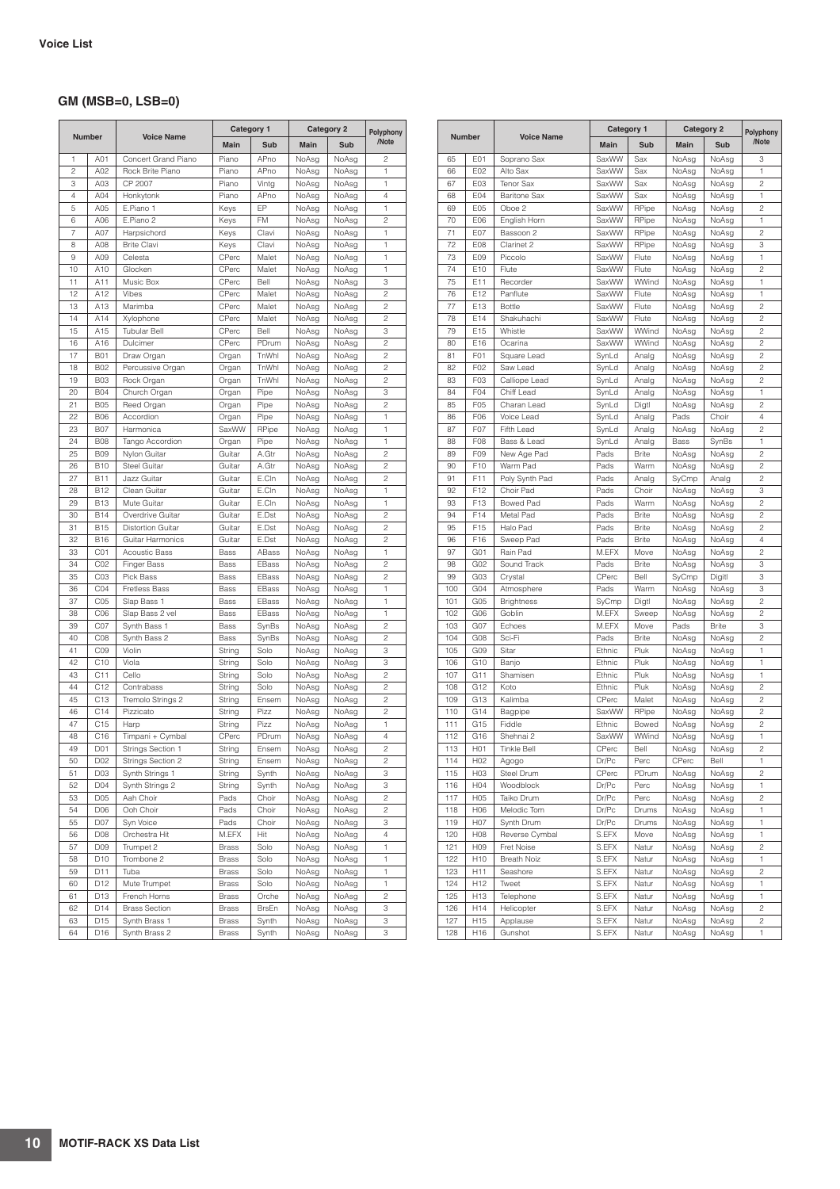# **GM (MSB=0, LSB=0)**

|                |                          |                                    | Category 1       |                | Category 2     | Polyphony      |                                  |
|----------------|--------------------------|------------------------------------|------------------|----------------|----------------|----------------|----------------------------------|
|                | <b>Number</b>            | <b>Voice Name</b>                  | Main             | Sub            | Main           | Sub            | /Note                            |
| 1              | A01                      | Concert Grand Piano                | Piano            | APno           | NoAsg          | NoAsg          | 2                                |
| $\overline{c}$ | A02                      | Rock Brite Piano                   | Piano            | APno           | NoAsg          | NoAsg          | 1                                |
| 3              | A03                      | CP 2007                            | Piano            | Vintg          | NoAsg          | NoAsg          | 1                                |
| 4              | A04                      | Honkytonk                          | Piano            | APno           | NoAsg          | NoAsg          | 4                                |
| 5              | A05                      | E.Piano 1                          | Keys             | EP             | NoAsg          | NoAsg          | 1                                |
| 6              | A06                      | E.Piano 2                          | Keys             | <b>FM</b>      | NoAsg          | NoAsg          | $\overline{c}$                   |
| $\overline{7}$ | A07                      | Harpsichord                        | Keys             | Clavi          | NoAsg          | NoAsg          | 1                                |
| 8              | A08                      | <b>Brite Clavi</b>                 | Keys             | Clavi          | NoAsg          | NoAsg          | 1                                |
| 9              | A09                      | Celesta                            | CPerc            | Malet          | NoAsg          | NoAsg          | 1                                |
| 10             | A10                      | Glocken                            | CPerc            | Malet          | NoAsg          | NoAsq          | 1                                |
| 11             | A11                      | Music Box                          | CPerc            | <b>Bell</b>    | NoAsg          | NoAsg          | 3                                |
| 12             | A12                      | Vibes                              | CPerc            | Malet          | NoAsg          | NoAsg          | $\overline{c}$                   |
| 13             | A13                      | Marimba                            | CPerc            | Malet          | NoAsg          | NoAsg          | $\overline{c}$                   |
| 14             | A14                      | Xylophone                          | CPerc            | Malet          | NoAsg          | NoAsg          | $\overline{c}$                   |
| 15             | A15                      | <b>Tubular Bell</b>                | CPerc            | Bell           | NoAsg          | NoAsg          | 3                                |
| 16             | A16                      | Dulcimer                           | CPerc            | PDrum          | NoAsg          | NoAsg          | $\overline{c}$                   |
| 17             | <b>B01</b>               | Draw Organ                         | Organ            | TnWhl          | NoAsg          | NoAsg          | $\overline{c}$                   |
| 18             | <b>B02</b>               | Percussive Organ                   | Organ            | TnWhl          | NoAsg          | NoAsg          | $\overline{c}$                   |
| 19             | <b>B03</b>               | Rock Organ                         | Organ            | TnWhl          | NoAsg          | NoAsg          | $\overline{c}$                   |
| 20             | <b>B04</b>               | Church Organ                       | Organ            | Pipe           | NoAsg          | NoAsg          | 3                                |
| 21             | <b>B05</b>               | Reed Organ                         | Organ            | Pipe           | NoAsg          | NoAsg          | $\overline{c}$                   |
| 22             | <b>B06</b>               | Accordion                          | Organ            | Pipe           | NoAsg          | NoAsg          | 1                                |
| 23             | <b>B07</b>               | Harmonica                          | SaxWW            | RPipe          | NoAsg          | NoAsg          | 1                                |
| 24             | <b>B08</b>               | Tango Accordion                    | Organ            | Pipe           | NoAsg          | NoAsg          | 1                                |
| 25             | <b>B09</b>               | Nylon Guitar                       | Guitar           | A.Gtr          | NoAsg          | NoAsg<br>NoAsa | $\overline{c}$<br>$\overline{c}$ |
| 26<br>27       | <b>B10</b><br><b>B11</b> | <b>Steel Guitar</b><br>Jazz Guitar | Guitar           | A.Gtr<br>E.CIn | NoAsg<br>NoAsq |                | $\overline{c}$                   |
| 28             | <b>B12</b>               | Clean Guitar                       | Guitar<br>Guitar | E.CIn          |                | NoAsg          | 1                                |
| 29             | <b>B13</b>               | Mute Guitar                        |                  | E.CIn          | NoAsg<br>NoAsg | NoAsg          | 1                                |
| 30             | <b>B14</b>               | Overdrive Guitar                   | Guitar<br>Guitar | E.Dst          | NoAsg          | NoAsg<br>NoAsg | $\overline{c}$                   |
| 31             | <b>B15</b>               | <b>Distortion Guitar</b>           | Guitar           | E.Dst          | NoAsg          | NoAsg          | $\overline{c}$                   |
| 32             | <b>B16</b>               | Guitar Harmonics                   | Guitar           | E.Dst          | NoAsg          | NoAsg          | $\overline{c}$                   |
| 33             | CO <sub>1</sub>          | Acoustic Bass                      | Bass             | ABass          | NoAsg          | NoAsg          | 1                                |
| 34             | CO <sub>2</sub>          | <b>Finger Bass</b>                 | Bass             | EBass          | NoAsg          | NoAsg          | $\overline{c}$                   |
| 35             | CO <sub>3</sub>          | Pick Bass                          | Bass             | EBass          | NoAsg          | NoAsg          | $\overline{c}$                   |
| 36             | CO <sub>4</sub>          | <b>Fretless Bass</b>               | Bass             | EBass          | NoAsg          | NoAsg          | 1                                |
| 37             | CO <sub>5</sub>          | Slap Bass 1                        | Bass             | EBass          | NoAsg          | NoAsg          | 1                                |
| 38             | C06                      | Slap Bass 2 vel                    | Bass             | EBass          | NoAsg          | NoAsg          | 1                                |
| 39             | CO7                      | Synth Bass 1                       | Bass             | SynBs          | NoAsg          | NoAsg          | $\overline{c}$                   |
| 40             | CO8                      | Synth Bass 2                       | Bass             | SynBs          | NoAsg          | NoAsg          | $\overline{c}$                   |
| 41             | CO9                      | Violin                             | String           | Solo           | NoAsg          | NoAsg          | 3                                |
| 42             | C10                      | Viola                              | String           | Solo           | NoAsg          | NoAsg          | 3                                |
| 43             | C11                      | Cello                              | String           | Solo           | NoAsg          | NoAsg          | $\overline{c}$                   |
| 44             | C12                      | Contrabass                         | String           | Solo           | NoAsg          | NoAsg          | $\overline{c}$                   |
| 45             | C <sub>13</sub>          | Tremolo Strings 2                  | String           | Ensem          | NoAsg          | NoAsg          | $\overline{c}$                   |
| 46             | C14                      | Pizzicato                          | String           | Pizz           | NoAsg          | NoAsg          | $\overline{c}$                   |
| 47             | C15                      | Harp                               | String           | Pizz           | NoAsq          | NoAsg          | 1                                |
| 48             | C16                      | Timpani + Cymbal                   | CPerc            | PDrum          | NoAsg          | NoAsg          | 4                                |
| 49             | D01                      | Strings Section 1                  | String           | Ensem          | NoAsg          | NoAsg          | $\overline{c}$                   |
| 50             | D <sub>02</sub>          | Strings Section 2                  | String           | Ensem          | NoAsg          | NoAsg          | $\overline{c}$                   |
| 51             | D <sub>0</sub> 3         | Synth Strings 1                    | String           | Synth          | NoAsg          | NoAsg          | 3                                |
| 52             | D04                      | Synth Strings 2                    | String           | Synth          | NoAsg          | NoAsg          | 3                                |
| 53             | D05                      | Aah Choir                          | Pads             | Choir          | NoAsg          | NoAsg          | $\overline{\mathbf{c}}$          |
| 54             | D06                      | Ooh Choir                          | Pads             | Choir          | NoAsg          | NoAsg          | 2                                |
| 55             | D07                      | Syn Voice                          | Pads             | Choir          | NoAsg          | NoAsg          | З                                |
| 56             | D <sub>0</sub> 8         | Orchestra Hit                      | M.EFX            | Hit            | NoAsg          | NoAsg          | 4                                |
| 57             | D09                      | Trumpet 2                          | Brass            | Solo           | NoAsg          | NoAsg          | 1                                |
| 58             | D10                      | Trombone 2                         | <b>Brass</b>     | Solo           | NoAsq          | NoAsg          | 1                                |
| 59             | D11                      | Tuba                               | <b>Brass</b>     | Solo           | NoAsg          | NoAsg          | 1                                |
| 60             | D12                      | Mute Trumpet                       | <b>Brass</b>     | Solo           | NoAsg          | NoAsg          | 1                                |
| 61             | D13                      | French Horns                       | <b>Brass</b>     | Orche          | NoAsg          | NoAsg          | 2                                |
| 62             | D14                      | <b>Brass Section</b>               | <b>Brass</b>     | BrsEn          | NoAsg          | NoAsg          | 3                                |
| 63             | D15                      | Synth Brass 1                      | <b>Brass</b>     | Synth          | NoAsg          | NoAsg          | 3                                |
| 64             | D16                      | Synth Brass 2                      | <b>Brass</b>     | Synth          | NoAsg          | NoAsg          | 3                                |

|               |                        |                     | Category 1    |               | Category 2     |                |                                  |
|---------------|------------------------|---------------------|---------------|---------------|----------------|----------------|----------------------------------|
| <b>Number</b> |                        | <b>Voice Name</b>   |               | Sub           | Main           | Sub            | Polyphony<br>/Note               |
| 65            | E <sub>01</sub>        | Soprano Sax         | Main<br>SaxWW | Sax           | NoAsg          | NoAsg          | 3                                |
| 66            | E02                    | Alto Sax            | SaxWW         | Sax           | NoAsq          | NoAsg          | 1                                |
| 67            | E03                    | Tenor Sax           | SaxWW         | Sax           | NoAsg          | NoAsg          | $\overline{c}$                   |
| 68            | F04                    | <b>Baritone Sax</b> | SaxWW         | Sax           | NoAsg          | NoAsg          | 1                                |
| 69            | F <sub>05</sub>        | Oboe <sub>2</sub>   | SaxWW         | RPipe         | NoAsg          | NoAsg          | $\overline{c}$                   |
| 70            | E06                    | English Horn        | SaxWW         | RPipe         | NoAsq          | NoAsg          | $\mathbf{1}$                     |
| 71            | E07                    | Bassoon 2           | SaxWW         | RPipe         | NoAsg          | NoAsg          | $\overline{c}$                   |
| 72            | E08                    | Clarinet 2          | SaxWW         | RPipe         | NoAsg          | NoAsg          | 3                                |
| 73            | E09                    | Piccolo             | SaxWW         | Flute         | NoAsg          | NoAsq          | 1                                |
| 74            | E10                    | Flute               | SaxWW         | Flute         | NoAsg          | NoAsg          | $\overline{c}$                   |
| 75            | E11                    | Recorder            | SaxWW         | WWind         | NoAsg          | NoAsg          | 1                                |
| 76            | E12                    | Panflute            | SaxWW         | Flute         | NoAsg          | NoAsg          | 1                                |
| 77            | E13                    | <b>Bottle</b>       | SaxWW         | Flute         | NoAsg          | NoAsg          | $\overline{c}$                   |
| 78            | E14                    | Shakuhachi          | SaxWW         | Flute         | NoAsg          | NoAsg          | $\overline{c}$                   |
| 79            | E <sub>15</sub>        | Whistle             | SaxWW         | WWind         | NoAsq          | NoAsq          | $\overline{c}$                   |
| 80            | E16                    | Ocarina             | SaxWW         | WWind         | NoAsg          | NoAsg          | $\overline{c}$                   |
| 81            | F <sub>0</sub> 1       | Square Lead         | SynLd         | Analg         | NoAsq          | NoAsg          | $\overline{c}$                   |
| 82            | F02                    | Saw Lead            | SynLd         | Analg         | NoAsg          | NoAsg          | $\overline{c}$                   |
| 83            | F <sub>03</sub>        | Calliope Lead       | SynLd         | Analg         | NoAsg          | NoAsg          | $\overline{c}$                   |
| 84            | F04                    | Chiff Lead          | SynLd         | Analg         | NoAsg          | NoAsg          | 1                                |
| 85            | F <sub>05</sub>        | Charan Lead         | SynLd         | Digtl         | NoAsg          | NoAsg          | $\overline{c}$                   |
| 86            | F06                    | Voice Lead          | SynLd         | Analg         | Pads           | Choir          | $\overline{4}$                   |
| 87            | F07                    | Fifth Lead          | SynLd         | Analg         | NoAsg          | NoAsq          | $\overline{c}$                   |
| 88            | F08                    | Bass & Lead         | SynLd         | Analg         | Bass           | SvnBs          | 1                                |
| 89            | F09                    | New Age Pad         | Pads          | <b>Brite</b>  | NoAsg          | NoAsg          | $\overline{c}$                   |
| 90            | F <sub>10</sub>        | Warm Pad            | Pads          | Warm          | NoAsq          | NoAsq          | $\overline{c}$                   |
| 91            | F11                    | Poly Synth Pad      | Pads          | Analg         | SyCmp          | Analg          | $\overline{c}$                   |
| 92            | F <sub>12</sub>        | Choir Pad           | Pads          | Choir         | NoAsq          | NoAsg          | 3                                |
| 93            | F <sub>13</sub>        | <b>Bowed Pad</b>    | Pads          | Warm          | NoAsg          | NoAsg          | $\overline{c}$                   |
| 94            | F <sub>14</sub>        | Metal Pad           | Pads          | <b>Brite</b>  | NoAsg          | NoAsg          | $\overline{c}$                   |
| 95            | F <sub>15</sub>        | Halo Pad            | Pads          | <b>Brite</b>  | NoAsg          | NoAsg          | $\overline{c}$                   |
| 96            | F16                    | Sweep Pad           | Pads          | <b>Brite</b>  | NoAsg          | NoAsg          | $\overline{4}$                   |
| 97            | G <sub>01</sub>        | Rain Pad            | M.EFX         | Move          | NoAsg          | NoAsg          | $\overline{c}$                   |
| 98            | G02                    | Sound Track         | Pads          | <b>Brite</b>  | NoAsg          | NoAsg          | 3                                |
| 99            | G03                    | Crystal             | CPerc         | Bell          | SyCmp          | Digitl         | 3                                |
| 100           | G04                    | Atmosphere          | Pads          | Warm          | NoAsg          | NoAsg          | 3                                |
| 101           | G <sub>05</sub>        | <b>Brightness</b>   | SyCmp         | Digtl         | NoAsg          | NoAsg          | $\overline{c}$<br>$\overline{c}$ |
| 102           | G06                    | Goblin              | M.EFX         | Sweep<br>Move | NoAsg          | NoAsg          |                                  |
| 103<br>104    | G07<br>G <sub>08</sub> | Echoes<br>Sci-Fi    | M.EFX<br>Pads | <b>Brite</b>  | Pads           | <b>Brite</b>   | 3<br>$\overline{c}$              |
| 105           | G <sub>09</sub>        | Sitar               | Ethnic        | Pluk          | NoAsg          | NoAsg          | 1                                |
| 106           | G10                    | Banjo               | Ethnic        | Pluk          | NoAsg<br>NoAsg | NoAsg<br>NoAsg | 1                                |
| 107           | G11                    | Shamisen            | Ethnic        | Pluk          |                |                | 1                                |
| 108           | G12                    | Koto                | Ethnic        | Pluk          | NoAsg<br>NoAsg | NoAsg<br>NoAsg | $\overline{c}$                   |
| 109           | G <sub>13</sub>        | Kalimba             | CPerc         | Malet         | NoAsg          | NoAsg          | $\overline{c}$                   |
| 110           | G14                    | Bagpipe             | SaxWW         | RPipe         | NoAsg          | NoAsg          | $\overline{c}$                   |
| 111           | G15                    | Fiddle              | Ethnic        | Bowed         | NoAsq          | NoAsq          | $\overline{c}$                   |
| 112           | G16                    | Shehnai 2           | SaxWW         | WWind         | NoAsg          | NoAsg          | 1                                |
| 113           | H01                    | Tinkle Bell         | CPerc         | Bell          | NoAsg          | NoAsg          | $\overline{c}$                   |
| 114           | H <sub>02</sub>        | Agogo               | Dr/Pc         | Perc          | CPerc          | Bell           | 1                                |
| 115           | H03                    | Steel Drum          | CPerc         | PDrum         | NoAsg          | NoAsg          | 2                                |
| 116           | H04                    | Woodblock           | Dr/Pc         | Perc          | NoAsg          | NoAsg          | 1                                |
| 117           | H05                    | Taiko Drum          | Dr/Pc         | Perc          | NoAsg          | NoAsg          | $\overline{\mathbf{c}}$          |
| 118           | H06                    | Melodic Tom         | Dr/PC         | Drums         | NoAsg          | NoAsg          | 1                                |
| 119           | H07                    | Synth Drum          | Dr/PC         | Drums         | NoAsg          | NoAsg          | 1                                |
| 120           | H08                    | Reverse Cymbal      | S.EFX         | Move          | NoAsg          | NoAsg          | 1                                |
| 121           | H09                    | Fret Noise          | S.EFX         | Natur         | NoAsg          | NoAsg          | $\overline{\mathbf{c}}$          |
| 122           | H10                    | <b>Breath Noiz</b>  | S.EFX         | Natur         | NoAsq          | NoAsg          | 1                                |
| 123           | H11                    | Seashore            | S.EFX         | Natur         | NoAsg          | NoAsg          | $\overline{\mathbf{c}}$          |
| 124           | H12                    | Tweet               | S.EFX         | Natur         | NoAsg          | NoAsg          | 1                                |
| 125           | H13                    | Telephone           | S.EFX         | Natur         | NoAsg          | NoAsg          | 1                                |
| 126           | H14                    | Helicopter          | S.EFX         | Natur         | NoAsg          | NoAsg          | 2                                |
| 127           | H15                    | Applause            | S.EFX         | Natur         | NoAsg          | NoAsg          | 2                                |
| 128           | H16                    | Gunshot             | S.EFX         | Natur         | NoAsg          | NoAsg          | 1                                |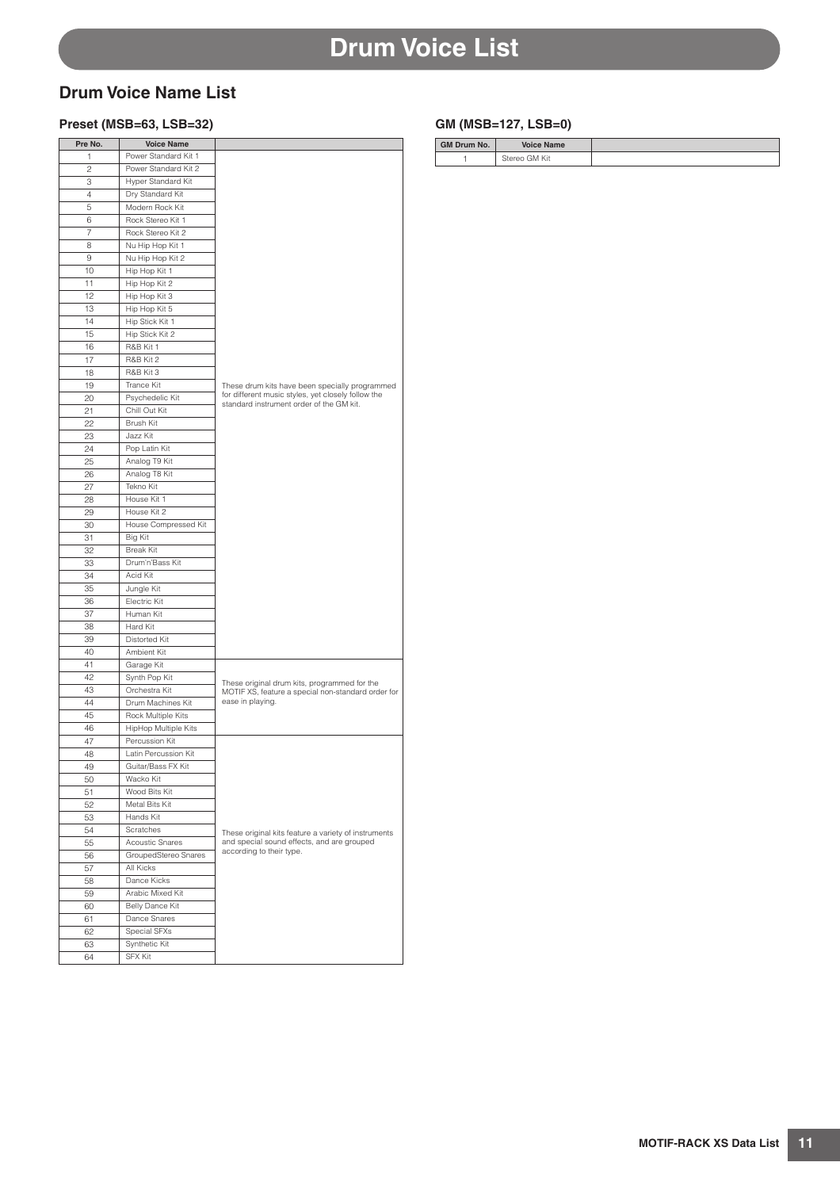# **Drum Voice List**

# **Drum Voice Name List**

# **Preset (MSB=63, LSB=32) GM (MSB=127, LSB=0)**

| Pre No.        | <b>Voice Name</b>      |                                                                                                      |
|----------------|------------------------|------------------------------------------------------------------------------------------------------|
| 1.             | Power Standard Kit 1   |                                                                                                      |
| $\overline{c}$ | Power Standard Kit 2   |                                                                                                      |
| 3              | Hyper Standard Kit     |                                                                                                      |
| $\overline{4}$ | Dry Standard Kit       |                                                                                                      |
| 5              | Modern Rock Kit        |                                                                                                      |
| 6              | Rock Stereo Kit 1      |                                                                                                      |
| 7              | Rock Stereo Kit 2      |                                                                                                      |
| 8              | Nu Hip Hop Kit 1       |                                                                                                      |
| 9              | Nu Hip Hop Kit 2       |                                                                                                      |
| 10             | Hip Hop Kit 1          |                                                                                                      |
| 11             | Hip Hop Kit 2          |                                                                                                      |
| 12             | Hip Hop Kit 3          |                                                                                                      |
| 13             | Hip Hop Kit 5          |                                                                                                      |
| 14             | Hip Stick Kit 1        |                                                                                                      |
| 15             | Hip Stick Kit 2        |                                                                                                      |
| 16             | R&B Kit 1              |                                                                                                      |
| 17             | R&B Kit 2              |                                                                                                      |
|                | R&B Kit 3              |                                                                                                      |
| 18             |                        |                                                                                                      |
| 19             | Trance Kit             | These drum kits have been specially programmed<br>for different music styles, yet closely follow the |
| 20             | Psychedelic Kit        | standard instrument order of the GM kit.                                                             |
| 21             | Chill Out Kit          |                                                                                                      |
| 22             | <b>Brush Kit</b>       |                                                                                                      |
| 23             | Jazz Kit               |                                                                                                      |
| 24             | Pop Latin Kit          |                                                                                                      |
| 25             | Analog T9 Kit          |                                                                                                      |
| 26             | Analog T8 Kit          |                                                                                                      |
| 27             | Tekno Kit              |                                                                                                      |
| 28             | House Kit 1            |                                                                                                      |
| 29             | House Kit 2            |                                                                                                      |
| 30             | House Compressed Kit   |                                                                                                      |
| 31             | Big Kit                |                                                                                                      |
| 32             | <b>Break Kit</b>       |                                                                                                      |
| 33             | Drum'n'Bass Kit        |                                                                                                      |
| 34             | Acid Kit               |                                                                                                      |
| 35             | Jungle Kit             |                                                                                                      |
| 36             | Electric Kit           |                                                                                                      |
| 37             | Human Kit              |                                                                                                      |
| 38             | Hard Kit               |                                                                                                      |
| 39             | Distorted Kit          |                                                                                                      |
| 40             | Ambient Kit            |                                                                                                      |
| 41             |                        |                                                                                                      |
|                | Garage Kit             |                                                                                                      |
| 42             | Synth Pop Kit          | These original drum kits, programmed for the                                                         |
| 43             | Orchestra Kit          | MOTIF XS, feature a special non-standard order for                                                   |
| 44             | Drum Machines Kit      | ease in playing.                                                                                     |
| 45             | Rock Multiple Kits     |                                                                                                      |
| 46             | HipHop Multiple Kits   |                                                                                                      |
| 47             | Percussion Kit         |                                                                                                      |
| 48             | Latin Percussion Kit   |                                                                                                      |
| 49             | Guitar/Bass FX Kit     |                                                                                                      |
| 50             | Wacko Kit              |                                                                                                      |
| 51             | Wood Bits Kit          |                                                                                                      |
| 52             | Metal Bits Kit         |                                                                                                      |
| 53             | Hands Kit              |                                                                                                      |
| 54             | Scratches              | These original kits feature a variety of instruments                                                 |
| 55             | <b>Acoustic Snares</b> | and special sound effects, and are grouped                                                           |
| 56             | GroupedStereo Snares   | according to their type.                                                                             |
| 57             | All Kicks              |                                                                                                      |
| 58             | Dance Kicks            |                                                                                                      |
| 59             | Arabic Mixed Kit       |                                                                                                      |
| 60             | <b>Belly Dance Kit</b> |                                                                                                      |
|                |                        |                                                                                                      |
| 61             | Dance Snares           |                                                                                                      |
| 62             | Special SFXs           |                                                                                                      |
| 63             | Synthetic Kit          |                                                                                                      |
| 64             | <b>SFX Kit</b>         |                                                                                                      |

| <b>GM Drum No.</b> | <b>Voice Name</b> |  |
|--------------------|-------------------|--|
|                    | Stereo GM Kit     |  |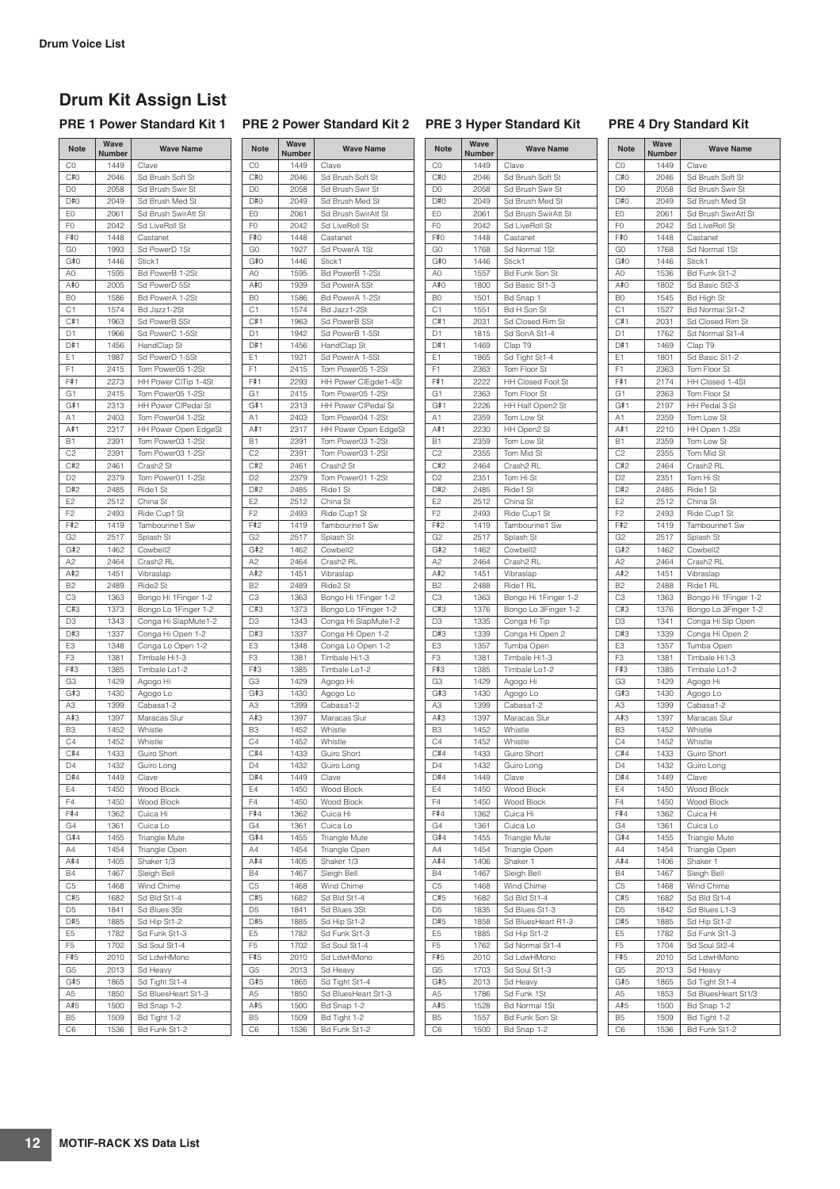# **Drum Kit Assign List**

# PRE 1 Power Standard Kit 1 PRE 2 Power Standard Kit 2 PRE 3 Hyper Standard Kit PRE 4 Dry Standard Kit

| <b>Note</b>          | Wave         | <b>Wave Name</b>              |
|----------------------|--------------|-------------------------------|
|                      | Number       |                               |
| C <sub>0</sub>       | 1449         | Clave                         |
| C#O                  | 2046         | Sd Brush Soft St              |
| D <sub>0</sub>       | 2058         | Sd Brush Swir St              |
| D#0                  | 2049         | Sd Brush Med St               |
| E <sub>0</sub>       | 2061         | Sd Brush SwirAtt St           |
| F <sub>0</sub>       | 2042         | Sd LiveRoll St                |
| F#0                  | 1448         | Castanet                      |
| G <sub>0</sub>       | 1993         | Sd PowerD 1St                 |
| G#O                  | 1446         | Stick1                        |
|                      |              | Bd PowerB 1-2St               |
| A0                   | 1595         |                               |
| A#0                  | 2005         | Sd PowerD 5St                 |
| B <sub>0</sub>       | 1586         | Bd PowerA 1-2St               |
| C1                   | 1574         | Bd Jazz1-2St                  |
| C#1                  | 1963         | Sd PowerB SSt                 |
| D <sub>1</sub>       | 1966         | Sd PowerC 1-5St               |
| D#1                  | 1456         | HandClap St                   |
|                      |              |                               |
| E <sub>1</sub>       | 1987         | Sd PowerD 1-5St               |
| F1                   | 2415         | Tom Power05 1-2St             |
| F#1                  | 2273         | HH Power CITip 1-4St          |
| G1                   | 2415         | Tom Power05 1-2St             |
| G#1                  | 2313         | HH Power ClPedal St           |
| Α1                   | 2403         | Tom Power04 1-2St             |
| A#1                  | 2317         | HH Power Open EdgeSt          |
| <b>B1</b>            | 2391         | Tom Power03 1-2St             |
|                      |              |                               |
| C <sub>2</sub>       | 2391         | Tom Power03 1-2St             |
| C#2                  | 2461         | Crash <sub>2</sub> St         |
| D <sub>2</sub>       | 2379         | Tom Power01 1-2St             |
| D#2                  | 2485         | Ride1 St                      |
| E <sub>2</sub>       | 2512         | China St                      |
| F <sub>2</sub>       | 2493         | Ride Cup1 St                  |
| F#2                  | 1419         | Tambourine1 Sw                |
| G <sub>2</sub>       | 2517         | Splash St                     |
|                      |              |                               |
| G#2                  | 1462         | Cowbell2                      |
| A2                   | 2464         | Crash <sub>2</sub> RL         |
| A#2                  | 1451         | Vibraslap                     |
| B <sub>2</sub>       | 2489         | Ride2 St                      |
| C <sub>3</sub>       | 1363         | Bongo Hi 1Finger 1-2          |
| C#3                  | 1373         | Bongo Lo 1Finger 1-2          |
| D <sub>3</sub>       | 1343         | Conga Hi SlapMute1-2          |
| D#3                  | 1337         | Conga Hi Open 1-2             |
|                      |              |                               |
| E <sub>3</sub>       | 1348         | Conga Lo Open 1-2             |
| F <sub>3</sub>       | 1381         | Timbale Hi1-3                 |
| F#3                  | 1385         | Timbale Lo1-2                 |
| G <sub>3</sub>       | 1429         | Agogo Hi                      |
| G#3                  | 1430         | Agogo Lo                      |
| A3                   | 1399         | Cabasa1-2                     |
| A#3                  | 1397         | Maracas Slur                  |
|                      |              |                               |
| B <sub>3</sub>       | 1452         | Whistle                       |
| C <sub>4</sub>       | 1452         | Whistle                       |
| C#4                  | 1433         | Guiro Short                   |
| D <sub>4</sub>       | 1432         | Guiro Long                    |
| D#4                  | 1449         | Clave                         |
| E4                   | 1450         | Wood Block                    |
| F <sub>4</sub>       | 1450         | Wood Block                    |
| F#4                  |              |                               |
|                      | 1362         | Cuica Hi                      |
| G4                   | 1361         | Cuica Lo                      |
| G#4                  | 1455         | <b>Triangle Mute</b>          |
| A4                   | 1454         | Triangle Open                 |
| A#4                  | 1405         | Shaker 1/3                    |
| <b>B4</b>            | 1467         | Sleigh Bell                   |
| C <sub>5</sub>       | 1468         | Wind Chime                    |
|                      | 1682         | Sd Bld St1-4                  |
| C#5                  |              |                               |
| D <sub>5</sub>       | 1841         | Sd Blues 3St                  |
| D#5                  | 1885         | Sd Hip St1-2                  |
| E <sub>5</sub>       | 1782         | Sd Funk St1-3                 |
| F <sub>5</sub>       | 1702         | Sd Soul St1-4                 |
| F#5                  | 2010         | Sd LdwHMono                   |
| G5                   | 2013         | Sd Heavy                      |
| G#5                  | 1865         | Sd Tight St1-4                |
|                      |              |                               |
|                      |              |                               |
|                      | 1850         | Sd BluesHeart St1-3           |
| A5<br>A#5            | 1500         | Bd Snap 1-2                   |
| B <sub>5</sub><br>C6 | 1509<br>1536 | Bd Tight 1-2<br>Bd Funk St1-2 |

| Note           | Wave<br>Number | <b>Wave Name</b>           |
|----------------|----------------|----------------------------|
| C0             | 1449           | Clave                      |
| C#O            | 2046           | Sd Brush Soft St           |
| D0             | 2058           | Sd Brush Swir St           |
| D#0            | 2049           | Sd Brush Med St            |
| E0             |                |                            |
|                | 2061           | Sd Brush SwirAtt St        |
| F <sub>0</sub> | 2042           | Sd LiveRoll St             |
| F#0            | 1448           | Castanet                   |
| G <sub>0</sub> | 1927           | Sd PowerA 1St              |
| G#0            | 1446           | Stick1                     |
| A <sub>0</sub> | 1595           | Bd PowerB 1-2St            |
| A#O            | 1939           | Sd PowerA 5St              |
| B <sub>0</sub> | 1586           | Bd PowerA 1-2St            |
| C1             | 1574           | Bd Jazz1-2St               |
| C#1            | 1963           | Sd PowerB SSt              |
| D1             | 1942           | Sd PowerB 1-5St            |
| D#1            | 1456           | HandClap St                |
| E1             | 1921           | Sd PowerA 1-5St            |
| F1             | 2415           | Tom Power05 1-2St          |
| F#1            | 2293           | HH Power ClEgde1-4St       |
| G1             | 2415           | Tom Power05 1-2St          |
| G#1            | 2313           | <b>HH Power CIPedal St</b> |
| A1             | 2403           | Tom Power04 1-2St          |
| A#1            | 2317           | HH Power Open EdgeSt       |
| <b>B1</b>      | 2391           | Tom Power03 1-2St          |
| C2             | 2391           | Tom Power03 1-2St          |
| C#2            | 2461           | Crash <sub>2</sub> St      |
| D <sub>2</sub> | 2379           | Tom Power01 1-2St          |
| D#2            | 2485           | Ride1 St                   |
| E <sub>2</sub> |                |                            |
|                | 2512           | China St                   |
| F <sub>2</sub> | 2493           | Ride Cup1 St               |
| F#2            | 1419           | Tambourine1 Sw             |
| G <sub>2</sub> | 2517           | Splash St                  |
| G#2            | 1462           | Cowbell2                   |
| A2             | 2464           | Crash <sub>2</sub> RL      |
| A#2            | 1451           | Vibraslap                  |
| B <sub>2</sub> | 2489           | Ride2 St                   |
| C3             | 1363           | Bongo Hi 1Finger 1-2       |
| C#3            | 1373           | Bongo Lo 1Finger 1-2       |
| D3             | 1343           | Conga Hi SlapMute1-2       |
| D#3            | 1337           | Conga Hi Open 1-2          |
| E3             | 1348           | Conga Lo Open 1-2          |
| F3             | 1381           | Timbale Hi1-3              |
| F#3            | 1385           | Timbale Lo1-2              |
| G3             | 1429           | Agogo Hi                   |
| G#3            | 1430           | Agogo Lo                   |
| A3             | 1399           | Cabasa1-2                  |
| A#3            | 1397           | Maracas Slur               |
| B <sub>3</sub> | 1452           | Whistle                    |
| C <sub>4</sub> | 1452           | Whistle                    |
| C#4            | 1433           | Guiro Short                |
| D4             | 1432           |                            |
| D#4            |                | Guiro Long                 |
|                | 1449           | Clave                      |
| E4             | 1450           | Wood Block                 |
| F4             | 1450           | Wood Block                 |
| F#4            | 1362           | Cuica Hi                   |
| G4             | 1361           | Cuica Lo                   |
| G#4            | 1455           | Triangle Mute              |
| A4             | 1454           | Triangle Open              |
| A#4            | 1405           | Shaker 1/3                 |
| B4             | 1467           | Sleigh Bell                |
| C5             | 1468           | Wind Chime                 |
| C#5            | 1682           | Sd Bld St1-4               |
| D5             | 1841           | Sd Blues 3St               |
| D#5            | 1885           | Sd Hip St1-2               |
| E <sub>5</sub> | 1782           | Sd Funk St1-3              |
| F5             | 1702           | Sd Soul St1-4              |
| F#5            | 2010           | Sd LdwHMono                |
| G5             | 2013           | Sd Heavy                   |
| G#5            |                |                            |
|                | 1865           | Sd Tight St1-4             |
| A5             | 1850           | Sd BluesHeart St1-3        |
| A#5            | 1500           | Bd Snap 1-2                |
| B5             | 1509           | Bd Tight 1-2               |
| C6             | 1536           | Bd Funk St1-2              |

| <b>Note</b>                      | Wave<br>Number | <b>Wave Name</b>                |
|----------------------------------|----------------|---------------------------------|
| C <sub>0</sub>                   | 1449           | Clave                           |
| C#O                              | 2046           | Sd Brush Soft St                |
| D <sub>0</sub>                   | 2058           | Sd Brush Swir St                |
| D#0                              | 2049           | Sd Brush Med St                 |
| E <sub>0</sub>                   | 2061           | Sd Brush SwirAtt St             |
| F <sub>0</sub>                   | 2042           | Sd LiveRoll St                  |
| F#0                              | 1448           | Castanet                        |
| G <sub>0</sub>                   | 1768           | Sd Normal 1St                   |
| G#O                              | 1446           | Stick1                          |
| A <sub>0</sub>                   | 1557           | Bd Funk Son St                  |
| A#O                              | 1800           | Sd Basic St1-3                  |
| B <sub>0</sub>                   | 1501           | Bd Snap 1                       |
| C1<br>C#1                        | 1551<br>2031   | Bd H Son St<br>Sd Closed Rim St |
| D1                               | 1815           | Sd SonA St1-4                   |
| D#1                              | 1469           | Clap T9                         |
| E <sub>1</sub>                   | 1865           | Sd Tight St1-4                  |
| F <sub>1</sub>                   | 2363           | Tom Floor St                    |
| F#1                              | 2222           | HH Closed Foot St               |
| G1                               | 2363           | Tom Floor St                    |
| G#1                              | 2226           | HH Half Open2 St                |
| A1                               | 2359           | Tom Low St                      |
| A#1                              | 2230           | HH Open2 St                     |
| <b>B1</b>                        | 2359           | Tom Low St                      |
| C <sub>2</sub>                   | 2355           | Tom Mid St                      |
| C#2                              | 2464           | Crash <sub>2</sub> RL           |
| D <sub>2</sub>                   | 2351           | Tom Hi St                       |
| D#2                              | 2485           | Ride1 St                        |
| E <sub>2</sub>                   | 2512           | China St                        |
| F <sub>2</sub>                   | 2493           | Ride Cup1 St                    |
| F#2                              | 1419           | Tambourine1 Sw                  |
| G <sub>2</sub><br>G#2            | 2517<br>1462   | Splash St<br>Cowbell2           |
| A <sub>2</sub>                   | 2464           | Crash <sub>2</sub> RL           |
| A#2                              | 1451           | Vibraslap                       |
| B <sub>2</sub>                   | 2488           | Ride1 RL                        |
| C <sub>3</sub>                   | 1363           | Bongo Hi 1Finger 1-2            |
| C#3                              | 1376           | Bongo Lo 3Finger 1-2            |
| D <sub>3</sub>                   | 1335           | Conga Hi Tip                    |
| D#3                              | 1339           | Conga Hi Open 2                 |
| E <sub>3</sub>                   | 1357           | Tumba Open                      |
| F <sub>3</sub>                   | 1381           | Timbale Hi1-3                   |
| F#3                              | 1385           | Timbale Lo1-2                   |
| G <sub>3</sub>                   | 1429           | Agogo Hi                        |
| G#3                              | 1430           | Agogo Lo                        |
| A3<br>A#3                        | 1399           | Cabasa1-2                       |
| B <sub>3</sub>                   | 1397           | Maracas Slur                    |
| C <sub>4</sub>                   | 1452<br>1452   | Whistle<br>Whistle              |
| C#4                              | 1433           | Guiro Short                     |
| D <sub>4</sub>                   | 1432           | Guiro Long                      |
| D#4                              | 1449           | Clave                           |
| E4                               | 1450           | Wood Block                      |
| F4                               | 1450           | Wood Block                      |
| F#4                              | 1362           | Cuica Hi                        |
| G4                               | 1361           | Cuica Lo                        |
| G#4                              | 1455           | Triangle Mute                   |
| A4                               | 1454           | Triangle Open                   |
| A#4                              | 1406           | Shaker 1                        |
| <b>B4</b>                        | 1467           | Sleigh Bell                     |
| C <sub>5</sub>                   | 1468           | Wind Chime                      |
| C#5                              | 1682           | Sd Bld St1-4                    |
| D <sub>5</sub>                   | 1835           | Sd Blues St1-3                  |
| D#5                              | 1858           | Sd BluesHeart R1-3              |
| E <sub>5</sub><br>F <sub>5</sub> | 1885<br>1762   | Sd Hip St1-2                    |
| F#5                              | 2010           | Sd Normal St1-4<br>Sd LdwHMono  |
| G <sub>5</sub>                   | 1703           | Sd Soul St1-3                   |
| G#5                              | 2013           | Sd Heavy                        |
| A <sub>5</sub>                   | 1786           | Sd Funk 1St                     |
| A#5                              | 1528           | Bd Normal 1St                   |
| B <sub>5</sub>                   | 1557           | Bd Funk Son St                  |
| C6                               | 1500           | Bd Snap 1-2                     |
|                                  |                |                                 |

| <b>Note</b>           | Wave           | <b>Wave Name</b>            |
|-----------------------|----------------|-----------------------------|
| C0                    | Number<br>1449 |                             |
| C#0                   | 2046           | Clave<br>Sd Brush Soft St   |
| D <sub>0</sub>        | 2058           | Sd Brush Swir St            |
| D#0                   | 2049           | Sd Brush Med St             |
| E <sub>0</sub>        | 2061           | Sd Brush SwirAtt St         |
| F <sub>0</sub>        | 2042           | Sd LiveRoll St              |
| F#0                   | 1448           | Castanet                    |
| G <sub>0</sub>        | 1768           | Sd Normal 1St               |
| G#O                   | 1446           | Stick1                      |
| A <sub>0</sub>        | 1536           | Bd Funk St1-2               |
| A#0                   | 1802           | Sd Basic St2-3              |
| B <sub>0</sub>        | 1545           | <b>Bd High St</b>           |
| C <sub>1</sub>        | 1527           | Bd Normal St1-2             |
| C#1                   | 2031           | Sd Closed Rim St            |
| D <sub>1</sub>        | 1762           | Sd Normal St1-4             |
| D#1                   | 1469           | Clap T9                     |
| E <sub>1</sub>        | 1801           | Sd Basic St1-2              |
| F <sub>1</sub>        | 2363           | Tom Floor St                |
| F#1                   | 2174           | HH Closed 1-4St             |
| G1                    | 2363           | Tom Floor St                |
| G#1                   | 2197           | HH Pedal 3 St               |
| A1<br>A#1             | 2359<br>2210   | Tom Low St                  |
| <b>B1</b>             | 2359           | HH Open 1-2St<br>Tom Low St |
| C <sub>2</sub>        | 2355           | Tom Mid St                  |
| C#2                   | 2464           | Crash <sub>2</sub> RL       |
| D <sub>2</sub>        | 2351           | Tom Hi St                   |
| D#2                   | 2485           | Ride1 St                    |
| E <sub>2</sub>        | 2512           | China St                    |
| F <sub>2</sub>        | 2493           | Ride Cup1 St                |
| F#2                   | 1419           | Tambourine1 Sw              |
| G <sub>2</sub>        | 2517           | Splash St                   |
| G#2                   | 1462           | Cowbell2                    |
| A <sub>2</sub>        | 2464           | Crash <sub>2</sub> RL       |
| A#2                   | 1451           | Vibraslap                   |
| <b>B2</b>             | 2488           | Ride1 RL                    |
| C <sub>3</sub>        | 1363           | Bongo Hi 1Finger 1-2        |
| C#3                   | 1376           | Bongo Lo 3Finger 1-2        |
| D <sub>3</sub>        | 1341           | Conga Hi Slp Open           |
| D#3                   | 1339           | Conga Hi Open 2             |
| E <sub>3</sub>        | 1357           | Tumba Open                  |
| F <sub>3</sub>        | 1381           | Timbale Hi1-3               |
| F#3                   | 1385           | Timbale Lo1-2               |
| G <sub>3</sub>        | 1429           | Agogo Hi                    |
| G#3                   | 1430           | Agogo Lo                    |
| A <sub>3</sub>        | 1399           | Cabasa1-2                   |
| A#3                   | 1397           | Maracas Slur                |
| B <sub>3</sub>        | 1452           | Whistle                     |
| C <sub>4</sub><br>C#4 | 1452           | Whistle                     |
|                       | 1433<br>1432   | Guiro Short                 |
| D4<br>D#4             | 1449           | Guiro Long<br>Clave         |
| E4                    | 1450           | Wood Block                  |
| F4                    | 1450           | Wood Block                  |
| F#4                   | 1362           | Cuica Hi                    |
| G4                    | 1361           | Cuica Lo                    |
| G#4                   | 1455           | Triangle Mute               |
| A4                    | 1454           | Triangle Open               |
| A#4                   | 1406           | Shaker 1                    |
| <b>B4</b>             | 1467           | Sleigh Bell                 |
| C <sub>5</sub>        | 1468           | Wind Chime                  |
| C#5                   | 1682           | Sd Bld St1-4                |
| D <sub>5</sub>        | 1842           | Sd Blues L1-3               |
| D#5                   | 1885           | Sd Hip St1-2                |
| E <sub>5</sub>        | 1782           | Sd Funk St1-3               |
| F <sub>5</sub>        | 1704           | Sd Soul St2-4               |
| F#5                   | 2010           | Sd LdwHMono                 |
| G <sub>5</sub>        | 2013           | Sd Heavy                    |
| G#5                   | 1865           | Sd Tight St1-4              |
| A5                    | 1853           | Sd BluesHeart St1/3         |
| A#5                   | 1500           | Bd Snap 1-2                 |
| B <sub>5</sub>        | 1509           | Bd Tight 1-2                |
| C6                    | 1536           | Bd Funk St1-2               |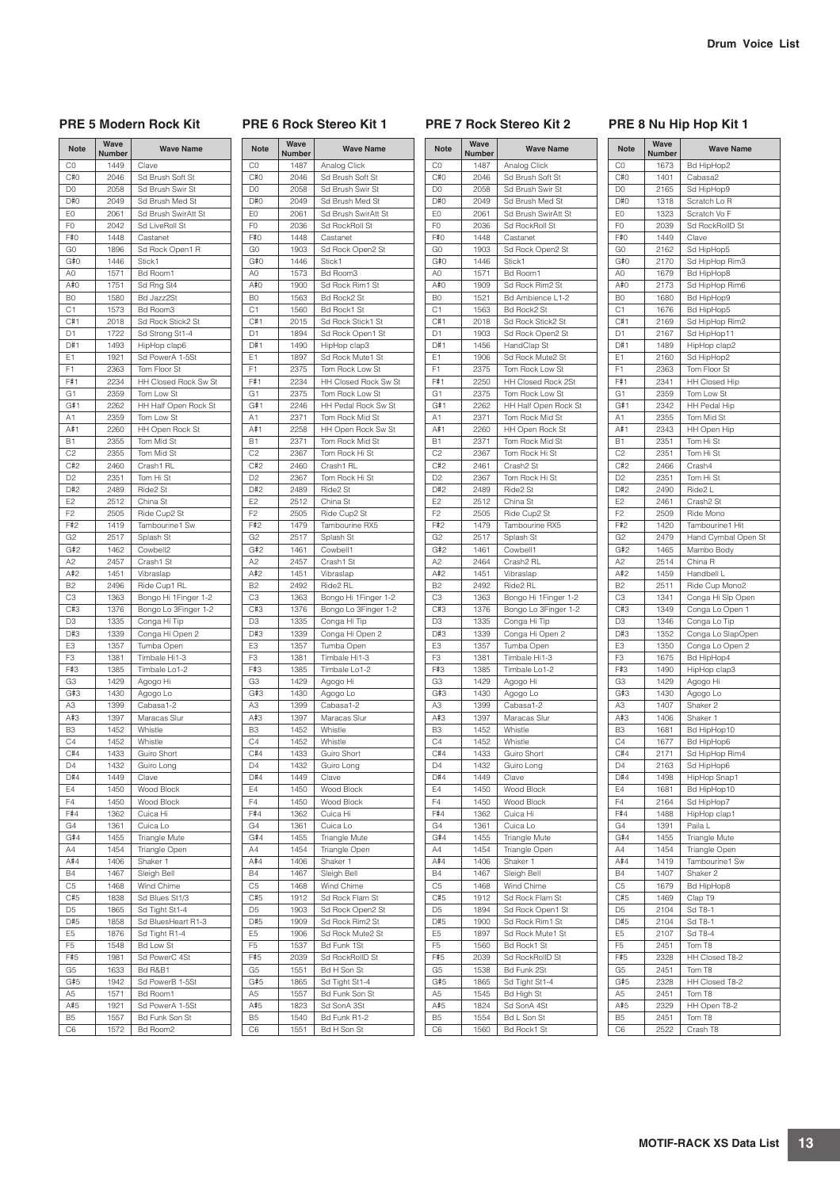### **PRE 5 Modern Rock Kit PRE 6 Rock Stereo Kit 1 PRE 7 Rock Stereo Kit 2 PRE 8 Nu Hip Hop Kit 1**

### **Note Wave Number Wave Name** C0 1449 Clave C#0 2046 Sd Brush Soft St D0 2058 Sd Brush Swir St D#0 2049 Sd Brush Med St E0 2061 Sd Brush SwirAtt S<br>F0 2042 Sd LiveRoll St F0 2042 Sd LiveRoll St<br>F#0 1448 Castanet Castanet G0 1896 Sd Rock Open1 R<br>G#0 1446 Stick1 G#0 1446 Stick1<br>A0 1571 Bd Ro A0 1571 Bd Room1<br>A#0 1751 Sd Rng St Sd Rng St4 B0 1580 Bd Jazz2St C1 1573 Bd Room3<br>
C#1 2018 Sd Rock St C#1 2018 Sd Rock Stick2 St<br>D1 1722 Sd Strong St1-4 D1 1722 Sd Strong St1-4<br>
D#1 1493 HipHop clap6 HipHop clap6 E1 1921 Sd PowerA 1-5St<br>F1 2363 Tom Floor St F1 2363 Tom Floor St<br>F#1 2234 HH Closed R F#1 2234 HH Closed Rock Sw St<br>G1 2359 Tom Low St Tom Low St G#1 2262 HH Half Open Rock St A<sub>#1</sub> 2359 Tom Low St<br>
A#<sub>1</sub> 2260 HH Open R 2260 HH Open Bock St B1 2355 Tom Mid St  $C2$  2355 Tom Mid St C#2 2460 Crash1 RL D<sub>2</sub> 2351 Tom Hi St D#2 2489 Ride2 St E2 2512 China St F2 2505 Ride Cup2 St F#2 1419 Tambourine1 Sw G2 2517 Splash St G#2 1462 Cowbell2 A2 2457 Crash1 St A#2 1451 Vibraslap B2 2496 Ride Cup1 RL C3 1363 Bongo Hi 1Finger 1-2 C#3 1376 Bongo Lo 3Finger 1-2 D3 1335 Conga Hi Tip D#3 1339 Conga Hi Open 2 E3 1357 Tumba Open<br>F3 1381 Timbale Hi1-3 1381 Timbale Hi1-3 F#3 1385 Timbale Lo1-2 G3 1429 Agogo Hi G#3 1430 Agogo Lo<br>A3 1399 Cabasa1-3 A3 1399 Cabasa1-2 A#3 1397 Maracas Slur B3 1452 Whistle<br>C4 1452 Whistle 1452 Whistle C#4 1433 Guiro Short<br>D4 1432 Guiro Long D4 1432 Guiro Long<br>
D#4 1449 Clave  $1449$  Clave E4 1450 Wood Block F4 1450 Wood Block<br>F#4 1362 Cuica Hi Cuica Hi G4 1361 Cuica Lo G#4 | 1455 | Triangle Mute A4 1454 Triangle Open A#4 1406 Shaker 1 B<sub>4</sub> 1467 Sleigh Bell C<sub>5</sub> 1468 Wind Chime C#5 | 1838 | Sd Blues St1/3 D5 | 1865 | Sd Tight St1-4 D#5 1858 Sd BluesHeart R1-3 E5 | 1876 | Sd Tight R1-4 F5 1548 Bd Low St  $F#5$  1981 Sd PowerC 4St G5 1633 Bd R&B1 G#5 1942 Sd PowerB 1-5St A5 1571 Bd Room1 A#5 1921 Sd PowerA 1-5St B5 1557 Bd Funk Son St C6 1572 Bd Room2

| <b>Note</b>                      | Wave           | <b>Wave Name</b>                      |
|----------------------------------|----------------|---------------------------------------|
| C0                               | Number<br>1487 | Analog Click                          |
| C#0                              | 2046           | Sd Brush Soft St                      |
| D0                               | 2058           | Sd Brush Swir St                      |
| D#0                              | 2049           | Sd Brush Med St                       |
| E0                               | 2061           | Sd Brush SwirAtt St                   |
| F0                               | 2036           | Sd RockRoll St                        |
| F#0                              | 1448           | Castanet                              |
| G0                               | 1903           | Sd Rock Open2 St                      |
| G#0                              | 1446           | Stick1                                |
| A0                               | 1573           | Bd Room3                              |
| A#O                              | 1900           | Sd Rock Rim1 St                       |
| B0                               | 1563           | <b>Bd Rock2 St</b>                    |
| C1                               | 1560           | <b>Bd Rock1 St</b>                    |
| C#1<br>D <sub>1</sub>            | 2015<br>1894   | Sd Rock Stick1 St<br>Sd Rock Open1 St |
| D#1                              | 1490           | HipHop clap3                          |
| E <sub>1</sub>                   | 1897           | Sd Rock Mute1 St                      |
| F1                               | 2375           | Tom Rock Low St                       |
| F#1                              | 2234           | HH Closed Rock Sw St                  |
| G1                               | 2375           | Tom Rock Low St                       |
| G#1                              | 2246           | HH Pedal Rock Sw St                   |
| A1                               | 2371           | Tom Rock Mid St                       |
| A#1                              | 2258           | HH Open Rock Sw St                    |
| B1                               | 2371           | Tom Rock Mid St                       |
| C2                               | 2367           | Tom Rock Hi St                        |
| C#2                              | 2460           | Crash1 RL                             |
| D2                               | 2367           | Tom Rock Hi St                        |
| D#2                              | 2489<br>2512   | Ride2 St                              |
| E <sub>2</sub><br>F <sub>2</sub> | 2505           | China St<br>Ride Cup2 St              |
| F#2                              | 1479           | Tambourine RX5                        |
| G <sub>2</sub>                   | 2517           | Splash St                             |
| G#2                              | 1461           | Cowbell1                              |
| A2                               | 2457           | Crash1 St                             |
| A#2                              | 1451           | Vibraslap                             |
| B <sub>2</sub>                   | 2492           | Ride2 RL                              |
| CЗ                               | 1363           | Bongo Hi 1Finger 1-2                  |
| C#3                              | 1376           | Bongo Lo 3Finger 1-2                  |
| D3                               | 1335           | Conga Hi Tip                          |
| D#3                              | 1339           | Conga Hi Open 2                       |
| E <sub>3</sub><br>F3             | 1357<br>1381   | Tumba Open<br>Timbale Hi1-3           |
| F#3                              | 1385           | Timbale Lo1-2                         |
| G3                               | 1429           | Agogo Hi                              |
| G#3                              | 1430           | Agogo Lo                              |
| A3                               | 1399           | Cabasa1-2                             |
| A#3                              | 1397           | Maracas Slur                          |
| B3                               | 1452           | Whistle                               |
| C <sub>4</sub>                   | 1452           | Whistle                               |
| C#4                              | 1433           | Guiro Short                           |
| D4                               | 1432           | Guiro Long                            |
| D#4                              | 1449           | Clave                                 |
| E4                               | 1450           | Wood Block                            |
| F4<br>F#4                        | 1450<br>1362   | Wood Block<br>Cuica Hi                |
| G4                               | 1361           | Cuica Lo                              |
| G#4                              | 1455           | <b>Triangle Mute</b>                  |
| A4                               | 1454           | Triangle Open                         |
| A#4                              | 1406           | Shaker 1                              |
| B4                               | 1467           | Sleigh Bell                           |
| C5                               | 1468           | Wind Chime                            |
| C#5                              | 1912           | Sd Rock Flam St                       |
| D5                               | 1903           | Sd Rock Open2 St                      |
| D#5                              | 1909           | Sd Rock Rim2 St                       |
| E5                               | 1906           | Sd Rock Mute2 St                      |
| F <sub>5</sub>                   | 1537           | Bd Funk 1St                           |
| F#5<br>G5                        | 2039<br>1551   | Sd RockRollD St<br>Bd H Son St        |
| G#5                              | 1865           | Sd Tight St1-4                        |
| A5                               | 1557           | Bd Funk Son St                        |
| A#5                              | 1823           | Sd SonA 3St                           |
| B <sub>5</sub>                   | 1540           | Bd Funk R1-2                          |
| C6                               | 1551           | <b>Bd H Son St</b>                    |
|                                  |                |                                       |

| <b>Note</b>                      | Wave<br>Number | <b>Wave Name</b>                      |  |  |  |
|----------------------------------|----------------|---------------------------------------|--|--|--|
| C <sub>0</sub>                   | 1487           | Analog Click                          |  |  |  |
| C#O                              | 2046           | Sd Brush Soft St                      |  |  |  |
| D <sub>0</sub>                   | 2058           | Sd Brush Swir St                      |  |  |  |
| D#0                              | 2049           | Sd Brush Med St                       |  |  |  |
| E <sub>0</sub><br>F <sub>0</sub> | 2061<br>2036   | Sd Brush SwirAtt St<br>Sd RockRoll St |  |  |  |
| F#0                              | 1448           | Castanet                              |  |  |  |
| G <sub>0</sub>                   | 1903           | Sd Rock Open2 St                      |  |  |  |
| G#0                              | 1446           | Stick1                                |  |  |  |
| A0                               | 1571           | Bd Room1                              |  |  |  |
| A#O                              | 1909           | Sd Rock Rim2 St                       |  |  |  |
| B <sub>0</sub>                   | 1521           | Bd Ambience L1-2                      |  |  |  |
| C <sub>1</sub>                   | 1563           | <b>Bd Rock2 St</b>                    |  |  |  |
| C#1<br>D <sub>1</sub>            | 2018           | Sd Rock Stick2 St                     |  |  |  |
| D#1                              | 1903<br>1456   | Sd Rock Open2 St<br>HandClap St       |  |  |  |
| E1                               | 1906           | Sd Rock Mute2 St                      |  |  |  |
| F <sub>1</sub>                   | 2375           | Tom Rock Low St                       |  |  |  |
| F#1                              | 2250           | HH Closed Rock 2St                    |  |  |  |
| G <sub>1</sub>                   | 2375           | Tom Rock Low St                       |  |  |  |
| G#1                              | 2262           | HH Half Open Rock St                  |  |  |  |
| A1                               | 2371           | Tom Rock Mid St                       |  |  |  |
| A#1                              | 2260<br>2371   | HH Open Rock St                       |  |  |  |
| <b>B1</b><br>C <sub>2</sub>      | 2367           | Tom Rock Mid St<br>Tom Rock Hi St     |  |  |  |
| C#2                              | 2461           | Crash <sub>2</sub> St                 |  |  |  |
| D <sub>2</sub>                   | 2367           | Tom Rock Hi St                        |  |  |  |
| D#2                              | 2489           | Ride2 St                              |  |  |  |
| E <sub>2</sub>                   | 2512           | China St                              |  |  |  |
| F <sub>2</sub>                   | 2505           | Ride Cup2 St                          |  |  |  |
| F#2                              | 1479           | Tambourine RX5                        |  |  |  |
| G <sub>2</sub>                   | 2517           | Splash St                             |  |  |  |
| G#2<br>A2                        | 1461<br>2464   | Cowbell1<br>Crash <sub>2</sub> RL     |  |  |  |
| A#2                              | 1451           | Vibraslap                             |  |  |  |
| B <sub>2</sub>                   | 2492           | Ride2 RL                              |  |  |  |
| C <sub>3</sub>                   | 1363           | Bongo Hi 1Finger 1-2                  |  |  |  |
| C#3                              | 1376           | Bongo Lo 3Finger 1-2                  |  |  |  |
| D <sub>3</sub>                   | 1335           | Conga Hi Tip                          |  |  |  |
| D#3                              | 1339           | Conga Hi Open 2                       |  |  |  |
| E <sub>3</sub><br>F <sub>3</sub> | 1357<br>1381   | Tumba Open<br>Timbale Hi1-3           |  |  |  |
| F#3                              | 1385           | Timbale Lo1-2                         |  |  |  |
| G <sub>3</sub>                   | 1429           | Agogo Hi                              |  |  |  |
| G#3                              | 1430           | Agogo Lo                              |  |  |  |
| A <sub>3</sub>                   | 1399           | Cabasa1-2                             |  |  |  |
| A#3                              | 1397           | Maracas Slur                          |  |  |  |
| B <sub>3</sub>                   | 1452           | Whistle                               |  |  |  |
| C <sub>4</sub><br>C#4            | 1452           | Whistle                               |  |  |  |
| D <sub>4</sub>                   | 1433<br>1432   | Guiro Short<br>Guiro Long             |  |  |  |
| D#4                              | 1449           | Clave                                 |  |  |  |
| E4                               | 1450           | Wood Block                            |  |  |  |
| F4                               | 1450           | Wood Block                            |  |  |  |
| F#4                              | 1362           | Cuica Hi                              |  |  |  |
| G4                               | 1361           | Cuica Lo                              |  |  |  |
| G#4                              | 1455           | Triangle Mute                         |  |  |  |
| A4<br>A#4                        | 1454<br>1406   | Triangle Open                         |  |  |  |
| <b>B4</b>                        | 1467           | Shaker 1<br>Sleigh Bell               |  |  |  |
| C <sub>5</sub>                   | 1468           | Wind Chime                            |  |  |  |
| C#5                              | 1912           | Sd Rock Flam St                       |  |  |  |
| D <sub>5</sub>                   | 1894           | Sd Rock Open1 St                      |  |  |  |
| D#5                              | 1900           | Sd Rock Rim1 St                       |  |  |  |
| E <sub>5</sub>                   | 1897           | Sd Rock Mute1 St                      |  |  |  |
| F5                               | 1560           | Bd Rock1 St                           |  |  |  |
| F#5<br>G <sub>5</sub>            | 2039           | Sd RockRollD St                       |  |  |  |
| G#5                              | 1538<br>1865   | Bd Funk 2St<br>Sd Tight St1-4         |  |  |  |
| A <sub>5</sub>                   | 1545           | <b>Bd High St</b>                     |  |  |  |
| A#5                              | 1824           | Sd SonA 4St                           |  |  |  |
| B <sub>5</sub>                   | 1554           | Bd L Son St                           |  |  |  |
| C6                               | 1560           | Bd Rock1 St                           |  |  |  |

| <b>Note</b>           | Wave<br>Number | <b>Wave Name</b>               |  |  |
|-----------------------|----------------|--------------------------------|--|--|
| C <sub>0</sub>        | 1673           | Bd HipHop2                     |  |  |
| C#0                   | 1401           | Cabasa2                        |  |  |
| D <sub>0</sub>        | 2165           | Sd HipHop9                     |  |  |
| D#0                   | 1318           | Scratch Lo R                   |  |  |
| E <sub>0</sub>        | 1323           | Scratch Vo F                   |  |  |
| F <sub>0</sub>        | 2039           | Sd RockRollD St                |  |  |
| F#0                   | 1449           | Clave                          |  |  |
| G0                    | 2162           | Sd HipHop5                     |  |  |
| G#O                   | 2170           | Sd HipHop Rim3                 |  |  |
| A <sub>0</sub>        | 1679           | Bd HipHop8                     |  |  |
| A#O                   | 2173           | Sd HipHop Rim6                 |  |  |
| B <sub>0</sub>        | 1680           | Bd HipHop9                     |  |  |
| C <sub>1</sub><br>C#1 | 1676<br>2169   | Bd HipHop5                     |  |  |
| D1                    | 2167           | Sd HipHop Rim2<br>Sd HipHop11  |  |  |
| D#1                   | 1489           | HipHop clap2                   |  |  |
| E1                    | 2160           | Sd HipHop2                     |  |  |
| F1                    | 2363           | Tom Floor St                   |  |  |
| F#1                   | 2341           | HH Closed Hip                  |  |  |
| G1                    | 2359           | Tom Low St                     |  |  |
| G#1                   | 2342           | HH Pedal Hip                   |  |  |
| A <sub>1</sub>        | 2355           | Tom Mid St                     |  |  |
| A#1                   | 2343           | HH Open Hip                    |  |  |
| <b>B1</b>             | 2351           | Tom Hi St                      |  |  |
| C <sub>2</sub>        | 2351           | Tom Hi St                      |  |  |
| C#2                   | 2466           | Crash4                         |  |  |
| D <sub>2</sub>        | 2351           | Tom Hi St                      |  |  |
| D#2                   | 2490           | Ride2L                         |  |  |
| E <sub>2</sub>        | 2461<br>2509   | Crash <sub>2</sub> St          |  |  |
| F <sub>2</sub><br>F#2 | 1420           | Ride Mono<br>Tambourine1 Hit   |  |  |
| G <sub>2</sub>        | 2479           | Hand Cymbal Open St            |  |  |
| G#2                   | 1465           | Mambo Body                     |  |  |
| A2                    | 2514           | China R                        |  |  |
| A#2                   | 1459           | Handbell L                     |  |  |
| <b>B2</b>             | 2511           | Ride Cup Mono2                 |  |  |
| C <sub>3</sub>        | 1341           | Conga Hi Slp Open              |  |  |
| C#3                   | 1349           | Conga Lo Open 1                |  |  |
| D <sub>3</sub>        | 1346           | Conga Lo Tip                   |  |  |
| D#3                   | 1352           | Conga Lo SlapOpen              |  |  |
| E <sub>3</sub>        | 1350           | Conga Lo Open 2                |  |  |
| F <sub>3</sub>        | 1675           | Bd HipHop4                     |  |  |
| F#3<br>G3             | 1490<br>1429   | HipHop clap3                   |  |  |
| G#3                   | 1430           | Agogo Hi<br>Agogo Lo           |  |  |
| A3                    | 1407           | Shaker 2                       |  |  |
| A#3                   | 1406           | Shaker 1                       |  |  |
| B <sub>3</sub>        | 1681           | Bd HipHop10                    |  |  |
| C <sub>4</sub>        | 1677           | Bd HipHop6                     |  |  |
| C#4                   | 2171           | Sd HipHop Rim4                 |  |  |
| D4                    | 2163           | Sd HipHop6                     |  |  |
| D#4                   | 1498           | HipHop Snap1                   |  |  |
| E4                    | 1681           | Bd HipHop10                    |  |  |
| F4                    | 2164           | Sd HipHop7                     |  |  |
| F#4                   | 1488           | HipHop clap1                   |  |  |
| G4                    | 1391           | Paila L                        |  |  |
| G#4<br>A4             | 1455<br>1454   | Triangle Mute<br>Triangle Open |  |  |
| A#4                   | 1419           | Tambourine1 Sw                 |  |  |
| <b>B4</b>             | 1407           | Shaker 2                       |  |  |
| C <sub>5</sub>        | 1679           | Bd HipHop8                     |  |  |
| C#5                   | 1469           | Clap T9                        |  |  |
| D <sub>5</sub>        | 2104           | Sd T8-1                        |  |  |
| D#5                   | 2104           | Sd T8-1                        |  |  |
| E <sub>5</sub>        | 2107           | Sd T8-4                        |  |  |
| F <sub>5</sub>        | 2451           | Tom T8                         |  |  |
| F#5                   | 2328           | HH Closed T8-2                 |  |  |
| G <sub>5</sub>        | 2451           | Tom T8                         |  |  |
| G#5                   | 2328           | HH Closed T8-2                 |  |  |
| A5                    | 2451           | Tom T8                         |  |  |
| A#5                   | 2329           | HH Open T8-2                   |  |  |
| B <sub>5</sub>        | 2451           | Tom T8                         |  |  |
| C6                    | 2522           | Crash T8                       |  |  |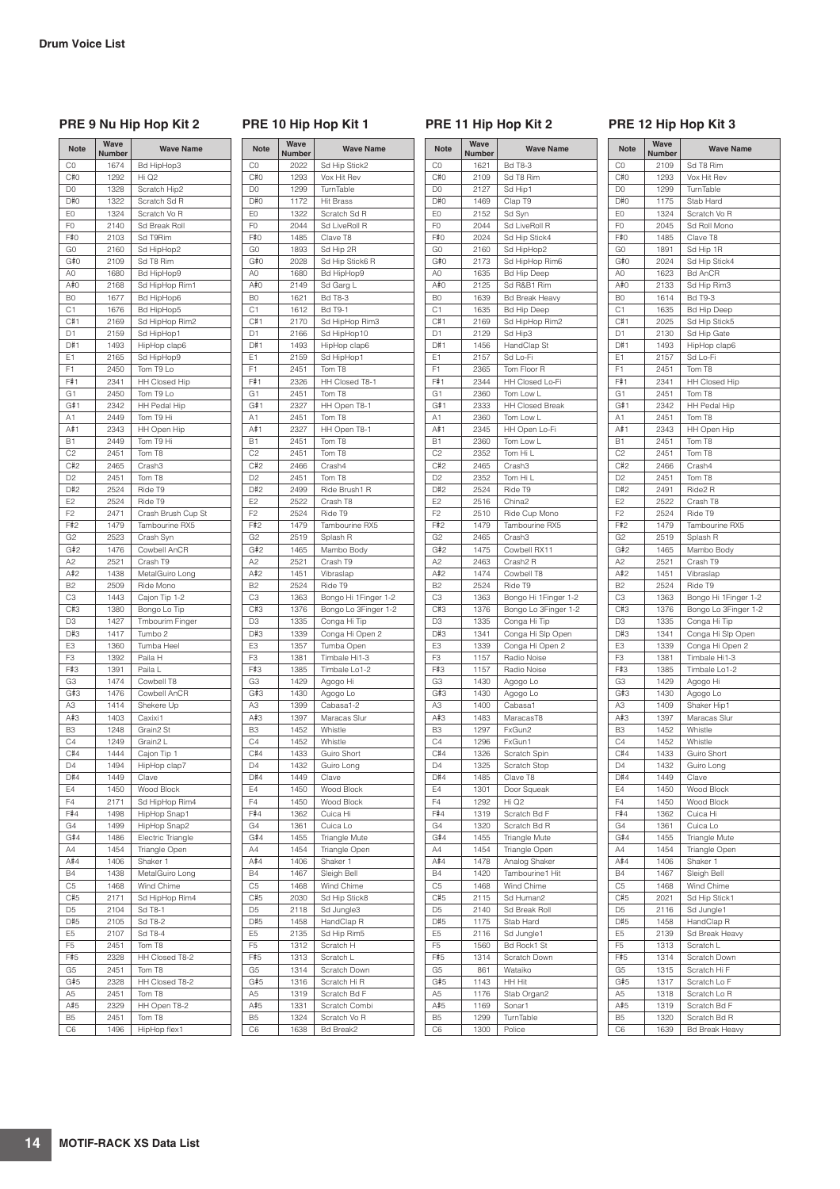**Note Wave** 

### **PRE 9 Nu Hip Hop Kit 2 PRE 10 Hip Hop Kit 1 PRE 11 Hip Hop Kit 2 PRE 12 Hip Hop Kit 3**

C0 1674 Bd HipHop3 C#0 1292 Hi Q2 D0 1328 Scratch Hip2 D#0 1322 Scratch Sd R E0 1324 Scratch Vo F<br>F0 2140 Sd Break Ro F0 2140 Sd Break Roll<br>F#0 2103 Sd T9Rim 2103 Sd T9Rim G0 2160 Sd HipHop2 G#0 2109 Sd T8 Rim A0 1680 Bd HipHops<br>
A#0 2168 Sd HipHop I

B0 1677 Bd HipHop6 C1 1676 Bd HipHop5<br>
C#1 2169 Sd HipHop I C#1 2169 Sd HipHop Rim2<br>D1 2159 Sd HipHop1 D1 2159 Sd HipHop1<br>D#1 1493 HipHop clap

E1 2165 Sd HipHop9<br>F1 2450 Tom T9 Lo F1 2450 Tom T9 Lo<br>F#1 2341 HH Closed F#1 2341 HH Closed Hip<br>
G1 2450 Tom T9 Lo

G#1 2342 | HH Pedal Hip A1 2449 Tom T9 Hi<br>A#1 2343 HH Open 2343 HH Open Hip

B1 2449 Tom T9 Hi C<sub>2</sub> 2451 Tom T8 C#2 2465 Crash3 D2 2451 Tom T8 D#2 2524 Ride T9 E2 2524 Ride T9 F<sub>2</sub> 2471 Crash Brush Cup St F#2 1479 Tambourine RX5 G2 2523 Crash Syn G#2 1476 Cowbell AnCR A<sub>2</sub> 2521 Crash T9 A#2 1438 MetalGuiro Long B<sub>2</sub> 2509 Ride Mono C3 1443 Cajon Tip 1-2 C#3 1380 Bongo Lo Tip D3 1427 Tmbourim Finger D#3 1417 Tumbo 2 E3 1360 Tumba Heel<br>F3 1392 Paila H  $P<sub>aila H</sub>$ 

F#3 1391 Paila L G3 1474 Cowbell T8 G#3 1476 Cowbell AnCR A3 1414 Shekere Up A#3 1403 Caxixi1 B3 1248 Grain2 St C4 1249 Grain2 L C#4 1444 Cajon Tip 1 D4 1494 HipHop clap7 D#4 1449 Clave E4 1450 Wood Block F4 2171 Sd HipHop Rim4<br>F#4 1498 HipHop Snap1 1498 HipHop Snap1 G4 1499 HipHop Snap2 G#4 1486 Electric Triangle A4 1454 Triangle Open A#4 1406 Shaker 1 B4 1438 MetalGuiro Long C<sub>5</sub> 1468 Wind Chime C#5 2171 Sd HipHop Rim4 D5 2104 Sd T8-1 D#5 2105 Sd T8-2 E5 2107 Sd T8-4 F5 2451 Tom T8 F#5 2328 HH Closed T8-2 G5 2451 Tom T8 G#5 2328 HH Closed T8-2 A5 2451 Tom T8 A#5 2329 HH Open T8-2 B5 2451 Tom T8 C6 1496 HipHop flex1

2168 Sd HipHop Rim1

HipHop clap6

Tom T9 Lo

**Wave Name** 

### **Note Wave Wave Name** C0 2022 Sd Hip Stick2 C#0 1293 Vox Hit Rev D0 1299 TurnTable D#0 1172 Hit Brass E0 1322 Scratch Sd R<br>F0 2044 Sd LiveRoll F F0 2044 Sd LiveRoll R<br>F#0 1485 Clave T8 Clave T8 G0 1893 Sd Hip 2R<br>G#0 2028 Sd Hip Sti 2028 Sd Hip Stick6 R A0 1680 Bd HipHop9<br>A#0 2149 Sd Garg L 2149 Sd Garg L B0 1621 Bd T8-3 C1 1612 Bd T9-1<br>C#1 2170 Sd Hip C#1 2170 Sd HipHop Rim3<br>D1 2166 Sd HipHop10 D1 2166 Sd HipHop10<br>
D#1 1493 HipHop clap6 1493 HipHop clap6 E1 2159 Sd HipHop1 F1 2451 Tom T8<br>F#1 2326 HH Clos F#1 2326 HH Closed T8-1<br>G1 2451 Tom T8 2451 Tom T8 G#1 2327 HH Open T8-1 A1 2451 Tom T8<br>
A#1 2327 HH Ope 2327 HH Open T8-1 B1 2451 Tom T8 C<sub>2</sub> 2451 Tom T8 C#2 2466 Crash4 D2 2451 Tom T8 D#2 2499 Ride Brush1 R E2 2522 Crash T8 F2 2524 Ride T9 F#2 1479 Tambourine RX5 G2 2519 Splash R G#2 1465 Mambo Body A2 2521 Crash T9 A#2 1451 Vibraslap B2 2524 Ride T9 C3 1363 Bongo Hi 1Finger 1-2 C#3 1376 Bongo Lo 3Finger 1-2 D3 1335 Conga Hi Tip D#3 1339 Conga Hi Open 2 E3 1357 Tumba Open<br>F3 1381 Timbale Hi1-3 1381 Timbale Hi1-3 F#3 1385 Timbale Lo1-2 G3 1429 Agogo Hi G#3 1430 Agogo Lo A3 1399 Cabasa1-2 A#3 1397 Maracas Slur B3 1452 Whistle C4 1452 Whistle C#4 1433 Guiro Short<br>D4 1432 Guiro Long 1432 Guiro Long D#4 1449 Clave E4 1450 Wood Block F4 1450 Wood Block<br>F#4 1362 Cuica Hi 1362 Cuica Hi G4 1361 Cuica Lo G#4 | 1455 | Triangle Mute A4 1454 Triangle Open A#4 1406 Shaker 1 B<sub>4</sub> 1467 Sleigh Bell C<sub>5</sub> 1468 Wind Chime C#5 2030 Sd Hip Stick8 D5 2118 Sd Jungle3 D#5 1458 HandClap R E5 2135 Sd Hip Rim5 F5 1312 Scratch H F#5 1313 Scratch L G5 1314 Scratch Down G#5 1316 Scratch Hi R A5 1319 Scratch Bd F A#5 1331 Scratch Combi B5 1324 Scratch Vo R C6 | 1638 | Bd Break2

| <b>Note</b>    | Wave<br>Number | <b>Wave Name</b>       |  |  |
|----------------|----------------|------------------------|--|--|
| C <sub>0</sub> | 1621           | <b>Bd T8-3</b>         |  |  |
| C#O            | 2109           | Sd T8 Rim              |  |  |
| D <sub>0</sub> | 2127           | Sd Hip1                |  |  |
| D#0            | 1469           | Clap T9                |  |  |
| E <sub>0</sub> | 2152           | Sd Syn                 |  |  |
| F <sub>0</sub> | 2044           | Sd LiveRoll R          |  |  |
| F#0            | 2024           | Sd Hip Stick4          |  |  |
| G <sub>0</sub> | 2160           | Sd HipHop2             |  |  |
| G#O            | 2173           | Sd HipHop Rim6         |  |  |
| A <sub>0</sub> | 1635           | <b>Bd Hip Deep</b>     |  |  |
| A#O            | 2125           | Sd R&B1 Rim            |  |  |
| B <sub>0</sub> | 1639           | <b>Bd Break Heavy</b>  |  |  |
| C <sub>1</sub> | 1635           | <b>Bd Hip Deep</b>     |  |  |
| C#1            | 2169           | Sd HipHop Rim2         |  |  |
| D <sub>1</sub> | 2129           | Sd Hip3                |  |  |
| D#1            | 1456           | HandClap St            |  |  |
| E <sub>1</sub> | 2157           | Sd Lo-Fi               |  |  |
| F <sub>1</sub> | 2365           | Tom Floor R            |  |  |
| F#1            | 2344           | HH Closed Lo-Fi        |  |  |
| G1             | 2360           | Tom Low L              |  |  |
| G#1            | 2333           | <b>HH Closed Break</b> |  |  |
| A1             | 2360           | Tom Low L              |  |  |
| A#1            | 2345           | HH Open Lo-Fi          |  |  |
| <b>B1</b>      | 2360           | Tom Low L              |  |  |
| C <sub>2</sub> | 2352           | Tom Hi L               |  |  |
| C#2            | 2465           | Crash3                 |  |  |
| D2             | 2352           | Tom Hi L               |  |  |
| D#2            | 2524           | Ride T9                |  |  |
| E <sub>2</sub> | 2516           | China <sub>2</sub>     |  |  |
| F <sub>2</sub> | 2510           | Ride Cup Mono          |  |  |
| F#2            | 1479           | Tambourine RX5         |  |  |
| G <sub>2</sub> | 2465           | Crash3                 |  |  |
| G#2            | 1475           | Cowbell RX11           |  |  |
| A <sub>2</sub> | 2463           | Crash <sub>2</sub> R   |  |  |
| A#2            | 1474           | Cowbell T8             |  |  |
| B <sub>2</sub> | 2524           | Ride T9                |  |  |
| C <sub>3</sub> | 1363           | Bongo Hi 1Finger 1-2   |  |  |
| C#3            | 1376           | Bongo Lo 3Finger 1-2   |  |  |
| D <sub>3</sub> | 1335           | Conga Hi Tip           |  |  |
| D#3            | 1341           | Conga Hi Slp Open      |  |  |
| E <sub>3</sub> | 1339           | Conga Hi Open 2        |  |  |
| F <sub>3</sub> | 1157           | Radio Noise            |  |  |
| F#3            | 1157           | Radio Noise            |  |  |
| G <sub>3</sub> | 1430           | Agogo Lo               |  |  |
| G#3            | 1430           | Agogo Lo               |  |  |
| A3             | 1400           | Cabasa1                |  |  |
| A#3            | 1483           | MaracasT8              |  |  |
| B <sub>3</sub> | 1297           | FxGun2                 |  |  |
| C4<br>C#4      | 1296           | FxGun1<br>Scratch Spin |  |  |
| D <sub>4</sub> | 1326<br>1325   | Scratch Stop           |  |  |
| D#4            | 1485           | Clave T8               |  |  |
| E4             | 1301           | Door Squeak            |  |  |
| F <sub>4</sub> | 1292           | Hi Q2                  |  |  |
| F#4            | 1319           | Scratch Bd F           |  |  |
| G4             | 1320           | Scratch Bd R           |  |  |
| G#4            | 1455           | Triangle Mute          |  |  |
| A4             | 1454           | Triangle Open          |  |  |
| A#4            | 1478           | Analog Shaker          |  |  |
| <b>B4</b>      | 1420           | Tambourine1 Hit        |  |  |
| C <sub>5</sub> | 1468           | Wind Chime             |  |  |
| C#5            | 2115           | Sd Human2              |  |  |
| D <sub>5</sub> | 2140           | Sd Break Roll          |  |  |
| D#5            | 1175           | Stab Hard              |  |  |
| E <sub>5</sub> | 2116           | Sd Jungle1             |  |  |
| F <sub>5</sub> | 1560           | Bd Rock1 St            |  |  |
| F#5            | 1314           | Scratch Down           |  |  |
| G <sub>5</sub> | 861            | Wataiko                |  |  |
| G#5            | 1143           | HH Hit                 |  |  |
| A5             | 1176           | Stab Organ2            |  |  |
| A#5            | 1169           | Sonar1                 |  |  |
| <b>B5</b>      | 1299           | TurnTable              |  |  |
| C6             | 1300           | Police                 |  |  |
|                |                |                        |  |  |

| <b>Note</b>                      | Wave           | <b>Wave Name</b>               |
|----------------------------------|----------------|--------------------------------|
| C <sub>0</sub>                   | Number<br>2109 | Sd T8 Rim                      |
| C#O                              | 1293           | Vox Hit Rev                    |
| D <sub>0</sub>                   | 1299           | TurnTable                      |
| D#0                              | 1175           | Stab Hard                      |
| E <sub>0</sub>                   | 1324           | Scratch Vo R                   |
| F <sub>0</sub>                   | 2045           | Sd Roll Mono                   |
| F#0                              | 1485           | Clave T8                       |
| G <sub>0</sub>                   | 1891           | Sd Hip 1R                      |
| G#0                              | 2024           | Sd Hip Stick4                  |
| A <sub>0</sub>                   | 1623           | <b>Bd AnCR</b>                 |
| A#O                              | 2133           | Sd Hip Rim3                    |
| B <sub>0</sub>                   | 1614           | <b>Bd T9-3</b>                 |
| C1                               | 1635           | <b>Bd Hip Deep</b>             |
| C#1                              | 2025           | Sd Hip Stick5                  |
| D <sub>1</sub>                   | 2130           | Sd Hip Gate                    |
| D#1                              | 1493           | HipHop clap6                   |
| E <sub>1</sub><br>F <sub>1</sub> | 2157           | Sd Lo-Fi                       |
| F#1                              | 2451<br>2341   | Tom T8<br>HH Closed Hip        |
| G1                               | 2451           | Tom T8                         |
| G#1                              | 2342           | HH Pedal Hip                   |
| A1                               | 2451           | Tom T8                         |
| A#1                              | 2343           | HH Open Hip                    |
| <b>B1</b>                        | 2451           | Tom T8                         |
| C <sub>2</sub>                   | 2451           | Tom T8                         |
| C#2                              | 2466           | Crash4                         |
| D <sub>2</sub>                   | 2451           | Tom T8                         |
| D#2                              | 2491           | Ride2 <sub>R</sub>             |
| E <sub>2</sub>                   | 2522           | Crash T8                       |
| F <sub>2</sub>                   | 2524           | Ride T9                        |
| F#2                              | 1479           | Tambourine RX5                 |
| G <sub>2</sub>                   | 2519           | Splash R                       |
| G#2                              | 1465           | Mambo Body                     |
| A2                               | 2521           | Crash T9                       |
| A#2                              | 1451           | Vibraslap                      |
| <b>B2</b>                        | 2524           | Ride T9                        |
| C <sub>3</sub>                   | 1363           | Bongo Hi 1Finger 1-2           |
| C#3                              | 1376           | Bongo Lo 3Finger 1-2           |
| D <sub>3</sub>                   | 1335           | Conga Hi Tip                   |
| D#3                              | 1341           | Conga Hi Slp Open              |
| E <sub>3</sub>                   | 1339           | Conga Hi Open 2                |
| F <sub>3</sub><br>F#3            | 1381<br>1385   | Timbale Hi1-3<br>Timbale Lo1-2 |
| G3                               | 1429           | Agogo Hi                       |
| G#3                              | 1430           | Agogo Lo                       |
| A3                               | 1409           | Shaker Hip1                    |
| A#3                              | 1397           | Maracas Slur                   |
| B <sub>3</sub>                   | 1452           | Whistle                        |
| C <sub>4</sub>                   | 1452           | Whistle                        |
| C#4                              | 1433           | Guiro Short                    |
| D4                               | 1432           | Guiro Long                     |
| D#4                              | 1449           | Clave                          |
| E4                               | 1450           | Wood Block                     |
| F <sub>4</sub>                   | 1450           | Wood Block                     |
| F#4                              | 1362           | Cuica Hi                       |
| G4                               | 1361           | Cuica Lo                       |
| G#4                              | 1455           | Triangle Mute                  |
| A4                               | 1454           | Triangle Open                  |
| A#4                              | 1406           | Shaker 1                       |
| <b>B4</b>                        | 1467           | Sleigh Bell                    |
| C <sub>5</sub>                   | 1468           | Wind Chime                     |
| C#5                              | 2021           | Sd Hip Stick1                  |
| D5                               | 2116           | Sd Jungle1                     |
| D#5<br>E <sub>5</sub>            | 1458           | HandClap R                     |
| F <sub>5</sub>                   | 2139<br>1313   | Sd Break Heavy<br>Scratch L    |
| F#5                              | 1314           | Scratch Down                   |
| G5                               | 1315           | Scratch Hi F                   |
| G#5                              | 1317           | Scratch Lo F                   |
| A5                               | 1318           | Scratch Lo R                   |
| A#5                              | 1319           | Scratch Bd F                   |
| B <sub>5</sub>                   | 1320           | Scratch Bd R                   |
| C6                               | 1639           | <b>Bd Break Heavy</b>          |
|                                  |                |                                |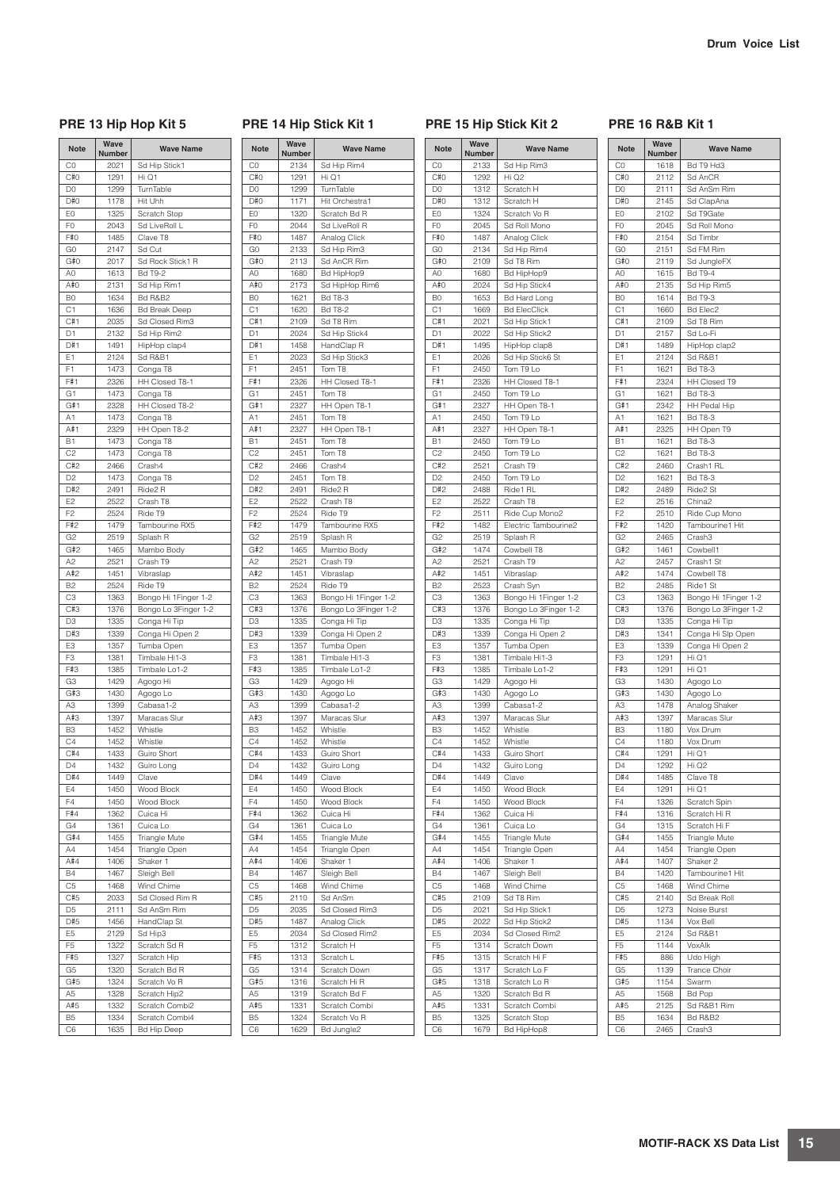# PRE 13 Hip Hop Kit 5 PRE 14 Hip Stick Kit 1 PRE 15 Hip Stick Kit 2 PRE 16 R&B Kit 1

**Note Wave** 

 $\blacksquare$ 

| <b>Note</b>    | Wave<br>Number | <b>Wave Name</b>     |  |
|----------------|----------------|----------------------|--|
| CO             | 2021           | Sd Hip Stick1        |  |
| C#O            | 1291           | Hi Q1                |  |
| D <sub>0</sub> | 1299           | TurnTable            |  |
| D#0            | 1178           | Hit Uhh              |  |
| E0             | 1325           | Scratch Stop         |  |
| F <sub>0</sub> | 2043           | Sd LiveRoll L        |  |
| F#0            | 1485           | Clave T8             |  |
| G <sub>0</sub> | 2147           | Sd Cut               |  |
| G#0            | 2017           | Sd Rock Stick1 R     |  |
| A <sub>0</sub> | 1613           | <b>Bd T9-2</b>       |  |
| A#0            | 2131           | Sd Hip Rim1          |  |
| B <sub>0</sub> | 1634           | Bd R&B2              |  |
| C1             | 1636           | <b>Bd Break Deep</b> |  |
|                | 2035           |                      |  |
| C#1            |                | Sd Closed Rim3       |  |
| D <sub>1</sub> | 2132           | Sd Hip Rim2          |  |
| D#1            | 1491           | HipHop clap4         |  |
| E1             | 2124           | Sd R&B1              |  |
| F1             | 1473           | Conga T8             |  |
| F#1            | 2326           | HH Closed T8-1       |  |
| G1             | 1473           | Conga T8             |  |
| G#1            | 2328           | HH Closed T8-2       |  |
| A1             | 1473           | Conga T8             |  |
| A#1            | 2329           | HH Open T8-2         |  |
| <b>B1</b>      | 1473           | Conga T8             |  |
| C <sub>2</sub> | 1473           | Conga T8             |  |
| C#2            | 2466           | Crash4               |  |
| D <sub>2</sub> | 1473           | Conga T8             |  |
| D#2            | 2491           | Ride2 <sub>R</sub>   |  |
| E <sub>2</sub> | 2522           | Crash T8             |  |
| F <sub>2</sub> | 2524           | Ride T9              |  |
| F#2            | 1479           | Tambourine RX5       |  |
| G <sub>2</sub> | 2519           | Splash R             |  |
|                |                |                      |  |
| G#2            | 1465           | Mambo Body           |  |
| A2             | 2521           | Crash T9             |  |
| A#2            | 1451           | Vibraslap            |  |
| B <sub>2</sub> | 2524           | Ride T9              |  |
| C <sub>3</sub> | 1363           | Bongo Hi 1Finger 1-2 |  |
| C#3            | 1376           | Bongo Lo 3Finger 1-2 |  |
| D <sub>3</sub> | 1335           | Conga Hi Tip         |  |
| D#3            | 1339           | Conga Hi Open 2      |  |
| E <sub>3</sub> | 1357           | Tumba Open           |  |
| F <sub>3</sub> | 1381           | Timbale Hi1-3        |  |
| F#3            | 1385           | Timbale Lo1-2        |  |
| G <sub>3</sub> | 1429           | Agogo Hi             |  |
| G#3            | 1430           | Agogo Lo             |  |
| A <sub>3</sub> | 1399           | Cabasa1-2            |  |
| A#3            | 1397           | Maracas Slur         |  |
| B <sub>3</sub> | 1452           | Whistle              |  |
| C <sub>4</sub> | 1452           | Whistle              |  |
| C#4            | 1433           | Guiro Short          |  |
| D <sub>4</sub> | 1432           | Guiro Long           |  |
| D#4            | 1449           | Clave                |  |
| E4             | 1450           | Wood Block           |  |
| F <sub>4</sub> | 1450           | Wood Block           |  |
| F#4            | 1362           | Cuica Hi             |  |
| G4             | 1361           |                      |  |
|                |                | Cuica Lo             |  |
| G#4            | 1455           | Triangle Mute        |  |
| A4             | 1454           | Triangle Open        |  |
| A#4            | 1406           | Shaker 1             |  |
| <b>B4</b>      | 1467           | Sleigh Bell          |  |
| C <sub>5</sub> | 1468           | Wind Chime           |  |
| C#5            | 2033           | Sd Closed Rim R      |  |
| D <sub>5</sub> | 2111           | Sd AnSm Rim          |  |
| D#5            | 1456           | HandClap St          |  |
| E <sub>5</sub> | 2129           | Sd Hip3              |  |
| F <sub>5</sub> | 1322           | Scratch Sd R         |  |
| F#5            | 1327           | Scratch Hip          |  |
| G <sub>5</sub> | 1320           | Scratch Bd R         |  |
| G#5            | 1324           | Scratch Vo R         |  |
| A <sub>5</sub> | 1328           | Scratch Hip2         |  |
| A#5            | 1332           | Scratch Combi2       |  |
| B <sub>5</sub> | 1334           | Scratch Combi4       |  |
| C6             | 1635           |                      |  |
|                |                | <b>Bd Hip Deep</b>   |  |

| <b>Note</b>           | Wave<br>Number | <b>Wave Name</b>                 |
|-----------------------|----------------|----------------------------------|
| C0                    | 2134           | Sd Hip Rim4                      |
| C#0                   | 1291           | Hi Q1                            |
| D <sub>0</sub>        | 1299           | TurnTable                        |
| D#0                   | 1171           | Hit Orchestra1                   |
| E <sub>0</sub>        | 1320           | Scratch Bd R                     |
| F0                    | 2044           | Sd LiveRoll R                    |
| F#0                   | 1487           | Analog Click                     |
| G0                    | 2133           | Sd Hip Rim3                      |
| G#0                   | 2113           | Sd AnCR Rim                      |
| A0                    | 1680           | Bd HipHop9                       |
| A#O<br>B0             | 2173<br>1621   | Sd HipHop Rim6<br><b>Bd T8-3</b> |
| С1                    | 1620           | <b>Bd T8-2</b>                   |
| C#1                   | 2109           | Sd T8 Rim                        |
| D1                    | 2024           | Sd Hip Stick4                    |
| D#1                   | 1458           | HandClap R                       |
| E1                    | 2023           | Sd Hip Stick3                    |
| F1                    | 2451           | Tom T8                           |
| F#1                   | 2326           | HH Closed T8-1                   |
| G1                    | 2451           | Tom T8                           |
| G#1                   | 2327           | HH Open T8-1                     |
| A1                    | 2451           | Tom T8                           |
| A#1                   | 2327           | HH Open T8-1                     |
| B1                    | 2451           | Tom T8                           |
| C2                    | 2451           | Tom T8                           |
| C#2                   | 2466           | Crash4                           |
| D <sub>2</sub><br>D#2 | 2451<br>2491   | Tom T8<br>Ride2 R                |
| E <sub>2</sub>        | 2522           | Crash T8                         |
| F <sub>2</sub>        | 2524           | Ride T9                          |
| F#2                   | 1479           | Tambourine RX5                   |
| G <sub>2</sub>        | 2519           | Splash R                         |
| G#2                   | 1465           | Mambo Body                       |
| A2                    | 2521           | Crash T9                         |
| A#2                   | 1451           | Vibraslap                        |
| B2                    | 2524           | Ride T9                          |
| C3                    | 1363           | Bongo Hi 1Finger 1-2             |
| C#3                   | 1376           | Bongo Lo 3Finger 1-2             |
| D3                    | 1335           | Conga Hi Tip                     |
| D#3                   | 1339           | Conga Hi Open 2                  |
| E3                    | 1357           | Tumba Open                       |
| F3                    | 1381           | Timbale Hi1-3                    |
| F#3<br>G3             | 1385<br>1429   | Timbale Lo1-2                    |
| G#3                   | 1430           | Agogo Hi<br>Agogo Lo             |
| A3                    | 1399           | Cabasa1-2                        |
| A#3                   | 1397           | Maracas Slur                     |
| B <sub>3</sub>        | 1452           | Whistle                          |
| C <sub>4</sub>        | 1452           | Whistle                          |
| C#4                   | 1433           | Guiro Short                      |
| D <sub>4</sub>        | 1432           | Guiro Long                       |
| D#4                   | 1449           | Clave                            |
| E4                    | 1450           | Wood Block                       |
| F4                    | 1450           | Wood Block                       |
| F#4                   | 1362           | Cuica Hi                         |
| G4                    | 1361           | Cuica Lo                         |
| G#4                   | 1455           | <b>Triangle Mute</b>             |
| A4<br>A#4             | 1454<br>1406   | Triangle Open<br>Shaker 1        |
| <b>B4</b>             | 1467           | Sleigh Bell                      |
| C <sub>5</sub>        | 1468           | Wind Chime                       |
| C#5                   | 2110           | Sd AnSm                          |
| D <sub>5</sub>        | 2035           | Sd Closed Rim3                   |
| D#5                   | 1487           | Analog Click                     |
| E <sub>5</sub>        | 2034           | Sd Closed Rim2                   |
| F5                    | 1312           | Scratch H                        |
| F#5                   | 1313           | Scratch L                        |
| G5                    | 1314           | Scratch Down                     |
| G#5                   | 1316           | Scratch Hi R                     |
| A5                    | 1319           | Scratch Bd F                     |
| A#5                   | 1331           | Scratch Combi                    |
| B5                    | 1324           | Scratch Vo R                     |
| C6                    | 1629           | Bd Jungle2                       |

| Note                  | Number                | <b>Wave Name</b>                     |  |
|-----------------------|-----------------------|--------------------------------------|--|
| C <sub>0</sub>        | 2133                  | Sd Hip Rim3                          |  |
| C#O                   | 1292                  | Hi Q2                                |  |
| D <sub>0</sub>        | 1312                  | Scratch H                            |  |
| D#0                   | 1312                  | Scratch H                            |  |
| E <sub>0</sub>        | 1324                  | Scratch Vo R                         |  |
| F <sub>0</sub>        | 2045                  | Sd Roll Mono                         |  |
| F#0                   | 1487                  | Analog Click                         |  |
| G <sub>0</sub>        | 2134                  | Sd Hip Rim4                          |  |
| G#O                   | 2109                  | Sd T8 Rim                            |  |
| A0                    | 1680                  | Bd HipHop9                           |  |
| A#O<br>B <sub>0</sub> | 2024<br>1653          | Sd Hip Stick4<br><b>Bd Hard Long</b> |  |
| C <sub>1</sub>        | 1669                  | <b>Bd ElecClick</b>                  |  |
| C#1                   | 2021                  | Sd Hip Stick1                        |  |
| D1                    | 2022                  | Sd Hip Stick2                        |  |
| D#1                   | 1495                  | HipHop clap8                         |  |
| E1                    | 2026                  | Sd Hip Stick6 St                     |  |
| F <sub>1</sub>        | 2450                  | Tom T9 Lo                            |  |
| F#1                   | 2326                  | HH Closed T8-1                       |  |
| G1                    | 2450                  | Tom T9 Lo                            |  |
| G#1                   | 2327                  | HH Open T8-1                         |  |
| A1                    | 2450                  | Tom T9 Lo                            |  |
| A#1                   | 2327                  | HH Open T8-1                         |  |
| <b>B1</b>             | 2450                  | Tom T9 Lo                            |  |
| C <sub>2</sub>        | 2450                  | Tom T9 Lo                            |  |
| C#2                   | 2521                  | Crash T9                             |  |
| D <sub>2</sub><br>D#2 | 2450<br>2488          | Tom T9 Lo<br>Ride1 RL                |  |
| E <sub>2</sub>        | 2522                  | Crash T8                             |  |
| F <sub>2</sub>        | 2511                  | Ride Cup Mono2                       |  |
| F#2                   | 1482                  | Electric Tambourine2                 |  |
| G <sub>2</sub>        | 2519                  | Splash R                             |  |
| G#2                   | 1474                  | Cowbell T8                           |  |
| A <sub>2</sub>        | 2521                  | Crash T9                             |  |
| A#2                   | 1451                  | Vibraslap                            |  |
| B <sub>2</sub>        | 2523                  | Crash Syn                            |  |
| C <sub>3</sub>        | 1363                  | Bongo Hi 1Finger 1-2                 |  |
| C#3                   | 1376                  | Bongo Lo 3Finger 1-2                 |  |
| D <sub>3</sub>        | 1335                  | Conga Hi Tip                         |  |
| D#3                   | 1339                  | Conga Hi Open 2                      |  |
| E <sub>3</sub>        | 1357                  | Tumba Open                           |  |
| F <sub>3</sub>        | Timbale Hi1-3<br>1381 |                                      |  |
| F#3<br>G <sub>3</sub> | 1385<br>1429          | Timbale Lo1-2                        |  |
| G#3                   | 1430                  | Agogo Hi<br>Agogo Lo                 |  |
| A3                    | 1399                  | Cabasa1-2                            |  |
| A#3                   | 1397                  | Maracas Slur                         |  |
| B <sub>3</sub>        | 1452                  | Whistle                              |  |
| C <sub>4</sub>        | 1452                  | Whistle                              |  |
| C#4                   | 1433                  | Guiro Short                          |  |
| D <sub>4</sub>        | 1432                  | Guiro Long                           |  |
| D#4                   | 1449                  | Clave                                |  |
| E4                    | 1450                  | Wood Block                           |  |
| F <sub>4</sub>        | 1450                  | Wood Block                           |  |
| F#4                   | 1362                  | Cuica Hi                             |  |
| G4                    | 1361                  | Cuica Lo                             |  |
| G#4                   | 1455                  | Triangle Mute                        |  |
| A4<br>A#4             | 1454<br>1406          | Triangle Open<br>Shaker 1            |  |
| <b>B4</b>             | 1467                  |                                      |  |
| C <sub>5</sub>        | 1468                  | Sleigh Bell<br>Wind Chime            |  |
| C#5                   | 2109                  | Sd T8 Rim                            |  |
| D <sub>5</sub>        | 2021                  | Sd Hip Stick1                        |  |
| D#5                   | 2022                  | Sd Hip Stick2                        |  |
| E <sub>5</sub>        | 2034                  | Sd Closed Rim2                       |  |
| F <sub>5</sub>        | 1314                  | Scratch Down                         |  |
| F#5                   | 1315                  | Scratch Hi F                         |  |
| G5                    | 1317                  | Scratch Lo F                         |  |
| G#5                   | 1318                  | Scratch Lo R                         |  |
| A <sub>5</sub>        | 1320                  | Scratch Bd R                         |  |
| A#5                   | 1331                  | Scratch Combi                        |  |
| <b>B5</b>             | 1325                  | Scratch Stop                         |  |
| C6                    | 1679                  | Bd HipHop8                           |  |

| <b>Note</b>    | Wave<br>Number | <b>Wave Name</b>          |
|----------------|----------------|---------------------------|
| C0             | 1618           | Bd T9 Hd3                 |
| C#O            | 2112           | Sd AnCR                   |
| D <sub>0</sub> | 2111           | Sd AnSm Rim               |
| D#0            | 2145           | Sd ClapAna                |
| E <sub>0</sub> | 2102           | Sd T9Gate                 |
| F <sub>0</sub> | 2045           | Sd Roll Mono              |
| F#0            | 2154           | Sd Timbr                  |
| G <sub>0</sub> | 2151           | Sd FM Rim                 |
| G#O            | 2119           | Sd JungleFX               |
| A0             | 1615           | <b>Bd T9-4</b>            |
| A#O            | 2135           | Sd Hip Rim5               |
| B <sub>0</sub> | 1614           | <b>Bd T9-3</b>            |
| C1             | 1660           | Bd Elec2                  |
| C#1            | 2109           | Sd T8 Rim                 |
|                |                |                           |
| D1<br>D#1      | 2157           | Sd Lo-Fi                  |
|                | 1489           | HipHop clap2              |
| E <sub>1</sub> | 2124           | Sd R&B1                   |
| F1             | 1621           | <b>Bd T8-3</b>            |
| F#1            | 2324           | HH Closed T9              |
| G1             | 1621           | <b>Bd T8-3</b>            |
| G#1            | 2342           | HH Pedal Hip              |
| A1             | 1621           | <b>Bd T8-3</b>            |
| A#1            | 2325           | HH Open T9                |
| <b>B1</b>      | 1621           | <b>Bd T8-3</b>            |
| C <sub>2</sub> | 1621           | <b>Bd T8-3</b>            |
| C#2            | 2460           | Crash1 RL                 |
| D <sub>2</sub> | 1621           | <b>Bd T8-3</b>            |
| D#2            | 2489           | Ride2 St                  |
| E <sub>2</sub> | 2516           | China2                    |
| F <sub>2</sub> | 2510           | Ride Cup Mono             |
| F#2            | 1420           | Tambourine1 Hit           |
| G <sub>2</sub> | 2465           | Crash3                    |
| G#2            | 1461           | Cowbell1                  |
| A2             | 2457           | Crash1 St                 |
| A#2            | 1474           | Cowbell T8                |
| <b>B2</b>      | 2485           | Ride1 St                  |
| C <sub>3</sub> | 1363           | Bongo Hi 1Finger 1-2      |
| C#3            | 1376           | Bongo Lo 3Finger 1-2      |
| D <sub>3</sub> | 1335           | Conga Hi Tip              |
| D#3            | 1341           | Conga Hi Slp Open         |
| E3             | 1339           | Conga Hi Open 2           |
| F <sub>3</sub> | 1291           | Hi Q1                     |
| F#3            | 1291           | Hi Q1                     |
| G <sub>3</sub> | 1430           | Agogo Lo                  |
| G#3            | 1430           |                           |
| A3             | 1478           | Agogo Lo<br>Analog Shaker |
| A#3            | 1397           |                           |
|                |                | Maracas Slur              |
| B <sub>3</sub> | 1180           | Vox Drum                  |
| C <sub>4</sub> | 1180           | Vox Drum                  |
| C#4            | 1291           | Hi Q1                     |
| D <sub>4</sub> | 1292           | Hi Q2                     |
| D#4            | 1485           | Clave T8                  |
| E4             | 1291           | Hi Q1                     |
| F <sub>4</sub> | 1326           | Scratch Spin              |
| F#4            | 1316           | Scratch Hi R              |
| G4             | 1315           | Scratch Hi F              |
| G#4            | 1455           | Triangle Mute             |
| A4             | 1454           | Triangle Open             |
| A#4            | 1407           | Shaker 2                  |
| <b>B4</b>      | 1420           | Tambourine1 Hit           |
| C <sub>5</sub> | 1468           | Wind Chime                |
| C#5            | 2140           | Sd Break Roll             |
| D <sub>5</sub> | 1273           | Noise Burst               |
| D#5            | 1134           | Vox Bell                  |
| E <sub>5</sub> | 2124           | Sd R&B1                   |
| F <sub>5</sub> | 1144           | VoxAlk                    |
| F#5            | 886            | Udo High                  |
| G <sub>5</sub> | 1139           | Trance Choir              |
| G#5            | 1154           | Swarm                     |
| A5             | 1568           | <b>Bd Pop</b>             |
| A#5            | 2125           | Sd R&B1 Rim               |
| <b>B5</b>      | 1634           | Bd R&B2                   |
| C6             | 2465           | Crash3                    |
|                |                |                           |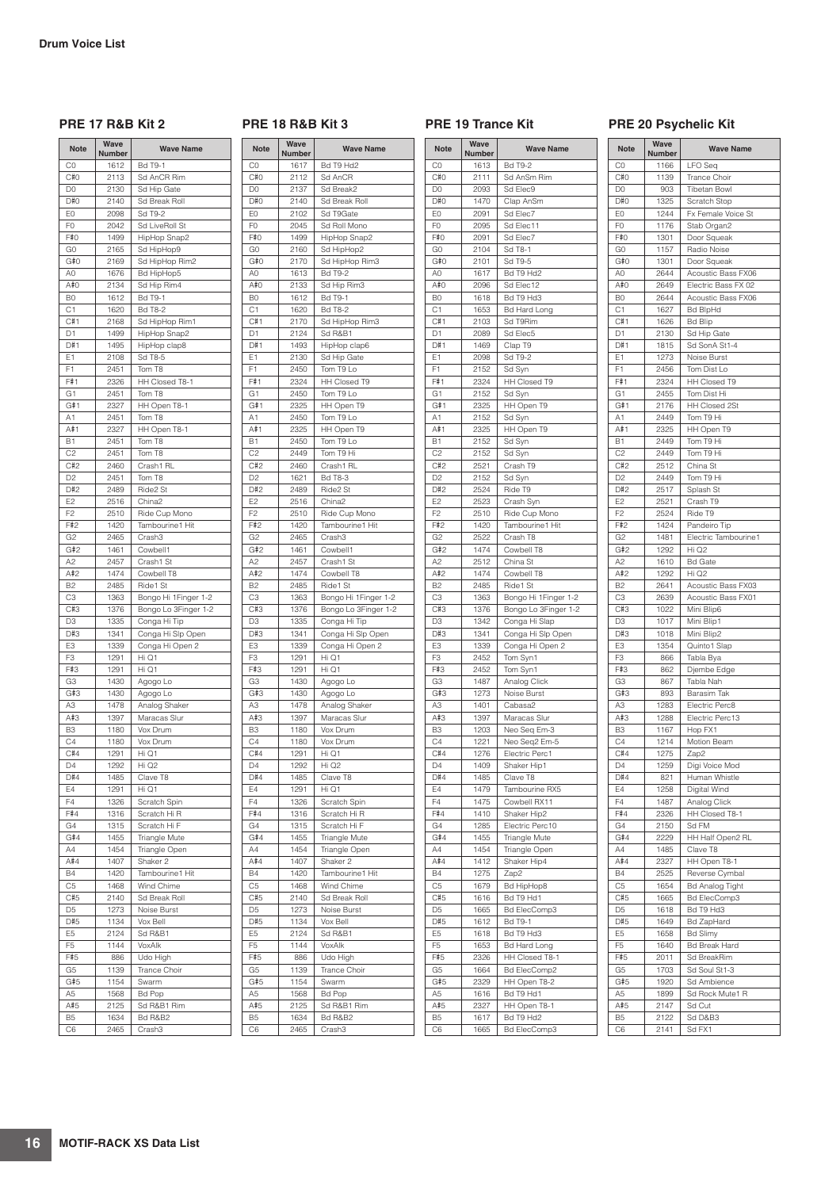| <b>Note</b>           | Wave<br><b>Number</b> | <b>Wave Name</b>                 | <b>Note</b>           |
|-----------------------|-----------------------|----------------------------------|-----------------------|
| C <sub>0</sub>        | 1612                  | <b>Bd T9-1</b>                   | C0                    |
| C#O                   | 2113                  | Sd AnCR Rim                      | C#0                   |
| D <sub>0</sub>        | 2130                  | Sd Hip Gate                      | D <sub>0</sub>        |
| D#0                   | 2140                  | Sd Break Roll                    | D#0                   |
| E <sub>0</sub>        | 2098                  | Sd T9-2                          | E <sub>0</sub>        |
| F <sub>0</sub>        | 2042                  | Sd LiveRoll St                   | F <sub>0</sub>        |
| F#0                   | 1499                  | HipHop Snap2                     | F#0                   |
| G <sub>0</sub>        | 2165                  | Sd HipHop9                       | G <sub>0</sub>        |
| G#O                   | 2169                  | Sd HipHop Rim2                   | G#0                   |
| A0                    | 1676                  | Bd HipHop5                       | A0                    |
| A#0                   | 2134                  | Sd Hip Rim4                      | A#O                   |
| B <sub>0</sub>        | 1612                  | <b>Bd T9-1</b>                   | B <sub>0</sub>        |
| C1                    | 1620                  | <b>Bd T8-2</b>                   | C1                    |
| C#1<br>D <sub>1</sub> | 2168                  | Sd HipHop Rim1                   | C#1<br>D <sub>1</sub> |
| D#1                   | 1499<br>1495          | HipHop Snap2<br>HipHop clap8     | D#1                   |
| E1                    | 2108                  | Sd T8-5                          | E1                    |
| F <sub>1</sub>        | 2451                  | Tom T8                           | F <sub>1</sub>        |
| F#1                   | 2326                  | HH Closed T8-1                   | F#1                   |
| G1                    | 2451                  | Tom T8                           | G1                    |
| G#1                   | 2327                  | HH Open T8-1                     | G#1                   |
| A1                    | 2451                  | Tom T8                           | A <sub>1</sub>        |
| A#1                   | 2327                  | HH Open T8-1                     | A#1                   |
| <b>B1</b>             | 2451                  | Tom T8                           | <b>B1</b>             |
| C <sub>2</sub>        | 2451                  | Tom T8                           | C <sub>2</sub>        |
| C#2                   | 2460                  | Crash1 RL                        | C#2                   |
| D <sub>2</sub>        | 2451                  | Tom T8                           | D <sub>2</sub>        |
| D#2                   | 2489                  | Ride2 St                         | D#2                   |
| E <sub>2</sub>        | 2516                  | China <sub>2</sub>               | E <sub>2</sub>        |
| F <sub>2</sub>        | 2510                  | Ride Cup Mono                    | F <sub>2</sub>        |
| F#2                   | 1420                  | Tambourine1 Hit                  | F#2                   |
| G <sub>2</sub>        | 2465                  | Crash3                           | G <sub>2</sub>        |
| G#2                   | 1461                  | Cowbell1                         | G#2                   |
| A <sub>2</sub>        | 2457                  | Crash1 St                        | A <sub>2</sub>        |
| A#2<br><b>B2</b>      | 1474                  | Cowbell T8                       | A#2<br>B <sub>2</sub> |
| C <sub>3</sub>        | 2485<br>1363          | Ride1 St<br>Bongo Hi 1Finger 1-2 | C <sub>3</sub>        |
| C#3                   | 1376                  | Bongo Lo 3Finger 1-2             | C#3                   |
| D <sub>3</sub>        | 1335                  | Conga Hi Tip                     | D <sub>3</sub>        |
| D#3                   | 1341                  | Conga Hi Slp Open                | D#3                   |
| E3                    | 1339                  | Conga Hi Open 2                  | E <sub>3</sub>        |
| F <sub>3</sub>        | 1291                  | Hi Q1                            | F <sub>3</sub>        |
| F#3                   | 1291                  | Hi Q1                            | F#3                   |
| G <sub>3</sub>        | 1430                  | Agogo Lo                         | G <sub>3</sub>        |
| G#3                   | 1430                  | Agogo Lo                         | G#3                   |
| A3                    | 1478                  | Analog Shaker                    | A3                    |
| A#3                   | 1397                  | Maracas Slur                     | A#3                   |
| B <sub>3</sub>        | 1180                  | Vox Drum                         | B <sub>3</sub>        |
| C <sub>4</sub>        | 1180                  | Vox Drum                         | C <sub>4</sub>        |
| C#4                   | 1291                  | Hi Q1                            | C#4                   |
| D <sub>4</sub>        | 1292                  | Hi Q2                            | D <sub>4</sub>        |
| D#4                   | 1485                  | Clave T8                         | D#4                   |
| E4<br>F4              | 1291<br>1326          | Hi Q1                            | E4<br>F4              |
| F#4                   | 1316                  | Scratch Spin<br>Scratch Hi R     | F#4                   |
| G4                    | 1315                  | Scratch Hi F                     | G4                    |
| G#4                   | 1455                  | Triangle Mute                    | G#4                   |
| A4                    | 1454                  | Triangle Open                    | A4                    |
| A#4                   | 1407                  | Shaker 2                         | A#4                   |
| <b>B4</b>             | 1420                  | Tambourine1 Hit                  | <b>B4</b>             |
| C <sub>5</sub>        | 1468                  | Wind Chime                       | C <sub>5</sub>        |
| C#5                   | 2140                  | Sd Break Roll                    | C#5                   |
| D <sub>5</sub>        | 1273                  | Noise Burst                      | D <sub>5</sub>        |
| D#5                   | 1134                  | Vox Bell                         | D#5                   |
| E <sub>5</sub>        | 2124                  | Sd R&B1                          | E <sub>5</sub>        |
| F <sub>5</sub>        | 1144                  | VoxAlk                           | F <sub>5</sub>        |
| F#5                   | 886                   | Udo High                         | F#5                   |
| G <sub>5</sub>        | 1139                  | Trance Choir                     | G <sub>5</sub>        |
| G#5                   | 1154                  | Swarm                            | G#5                   |
| A5                    | 1568                  | <b>Bd Pop</b>                    | A5                    |
| A#5                   | 2125                  | Sd R&B1 Rim                      | A#5                   |
| <b>B5</b>             | 1634                  | Bd R&B2                          | B <sub>5</sub>        |
| C6                    | 2465                  | Crash3                           | C6                    |

| <b>Note</b>           | Wave<br>Number | <b>Wave Name</b>              |
|-----------------------|----------------|-------------------------------|
| CО                    | 1617           | Bd T9 Hd2                     |
| C#0                   | 2112           | Sd AnCR                       |
| D0                    | 2137           | Sd Break2                     |
| D#0                   | 2140           | Sd Break Roll                 |
| E <sub>0</sub>        | 2102           | Sd T9Gate                     |
| F <sub>0</sub>        | 2045           | Sd Roll Mono                  |
| F#0                   | 1499           | HipHop Snap2                  |
| G0                    | 2160           | Sd HipHop2                    |
| G#0                   | 2170           | Sd HipHop Rim3                |
| A0<br>A#O             | 1613           | <b>Bd T9-2</b>                |
| B0                    | 2133<br>1612   | Sd Hip Rim3<br><b>Bd T9-1</b> |
| С1                    | 1620           | <b>Bd T8-2</b>                |
| C#1                   | 2170           | Sd HipHop Rim3                |
| D1                    | 2124           | Sd R&B1                       |
| D#1                   | 1493           | HipHop clap6                  |
| E1                    | 2130           | Sd Hip Gate                   |
| F1                    | 2450           | Tom T9 Lo                     |
| F#1                   | 2324           | HH Closed T9                  |
| G1                    | 2450           | Tom T9 Lo                     |
| G#1                   | 2325           | HH Open T9                    |
| A1                    | 2450           | Tom T9 Lo                     |
| A#1                   | 2325           | HH Open T9                    |
| <b>B1</b>             | 2450           | Tom T9 Lo                     |
| C2                    | 2449           | Tom T9 Hi                     |
| C#2                   | 2460<br>1621   | Crash1 RL                     |
| D <sub>2</sub><br>D#2 | 2489           | <b>Bd T8-3</b><br>Ride2 St    |
| E <sub>2</sub>        | 2516           | China <sub>2</sub>            |
| F <sub>2</sub>        | 2510           | Ride Cup Mono                 |
| F#2                   | 1420           | Tambourine1 Hit               |
| G <sub>2</sub>        | 2465           | Crash3                        |
| G#2                   | 1461           | Cowbell1                      |
| A2                    | 2457           | Crash1 St                     |
| A#2                   | 1474           | Cowbell T8                    |
| B2                    | 2485           | Ride1 St                      |
| C3                    | 1363           | Bongo Hi 1Finger 1-2          |
| C#3                   | 1376           | Bongo Lo 3Finger 1-2          |
| D3                    | 1335           | Conga Hi Tip                  |
| D#3                   | 1341           | Conga Hi Slp Open             |
| E3                    | 1339           | Conga Hi Open 2               |
| F3<br>F#3             | 1291           | Hi Q1                         |
| G3                    | 1291<br>1430   | Hi Q1<br>Agogo Lo             |
| G#3                   | 1430           | Agogo Lo                      |
| A3                    | 1478           | Analog Shaker                 |
| A#3                   | 1397           | Maracas Slur                  |
| B3                    | 1180           | Vox Drum                      |
| C <sub>4</sub>        | 1180           | Vox Drum                      |
| C#4                   | 1291           | Hi Q1                         |
| D <sub>4</sub>        | 1292           | Hi Q2                         |
| D#4                   | 1485           | Clave T8                      |
| E4                    | 1291           | Hi Q1                         |
| F4                    | 1326           | Scratch Spin                  |
| F#4                   | 1316           | Scratch Hi R                  |
| G4                    | 1315           | Scratch Hi F                  |
| G#4                   | 1455           | <b>Triangle Mute</b>          |
| A4<br>A#4             | 1454           | Triangle Open<br>Shaker 2     |
| <b>B4</b>             | 1407<br>1420   | Tambourine1 Hit               |
| C <sub>5</sub>        | 1468           | Wind Chime                    |
| C#5                   | 2140           | Sd Break Roll                 |
| D <sub>5</sub>        | 1273           | Noise Burst                   |
| D#5                   | 1134           | Vox Bell                      |
| E <sub>5</sub>        | 2124           | Sd R&B1                       |
| F5                    | 1144           | VoxAlk                        |
| F#5                   | 886            | Udo High                      |
| G5                    | 1139           | <b>Trance Choir</b>           |
| G#5                   | 1154           | Swarm                         |
| A5                    | 1568           | <b>Bd Pop</b>                 |
| A#5                   | 2125           | Sd R&B1 Rim                   |
| B5                    | 1634           | Bd R&B2                       |
| C6                    | 2465           | Crash3                        |

| <b>Note</b>                 | Wave<br>Number | <b>Wave Name</b>             |
|-----------------------------|----------------|------------------------------|
| C <sub>0</sub>              | 1613           | <b>Bd T9-2</b>               |
| C#O                         | 2111           | Sd AnSm Rim                  |
| D <sub>0</sub>              | 2093           | Sd Elec9                     |
| D#0                         | 1470           | Clap AnSm                    |
| F <sub>0</sub>              | 2091           | Sd Elec7                     |
| F <sub>0</sub>              | 2095           | Sd Elec11                    |
| F#0                         | 2091           | Sd Elec7                     |
| G <sub>0</sub>              | 2104           | Sd T8-1                      |
| G#0                         | 2101           | Sd T9-5                      |
| A <sub>0</sub>              | 1617           | Bd T9 Hd2                    |
| A#O                         | 2096           | Sd Elec12                    |
| B <sub>0</sub>              | 1618           | Bd T9 Hd3                    |
| C1                          | 1653           | <b>Bd Hard Long</b>          |
| C#1                         | 2103           | Sd T9Rim                     |
| D1                          | 2089           | Sd Elec5                     |
| D#1                         | 1469           | Clap T9                      |
| E <sub>1</sub>              | 2098           | Sd T9-2                      |
| F <sub>1</sub>              | 2152           | Sd Syn                       |
| F#1                         | 2324           | HH Closed T9                 |
| G <sub>1</sub>              | 2152           | Sd Syn                       |
| G#1<br>A1                   | 2325           | HH Open T9                   |
|                             | 2152           | Sd Syn                       |
| A#1                         | 2325           | HH Open T9<br>Sd Syn         |
| <b>B1</b><br>C <sub>2</sub> | 2152<br>2152   | Sd Syn                       |
| C#2                         | 2521           | Crash T9                     |
| D <sub>2</sub>              | 2152           | Sd Syn                       |
| D#2                         | 2524           | Ride T9                      |
| E <sub>2</sub>              | 2523           | Crash Syn                    |
| F <sub>2</sub>              | 2510           | Ride Cup Mono                |
| F#2                         | 1420           | Tambourine1 Hit              |
| G <sub>2</sub>              | 2522           | Crash T8                     |
| G#2                         | 1474           | Cowbell T8                   |
| A2                          | 2512           | China St                     |
| A#2                         | 1474           | Cowbell T8                   |
| B <sub>2</sub>              | 2485           | Ride1 St                     |
| C <sub>3</sub>              | 1363           | Bongo Hi 1Finger 1-2         |
| C#3                         | 1376           | Bongo Lo 3Finger 1-2         |
| D <sub>3</sub>              | 1342           | Conga Hi Slap                |
| D#3                         | 1341           | Conga Hi Slp Open            |
| E <sub>3</sub>              | 1339           | Conga Hi Open 2              |
| F <sub>3</sub>              | 2452           | Tom Syn1                     |
| F#3                         | 2452           | Tom Syn1                     |
| G <sub>3</sub>              | 1487           | Analog Click                 |
| G#3                         | 1273           | Noise Burst                  |
| A <sub>3</sub>              | 1401           | Cabasa2                      |
| A#3                         | 1397           | Maracas Slur                 |
| B <sub>3</sub>              | 1203           | Neo Seg Em-3                 |
| C4                          | 1221           | Neo Seq2 Em-5                |
| C#4                         | 1276           | Electric Perc1               |
| D <sub>4</sub>              | 1409           | Shaker Hip1                  |
| D#4                         | 1485           | Clave 18                     |
| E4                          | 1479           | Tambourine RX5               |
| F4                          | 1475           | Cowbell RX11                 |
| F#4                         | 1410           | Shaker Hip2                  |
| G4                          | 1285           | Electric Perc10              |
| G#4<br>A4                   | 1455<br>1454   | Triangle Mute                |
| A#4                         | 1412           | Triangle Open<br>Shaker Hip4 |
| <b>B4</b>                   | 1275           | Zap2                         |
| C <sub>5</sub>              | 1679           | Bd HipHop8                   |
| C#5                         | 1616           | Bd T9 Hd1                    |
| D <sub>5</sub>              | 1665           | Bd ElecComp3                 |
| D#5                         | 1612           | <b>Bd T9-1</b>               |
| E <sub>5</sub>              | 1618           | Bd T9 Hd3                    |
| F5                          | 1653           | <b>Bd Hard Long</b>          |
| F#5                         | 2326           | HH Closed T8-1               |
| G <sub>5</sub>              | 1664           | <b>Bd ElecComp2</b>          |
| G#5                         | 2329           | HH Open T8-2                 |
| A <sub>5</sub>              | 1616           | Bd T9 Hd1                    |
| A#5                         | 2327           | HH Open T8-1                 |
| B <sub>5</sub>              | 1617           | Bd T9 Hd2                    |
| C6                          | 1665           | Bd ElecComp3                 |
|                             |                |                              |

# PRE 17 R&B Kit 2 **PRE 18 R&B Kit 3** PRE 19 Trance Kit PRE 20 Psychelic Kit

| <b>Note</b>           | Wave<br>Number | <b>Wave Name</b>                         |
|-----------------------|----------------|------------------------------------------|
| C <sub>0</sub>        | 1166           | LFO Seq                                  |
| C#0                   | 1139           | Trance Choir                             |
| D <sub>0</sub>        | 903            | <b>Tibetan Bowl</b>                      |
| D#0                   | 1325           | Scratch Stop                             |
| E <sub>0</sub>        | 1244           | Fx Female Voice St                       |
| F <sub>0</sub>        | 1176           | Stab Organ2                              |
| F#0                   | 1301           | Door Squeak                              |
| G <sub>0</sub>        | 1157           | Radio Noise                              |
| G#0<br>A <sub>0</sub> | 1301<br>2644   | Door Squeak<br>Acoustic Bass FX06        |
| A#O                   | 2649           | Electric Bass FX 02                      |
| B <sub>0</sub>        | 2644           | Acoustic Bass FX06                       |
| C <sub>1</sub>        | 1627           | <b>Bd BlpHd</b>                          |
| C#1                   | 1626           | <b>Bd Blip</b>                           |
| D <sub>1</sub>        | 2130           | Sd Hip Gate                              |
| D#1                   | 1815           | Sd SonA St1-4                            |
| E <sub>1</sub>        | 1273           | Noise Burst                              |
| F <sub>1</sub>        | 2456           | Tom Dist Lo                              |
| F#1<br>G <sub>1</sub> | 2324<br>2455   | HH Closed T9<br>Tom Dist Hi              |
| G#1                   | 2176           | HH Closed 2St                            |
| A <sub>1</sub>        | 2449           | Tom T9 Hi                                |
| A#1                   | 2325           | HH Open T9                               |
| <b>B1</b>             | 2449           | Tom T9 Hi                                |
| C <sub>2</sub>        | 2449           | Tom T9 Hi                                |
| C#2                   | 2512           | China St                                 |
| D <sub>2</sub>        | 2449           | Tom T9 Hi                                |
| D#2                   | 2517           | Splash St                                |
| E <sub>2</sub>        | 2521           | Crash T9                                 |
| F <sub>2</sub>        | 2524           | Ride T9                                  |
| F#2                   | 1424           | Pandeiro Tip                             |
| G <sub>2</sub>        | 1481           | Electric Tambourine1                     |
| G#2<br>A <sub>2</sub> | 1292           | Hi Q2                                    |
| A#2                   | 1610<br>1292   | <b>Bd Gate</b><br>Hi Q2                  |
| B <sub>2</sub>        | 2641           | Acoustic Bass FX03                       |
| C <sub>3</sub>        | 2639           | Acoustic Bass FX01                       |
| C#3                   | 1022           | Mini Blip6                               |
| D <sub>3</sub>        | 1017           | Mini Blip1                               |
| D#3                   | 1018           | Mini Blip2                               |
| E <sub>3</sub>        | 1354           | Quinto1 Slap                             |
| F <sub>3</sub>        | 866            | Tabla Bya                                |
| F#3                   | 862            | Djembe Edge                              |
| G <sub>3</sub>        | 867            | Tabla Nah                                |
| G#3                   | 893            | Barasim Tak                              |
| A3<br>A#3             | 1283<br>1288   | Electric Perc8<br>Electric Perc13        |
| B <sub>3</sub>        | 1167           | Hop FX1                                  |
| C <sub>4</sub>        | 1214           | Motion Beam                              |
| C#4                   | 1275           | Zap2                                     |
| D4                    | 1259           | Diai Voice Mod                           |
| D#4                   | 821            | Human Whistle                            |
| E4                    | 1258           | Digital Wind                             |
| F4                    | 1487           | Analog Click                             |
| F#4                   | 2326           | HH Closed T8-1                           |
| G4                    | 2150           | Sd FM                                    |
| G#4                   | 2229           | HH Half Open2 RL                         |
| A4                    | 1485           | Clave T8                                 |
| A#4<br><b>B4</b>      | 2327<br>2525   | HH Open T8-1                             |
| C <sub>5</sub>        | 1654           | Reverse Cymbal<br><b>Bd Analog Tight</b> |
| C#5                   | 1665           | Bd ElecComp3                             |
| D <sub>5</sub>        | 1618           | Bd T9 Hd3                                |
| D#5                   | 1649           | <b>Bd ZapHard</b>                        |
| E <sub>5</sub>        | 1658           | <b>Bd Slimy</b>                          |
| F <sub>5</sub>        | 1640           | <b>Bd Break Hard</b>                     |
| F#5                   | 2011           | Sd BreakRim                              |
| G5                    | 1703           | Sd Soul St1-3                            |
| G#5                   | 1920           | Sd Ambience                              |
| A5                    | 1899           | Sd Rock Mute1 R                          |
| A#5                   | 2147           | Sd Cut                                   |
| B <sub>5</sub>        | 2122           | Sd D&B3                                  |
| C6                    | 2141           | Sd FX1                                   |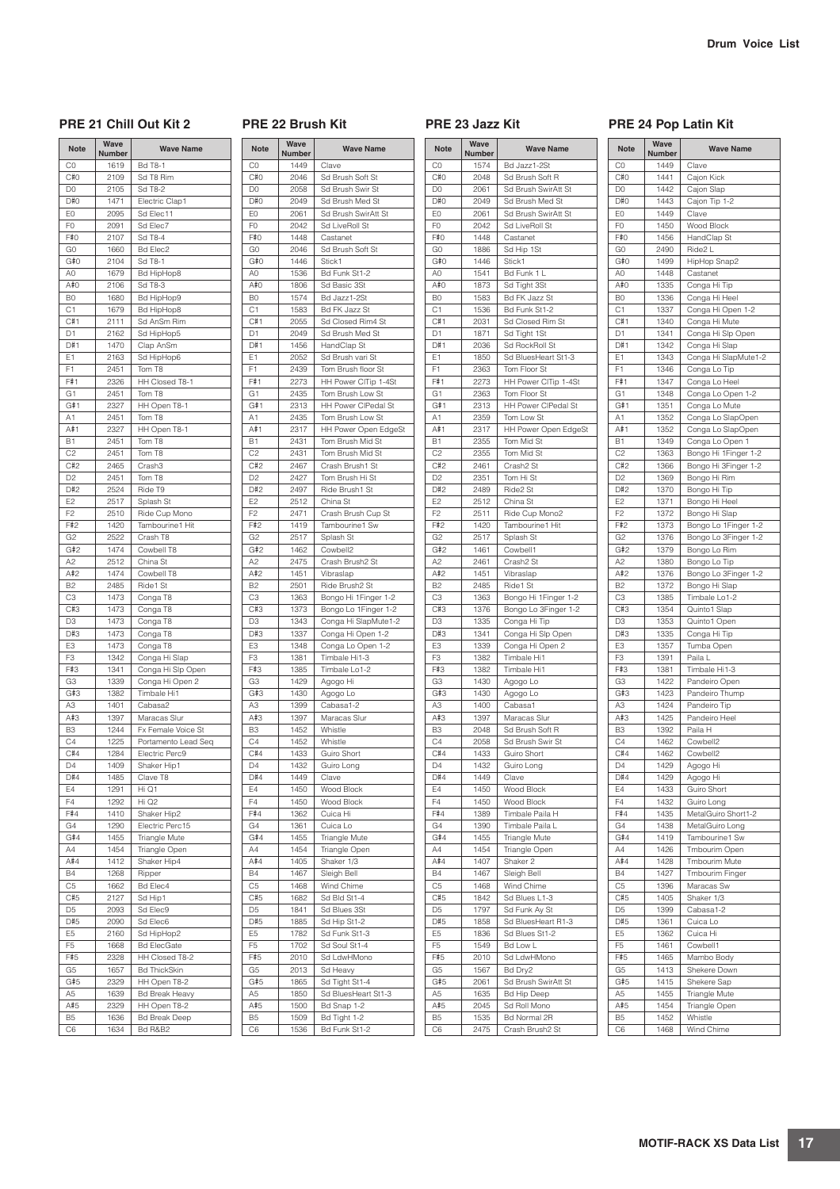# PRE 21 Chill Out Kit 2 PRE 22 Brush Kit PRE 23 Jazz Kit PRE 24 Pop Latin Kit

|                | Wave   |                       |                |   |
|----------------|--------|-----------------------|----------------|---|
| <b>Note</b>    | Number | <b>Wave Name</b>      | <b>Note</b>    | Ņ |
| C0             | 1619   | <b>Bd T8-1</b>        | C0             |   |
| C#O            | 2109   | Sd T8 Rim             | C#0            |   |
| D <sub>0</sub> | 2105   | Sd T8-2               | D <sub>0</sub> |   |
| D#0            | 1471   | Electric Clap1        | D#0            |   |
| E <sub>0</sub> | 2095   | Sd Elec11             | E <sub>0</sub> |   |
| F <sub>0</sub> | 2091   | Sd Elec7              | F <sub>0</sub> |   |
| F#0            | 2107   | Sd T8-4               | F#0            |   |
| G <sub>0</sub> | 1660   | <b>Bd Elec2</b>       | G <sub>0</sub> |   |
| G#O            | 2104   | Sd T8-1               | G#0            |   |
| A0             | 1679   | Bd HipHop8            | A0             |   |
| A#0            | 2106   | <b>Sd T8-3</b>        | A#O            |   |
| B <sub>0</sub> | 1680   | Bd HipHop9            | B <sub>0</sub> |   |
| C <sub>1</sub> | 1679   | Bd HipHop8            | C <sub>1</sub> |   |
| C#1            | 2111   | Sd AnSm Rim           | C#1            |   |
| D <sub>1</sub> | 2162   | Sd HipHop5            | D1             |   |
| D#1            | 1470   | Clap AnSm             | D#1            |   |
| E1             | 2163   | Sd HipHop6            | E <sub>1</sub> |   |
| F <sub>1</sub> | 2451   | Tom T8                | F <sub>1</sub> |   |
| F#1            | 2326   | HH Closed T8-1        | F#1            |   |
| G1             | 2451   | Tom T8                | G1             |   |
| G#1            | 2327   | HH Open T8-1          | G#1            |   |
| A <sub>1</sub> | 2451   | Tom T8                | A1             |   |
| A#1            | 2327   | HH Open T8-1          | A#1            |   |
| <b>B1</b>      | 2451   | Tom T8                | <b>B1</b>      |   |
| C <sub>2</sub> | 2451   | Tom T8                | C <sub>2</sub> |   |
| C#2            | 2465   | Crash3                | C#2            |   |
| D <sub>2</sub> | 2451   | Tom T <sub>8</sub>    | D <sub>2</sub> |   |
| D#2            | 2524   | Ride T9               | D#2            |   |
| E <sub>2</sub> | 2517   | Splash St             | E <sub>2</sub> |   |
| F <sub>2</sub> | 2510   | Ride Cup Mono         | F <sub>2</sub> |   |
| F#2            | 1420   | Tambourine1 Hit       | F#2            |   |
| G <sub>2</sub> | 2522   | Crash T8              | G <sub>2</sub> |   |
| G#2            | 1474   | Cowbell T8            | G#2            |   |
| A <sub>2</sub> | 2512   | China St              | A <sub>2</sub> |   |
| A#2            | 1474   | Cowbell T8            | A#2            |   |
| B <sub>2</sub> | 2485   | Ride1 St              | B <sub>2</sub> |   |
| C <sub>3</sub> | 1473   | Conga T8              | C <sub>3</sub> |   |
| C#3            | 1473   | Conga T8              | C#3            |   |
| D <sub>3</sub> | 1473   | Conga T8              | D <sub>3</sub> |   |
| D#3            | 1473   | Conga T8              | D#3            |   |
| E <sub>3</sub> | 1473   | Conga T8              | E <sub>3</sub> |   |
| F <sub>3</sub> | 1342   | Conga Hi Slap         | F <sub>3</sub> |   |
| F#3            | 1341   | Conga Hi Slp Open     | F#3            |   |
| G <sub>3</sub> | 1339   | Conga Hi Open 2       | G <sub>3</sub> |   |
| G#3            | 1382   | Timbale Hi1           | G#3            |   |
| A3             | 1401   | Cabasa2               | A3             |   |
| A#3            | 1397   | Maracas Slur          | A#3            |   |
| B <sub>3</sub> | 1244   | Fx Female Voice St    | B <sub>3</sub> |   |
| C <sub>4</sub> | 1225   | Portamento Lead Seq   | C <sub>4</sub> |   |
| C#4            | 1284   | Electric Perc9        | C#4            |   |
| D <sub>4</sub> | 1409   | Shaker Hip1           | D <sub>4</sub> |   |
| D#4            | 1485   | Clave T8              | D#4            |   |
| E4             | 1291   | Hi Q1                 | E4             |   |
| F <sub>4</sub> | 1292   | Hi Q2                 | F4             |   |
| F#4            | 1410   | Shaker Hip2           | F#4            |   |
| G4             | 1290   | Electric Perc15       | G4             |   |
| G#4            | 1455   | Triangle Mute         | G#4            |   |
| A4             | 1454   | Triangle Open         | A4             |   |
| A#4            | 1412   | Shaker Hip4           | A#4            |   |
| <b>B4</b>      | 1268   | Ripper                | <b>B4</b>      |   |
| C <sub>5</sub> | 1662   | <b>Bd Elec4</b>       | C <sub>5</sub> |   |
| C#5            | 2127   | Sd Hip1               | C#5            |   |
| D <sub>5</sub> | 2093   | Sd Elec9              | D <sub>5</sub> |   |
| D#5            | 2090   | Sd Elec6              | D#5            |   |
| E <sub>5</sub> | 2160   | Sd HipHop2            | E <sub>5</sub> |   |
| F <sub>5</sub> | 1668   | <b>Bd ElecGate</b>    | F <sub>5</sub> |   |
| F#5            | 2328   | HH Closed T8-2        | F#5            |   |
| G <sub>5</sub> | 1657   | <b>Bd ThickSkin</b>   | G <sub>5</sub> |   |
| G#5            | 2329   | HH Open T8-2          | G#5            |   |
| A <sub>5</sub> | 1639   | <b>Bd Break Heavy</b> | A <sub>5</sub> |   |
| A#5            | 2329   | HH Open T8-2          | A#5            |   |
| B <sub>5</sub> | 1636   | <b>Bd Break Deep</b>  | B <sub>5</sub> |   |
| $\cap$ c       | 162A   | <b>DA DI DO</b>       | $\cap$ c       |   |

| <b>Note</b> | Wave<br><b>Number</b> | <b>Wave Name</b>         | <b>Note</b>           | Wave<br><b>Number</b> | <b>Wave Name</b>                          |
|-------------|-----------------------|--------------------------|-----------------------|-----------------------|-------------------------------------------|
| CО          | 1619                  | <b>Bd T8-1</b>           | C0                    | 1449                  | Clave                                     |
| C#O         | 2109                  | Sd T8 Rim                | C#O                   | 2046                  | Sd Brush Soft St                          |
| D0          | 2105                  | Sd T8-2                  | D <sub>0</sub>        | 2058                  | Sd Brush Swir St                          |
| D#0         | 1471                  | Electric Clap1           | D#0                   | 2049                  | Sd Brush Med St                           |
| E0          | 2095                  | Sd Elec11                | E <sub>0</sub>        | 2061                  | Sd Brush SwirAtt St                       |
| F0          | 2091                  | Sd Elec7                 | F <sub>0</sub>        | 2042                  | Sd LiveRoll St                            |
| F#0         | 2107                  | Sd T8-4                  | F#0                   | 1448                  | Castanet                                  |
| G0          | 1660                  | Bd Elec2                 | G <sub>0</sub>        | 2046                  | Sd Brush Soft St                          |
| G#0         | 2104                  | Sd T8-1                  | G#0                   | 1446                  | Stick1                                    |
| A0          | 1679<br>2106          | Bd HipHop8               | A0                    | 1536                  | Bd Funk St1-2                             |
| A#O<br>B0   | 1680                  | Sd T8-3                  | A#0<br>B <sub>0</sub> | 1806<br>1574          | Sd Basic 3St<br>Bd Jazz1-2St              |
| С1          | 1679                  | Bd HipHop9<br>Bd HipHop8 | C1                    | 1583                  | <b>Bd FK Jazz St</b>                      |
| C#1         | 2111                  | Sd AnSm Rim              | C#1                   | 2055                  | Sd Closed Rim4 St                         |
| D1          | 2162                  | Sd HipHop5               | D <sub>1</sub>        | 2049                  | Sd Brush Med St                           |
| D#1         | 1470                  | Clap AnSm                | D#1                   | 1456                  | HandClap St                               |
| Ε1          | 2163                  | Sd HipHop6               | E <sub>1</sub>        | 2052                  | Sd Brush vari St                          |
| F1          | 2451                  | Tom T8                   | F1                    | 2439                  | Tom Brush floor St                        |
| F#1         | 2326                  | HH Closed T8-1           | F#1                   | 2273                  | HH Power CITip 1-4St                      |
| G1          | 2451                  | Tom T8                   | G1                    | 2435                  | Tom Brush Low St                          |
| G#1         | 2327                  | HH Open T8-1             | G#1                   | 2313                  | <b>HH Power ClPedal St</b>                |
| Α1          | 2451                  | Tom T8                   | A1                    | 2435                  | Tom Brush Low St                          |
| A#1         | 2327                  | HH Open T8-1             | A#1                   | 2317                  | HH Power Open EdgeSt                      |
| <b>B1</b>   | 2451                  | Tom T8                   | <b>B1</b>             | 2431                  | Tom Brush Mid St                          |
| C2          | 2451                  | Tom T8                   | C <sub>2</sub>        | 2431                  | Tom Brush Mid St                          |
| C#2         | 2465<br>2451          | Crash3<br>Tom T8         | C#2<br>D <sub>2</sub> | 2467<br>2427          | Crash Brush1 St<br>Tom Brush Hi St        |
| D2<br>D#2   | 2524                  | Ride T9                  | D#2                   | 2497                  | Ride Brush1 St                            |
| E2          | 2517                  | Splash St                | E <sub>2</sub>        | 2512                  | China St                                  |
| F2          | 2510                  | Ride Cup Mono            | F <sub>2</sub>        | 2471                  | Crash Brush Cup St                        |
| F#2         | 1420                  | Tambourine1 Hit          | F#2                   | 1419                  | Tambourine1 Sw                            |
| G2          | 2522                  | Crash T8                 | G <sub>2</sub>        | 2517                  | Splash St                                 |
| G#2         | 1474                  | Cowbell T8               | G#2                   | 1462                  | Cowbell2                                  |
| A2          | 2512                  | China St                 | A <sub>2</sub>        | 2475                  | Crash Brush2 St                           |
| A#2         | 1474                  | Cowbell T8               | A#2                   | 1451                  | Vibraslap                                 |
| <b>B2</b>   | 2485                  | Ride1 St                 | B <sub>2</sub>        | 2501                  | Ride Brush2 St                            |
| CЗ          | 1473                  | Conga T8                 | C <sub>3</sub>        | 1363                  | Bongo Hi 1Finger 1-2                      |
| C#3         | 1473                  | Conga T8                 | C#3                   | 1373                  | Bongo Lo 1Finger 1-2                      |
| D3<br>D#3   | 1473<br>1473          | Conga T8<br>Conga T8     | D <sub>3</sub><br>D#3 | 1343<br>1337          | Conga Hi SlapMute1-2<br>Conga Hi Open 1-2 |
| E3          | 1473                  | Conga T8                 | E <sub>3</sub>        | 1348                  | Conga Lo Open 1-2                         |
| F3          | 1342                  | Conga Hi Slap            | F <sub>3</sub>        | 1381                  | Timbale Hi1-3                             |
| F#3         | 1341                  | Conga Hi Slp Open        | F#3                   | 1385                  | Timbale Lo1-2                             |
| G3          | 1339                  | Conga Hi Open 2          | G <sub>3</sub>        | 1429                  | Agogo Hi                                  |
| G#3         | 1382                  | Timbale Hi1              | G#3                   | 1430                  | Agogo Lo                                  |
| ΑЗ          | 1401                  | Cabasa2                  | A3                    | 1399                  | Cabasa1-2                                 |
| А#З         | 1397                  | Maracas Slur             | A#3                   | 1397                  | Maracas Slur                              |
| B3          | 1244                  | Fx Female Voice St       | B <sub>3</sub>        | 1452                  | Whistle                                   |
| C4          | 1225                  | Portamento Lead Seq      | C <sub>4</sub>        | 1452                  | Whistle                                   |
| C#4         | 1284<br>1409          | Electric Perc9           | C#4<br>D <sub>4</sub> | 1433<br>1432          | Guiro Short                               |
| D4<br>D#4   | 1485                  | Shaker Hip1<br>Clave T8  | D#4                   | 1449                  | Guiro Long<br>Clave                       |
| E4          | 1291                  | Hi Q1                    | E4                    | 1450                  | Wood Block                                |
| F4          | 1292                  | Hi Q2                    | F4                    | 1450                  | Wood Block                                |
| F#4         | 1410                  | Shaker Hip2              | F#4                   | 1362                  | Cuica Hi                                  |
| G4          | 1290                  | Electric Perc15          | G4                    | 1361                  | Cuica Lo                                  |
| G#4         | 1455                  | <b>Triangle Mute</b>     | G#4                   | 1455                  | Triangle Mute                             |
| Α4          | 1454                  | Triangle Open            | A4                    | 1454                  | Triangle Open                             |
| A#4         | 1412                  | Shaker Hip4              | A#4                   | 1405                  | Shaker 1/3                                |
| Β4          | 1268                  | Ripper                   | <b>B4</b>             | 1467                  | Sleigh Bell                               |
| C5          | 1662                  | Bd Elec4                 | C5                    | 1468                  | Wind Chime                                |
| C#5         | 2127                  | Sd Hip1                  | C#5                   | 1682                  | Sd Bld St1-4                              |
| D5<br>D#5   | 2093<br>2090          | Sd Elec9<br>Sd Elec6     | D <sub>5</sub><br>D#5 | 1841<br>1885          | Sd Blues 3St<br>Sd Hip St1-2              |
| E5          | 2160                  | Sd HipHop2               | E <sub>5</sub>        | 1782                  | Sd Funk St1-3                             |
| F5          | 1668                  | <b>Bd ElecGate</b>       | F <sub>5</sub>        | 1702                  | Sd Soul St1-4                             |
| F#5         | 2328                  | HH Closed T8-2           | F#5                   | 2010                  | Sd LdwHMono                               |
| G5          | 1657                  | <b>Bd ThickSkin</b>      | G5                    | 2013                  | Sd Heavy                                  |
| G#5         | 2329                  | HH Open T8-2             | G#5                   | 1865                  | Sd Tight St1-4                            |
| А5          | 1639                  | <b>Bd Break Heavy</b>    | A <sub>5</sub>        | 1850                  | Sd BluesHeart St1-3                       |
| A#5         | 2329                  | HH Open T8-2             | A#5                   | 1500                  | Bd Snap 1-2                               |
| B5          | 1636                  | <b>Bd Break Deep</b>     | B <sub>5</sub>        | 1509                  | Bd Tight 1-2                              |
| C6          | 1634                  | Bd R&B2                  | C6                    | 1536                  | Bd Funk St1-2                             |

| <b>Note</b>           | Wave<br>Number | <b>Wave Name</b>                    |
|-----------------------|----------------|-------------------------------------|
| C <sub>0</sub>        | 1574           | Bd Jazz1-2St                        |
| C#O                   | 2048           | Sd Brush Soft R                     |
| D0                    | 2061           | Sd Brush SwirAtt St                 |
| D#0                   | 2049           | Sd Brush Med St                     |
| E0                    | 2061           | Sd Brush SwirAtt St                 |
| F <sub>0</sub>        | 2042           | Sd LiveRoll St                      |
| F#0                   | 1448           | Castanet                            |
| G <sub>0</sub><br>G#O | 1886           | Sd Hip 1St<br>Stick1                |
| A <sub>0</sub>        | 1446<br>1541   | Bd Funk 1 L                         |
| A#O                   | 1873           | Sd Tight 3St                        |
| B <sub>0</sub>        | 1583           | Bd FK Jazz St                       |
| C <sub>1</sub>        | 1536           | Bd Funk St1-2                       |
| C#1                   | 2031           | Sd Closed Rim St                    |
| D1                    | 1871           | Sd Tight 1St                        |
| D#1                   | 2036           | Sd RockRoll St                      |
| E1                    | 1850           | Sd BluesHeart St1-3                 |
| F <sub>1</sub>        | 2363           | Tom Floor St                        |
| F#1                   | 2273           | HH Power CITip 1-4St                |
| G <sub>1</sub><br>G#1 | 2363<br>2313   | Tom Floor St<br>HH Power CIPedal St |
| A1                    | 2359           | Tom Low St                          |
| A#1                   | 2317           | HH Power Open EdgeSt                |
| <b>B1</b>             | 2355           | Tom Mid St                          |
| C <sub>2</sub>        | 2355           | Tom Mid St                          |
| C#2                   | 2461           | Crash <sub>2</sub> St               |
| D <sub>2</sub>        | 2351           | Tom Hi St                           |
| D#2                   | 2489           | Ride2 St                            |
| E <sub>2</sub>        | 2512           | China St                            |
| F <sub>2</sub>        | 2511           | Ride Cup Mono2                      |
| F#2<br>G <sub>2</sub> | 1420<br>2517   | Tambourine1 Hit<br>Splash St        |
| G#2                   | 1461           | Cowbell1                            |
| A2                    | 2461           | Crash <sub>2</sub> St               |
| A#2                   | 1451           | Vibraslap                           |
| B <sub>2</sub>        | 2485           | Ride1 St                            |
| C <sub>3</sub>        | 1363           | Bongo Hi 1Finger 1-2                |
| C#3                   | 1376           | Bongo Lo 3Finger 1-2                |
| D <sub>3</sub><br>D#3 | 1335<br>1341   | Conga Hi Tip<br>Conga Hi Slp Open   |
| E <sub>3</sub>        | 1339           | Conga Hi Open 2                     |
| F3                    | 1382           | Timbale Hi1                         |
| F#3                   | 1382           | Timbale Hi1                         |
| G <sub>3</sub>        | 1430           | Agogo Lo                            |
| G#3                   | 1430           | Agogo Lo                            |
| A3                    | 1400           | Cabasa1                             |
| A#3<br>B <sub>3</sub> | 1397<br>2048   | Maracas Slur<br>Sd Brush Soft R     |
| C4                    | 2058           | Sd Brush Swir St                    |
| C#4                   | 1433           | Guiro Short                         |
| D4                    | 1432           | Guiro Long                          |
| D#4                   | 1449           | Clave                               |
| E4                    | 1450           | Wood Block                          |
| F4                    | 1450           | Wood Block                          |
| F#4<br>G4             | 1389<br>1390   | Timbale Paila H<br>Timbale Paila L  |
| G#4                   | 1455           | Triangle Mute                       |
| A4                    | 1454           | Triangle Open                       |
| A#4                   | 1407           | Shaker 2                            |
| <b>B4</b>             | 1467           | Sleigh Bell                         |
| C <sub>5</sub>        | 1468           | Wind Chime                          |
| C#5                   | 1842           | Sd Blues L1-3                       |
| D <sub>5</sub><br>D#5 | 1797<br>1858   | Sd Funk Ay St<br>Sd BluesHeart R1-3 |
| E <sub>5</sub>        | 1836           | Sd Blues St1-2                      |
| F <sub>5</sub>        | 1549           | Bd Low L                            |
| F#5                   | 2010           | Sd LdwHMono                         |
| G5                    | 1567           | Bd Dry2                             |
| G#5                   | 2061           | Sd Brush SwirAtt St                 |
| A <sub>5</sub>        | 1635           | <b>Bd Hip Deep</b>                  |
| A#5<br>B <sub>5</sub> | 2045<br>1535   | Sd Roll Mono<br>Bd Normal 2R        |
| C6                    | 2475           | Crash Brush2 St                     |
|                       |                |                                     |

| <b>Note</b>           | Wave<br>Number | <b>Wave Name</b>                             |
|-----------------------|----------------|----------------------------------------------|
| C <sub>0</sub>        | 1449           | Clave                                        |
| C#O                   | 1441           | Cajon Kick                                   |
| D <sub>0</sub>        | 1442           | Cajon Slap                                   |
| D#0                   | 1443           | Cajon Tip 1-2                                |
| E <sub>0</sub>        | 1449           | Clave                                        |
| F <sub>0</sub>        | 1450           | Wood Block                                   |
| F#0                   | 1456           | HandClap St                                  |
| G <sub>0</sub>        | 2490           | Ride2L                                       |
| G#O<br>A0             | 1499<br>1448   | HipHop Snap2<br>Castanet                     |
| A#O                   | 1335           | Conga Hi Tip                                 |
| B <sub>0</sub>        | 1336           | Conga Hi Heel                                |
| C1                    | 1337           | Conga Hi Open 1-2                            |
| C#1                   | 1340           | Conga Hi Mute                                |
| D1                    | 1341           | Conga Hi Slp Open                            |
| D#1                   | 1342           | Conga Hi Slap                                |
| E <sub>1</sub>        | 1343           | Conga Hi SlapMute1-2                         |
| F <sub>1</sub>        | 1346           | Conga Lo Tip                                 |
| F#1                   | 1347           | Conga Lo Heel                                |
| G1                    | 1348           | Conga Lo Open 1-2                            |
| G#1                   | 1351           | Conga Lo Mute                                |
| A <sub>1</sub>        | 1352           | Conga Lo SlapOpen                            |
| A#1                   | 1352<br>1349   | Conga Lo SlapOpen                            |
| <b>B1</b>             |                | Conga Lo Open 1                              |
| C <sub>2</sub><br>C#2 | 1363<br>1366   | Bongo Hi 1Finger 1-2<br>Bongo Hi 3Finger 1-2 |
| D <sub>2</sub>        | 1369           | Bongo Hi Rim                                 |
| D#2                   | 1370           | Bongo Hi Tip                                 |
| E <sub>2</sub>        | 1371           | Bongo Hi Heel                                |
| F <sub>2</sub>        | 1372           | Bongo Hi Slap                                |
| F#2                   | 1373           | Bongo Lo 1Finger 1-2                         |
| G <sub>2</sub>        | 1376           | Bongo Lo 3Finger 1-2                         |
| G#2                   | 1379           | Bongo Lo Rim                                 |
| A <sub>2</sub>        | 1380           | Bongo Lo Tip                                 |
| A#2                   | 1376           | Bongo Lo 3Finger 1-2                         |
| <b>B2</b>             | 1372           | Bongo Hi Slap                                |
| C <sub>3</sub>        | 1385           | Timbale Lo1-2                                |
| C#3                   | 1354           | Quinto1 Slap                                 |
| D <sub>3</sub><br>D#3 | 1353           | Quinto1 Open                                 |
| E <sub>3</sub>        | 1335<br>1357   | Conga Hi Tip<br>Tumba Open                   |
| F <sub>3</sub>        | 1391           | Paila L                                      |
| F#3                   | 1381           | Timbale Hi1-3                                |
| G <sub>3</sub>        | 1422           | Pandeiro Open                                |
| G#3                   | 1423           | Pandeiro Thump                               |
| $\overline{A3}$       | 1424           | Pandeiro Tip                                 |
| A#3                   | 1425           | Pandeiro Heel                                |
| B <sub>3</sub>        | 1392           | Paila H                                      |
| C <sub>4</sub>        | 1462           | Cowbell2                                     |
| C#4                   | 1462           | Cowbell2                                     |
| D4                    | 1429           | Agogo Hi                                     |
| D#4                   | 1429           | Agogo Hi                                     |
| E4                    | 1433           | Guiro Short                                  |
| F4<br>F#4             | 1432           | Guiro Long                                   |
| G4                    | 1435<br>1438   | MetalGuiro Short1-2<br>MetalGuiro Long       |
| G#4                   | 1419           | Tambourine1 Sw                               |
| A4                    | 1426           | Tmbourim Open                                |
| A#4                   | 1428           | <b>Tmbourim Mute</b>                         |
| <b>B4</b>             | 1427           | Tmbourim Finger                              |
| C <sub>5</sub>        | 1396           | Maracas Sw                                   |
| C#5                   | 1405           | Shaker 1/3                                   |
| D <sub>5</sub>        | 1399           | Cabasa1-2                                    |
| D#5                   | 1361           | Cuica Lo                                     |
| E <sub>5</sub>        | 1362           | Cuica Hi                                     |
| F <sub>5</sub>        | 1461           | Cowbell1                                     |
| F#5                   | 1465           | Mambo Body                                   |
| G <sub>5</sub>        | 1413           | Shekere Down                                 |
| G#5                   | 1415           | Shekere Sap                                  |
| A5<br>A#5             | 1455<br>1454   | Triangle Mute                                |
| B <sub>5</sub>        | 1452           | Triangle Open<br>Whistle                     |
| C6                    | 1468           | Wind Chime                                   |
|                       |                |                                              |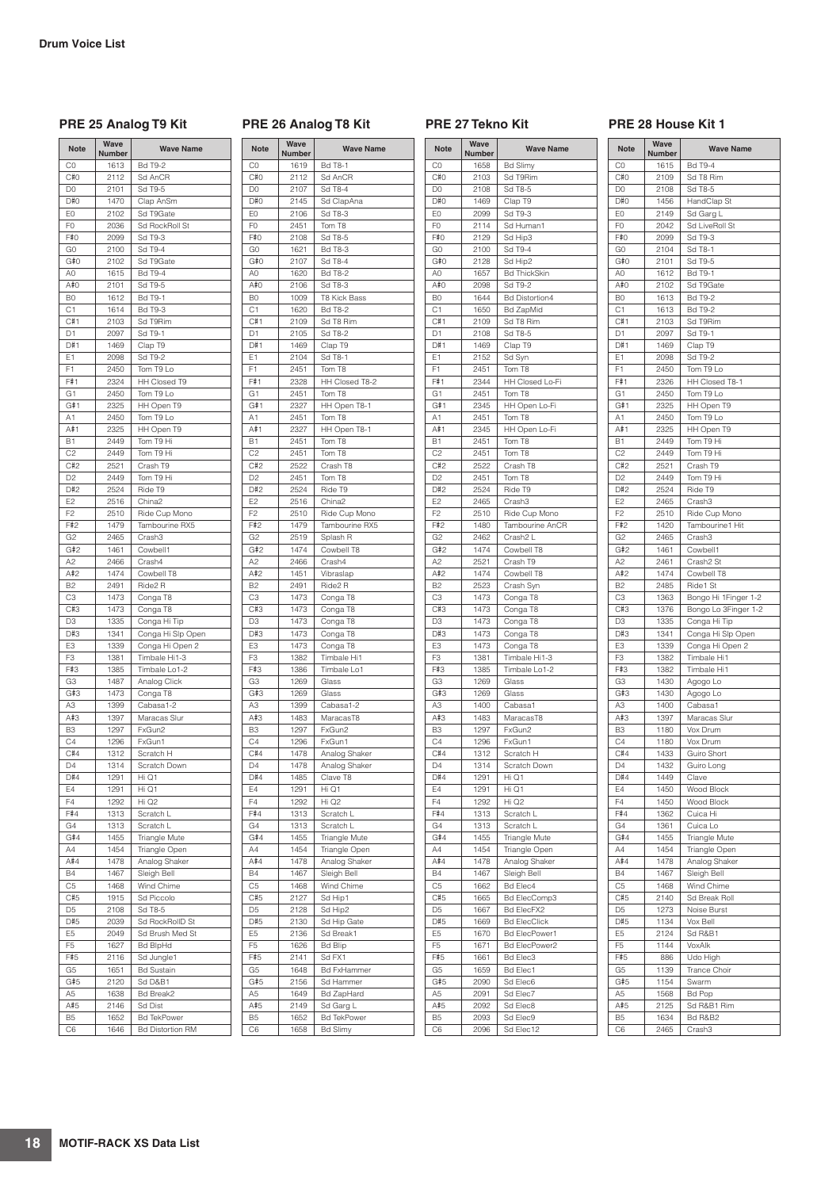# PRE 25 Analog T9 Kit PRE 26 Analog T8 Kit PRE 27 Tekno Kit PRE 28 House Kit 1

| Note           | Wave<br>Number | <b>Wave Name</b>     |
|----------------|----------------|----------------------|
| C <sub>0</sub> | 1613           | <b>Bd T9-2</b>       |
| C#0            | 2112           | Sd AnCR              |
| D <sub>0</sub> | 2101           | Sd T9-5              |
| D#0            | 1470           | Clap AnSm            |
| E <sub>0</sub> | 2102           | Sd T9Gate            |
| F <sub>0</sub> | 2036           | Sd RockRoll St       |
| F#0            | 2099           | Sd T9-3              |
| G <sub>0</sub> | 2100           | Sd T9-4              |
| G#0            | 2102           | Sd T9Gate            |
| A <sub>0</sub> | 1615           | <b>Bd T9-4</b>       |
| A#0            | 2101           | Sd T9-5              |
| B <sub>0</sub> | 1612           | <b>Bd T9-1</b>       |
| C <sub>1</sub> | 1614           | <b>Bd T9-3</b>       |
| C#1            | 2103           | Sd T9Rim             |
| D <sub>1</sub> | 2097           | Sd T9-1              |
| D#1            | 1469           | Clap T9              |
| E1             | 2098           | Sd T9-2              |
| F1             | 2450           | Tom T9 Lo            |
| F#1            | 2324           | HH Closed T9         |
| G <sub>1</sub> | 2450           | Tom T9 Lo            |
| G#1            | 2325           | HH Open T9           |
| A1             | 2450           | Tom T9 Lo            |
| A#1            | 2325           | HH Open T9           |
| <b>B1</b>      | 2449           | Tom T9 Hi            |
| C <sub>2</sub> | 2449           | Tom T9 Hi            |
| C#2            | 2521           | Crash T9             |
| D <sub>2</sub> | 2449           | Tom T9 Hi            |
| D#2            | 2524           | Ride T9              |
| E <sub>2</sub> | 2516           | China2               |
| F <sub>2</sub> | 2510           | Ride Cup Mono        |
| F#2            | 1479           | Tambourine RX5       |
| G <sub>2</sub> | 2465           | Crash3               |
| G#2            | 1461           | Cowbell1             |
| A <sub>2</sub> | 2466           | Crash4               |
| A#2            | 1474           | Cowbell T8           |
| B <sub>2</sub> | 2491           | Ride2 <sub>R</sub>   |
| C <sub>3</sub> | 1473           | Conga T8             |
| C#3            | 1473           | Conga T8             |
| D <sub>3</sub> | 1335           | Conga Hi Tip         |
| D#3            | 1341           | Conga Hi Slp Open    |
| E <sub>3</sub> | 1339           | Conga Hi Open 2      |
| F <sub>3</sub> | 1381           | Timbale Hi1-3        |
| F#3            | 1385           | Timbale Lo1-2        |
| G <sub>3</sub> | 1487           | Analog Click         |
| G#3            | 1473           | Conga T8             |
| A3             | 1399           | Cabasa1-2            |
| A#3            | 1397           | Maracas Slur         |
| B <sub>3</sub> | 1297           | FxGun2               |
| C <sub>4</sub> | 1296           | FxGun1               |
| C#4            | 1312           | Scratch H            |
| D <sub>4</sub> | 1314           | Scratch Down         |
| D#4            | 1291           | HI Q1                |
| E4             | 1291           | Hi Q1                |
| F4             | 1292           | Hi Q2                |
| F#4            | 1313           | Scratch L            |
| G4             | 1313           | Scratch L            |
| G#4            | 1455           | <b>Triangle Mute</b> |
| A4             | 1454           | Triangle Open        |
| A#4            | 1478           | Analog Shaker        |
| <b>B4</b>      | 1467           | Sleigh Bell          |
| C <sub>5</sub> | 1468           | Wind Chime           |
| C#5            | 1915           | Sd Piccolo           |
| D <sub>5</sub> | 2108           | Sd T8-5              |
| D#5            | 2039           | Sd RockRollD St      |
| E <sub>5</sub> | 2049           | Sd Brush Med St      |
| F <sub>5</sub> | 1627           | <b>Bd BlpHd</b>      |
| F#5            | 2116           | Sd Jungle1           |
| G <sub>5</sub> | 1651           | <b>Bd Sustain</b>    |
| G#5            | 2120           | Sd D&B1              |
| A <sub>5</sub> | 1638           | <b>Bd Break2</b>     |
| A#5            | 2146           | Sd Dist              |
| B <sub>5</sub> | 1652           | <b>Bd TekPower</b>   |

| <b>Note</b>           | Wave           | <b>Wave Name</b>      |
|-----------------------|----------------|-----------------------|
| CО                    | Number<br>1619 | <b>Bd T8-1</b>        |
| C#0                   | 2112           | Sd AnCR               |
| D <sub>0</sub>        | 2107           | <b>Sd T8-4</b>        |
| D#0                   | 2145           | Sd ClapAna            |
| E0                    | 2106           | <b>Sd T8-3</b>        |
| F <sub>0</sub>        | 2451           | Tom T8                |
| F#0                   | 2108           | Sd T8-5               |
| G0                    | 1621           | <b>Bd T8-3</b>        |
| G#0                   | 2107           | Sd T8-4               |
| A <sub>0</sub>        | 1620           | <b>Bd T8-2</b>        |
| A#O                   | 2106           | Sd T8-3               |
| B0                    | 1009           | <b>T8 Kick Bass</b>   |
| С1                    | 1620           | <b>Bd T8-2</b>        |
| C#1                   | 2109           | Sd T8 Rim             |
| D1                    | 2105           | Sd T8-2               |
| D#1<br>E <sub>1</sub> | 1469<br>2104   | Clap T9               |
| F1                    | 2451           | Sd T8-1<br>Tom T8     |
| F#1                   | 2328           | HH Closed T8-2        |
| G1                    | 2451           | Tom T8                |
| G#1                   | 2327           | HH Open T8-1          |
| A <sub>1</sub>        | 2451           | Tom T8                |
| A#1                   | 2327           | HH Open T8-1          |
| <b>B1</b>             | 2451           | Tom T8                |
| C <sub>2</sub>        | 2451           | Tom T8                |
| C#2                   | 2522           | Crash T8              |
| D <sub>2</sub>        | 2451           | Tom T8                |
| D#2                   | 2524           | Ride T9               |
| E <sub>2</sub>        | 2516           | China2                |
| F <sub>2</sub>        | 2510           | Ride Cup Mono         |
| F#2                   | 1479           | Tambourine RX5        |
| G <sub>2</sub>        | 2519           | Splash R              |
| G#2<br>A2             | 1474<br>2466   | Cowbell T8<br>Crash4  |
| A#2                   | 1451           | Vibraslap             |
| B <sub>2</sub>        | 2491           | Ride2 <sub>R</sub>    |
| CЗ                    | 1473           | Conga T8              |
| C#3                   | 1473           | Conga T8              |
| D3                    | 1473           | Conga T8              |
| D#3                   | 1473           | Conga T8              |
| E3                    | 1473           | Conga T8              |
| F3                    | 1382           | Timbale Hi1           |
| F#3                   | 1386           | Timbale Lo1           |
| G3                    | 1269           | Glass                 |
| G#3                   | 1269           | Glass                 |
| A3<br>A#3             | 1399           | Cabasa1-2             |
| B3                    | 1483<br>1297   | MaracasT8<br>FxGun2   |
| C4                    | 1296           | FxGun1                |
| C#4                   | 1478           | Analog Shaker         |
| D4                    | 1478           | Analog Shaker         |
| D#4                   | 1485           | Clave T8              |
| E4                    | 1291           | Hi Q1                 |
| F4                    | 1292           | Hi Q2                 |
| F#4                   | 1313           | Scratch L             |
| G4                    | 1313           | Scratch L             |
| G#4                   | 1455           | Triangle Mute         |
| A4                    | 1454           | Triangle Open         |
| A#4                   | 1478           | Analog Shaker         |
| B4                    | 1467           | Sleigh Bell           |
| C5<br>C#5             | 1468<br>2127   | Wind Chime<br>Sd Hip1 |
| D5                    | 2128           | Sd Hip2               |
| D#5                   | 2130           | Sd Hip Gate           |
| E <sub>5</sub>        | 2136           | Sd Break1             |
| F <sub>5</sub>        | 1626           | <b>Bd Blip</b>        |
| F#5                   | 2141           | Sd FX1                |
| G5                    | 1648           | <b>Bd FxHammer</b>    |
| G#5                   | 2156           | Sd Hammer             |
| A5                    | 1649           | Bd ZapHard            |
| A#5                   | 2149           | Sd Garg L             |
| B5                    | 1652           | <b>Bd TekPower</b>    |
| C6                    | 1658           | <b>Bd Slimy</b>       |

| <b>Note</b>           | Wave<br>Number | <b>Wave Name</b>                 |
|-----------------------|----------------|----------------------------------|
| C <sub>0</sub>        | 1658           | <b>Bd Slimy</b>                  |
| C#O                   | 2103           | Sd T9Rim                         |
| D <sub>0</sub>        | 2108           | <b>Sd T8-5</b>                   |
| D#0                   | 1469           | Clap T9                          |
| F <sub>0</sub>        | 2099           | Sd T9-3                          |
| F <sub>0</sub>        | 2114           | Sd Human1                        |
| F#0                   | 2129           | Sd Hip3                          |
| G <sub>0</sub>        | 2100           | Sd T9-4                          |
| G#0                   | 2128           | Sd Hip2                          |
| A <sub>0</sub>        | 1657           | <b>Bd ThickSkin</b>              |
| A#O<br>B <sub>0</sub> | 2098<br>1644   | Sd T9-2<br><b>Bd Distortion4</b> |
| C1                    | 1650           | <b>Bd ZapMid</b>                 |
| C#1                   | 2109           | Sd T8 Rim                        |
| D <sub>1</sub>        | 2108           | <b>Sd T8-5</b>                   |
| D#1                   | 1469           | Clap T9                          |
| E <sub>1</sub>        | 2152           | Sd Syn                           |
| F <sub>1</sub>        | 2451           | Tom T8                           |
| F#1                   | 2344           | HH Closed Lo-Fi                  |
| G <sub>1</sub>        | 2451           | Tom T8                           |
| G#1                   | 2345           | HH Open Lo-Fi                    |
| A1                    | 2451           | Tom T8                           |
| A#1<br>B <sub>1</sub> | 2345<br>2451   | HH Open Lo-Fi<br>Tom T8          |
| C <sub>2</sub>        | 2451           | Tom T8                           |
| C#2                   | 2522           | Crash T8                         |
| D <sub>2</sub>        | 2451           | Tom T8                           |
| D#2                   | 2524           | Ride T9                          |
| E <sub>2</sub>        | 2465           | Crash3                           |
| F <sub>2</sub>        | 2510           | Ride Cup Mono                    |
| F#2                   | 1480           | Tambourine AnCR                  |
| G2                    | 2462           | Crash2 L                         |
| G#2                   | 1474           | Cowbell T8                       |
| A2                    | 2521           | Crash T9                         |
| A#2<br>B <sub>2</sub> | 1474<br>2523   | Cowbell T8                       |
| C <sub>3</sub>        | 1473           | Crash Syn<br>Conga T8            |
| C#3                   | 1473           | Conga T8                         |
| D <sub>3</sub>        | 1473           | Conga T8                         |
| D#3                   | 1473           | Conga T8                         |
| E <sub>3</sub>        | 1473           | Conga T8                         |
| F <sub>3</sub>        | 1381           | Timbale Hi1-3                    |
| F#3                   | 1385           | Timbale Lo1-2                    |
| G <sub>3</sub>        | 1269           | Glass                            |
| G#3                   | 1269           | Glass                            |
| A <sub>3</sub><br>A#3 | 1400<br>1483   | Cabasa1<br>MaracasT8             |
| B <sub>3</sub>        | 1297           | FxGun2                           |
| C4                    | 1296           | FxGun1                           |
| C#4                   | 1312           | Scratch H                        |
| D4                    | 1314           | Scratch Down                     |
| D#4                   | 1291           | HI Q1                            |
| E4                    | 1291           | Hi Q1                            |
| F4                    | 1292           | Hi Q2                            |
| F#4                   | 1313           | Scratch L                        |
| G4                    | 1313           | Scratch L                        |
| G#4<br>A4             | 1455<br>1454   | Triangle Mute<br>Triangle Open   |
| A#4                   | 1478           | Analog Shaker                    |
| <b>B4</b>             | 1467           | Sleigh Bell                      |
| C <sub>5</sub>        | 1662           | <b>Bd Elec4</b>                  |
| C#5                   | 1665           | Bd ElecComp3                     |
| D <sub>5</sub>        | 1667           | Bd ElecFX2                       |
| D#5                   | 1669           | <b>Bd ElecClick</b>              |
| E <sub>5</sub>        | 1670           | <b>Bd ElecPower1</b>             |
| F <sub>5</sub>        | 1671           | <b>Bd ElecPower2</b>             |
| F#5                   | 1661           | Bd Elec3                         |
| G <sub>5</sub>        | 1659           | Bd Elec1                         |
| G#5<br>A <sub>5</sub> | 2090<br>2091   | Sd Elec6<br>Sd Elec7             |
| A#5                   | 2092           | Sd Elec8                         |
| B <sub>5</sub>        | 2093           | Sd Elec9                         |
| C6                    | 2096           | Sd Elec12                        |
|                       |                |                                  |

| <b>Note</b>     | Wave<br>Number | <b>Wave Name</b>      |
|-----------------|----------------|-----------------------|
| C <sub>0</sub>  | 1615           | <b>Bd T9-4</b>        |
| C#O             | 2109           | Sd T8 Rim             |
| D <sub>0</sub>  | 2108           | Sd T8-5               |
| D#0             | 1456           | HandClap St           |
| E <sub>0</sub>  | 2149           | Sd Garg L             |
| F <sub>0</sub>  | 2042           | Sd LiveRoll St        |
| F#0             | 2099           | Sd T9-3               |
| G <sub>0</sub>  | 2104           | Sd T8-1               |
| G#0             | 2101           | Sd T9-5               |
| A <sub>0</sub>  | 1612           | <b>Bd T9-1</b>        |
| A#O             | 2102           | Sd T9Gate             |
| B <sub>0</sub>  | 1613           | <b>Bd T9-2</b>        |
| C <sub>1</sub>  | 1613           | <b>Bd T9-2</b>        |
| C#1             | 2103           | Sd T9Rim              |
| D <sub>1</sub>  | 2097           | Sd T9-1               |
| D#1             | 1469           | Clap T9               |
| E <sub>1</sub>  | 2098           | Sd T9-2               |
| F <sub>1</sub>  | 2450           | Tom T9 Lo             |
| F#1             | 2326           | HH Closed T8-1        |
| G <sub>1</sub>  | 2450           | Tom T9 Lo             |
| G#1             | 2325           | HH Open T9            |
| A1              | 2450           | Tom T9 Lo             |
| A#1             | 2325           | HH Open T9            |
| <b>B1</b>       | 2449           | Tom T9 Hi             |
| C <sub>2</sub>  | 2449           | Tom T9 Hi             |
|                 |                |                       |
| C#2             | 2521           | Crash T9              |
| D <sub>2</sub>  | 2449           | Tom T9 Hi<br>Ride T9  |
| D#2             | 2524           |                       |
| E <sub>2</sub>  | 2465           | Crash3                |
| F <sub>2</sub>  | 2510           | Ride Cup Mono         |
| F#2             | 1420           | Tambourine1 Hit       |
| G <sub>2</sub>  | 2465           | Crash3                |
| G#2             | 1461           | Cowbell1              |
| A <sub>2</sub>  | 2461           | Crash <sub>2</sub> St |
| A#2             | 1474           | Cowbell T8            |
| <b>B2</b>       | 2485           | Ride1 St              |
| $\bar{c}$ 3     | 1363           | Bongo Hi 1Finger 1-2  |
| C#3             | 1376           | Bongo Lo 3Finger 1-2  |
| D <sub>3</sub>  | 1335           | Conga Hi Tip          |
| D#3             | 1341           | Conga Hi Slp Open     |
| E <sub>3</sub>  | 1339           | Conga Hi Open 2       |
| F <sub>3</sub>  | 1382           | Timbale Hi1           |
| F#3             | 1382           | Timbale Hi1           |
| G3              | 1430           | Agogo Lo              |
| G#3             | 1430           | Agogo Lo              |
| A3              | 1400           | Cabasa1               |
| A#3             | 1397           | Maracas Slur          |
| B <sub>3</sub>  | 1180           | Vox Drum              |
| C <sub>4</sub>  | 1180           | Vox Drum              |
| C#4             | 1433           | Guiro Short           |
| D4              | 1432           | Guiro Long            |
| D#4             | 1449           | Clave                 |
| E4              | 1450           | Wood Block            |
| F4              | 1450           | Wood Block            |
| F#4             | 1362           | Cuica Hi              |
| G4              | 1361           | Cuica Lo              |
| G#4             | 1455           | Triangle Mute         |
| A4              | 1454           | Triangle Open         |
| A#4             | 1478           | Analog Shaker         |
| <b>B4</b>       | 1467           | Sleigh Bell           |
| C <sub>5</sub>  | 1468           | Wind Chime            |
| C#5             | 2140           | Sd Break Roll         |
|                 |                |                       |
| D <sub>5</sub>  | 1273           | Noise Burst           |
| D#5             | 1134           | Vox Bell              |
|                 |                | Sd R&B1               |
| E <sub>5</sub>  | 2124           |                       |
| F <sub>5</sub>  | 1144           | VoxAlk                |
| F#5             | 886            | Udo High              |
| G <sub>5</sub>  | 1139           | Trance Choir          |
| G#5             | 1154           | Swarm                 |
| A5              | 1568           | <b>Bd Pop</b>         |
| A#5             | 2125           | Sd R&B1 Rim           |
| <b>B5</b><br>C6 | 1634<br>2465   | Bd R&B2<br>Crash3     |

C6 | 1646 | Bd Distortion RM

 $\Gamma$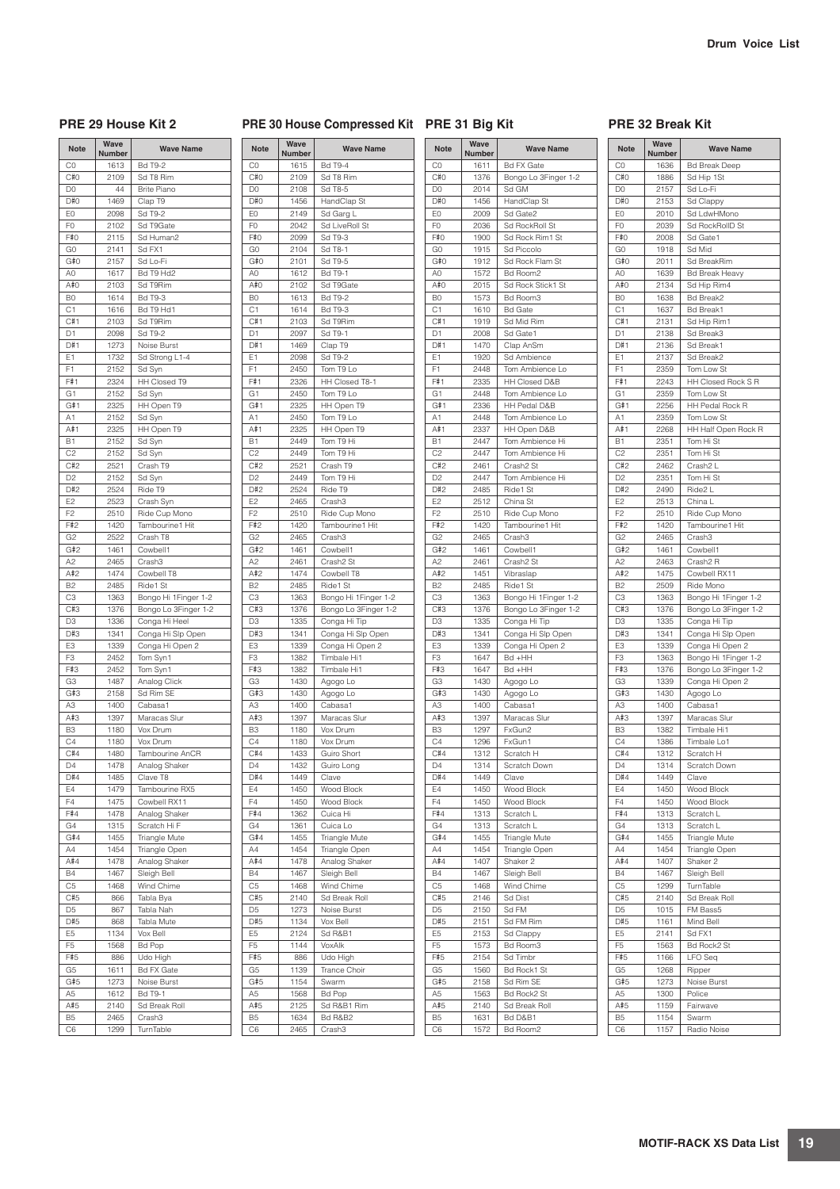# **PRE 29 House Kit 2 PRE 30 House Compressed Kit PRE 31 Big Kit PRE 32 Break Kit**

| <b>Note</b>    | Wave<br>Number | <b>Wave Name</b>     |  |
|----------------|----------------|----------------------|--|
| C <sub>0</sub> | 1613           | <b>Bd T9-2</b>       |  |
| C#O            | 2109           | Sd T8 Rim            |  |
| D <sub>0</sub> | 44             | <b>Brite Piano</b>   |  |
| D#0            | 1469           | Clap T9              |  |
| E <sub>0</sub> | 2098           | Sd T9-2              |  |
| F <sub>0</sub> | 2102           | Sd T9Gate            |  |
| F#0            |                |                      |  |
|                | 2115           | Sd Human2            |  |
| G <sub>0</sub> | 2141           | Sd FX1               |  |
| G#O            | 2157           | Sd Lo-Fi             |  |
| A <sub>0</sub> | 1617           | Bd T9 Hd2            |  |
| A#0            | 2103           | Sd T9Rim             |  |
| B <sub>0</sub> | 1614           | <b>Bd T9-3</b>       |  |
| C <sub>1</sub> | 1616           | Bd T9 Hd1            |  |
| C#1            | 2103           | Sd T9Rim             |  |
| D1             | 2098           | <b>Sd T9-2</b>       |  |
| D#1            | 1273           | Noise Burst          |  |
| E <sub>1</sub> | 1732           | Sd Strong L1-4       |  |
| F <sub>1</sub> | 2152           | Sd Syn               |  |
| F#1            | 2324           | HH Closed T9         |  |
| G1             | 2152           | Sd Syn               |  |
| G#1            | 2325           | HH Open T9           |  |
| A1             | 2152           | Sd Syn               |  |
| A#1            | 2325           | HH Open T9           |  |
| <b>B1</b>      | 2152           | Sd Syn               |  |
| C <sub>2</sub> | 2152           | Sd Syn               |  |
| C#2            | 2521           | Crash T9             |  |
| D <sub>2</sub> | 2152           | Sd Syn               |  |
| D#2            | 2524           | Ride T9              |  |
| E <sub>2</sub> | 2523           |                      |  |
|                |                | Crash Syn            |  |
| F <sub>2</sub> | 2510           | Ride Cup Mono        |  |
| F#2            | 1420           | Tambourine1 Hit      |  |
| G <sub>2</sub> | 2522           | Crash T8             |  |
| G#2            | 1461           | Cowbell1             |  |
| A <sub>2</sub> | 2465           | Crash3               |  |
| A#2            | 1474           | Cowbell T8           |  |
| B <sub>2</sub> | 2485           | Ride1 St             |  |
| C3             | 1363           | Bongo Hi 1Finger 1-2 |  |
| C#3            | 1376           | Bongo Lo 3Finger 1-2 |  |
| D <sub>3</sub> | 1336           | Conga Hi Heel        |  |
| D#3            | 1341           | Conga Hi Slp Open    |  |
| E <sub>3</sub> | 1339           | Conga Hi Open 2      |  |
| F <sub>3</sub> | 2452           | Tom Syn1             |  |
| F#3            | 2452           | Tom Syn1             |  |
| G3             | 1487           | Analog Click         |  |
| G#3            | 2158           | Sd Rim SE            |  |
| A3             | 1400           | Cabasa1              |  |
| A#3            | 1397           | Maracas Slur         |  |
| B <sub>3</sub> | 1180           | Vox Drum             |  |
| C <sub>4</sub> | 1180           | Vox Drum             |  |
| C#4            | 1480           | Tambourine AnCR      |  |
| D <sub>4</sub> | 1478           |                      |  |
|                |                | Analog Shaker        |  |
| D#4            | 1485           | Clave T8             |  |
| E4             | 1479           | Tambourine RX5       |  |
| F <sub>4</sub> | 1475           | Cowbell RX11         |  |
| F#4            | 1478           | Analog Shaker        |  |
| G4             | 1315           | Scratch Hi F         |  |
| G#4            | 1455           | Triangle Mute        |  |
| A4             | 1454           | Triangle Open        |  |
| A#4            | 1478           | Analog Shaker        |  |
| <b>B4</b>      | 1467           | Sleigh Bell          |  |
| C <sub>5</sub> | 1468           | Wind Chime           |  |
| C#5            | 866            | Tabla Bya            |  |
| D <sub>5</sub> | 867            | Tabla Nah            |  |
| D#5            | 868            | Tabla Mute           |  |
| E <sub>5</sub> | 1134           | Vox Bell             |  |
| F <sub>5</sub> | 1568           | <b>Bd Pop</b>        |  |
| F#5            | 886            | Udo High             |  |
| G <sub>5</sub> | 1611           | <b>Bd FX Gate</b>    |  |
|                |                |                      |  |
| G#5            | 1273           | Noise Burst          |  |
| A <sub>5</sub> | 1612           | <b>Bd T9-1</b>       |  |
| A#5            | 2140           | Sd Break Roll        |  |
| B <sub>5</sub> | 2465           | Crash3               |  |
| C6             | 1299           | TurnTable            |  |

| <b>Note</b>                      | Wave<br>Number | <b>Wave Name</b>                  |
|----------------------------------|----------------|-----------------------------------|
| C0                               | 1615           | <b>Bd T9-4</b>                    |
| C#O                              | 2109           | Sd T8 Rim                         |
| D <sub>0</sub>                   | 2108           | Sd T8-5                           |
| D#0                              | 1456           | HandClap St                       |
| E <sub>0</sub>                   | 2149           | Sd Garg L                         |
| F <sub>0</sub>                   | 2042           | Sd LiveRoll St                    |
| F#0                              | 2099           | Sd T9-3                           |
| G0                               | 2104           | Sd T8-1                           |
| G#0                              | 2101           | Sd T9-5                           |
| A0                               | 1612           | <b>Bd T9-1</b>                    |
| A#O                              | 2102           | Sd T9Gate                         |
| B <sub>0</sub>                   | 1613           | <b>Bd T9-2</b>                    |
| C1                               | 1614           | <b>Bd T9-3</b>                    |
| C#1                              | 2103           | Sd T9Rim                          |
| D1                               | 2097           | Sd T9-1                           |
| D#1                              | 1469           | Clap T9                           |
| Ε1                               | 2098           | Sd T9-2                           |
| F1                               | 2450           | Tom T9 Lo                         |
| F#1                              | 2326           | HH Closed T8-1                    |
| G1                               | 2450           | Tom T9 Lo                         |
| G#1                              | 2325           | HH Open T9                        |
| Α1                               | 2450           | Tom T9 Lo                         |
| A#1                              | 2325           | HH Open T9                        |
| B1                               | 2449           | Tom T9 Hi                         |
| C <sub>2</sub>                   | 2449           | Tom T9 Hi                         |
| C#2                              | 2521           | Crash T9                          |
| D <sub>2</sub>                   | 2449           | Tom T9 Hi                         |
| D#2                              | 2524           | Ride T9                           |
| E2                               | 2465           | Crash3                            |
| F <sub>2</sub>                   | 2510           |                                   |
| F#2                              | 1420           | Ride Cup Mono<br>Tambourine1 Hit  |
| G <sub>2</sub>                   | 2465           |                                   |
|                                  |                | Crash3                            |
| G#2                              | 1461           | Cowbell1<br>Crash <sub>2</sub> St |
| A2                               | 2461           |                                   |
| A#2                              | 1474           | Cowbell T8                        |
| B <sub>2</sub><br>C <sub>3</sub> | 2485<br>1363   | Ride1 St                          |
|                                  |                | Bongo Hi 1Finger 1-2              |
| C#3                              | 1376           | Bongo Lo 3Finger 1-2              |
| D3                               | 1335           | Conga Hi Tip                      |
| D#3                              | 1341           | Conga Hi Slp Open                 |
| E3                               | 1339           | Conga Hi Open 2                   |
| F3                               | 1382           | Timbale Hi1                       |
| F#3                              | 1382           | Timbale Hi1                       |
| G <sub>3</sub>                   | 1430           | Agogo Lo                          |
| G#3                              | 1430           | Agogo Lo                          |
| A3                               | 1400           | Cabasa1                           |
| A#3                              | 1397           | Maracas Slur                      |
| B3<br>C4                         | 1180           | Vox Drum                          |
|                                  | 1180           | Vox Drum                          |
| C#4                              | 1433           | Guiro Short                       |
| D <sub>4</sub>                   | 1432           | Guiro Long                        |
| D#4                              | 1449           | Clave                             |
| E4                               | 1450           | Wood Block                        |
| F4                               | 1450           | Wood Block                        |
| F#4                              | 1362           | Cuica Hi                          |
| G4                               | 1361           | Cuica Lo                          |
| G#4                              | 1455           | <b>Triangle Mute</b>              |
| A4                               | 1454           | Triangle Open                     |
| A#4                              | 1478           | Analog Shaker                     |
| Β4                               | 1467           | Sleigh Bell                       |
| C <sub>5</sub>                   | 1468           | Wind Chime                        |
| C#5                              | 2140           | Sd Break Roll                     |
| D5                               | 1273           | Noise Burst                       |
| D#5                              | 1134           | Vox Bell                          |
| E5                               | 2124           | Sd R&B1                           |
| F <sub>5</sub>                   | 1144           | VoxAlk                            |
| F#5                              | 886            | Udo High                          |
| G5                               | 1139           | <b>Trance Choir</b>               |
| G#5                              | 1154           | Swarm                             |
| A5                               | 1568           | <b>Bd Pop</b>                     |
| A#5                              | 2125           | Sd R&B1 Rim                       |
| B <sub>5</sub>                   | 1634           | Bd R&B2                           |
| C6                               | 2465           | Crash3                            |
|                                  |                |                                   |

| <b>Note</b>           | Wave<br>Number | <b>Wave Name</b>                         |
|-----------------------|----------------|------------------------------------------|
| CO                    | 1611           | <b>Bd FX Gate</b>                        |
| C#O                   | 1376           | Bongo Lo 3Finger 1-2                     |
| D <sub>0</sub>        | 2014           | Sd GM                                    |
| D#0                   | 1456           | HandClap St                              |
| E0                    | 2009           | Sd Gate2                                 |
| F <sub>0</sub>        | 2036           | Sd RockRoll St                           |
| F#0                   | 1900           | Sd Rock Rim1 St                          |
| G <sub>0</sub>        | 1915           | Sd Piccolo                               |
| G#O                   | 1912           | Sd Rock Flam St                          |
| A <sub>0</sub>        | 1572           | Bd Room2                                 |
| A#O                   | 2015           | Sd Rock Stick1 St                        |
| B <sub>0</sub>        | 1573           | Bd Room3                                 |
| C <sub>1</sub>        | 1610           | <b>Bd Gate</b>                           |
| C#1                   | 1919           | Sd Mid Rim                               |
| D <sub>1</sub>        | 2008           | Sd Gate1                                 |
| D#1                   | 1470           | Clap AnSm                                |
| E <sub>1</sub>        | 1920           | Sd Ambience                              |
| F <sub>1</sub>        | 2448           | Tom Ambience Lo                          |
| F#1                   | 2335           | HH Closed D&B                            |
| G <sub>1</sub>        | 2448           | Tom Ambience Lo                          |
| G#1                   | 2336           | HH Pedal D&B                             |
| A1                    | 2448           | Tom Ambience Lo                          |
| A#1                   | 2337           | HH Open D&B                              |
| B <sub>1</sub>        | 2447           | Tom Ambience Hi                          |
| C2                    | 2447           | Tom Ambience Hi                          |
| C#2                   | 2461<br>2447   | Crash <sub>2</sub> St<br>Tom Ambience Hi |
| D <sub>2</sub><br>D#2 | 2485           | Ride1 St                                 |
| E <sub>2</sub>        | 2512           | China St                                 |
| F <sub>2</sub>        | 2510           | Ride Cup Mono                            |
| F#2                   | 1420           | Tambourine1 Hit                          |
| G <sub>2</sub>        | 2465           | Crash3                                   |
| G#2                   | 1461           | Cowbell1                                 |
| A2                    | 2461           | Crash <sub>2</sub> St                    |
| A#2                   | 1451           | Vibraslap                                |
| B <sub>2</sub>        | 2485           | Ride1 St                                 |
| C <sub>3</sub>        | 1363           | Bongo Hi 1Finger 1-2                     |
| C#3                   | 1376           | Bongo Lo 3Finger 1-2                     |
| D <sub>3</sub>        | 1335           | Conga Hi Tip                             |
| D#3                   | 1341           | Conga Hi Slp Open                        |
| E <sub>3</sub>        | 1339           | Conga Hi Open 2                          |
| F <sub>3</sub>        | 1647           | Bd +HH                                   |
| F#3                   | 1647           | Bd +HH                                   |
| G <sub>3</sub>        | 1430           | Agogo Lo                                 |
| G#3                   | 1430           | Agogo Lo                                 |
| A <sub>3</sub>        | 1400           | Cabasa1                                  |
| A#3<br>B <sub>3</sub> | 1397           | Maracas Slur                             |
| C <sub>4</sub>        | 1297<br>1296   | FxGun2<br>FxGun1                         |
| C#4                   | 1312           | Scratch H                                |
| D <sub>4</sub>        | 1314           | Scratch Down                             |
| D#4                   | 1449           | Clave                                    |
| E4                    | 1450           | Wood Block                               |
| F4                    | 1450           | Wood Block                               |
| F#4                   | 1313           | Scratch L                                |
| G4                    | 1313           | Scratch L                                |
| G#4                   | 1455           | Triangle Mute                            |
| A4                    | 1454           | Triangle Open                            |
| A#4                   | 1407           | Shaker 2                                 |
| <b>B4</b>             | 1467           | Sleigh Bell                              |
| C <sub>5</sub>        | 1468           | Wind Chime                               |
| C#5                   | 2146           | Sd Dist                                  |
| D <sub>5</sub>        | 2150           | Sd FM                                    |
| D#5                   | 2151           | Sd FM Rim                                |
| E <sub>5</sub>        | 2153           | Sd Clappy                                |
| F5                    | 1573           | Bd Room3                                 |
| F#5                   | 2154           | Sd Timbr                                 |
| G <sub>5</sub>        | 1560           | Bd Rock1 St                              |
| G#5                   | 2158           | Sd Rim SE                                |
| A <sub>5</sub>        | 1563           | <b>Bd Rock2 St</b>                       |
| A#5                   | 2140           | Sd Break Roll                            |
| B <sub>5</sub>        | 1631           | Bd D&B1                                  |
| C6                    | 1572           | Bd Room2                                 |

| <b>Note</b>           | Wave<br>Number | <b>Wave Name</b>               |
|-----------------------|----------------|--------------------------------|
| C <sub>0</sub>        | 1636           | <b>Bd Break Deep</b>           |
| C#0                   | 1886           | Sd Hip 1St                     |
| D <sub>0</sub>        | 2157           | Sd Lo-Fi                       |
| D#0                   | 2153           | Sd Clappy                      |
| E <sub>0</sub>        | 2010           | Sd LdwHMono                    |
| F <sub>0</sub>        | 2039           | Sd RockRollD St                |
| F#0                   | 2008           | Sd Gate1                       |
| G <sub>0</sub>        | 1918           | Sd Mid                         |
| G#0                   | 2011           | Sd BreakRim                    |
| A <sub>0</sub>        | 1639           | <b>Bd Break Heavy</b>          |
| A#0                   | 2134           | Sd Hip Rim4                    |
| B <sub>0</sub>        | 1638           | <b>Bd Break2</b>               |
| C <sub>1</sub>        | 1637           | <b>Bd Break1</b>               |
| C#1                   | 2131           | Sd Hip Rim1                    |
| D <sub>1</sub>        | 2138           | Sd Break3                      |
| D#1                   | 2136           | Sd Break1                      |
| E <sub>1</sub>        | 2137           | Sd Break2                      |
| F <sub>1</sub>        | 2359           | Tom Low St                     |
| F#1                   | 2243           | HH Closed Rock S R             |
| G1                    | 2359           | Tom Low St                     |
| G#1                   | 2256           | HH Pedal Rock R                |
| A1                    | 2359           | Tom Low St                     |
| A#1                   | 2268           | HH Half Open Rock R            |
| <b>B1</b>             | 2351           | Tom Hi St                      |
| C <sub>2</sub>        | 2351           | Tom Hi St                      |
| C#2                   | 2462           | Crash <sub>2</sub> L           |
| D <sub>2</sub>        | 2351           | Tom Hi St                      |
| D#2                   | 2490           | Ride2L                         |
| E <sub>2</sub>        | 2513           | China L                        |
| F <sub>2</sub>        | 2510           | Ride Cup Mono                  |
| F#2                   | 1420           | Tambourine1 Hit                |
| G <sub>2</sub><br>G#2 | 2465<br>1461   | Crash <sub>3</sub><br>Cowbell1 |
| A2                    | 2463           | Crash <sub>2</sub> R           |
| A#2                   | 1475           | Cowbell RX11                   |
| <b>B2</b>             | 2509           | Ride Mono                      |
| C <sub>3</sub>        | 1363           | Bongo Hi 1Finger 1-2           |
| C#3                   | 1376           | Bongo Lo 3Finger 1-2           |
| D <sub>3</sub>        | 1335           | Conga Hi Tip                   |
| D#3                   | 1341           | Conga Hi Slp Open              |
| E <sub>3</sub>        | 1339           | Conga Hi Open 2                |
| F <sub>3</sub>        | 1363           | Bongo Hi 1Finger 1-2           |
| F#3                   | 1376           | Bongo Lo 3Finger 1-2           |
| G <sub>3</sub>        | 1339           | Conga Hi Open 2                |
| G#3                   | 1430           | Agogo Lo                       |
| A3                    | 1400           | Cabasa1                        |
| A#3                   | 1397           | Maracas Slur                   |
| B <sub>3</sub>        | 1382           | Timbale Hi1                    |
| C <sub>4</sub>        | 1386           | Timbale Lo1                    |
| C#4                   | 1312           | Scratch H                      |
| D <sub>4</sub>        | 1314           | Scratch Down                   |
| D#4                   | 1449           | Clave                          |
| E4                    | 1450           | Wood Block                     |
| F4                    | 1450           | Wood Block                     |
| F#4                   | 1313           | Scratch L                      |
| G4                    | 1313           | Scratch L                      |
| G#4                   | 1455           | Triangle Mute                  |
| A4                    | 1454           | Triangle Open                  |
| A#4                   | 1407           | Shaker 2                       |
| <b>B4</b>             | 1467           | Sleigh Bell                    |
| C <sub>5</sub>        | 1299           | TurnTable                      |
| C#5                   | 2140           | Sd Break Roll                  |
| D5                    | 1015           | FM Bass5                       |
| D#5                   | 1161           | Mind Bell                      |
| E <sub>5</sub>        | 2141           | Sd FX1                         |
| F <sub>5</sub>        | 1563           | <b>Bd Rock2 St</b>             |
| F#5                   | 1166           | LFO Seq                        |
| G5                    | 1268           | Ripper                         |
| G#5                   | 1273           | Noise Burst                    |
| A <sub>5</sub>        | 1300           | Police                         |
| A#5                   | 1159           | Fairwave                       |
| <b>B5</b>             | 1154           | Swarm                          |
| C6                    | 1157           | Radio Noise                    |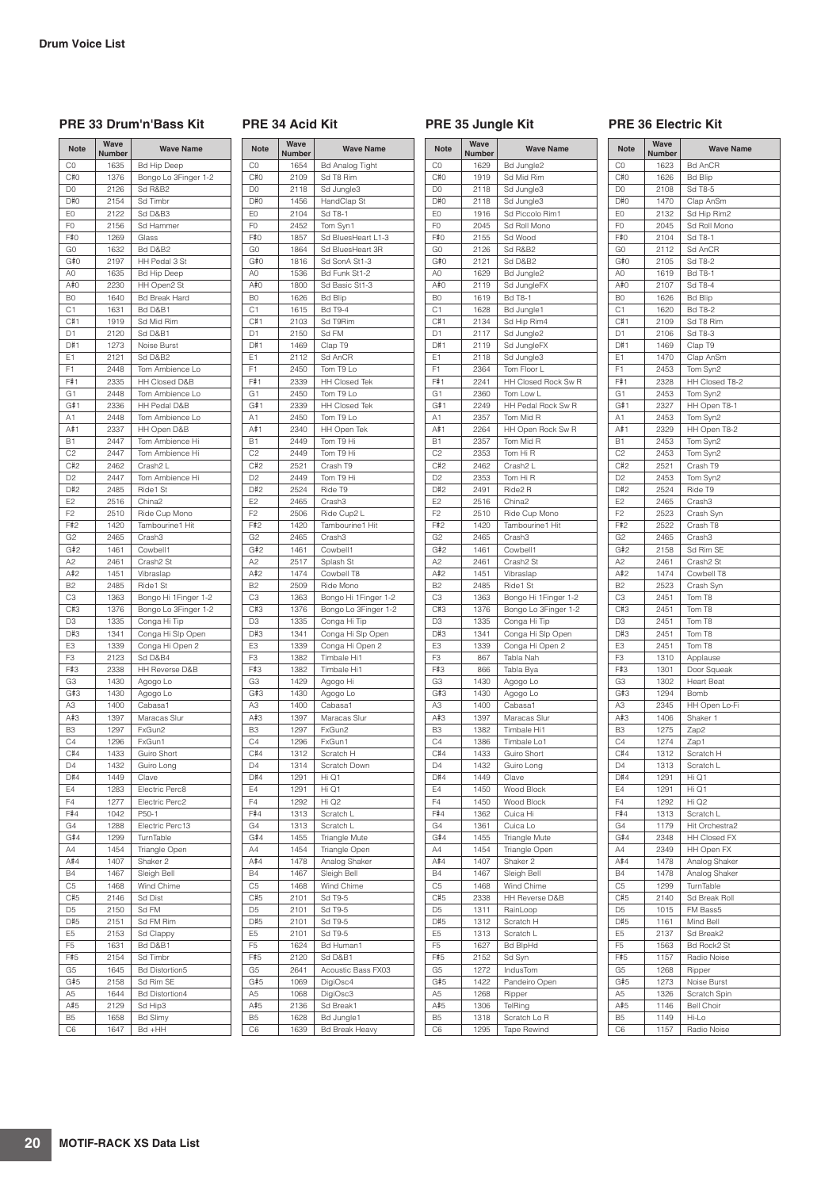### PRE 33 Drum'n'Bass Kit PRE 34 Acid Kit PRE 35 Jungle Kit PRE 36 Electric Kit

| <b>Note</b>           | Wave<br><b>Number</b> | <b>Wave Name</b>               | <b>Note</b>           |
|-----------------------|-----------------------|--------------------------------|-----------------------|
| C0                    | 1635                  | <b>Bd Hip Deep</b>             | C0                    |
| C#O                   | 1376                  | Bongo Lo 3Finger 1-2           | C#O                   |
| D <sub>0</sub>        | 2126                  | Sd R&B2                        | D <sub>0</sub>        |
| D#0                   | 2154                  | Sd Timbr                       | D#0                   |
| E <sub>0</sub>        | 2122                  | Sd D&B3                        | E <sub>0</sub>        |
| F <sub>0</sub>        | 2156                  | Sd Hammer                      | F <sub>0</sub>        |
| F#0                   | 1269                  | Glass                          | F#0                   |
| G <sub>0</sub>        | 1632                  | Bd D&B2                        | G <sub>0</sub>        |
| G#0                   | 2197                  | HH Pedal 3 St                  | G#0                   |
| A0                    | 1635                  | <b>Bd Hip Deep</b>             | A <sub>0</sub>        |
| A#0                   | 2230                  | HH Open2 St                    | A#0                   |
| B <sub>0</sub>        | 1640                  | <b>Bd Break Hard</b>           | B <sub>0</sub>        |
| C1                    | 1631                  | Bd D&B1                        | C <sub>1</sub>        |
| C#1                   | 1919                  | Sd Mid Rim                     | C#1                   |
| D <sub>1</sub>        | 2120                  | Sd D&B1                        | D <sub>1</sub>        |
| D#1                   | 1273                  | Noise Burst                    | D#1                   |
| E <sub>1</sub>        | 2121                  | Sd D&B2                        | E <sub>1</sub>        |
| F <sub>1</sub>        | 2448                  | Tom Ambience Lo                | F <sub>1</sub>        |
| F#1                   | 2335                  | HH Closed D&B                  | F#1                   |
| G1                    | 2448                  | Tom Ambience Lo                | G1                    |
| G#1                   | 2336                  | HH Pedal D&B                   | G#1                   |
| A1<br>A#1             | 2448                  | Tom Ambience Lo                | A1<br>A#1             |
| <b>B1</b>             | 2337<br>2447          | HH Open D&B<br>Tom Ambience Hi | <b>B1</b>             |
| C <sub>2</sub>        | 2447                  | Tom Ambience Hi                | C <sub>2</sub>        |
| C#2                   | 2462                  | Crash <sub>2</sub> L           | C#2                   |
| D <sub>2</sub>        | 2447                  | Tom Ambience Hi                | D <sub>2</sub>        |
| D#2                   | 2485                  | Ride1 St                       | D#2                   |
| E <sub>2</sub>        | 2516                  | China2                         | E <sub>2</sub>        |
| F <sub>2</sub>        | 2510                  | Ride Cup Mono                  | F <sub>2</sub>        |
| F#2                   | 1420                  | Tambourine1 Hit                | F#2                   |
| G <sub>2</sub>        | 2465                  | Crash3                         | G <sub>2</sub>        |
| G#2                   | 1461                  | Cowbell1                       | G#2                   |
| A2                    | 2461                  | Crash2 St                      | A <sub>2</sub>        |
| A#2                   | 1451                  | Vibraslap                      | A#2                   |
| B <sub>2</sub>        | 2485                  | Ride1 St                       | B <sub>2</sub>        |
| C <sub>3</sub>        | 1363                  | Bongo Hi 1Finger 1-2           | C <sub>3</sub>        |
| C#3                   | 1376                  | Bongo Lo 3Finger 1-2           | C#3                   |
| D <sub>3</sub>        | 1335                  | Conga Hi Tip                   | D <sub>3</sub>        |
| D#3                   | 1341                  | Conga Hi Slp Open              | D#3                   |
| E <sub>3</sub>        | 1339                  | Conga Hi Open 2                | E <sub>3</sub>        |
| F <sub>3</sub>        | 2123                  | Sd D&B4                        | F <sub>3</sub>        |
| F#3                   | 2338                  | HH Reverse D&B                 | F#3                   |
| G3                    | 1430                  | Agogo Lo                       | G <sub>3</sub>        |
| G#3                   | 1430                  | Agogo Lo                       | G#3                   |
| A3                    | 1400                  | Cabasa1                        | A3                    |
| A#3                   | 1397                  | Maracas Slur                   | A#3                   |
| B <sub>3</sub>        | 1297                  | FxGun2                         | B <sub>3</sub>        |
| C <sub>4</sub>        | 1296                  | FxGun1                         | C <sub>4</sub>        |
| C#4                   | 1433                  | Guiro Short                    | C#4                   |
| D <sub>4</sub>        | 1432                  | Guiro Long                     | D <sub>4</sub>        |
| D#4                   | 1449                  | Clave                          | D#4                   |
| E4                    | 1283                  | Electric Perc8                 | E4                    |
| F4                    | 1277                  | Electric Perc2                 | F <sub>4</sub>        |
| F#4                   | 1042                  | P50-1                          | F#4                   |
| G4                    | 1288                  | Electric Perc13                | G4                    |
| G#4                   | 1299                  | TurnTable                      | G#4                   |
| A4                    | 1454                  | Triangle Open                  | A4                    |
| A#4                   | 1407                  | Shaker 2                       | A#4                   |
| <b>B4</b>             | 1467                  | Sleigh Bell                    | <b>B4</b>             |
| C <sub>5</sub>        | 1468                  | Wind Chime                     | C <sub>5</sub><br>C#5 |
| C#5                   | 2146                  | Sd Dist<br>Sd FM               |                       |
| D <sub>5</sub>        | 2150                  |                                | D <sub>5</sub>        |
| D#5<br>E <sub>5</sub> | 2151<br>2153          | Sd FM Rim<br>Sd Clappy         | D#5<br>E <sub>5</sub> |
| F <sub>5</sub>        | 1631                  | Bd D&B1                        | F <sub>5</sub>        |
| F#5                   | 2154                  | Sd Timbr                       | F#5                   |
| G5                    | 1645                  | <b>Bd Distortion5</b>          | G5                    |
| G#5                   | 2158                  | Sd Rim SE                      | G#5                   |
| A5                    | 1644                  | <b>Bd Distortion4</b>          | A5                    |
| A#5                   | 2129                  | Sd Hip3                        | A#5                   |
| B <sub>5</sub>        | 1658                  | <b>Bd Slimy</b>                | B <sub>5</sub>        |
| C6                    | 1647                  | Bd +HH                         | C6                    |

|                | Wave         | <b>Wave Name</b>                    |
|----------------|--------------|-------------------------------------|
| <b>Note</b>    | Number       |                                     |
| C0             | 1654         | <b>Bd Analog Tight</b>              |
| C#0            | 2109         | Sd T8 Rim                           |
| D0             | 2118         | Sd Jungle3                          |
| D#0            | 1456         | HandClap St                         |
| E0             | 2104         | Sd T8-1                             |
| F <sub>0</sub> | 2452         | Tom Syn1                            |
| F#0            | 1857         | Sd BluesHeart L1-3                  |
| G <sub>0</sub> | 1864         | Sd BluesHeart 3R                    |
| G#0            | 1816         | Sd SonA St1-3                       |
| A0             | 1536         | Bd Funk St1-2                       |
| A#O            | 1800         | Sd Basic St1-3                      |
| B0             | 1626         | <b>Bd Blip</b>                      |
| C1             | 1615         | <b>Bd T9-4</b>                      |
| C#1            | 2103         | Sd T9Rim                            |
| D1             | 2150         | Sd FM                               |
| D#1            | 1469         | Clap T9                             |
| E1             | 2112         | Sd AnCR                             |
| F <sub>1</sub> | 2450         | Tom T9 Lo                           |
| F#1            | 2339         | <b>HH Closed Tek</b>                |
| G1             | 2450         | Tom T9 Lo                           |
| G#1            | 2339         | <b>HH Closed Tek</b>                |
| A1             | 2450         | Tom T9 Lo                           |
| A#1            | 2340         | HH Open Tek                         |
| B1             | 2449         | Tom T9 Hi                           |
| C <sub>2</sub> | 2449         | Tom T9 Hi                           |
| C#2            | 2521         | Crash T9                            |
| D <sub>2</sub> | 2449         | Tom T9 Hi                           |
| D#2            | 2524         | Ride T9                             |
| E <sub>2</sub> | 2465         | Crash3                              |
| F <sub>2</sub> | 2506         | Ride Cup2 L                         |
| F#2            | 1420         | Tambourine1 Hit                     |
| G <sub>2</sub> | 2465         | Crash3                              |
| G#2            | 1461         | Cowbell1                            |
| A2             | 2517         | Splash St                           |
| A#2            | 1474         | Cowbell T8                          |
| B <sub>2</sub> | 2509         | Ride Mono                           |
| CЗ             | 1363         | Bongo Hi 1Finger 1-2                |
| C#3            | 1376         | Bongo Lo 3Finger 1-2                |
| D3             | 1335         | Conga Hi Tip                        |
| D#3            | 1341         | Conga Hi Slp Open                   |
| E3             | 1339         | Conga Hi Open 2                     |
| F3             | 1382         | Timbale Hi1                         |
| F#3            | 1382         | Timbale Hi1                         |
| G3             | 1429         | Agogo Hi                            |
| G#3            | 1430         | Agogo Lo                            |
| A3             | 1400         | Cabasa1                             |
| A#3            | 1397         | Maracas Slur                        |
| B3             | 1297         | FxGun2                              |
| C4             | 1296         | FxGun1                              |
| C#4            | 1312         | Scratch H                           |
| D <sub>4</sub> | 1314         | Scratch Down                        |
| D#4            | 1291         | Hi Q1                               |
| E4             | 1291         | Hi Q1                               |
| F4             | 1292         | Hi Q2                               |
| F#4            | 1313         | Scratch L                           |
| G4             | 1313         | Scratch L                           |
| G#4            | 1455         | <b>Triangle Mute</b>                |
| A4             | 1454         | Triangle Open                       |
| A#4            | 1478         | Analog Shaker                       |
| <b>B4</b>      | 1467         | Sleigh Bell                         |
| C <sub>5</sub> | 1468         | Wind Chime                          |
| C#5            | 2101         | Sd T9-5                             |
| D5             | 2101         | Sd T9-5                             |
| D#5            | 2101         | Sd T9-5                             |
| E5             | 2101         | Sd T9-5                             |
| F <sub>5</sub> | 1624         | Bd Human1                           |
| F#5            |              | Sd D&B1                             |
| G5             | 2120<br>2641 | Acoustic Bass FX03                  |
|                |              |                                     |
| G#5            | 1069         | DigiOsc4                            |
| A5<br>A#5      | 1068<br>2136 | DigiOsc3                            |
|                |              | Sd Break1                           |
| B5<br>C6       | 1628<br>1639 | Bd Jungle1<br><b>Bd Break Heavy</b> |
|                |              |                                     |

| <b>Note</b>                      | Wave           | <b>Wave Name</b>                     |
|----------------------------------|----------------|--------------------------------------|
| C <sub>0</sub>                   | Number<br>1629 | Bd Jungle2                           |
| C#O                              | 1919           | Sd Mid Rim                           |
| D <sub>0</sub>                   | 2118           | Sd Jungle3                           |
| D#0                              | 2118           | Sd Jungle3                           |
| E <sub>0</sub>                   | 1916           | Sd Piccolo Rim1                      |
| F <sub>0</sub>                   | 2045           | Sd Roll Mono                         |
| F#0                              | 2155           | Sd Wood                              |
| G <sub>0</sub>                   | 2126           | Sd R&B2                              |
| G#O<br>A <sub>0</sub>            | 2121<br>1629   | Sd D&B2<br>Bd Jungle2                |
| A#O                              | 2119           | Sd JungleFX                          |
| B <sub>0</sub>                   | 1619           | <b>Bd T8-1</b>                       |
| C1                               | 1628           | Bd Jungle1                           |
| C#1                              | 2134           | Sd Hip Rim4                          |
| D1                               | 2117           | Sd Jungle2                           |
| D#1                              | 2119           | Sd JungleFX                          |
| E <sub>1</sub>                   | 2118           | Sd Jungle3                           |
| F <sub>1</sub><br>F#1            | 2364<br>2241   | Tom Floor L<br>HH Closed Rock Sw R   |
| G1                               | 2360           | Tom Low L                            |
| G#1                              | 2249           | HH Pedal Rock Sw R                   |
| A1                               | 2357           | Tom Mid R                            |
| A#1                              | 2264           | HH Open Rock Sw R                    |
| <b>B1</b>                        | 2357           | Tom Mid R                            |
| C <sub>2</sub>                   | 2353           | Tom Hi R                             |
| C#2                              | 2462           | Crash <sub>2</sub> L                 |
| D <sub>2</sub>                   | 2353           | Tom Hi R                             |
| D#2                              | 2491           | Ride <sub>2</sub> R                  |
| E <sub>2</sub><br>F <sub>2</sub> | 2516<br>2510   | China <sub>2</sub>                   |
| F#2                              | 1420           | Ride Cup Mono<br>Tambourine1 Hit     |
| G <sub>2</sub>                   | 2465           | Crash3                               |
| G#2                              | 1461           | Cowbell1                             |
| A <sub>2</sub>                   | 2461           | Crash <sub>2</sub> St                |
| A#2                              | 1451           | Vibraslap                            |
| B <sub>2</sub>                   | 2485           | Ride1 St                             |
| C <sub>3</sub>                   | 1363           | Bongo Hi 1Finger 1-2                 |
| C#3                              | 1376           | Bongo Lo 3Finger 1-2                 |
| D <sub>3</sub><br>D#3            | 1335<br>1341   | Conga Hi Tip                         |
| E <sub>3</sub>                   | 1339           | Conga Hi Slp Open<br>Conga Hi Open 2 |
| F <sub>3</sub>                   | 867            | Tabla Nah                            |
| F#3                              | 866            | Tabla Bya                            |
| G <sub>3</sub>                   | 1430           | Agogo Lo                             |
| G#3                              | 1430           | Agogo Lo                             |
| A3                               | 1400           | Cabasa1                              |
| A#3                              | 1397           | Maracas Slur                         |
| B <sub>3</sub>                   | 1382           | Timbale Hi1                          |
| C4                               | 1386           | Timbale Lo1                          |
| C#4<br>D4                        | 1433<br>1432   | Guiro Short                          |
| D#4                              | 1449           | Guiro Long<br>Clave                  |
| E4                               | 1450           | Wood Block                           |
| F4                               | 1450           | Wood Block                           |
| F#4                              | 1362           | Cuica Hi                             |
| G4                               | 1361           | Cuica Lo                             |
| G#4                              | 1455           | Triangle Mute                        |
| A4                               | 1454           | Triangle Open                        |
| A#4                              | 1407           | Shaker 2                             |
| <b>B4</b>                        | 1467           | Sleigh Bell                          |
| C <sub>5</sub><br>C#5            | 1468<br>2338   | Wind Chime<br>HH Reverse D&B         |
| D <sub>5</sub>                   | 1311           | RainLoop                             |
| D#5                              | 1312           | Scratch H                            |
| E <sub>5</sub>                   | 1313           | Scratch L                            |
| F <sub>5</sub>                   | 1627           | <b>Bd BlpHd</b>                      |
| F#5                              | 2152           | Sd Syn                               |
| G <sub>5</sub>                   | 1272           | IndusTom                             |
| G#5                              | 1422           | Pandeiro Open                        |
| A <sub>5</sub>                   | 1268           | Ripper                               |
| A#5<br>B <sub>5</sub>            | 1306           | TelRing                              |
| C6                               | 1318<br>1295   | Scratch Lo R<br><b>Tape Rewind</b>   |
|                                  |                |                                      |

| <b>Note</b>    | Wave<br>Number | <b>Wave Name</b>         |
|----------------|----------------|--------------------------|
| C <sub>0</sub> | 1623           | <b>Bd AnCR</b>           |
| C#O            | 1626           | <b>Bd Blip</b>           |
| D <sub>0</sub> | 2108           | Sd T8-5                  |
| D#0            | 1470           | Clap AnSm                |
| E <sub>0</sub> | 2132           | Sd Hip Rim2              |
| F <sub>0</sub> | 2045           | Sd Roll Mono             |
| F#0            | 2104           | <b>Sd T8-1</b>           |
| G <sub>0</sub> | 2112           | Sd AnCR                  |
| G#0            | 2105           | Sd T8-2                  |
| A <sub>0</sub> | 1619           | <b>Bd T8-1</b>           |
| A#0            | 2107           | <b>Sd T8-4</b>           |
| B <sub>0</sub> | 1626           | <b>Bd Blip</b>           |
| C <sub>1</sub> | 1620           | <b>Bd T8-2</b>           |
| C#1            | 2109           | Sd T8 Rim                |
| D <sub>1</sub> | 2106           | Sd T8-3                  |
| D#1            | 1469           | Clap T9                  |
| E <sub>1</sub> | 1470           | Clap AnSm                |
| F1<br>F#1      | 2453           | Tom Syn2                 |
| G <sub>1</sub> | 2328<br>2453   | HH Closed T8-2           |
| G#1            | 2327           | Tom Syn2<br>HH Open T8-1 |
| A1             | 2453           | Tom Syn2                 |
| A#1            | 2329           | HH Open T8-2             |
| <b>B1</b>      | 2453           | Tom Syn2                 |
| C <sub>2</sub> | 2453           | Tom Syn2                 |
| C#2            | 2521           | Crash T9                 |
| D <sub>2</sub> | 2453           | Tom Syn2                 |
| D#2            | 2524           | Ride T9                  |
| E <sub>2</sub> | 2465           | Crash3                   |
| F <sub>2</sub> | 2523           | Crash Syn                |
| F#2            | 2522           | Crash T8                 |
| G <sub>2</sub> | 2465           | Crash3                   |
| G#2            | 2158           | Sd Rim SE                |
| A <sub>2</sub> | 2461           | Crash <sub>2</sub> St    |
| A#2            | 1474           | Cowbell T8               |
| B <sub>2</sub> | 2523           | Crash Syn                |
| C <sub>3</sub> | 2451           | Tom T8                   |
| C#3            | 2451           | Tom T8                   |
| D <sub>3</sub> | 2451           | Tom T8                   |
| D#3            | 2451           | Tom T8                   |
| E <sub>3</sub> | 2451           | Tom T8                   |
| F <sub>3</sub> | 1310           | Applause                 |
| F#3            | 1301           | Door Squeak              |
| G <sub>3</sub> | 1302           | <b>Heart Beat</b>        |
| G#3            | 1294           | Bomb                     |
| A <sub>3</sub> | 2345           | HH Open Lo-Fi            |
| A#3            | 1406           | Shaker 1                 |
| B <sub>3</sub> | 1275           | Zap2                     |
| C <sub>4</sub> | 1274           | Zap1                     |
| C#4            | 1312           | Scratch H                |
| D4<br>D#4      | 1313<br>1291   | Scratch L<br>Hi Q1       |
| E4             | 1291           | Hi Q1                    |
| F <sub>4</sub> | 1292           | Hi Q2                    |
| F#4            | 1313           | Scratch L                |
| G4             | 1179           | Hit Orchestra2           |
| G#4            | 2348           | <b>HH Closed FX</b>      |
| A4             | 2349           | HH Open FX               |
| A#4            | 1478           | Analog Shaker            |
| <b>B4</b>      | 1478           | Analog Shaker            |
| C <sub>5</sub> | 1299           | TurnTable                |
| C#5            | 2140           | Sd Break Roll            |
| D <sub>5</sub> | 1015           | FM Bass5                 |
| D#5            | 1161           | Mind Bell                |
| E <sub>5</sub> | 2137           | Sd Break2                |
| F <sub>5</sub> | 1563           | <b>Bd Rock2 St</b>       |
| F#5            | 1157           | Radio Noise              |
| G <sub>5</sub> | 1268           | Ripper                   |
| G#5            | 1273           | Noise Burst              |
| A <sub>5</sub> | 1326           | Scratch Spin             |
| A#5            | 1146           | <b>Bell Choir</b>        |
| B <sub>5</sub> | 1149           | Hi-Lo                    |
| C6             | 1157           | Radio Noise              |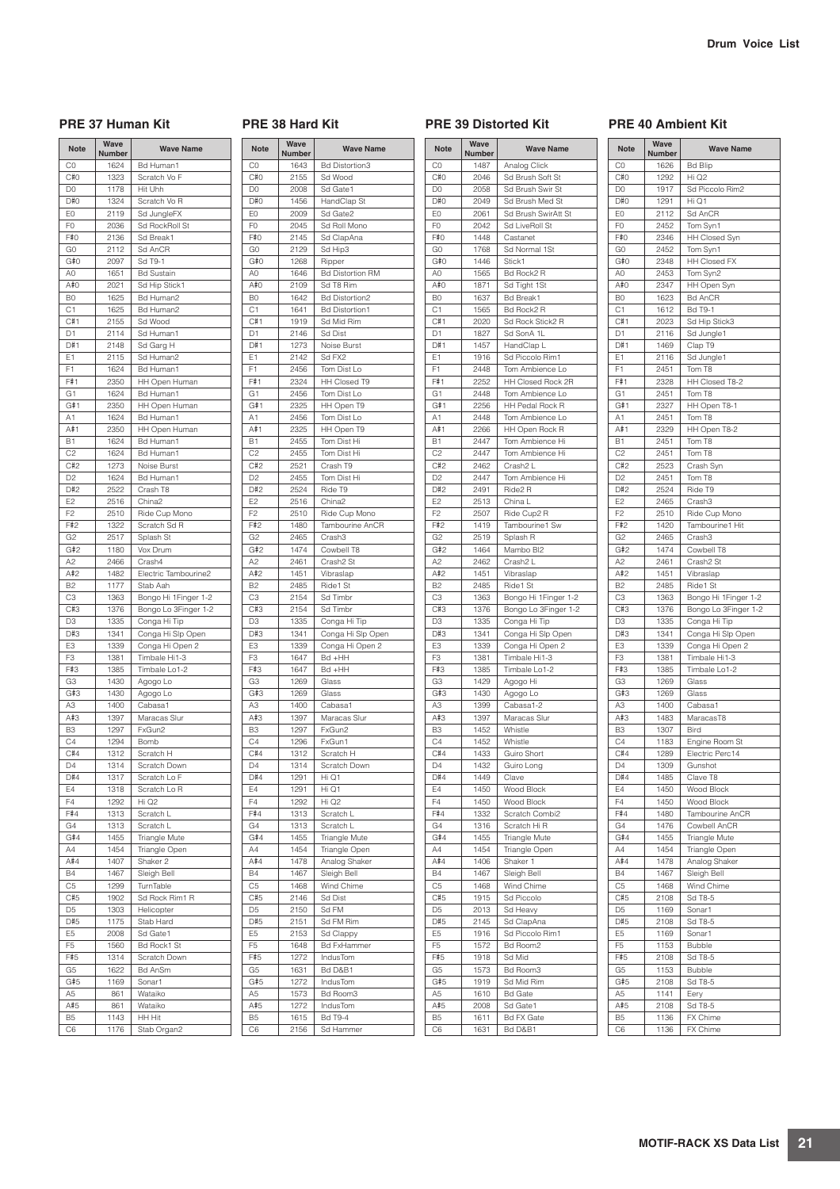### PRE 37 Human Kit PRE 38 Hard Kit PRE 39 Distorted Kit PRE 40 Ambient Kit

| <b>Note</b>                      | Wave<br>Number | <b>Wave Name</b>                 | <b>Not</b>            |
|----------------------------------|----------------|----------------------------------|-----------------------|
| C <sub>0</sub>                   | 1624           | Bd Human1                        | C0                    |
| C#O                              | 1323           | Scratch Vo F                     | C#O                   |
| D <sub>0</sub>                   | 1178           | Hit Uhh                          | D <sub>0</sub>        |
| D#0                              | 1324           | Scratch Vo R                     | D#0                   |
| E <sub>0</sub>                   | 2119           | Sd JungleFX                      | E <sub>0</sub>        |
| F <sub>0</sub>                   | 2036           | Sd RockRoll St                   | F <sub>0</sub>        |
| F#0                              | 2136<br>2112   | Sd Break1<br>Sd AnCR             | F#0<br>G <sub>0</sub> |
| G <sub>0</sub><br>G#O            | 2097           | Sd T9-1                          | G#0                   |
| A <sub>0</sub>                   | 1651           | <b>Bd Sustain</b>                | A <sub>0</sub>        |
| A#0                              | 2021           | Sd Hip Stick1                    | A#0                   |
| B <sub>0</sub>                   | 1625           | Bd Human2                        | B <sub>0</sub>        |
| C <sub>1</sub>                   | 1625           | Bd Human2                        | C <sub>1</sub>        |
| C#1                              | 2155           | Sd Wood                          | C#1                   |
| D <sub>1</sub>                   | 2114           | Sd Human1                        | D1                    |
| D#1                              | 2148           | Sd Garg H                        | D#1                   |
| E <sub>1</sub>                   | 2115           | Sd Human2                        | E <sub>1</sub>        |
| F <sub>1</sub><br>F#1            | 1624<br>2350   | Bd Human1<br>HH Open Human       | F <sub>1</sub><br>F#1 |
| G1                               | 1624           | Bd Human1                        | G1                    |
| G#1                              | 2350           | HH Open Human                    | G#1                   |
| A1                               | 1624           | Bd Human1                        | A1                    |
| A#1                              | 2350           | HH Open Human                    | A#1                   |
| <b>B1</b>                        | 1624           | Bd Human1                        | <b>B1</b>             |
| C <sub>2</sub>                   | 1624           | Bd Human1                        | C <sub>2</sub>        |
| C#2                              | 1273           | Noise Burst                      | C#2                   |
| D <sub>2</sub>                   | 1624           | Bd Human1                        | D <sub>2</sub>        |
| D#2                              | 2522           | Crash T8                         | D#2                   |
| E <sub>2</sub><br>F <sub>2</sub> | 2516<br>2510   | China2                           | E <sub>2</sub>        |
| F#2                              | 1322           | Ride Cup Mono<br>Scratch Sd R    | F <sub>2</sub><br>F#2 |
| G <sub>2</sub>                   | 2517           | Splash St                        | G <sub>2</sub>        |
| G#2                              | 1180           | Vox Drum                         | G#2                   |
| A <sub>2</sub>                   | 2466           | Crash4                           | A <sub>2</sub>        |
| A#2                              | 1482           | Electric Tambourine2             | A#2                   |
| B <sub>2</sub>                   | 1177           | Stab Aah                         | B <sub>2</sub>        |
| C <sub>3</sub>                   | 1363           | Bongo Hi 1Finger 1-2             | C <sub>3</sub>        |
| C#3                              | 1376           | Bongo Lo 3Finger 1-2             | C#3                   |
| D <sub>3</sub>                   | 1335           | Conga Hi Tip                     | D <sub>3</sub>        |
| D#3<br>E <sub>3</sub>            | 1341<br>1339   | Conga Hi Slp Open                | D#3<br>E <sub>3</sub> |
| F <sub>3</sub>                   | 1381           | Conga Hi Open 2<br>Timbale Hi1-3 | F <sub>3</sub>        |
| F#3                              | 1385           | Timbale Lo1-2                    | F#3                   |
| G3                               | 1430           | Agogo Lo                         | G <sub>3</sub>        |
| G#3                              | 1430           | Agogo Lo                         | G#3                   |
| A3                               | 1400           | Cabasa1                          | A3                    |
| A#3                              | 1397           | Maracas Slur                     | A#3                   |
| B <sub>3</sub>                   | 1297           | FxGun2                           | B <sub>3</sub>        |
| C <sub>4</sub>                   | 1294           | Bomb                             | C <sub>4</sub>        |
| C#4<br>D <sub>4</sub>            | 1312<br>1314   | Scratch H<br>Scratch Down        | C#4<br>D4             |
| D#4                              | 1317           | Scratch Lo F                     | D#4                   |
| E4                               | 1318           | Scratch Lo R                     | E4                    |
| F4                               | 1292           | Hi Q2                            | F4                    |
| F#4                              | 1313           | Scratch L                        | F#4                   |
| G4                               | 1313           | Scratch L                        | G4                    |
| G#4                              | 1455           | <b>Triangle Mute</b>             | G#4                   |
| A4                               | 1454           | Triangle Open                    | A4                    |
| A#4                              | 1407           | Shaker 2                         | A#4                   |
| <b>B4</b>                        | 1467           | Sleigh Bell                      | <b>B4</b>             |
| C <sub>5</sub>                   | 1299           | TurnTable                        | C <sub>5</sub>        |
| C#5<br>D <sub>5</sub>            | 1902<br>1303   | Sd Rock Rim1 R<br>Helicopter     | C#5<br>D <sub>5</sub> |
| D#5                              | 1175           | Stab Hard                        | D#5                   |
| E <sub>5</sub>                   | 2008           | Sd Gate1                         | E <sub>5</sub>        |
| F <sub>5</sub>                   | 1560           | Bd Rock1 St                      | F <sub>5</sub>        |
| F#5                              | 1314           | Scratch Down                     | F#5                   |
| G <sub>5</sub>                   | 1622           | <b>Bd AnSm</b>                   | G <sub>5</sub>        |
| G#5                              | 1169           | Sonar1                           | G#5                   |
| A <sub>5</sub>                   | 861            | Wataiko                          | A <sub>5</sub>        |
| A#5                              | 861            | Wataiko                          | A#5                   |
| B <sub>5</sub>                   | 1143           | HH Hit                           | B <sub>5</sub>        |
| C6                               | 1176           | Stab Organ2                      | C6                    |

| <b>Note</b>           | Wave<br>Number | <b>Wave Name</b>                               |
|-----------------------|----------------|------------------------------------------------|
| C0                    | 1643           | <b>Bd Distortion3</b>                          |
| C#0                   | 2155           | Sd Wood                                        |
| D0                    | 2008           | Sd Gate1                                       |
| D#0                   | 1456           | HandClap St                                    |
| E0                    | 2009           | Sd Gate2                                       |
| F <sub>0</sub>        | 2045           | Sd Roll Mono                                   |
| F#0                   | 2145           | Sd ClapAna                                     |
| G0                    | 2129           | Sd Hip3                                        |
| G#0                   | 1268           | Ripper                                         |
| A0                    | 1646           | <b>Bd Distortion RM</b>                        |
| A#O                   | 2109           | Sd T8 Rim                                      |
| B0<br>C <sub>1</sub>  | 1642           | <b>Bd Distortion2</b><br><b>Bd Distortion1</b> |
| C#1                   | 1641<br>1919   | Sd Mid Rim                                     |
| D1                    | 2146           | <b>Sd Dist</b>                                 |
| D#1                   | 1273           | Noise Burst                                    |
| E1                    | 2142           | Sd FX2                                         |
| F <sub>1</sub>        | 2456           | Tom Dist Lo                                    |
| F#1                   | 2324           | HH Closed T9                                   |
| G1                    | 2456           | Tom Dist Lo                                    |
| G#1                   | 2325           | HH Open T9                                     |
| A1                    | 2456           | Tom Dist Lo                                    |
| A#1                   | 2325           | HH Open T9                                     |
| <b>B1</b>             | 2455           | Tom Dist Hi                                    |
| C <sub>2</sub>        | 2455           | Tom Dist Hi                                    |
| C#2                   | 2521           | Crash T9                                       |
| D <sub>2</sub><br>D#2 | 2455<br>2524   | Tom Dist Hi<br>Ride T9                         |
| E <sub>2</sub>        | 2516           | China <sub>2</sub>                             |
| F <sub>2</sub>        | 2510           | Ride Cup Mono                                  |
| F#2                   | 1480           | Tambourine AnCR                                |
| G2                    | 2465           | Crash3                                         |
| G#2                   | 1474           | Cowbell T8                                     |
| A2                    | 2461           | Crash <sub>2</sub> St                          |
| A#2                   | 1451           | Vibraslap                                      |
| B <sub>2</sub>        | 2485           | Ride1 St                                       |
| C3                    | 2154           | Sd Timbr                                       |
| C#3                   | 2154           | Sd Timbr                                       |
| D3<br>D#3             | 1335<br>1341   | Conga Hi Tip<br>Conga Hi Slp Open              |
| E3                    | 1339           | Conga Hi Open 2                                |
| F3                    | 1647           | Bd +HH                                         |
| F#3                   | 1647           | Bd +HH                                         |
| G3                    | 1269           | Glass                                          |
| G#3                   | 1269           | Glass                                          |
| A3                    | 1400           | Cabasa1                                        |
| A#3                   | 1397           | Maracas Slur                                   |
| B3                    | 1297           | FxGun2                                         |
| C4                    | 1296           | FxGun1                                         |
| C#4                   | 1312           | Scratch H                                      |
| D4<br>D#4             | 1314           | Scratch Down<br>Hi Q1                          |
| E4                    | 1291<br>1291   | Hi Q1                                          |
| F4                    | 1292           | Hi Q2                                          |
| F#4                   | 1313           | Scratch L                                      |
| G4                    | 1313           | Scratch L                                      |
| G#4                   | 1455           | Triangle Mute                                  |
| A4                    | 1454           | Triangle Open                                  |
| A#4                   | 1478           | Analog Shaker                                  |
| <b>B4</b>             | 1467           | Sleigh Bell                                    |
| C <sub>5</sub>        | 1468           | Wind Chime                                     |
| C#5                   | 2146           | Sd Dist                                        |
| D5<br>D#5             | 2150<br>2151   | Sd FM<br>Sd FM Rim                             |
| E <sub>5</sub>        | 2153           | Sd Clappy                                      |
| F <sub>5</sub>        | 1648           | <b>Bd FxHammer</b>                             |
| F#5                   | 1272           | IndusTom                                       |
| G5                    | 1631           | Bd D&B1                                        |
| G#5                   | 1272           | IndusTom                                       |
| A5                    | 1573           | Bd Room3                                       |
| A#5                   | 1272           | IndusTom                                       |
| B5                    | 1615           | <b>Bd T9-4</b>                                 |
| C6                    | 2156           | Sd Hammer                                      |

| <b>Note</b>                      | Wave<br>Number | <b>Wave Name</b>                     |
|----------------------------------|----------------|--------------------------------------|
| C <sub>0</sub>                   | 1487           | Analog Click                         |
| C#O                              | 2046           | Sd Brush Soft St                     |
| D <sub>0</sub>                   | 2058           | Sd Brush Swir St                     |
| D#0                              | 2049           | Sd Brush Med St                      |
| E <sub>0</sub>                   | 2061           | Sd Brush SwirAtt St                  |
| F <sub>0</sub>                   | 2042           | Sd LiveRoll St                       |
| F#0                              | 1448           | Castanet                             |
| G <sub>0</sub><br>G#0            | 1768<br>1446   | Sd Normal 1St<br>Stick1              |
| A <sub>0</sub>                   | 1565           | Bd Rock2 R                           |
| A#O                              | 1871           | Sd Tight 1St                         |
| B <sub>0</sub>                   | 1637           | <b>Bd Break1</b>                     |
| C <sub>1</sub>                   | 1565           | Bd Rock2 R                           |
| C#1                              | 2020           | Sd Rock Stick2 R                     |
| D <sub>1</sub>                   | 1827           | Sd SonA 1L                           |
| D#1                              | 1457           | HandClap L                           |
| E <sub>1</sub>                   | 1916           | Sd Piccolo Rim1                      |
| F <sub>1</sub>                   | 2448           | Tom Ambience Lo                      |
| F#1<br>G1                        | 2252<br>2448   | HH Closed Rock 2R<br>Tom Ambience Lo |
| G#1                              | 2256           | HH Pedal Rock R                      |
| A1                               | 2448           | Tom Ambience Lo                      |
| A#1                              | 2266           | HH Open Rock R                       |
| B <sub>1</sub>                   | 2447           | Tom Ambience Hi                      |
| C <sub>2</sub>                   | 2447           | Tom Ambience Hi                      |
| C#2                              | 2462           | Crash2 L                             |
| D <sub>2</sub>                   | 2447           | Tom Ambience Hi                      |
| D#2                              | 2491           | Ride2 R                              |
| E <sub>2</sub>                   | 2513           | China L                              |
| F <sub>2</sub>                   | 2507           | Ride Cup2 R                          |
| F#2<br>G <sub>2</sub>            | 1419<br>2519   | Tambourine1 Sw<br>Splash R           |
| G#2                              | 1464           | Mambo BI2                            |
| A <sub>2</sub>                   | 2462           | Crash2 L                             |
| A#2                              | 1451           | Vibraslap                            |
| B <sub>2</sub>                   | 2485           | Ride1 St                             |
| C <sub>3</sub>                   | 1363           | Bongo Hi 1Finger 1-2                 |
| C#3                              | 1376           | Bongo Lo 3Finger 1-2                 |
| D <sub>3</sub>                   | 1335           | Conga Hi Tip                         |
| D#3                              | 1341           | Conga Hi Slp Open                    |
| E <sub>3</sub><br>F <sub>3</sub> | 1339<br>1381   | Conga Hi Open 2                      |
| F#3                              | 1385           | Timbale Hi1-3<br>Timbale Lo1-2       |
| G <sub>3</sub>                   | 1429           | Agogo Hi                             |
| G#3                              | 1430           | Agogo Lo                             |
| A3                               | 1399           | Cabasa1-2                            |
| A#3                              | 1397           | Maracas Slur                         |
| B <sub>3</sub>                   | 1452           | Whistle                              |
| C4                               | 1452           | Whistle                              |
| C#4                              | 1433           | Guiro Short                          |
| D <sub>4</sub>                   | 1432           | Guiro Long                           |
| D#4<br>E4                        | 1449<br>1450   | Clave                                |
| F <sub>4</sub>                   | 1450           | Wood Block<br>Wood Block             |
| F#4                              | 1332           | Scratch Combi2                       |
| G4                               | 1316           | Scratch Hi R                         |
| G#4                              | 1455           | Triangle Mute                        |
| A4                               | 1454           | Triangle Open                        |
| A#4                              | 1406           | Shaker 1                             |
| <b>B4</b>                        | 1467           | Sleigh Bell                          |
| C <sub>5</sub>                   | 1468           | Wind Chime                           |
| C#5                              | 1915           | Sd Piccolo                           |
| D <sub>5</sub>                   | 2013           | Sd Heavy                             |
| D#5<br>E <sub>5</sub>            | 2145<br>1916   | Sd ClapAna<br>Sd Piccolo Rim1        |
| F <sub>5</sub>                   | 1572           | Bd Room2                             |
| F#5                              | 1918           | Sd Mid                               |
| G <sub>5</sub>                   | 1573           | Bd Room3                             |
| G#5                              | 1919           | Sd Mid Rim                           |
| A5                               | 1610           | <b>Bd Gate</b>                       |
| A#5                              | 2008           | Sd Gate1                             |
| <b>B5</b>                        | 1611           | <b>Bd FX Gate</b>                    |
| C6                               | 1631           | Bd D&B1                              |

| <b>Note</b>           | Wave<br>Number | <b>Wave Name</b>                 |
|-----------------------|----------------|----------------------------------|
| C <sub>0</sub>        | 1626           | <b>Bd Blip</b>                   |
| C#0                   | 1292           | Hi Q2                            |
| D <sub>0</sub>        | 1917           | Sd Piccolo Rim2                  |
| D#0                   | 1291           | Hi Q1                            |
| E <sub>0</sub>        | 2112           | Sd AnCR                          |
| F <sub>0</sub>        | 2452           | Tom Syn1                         |
| F#0                   | 2346           | HH Closed Syn                    |
| G <sub>0</sub>        | 2452           | Tom Syn1                         |
| G#0                   | 2348           | <b>HH Closed FX</b>              |
| A <sub>0</sub>        | 2453           | Tom Syn2                         |
| A#O                   | 2347           | HH Open Syn                      |
| B <sub>0</sub>        | 1623           | <b>Bd AnCR</b>                   |
| C1                    | 1612           | <b>Bd T9-1</b>                   |
| C#1                   | 2023           | Sd Hip Stick3                    |
| D <sub>1</sub>        | 2116           | Sd Jungle1                       |
| D#1                   | 1469           | Clap T9                          |
| E <sub>1</sub>        | 2116           | Sd Jungle1                       |
| F1<br>F#1             | 2451<br>2328   | Tom T8                           |
| G1                    | 2451           | HH Closed T8-2<br>Tom T8         |
| G#1                   | 2327           |                                  |
| A1                    | 2451           | HH Open T8-1<br>Tom T8           |
| A#1                   | 2329           | HH Open T8-2                     |
| <b>B1</b>             | 2451           | Tom T8                           |
| C <sub>2</sub>        | 2451           | Tom T8                           |
| C#2                   | 2523           | Crash Syn                        |
| D <sub>2</sub>        | 2451           | Tom T8                           |
| D#2                   | 2524           | Ride T9                          |
| E <sub>2</sub>        | 2465           | Crash3                           |
| F <sub>2</sub>        | 2510           | Ride Cup Mono                    |
| F#2                   | 1420           | Tambourine1 Hit                  |
| G <sub>2</sub>        | 2465           | Crash3                           |
| G#2                   | 1474           | Cowbell T8                       |
| A <sub>2</sub>        | 2461           | Crash <sub>2</sub> St            |
| A#2                   | 1451           | Vibraslap                        |
| <b>B2</b>             | 2485           | Ride1 St                         |
| C <sub>3</sub>        | 1363           | Bongo Hi 1Finger 1-2             |
| C#3                   | 1376           | Bongo Lo 3Finger 1-2             |
| D <sub>3</sub>        | 1335           | Conga Hi Tip                     |
| D#3<br>E <sub>3</sub> | 1341<br>1339   | Conga Hi Slp Open                |
| F <sub>3</sub>        | 1381           | Conga Hi Open 2<br>Timbale Hi1-3 |
| F#3                   | 1385           | Timbale Lo1-2                    |
| G <sub>3</sub>        | 1269           | Glass                            |
| G#3                   | 1269           | Glass                            |
| A3                    | 1400           | Cabasa1                          |
| A#3                   | 1483           | MaracasT8                        |
| B <sub>3</sub>        | 1307           | Bird                             |
| C <sub>4</sub>        | 1183           | Engine Room St                   |
| C#4                   | 1289           | Electric Perc14                  |
| D4                    | 1309           | Gunshot                          |
| D#4                   | 1485           | Clave T8                         |
| E4                    | 1450           | Wood Block                       |
| F4                    | 1450           | Wood Block                       |
| F#4                   | 1480           | Tambourine AnCR                  |
| G4                    | 1476           | Cowbell AnCR                     |
| G#4                   | 1455           | Triangle Mute                    |
| A4                    | 1454           | Triangle Open                    |
| A#4                   | 1478           | Analog Shaker                    |
| B4                    | 1467           | Sleigh Bell                      |
| C <sub>5</sub><br>C#5 | 1468           | Wind Chime                       |
| D <sub>5</sub>        | 2108<br>1169   | Sd T8-5<br>Sonar1                |
| D#5                   | 2108           | <b>Sd T8-5</b>                   |
| E <sub>5</sub>        | 1169           | Sonar1                           |
| F5                    | 1153           | <b>Bubble</b>                    |
| F#5                   | 2108           | Sd T8-5                          |
| G <sub>5</sub>        | 1153           | <b>Bubble</b>                    |
| G#5                   | 2108           | Sd T8-5                          |
| A5                    | 1141           | Eery                             |
| A#5                   | 2108           | Sd T8-5                          |
| B <sub>5</sub>        | 1136           | FX Chime                         |
| C6                    | 1136           | FX Chime                         |
|                       |                |                                  |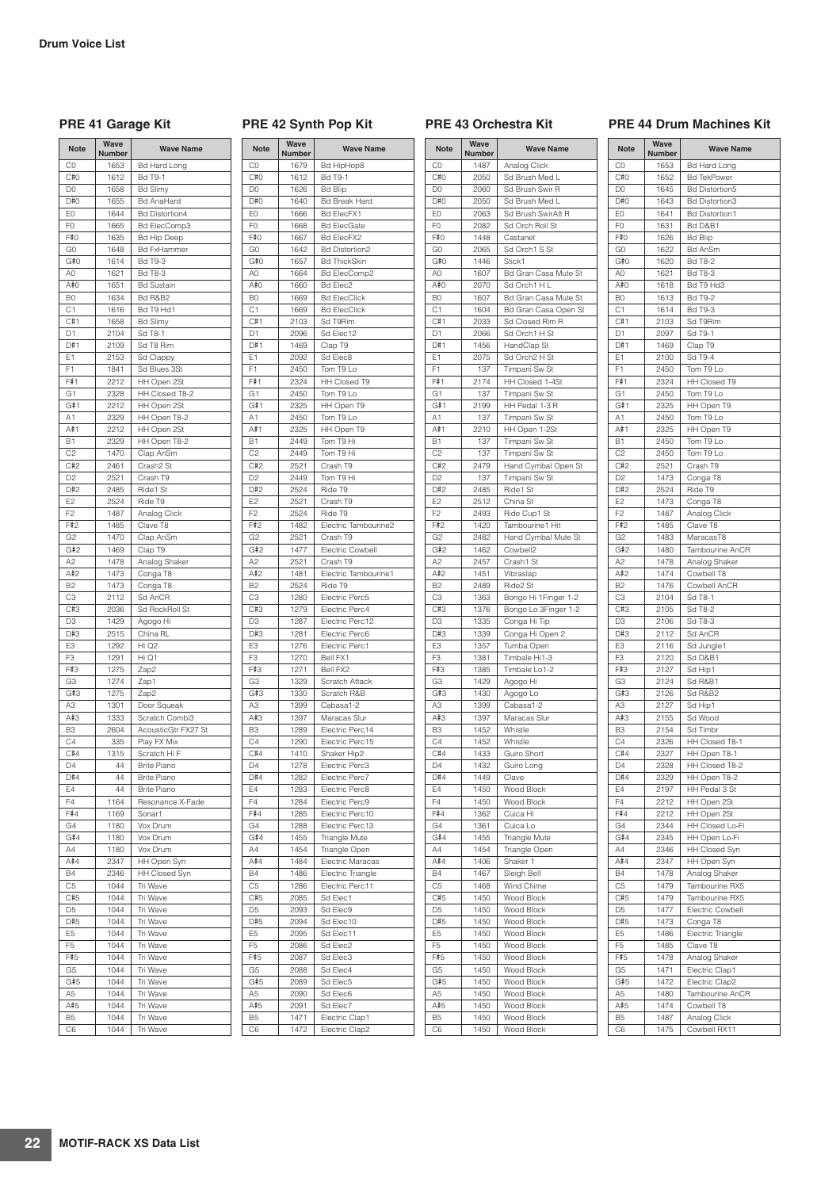**Note Wave** 

# PRE 41 Garage Kit PRE 42 Synth Pop Kit PRE 43 Orchestra Kit PRE 44 Drum Machines Kit

| <b>Note</b>      | Wave<br>Number | <b>Wave Name</b>          | N              |
|------------------|----------------|---------------------------|----------------|
| C <sub>0</sub>   | 1653           | <b>Bd Hard Long</b>       | C              |
| C#O              | 1612           | <b>Bd T9-1</b>            | C              |
| D <sub>0</sub>   | 1658           | <b>Bd Slimy</b>           | D <sub>(</sub> |
| D#0              | 1655           | <b>Bd AnaHard</b>         | D:             |
| E <sub>0</sub>   | 1644           | <b>Bd Distortion4</b>     | E0             |
| F <sub>0</sub>   | 1665           | Bd ElecComp3              | FC             |
| F#0              | 1635           | <b>Bd Hip Deep</b>        | Fŧ             |
| G0               | 1648           | <b>Bd FxHammer</b>        | G              |
| G#O              | 1614           | <b>Bd T9-3</b>            | G              |
| A0               | 1621           | <b>Bd T8-3</b>            | A(             |
| A#0              | 1651           | <b>Bd Sustain</b>         | A              |
| B <sub>0</sub>   | 1634           | Bd R&B2                   | B <sub>(</sub> |
| C1               | 1616           | Bd T9 Hd1                 | С              |
| C#1              | 1658           | <b>Bd Slimy</b>           | C              |
| D <sub>1</sub>   | 2104           | Sd T8-1                   | D              |
| D#1              | 2109           | Sd T8 Rim                 | D:             |
| E1               | 2153           | Sd Clappy                 | E.             |
| F <sub>1</sub>   | 1841           | Sd Blues 3St              | F1             |
| F#1              | 2212           | HH Open 2St               | Fŧ             |
| G1               | 2328           | HH Closed T8-2            | G              |
| G#1              | 2212           | HH Open 2St               | G              |
| Α1<br>A#1        | 2329           | HH Open T8-2              | А.<br>A        |
| <b>B1</b>        | 2212<br>2329   | HH Open 2St               | B.             |
| C <sub>2</sub>   | 1470           | HH Open T8-2<br>Clap AnSm | C.             |
| C#2              | 2461           | Crash <sub>2</sub> St     | C              |
| D <sub>2</sub>   | 2521           | Crash T9                  | D:             |
| D#2              | 2485           | Ride1 St                  | D:             |
| E <sub>2</sub>   | 2524           | Ride T9                   | E              |
| F <sub>2</sub>   | 1487           | Analog Click              | F2             |
| F#2              | 1485           | Clave T8                  | Fŧ             |
| G <sub>2</sub>   | 1470           | Clap AnSm                 | G.             |
| G#2              | 1469           | Clap T9                   | G              |
| A2               | 1478           | Analog Shaker             | A.             |
| A#2              | 1473           | Conga T8                  | A              |
| B <sub>2</sub>   | 1473           | Conga T8                  | B.             |
| C <sub>3</sub>   | 2112           | Sd AnCR                   | C.             |
| C#3              | 2036           | Sd RockRoll St            | C              |
| D <sub>3</sub>   | 1429           | Agogo Hi                  | D.             |
| D#3              | 2515           | China RL                  | D:             |
| E <sub>3</sub>   | 1292           | Hi Q2                     | E              |
| F <sub>3</sub>   | 1291           | Hi Q1                     | F3             |
| F#3              | 1275           | Zap2                      | Fŧ             |
| G3               | 1274           | Zap1                      | G.             |
| G#3              | 1275           | Zap2                      | G              |
| A3               | 1301           | Door Squeak               | A.             |
| A#3              | 1333           | Scratch Combi3            | A              |
| B <sub>3</sub>   | 2604           | AcousticGtr FX27 St       | B.             |
| C <sub>4</sub>   | 335            | Play FX Mix               | C.             |
| C#4              | 1315           | Scratch Hi F              | C              |
| $\Box$ 4         | 44             | <b>Brite Piano</b>        | D.             |
| D#4              | 44             | <b>Brite Piano</b>        | D:             |
| E4               | 44             | <b>Brite Piano</b>        | E              |
| F4               | 1164           | Resonance X-Fade          | F              |
| F#4              | 1169           | Sonar1                    | Fŧ             |
| G4               | 1180           | Vox Drum                  | G.             |
| G#4              | 1180           | Vox Drum                  | G              |
| A4               | 1180           | Vox Drum                  | A              |
| A#4<br><b>B4</b> | 2347           | HH Open Syn               | A              |
| C <sub>5</sub>   | 2346<br>1044   | HH Closed Syn<br>Tri Wave | B٠<br>C.       |
| C#5              | 1044           | Tri Wave                  | C              |
| D <sub>5</sub>   | 1044           | Tri Wave                  | D.             |
| D#5              | 1044           | Tri Wave                  | D:             |
| E <sub>5</sub>   | 1044           | Tri Wave                  | E              |
| F <sub>5</sub>   | 1044           | Tri Wave                  | F5             |
| F#5              | 1044           | Tri Wave                  | Fŧ             |
| G5               | 1044           | Tri Wave                  | G.             |
| G#5              | 1044           | Tri Wave                  | G              |
| A5               | 1044           | Tri Wave                  | A.             |
| A#5              | 1044           | Tri Wave                  | A              |
| B <sub>5</sub>   | 1044           | Tri Wave                  | B.             |
| C6               | 1044           | Tri Wave                  | C              |
|                  |                |                           |                |

| <b>Note</b>    | Wave<br>Number | <b>Wave Name</b>                  |
|----------------|----------------|-----------------------------------|
| C0             | 1679           | Bd HipHop8                        |
| C#0            | 1612           | <b>Bd T9-1</b>                    |
| D0             | 1626           | <b>Bd Blip</b>                    |
| D#0            | 1640           | <b>Bd Break Hard</b>              |
| E <sub>0</sub> | 1666           | <b>Bd ElecFX1</b>                 |
| F0             | 1668           | <b>Bd ElecGate</b>                |
| F#0            | 1667           | <b>Bd ElecFX2</b>                 |
| G0             | 1642           | <b>Bd Distortion2</b>             |
| G#0            | 1657           | <b>Bd ThickSkin</b>               |
| A0             | 1664           | <b>Bd ElecComp2</b>               |
| A#O            | 1660           | Bd Elec2                          |
| B0             | 1669           | <b>Bd ElecClick</b>               |
| С1             | 1669           | <b>Bd ElecClick</b>               |
| C#1            | 2103           | Sd T9Rim                          |
| D1             | 2096           | Sd Elec12                         |
| D#1            | 1469           | Clap T9                           |
| E1             | 2092           | Sd Elec8                          |
| F1<br>F#1      | 2450           | Tom T9 Lo                         |
| G1             | 2324<br>2450   | HH Closed T9<br>Tom T9 Lo         |
|                |                |                                   |
| G#1<br>A1      | 2325<br>2450   | HH Open T9<br>Tom T9 Lo           |
| A#1            | 2325           | HH Open T9                        |
| B1             | 2449           | Tom T9 Hi                         |
| C2             | 2449           | Tom T9 Hi                         |
| C#2            | 2521           | Crash T9                          |
| D2             | 2449           | Tom T9 Hi                         |
| D#2            | 2524           | Ride T9                           |
| F <sub>2</sub> | 2521           | Crash T9                          |
| F <sub>2</sub> | 2524           | Ride T9                           |
| F#2            | 1482           | Electric Tambourine2              |
| G <sub>2</sub> | 2521           | Crash T9                          |
| G#2            | 1477           | Electric Cowbell                  |
| A2             | 2521           | Crash T9                          |
| A#2            | 1481           | Electric Tambourine1              |
| B2             | 2524           | Ride T9                           |
| C3             | 1280           | Electric Perc5                    |
| C#3            | 1279           | Electric Perc4                    |
| D <sub>3</sub> | 1287           | Electric Perc12                   |
| D#3            | 1281           | Electric Perc6                    |
| E3             | 1276           | Electric Perc1                    |
| F3             | 1270           | Bell FX1                          |
| F#3            | 1271           | Bell FX2                          |
| G3             | 1329           | Scratch Attack                    |
| G#3            | 1330           | Scratch R&B                       |
| A3             | 1399           | Cabasa1-2                         |
| A#3            | 1397           | Maracas Slur                      |
| B3             | 1289           | Electric Perc14                   |
| C4             | 1290           | Electric Perc15                   |
| C#4            | 1410           | Shaker Hip2                       |
| D <sub>4</sub> | 1278           | Electric Perc3                    |
| D#4<br>E4      | 1282           | Electric Perc/<br>Electric Perc8  |
| F4             | 1283<br>1284   |                                   |
| F#4            | 1285           | Electric Perc9<br>Electric Perc10 |
| G4             | 1288           | Electric Perc13                   |
| G#4            | 1455           | <b>Triangle Mute</b>              |
| A4             | 1454           | Triangle Open                     |
| A#4            | 1484           | Electric Maracas                  |
| B4             | 1486           | Electric Triangle                 |
| C <sub>5</sub> | 1286           | Electric Perc11                   |
| C#5            | 2085           | Sd Elec1                          |
| D <sub>5</sub> | 2093           | Sd Elec9                          |
| D#5            | 2094           | Sd Elec10                         |
| E <sub>5</sub> | 2095           | Sd Elec11                         |
| F5             | 2086           | Sd Elec2                          |
| F#5            | 2087           | Sd Elec3                          |
| G5             | 2088           | Sd Elec4                          |
| G#5            | 2089           | Sd Elec5                          |
| A5             | 2090           | Sd Elec6                          |
| A#5            | 2091           | Sd Elec7                          |
| B5             | 1471           | Electric Clap1                    |
| C6             | 1472           | Electric Clap2                    |

| <b>Note</b>    | Number | <b>Wave Name</b>     |
|----------------|--------|----------------------|
| C <sub>0</sub> | 1487   | Analog Click         |
| C#O            | 2050   | Sd Brush Med L       |
| D <sub>0</sub> | 2060   | Sd Brush Swir R      |
| D#0            | 2050   | Sd Brush Med L       |
| E <sub>0</sub> | 2063   | Sd Brush SwirAtt R   |
| F <sub>0</sub> | 2082   | Sd Orch Roll St      |
| F#0            | 1448   | Castanet             |
| G <sub>0</sub> | 2065   | Sd Orch1 S St        |
| G#0            | 1446   | Stick1               |
| A <sub>0</sub> | 1607   | Bd Gran Casa Mute St |
| A#O            | 2070   | Sd Orch1 H L         |
| B <sub>0</sub> | 1607   | Bd Gran Casa Mute St |
| C1             | 1604   | Bd Gran Casa Open St |
| C#1            | 2033   | Sd Closed Rim R      |
| D1             | 2066   | Sd Orch1 H St        |
| D#1            | 1456   | HandClap St          |
| E <sub>1</sub> | 2075   | Sd Orch2 H St        |
| F <sub>1</sub> | 137    | Timpani Sw St        |
| F#1            | 2174   | HH Closed 1-4St      |
| G1             | 137    | Timpani Sw St        |
| G#1            | 2199   | HH Pedal 1-3 R       |
| A1             | 137    | Timpani Sw St        |
| A#1            | 2210   | HH Open 1-2St        |
| <b>B1</b>      | 137    | Timpani Sw St        |
| C <sub>2</sub> | 137    | Timpani Sw St        |
| C#2            | 2479   | Hand Cymbal Open St  |
| D <sub>2</sub> | 137    | Timpani Sw St        |
| D#2            | 2485   | Ride1 St             |
| E <sub>2</sub> | 2512   | China St             |
| F <sub>2</sub> | 2493   | Ride Cup1 St         |
| F#2            | 1420   | Tambourine1 Hit      |
| G <sub>2</sub> | 2482   | Hand Cymbal Mute St  |
| G#2            | 1462   | Cowbell2             |
| A2             | 2457   | Crash1 St            |
| A#2            | 1451   | Vibraslap            |
| B <sub>2</sub> | 2489   | Ride2 St             |
| C <sub>3</sub> | 1363   | Bongo Hi 1Finger 1-2 |
| C#3            | 1376   | Bongo Lo 3Finger 1-2 |
| D <sub>3</sub> | 1335   | Conga Hi Tip         |
| D#3            | 1339   | Conga Hi Open 2      |
| E <sub>3</sub> | 1357   | Tumba Open           |
| F <sub>3</sub> | 1381   | Timbale Hi1-3        |
| F#3            | 1385   | Timbale Lo1-2        |
| G <sub>3</sub> | 1429   | Agogo Hi             |
| G#3            | 1430   | Agogo Lo             |
| A3             | 1399   | Cabasa1-2            |
| A#3            | 1397   | Maracas Slur         |
| B <sub>3</sub> | 1452   | Whistle              |
| C <sub>4</sub> | 1452   | Whistle              |
| C#4            | 1433   | Guiro Short          |
| D <sub>4</sub> | 1432   | Guiro Long           |
| D#4            | 1449   | Clave                |
| E4             | 1450   | Wood Block           |
| F4             | 1450   | Wood Block           |
| F#4            | 1362   | Cuica Hi             |
| G4             | 1361   | Cuica Lo             |
| G#4            | 1455   | Triangle Mute        |
| A4             | 1454   | Triangle Open        |
| A#4            | 1406   | Shaker 1             |
| <b>B4</b>      | 1467   | Sleigh Bell          |
| C <sub>5</sub> | 1468   | Wind Chime           |
| C#5            | 1450   | Wood Block           |
| D <sub>5</sub> | 1450   | Wood Block           |
| D#5            | 1450   | Wood Block           |
| E <sub>5</sub> | 1450   | Wood Block           |
| F <sub>5</sub> | 1450   | Wood Block           |
| F#5            | 1450   | Wood Block           |
| G5             | 1450   | Wood Block           |
| G#5            | 1450   | Wood Block           |
| A <sub>5</sub> | 1450   | Wood Block           |
| A#5            | 1450   | Wood Block           |
| B5             | 1450   | Wood Block           |
| C6             | 1450   | Wood Block           |

 $\overline{ }$ 

| <b>Note</b>           | Wave<br>Number | <b>Wave Name</b>             |
|-----------------------|----------------|------------------------------|
| C0                    | 1653           | <b>Bd Hard Long</b>          |
| C#0                   | 1652           | <b>Bd TekPower</b>           |
| D <sub>0</sub>        | 1645           | <b>Bd Distortion5</b>        |
| D#0                   | 1643           | <b>Bd Distortion3</b>        |
| E <sub>0</sub>        | 1641           | <b>Bd Distortion1</b>        |
| F <sub>0</sub>        | 1631           | Bd D&B1                      |
| F#0                   | 1626           | <b>Bd Blip</b>               |
| G0                    | 1622           | <b>Bd AnSm</b>               |
| G#0                   | 1620           | <b>Bd T8-2</b>               |
| A <sub>0</sub>        | 1621           | <b>Bd T8-3</b>               |
| A#O                   | 1618           | Bd T9 Hd3                    |
| B <sub>0</sub>        | 1613           | <b>Bd T9-2</b>               |
| C <sub>1</sub>        | 1614           | <b>Bd T9-3</b>               |
| C#1                   | 2103           | Sd T9Rim                     |
| D1                    | 2097           | Sd T9-1                      |
| D#1                   | 1469           | Clap T9                      |
| E <sub>1</sub>        | 2100           | Sd T9-4                      |
| F <sub>1</sub><br>F#1 | 2450<br>2324   | Tom T9 Lo<br>HH Closed T9    |
|                       |                | Tom T9 Lo                    |
| G1<br>G#1             | 2450<br>2325   | HH Open T9                   |
| A <sub>1</sub>        | 2450           | Tom T9 Lo                    |
| A#1                   | 2325           | HH Open T9                   |
| <b>B1</b>             | 2450           | Tom T9 Lo                    |
| C <sub>2</sub>        | 2450           | Tom T9 Lo                    |
| C#2                   | 2521           | Crash T9                     |
| D <sub>2</sub>        | 1473           | Conga T8                     |
| D#2                   | 2524           | Ride T9                      |
| E <sub>2</sub>        | 1473           | Conga T8                     |
| F <sub>2</sub>        | 1487           | Analog Click                 |
| F#2                   | 1485           | Clave T8                     |
| G <sub>2</sub>        | 1483           | MaracasT8                    |
| G#2                   | 1480           | Tambourine AnCR              |
| A2                    | 1478           | Analog Shaker                |
| A#2                   | 1474           | Cowbell T8                   |
| <b>B2</b>             | 1476           | Cowbell AnCR                 |
| C <sub>3</sub>        | 2104           | Sd T8-1                      |
| C#3                   | 2105           | Sd T8-2                      |
| D <sub>3</sub>        | 2106           | Sd T8-3                      |
| D#3                   | 2112           | Sd AnCR                      |
| E <sub>3</sub>        | 2116           | Sd Jungle1                   |
| F <sub>3</sub><br>F#3 | 2120<br>2127   | Sd D&B1                      |
| G3                    | 2124           | Sd Hip1<br>Sd R&B1           |
| G#3                   | 2126           | Sd R&B2                      |
| A3                    | 2127           | Sd Hip1                      |
| A#3                   | 2155           | Sd Wood                      |
| B <sub>3</sub>        | 2154           | Sd Timbr                     |
| C4                    | 2326           | HH Closed T8-1               |
| C#4                   | 2327           | HH Open T8-1                 |
| D4                    | 2328           | HH Closed 18-2               |
| D#4                   | 2329           | HH Open T8-2                 |
| E4                    | 2197           | HH Pedal 3 St                |
| F4                    | 2212           | HH Open 2St                  |
| F#4                   | 2212           | HH Open 2St                  |
| G4                    |                |                              |
|                       | 2344           | HH Closed Lo-Fi              |
| G#4                   | 2345           | HH Open Lo-Fi                |
| A4                    | 2346           | HH Closed Syn                |
| A#4                   | 2347           | HH Open Syn                  |
| <b>B4</b>             | 1478           | Analog Shaker                |
| C <sub>5</sub>        | 1479           | Tambourine RX5               |
| C#5                   | 1479           | Tambourine RX5               |
| D <sub>5</sub>        | 1477           | Electric Cowbell             |
| D#5                   | 1473           | Conga T8                     |
| E <sub>5</sub>        | 1486           | Electric Triangle            |
| F <sub>5</sub>        | 1485           | Clave T8                     |
| F#5                   | 1478           | Analog Shaker                |
| G5                    | 1471           | Electric Clap1               |
| G#5                   | 1472           | Electric Clap2               |
| A <sub>5</sub>        | 1480           | Tambourine AnCR              |
| A#5                   | 1474           | Cowbell T8                   |
| B <sub>5</sub><br>C6  | 1487<br>1475   | Analog Click<br>Cowbell RX11 |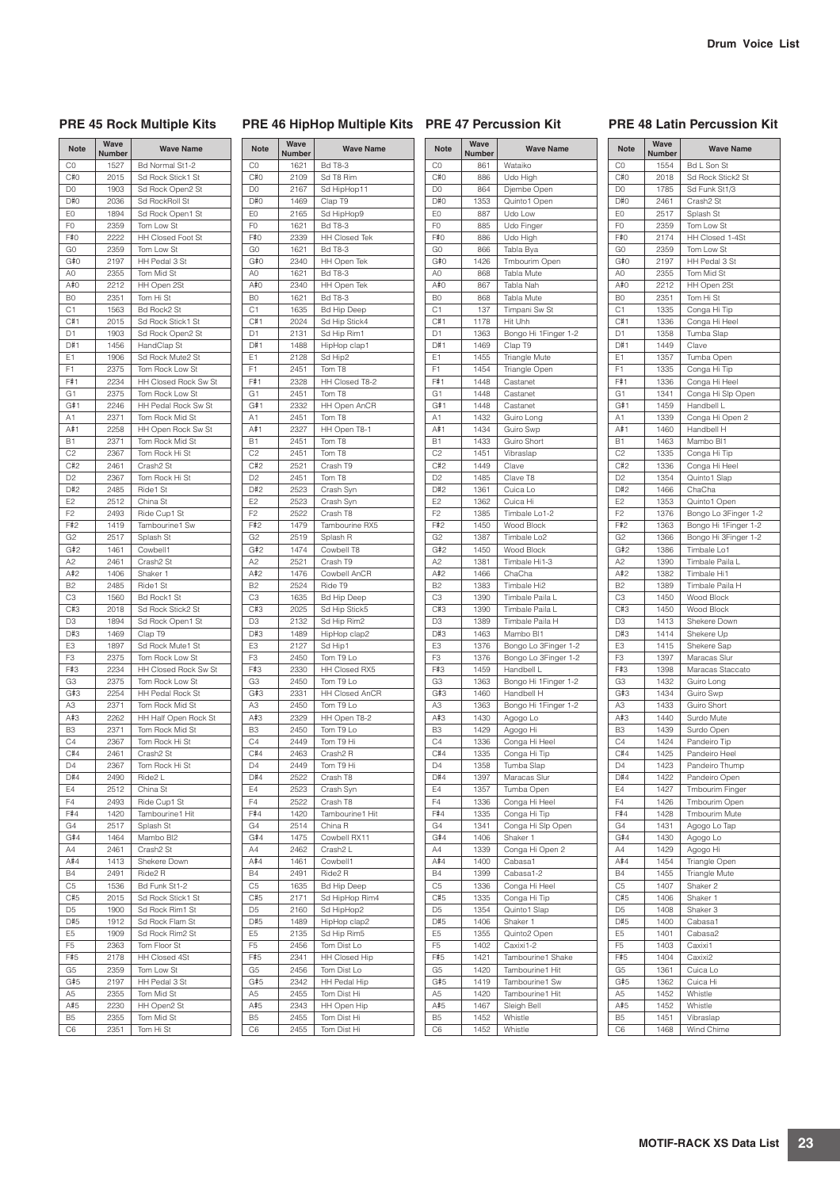### PRE 45 Rock Multiple Kits PRE 46 HipHop Multiple Kits PRE 47 Percussion Kit PRE 48 Latin Percussion Kit

| <b>Note</b>                      | Wave<br>Number | <b>Wave Name</b>               |
|----------------------------------|----------------|--------------------------------|
| C <sub>0</sub>                   | 1527           | Bd Normal St1-2                |
| C#O                              | 2015           | Sd Rock Stick1 St              |
| D <sub>0</sub>                   | 1903           | Sd Rock Open2 St               |
| D#0                              | 2036           | Sd RockRoll St                 |
| E0                               | 1894           | Sd Rock Open1 St               |
| F <sub>0</sub>                   | 2359           | Tom Low St                     |
| F#0                              | 2222           | HH Closed Foot St              |
| G <sub>0</sub>                   | 2359           | Tom Low St                     |
| G#O                              | 2197           | HH Pedal 3 St                  |
| A <sub>0</sub>                   | 2355           | Tom Mid St                     |
| A#0                              | 2212           | HH Open 2St                    |
| B <sub>0</sub>                   | 2351           | Tom Hi St                      |
| C <sub>1</sub>                   | 1563           | <b>Bd Rock2 St</b>             |
| C#1                              | 2015           | Sd Rock Stick1 St              |
| D <sub>1</sub>                   | 1903           | Sd Rock Open2 St               |
| D#1                              | 1456           | HandClap St                    |
| E <sub>1</sub>                   | 1906           | Sd Rock Mute2 St               |
| F <sub>1</sub>                   | 2375           | Tom Rock Low St                |
| F#1                              | 2234           | HH Closed Rock Sw St           |
| G1                               | 2375           | Tom Rock Low St                |
| G#1                              | 2246           | HH Pedal Rock Sw St            |
| A1                               | 2371           | Tom Rock Mid St                |
| A#1                              | 2258           | HH Open Rock Sw St             |
| <b>B1</b>                        | 2371           | Tom Rock Mid St                |
| C <sub>2</sub>                   | 2367           | Tom Rock Hi St                 |
| C#2                              | 2461           | Crash <sub>2</sub> St          |
| D <sub>2</sub>                   | 2367           | Tom Rock Hi St                 |
| D#2                              | 2485           | Ride1 St<br>China St           |
| E <sub>2</sub><br>F <sub>2</sub> | 2512<br>2493   |                                |
| F#2                              | 1419           | Ride Cup1 St<br>Tambourine1 Sw |
| G <sub>2</sub>                   | 2517           | Splash St                      |
| G#2                              | 1461           | Cowbell1                       |
| A <sub>2</sub>                   | 2461           | Crash <sub>2</sub> St          |
| A#2                              | 1406           | Shaker 1                       |
| B <sub>2</sub>                   | 2485           | Ride1 St                       |
| C <sub>3</sub>                   | 1560           | <b>Bd Rock1 St</b>             |
| C#3                              | 2018           | Sd Rock Stick2 St              |
| D <sub>3</sub>                   | 1894           | Sd Rock Open1 St               |
| D#3                              | 1469           | Clap T9                        |
| E <sub>3</sub>                   | 1897           | Sd Rock Mute1 St               |
| F <sub>3</sub>                   | 2375           | Tom Rock Low St                |
| F#3                              | 2234           | HH Closed Rock Sw St           |
| G <sub>3</sub>                   | 2375           | Tom Rock Low St                |
| G#3                              | 2254           | HH Pedal Rock St               |
| A3                               | 2371           | Tom Rock Mid St                |
| A#3                              | 2262           | HH Half Open Rock St           |
| B <sub>3</sub>                   | 2371           | Tom Rock Mid St                |
| C <sub>4</sub>                   | 2367           | Tom Rock Hi St                 |
| C#4                              | 2461           | Crash <sub>2</sub> St          |
| D <sub>4</sub>                   | 2367           | Tom Rock Hi St                 |
| D#4                              | 2490           | Ride2L                         |
| E4                               | 2512           | China St                       |
| F4                               | 2493           | Ride Cup1 St                   |
| F#4                              | 1420           | Tambourine1 Hit                |
| G4                               | 2517           | Splash St                      |
| G#4                              | 1464           | Mambo BI2                      |
| A4                               | 2461           | Crash <sub>2</sub> St          |
| A#4                              | 1413           | Shekere Down                   |
| <b>B4</b>                        | 2491           | Ride2 R                        |
| C <sub>5</sub>                   | 1536           | Bd Funk St1-2                  |
| C#5                              | 2015           | Sd Rock Stick1 St              |
| D <sub>5</sub>                   | 1900           | Sd Rock Rim1 St                |
| D#5                              | 1912           | Sd Rock Flam St                |
| E <sub>5</sub>                   | 1909           | Sd Rock Rim2 St                |
| F <sub>5</sub>                   | 2363           | Tom Floor St                   |
| F#5                              | 2178           | HH Closed 4St                  |
| G <sub>5</sub>                   | 2359           | Tom Low St                     |
| G#5                              | 2197           | HH Pedal 3 St                  |
| A <sub>5</sub>                   | 2355           | Tom Mid St                     |
| A#5                              | 2230           | HH Open2 St                    |
| B <sub>5</sub>                   | 2355           | Tom Mid St                     |
| C6                               | 2351           | Tom Hi St                      |

| <b>Note</b>           | Wave           | <b>Wave Name</b>                     |
|-----------------------|----------------|--------------------------------------|
| C0                    | Number<br>1621 | <b>Bd T8-3</b>                       |
| C#0                   | 2109           | Sd T8 Rim                            |
| D0                    | 2167           | Sd HipHop11                          |
| D#0                   | 1469           | Clap T9                              |
| E0                    | 2165           | Sd HipHop9                           |
| F0                    | 1621           | <b>Bd T8-3</b>                       |
| F#0                   | 2339           | <b>HH Closed Tek</b>                 |
| G0                    | 1621           | <b>Bd T8-3</b>                       |
| G#0<br>A0             | 2340           | HH Open Tek<br><b>Bd T8-3</b>        |
| A#O                   | 1621<br>2340   | HH Open Tek                          |
| B0                    | 1621           | <b>Bd T8-3</b>                       |
| С1                    | 1635           | <b>Bd Hip Deep</b>                   |
| C#1                   | 2024           | Sd Hip Stick4                        |
| D1                    | 2131           | Sd Hip Rim1                          |
| D#1                   | 1488           | HipHop clap1                         |
| Ε1                    | 2128           | Sd Hip2                              |
| F1                    | 2451           | Tom T8                               |
| F#1                   | 2328           | HH Closed T8-2                       |
| G1<br>G#1             | 2451<br>2332   | Tom T8<br><b>HH Open AnCR</b>        |
| A1                    | 2451           | Tom T8                               |
| A#1                   | 2327           | HH Open T8-1                         |
| B1                    | 2451           | Tom T8                               |
| C2                    | 2451           | Tom T8                               |
| C#2                   | 2521           | Crash T9                             |
| D <sub>2</sub>        | 2451           | Tom T8                               |
| D#2                   | 2523           | Crash Syn                            |
| E <sub>2</sub>        | 2523           | Crash Syn                            |
| F <sub>2</sub><br>F#2 | 2522           | Crash T8                             |
| G2                    | 1479<br>2519   | Tambourine RX5<br>Splash R           |
| G#2                   | 1474           | Cowbell T8                           |
| A2                    | 2521           | Crash T9                             |
| A#2                   | 1476           | Cowbell AnCR                         |
| B <sub>2</sub>        | 2524           | Ride T9                              |
| CЗ                    | 1635           | <b>Bd Hip Deep</b>                   |
| C#3                   | 2025           | Sd Hip Stick5                        |
| D3                    | 2132           | Sd Hip Rim2                          |
| D#3                   | 1489           | HipHop clap2                         |
| E3<br>F3              | 2127<br>2450   | Sd Hip1<br>Tom T9 Lo                 |
| F#3                   | 2330           | <b>HH Closed RX5</b>                 |
| G3                    | 2450           | Tom T9 Lo                            |
| G#3                   | 2331           | <b>HH Closed AnCR</b>                |
| ΑЗ                    | 2450           | Tom T9 Lo                            |
| A#3                   | 2329           | HH Open T8-2                         |
| B3                    | 2450           | Tom T9 Lo                            |
| C4                    | 2449           | Tom T9 Hi                            |
| C#4                   | 2463<br>2449   | Crash <sub>2</sub> R<br>Tom T9 Hi    |
| D4<br>D#4             | 2522           | Crash T8                             |
| E4                    | 2523           | Crash Syn                            |
| F4                    | 2522           | Crash T8                             |
| F#4                   | 1420           | Tambourine1 Hit                      |
| G4                    | 2514           | China R                              |
| G#4                   | 1475           | Cowbell RX11                         |
| A4                    | 2462           | Crash2 L                             |
| A#4                   | 1461           | Cowbell1                             |
| B4                    | 2491           | Ride2 <sub>R</sub>                   |
| C5<br>C#5             | 1635<br>2171   | <b>Bd Hip Deep</b><br>Sd HipHop Rim4 |
| D <sub>5</sub>        | 2160           | Sd HipHop2                           |
| D#5                   | 1489           | HipHop clap2                         |
| E5                    | 2135           | Sd Hip Rim5                          |
| F5                    | 2456           | Tom Dist Lo                          |
| F#5                   | 2341           | <b>HH Closed Hip</b>                 |
| G5                    | 2456           | Tom Dist Lo                          |
| G#5                   | 2342           | <b>HH Pedal Hip</b>                  |
| A5                    | 2455           | Tom Dist Hi                          |
| A#5                   | 2343           | HH Open Hip                          |
| B5                    | 2455           | Tom Dist Hi                          |
| C6                    | 2455           | Tom Dist Hi                          |

|                             | Wave         |                            |
|-----------------------------|--------------|----------------------------|
| <b>Note</b>                 | Number       | <b>Wave Name</b>           |
| C <sub>0</sub>              | 861          | Wataiko                    |
| C#O                         | 886          | Udo High                   |
| D <sub>0</sub>              | 864          | Djembe Open                |
| D#0                         | 1353         | Quinto1 Open               |
| E <sub>0</sub>              | 887          | Udo Low                    |
| F <sub>0</sub>              | 885          | Udo Finger                 |
| F#0                         | 886          | Udo High                   |
| G <sub>0</sub><br>G#0       | 866<br>1426  | Tabla Bya<br>Tmbourim Open |
| A <sub>0</sub>              | 868          | Tabla Mute                 |
| A#0                         | 867          | Tabla Nah                  |
| B <sub>0</sub>              | 868          | Tabla Mute                 |
| C1                          | 137          | Timpani Sw St              |
| C#1                         | 1178         | Hit Uhh                    |
| D <sub>1</sub>              | 1363         | Bongo Hi 1Finger 1-2       |
| D#1                         | 1469         | Clap T9                    |
| E1                          | 1455         | Triangle Mute              |
| F <sub>1</sub>              | 1454         | Triangle Open              |
| F#1                         | 1448         | Castanet                   |
| G1<br>G#1                   | 1448<br>1448 | Castanet                   |
| A1                          | 1432         | Castanet<br>Guiro Long     |
| A#1                         | 1434         | Guiro Swp                  |
| <b>B1</b>                   | 1433         | Guiro Short                |
| C <sub>2</sub>              | 1451         | Vibraslap                  |
| C#2                         | 1449         | Clave                      |
| D <sub>2</sub>              | 1485         | Clave T8                   |
| D#2                         | 1361         | Cuica Lo                   |
| F <sub>2</sub>              | 1362         | Cuica Hi                   |
| F <sub>2</sub>              | 1385         | Timbale Lo1-2              |
| F#2                         | 1450         | Wood Block                 |
| G <sub>2</sub>              | 1387         | Timbale Lo <sub>2</sub>    |
| G#2                         | 1450         | Wood Block                 |
| A <sub>2</sub><br>A#2       | 1381<br>1466 | Timbale Hi1-3<br>ChaCha    |
| B <sub>2</sub>              | 1383         | Timbale Hi2                |
| C <sub>3</sub>              | 1390         | Timbale Paila L            |
| C#3                         | 1390         | Timbale Paila L            |
| D <sub>3</sub>              | 1389         | Timbale Paila H            |
| D#3                         | 1463         | Mambo BI1                  |
| E <sub>3</sub>              | 1376         | Bongo Lo 3Finger 1-2       |
| F <sub>3</sub>              | 1376         | Bongo Lo 3Finger 1-2       |
| F#3                         | 1459         | Handbell L                 |
| G <sub>3</sub>              | 1363         | Bongo Hi 1Finger 1-2       |
| G#3                         | 1460         | Handbell H                 |
| A3<br>A#3                   | 1363<br>1430 | Bongo Hi 1Finger 1-2       |
| B <sub>3</sub>              | 1429         | Agogo Lo<br>Agogo Hi       |
| C <sub>4</sub>              | 1336         | Conga Hi Heel              |
| C#4                         | 1335         | Conga Hi Tip               |
| D <sub>4</sub>              | 1358         | Tumba Slap                 |
| D#4                         | 1397         | Maracas Slur               |
| E4                          | 1357         | Tumba Open                 |
| F4                          | 1336         | Conga Hi Heel              |
| F#4                         | 1335         | Conga Hi Tip               |
| G4                          | 1341         | Conga Hi Slp Open          |
| G#4                         | 1406         | Shaker 1                   |
| A4                          | 1339         | Conga Hi Open 2            |
| A#4                         | 1400         | Cabasa1                    |
| <b>B4</b><br>C <sub>5</sub> | 1399<br>1336 | Cabasa1-2<br>Conga Hi Heel |
| C#5                         | 1335         | Conga Hi Tip               |
| D <sub>5</sub>              | 1354         | Quinto1 Slap               |
| D#5                         | 1406         | Shaker 1                   |
| E <sub>5</sub>              | 1355         | Quinto2 Open               |
| F <sub>5</sub>              | 1402         | Caxixi1-2                  |
| F#5                         | 1421         | Tambourine1 Shake          |
| G <sub>5</sub>              | 1420         | Tambourine1 Hit            |
| G#5                         | 1419         | Tambourine1 Sw             |
| A <sub>5</sub>              | 1420         | Tambourine1 Hit            |
| A#5                         | 1467         | Sleigh Bell                |
| <b>B5</b>                   | 1452         | Whistle                    |
| C6                          | 1452         | Whistle                    |

| <b>Note</b>                      | Wave<br>Number | <b>Wave Name</b>               |
|----------------------------------|----------------|--------------------------------|
| C <sub>0</sub>                   | 1554           | Bd L Son St                    |
| C#0                              | 2018           | Sd Rock Stick2 St              |
| D <sub>0</sub>                   | 1785           | Sd Funk St1/3                  |
| D#0                              | 2461           | Crash <sub>2</sub> St          |
| E <sub>0</sub>                   | 2517           | Splash St                      |
| F <sub>0</sub>                   | 2359           | Tom Low St                     |
| F#0                              | 2174           | HH Closed 1-4St                |
| G <sub>0</sub>                   | 2359           | Tom Low St                     |
| G#0<br>A <sub>0</sub>            | 2197<br>2355   | HH Pedal 3 St<br>Tom Mid St    |
| A#O                              | 2212           | HH Open 2St                    |
| B <sub>0</sub>                   | 2351           | Tom Hi St                      |
| C <sub>1</sub>                   | 1335           | Conga Hi Tip                   |
| C#1                              | 1336           | Conga Hi Heel                  |
| D1                               | 1358           | Tumba Slap                     |
| D#1                              | 1449           | Clave                          |
| E <sub>1</sub>                   | 1357           | Tumba Open                     |
| F <sub>1</sub>                   | 1335           | Conga Hi Tip                   |
| F#1                              | 1336           | Conga Hi Heel                  |
| G <sub>1</sub>                   | 1341           | Conga Hi Slp Open              |
| G#1<br>A1                        | 1459<br>1339   | Handbell L<br>Conga Hi Open 2  |
| A#1                              | 1460           | Handbell H                     |
| <b>B1</b>                        | 1463           | Mambo BI1                      |
| C <sub>2</sub>                   | 1335           | Conga Hi Tip                   |
| C#2                              | 1336           | Conga Hi Heel                  |
| D <sub>2</sub>                   | 1354           | Quinto1 Slap                   |
| D#2                              | 1466           | ChaCha                         |
| E <sub>2</sub>                   | 1353           | Quinto1 Open                   |
| F <sub>2</sub>                   | 1376           | Bongo Lo 3Finger 1-2           |
| F#2                              | 1363           | Bongo Hi 1Finger 1-2           |
| G <sub>2</sub>                   | 1366           | Bongo Hi 3Finger 1-2           |
| G#2                              | 1386           | Timbale Lo1                    |
| A <sub>2</sub>                   | 1390           | Timbale Paila L                |
| A#2<br>B <sub>2</sub>            | 1382           | Timbale Hi1<br>Timbale Paila H |
| C <sub>3</sub>                   | 1389<br>1450   | Wood Block                     |
| C#3                              | 1450           | Wood Block                     |
| D <sub>3</sub>                   | 1413           | Shekere Down                   |
| D#3                              | 1414           | Shekere Up                     |
| E <sub>3</sub>                   | 1415           | Shekere Sap                    |
| F <sub>3</sub>                   | 1397           | Maracas Slur                   |
| F#3                              | 1398           | Maracas Staccato               |
| G <sub>3</sub>                   | 1432           | Guiro Long                     |
| G#3                              | 1434           | Guiro Swp                      |
| A3                               | 1433           | Guiro Short                    |
| A#3                              | 1440<br>1439   | Surdo Mute<br>Surdo Open       |
| B <sub>3</sub><br>C <sub>4</sub> | 1424           | Pandeiro Tip                   |
| C#4                              | 1425           | Pandeiro Heel                  |
| D <sub>4</sub>                   | 1423           | Pandeiro Thump                 |
| D#4                              | 1422           | Pandeiro Open                  |
| E4                               | 1427           | Tmbourim Finger                |
| F4                               | 1426           | Tmbourim Open                  |
| F#4                              | 1428           | Tmbourim Mute                  |
| G4                               | 1431           | Agogo Lo Tap                   |
| G#4                              | 1430           | Agogo Lo                       |
| A4                               | 1429           | Agogo Hi                       |
| A#4                              | 1454<br>1455   | Triangle Open                  |
| <b>B4</b><br>C <sub>5</sub>      | 1407           | Triangle Mute<br>Shaker 2      |
| C#5                              | 1406           | Shaker 1                       |
| D <sub>5</sub>                   | 1408           | Shaker 3                       |
| D#5                              | 1400           | Cabasa1                        |
| E <sub>5</sub>                   | 1401           | Cabasa2                        |
| F <sub>5</sub>                   | 1403           | Caxixi1                        |
| F#5                              | 1404           | Caxixi2                        |
| G <sub>5</sub>                   | 1361           | Cuica Lo                       |
| G#5                              | 1362           | Cuica Hi                       |
| A5                               | 1452           | Whistle                        |
| A#5                              | 1452           | Whistle                        |
| B <sub>5</sub>                   | 1451           | Vibraslap                      |
| C6                               | 1468           | Wind Chime                     |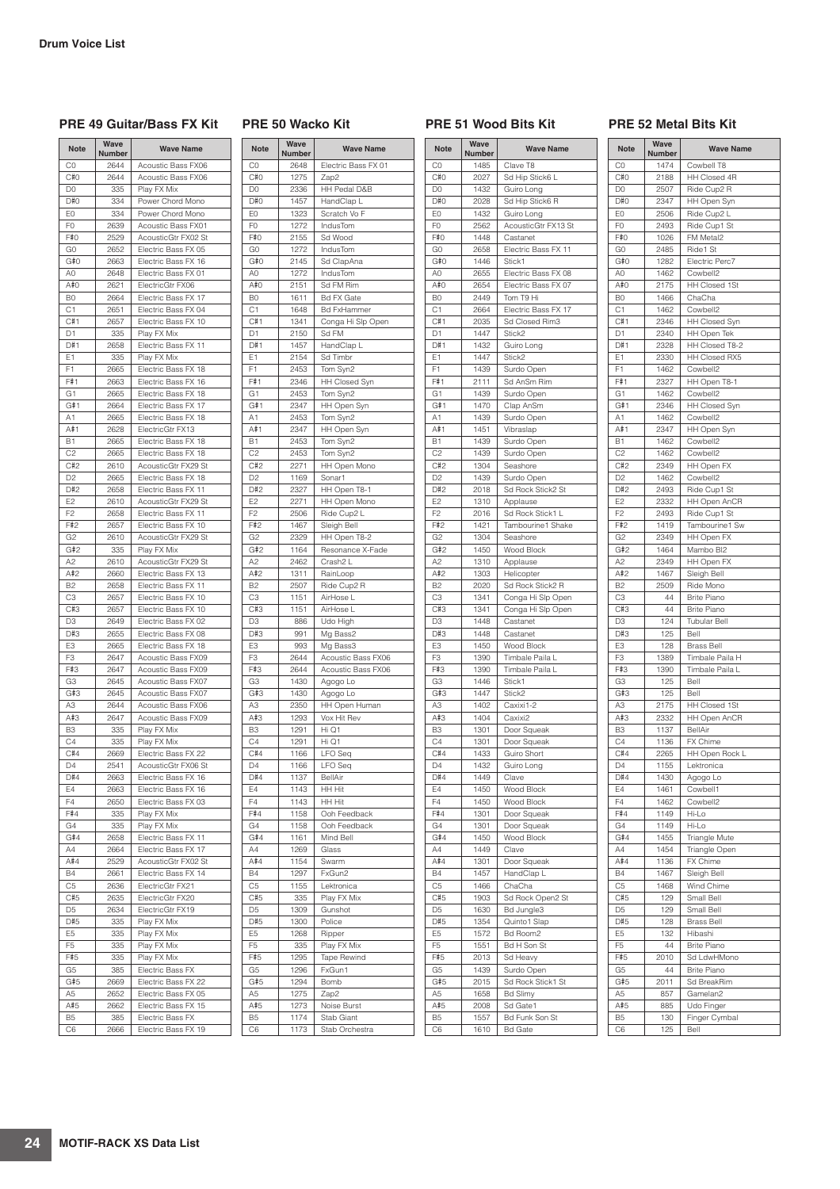### **PRE 49 Guitar/Bass FX Kit PRE 50 Wacko Kit PRE 51 Wood Bits Kit PRE 52 Metal Bits Kit**

| <b>Note</b>    | Wave         | <b>Wave Name</b>                           | <b>Note</b>           | Wave       | <b>Wave Na</b>       |
|----------------|--------------|--------------------------------------------|-----------------------|------------|----------------------|
|                | Number       |                                            |                       | Number     |                      |
| C0             | 2644         | Acoustic Bass FX06                         | C <sub>0</sub>        | 2648       | Electric Bass F      |
| C#O            | 2644         | Acoustic Bass FX06                         | C#O                   | 1275       | Zap2                 |
| D0             | 335          | Play FX Mix                                | D <sub>0</sub>        | 2336       | HH Pedal D&B         |
| D#0            | 334          | Power Chord Mono                           | D#0                   | 1457       | HandClap L           |
| EΟ             | 334          | Power Chord Mono                           | E <sub>0</sub>        | 1323       | Scratch Vo F         |
| F0             | 2639         | Acoustic Bass FX01                         | F <sub>0</sub>        | 1272       | IndusTom             |
| F#0            | 2529         | AcousticGtr FX02 St                        | F#0                   | 2155       | Sd Wood              |
| G0             | 2652         | Electric Bass FX 05                        | G <sub>0</sub>        | 1272       | IndusTom             |
| G#0            | 2663         | Electric Bass FX 16                        | G#0                   | 2145       | Sd ClapAna           |
| A0             | 2648         | Electric Bass FX 01                        | A0                    | 1272       | IndusTom             |
| A#O            | 2621         | ElectricGtr FX06                           | A#0                   | 2151       | Sd FM Rim            |
| B0             | 2664         | Electric Bass FX 17                        | B <sub>0</sub>        | 1611       | <b>Bd FX Gate</b>    |
| C1             | 2651         | Electric Bass FX 04                        | C1                    | 1648       | <b>Bd FxHammer</b>   |
| C#1            | 2657         | Electric Bass FX 10                        | C#1                   | 1341       | Conga Hi Slp (       |
| D1             | 335          | Play FX Mix                                | D <sub>1</sub>        | 2150       | Sd FM                |
| D#1            | 2658         | Electric Bass FX 11                        | D#1                   | 1457       | HandClap L           |
| Ε1             | 335          | Play FX Mix                                | E1                    | 2154       | Sd Timbr             |
| F1             | 2665         | Electric Bass FX 18                        | F <sub>1</sub>        | 2453       | Tom Syn2             |
| F#1            | 2663         | Electric Bass FX 16                        | F#1                   | 2346       | HH Closed Syr        |
| G1             | 2665         | Electric Bass FX 18                        | G1                    | 2453       | Tom Syn2             |
| G#1            | 2664         | Electric Bass FX 17                        | G#1                   | 2347       | HH Open Syn          |
| Α1             | 2665         | Electric Bass FX 18                        | A1                    | 2453       | Tom Syn2             |
| A#1            | 2628         | ElectricGtr FX13                           | A#1                   | 2347       | HH Open Syn          |
| Β1             | 2665         | Electric Bass FX 18                        | <b>B1</b>             | 2453       | Tom Syn2             |
| C2             | 2665         | Electric Bass FX 18                        | C <sub>2</sub>        | 2453       | Tom Syn2             |
| C#2            | 2610         | AcousticGtr FX29 St                        | C#2                   | 2271       | HH Open Mon          |
| D2             | 2665         | Electric Bass FX 18                        | D <sub>2</sub>        | 1169       | Sonar1               |
| D#2            | 2658         | Electric Bass FX 11                        | D#2                   | 2327       | HH Open T8-1         |
| E2             | 2610         | AcousticGtr FX29 St                        | E <sub>2</sub>        | 2271       | HH Open Mon          |
| F <sub>2</sub> | 2658         | Electric Bass FX 11                        | F <sub>2</sub>        | 2506       | Ride Cup2 L          |
| F#2            | 2657         | Electric Bass FX 10                        | F#2                   | 1467       | Sleigh Bell          |
| G2             | 2610         | AcousticGtr FX29 St                        | G <sub>2</sub>        | 2329       | HH Open T8-2         |
| G#2            | 335          | Play FX Mix                                | G#2                   | 1164       | Resonance X-I        |
| А2             | 2610         | AcousticGtr FX29 St                        | A <sub>2</sub>        | 2462       | Crash2 L             |
| A#2            | 2660         | Electric Bass FX 13                        | A#2                   | 1311       | RainLoop             |
| <b>B2</b>      | 2658         | Electric Bass FX 11                        | B <sub>2</sub>        | 2507       | Ride Cup2 R          |
| CЗ<br>C#3      | 2657         | Electric Bass FX 10                        | C <sub>3</sub>        | 1151       | AirHose L            |
|                | 2657         | Electric Bass FX 10                        | C#3                   | 1151       | AirHose L            |
| D3<br>D#3      | 2649<br>2655 | Electric Bass FX 02<br>Electric Bass FX 08 | D <sub>3</sub><br>D#3 | 886<br>991 | Udo High<br>Mg Bass2 |
| E3             | 2665         | Electric Bass FX 18                        | E <sub>3</sub>        | 993        | Mg Bass3             |
| F3             | 2647         | Acoustic Bass FX09                         | F <sub>3</sub>        | 2644       | <b>Acoustic Bass</b> |
| F#3            | 2647         | Acoustic Bass FX09                         | F#3                   | 2644       | <b>Acoustic Bass</b> |
| G3             | 2645         | Acoustic Bass FX07                         | G <sub>3</sub>        | 1430       | Agogo Lo             |
| G#3            | 2645         | Acoustic Bass FX07                         | G#3                   | 1430       | Agogo Lo             |
| AЗ             | 2644         | Acoustic Bass FX06                         | A3                    | 2350       | HH Open Hum          |
| А#З            | 2647         | Acoustic Bass FX09                         | A#3                   | 1293       | Vox Hit Rev          |
| B3             | 335          | Play FX Mix                                | B <sub>3</sub>        | 1291       | Hi Q1                |
| C4             | 335          | Play FX Mix                                | C <sub>4</sub>        | 1291       | Hi Q1                |
| C#4            | 2669         | Electric Bass FX 22                        | C#4                   | 1166       | LFO Seq              |
| D4             | 2541         | AcousticGtr FX06 St                        | D <sub>4</sub>        | 1166       | <b>LFO</b> Seq       |
| D#4            | 2663         | Electric Bass FX 16                        | D#4                   | 1137       | BellAir              |
| E4             | 2663         | Electric Bass FX 16                        | E4                    | 1143       | HH Hit               |
| F4             | 2650         | Electric Bass FX 03                        | F <sub>4</sub>        | 1143       | HH Hit               |
| F#4            | 335          | Play FX Mix                                | F#4                   | 1158       | Ooh Feedback         |
| G4             | 335          | Play FX Mix                                | G4                    | 1158       | Ooh Feedback         |
| G#4            | 2658         | Electric Bass FX 11                        | G#4                   | 1161       | Mind Bell            |
| Α4             | 2664         | Electric Bass FX 17                        | A4                    | 1269       | Glass                |
| A#4            | 2529         | AcousticGtr FX02 St                        | A#4                   | 1154       | Swarm                |
| Β4             | 2661         | Electric Bass FX 14                        | <b>B4</b>             | 1297       | FxGun2               |
| C5             | 2636         | ElectricGtr FX21                           | C5                    | 1155       | Lektronica           |
| C#5            | 2635         | ElectricGtr FX20                           | C#5                   | 335        | Play FX Mix          |
| D5             | 2634         | ElectricGtr FX19                           | D <sub>5</sub>        | 1309       | Gunshot              |
| D#5            | 335          | Play FX Mix                                | D#5                   | 1300       | Police               |
| E5             | 335          | Play FX Mix                                | E <sub>5</sub>        | 1268       | Ripper               |
| F5             | 335          | Play FX Mix                                | F <sub>5</sub>        | 335        | Play FX Mix          |
| F#5            | 335          | Play FX Mix                                | F#5                   | 1295       | <b>Tape Rewind</b>   |
| G5             | 385          | Electric Bass FX                           | G <sub>5</sub>        | 1296       | FxGun1               |
| G#5            | 2669         | Electric Bass FX 22                        | G#5                   | 1294       | Bomb                 |
| А5             | 2652         | Electric Bass FX 05                        | A5                    | 1275       | Zap2                 |
| A#5            | 2662         | Electric Bass FX 15                        | A#5                   | 1273       | Noise Burst          |
| В5             | 385          | Electric Bass FX                           | B <sub>5</sub>        | 1174       | Stab Giant           |
| C6             | 2666         | Electric Bass FX 19                        | C6                    | 1173       | Stab Orchestra       |

| <b>Note</b>          | Wave<br>Number | <b>Wave Name</b>                  | <b>Note</b>           |
|----------------------|----------------|-----------------------------------|-----------------------|
| C0                   | 2648           | Electric Bass FX 01               | C <sub>0</sub>        |
| C#0                  | 1275           | Zap2                              | C#0                   |
| D <sub>0</sub>       | 2336           | HH Pedal D&B                      | D <sub>0</sub>        |
| D#0                  | 1457           | HandClap L                        | D#0                   |
| E <sub>0</sub><br>F0 | 1323<br>1272   | Scratch Vo F<br>IndusTom          | E0<br>F <sub>0</sub>  |
| F#0                  | 2155           | Sd Wood                           | F#0                   |
| G0                   | 1272           | IndusTom                          | G <sub>0</sub>        |
| G#0                  | 2145           | Sd ClapAna                        | G#0                   |
| A0                   | 1272           | IndusTom                          | A <sub>0</sub>        |
| A#O                  | 2151           | Sd FM Rim                         | A#O                   |
| B <sub>0</sub>       | 1611           | <b>Bd FX Gate</b>                 | B <sub>0</sub>        |
| С1                   | 1648           | <b>Bd FxHammer</b>                | C1                    |
| C#1                  | 1341           | Conga Hi Slp Open                 | C#1                   |
| D1<br>D#1            | 2150<br>1457   | Sd FM<br>HandClap L               | D1<br>D#1             |
| E <sub>1</sub>       | 2154           | Sd Timbr                          | E <sub>1</sub>        |
| F <sub>1</sub>       | 2453           | Tom Syn2                          | F <sub>1</sub>        |
| F#1                  | 2346           | <b>HH Closed Syn</b>              | F#1                   |
| G1                   | 2453           | Tom Syn2                          | G1                    |
| G#1                  | 2347           | HH Open Syn                       | G#1                   |
| A1                   | 2453           | Tom Syn2                          | A1                    |
| A#1                  | 2347           | HH Open Syn                       | A#1                   |
| B1                   | 2453           | Tom Syn2                          | <b>B1</b>             |
| C2<br>C#2            | 2453<br>2271   | Tom Syn2                          | C <sub>2</sub><br>C#2 |
| D2                   | 1169           | HH Open Mono<br>Sonar1            | D <sub>2</sub>        |
| D#2                  | 2327           | HH Open T8-1                      | D#2                   |
| E <sub>2</sub>       | 2271           | HH Open Mono                      | E <sub>2</sub>        |
| F <sub>2</sub>       | 2506           | Ride Cup2 L                       | F <sub>2</sub>        |
| F#2                  | 1467           | Sleigh Bell                       | F#2                   |
| G2                   | 2329           | HH Open T8-2                      | G <sub>2</sub>        |
| G#2                  | 1164           | Resonance X-Fade                  | G#2                   |
| A2                   | 2462           | Crash2 L                          | A <sub>2</sub>        |
| A#2                  | 1311           | RainLoop                          | A#2<br>B <sub>2</sub> |
| B <sub>2</sub><br>CЗ | 2507<br>1151   | Ride Cup2 R<br>AirHose L          | C <sub>3</sub>        |
| C#3                  | 1151           | AirHose L                         | C#3                   |
| D3                   | 886            | Udo High                          | D <sub>3</sub>        |
| D#3                  | 991            | Mg Bass2                          | D#3                   |
| E3                   | 993            | Mg Bass3                          | E <sub>3</sub>        |
| F3                   | 2644           | Acoustic Bass FX06                | F <sub>3</sub>        |
| F#3                  | 2644           | Acoustic Bass FX06                | F#3                   |
| G3                   | 1430           | Agogo Lo                          | G <sub>3</sub>        |
| G#3<br>A3            | 1430<br>2350   | Agogo Lo<br>HH Open Human         | G#3<br>A3             |
| А#З                  | 1293           | Vox Hit Rev                       | A#3                   |
| B <sub>3</sub>       | 1291           | Hi Q1                             | B <sub>3</sub>        |
| C4                   | 1291           | Hi Q1                             | C4                    |
| C#4                  | 1166           | LFO Seq                           | C#4                   |
| D4                   | 1166           | <b>LFO</b> Seq                    | D <sub>4</sub>        |
| D#4                  | 1137           | BellAir                           | D#4                   |
| E4                   | 1143           | HH Hit                            | E4                    |
| F4                   | 1143           | HH Hit                            | F4                    |
| F#4<br>G4            | 1158<br>1158   | Ooh Feedback<br>Ooh Feedback      | F#4<br>G4             |
| G#4                  | 1161           | Mind Bell                         | G#4                   |
| A4                   | 1269           | Glass                             | A4                    |
| A#4                  | 1154           | Swarm                             | A#4                   |
| B4                   | 1297           | FxGun2                            | <b>B4</b>             |
| C <sub>5</sub>       | 1155           | Lektronica                        | C <sub>5</sub>        |
| C#5                  | 335            | Play FX Mix                       | C#5                   |
| D5                   | 1309           | Gunshot                           | D5                    |
| D#5                  | 1300           | Police                            | D#5                   |
| E5<br>F <sub>5</sub> | 1268           | Ripper                            | E <sub>5</sub><br>F5  |
| F#5                  | 335<br>1295    | Play FX Mix<br><b>Tape Rewind</b> | F#5                   |
| G5                   | 1296           | FxGun1                            | G <sub>5</sub>        |
| G#5                  | 1294           | Bomb                              | G#5                   |
| A5                   | 1275           | Zap2                              | A <sub>5</sub>        |
| A#5                  | 1273           | Noise Burst                       | A#5                   |
| B <sub>5</sub>       | 1174           | Stab Giant                        | B <sub>5</sub>        |
| C6                   | 1173           | Stab Orchestra                    | C6                    |

| <b>Note</b>                      | Wave<br>Number | <b>Wave Name</b>                |
|----------------------------------|----------------|---------------------------------|
| C <sub>0</sub>                   | 1485           | Clave T8                        |
| C#O                              | 2027           | Sd Hip Stick6 L                 |
| D <sub>0</sub>                   | 1432           | Guiro Long                      |
| D#0                              | 2028           | Sd Hip Stick6 R                 |
| E <sub>0</sub>                   | 1432           | Guiro Long                      |
| F <sub>0</sub><br>F#0            | 2562<br>1448   | AcousticGtr FX13 St<br>Castanet |
| G <sub>0</sub>                   | 2658           | Electric Bass FX 11             |
| G#0                              | 1446           | Stick1                          |
| A <sub>0</sub>                   | 2655           | Electric Bass FX 08             |
| A#O                              | 2654           | Electric Bass FX 07             |
| B <sub>0</sub>                   | 2449           | Tom T9 Hi                       |
| C <sub>1</sub>                   | 2664           | Electric Bass FX 17             |
| C#1<br>D1                        | 2035<br>1447   | Sd Closed Rim3                  |
| D#1                              | 1432           | Stick2<br>Guiro Long            |
| E <sub>1</sub>                   | 1447           | Stick2                          |
| F <sub>1</sub>                   | 1439           | Surdo Open                      |
| .<br>F#1                         | 2111           | Sd AnSm Rim                     |
| G1                               | 1439           | Surdo Open                      |
| G#1                              | 1470           | Clap AnSm                       |
| A1                               | 1439           | Surdo Open                      |
| A#1<br>B <sub>1</sub>            | 1451<br>1439   | Vibraslap<br>Surdo Open         |
| C <sub>2</sub>                   | 1439           | Surdo Open                      |
| C#2                              | 1304           | Seashore                        |
| D <sub>2</sub>                   | 1439           | Surdo Open                      |
| D#2                              | 2018           | Sd Rock Stick2 St               |
| E <sub>2</sub>                   | 1310           | Applause                        |
| F <sub>2</sub>                   | 2016           | Sd Rock Stick1 L                |
| F#2                              | 1421           | Tambourine1 Shake               |
| G <sub>2</sub><br>G#2            | 1304<br>1450   | Seashore<br>Wood Block          |
| A <sub>2</sub>                   | 1310           | Applause                        |
| A#2                              | 1303           | Helicopter                      |
| B <sub>2</sub>                   | 2020           | Sd Rock Stick2 R                |
| C <sub>3</sub>                   | 1341           | Conga Hi Slp Open               |
| C#3                              | 1341           | Conga Hi Slp Open               |
| D <sub>3</sub>                   | 1448           | Castanet                        |
| D#3<br>E <sub>3</sub>            | 1448<br>1450   | Castanet<br>Wood Block          |
| F3                               | 1390           | Timbale Paila L                 |
| F#3                              | 1390           | Timbale Paila L                 |
| G <sub>3</sub>                   | 1446           | Stick1                          |
| G#3                              | 1447           | Stick <sub>2</sub>              |
| A3                               | 1402           | Caxixi1-2                       |
| A#3                              | 1404           | Caxixi2                         |
| B <sub>3</sub><br>C <sub>4</sub> | 1301<br>1301   | Door Squeak<br>Door Squeak      |
| C#4                              | 1433           | Guiro Short                     |
| D <sub>4</sub>                   | 1432           | Guiro Long                      |
| D#4                              | 1449           | Clave                           |
| E4                               | 1450           | Wood Block                      |
| F4                               | 1450           | Wood Block                      |
| F#4                              | 1301           | Door Squeak                     |
| G4<br>G#4                        | 1301<br>1450   | Door Squeak<br>Wood Block       |
| A4                               | 1449           | Clave                           |
| A#4                              | 1301           | Door Squeak                     |
| <b>B4</b>                        | 1457           | HandClap L                      |
| C <sub>5</sub>                   | 1466           | ChaCha                          |
| C#5                              | 1903           | Sd Rock Open2 St                |
| D <sub>5</sub>                   | 1630           | Bd Jungle3                      |
| D#5<br>E <sub>5</sub>            | 1354<br>1572   | Quinto1 Slap<br>Bd Room2        |
| F <sub>5</sub>                   | 1551           | <b>Bd H Son St</b>              |
| F#5                              | 2013           | Sd Heavy                        |
| G <sub>5</sub>                   | 1439           | Surdo Open                      |
| G#5                              | 2015           | Sd Rock Stick1 St               |
| A <sub>5</sub>                   | 1658           | <b>Bd Slimy</b>                 |
| A#5                              | 2008           | Sd Gate1                        |
| B <sub>5</sub>                   | 1557           | Bd Funk Son St                  |
| C6                               | 1610           | <b>Bd Gate</b>                  |

| <b>Note</b>                      | Wave<br>Number | <b>Wave Name</b>                     |
|----------------------------------|----------------|--------------------------------------|
| C0                               | 1474           | Cowbell T8                           |
| C#O                              | 2188           | HH Closed 4R                         |
| D <sub>0</sub>                   | 2507           | Ride Cup2 R                          |
| D#0                              | 2347           | HH Open Syn                          |
| E <sub>0</sub>                   | 2506           | Ride Cup2 L                          |
| F <sub>0</sub>                   | 2493           | Ride Cup1 St                         |
| F#0                              | 1026           | FM Metal2                            |
| G <sub>0</sub><br>G#O            | 2485           | Ride1 St                             |
| A <sub>0</sub>                   | 1282<br>1462   | Electric Perc7<br>Cowbell2           |
| A#O                              | 2175           | HH Closed 1St                        |
| B <sub>0</sub>                   | 1466           | ChaCha                               |
| C <sub>1</sub>                   | 1462           | Cowbell2                             |
| C#1                              | 2346           | HH Closed Syn                        |
| D <sub>1</sub>                   | 2340           | HH Open Tek                          |
| D#1                              | 2328           | HH Closed T8-2                       |
| E <sub>1</sub>                   | 2330           | HH Closed RX5                        |
| F <sub>1</sub>                   | 1462           | Cowbell2                             |
| F#1<br>G <sub>1</sub>            | 2327<br>1462   | HH Open T8-1<br>Cowbell2             |
| G#1                              | 2346           | HH Closed Syn                        |
| A1                               | 1462           | Cowbell2                             |
| A#1                              | 2347           | HH Open Syn                          |
| <b>B1</b>                        | 1462           | Cowbell2                             |
| C <sub>2</sub>                   | 1462           | Cowbell2                             |
| C#2                              | 2349           | HH Open FX                           |
| D <sub>2</sub>                   | 1462           | Cowbell2                             |
| D#2                              | 2493           | Ride Cup1 St                         |
| E <sub>2</sub>                   | 2332           | HH Open AnCR                         |
| F <sub>2</sub>                   | 2493           | Ride Cup1 St                         |
| F#2<br>G <sub>2</sub>            | 1419<br>2349   | Tambourine1 Sw<br>HH Open FX         |
| G#2                              | 1464           | Mambo BI2                            |
| A <sub>2</sub>                   | 2349           | HH Open FX                           |
| A#2                              | 1467           | Sleigh Bell                          |
| B <sub>2</sub>                   | 2509           | Ride Mono                            |
| C <sub>3</sub>                   | 44             | <b>Brite Piano</b>                   |
| C#3                              | 44             | <b>Brite Piano</b>                   |
| D <sub>3</sub>                   | 124            | <b>Tubular Bell</b>                  |
| D#3                              | 125            | Bell                                 |
| E <sub>3</sub><br>F <sub>3</sub> | 128<br>1389    | <b>Brass Bell</b><br>Timbale Paila H |
| F#3                              | 1390           | Timbale Paila L                      |
| G3                               | 125            | Bell                                 |
| G#3                              | 125            | Bell                                 |
| A3                               | 2175           | HH Closed 1St                        |
| A#3                              | 2332           | HH Open AnCR                         |
| B <sub>3</sub>                   | 1137           | BellAir                              |
| C <sub>4</sub>                   | 1136           | FX Chime                             |
| C#4                              | 2265           | HH Open Rock L                       |
| D4<br>D#4                        | 1155           | Lektronica                           |
| E4                               | 1430<br>1461   | Agogo Lo<br>Cowbell1                 |
| F4                               | 1462           | Cowbell2                             |
| F#4                              | 1149           | Hi-Lo                                |
| G4                               | 1149           | Hi-Lo                                |
| G#4                              | 1455           | Triangle Mute                        |
| A4                               | 1454           | Triangle Open                        |
| A#4                              | 1136           | FX Chime                             |
| <b>B4</b>                        | 1467           | Sleigh Bell                          |
| C <sub>5</sub>                   | 1468           | Wind Chime                           |
| C#5                              | 129            | Small Bell                           |
| D <sub>5</sub><br>D#5            | 129<br>128     | Small Bell<br><b>Brass Bell</b>      |
| E <sub>5</sub>                   | 132            | Hibashi                              |
| F <sub>5</sub>                   | 44             | <b>Brite Piano</b>                   |
| F#5                              | 2010           | Sd LdwHMono                          |
| G <sub>5</sub>                   | 44             | <b>Brite Piano</b>                   |
| G#5                              | 2011           | Sd BreakRim                          |
| A5                               | 857            | Gamelan2                             |
| A#5                              | 885            | Udo Finger                           |
| B <sub>5</sub>                   | 130            | Finger Cymbal                        |
| C6                               | 125            | Bell                                 |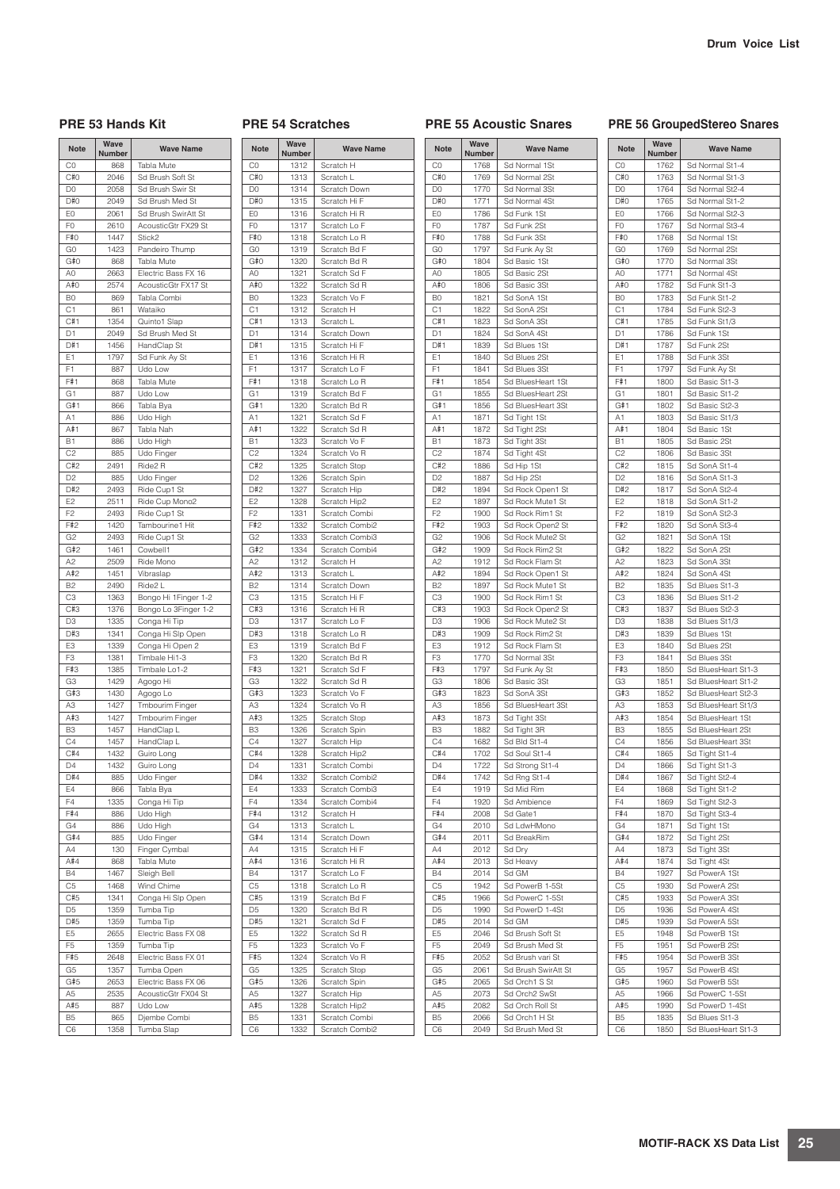### **PRE 53 Hands Kit PRE 54 Scratches PRE 55 Acoustic Snares PRE 56 GroupedStereo Snares**

| <b>Note</b>    | Wave<br>Number | <b>Wave Name</b>           |
|----------------|----------------|----------------------------|
| C <sub>0</sub> | 868            | Tabla Mute                 |
| C#0            | 2046           | Sd Brush Soft St           |
| D <sub>0</sub> | 2058           | Sd Brush Swir St           |
| D#0            | 2049           | Sd Brush Med St            |
| E <sub>0</sub> | 2061           | Sd Brush SwirAtt St        |
| F <sub>0</sub> | 2610           | AcousticGtr FX29 St        |
| F#0            | 1447           | Stick <sub>2</sub>         |
| G <sub>0</sub> | 1423           |                            |
|                |                | Pandeiro Thump             |
| G#O            | 868            | Tabla Mute                 |
| A <sub>0</sub> | 2663           | Electric Bass FX 16        |
| A#0            | 2574           | AcousticGtr FX17 St        |
| B <sub>0</sub> | 869            | Tabla Combi                |
| C1             | 861            | Wataiko                    |
| C#1            | 1354           | Quinto1 Slap               |
| D <sub>1</sub> | 2049           | Sd Brush Med St            |
| D#1            | 1456           | HandClap St                |
| E <sub>1</sub> | 1797           | Sd Funk Ay St              |
| F <sub>1</sub> | 887            | Udo Low                    |
| F#1            | 868            | Tabla Mute                 |
| G1             | 887            | Udo Low                    |
| G#1            | 866            | Tabla Bya                  |
| A1             | 886            | Udo High                   |
| A#1            | 867            | Tabla Nah                  |
| <b>B1</b>      | 886            | Udo High                   |
| C <sub>2</sub> | 885            | Udo Finger                 |
| C#2            | 2491           | Ride <sub>2</sub> R        |
| D <sub>2</sub> |                |                            |
|                | 885            | Udo Finger<br>Ride Cup1 St |
| D#2            | 2493           |                            |
| E <sub>2</sub> | 2511           | Ride Cup Mono2             |
| F <sub>2</sub> | 2493           | Ride Cup1 St               |
| F#2            | 1420           | Tambourine1 Hit            |
| G <sub>2</sub> | 2493           | Ride Cup1 St               |
| G#2            | 1461           | Cowbell1                   |
| A2             | 2509           | Ride Mono                  |
| A#2            | 1451           | Vibraslap                  |
| B <sub>2</sub> | 2490           | Ride2L                     |
| C3             | 1363           | Bongo Hi 1Finger 1-2       |
| C#3            | 1376           | Bongo Lo 3Finger 1-2       |
| D <sub>3</sub> | 1335           | Conga Hi Tip               |
| D#3            | 1341           | Conga Hi Slp Open          |
| E <sub>3</sub> | 1339           | Conga Hi Open 2            |
| F <sub>3</sub> | 1381           | Timbale Hi1-3              |
| F#3            | 1385           | Timbale Lo1-2              |
| G <sub>3</sub> | 1429           | Agogo Hi                   |
| G#3            | 1430           | Agogo Lo                   |
| A <sub>3</sub> | 1427           | <b>Tmbourim Finger</b>     |
| A#3            | 1427           | Tmbourim Finger            |
|                |                |                            |
| B <sub>3</sub> | 1457           | HandClap L                 |
| C <sub>4</sub> | 1457           | HandClap L                 |
| C#4            | 1432           | Guiro Long                 |
| D <sub>4</sub> | 1432           | Guiro Long                 |
| D#4            | 885            | Udo Finger                 |
| E4             | 866            | Tabla Bya                  |
| F4             | 1335           | Conga Hi Tip               |
| F#4            | 886            | Udo High                   |
| G4             | 886            | Udo High                   |
| G#4            | 885            | Udo Finger                 |
| A4             | 130            | Finger Cymbal              |
| A#4            | 868            | Tabla Mute                 |
| <b>B4</b>      | 1467           | Sleigh Bell                |
| C <sub>5</sub> | 1468           | Wind Chime                 |
| C#5            | 1341           | Conga Hi Slp Open          |
| D <sub>5</sub> | 1359           | Tumba Tip                  |
| D#5            | 1359           | Tumba Tip                  |
|                |                |                            |
| E <sub>5</sub> | 2655           | Electric Bass FX 08        |
| F <sub>5</sub> | 1359           | Tumba Tip                  |
| F#5            | 2648           | Electric Bass FX 01        |
| G <sub>5</sub> | 1357           | Tumba Open                 |
| G#5            | 2653           | Electric Bass FX 06        |
| A <sub>5</sub> | 2535           | AcousticGtr FX04 St        |
| A#5            | 887            | Udo Low                    |
| B <sub>5</sub> | 865            | Djembe Combi               |
| C6             | 1358           | Tumba Slap                 |

| <b>Note</b>           | Wave<br>Number | <b>Wave Name</b>             |
|-----------------------|----------------|------------------------------|
| C <sub>0</sub>        | 1312           | Scratch H                    |
| C#O                   | 1313           | Scratch L                    |
| D <sub>0</sub>        | 1314           | Scratch Down                 |
| D#0                   | 1315           | Scratch Hi F                 |
| E <sub>0</sub>        | 1316           | Scratch Hi R                 |
| F <sub>0</sub>        | 1317           | Scratch Lo F                 |
| F#0                   | 1318           | Scratch Lo R                 |
| G <sub>0</sub>        | 1319           | Scratch Bd F                 |
| G#0                   | 1320           | Scratch Bd R                 |
| A <sub>0</sub>        | 1321           | Scratch Sd F                 |
| A#O                   | 1322           | Scratch Sd R                 |
| B <sub>0</sub>        | 1323           | Scratch Vo F                 |
| C <sub>1</sub>        | 1312           | Scratch H                    |
| C#1                   |                |                              |
|                       | 1313           | Scratch L                    |
| D <sub>1</sub><br>D#1 | 1314           | Scratch Down<br>Scratch Hi F |
|                       | 1315           |                              |
| E <sub>1</sub>        | 1316           | Scratch Hi R                 |
| F <sub>1</sub>        | 1317           | Scratch Lo F                 |
| F#1                   | 1318           | Scratch Lo R                 |
| G <sub>1</sub>        | 1319           | Scratch Bd F                 |
| G#1                   | 1320           | Scratch Bd R                 |
| A1                    | 1321           | Scratch Sd F                 |
| A#1                   | 1322           | Scratch Sd R                 |
| <b>B1</b>             | 1323           | Scratch Vo F                 |
| C <sub>2</sub>        | 1324           | Scratch Vo R                 |
| C#2                   | 1325           | Scratch Stop                 |
| D <sub>2</sub>        | 1326           | Scratch Spin                 |
| D#2                   | 1327           | Scratch Hip                  |
| E <sub>2</sub>        | 1328           | Scratch Hip2                 |
| F <sub>2</sub>        | 1331           | Scratch Combi                |
| F#2                   | 1332           | Scratch Combi2               |
| G <sub>2</sub>        | 1333           | Scratch Combi3               |
| G#2                   | 1334           | Scratch Combi4               |
| A2                    | 1312           | Scratch H                    |
| A#2                   | 1313           | Scratch L                    |
| B <sub>2</sub>        | 1314           | Scratch Down                 |
| C <sub>3</sub>        | 1315           | Scratch Hi F                 |
| C#3                   | 1316           | Scratch Hi R                 |
| D <sub>3</sub>        | 1317           | Scratch Lo F                 |
| D#3                   | 1318           | Scratch Lo R                 |
| E <sub>3</sub>        | 1319           | Scratch Bd F                 |
| F <sub>3</sub>        | 1320           | Scratch Bd R                 |
| F#3                   | 1321           | Scratch Sd F                 |
| G <sub>3</sub>        | 1322           | Scratch Sd R                 |
| G#3                   | 1323           | Scratch Vo F                 |
| A <sub>3</sub>        | 1324           | Scratch Vo R                 |
| A#3                   | 1325           | Scratch Stop                 |
| B <sub>3</sub>        | 1326           | Scratch Spin                 |
| C <sub>4</sub>        | 1327           | Scratch Hip                  |
| C#4                   | 1328           |                              |
| D <sub>4</sub>        |                | Scratch Hip2                 |
|                       | 1331           | Scratch Combi                |
| D#4                   | 1332           | Scratch Combi2               |
| E <sub>4</sub>        | 1333           | Scratch Combi3               |
| F4                    | 1334           | Scratch Combi4               |
| F#4                   | 1312           | Scratch H                    |
| G4                    | 1313           | Scratch L                    |
| G#4                   | 1314           | Scratch Down                 |
| A4                    | 1315           | Scratch Hi F                 |
| A#4                   | 1316           | Scratch Hi R                 |
| <b>B4</b>             | 1317           | Scratch Lo F                 |
| C <sub>5</sub>        | 1318           | Scratch Lo R                 |
| C#5                   | 1319           | Scratch Bd F                 |
| D <sub>5</sub>        | 1320           | Scratch Bd R                 |
| D#5                   | 1321           | Scratch Sd F                 |
| E <sub>5</sub>        | 1322           | Scratch Sd R                 |
| F <sub>5</sub>        | 1323           | Scratch Vo F                 |
| F#5                   | 1324           | Scratch Vo R                 |
| G5                    | 1325           | Scratch Stop                 |
| G#5                   | 1326           | Scratch Spin                 |
| A <sub>5</sub>        | 1327           | Scratch Hip                  |
| A#5                   | 1328           | Scratch Hip2                 |
| <b>B5</b>             | 1331           | Scratch Combi                |
| C6                    | 1332           | Scratch Combi2               |

| C <sub>0</sub><br>1768<br>Sd Normal 1St<br>C#O<br>1769<br>Sd Normal 2St<br>D <sub>0</sub><br>1770<br>Sd Normal 3St<br>D#0<br>1771<br>Sd Normal 4St<br>E <sub>0</sub><br>Sd Funk 1St<br>1786<br>F <sub>0</sub><br>1787<br>Sd Funk 2St<br>F#0<br>1788<br>Sd Funk 3St<br>Sd Funk Ay St<br>1797<br>G <sub>0</sub><br>Sd Basic 1St<br>G#0<br>1804<br>Sd Basic 2St<br>A <sub>0</sub><br>1805<br>A#O<br>1806<br>Sd Basic 3St<br>B <sub>0</sub><br>1821<br>Sd SonA 1St<br>C1<br>Sd SonA 2St<br>1822<br>C#1<br>1823<br>Sd SonA 3St<br>D <sub>1</sub><br>1824<br>Sd SonA 4St<br>D#1<br>Sd Blues 1St<br>1839<br>E <sub>1</sub><br>1840<br>Sd Blues 2St<br>F <sub>1</sub><br>1841<br>Sd Blues 3St<br>F#1<br>1854<br>Sd BluesHeart 1St<br>Sd BluesHeart 2St<br>G1<br>1855<br>G#1<br>1856<br>Sd BluesHeart 3St<br>1871<br>Sd Tight 1St<br>A1<br>A#1<br>1872<br>Sd Tight 2St<br><b>B1</b><br>1873<br>Sd Tight 3St<br>C <sub>2</sub><br>1874<br>Sd Tight 4St<br>Sd Hip 1St<br>C#2<br>1886<br>D2<br>1887<br>Sd Hip 2St<br>D#2<br>1894<br>Sd Rock Open1 St<br>E <sub>2</sub><br>Sd Rock Mute1 St<br>1897<br>Sd Rock Rim1 St<br>F <sub>2</sub><br>1900<br>F#2<br>1903<br>Sd Rock Open2 St<br>G <sub>2</sub><br>Sd Rock Mute2 St<br>1906<br>G#2<br>Sd Rock Rim2 St<br>1909<br>Sd Rock Flam St<br>A2<br>1912<br>A#2<br>Sd Rock Open1 St<br>1894<br>Sd Rock Mute1 St<br>B <sub>2</sub><br>1897<br>C <sub>3</sub><br>Sd Rock Rim1 St<br>1900<br>C#3<br>Sd Rock Open2 St<br>1903<br>D <sub>3</sub><br>1906<br>Sd Rock Mute2 St<br>D#3<br>Sd Rock Rim2 St<br>1909<br>E <sub>3</sub><br>1912<br>Sd Rock Flam St<br>F <sub>3</sub><br>Sd Normal 3St<br>1770<br>F#3<br>1797<br>Sd Funk Ay St<br>Sd Basic 3St<br>G <sub>3</sub><br>1806<br>G#3<br>1823<br>Sd SonA 3St<br>A <sub>3</sub><br>Sd BluesHeart 3St<br>1856<br>A#3<br>1873<br>Sd Tight 3St<br>B <sub>3</sub><br>1882<br>Sd Tight 3R<br>C4<br>Sd Bld St1-4<br>1682<br>Sd Soul St1-4<br>C#4<br>1702<br>1722<br>D <sub>4</sub><br>Sd Strong St1-4<br>D#4<br>1742<br>Sd Rng St1-4<br>E4<br>1919<br>Sd Mid Rim<br>F4<br>1920<br>Sd Ambience<br>F#4<br>2008<br>Sd Gate1<br>G4<br>2010<br>Sd LdwHMono<br>G#4<br>2011<br>Sd BreakRim<br>A4<br>2012<br>Sd Dry<br>A#4<br>2013<br>Sd Heavy<br><b>B4</b><br>2014<br>Sd GM<br>C <sub>5</sub><br>1942<br>Sd PowerB 1-5St<br>C#5<br>Sd PowerC 1-5St<br>1966<br>Sd PowerD 1-4St<br>1990<br>D <sub>5</sub><br>D#5<br>2014<br>Sd GM<br>E <sub>5</sub><br>Sd Brush Soft St<br>2046<br>F <sub>5</sub><br>Sd Brush Med St<br>2049<br>F#5<br>2052<br>Sd Brush vari St<br>2061<br>Sd Brush SwirAtt St<br>G5<br>Sd Orch1 S St<br>G#5<br>2065<br>A <sub>5</sub><br>2073<br>Sd Orch2 SwSt<br>A#5<br>Sd Orch Roll St<br>2082<br><b>B5</b><br>Sd Orch1 H St<br>2066<br>C6<br>2049<br>Sd Brush Med St | <b>Note</b> | Wave<br>Number | <b>Wave Name</b> |  |  |  |  |  |  |
|------------------------------------------------------------------------------------------------------------------------------------------------------------------------------------------------------------------------------------------------------------------------------------------------------------------------------------------------------------------------------------------------------------------------------------------------------------------------------------------------------------------------------------------------------------------------------------------------------------------------------------------------------------------------------------------------------------------------------------------------------------------------------------------------------------------------------------------------------------------------------------------------------------------------------------------------------------------------------------------------------------------------------------------------------------------------------------------------------------------------------------------------------------------------------------------------------------------------------------------------------------------------------------------------------------------------------------------------------------------------------------------------------------------------------------------------------------------------------------------------------------------------------------------------------------------------------------------------------------------------------------------------------------------------------------------------------------------------------------------------------------------------------------------------------------------------------------------------------------------------------------------------------------------------------------------------------------------------------------------------------------------------------------------------------------------------------------------------------------------------------------------------------------------------------------------------------------------------------------------------------------------------------------------------------------------------------------------------------------------------------------------------------------------------------------------------------------------------------------------------------------------------------------------------------------------------------------------------------------------------------------------------------------------------------------------------------------------------------------------------------|-------------|----------------|------------------|--|--|--|--|--|--|
|                                                                                                                                                                                                                                                                                                                                                                                                                                                                                                                                                                                                                                                                                                                                                                                                                                                                                                                                                                                                                                                                                                                                                                                                                                                                                                                                                                                                                                                                                                                                                                                                                                                                                                                                                                                                                                                                                                                                                                                                                                                                                                                                                                                                                                                                                                                                                                                                                                                                                                                                                                                                                                                                                                                                                      |             |                |                  |  |  |  |  |  |  |
|                                                                                                                                                                                                                                                                                                                                                                                                                                                                                                                                                                                                                                                                                                                                                                                                                                                                                                                                                                                                                                                                                                                                                                                                                                                                                                                                                                                                                                                                                                                                                                                                                                                                                                                                                                                                                                                                                                                                                                                                                                                                                                                                                                                                                                                                                                                                                                                                                                                                                                                                                                                                                                                                                                                                                      |             |                |                  |  |  |  |  |  |  |
|                                                                                                                                                                                                                                                                                                                                                                                                                                                                                                                                                                                                                                                                                                                                                                                                                                                                                                                                                                                                                                                                                                                                                                                                                                                                                                                                                                                                                                                                                                                                                                                                                                                                                                                                                                                                                                                                                                                                                                                                                                                                                                                                                                                                                                                                                                                                                                                                                                                                                                                                                                                                                                                                                                                                                      |             |                |                  |  |  |  |  |  |  |
|                                                                                                                                                                                                                                                                                                                                                                                                                                                                                                                                                                                                                                                                                                                                                                                                                                                                                                                                                                                                                                                                                                                                                                                                                                                                                                                                                                                                                                                                                                                                                                                                                                                                                                                                                                                                                                                                                                                                                                                                                                                                                                                                                                                                                                                                                                                                                                                                                                                                                                                                                                                                                                                                                                                                                      |             |                |                  |  |  |  |  |  |  |
|                                                                                                                                                                                                                                                                                                                                                                                                                                                                                                                                                                                                                                                                                                                                                                                                                                                                                                                                                                                                                                                                                                                                                                                                                                                                                                                                                                                                                                                                                                                                                                                                                                                                                                                                                                                                                                                                                                                                                                                                                                                                                                                                                                                                                                                                                                                                                                                                                                                                                                                                                                                                                                                                                                                                                      |             |                |                  |  |  |  |  |  |  |
|                                                                                                                                                                                                                                                                                                                                                                                                                                                                                                                                                                                                                                                                                                                                                                                                                                                                                                                                                                                                                                                                                                                                                                                                                                                                                                                                                                                                                                                                                                                                                                                                                                                                                                                                                                                                                                                                                                                                                                                                                                                                                                                                                                                                                                                                                                                                                                                                                                                                                                                                                                                                                                                                                                                                                      |             |                |                  |  |  |  |  |  |  |
|                                                                                                                                                                                                                                                                                                                                                                                                                                                                                                                                                                                                                                                                                                                                                                                                                                                                                                                                                                                                                                                                                                                                                                                                                                                                                                                                                                                                                                                                                                                                                                                                                                                                                                                                                                                                                                                                                                                                                                                                                                                                                                                                                                                                                                                                                                                                                                                                                                                                                                                                                                                                                                                                                                                                                      |             |                |                  |  |  |  |  |  |  |
|                                                                                                                                                                                                                                                                                                                                                                                                                                                                                                                                                                                                                                                                                                                                                                                                                                                                                                                                                                                                                                                                                                                                                                                                                                                                                                                                                                                                                                                                                                                                                                                                                                                                                                                                                                                                                                                                                                                                                                                                                                                                                                                                                                                                                                                                                                                                                                                                                                                                                                                                                                                                                                                                                                                                                      |             |                |                  |  |  |  |  |  |  |
|                                                                                                                                                                                                                                                                                                                                                                                                                                                                                                                                                                                                                                                                                                                                                                                                                                                                                                                                                                                                                                                                                                                                                                                                                                                                                                                                                                                                                                                                                                                                                                                                                                                                                                                                                                                                                                                                                                                                                                                                                                                                                                                                                                                                                                                                                                                                                                                                                                                                                                                                                                                                                                                                                                                                                      |             |                |                  |  |  |  |  |  |  |
|                                                                                                                                                                                                                                                                                                                                                                                                                                                                                                                                                                                                                                                                                                                                                                                                                                                                                                                                                                                                                                                                                                                                                                                                                                                                                                                                                                                                                                                                                                                                                                                                                                                                                                                                                                                                                                                                                                                                                                                                                                                                                                                                                                                                                                                                                                                                                                                                                                                                                                                                                                                                                                                                                                                                                      |             |                |                  |  |  |  |  |  |  |
|                                                                                                                                                                                                                                                                                                                                                                                                                                                                                                                                                                                                                                                                                                                                                                                                                                                                                                                                                                                                                                                                                                                                                                                                                                                                                                                                                                                                                                                                                                                                                                                                                                                                                                                                                                                                                                                                                                                                                                                                                                                                                                                                                                                                                                                                                                                                                                                                                                                                                                                                                                                                                                                                                                                                                      |             |                |                  |  |  |  |  |  |  |
|                                                                                                                                                                                                                                                                                                                                                                                                                                                                                                                                                                                                                                                                                                                                                                                                                                                                                                                                                                                                                                                                                                                                                                                                                                                                                                                                                                                                                                                                                                                                                                                                                                                                                                                                                                                                                                                                                                                                                                                                                                                                                                                                                                                                                                                                                                                                                                                                                                                                                                                                                                                                                                                                                                                                                      |             |                |                  |  |  |  |  |  |  |
|                                                                                                                                                                                                                                                                                                                                                                                                                                                                                                                                                                                                                                                                                                                                                                                                                                                                                                                                                                                                                                                                                                                                                                                                                                                                                                                                                                                                                                                                                                                                                                                                                                                                                                                                                                                                                                                                                                                                                                                                                                                                                                                                                                                                                                                                                                                                                                                                                                                                                                                                                                                                                                                                                                                                                      |             |                |                  |  |  |  |  |  |  |
|                                                                                                                                                                                                                                                                                                                                                                                                                                                                                                                                                                                                                                                                                                                                                                                                                                                                                                                                                                                                                                                                                                                                                                                                                                                                                                                                                                                                                                                                                                                                                                                                                                                                                                                                                                                                                                                                                                                                                                                                                                                                                                                                                                                                                                                                                                                                                                                                                                                                                                                                                                                                                                                                                                                                                      |             |                |                  |  |  |  |  |  |  |
|                                                                                                                                                                                                                                                                                                                                                                                                                                                                                                                                                                                                                                                                                                                                                                                                                                                                                                                                                                                                                                                                                                                                                                                                                                                                                                                                                                                                                                                                                                                                                                                                                                                                                                                                                                                                                                                                                                                                                                                                                                                                                                                                                                                                                                                                                                                                                                                                                                                                                                                                                                                                                                                                                                                                                      |             |                |                  |  |  |  |  |  |  |
|                                                                                                                                                                                                                                                                                                                                                                                                                                                                                                                                                                                                                                                                                                                                                                                                                                                                                                                                                                                                                                                                                                                                                                                                                                                                                                                                                                                                                                                                                                                                                                                                                                                                                                                                                                                                                                                                                                                                                                                                                                                                                                                                                                                                                                                                                                                                                                                                                                                                                                                                                                                                                                                                                                                                                      |             |                |                  |  |  |  |  |  |  |
|                                                                                                                                                                                                                                                                                                                                                                                                                                                                                                                                                                                                                                                                                                                                                                                                                                                                                                                                                                                                                                                                                                                                                                                                                                                                                                                                                                                                                                                                                                                                                                                                                                                                                                                                                                                                                                                                                                                                                                                                                                                                                                                                                                                                                                                                                                                                                                                                                                                                                                                                                                                                                                                                                                                                                      |             |                |                  |  |  |  |  |  |  |
|                                                                                                                                                                                                                                                                                                                                                                                                                                                                                                                                                                                                                                                                                                                                                                                                                                                                                                                                                                                                                                                                                                                                                                                                                                                                                                                                                                                                                                                                                                                                                                                                                                                                                                                                                                                                                                                                                                                                                                                                                                                                                                                                                                                                                                                                                                                                                                                                                                                                                                                                                                                                                                                                                                                                                      |             |                |                  |  |  |  |  |  |  |
|                                                                                                                                                                                                                                                                                                                                                                                                                                                                                                                                                                                                                                                                                                                                                                                                                                                                                                                                                                                                                                                                                                                                                                                                                                                                                                                                                                                                                                                                                                                                                                                                                                                                                                                                                                                                                                                                                                                                                                                                                                                                                                                                                                                                                                                                                                                                                                                                                                                                                                                                                                                                                                                                                                                                                      |             |                |                  |  |  |  |  |  |  |
|                                                                                                                                                                                                                                                                                                                                                                                                                                                                                                                                                                                                                                                                                                                                                                                                                                                                                                                                                                                                                                                                                                                                                                                                                                                                                                                                                                                                                                                                                                                                                                                                                                                                                                                                                                                                                                                                                                                                                                                                                                                                                                                                                                                                                                                                                                                                                                                                                                                                                                                                                                                                                                                                                                                                                      |             |                |                  |  |  |  |  |  |  |
|                                                                                                                                                                                                                                                                                                                                                                                                                                                                                                                                                                                                                                                                                                                                                                                                                                                                                                                                                                                                                                                                                                                                                                                                                                                                                                                                                                                                                                                                                                                                                                                                                                                                                                                                                                                                                                                                                                                                                                                                                                                                                                                                                                                                                                                                                                                                                                                                                                                                                                                                                                                                                                                                                                                                                      |             |                |                  |  |  |  |  |  |  |
|                                                                                                                                                                                                                                                                                                                                                                                                                                                                                                                                                                                                                                                                                                                                                                                                                                                                                                                                                                                                                                                                                                                                                                                                                                                                                                                                                                                                                                                                                                                                                                                                                                                                                                                                                                                                                                                                                                                                                                                                                                                                                                                                                                                                                                                                                                                                                                                                                                                                                                                                                                                                                                                                                                                                                      |             |                |                  |  |  |  |  |  |  |
|                                                                                                                                                                                                                                                                                                                                                                                                                                                                                                                                                                                                                                                                                                                                                                                                                                                                                                                                                                                                                                                                                                                                                                                                                                                                                                                                                                                                                                                                                                                                                                                                                                                                                                                                                                                                                                                                                                                                                                                                                                                                                                                                                                                                                                                                                                                                                                                                                                                                                                                                                                                                                                                                                                                                                      |             |                |                  |  |  |  |  |  |  |
|                                                                                                                                                                                                                                                                                                                                                                                                                                                                                                                                                                                                                                                                                                                                                                                                                                                                                                                                                                                                                                                                                                                                                                                                                                                                                                                                                                                                                                                                                                                                                                                                                                                                                                                                                                                                                                                                                                                                                                                                                                                                                                                                                                                                                                                                                                                                                                                                                                                                                                                                                                                                                                                                                                                                                      |             |                |                  |  |  |  |  |  |  |
|                                                                                                                                                                                                                                                                                                                                                                                                                                                                                                                                                                                                                                                                                                                                                                                                                                                                                                                                                                                                                                                                                                                                                                                                                                                                                                                                                                                                                                                                                                                                                                                                                                                                                                                                                                                                                                                                                                                                                                                                                                                                                                                                                                                                                                                                                                                                                                                                                                                                                                                                                                                                                                                                                                                                                      |             |                |                  |  |  |  |  |  |  |
|                                                                                                                                                                                                                                                                                                                                                                                                                                                                                                                                                                                                                                                                                                                                                                                                                                                                                                                                                                                                                                                                                                                                                                                                                                                                                                                                                                                                                                                                                                                                                                                                                                                                                                                                                                                                                                                                                                                                                                                                                                                                                                                                                                                                                                                                                                                                                                                                                                                                                                                                                                                                                                                                                                                                                      |             |                |                  |  |  |  |  |  |  |
|                                                                                                                                                                                                                                                                                                                                                                                                                                                                                                                                                                                                                                                                                                                                                                                                                                                                                                                                                                                                                                                                                                                                                                                                                                                                                                                                                                                                                                                                                                                                                                                                                                                                                                                                                                                                                                                                                                                                                                                                                                                                                                                                                                                                                                                                                                                                                                                                                                                                                                                                                                                                                                                                                                                                                      |             |                |                  |  |  |  |  |  |  |
|                                                                                                                                                                                                                                                                                                                                                                                                                                                                                                                                                                                                                                                                                                                                                                                                                                                                                                                                                                                                                                                                                                                                                                                                                                                                                                                                                                                                                                                                                                                                                                                                                                                                                                                                                                                                                                                                                                                                                                                                                                                                                                                                                                                                                                                                                                                                                                                                                                                                                                                                                                                                                                                                                                                                                      |             |                |                  |  |  |  |  |  |  |
|                                                                                                                                                                                                                                                                                                                                                                                                                                                                                                                                                                                                                                                                                                                                                                                                                                                                                                                                                                                                                                                                                                                                                                                                                                                                                                                                                                                                                                                                                                                                                                                                                                                                                                                                                                                                                                                                                                                                                                                                                                                                                                                                                                                                                                                                                                                                                                                                                                                                                                                                                                                                                                                                                                                                                      |             |                |                  |  |  |  |  |  |  |
|                                                                                                                                                                                                                                                                                                                                                                                                                                                                                                                                                                                                                                                                                                                                                                                                                                                                                                                                                                                                                                                                                                                                                                                                                                                                                                                                                                                                                                                                                                                                                                                                                                                                                                                                                                                                                                                                                                                                                                                                                                                                                                                                                                                                                                                                                                                                                                                                                                                                                                                                                                                                                                                                                                                                                      |             |                |                  |  |  |  |  |  |  |
|                                                                                                                                                                                                                                                                                                                                                                                                                                                                                                                                                                                                                                                                                                                                                                                                                                                                                                                                                                                                                                                                                                                                                                                                                                                                                                                                                                                                                                                                                                                                                                                                                                                                                                                                                                                                                                                                                                                                                                                                                                                                                                                                                                                                                                                                                                                                                                                                                                                                                                                                                                                                                                                                                                                                                      |             |                |                  |  |  |  |  |  |  |
|                                                                                                                                                                                                                                                                                                                                                                                                                                                                                                                                                                                                                                                                                                                                                                                                                                                                                                                                                                                                                                                                                                                                                                                                                                                                                                                                                                                                                                                                                                                                                                                                                                                                                                                                                                                                                                                                                                                                                                                                                                                                                                                                                                                                                                                                                                                                                                                                                                                                                                                                                                                                                                                                                                                                                      |             |                |                  |  |  |  |  |  |  |
|                                                                                                                                                                                                                                                                                                                                                                                                                                                                                                                                                                                                                                                                                                                                                                                                                                                                                                                                                                                                                                                                                                                                                                                                                                                                                                                                                                                                                                                                                                                                                                                                                                                                                                                                                                                                                                                                                                                                                                                                                                                                                                                                                                                                                                                                                                                                                                                                                                                                                                                                                                                                                                                                                                                                                      |             |                |                  |  |  |  |  |  |  |
|                                                                                                                                                                                                                                                                                                                                                                                                                                                                                                                                                                                                                                                                                                                                                                                                                                                                                                                                                                                                                                                                                                                                                                                                                                                                                                                                                                                                                                                                                                                                                                                                                                                                                                                                                                                                                                                                                                                                                                                                                                                                                                                                                                                                                                                                                                                                                                                                                                                                                                                                                                                                                                                                                                                                                      |             |                |                  |  |  |  |  |  |  |
|                                                                                                                                                                                                                                                                                                                                                                                                                                                                                                                                                                                                                                                                                                                                                                                                                                                                                                                                                                                                                                                                                                                                                                                                                                                                                                                                                                                                                                                                                                                                                                                                                                                                                                                                                                                                                                                                                                                                                                                                                                                                                                                                                                                                                                                                                                                                                                                                                                                                                                                                                                                                                                                                                                                                                      |             |                |                  |  |  |  |  |  |  |
|                                                                                                                                                                                                                                                                                                                                                                                                                                                                                                                                                                                                                                                                                                                                                                                                                                                                                                                                                                                                                                                                                                                                                                                                                                                                                                                                                                                                                                                                                                                                                                                                                                                                                                                                                                                                                                                                                                                                                                                                                                                                                                                                                                                                                                                                                                                                                                                                                                                                                                                                                                                                                                                                                                                                                      |             |                |                  |  |  |  |  |  |  |
|                                                                                                                                                                                                                                                                                                                                                                                                                                                                                                                                                                                                                                                                                                                                                                                                                                                                                                                                                                                                                                                                                                                                                                                                                                                                                                                                                                                                                                                                                                                                                                                                                                                                                                                                                                                                                                                                                                                                                                                                                                                                                                                                                                                                                                                                                                                                                                                                                                                                                                                                                                                                                                                                                                                                                      |             |                |                  |  |  |  |  |  |  |
|                                                                                                                                                                                                                                                                                                                                                                                                                                                                                                                                                                                                                                                                                                                                                                                                                                                                                                                                                                                                                                                                                                                                                                                                                                                                                                                                                                                                                                                                                                                                                                                                                                                                                                                                                                                                                                                                                                                                                                                                                                                                                                                                                                                                                                                                                                                                                                                                                                                                                                                                                                                                                                                                                                                                                      |             |                |                  |  |  |  |  |  |  |
|                                                                                                                                                                                                                                                                                                                                                                                                                                                                                                                                                                                                                                                                                                                                                                                                                                                                                                                                                                                                                                                                                                                                                                                                                                                                                                                                                                                                                                                                                                                                                                                                                                                                                                                                                                                                                                                                                                                                                                                                                                                                                                                                                                                                                                                                                                                                                                                                                                                                                                                                                                                                                                                                                                                                                      |             |                |                  |  |  |  |  |  |  |
|                                                                                                                                                                                                                                                                                                                                                                                                                                                                                                                                                                                                                                                                                                                                                                                                                                                                                                                                                                                                                                                                                                                                                                                                                                                                                                                                                                                                                                                                                                                                                                                                                                                                                                                                                                                                                                                                                                                                                                                                                                                                                                                                                                                                                                                                                                                                                                                                                                                                                                                                                                                                                                                                                                                                                      |             |                |                  |  |  |  |  |  |  |
|                                                                                                                                                                                                                                                                                                                                                                                                                                                                                                                                                                                                                                                                                                                                                                                                                                                                                                                                                                                                                                                                                                                                                                                                                                                                                                                                                                                                                                                                                                                                                                                                                                                                                                                                                                                                                                                                                                                                                                                                                                                                                                                                                                                                                                                                                                                                                                                                                                                                                                                                                                                                                                                                                                                                                      |             |                |                  |  |  |  |  |  |  |
|                                                                                                                                                                                                                                                                                                                                                                                                                                                                                                                                                                                                                                                                                                                                                                                                                                                                                                                                                                                                                                                                                                                                                                                                                                                                                                                                                                                                                                                                                                                                                                                                                                                                                                                                                                                                                                                                                                                                                                                                                                                                                                                                                                                                                                                                                                                                                                                                                                                                                                                                                                                                                                                                                                                                                      |             |                |                  |  |  |  |  |  |  |
|                                                                                                                                                                                                                                                                                                                                                                                                                                                                                                                                                                                                                                                                                                                                                                                                                                                                                                                                                                                                                                                                                                                                                                                                                                                                                                                                                                                                                                                                                                                                                                                                                                                                                                                                                                                                                                                                                                                                                                                                                                                                                                                                                                                                                                                                                                                                                                                                                                                                                                                                                                                                                                                                                                                                                      |             |                |                  |  |  |  |  |  |  |
|                                                                                                                                                                                                                                                                                                                                                                                                                                                                                                                                                                                                                                                                                                                                                                                                                                                                                                                                                                                                                                                                                                                                                                                                                                                                                                                                                                                                                                                                                                                                                                                                                                                                                                                                                                                                                                                                                                                                                                                                                                                                                                                                                                                                                                                                                                                                                                                                                                                                                                                                                                                                                                                                                                                                                      |             |                |                  |  |  |  |  |  |  |
|                                                                                                                                                                                                                                                                                                                                                                                                                                                                                                                                                                                                                                                                                                                                                                                                                                                                                                                                                                                                                                                                                                                                                                                                                                                                                                                                                                                                                                                                                                                                                                                                                                                                                                                                                                                                                                                                                                                                                                                                                                                                                                                                                                                                                                                                                                                                                                                                                                                                                                                                                                                                                                                                                                                                                      |             |                |                  |  |  |  |  |  |  |
|                                                                                                                                                                                                                                                                                                                                                                                                                                                                                                                                                                                                                                                                                                                                                                                                                                                                                                                                                                                                                                                                                                                                                                                                                                                                                                                                                                                                                                                                                                                                                                                                                                                                                                                                                                                                                                                                                                                                                                                                                                                                                                                                                                                                                                                                                                                                                                                                                                                                                                                                                                                                                                                                                                                                                      |             |                |                  |  |  |  |  |  |  |
|                                                                                                                                                                                                                                                                                                                                                                                                                                                                                                                                                                                                                                                                                                                                                                                                                                                                                                                                                                                                                                                                                                                                                                                                                                                                                                                                                                                                                                                                                                                                                                                                                                                                                                                                                                                                                                                                                                                                                                                                                                                                                                                                                                                                                                                                                                                                                                                                                                                                                                                                                                                                                                                                                                                                                      |             |                |                  |  |  |  |  |  |  |
|                                                                                                                                                                                                                                                                                                                                                                                                                                                                                                                                                                                                                                                                                                                                                                                                                                                                                                                                                                                                                                                                                                                                                                                                                                                                                                                                                                                                                                                                                                                                                                                                                                                                                                                                                                                                                                                                                                                                                                                                                                                                                                                                                                                                                                                                                                                                                                                                                                                                                                                                                                                                                                                                                                                                                      |             |                |                  |  |  |  |  |  |  |
|                                                                                                                                                                                                                                                                                                                                                                                                                                                                                                                                                                                                                                                                                                                                                                                                                                                                                                                                                                                                                                                                                                                                                                                                                                                                                                                                                                                                                                                                                                                                                                                                                                                                                                                                                                                                                                                                                                                                                                                                                                                                                                                                                                                                                                                                                                                                                                                                                                                                                                                                                                                                                                                                                                                                                      |             |                |                  |  |  |  |  |  |  |
|                                                                                                                                                                                                                                                                                                                                                                                                                                                                                                                                                                                                                                                                                                                                                                                                                                                                                                                                                                                                                                                                                                                                                                                                                                                                                                                                                                                                                                                                                                                                                                                                                                                                                                                                                                                                                                                                                                                                                                                                                                                                                                                                                                                                                                                                                                                                                                                                                                                                                                                                                                                                                                                                                                                                                      |             |                |                  |  |  |  |  |  |  |
|                                                                                                                                                                                                                                                                                                                                                                                                                                                                                                                                                                                                                                                                                                                                                                                                                                                                                                                                                                                                                                                                                                                                                                                                                                                                                                                                                                                                                                                                                                                                                                                                                                                                                                                                                                                                                                                                                                                                                                                                                                                                                                                                                                                                                                                                                                                                                                                                                                                                                                                                                                                                                                                                                                                                                      |             |                |                  |  |  |  |  |  |  |
|                                                                                                                                                                                                                                                                                                                                                                                                                                                                                                                                                                                                                                                                                                                                                                                                                                                                                                                                                                                                                                                                                                                                                                                                                                                                                                                                                                                                                                                                                                                                                                                                                                                                                                                                                                                                                                                                                                                                                                                                                                                                                                                                                                                                                                                                                                                                                                                                                                                                                                                                                                                                                                                                                                                                                      |             |                |                  |  |  |  |  |  |  |
|                                                                                                                                                                                                                                                                                                                                                                                                                                                                                                                                                                                                                                                                                                                                                                                                                                                                                                                                                                                                                                                                                                                                                                                                                                                                                                                                                                                                                                                                                                                                                                                                                                                                                                                                                                                                                                                                                                                                                                                                                                                                                                                                                                                                                                                                                                                                                                                                                                                                                                                                                                                                                                                                                                                                                      |             |                |                  |  |  |  |  |  |  |
|                                                                                                                                                                                                                                                                                                                                                                                                                                                                                                                                                                                                                                                                                                                                                                                                                                                                                                                                                                                                                                                                                                                                                                                                                                                                                                                                                                                                                                                                                                                                                                                                                                                                                                                                                                                                                                                                                                                                                                                                                                                                                                                                                                                                                                                                                                                                                                                                                                                                                                                                                                                                                                                                                                                                                      |             |                |                  |  |  |  |  |  |  |
|                                                                                                                                                                                                                                                                                                                                                                                                                                                                                                                                                                                                                                                                                                                                                                                                                                                                                                                                                                                                                                                                                                                                                                                                                                                                                                                                                                                                                                                                                                                                                                                                                                                                                                                                                                                                                                                                                                                                                                                                                                                                                                                                                                                                                                                                                                                                                                                                                                                                                                                                                                                                                                                                                                                                                      |             |                |                  |  |  |  |  |  |  |
|                                                                                                                                                                                                                                                                                                                                                                                                                                                                                                                                                                                                                                                                                                                                                                                                                                                                                                                                                                                                                                                                                                                                                                                                                                                                                                                                                                                                                                                                                                                                                                                                                                                                                                                                                                                                                                                                                                                                                                                                                                                                                                                                                                                                                                                                                                                                                                                                                                                                                                                                                                                                                                                                                                                                                      |             |                |                  |  |  |  |  |  |  |
|                                                                                                                                                                                                                                                                                                                                                                                                                                                                                                                                                                                                                                                                                                                                                                                                                                                                                                                                                                                                                                                                                                                                                                                                                                                                                                                                                                                                                                                                                                                                                                                                                                                                                                                                                                                                                                                                                                                                                                                                                                                                                                                                                                                                                                                                                                                                                                                                                                                                                                                                                                                                                                                                                                                                                      |             |                |                  |  |  |  |  |  |  |
|                                                                                                                                                                                                                                                                                                                                                                                                                                                                                                                                                                                                                                                                                                                                                                                                                                                                                                                                                                                                                                                                                                                                                                                                                                                                                                                                                                                                                                                                                                                                                                                                                                                                                                                                                                                                                                                                                                                                                                                                                                                                                                                                                                                                                                                                                                                                                                                                                                                                                                                                                                                                                                                                                                                                                      |             |                |                  |  |  |  |  |  |  |
|                                                                                                                                                                                                                                                                                                                                                                                                                                                                                                                                                                                                                                                                                                                                                                                                                                                                                                                                                                                                                                                                                                                                                                                                                                                                                                                                                                                                                                                                                                                                                                                                                                                                                                                                                                                                                                                                                                                                                                                                                                                                                                                                                                                                                                                                                                                                                                                                                                                                                                                                                                                                                                                                                                                                                      |             |                |                  |  |  |  |  |  |  |
|                                                                                                                                                                                                                                                                                                                                                                                                                                                                                                                                                                                                                                                                                                                                                                                                                                                                                                                                                                                                                                                                                                                                                                                                                                                                                                                                                                                                                                                                                                                                                                                                                                                                                                                                                                                                                                                                                                                                                                                                                                                                                                                                                                                                                                                                                                                                                                                                                                                                                                                                                                                                                                                                                                                                                      |             |                |                  |  |  |  |  |  |  |
|                                                                                                                                                                                                                                                                                                                                                                                                                                                                                                                                                                                                                                                                                                                                                                                                                                                                                                                                                                                                                                                                                                                                                                                                                                                                                                                                                                                                                                                                                                                                                                                                                                                                                                                                                                                                                                                                                                                                                                                                                                                                                                                                                                                                                                                                                                                                                                                                                                                                                                                                                                                                                                                                                                                                                      |             |                |                  |  |  |  |  |  |  |
|                                                                                                                                                                                                                                                                                                                                                                                                                                                                                                                                                                                                                                                                                                                                                                                                                                                                                                                                                                                                                                                                                                                                                                                                                                                                                                                                                                                                                                                                                                                                                                                                                                                                                                                                                                                                                                                                                                                                                                                                                                                                                                                                                                                                                                                                                                                                                                                                                                                                                                                                                                                                                                                                                                                                                      |             |                |                  |  |  |  |  |  |  |
|                                                                                                                                                                                                                                                                                                                                                                                                                                                                                                                                                                                                                                                                                                                                                                                                                                                                                                                                                                                                                                                                                                                                                                                                                                                                                                                                                                                                                                                                                                                                                                                                                                                                                                                                                                                                                                                                                                                                                                                                                                                                                                                                                                                                                                                                                                                                                                                                                                                                                                                                                                                                                                                                                                                                                      |             |                |                  |  |  |  |  |  |  |
|                                                                                                                                                                                                                                                                                                                                                                                                                                                                                                                                                                                                                                                                                                                                                                                                                                                                                                                                                                                                                                                                                                                                                                                                                                                                                                                                                                                                                                                                                                                                                                                                                                                                                                                                                                                                                                                                                                                                                                                                                                                                                                                                                                                                                                                                                                                                                                                                                                                                                                                                                                                                                                                                                                                                                      |             |                |                  |  |  |  |  |  |  |

| <b>Note</b>            | Wave<br>Number | <b>Wave Name</b>                      |  |  |  |  |  |  |  |  |
|------------------------|----------------|---------------------------------------|--|--|--|--|--|--|--|--|
| C <sub>0</sub>         | 1762           | Sd Normal St1-4                       |  |  |  |  |  |  |  |  |
| C#O                    | 1763           | Sd Normal St1-3                       |  |  |  |  |  |  |  |  |
| D0                     | 1764           | Sd Normal St2-4                       |  |  |  |  |  |  |  |  |
| D#0                    | 1765           | Sd Normal St1-2                       |  |  |  |  |  |  |  |  |
| EO                     | 1766           | Sd Normal St2-3                       |  |  |  |  |  |  |  |  |
| F <sub>0</sub>         | 1767           | Sd Normal St3-4                       |  |  |  |  |  |  |  |  |
| F#0                    | 1768           | Sd Normal 1St                         |  |  |  |  |  |  |  |  |
| G <sub>0</sub>         | 1769           | Sd Normal 2St                         |  |  |  |  |  |  |  |  |
| G#0                    | 1770           | Sd Normal 3St                         |  |  |  |  |  |  |  |  |
| A <sub>0</sub>         | 1771           | Sd Normal 4St                         |  |  |  |  |  |  |  |  |
| A#O                    | 1782           | Sd Funk St1-3                         |  |  |  |  |  |  |  |  |
| B <sub>0</sub>         | 1783           | Sd Funk St1-2                         |  |  |  |  |  |  |  |  |
| C1                     | 1784           | Sd Funk St2-3                         |  |  |  |  |  |  |  |  |
| C#1                    | 1785           | Sd Funk St1/3                         |  |  |  |  |  |  |  |  |
| D1                     | 1786           | Sd Funk 1St                           |  |  |  |  |  |  |  |  |
| D#1                    | 1787           | Sd Funk 2St                           |  |  |  |  |  |  |  |  |
| E <sub>1</sub>         | 1788           | Sd Funk 3St                           |  |  |  |  |  |  |  |  |
| F <sub>1</sub>         |                |                                       |  |  |  |  |  |  |  |  |
| F#1                    | 1797           | Sd Funk Ay St<br>Sd Basic St1-3       |  |  |  |  |  |  |  |  |
|                        | 1800           |                                       |  |  |  |  |  |  |  |  |
| G1                     | 1801           | Sd Basic St1-2                        |  |  |  |  |  |  |  |  |
| G#1                    | 1802           | Sd Basic St2-3                        |  |  |  |  |  |  |  |  |
| A1                     | 1803           | Sd Basic St1/3                        |  |  |  |  |  |  |  |  |
| A#1                    | 1804           | Sd Basic 1St                          |  |  |  |  |  |  |  |  |
| <b>B1</b>              | 1805           | Sd Basic 2St                          |  |  |  |  |  |  |  |  |
| C <sub>2</sub>         | 1806           | Sd Basic 3St                          |  |  |  |  |  |  |  |  |
| C#2                    | 1815           | Sd SonA St1-4                         |  |  |  |  |  |  |  |  |
| D <sub>2</sub>         | 1816           | Sd SonA St1-3                         |  |  |  |  |  |  |  |  |
| D#2                    | 1817           | Sd SonA St2-4                         |  |  |  |  |  |  |  |  |
| E <sub>2</sub>         | 1818           | Sd SonA St1-2                         |  |  |  |  |  |  |  |  |
| F <sub>2</sub>         | 1819           | Sd SonA St2-3                         |  |  |  |  |  |  |  |  |
| F#2                    | 1820           | Sd SonA St3-4                         |  |  |  |  |  |  |  |  |
| G <sub>2</sub>         | 1821           | Sd SonA 1St                           |  |  |  |  |  |  |  |  |
| G#2<br>1822            |                | Sd SonA 2St                           |  |  |  |  |  |  |  |  |
| A2                     | 1823           | Sd SonA 3St                           |  |  |  |  |  |  |  |  |
| A#2<br>1824            |                | Sd SonA 4St                           |  |  |  |  |  |  |  |  |
| B <sub>2</sub><br>1835 |                | Sd Blues St1-3                        |  |  |  |  |  |  |  |  |
| C <sub>3</sub><br>1836 |                | Sd Blues St1-2                        |  |  |  |  |  |  |  |  |
| C#3                    | 1837           | Sd Blues St2-3                        |  |  |  |  |  |  |  |  |
| D3                     | 1838           | Sd Blues St1/3                        |  |  |  |  |  |  |  |  |
| D#3                    | 1839           | Sd Blues 1St                          |  |  |  |  |  |  |  |  |
| E <sub>3</sub>         | 1840           | Sd Blues 2St                          |  |  |  |  |  |  |  |  |
| F <sub>3</sub>         | 1841           | Sd Blues 3St                          |  |  |  |  |  |  |  |  |
| F#3                    | 1850           | Sd BluesHeart St1-3                   |  |  |  |  |  |  |  |  |
| G <sub>3</sub>         | 1851           | Sd BluesHeart St1-2                   |  |  |  |  |  |  |  |  |
| G#3                    | 1852           | Sd BluesHeart St2-3                   |  |  |  |  |  |  |  |  |
| A <sub>3</sub>         | 1853           | Sd BluesHeart St1/3                   |  |  |  |  |  |  |  |  |
| A#3                    | 1854           | Sd BluesHeart 1St                     |  |  |  |  |  |  |  |  |
|                        |                |                                       |  |  |  |  |  |  |  |  |
| B <sub>3</sub>         | 1855           | Sd BluesHeart 2St                     |  |  |  |  |  |  |  |  |
| C <sub>4</sub>         | 1856           | Sd BluesHeart 3St                     |  |  |  |  |  |  |  |  |
| C#4                    | 1865           | Sd Tight St1-4                        |  |  |  |  |  |  |  |  |
| D <sub>4</sub>         | 1866           | Sd Tight St1-3                        |  |  |  |  |  |  |  |  |
| D#4                    | 1867           | Sd Tight St2-4                        |  |  |  |  |  |  |  |  |
| E4                     | 1868           | Sd Tight St1-2                        |  |  |  |  |  |  |  |  |
| F4                     | 1869           | Sd Tight St2-3                        |  |  |  |  |  |  |  |  |
| F#4                    | 1870           | Sd Tight St3-4                        |  |  |  |  |  |  |  |  |
| G4                     | 1871           | Sd Tight 1St                          |  |  |  |  |  |  |  |  |
| G#4                    | 1872           | Sd Tight 2St                          |  |  |  |  |  |  |  |  |
| A4                     | 1873           | Sd Tight 3St                          |  |  |  |  |  |  |  |  |
| A#4                    | 1874           | Sd Tight 4St                          |  |  |  |  |  |  |  |  |
| <b>B4</b>              | 1927           | Sd PowerA 1St                         |  |  |  |  |  |  |  |  |
| C <sub>5</sub>         | 1930           | Sd PowerA 2St                         |  |  |  |  |  |  |  |  |
| C#5                    | 1933           | Sd PowerA 3St                         |  |  |  |  |  |  |  |  |
| D5                     | 1936           | Sd PowerA 4St                         |  |  |  |  |  |  |  |  |
| D#5                    | 1939           | Sd PowerA 5St                         |  |  |  |  |  |  |  |  |
| E <sub>5</sub>         | 1948           | Sd PowerB 1St                         |  |  |  |  |  |  |  |  |
|                        |                |                                       |  |  |  |  |  |  |  |  |
| F <sub>5</sub>         |                |                                       |  |  |  |  |  |  |  |  |
|                        | 1951           | Sd PowerB 2St                         |  |  |  |  |  |  |  |  |
| F#5                    | 1954           | Sd PowerB 3St                         |  |  |  |  |  |  |  |  |
| G <sub>5</sub>         | 1957           | Sd PowerB 4St                         |  |  |  |  |  |  |  |  |
| G#5                    | 1960           | Sd PowerB 5St                         |  |  |  |  |  |  |  |  |
| A5                     | 1966           | Sd PowerC 1-5St                       |  |  |  |  |  |  |  |  |
| A#5                    | 1990           | Sd PowerD 1-4St                       |  |  |  |  |  |  |  |  |
| B <sub>5</sub><br>C6   | 1835<br>1850   | Sd Blues St1-3<br>Sd BluesHeart St1-3 |  |  |  |  |  |  |  |  |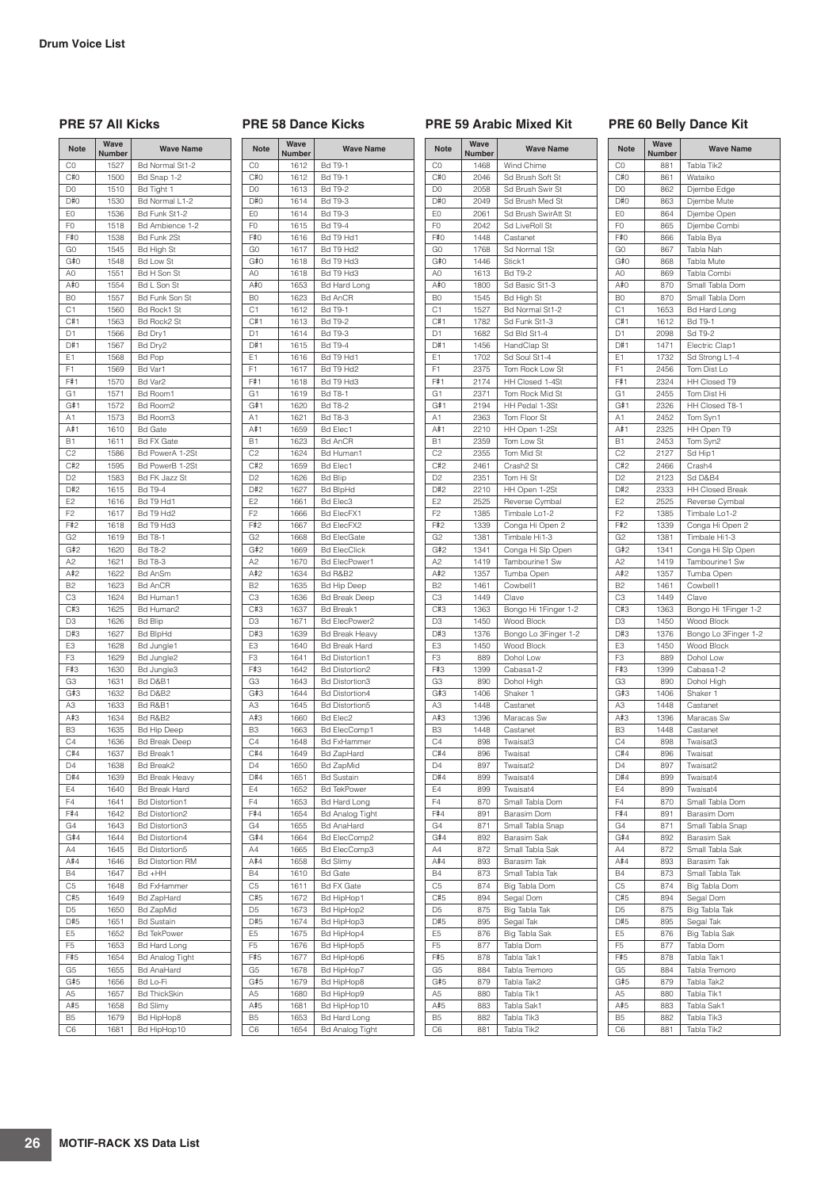### **PRE 57 All Kicks PRE 58 Dance Kicks PRE 59 Arabic Mixed Kit PRE 60 Belly Dance Kit Note Wave**

| <b>Note</b>    | Wave<br>Number | <b>Wave Name</b>        |  |  |  |  |  |  |  |
|----------------|----------------|-------------------------|--|--|--|--|--|--|--|
| C <sub>0</sub> | 1527           | Bd Normal St1-2         |  |  |  |  |  |  |  |
| C#0            | 1500           | Bd Snap 1-2             |  |  |  |  |  |  |  |
| D <sub>0</sub> | 1510           | Bd Tight 1              |  |  |  |  |  |  |  |
| D#0            | 1530           | Bd Normal L1-2          |  |  |  |  |  |  |  |
| E <sub>0</sub> | 1536           | Bd Funk St1-2           |  |  |  |  |  |  |  |
| F <sub>0</sub> | 1518           | Bd Ambience 1-2         |  |  |  |  |  |  |  |
| F#0            | 1538           | Bd Funk 2St             |  |  |  |  |  |  |  |
| G <sub>0</sub> | 1545           | <b>Bd High St</b>       |  |  |  |  |  |  |  |
| G#O            | 1548           | <b>Bd Low St</b>        |  |  |  |  |  |  |  |
| A <sub>0</sub> | 1551           | Bd H Son St             |  |  |  |  |  |  |  |
| A#0            | 1554           | <b>Bd L Son St</b>      |  |  |  |  |  |  |  |
| B <sub>0</sub> | 1557           | <b>Bd Funk Son St</b>   |  |  |  |  |  |  |  |
| C1             | 1560           | Bd Rock1 St             |  |  |  |  |  |  |  |
| C#1            | 1563           | <b>Bd Rock2 St</b>      |  |  |  |  |  |  |  |
| D <sub>1</sub> | 1566           | Bd Dry1                 |  |  |  |  |  |  |  |
| D#1            | 1567           | Bd Dry2                 |  |  |  |  |  |  |  |
| E1             | 1568           | <b>Bd Pop</b>           |  |  |  |  |  |  |  |
| F <sub>1</sub> | 1569           | Bd Var1                 |  |  |  |  |  |  |  |
| F#1            | 1570           | Bd Var2                 |  |  |  |  |  |  |  |
| G1             | 1571           | Bd Room1                |  |  |  |  |  |  |  |
| G#1            | 1572           | Bd Room2                |  |  |  |  |  |  |  |
| A1             | 1573           | Bd Room3                |  |  |  |  |  |  |  |
| A#1            | 1610           | <b>Bd Gate</b>          |  |  |  |  |  |  |  |
| <b>B1</b>      | 1611           | <b>Bd FX Gate</b>       |  |  |  |  |  |  |  |
| C <sub>2</sub> | 1586           | Bd PowerA 1-2St         |  |  |  |  |  |  |  |
| C#2            | 1595           | Bd PowerB 1-2St         |  |  |  |  |  |  |  |
| D <sub>2</sub> | 1583           | Bd FK Jazz St           |  |  |  |  |  |  |  |
| D#2            | 1615           | <b>Bd T9-4</b>          |  |  |  |  |  |  |  |
| F <sub>2</sub> | 1616           | Bd T9 Hd1               |  |  |  |  |  |  |  |
| F <sub>2</sub> | 1617           | Bd T9 Hd2               |  |  |  |  |  |  |  |
| F#2            | 1618           | Bd T9 Hd3               |  |  |  |  |  |  |  |
| G <sub>2</sub> | 1619           | <b>Bd T8-1</b>          |  |  |  |  |  |  |  |
| G#2            | 1620           | <b>Bd T8-2</b>          |  |  |  |  |  |  |  |
| A <sub>2</sub> | 1621           | <b>Bd T8-3</b>          |  |  |  |  |  |  |  |
| A#2            | 1622           | <b>Bd AnSm</b>          |  |  |  |  |  |  |  |
| B <sub>2</sub> | 1623           | <b>Bd AnCR</b>          |  |  |  |  |  |  |  |
| C <sub>3</sub> | 1624           | Bd Human1               |  |  |  |  |  |  |  |
| C#3            | 1625           | Bd Human2               |  |  |  |  |  |  |  |
| D <sub>3</sub> | 1626           | <b>Bd Blip</b>          |  |  |  |  |  |  |  |
| D#3            | 1627           | <b>Bd BlpHd</b>         |  |  |  |  |  |  |  |
| E <sub>3</sub> | 1628           | Bd Jungle1              |  |  |  |  |  |  |  |
| F <sub>3</sub> | 1629           | Bd Jungle2              |  |  |  |  |  |  |  |
| F#3            | 1630           | Bd Jungle3              |  |  |  |  |  |  |  |
| G3             | 1631           | Bd D&B1                 |  |  |  |  |  |  |  |
| G#3            | 1632           | Bd D&B2                 |  |  |  |  |  |  |  |
| A <sub>3</sub> | 1633           | Bd R&B1                 |  |  |  |  |  |  |  |
| A#3            | 1634           | Bd R&B2                 |  |  |  |  |  |  |  |
| B <sub>3</sub> | 1635           | <b>Bd Hip Deep</b>      |  |  |  |  |  |  |  |
| C <sub>4</sub> | 1636           | <b>Bd Break Deep</b>    |  |  |  |  |  |  |  |
| C#4            | 1637           | <b>Bd Break1</b>        |  |  |  |  |  |  |  |
| D <sub>4</sub> | 1638           | <b>Bd Break2</b>        |  |  |  |  |  |  |  |
| D#4            | 1639           | <b>Bd Break Heavy</b>   |  |  |  |  |  |  |  |
| E4             | 1640           | <b>Bd Break Hard</b>    |  |  |  |  |  |  |  |
| F <sub>4</sub> | 1641           | <b>Bd Distortion1</b>   |  |  |  |  |  |  |  |
| F#4            | 1642           | <b>Bd Distortion2</b>   |  |  |  |  |  |  |  |
| G4             | 1643           | <b>Bd Distortion3</b>   |  |  |  |  |  |  |  |
| G#4            | 1644           | <b>Bd Distortion4</b>   |  |  |  |  |  |  |  |
| A4             | 1645           | <b>Bd Distortion5</b>   |  |  |  |  |  |  |  |
| A#4            | 1646           | <b>Bd Distortion RM</b> |  |  |  |  |  |  |  |
| <b>B4</b>      | 1647           | Bd +HH                  |  |  |  |  |  |  |  |
| C <sub>5</sub> | 1648           | <b>Bd FxHammer</b>      |  |  |  |  |  |  |  |
| C#5            | 1649           | <b>Bd ZapHard</b>       |  |  |  |  |  |  |  |
| D <sub>5</sub> | 1650           | <b>Bd ZapMid</b>        |  |  |  |  |  |  |  |
| D#5            | 1651           | <b>Bd Sustain</b>       |  |  |  |  |  |  |  |
| E <sub>5</sub> | 1652           | <b>Bd TekPower</b>      |  |  |  |  |  |  |  |
| F <sub>5</sub> | 1653           | <b>Bd Hard Long</b>     |  |  |  |  |  |  |  |
| F#5            | 1654           | <b>Bd Analog Tight</b>  |  |  |  |  |  |  |  |
| G5             | 1655           | <b>Bd AnaHard</b>       |  |  |  |  |  |  |  |
| G#5            | 1656           | Bd Lo-Fi                |  |  |  |  |  |  |  |
| A <sub>5</sub> | 1657           | <b>Bd ThickSkin</b>     |  |  |  |  |  |  |  |
| A#5            | 1658           | <b>Bd Slimy</b>         |  |  |  |  |  |  |  |
| B <sub>5</sub> | 1679           | Bd HipHop8              |  |  |  |  |  |  |  |

| <b>Note</b>           | Wave<br>Number | <b>Wave Name</b>       |
|-----------------------|----------------|------------------------|
| CО                    | 1612           | <b>Bd T9-1</b>         |
| C#0                   | 1612           | <b>Bd T9-1</b>         |
| D0                    | 1613           | <b>Bd T9-2</b>         |
| D#0                   | 1614           | <b>Bd T9-3</b>         |
| E0                    | 1614           | <b>Bd T9-3</b>         |
| F0                    | 1615           | <b>Bd T9-4</b>         |
| F#0                   | 1616           | Bd T9 Hd1              |
| G0                    | 1617           | Bd T9 Hd2              |
| G#0                   | 1618           | Bd T9 Hd3              |
| A0                    | 1618           | Bd T9 Hd3              |
| A#O                   | 1653           | <b>Bd Hard Long</b>    |
| B <sub>0</sub>        | 1623           | <b>Bd AnCR</b>         |
| С1                    | 1612           | <b>Bd T9-1</b>         |
| C#1                   | 1613           | <b>Bd T9-2</b>         |
| D1                    | 1614           | <b>Bd T9-3</b>         |
| D#1                   | 1615           | <b>Bd T9-4</b>         |
| E <sub>1</sub>        | 1616           | Bd T9 Hd1              |
| F1                    |                |                        |
| F#1                   | 1617           | Bd T9 Hd2<br>Bd T9 Hd3 |
|                       | 1618           |                        |
| G1                    | 1619           | <b>Bd T8-1</b>         |
| G#1                   | 1620           | <b>Bd T8-2</b>         |
| A1                    | 1621           | <b>Bd T8-3</b>         |
| A#1                   | 1659           | <b>Bd Elec1</b>        |
| B1                    | 1623           | <b>Bd AnCR</b>         |
| C2                    | 1624           | Bd Human1              |
| C#2                   | 1659           | Bd Elec1               |
| D <sub>2</sub>        | 1626           | <b>Bd Blip</b>         |
| D#2                   | 1627           | <b>Bd BlpHd</b>        |
| E <sub>2</sub>        | 1661           | <b>Bd Elec3</b>        |
| F <sub>2</sub>        | 1666           | <b>Bd ElecFX1</b>      |
| F#2                   | 1667           | <b>Bd ElecFX2</b>      |
| G2                    | 1668           | <b>Bd ElecGate</b>     |
| G#2                   | 1669           | <b>Bd ElecClick</b>    |
| A <sub>2</sub>        | 1670           | <b>Bd ElecPower1</b>   |
| A#2                   | 1634           | Bd R&B2                |
| B2                    | 1635           | <b>Bd Hip Deep</b>     |
| C <sub>3</sub>        | 1636           | <b>Bd Break Deep</b>   |
| C#3                   | 1637           | <b>Bd Break1</b>       |
| D3                    | 1671           | <b>Bd ElecPower2</b>   |
| D#3                   | 1639           | <b>Bd Break Heavy</b>  |
| E3                    | 1640           | <b>Bd Break Hard</b>   |
| F3                    | 1641           | <b>Bd Distortion1</b>  |
| F#3                   | 1642           | <b>Bd Distortion2</b>  |
| G3                    | 1643           | <b>Bd Distortion3</b>  |
| G#3                   | 1644           | <b>Bd Distortion4</b>  |
| A3                    | 1645           | <b>Bd Distortion5</b>  |
| A#3                   | 1660           | <b>Bd Elec2</b>        |
| B <sub>3</sub>        | 1663           | <b>Bd ElecComp1</b>    |
| C4                    | 1648           | <b>Bd FxHammer</b>     |
| C#4                   | 1649           | <b>Bd ZapHard</b>      |
| D <sub>4</sub>        | 1650           | <b>Bd ZapMid</b>       |
| D#4                   | 1651           | Bd Sustain             |
| E4                    | 1652           | <b>Bd TekPower</b>     |
| F4                    | 1653           | <b>Bd Hard Long</b>    |
| F#4                   | 1654           | <b>Bd Analog Tight</b> |
| G4                    | 1655           | <b>Bd AnaHard</b>      |
| G#4                   | 1664           | <b>Bd ElecComp2</b>    |
| A4                    | 1665           | <b>Bd ElecComp3</b>    |
| A#4                   | 1658           | <b>Bd Slimy</b>        |
| <b>B4</b>             | 1610           | <b>Bd Gate</b>         |
| C5                    | 1611           | <b>Bd FX Gate</b>      |
| C#5                   | 1672           | Bd HipHop1             |
| D5                    | 1673           | Bd HipHop2             |
|                       |                | Bd HipHop3             |
| D#5<br>E <sub>5</sub> | 1674           |                        |
|                       | 1675           | Bd HipHop4             |
| F5                    | 1676           | Bd HipHop5             |
| F#5                   | 1677           | Bd HipHop6             |
| G5                    | 1678           | Bd HipHop7             |
| G#5                   | 1679           | Bd HipHop8             |
| A5                    | 1680           | Bd HipHop9             |
| A#5                   | 1681           | Bd HipHop10            |
| B5                    | 1653           | <b>Bd Hard Long</b>    |
| C6                    | 1654           | <b>Bd Analog Tight</b> |

| Note                  | Number       | <b>Wave Name</b>               |  |  |  |  |  |  |  |
|-----------------------|--------------|--------------------------------|--|--|--|--|--|--|--|
| C <sub>0</sub>        | 1468         | Wind Chime                     |  |  |  |  |  |  |  |
| C#O                   | 2046         | Sd Brush Soft St               |  |  |  |  |  |  |  |
| D <sub>0</sub>        | 2058         | Sd Brush Swir St               |  |  |  |  |  |  |  |
| D#0                   | 2049         | Sd Brush Med St                |  |  |  |  |  |  |  |
| E <sub>0</sub>        | 2061         | Sd Brush SwirAtt St            |  |  |  |  |  |  |  |
| F <sub>0</sub>        | 2042         | Sd LiveRoll St                 |  |  |  |  |  |  |  |
| F#0                   | 1448         | Castanet                       |  |  |  |  |  |  |  |
| G <sub>0</sub><br>G#0 | 1768<br>1446 | Sd Normal 1St<br>Stick1        |  |  |  |  |  |  |  |
| A <sub>0</sub>        | 1613         | <b>Bd T9-2</b>                 |  |  |  |  |  |  |  |
| A#O                   | 1800         | Sd Basic St1-3                 |  |  |  |  |  |  |  |
| B <sub>0</sub>        | 1545         | <b>Bd High St</b>              |  |  |  |  |  |  |  |
| C1                    | 1527         | Bd Normal St1-2                |  |  |  |  |  |  |  |
| C#1                   | 1782         | Sd Funk St1-3                  |  |  |  |  |  |  |  |
| D <sub>1</sub>        | 1682         | Sd Bld St1-4                   |  |  |  |  |  |  |  |
| D#1                   | 1456         | HandClap St                    |  |  |  |  |  |  |  |
| E <sub>1</sub>        | 1702         | Sd Soul St1-4                  |  |  |  |  |  |  |  |
| F <sub>1</sub>        | 2375         | Tom Rock Low St                |  |  |  |  |  |  |  |
| F#1                   | 2174         | HH Closed 1-4St                |  |  |  |  |  |  |  |
| G1                    | 2371         | Tom Rock Mid St                |  |  |  |  |  |  |  |
| G#1<br>A1             | 2194<br>2363 | HH Pedal 1-3St<br>Tom Floor St |  |  |  |  |  |  |  |
| A#1                   | 2210         | HH Open 1-2St                  |  |  |  |  |  |  |  |
| <b>B1</b>             | 2359         | Tom Low St                     |  |  |  |  |  |  |  |
| C <sub>2</sub>        | 2355         | Tom Mid St                     |  |  |  |  |  |  |  |
| C#2                   | 2461         | Crash <sub>2</sub> St          |  |  |  |  |  |  |  |
| D <sub>2</sub>        | 2351         | Tom Hi St                      |  |  |  |  |  |  |  |
| D#2                   | 2210         | HH Open 1-2St                  |  |  |  |  |  |  |  |
| E <sub>2</sub>        | 2525         | Reverse Cymbal                 |  |  |  |  |  |  |  |
| F <sub>2</sub>        | 1385         | Timbale Lo1-2                  |  |  |  |  |  |  |  |
| F#2                   | 1339         | Conga Hi Open 2                |  |  |  |  |  |  |  |
| G <sub>2</sub>        | 1381         | Timbale Hi1-3                  |  |  |  |  |  |  |  |
| G#2                   | 1341         | Conga Hi Slp Open              |  |  |  |  |  |  |  |
| A <sub>2</sub><br>A#2 | 1419<br>1357 | Tambourine1 Sw<br>Tumba Open   |  |  |  |  |  |  |  |
| B <sub>2</sub>        | 1461         | Cowbell1                       |  |  |  |  |  |  |  |
| C <sub>3</sub>        | 1449         | Clave                          |  |  |  |  |  |  |  |
| C#3                   | 1363         | Bongo Hi 1Finger 1-2           |  |  |  |  |  |  |  |
| D <sub>3</sub>        | 1450         | Wood Block                     |  |  |  |  |  |  |  |
| D#3                   | 1376         | Bongo Lo 3Finger 1-2           |  |  |  |  |  |  |  |
| E <sub>3</sub>        | 1450         | Wood Block                     |  |  |  |  |  |  |  |
| F <sub>3</sub>        | 889          | Dohol Low                      |  |  |  |  |  |  |  |
| F#3                   | 1399         | Cabasa1-2                      |  |  |  |  |  |  |  |
| G <sub>3</sub>        | 890          | Dohol High                     |  |  |  |  |  |  |  |
| G#3<br>A <sub>3</sub> | 1406<br>1448 | Shaker 1                       |  |  |  |  |  |  |  |
| A#3                   | 1396         | Castanet<br>Maracas Sw         |  |  |  |  |  |  |  |
| B <sub>3</sub>        | 1448         | Castanet                       |  |  |  |  |  |  |  |
| C4                    | 898          | Twaisat3                       |  |  |  |  |  |  |  |
| C#4                   | 896          | Twaisat                        |  |  |  |  |  |  |  |
| D <sub>4</sub>        | 897          | Twaisat2                       |  |  |  |  |  |  |  |
| D#4                   | 899          | Twaisat4                       |  |  |  |  |  |  |  |
| E4                    | 899          | Twaisat4                       |  |  |  |  |  |  |  |
| F4                    | 870          | Small Tabla Dom                |  |  |  |  |  |  |  |
| F#4                   | 891          | Barasim Dom                    |  |  |  |  |  |  |  |
| G4                    | 871          | Small Tabla Snap               |  |  |  |  |  |  |  |
| G#4                   | 892          | Barasim Sak                    |  |  |  |  |  |  |  |
| A4<br>A#4             | 872<br>893   | Small Tabla Sak<br>Barasim Tak |  |  |  |  |  |  |  |
| <b>B4</b>             | 873          | Small Tabla Tak                |  |  |  |  |  |  |  |
| C <sub>5</sub>        | 874          | Big Tabla Dom                  |  |  |  |  |  |  |  |
| C#5                   | 894          | Segal Dom                      |  |  |  |  |  |  |  |
| D <sub>5</sub>        | 875          | Big Tabla Tak                  |  |  |  |  |  |  |  |
| D#5                   | 895          | Segal Tak                      |  |  |  |  |  |  |  |
| E <sub>5</sub>        | 876          | Big Tabla Sak                  |  |  |  |  |  |  |  |
| F <sub>5</sub>        | 877          | Tabla Dom                      |  |  |  |  |  |  |  |
| F#5                   | 878          | Tabla Tak1                     |  |  |  |  |  |  |  |
| G5                    | 884          | Tabla Tremoro                  |  |  |  |  |  |  |  |
| G#5                   | 879          | Tabla Tak2                     |  |  |  |  |  |  |  |
| A <sub>5</sub><br>A#5 | 880          | Tabla Tik1                     |  |  |  |  |  |  |  |
| B <sub>5</sub>        | 883<br>882   | Tabla Sak1                     |  |  |  |  |  |  |  |
| C6                    | 881          | Tabla Tik3<br>Tabla Tik2       |  |  |  |  |  |  |  |
|                       |              |                                |  |  |  |  |  |  |  |

| <b>Note</b>                      | Wave<br>Number | <b>Wave Name</b>                       |  |  |  |  |  |  |  |
|----------------------------------|----------------|----------------------------------------|--|--|--|--|--|--|--|
| C <sub>0</sub>                   | 881            | Tabla Tik2                             |  |  |  |  |  |  |  |
| C#O                              | 861            | Wataiko                                |  |  |  |  |  |  |  |
| D <sub>0</sub>                   | 862            | Djembe Edge                            |  |  |  |  |  |  |  |
| D#0                              | 863            | Djembe Mute                            |  |  |  |  |  |  |  |
| E <sub>0</sub>                   | 864            | Djembe Open                            |  |  |  |  |  |  |  |
| F <sub>0</sub>                   | 865            | Djembe Combi                           |  |  |  |  |  |  |  |
| F#0                              | 866            | Tabla Bya                              |  |  |  |  |  |  |  |
| G <sub>0</sub>                   | 867            | Tabla Nah                              |  |  |  |  |  |  |  |
| G#0                              | 868            | Tabla Mute                             |  |  |  |  |  |  |  |
| A0                               | 869            | Tabla Combi                            |  |  |  |  |  |  |  |
| A#O                              | 870            | Small Tabla Dom                        |  |  |  |  |  |  |  |
| B <sub>0</sub><br>C <sub>1</sub> | 870<br>1653    | Small Tabla Dom<br><b>Bd Hard Long</b> |  |  |  |  |  |  |  |
| C#1                              | 1612           | <b>Bd T9-1</b>                         |  |  |  |  |  |  |  |
| D1                               | 2098           | <b>Sd T9-2</b>                         |  |  |  |  |  |  |  |
| D#1                              | 1471           | Electric Clap1                         |  |  |  |  |  |  |  |
| E <sub>1</sub>                   | 1732           | Sd Strong L1-4                         |  |  |  |  |  |  |  |
| F <sub>1</sub>                   | 2456           | Tom Dist Lo                            |  |  |  |  |  |  |  |
| F#1                              | 2324           | HH Closed T9                           |  |  |  |  |  |  |  |
| G1                               | 2455           | Tom Dist Hi                            |  |  |  |  |  |  |  |
| G#1                              | 2326           | HH Closed T8-1                         |  |  |  |  |  |  |  |
| A <sub>1</sub>                   | 2452           | Tom Syn1                               |  |  |  |  |  |  |  |
| A#1                              | 2325           | HH Open T9                             |  |  |  |  |  |  |  |
| <b>B1</b>                        | 2453           | Tom Syn2                               |  |  |  |  |  |  |  |
| C <sub>2</sub>                   | 2127           | Sd Hip1                                |  |  |  |  |  |  |  |
| C#2                              | 2466           | Crash4                                 |  |  |  |  |  |  |  |
| D <sub>2</sub>                   | 2123           | Sd D&B4                                |  |  |  |  |  |  |  |
| D#2                              | 2333           | <b>HH Closed Break</b>                 |  |  |  |  |  |  |  |
| E <sub>2</sub>                   | 2525           | Reverse Cymbal                         |  |  |  |  |  |  |  |
| F <sub>2</sub>                   | 1385           | Timbale Lo1-2                          |  |  |  |  |  |  |  |
| F#2                              | 1339           | Conga Hi Open 2                        |  |  |  |  |  |  |  |
| G <sub>2</sub>                   | 1381           | Timbale Hi1-3                          |  |  |  |  |  |  |  |
| G#2                              | 1341           | Conga Hi Slp Open                      |  |  |  |  |  |  |  |
| A2                               | 1419           | Tambourine1 Sw                         |  |  |  |  |  |  |  |
| A#2                              | 1357           | Tumba Open                             |  |  |  |  |  |  |  |
| B <sub>2</sub>                   | 1461           | Cowbell1                               |  |  |  |  |  |  |  |
| C <sub>3</sub>                   | 1449           | Clave                                  |  |  |  |  |  |  |  |
| C#3                              | 1363           | Bongo Hi 1Finger 1-2                   |  |  |  |  |  |  |  |
| D <sub>3</sub>                   | 1450           | Wood Block                             |  |  |  |  |  |  |  |
| D#3                              | 1376           | Bongo Lo 3Finger 1-2                   |  |  |  |  |  |  |  |
| E3                               | 1450           | Wood Block                             |  |  |  |  |  |  |  |
| F <sub>3</sub>                   | 889            | Dohol Low                              |  |  |  |  |  |  |  |
| F#3                              | 1399           | Cabasa1-2                              |  |  |  |  |  |  |  |
| G <sub>3</sub>                   | 890            | Dohol High                             |  |  |  |  |  |  |  |
| G#3                              | 1406           | Shaker 1                               |  |  |  |  |  |  |  |
| A <sub>3</sub>                   | 1448           | Castanet                               |  |  |  |  |  |  |  |
| A#3                              | 1396           | Maracas Sw                             |  |  |  |  |  |  |  |
| B <sub>3</sub>                   | 1448           | Castanet                               |  |  |  |  |  |  |  |
| .<br>C4                          | 898            | Twaisat3                               |  |  |  |  |  |  |  |
| C#4                              | 896            | Twaisat                                |  |  |  |  |  |  |  |
| D <sub>4</sub>                   | 897            | Twaisat2                               |  |  |  |  |  |  |  |
| D#4                              | 899            | Twaisat4                               |  |  |  |  |  |  |  |
| E4                               | 899            | Twaisat4                               |  |  |  |  |  |  |  |
| F4                               | 870            | Small Tabla Dom                        |  |  |  |  |  |  |  |
| F#4                              | 891            | Barasim Dom                            |  |  |  |  |  |  |  |
| G4                               | 871            | Small Tabla Snap                       |  |  |  |  |  |  |  |
| G#4                              | 892            | Barasim Sak                            |  |  |  |  |  |  |  |
| A4                               | 872            | Small Tabla Sak<br>Barasim Tak         |  |  |  |  |  |  |  |
| A#4                              | 893            |                                        |  |  |  |  |  |  |  |
| <b>B4</b>                        | 873            | Small Tabla Tak                        |  |  |  |  |  |  |  |
| C <sub>5</sub><br>C#5            | 874            | Big Tabla Dom                          |  |  |  |  |  |  |  |
| D <sub>5</sub>                   | 894<br>875     | Segal Dom<br>Big Tabla Tak             |  |  |  |  |  |  |  |
| D#5                              | 895            |                                        |  |  |  |  |  |  |  |
| E <sub>5</sub>                   | 876            | Segal Tak<br>Big Tabla Sak             |  |  |  |  |  |  |  |
| F <sub>5</sub>                   |                | Tabla Dom                              |  |  |  |  |  |  |  |
| F#5                              | 877            |                                        |  |  |  |  |  |  |  |
| G5                               | 878<br>884     | Tabla Tak1<br>Tabla Tremoro            |  |  |  |  |  |  |  |
| G#5                              | 879            | Tabla Tak2                             |  |  |  |  |  |  |  |
| A <sub>5</sub>                   | 880            | Tabla Tik1                             |  |  |  |  |  |  |  |
| A#5                              | 883            | Tabla Sak1                             |  |  |  |  |  |  |  |
| B <sub>5</sub>                   | 882            | Tabla Tik3                             |  |  |  |  |  |  |  |
| C <sub>6</sub>                   | 881            | Tabla Tik2                             |  |  |  |  |  |  |  |
|                                  |                |                                        |  |  |  |  |  |  |  |

C6 | 1681 | Bd HipHop10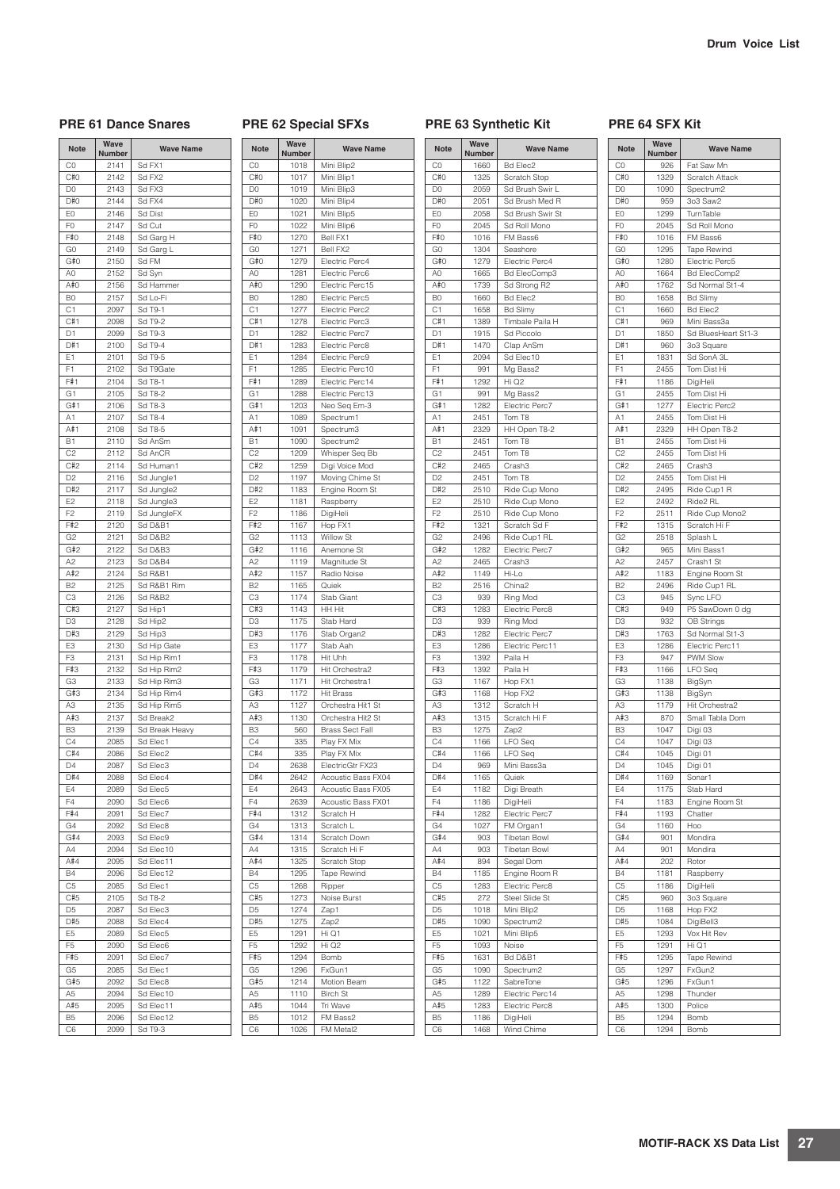# PRE 61 Dance Snares PRE 62 Special SFXs<br>
PRE 63 Synthetic Kit
PRE 64 SFX Kit

| <b>Note</b>           | Wave<br>Number | <b>Wave Name</b>            | N              |
|-----------------------|----------------|-----------------------------|----------------|
| C <sub>0</sub>        | 2141           | Sd FX1                      | C              |
| C#O                   | 2142           | Sd FX2                      | Сŧ             |
| D <sub>0</sub>        | 2143           | Sd FX3                      | D <sub>C</sub> |
| D#0                   | 2144           | Sd FX4                      | Dŧ             |
| E <sub>0</sub>        | 2146           | <b>Sd Dist</b>              | EC             |
| F <sub>0</sub>        | 2147           | Sd Cut                      | FO             |
| F#0                   | 2148           | Sd Garg H                   | F#             |
| G <sub>0</sub>        | 2149           | Sd Garg L                   | G              |
| G#O                   | 2150           | Sd FM                       | Gŧ             |
| A <sub>0</sub>        | 2152           | Sd Syn                      | A              |
| A#0                   | 2156           | Sd Hammer                   | A#             |
| B <sub>0</sub>        | 2157           | Sd Lo-Fi                    | B <sub>C</sub> |
| C <sub>1</sub>        | 2097           | Sd T9-1                     | C.             |
| C#1                   | 2098           | Sd T9-2                     | C‡             |
| D <sub>1</sub><br>D#1 | 2099<br>2100   | Sd T9-3<br>Sd T9-4          | D.<br>D‡       |
| E <sub>1</sub>        | 2101           | Sd T9-5                     | E <sub>1</sub> |
| F <sub>1</sub>        | 2102           | Sd T9Gate                   | F <sub>1</sub> |
| F#1                   | 2104           | Sd T8-1                     | F#             |
| G1                    | 2105           | Sd T8-2                     | G.             |
| G#1                   | 2106           | Sd T8-3                     | Gŧ             |
| A1                    | 2107           | Sd T8-4                     | A <sub>1</sub> |
| A#1                   | 2108           | Sd T8-5                     | Α#             |
| <b>B1</b>             | 2110           | Sd AnSm                     | <b>B1</b>      |
| C <sub>2</sub>        | 2112           | Sd AnCR                     | C              |
| C#2                   | 2114           | Sd Human1                   | C‡             |
| D <sub>2</sub>        | 2116           | Sd Jungle1                  | D2             |
| D#2                   | 2117           | Sd Jungle2                  | D‡             |
| E <sub>2</sub>        | 2118           | Sd Jungle3                  | E2             |
| F <sub>2</sub>        | 2119           | Sd JungleFX                 | F <sub>2</sub> |
| F#2                   | 2120           | Sd D&B1                     | F#             |
| G <sub>2</sub>        | 2121           | Sd D&B2                     | G              |
| G#2<br>A <sub>2</sub> | 2122<br>2123   | Sd D&B3<br>Sd D&B4          | Gŧ<br>A2       |
| A#2                   | 2124           | Sd R&B1                     | A#             |
| B <sub>2</sub>        | 2125           | Sd R&B1 Rim                 | B2             |
| C <sub>3</sub>        | 2126           | Sd R&B2                     | C3             |
| C#3                   | 2127           | Sd Hip1                     | C‡             |
| D <sub>3</sub>        | 2128           | Sd Hip2                     | D3             |
| D#3                   | 2129           | Sd Hip3                     | D‡             |
| E <sub>3</sub>        | 2130           | Sd Hip Gate                 | E3             |
| F <sub>3</sub>        | 2131           | Sd Hip Rim1                 | F3             |
| F#3                   | 2132           | Sd Hip Rim2                 | F#             |
| G3                    | 2133           | Sd Hip Rim3                 | G.             |
| G#3                   | 2134           | Sd Hip Rim4                 | Gŧ             |
| A3<br>A#3             | 2135<br>2137   | Sd Hip Rim5                 | A3<br>A#       |
| B <sub>3</sub>        | 2139           | Sd Break2<br>Sd Break Heavy | B3             |
| C <sub>4</sub>        | 2085           | Sd Elec1                    | С              |
| C#4                   | 2086           | Sd Elec2                    | Сŧ             |
| D <sub>4</sub>        | 2087           | Sd Elec3                    | D4             |
| D#4                   | 2088           | Sd Elec4                    | D‡             |
| E4                    | 2089           | Sd Elec5                    | E4             |
| F4                    | 2090           | Sd Elec6                    | F4             |
| F#4                   | 2091           | Sd Elec7                    | F#             |
| G4                    | 2092           | Sd Elec8                    | G4             |
| G#4                   | 2093           | Sd Elec9                    | Gł             |
| A4                    | 2094           | Sd Elec10                   | A              |
| A#4                   | 2095           | Sd Elec11                   | A#             |
| <b>B4</b>             | 2096           | Sd Elec12                   | B              |
| C <sub>5</sub><br>C#5 | 2085<br>2105   | Sd Elec1<br>Sd T8-2         | Сś<br>Сŧ       |
| D <sub>5</sub>        | 2087           | Sd Elec3                    | D.             |
| D#5                   | 2088           | Sd Elec4                    | D‡             |
| E <sub>5</sub>        | 2089           | Sd Elec5                    | E5             |
| F <sub>5</sub>        | 2090           | Sd Elec6                    | F <sub>5</sub> |
| F#5                   | 2091           | Sd Elec7                    | F#             |
| G5                    | 2085           | Sd Elec1                    | G!             |
| G#5                   | 2092           | Sd Elec8                    | G              |
| A <sub>5</sub>        | 2094           | Sd Elec10                   | A5             |
| A#5                   | 2095           | Sd Elec11                   | Α#             |
| B <sub>5</sub>        | 2096           | Sd Elec12                   | Βŝ             |

C6 | 2099 | Sd T9-3

| <b>Note</b>           | Wave<br>Number | <b>Wave Name</b>                         |  |  |  |  |  |  |  |
|-----------------------|----------------|------------------------------------------|--|--|--|--|--|--|--|
| C0                    | 1018           | Mini Blip2                               |  |  |  |  |  |  |  |
| C#0                   | 1017           | Mini Blip1                               |  |  |  |  |  |  |  |
| D0                    | 1019           | Mini Blip3                               |  |  |  |  |  |  |  |
| D#0                   | 1020           | Mini Blip4                               |  |  |  |  |  |  |  |
| E <sub>0</sub>        | 1021           | Mini Blip5                               |  |  |  |  |  |  |  |
| F <sub>0</sub>        | 1022           | Mini Blip6<br>Bell FX1                   |  |  |  |  |  |  |  |
| F#0<br>G0             | 1270<br>1271   | Bell FX2                                 |  |  |  |  |  |  |  |
| G#0                   | 1279           | Electric Perc4                           |  |  |  |  |  |  |  |
| A0                    | 1281           | Electric Perc6                           |  |  |  |  |  |  |  |
| A#O                   | 1290           | Electric Perc15                          |  |  |  |  |  |  |  |
| B <sub>0</sub>        | 1280           | Electric Perc5                           |  |  |  |  |  |  |  |
| C1                    | 1277           | Electric Perc2                           |  |  |  |  |  |  |  |
| C#1                   | 1278           | Electric Perc3                           |  |  |  |  |  |  |  |
| D1                    | 1282           | Electric Perc7                           |  |  |  |  |  |  |  |
| D#1<br>E <sub>1</sub> | 1283<br>1284   | Electric Perc8<br>Electric Perc9         |  |  |  |  |  |  |  |
| F1                    | 1285           | Electric Perc10                          |  |  |  |  |  |  |  |
| F#1                   | 1289           | Electric Perc14                          |  |  |  |  |  |  |  |
| G1                    | 1288           | Electric Perc13                          |  |  |  |  |  |  |  |
| G#1                   | 1203           | Neo Seq Em-3                             |  |  |  |  |  |  |  |
| Α1                    | 1089           | Spectrum1                                |  |  |  |  |  |  |  |
| A#1                   | 1091           | Spectrum3                                |  |  |  |  |  |  |  |
| <b>B1</b>             | 1090           | Spectrum2                                |  |  |  |  |  |  |  |
| C <sub>2</sub><br>C#2 | 1209           | Whisper Seq Bb                           |  |  |  |  |  |  |  |
| D <sub>2</sub>        | 1259<br>1197   | Digi Voice Mod<br>Moving Chime St        |  |  |  |  |  |  |  |
| D#2                   | 1183           | Engine Room St                           |  |  |  |  |  |  |  |
| E <sub>2</sub>        | 1181           | Raspberry                                |  |  |  |  |  |  |  |
| F <sub>2</sub>        | 1186           | DigiHeli                                 |  |  |  |  |  |  |  |
| F#2                   | 1167           | Hop FX1                                  |  |  |  |  |  |  |  |
| G2                    | 1113           | Willow St                                |  |  |  |  |  |  |  |
| G#2                   | 1116           | Anemone St                               |  |  |  |  |  |  |  |
| A2                    | 1119           | Magnitude St                             |  |  |  |  |  |  |  |
| A#2<br>B <sub>2</sub> | 1157<br>1165   | Radio Noise<br>Quiek                     |  |  |  |  |  |  |  |
| C3                    | 1174           | Stab Giant                               |  |  |  |  |  |  |  |
| C#3                   | 1143           | HH Hit                                   |  |  |  |  |  |  |  |
| D3                    | 1175           | Stab Hard                                |  |  |  |  |  |  |  |
| D#3                   | 1176           | Stab Organ2                              |  |  |  |  |  |  |  |
| E3                    | 1177           | Stab Aah                                 |  |  |  |  |  |  |  |
| F3                    | 1178           | Hit Uhh                                  |  |  |  |  |  |  |  |
| F#3                   | 1179           | Hit Orchestra2                           |  |  |  |  |  |  |  |
| G3<br>G#3             | 1171<br>1172   | Hit Orchestra1<br><b>Hit Brass</b>       |  |  |  |  |  |  |  |
| ΑЗ                    | 1127           | Orchestra Hit1 St                        |  |  |  |  |  |  |  |
| A#3                   | 1130           | Orchestra Hit2 St                        |  |  |  |  |  |  |  |
| B3                    | 560            | <b>Brass Sect Fall</b>                   |  |  |  |  |  |  |  |
| C4                    | 335            | Play FX Mix                              |  |  |  |  |  |  |  |
| C#4                   | 335            | Play FX Mix                              |  |  |  |  |  |  |  |
| D <sub>4</sub>        | 2638           | ElectricGtr FX23                         |  |  |  |  |  |  |  |
| D#4<br>E4             | 2642<br>2643   | Acoustic Bass FX04                       |  |  |  |  |  |  |  |
| F4                    | 2639           | Acoustic Bass FX05<br>Acoustic Bass FX01 |  |  |  |  |  |  |  |
| F#4                   | 1312           | Scratch H                                |  |  |  |  |  |  |  |
| G4                    | 1313           | Scratch L                                |  |  |  |  |  |  |  |
| G#4                   | 1314           | Scratch Down                             |  |  |  |  |  |  |  |
| A4                    | 1315           | Scratch Hi F                             |  |  |  |  |  |  |  |
| A#4                   | 1325           | Scratch Stop                             |  |  |  |  |  |  |  |
| <b>B4</b>             | 1295           | <b>Tape Rewind</b>                       |  |  |  |  |  |  |  |
| C <sub>5</sub>        | 1268           | Ripper                                   |  |  |  |  |  |  |  |
| C#5                   | 1273           | Noise Burst                              |  |  |  |  |  |  |  |
| D5<br>D#5             | 1274<br>1275   | Zap1<br>Zap2                             |  |  |  |  |  |  |  |
| E5                    | 1291           | Hi Q1                                    |  |  |  |  |  |  |  |
| F5                    | 1292           | Hi Q2                                    |  |  |  |  |  |  |  |
| F#5                   | 1294           | Bomb                                     |  |  |  |  |  |  |  |
| G5                    | 1296           | FxGun1                                   |  |  |  |  |  |  |  |
| G#5                   | 1214           | Motion Beam                              |  |  |  |  |  |  |  |
| A5                    | 1110           | <b>Birch St</b>                          |  |  |  |  |  |  |  |
| A#5<br><b>B5</b>      | 1044           | Tri Wave                                 |  |  |  |  |  |  |  |
| C6                    | 1012<br>1026   | FM Bass2<br>FM Metal2                    |  |  |  |  |  |  |  |
|                       |                |                                          |  |  |  |  |  |  |  |

| <b>Note</b>                      | Wave<br>Number | <b>Wave Name</b>                |  |  |  |  |  |  |  |
|----------------------------------|----------------|---------------------------------|--|--|--|--|--|--|--|
| C <sub>0</sub>                   | 1660           | Bd Elec2                        |  |  |  |  |  |  |  |
| C#O                              | 1325           | Scratch Stop                    |  |  |  |  |  |  |  |
| D0                               | 2059           | Sd Brush Swir L                 |  |  |  |  |  |  |  |
| D#0                              | 2051           | Sd Brush Med R                  |  |  |  |  |  |  |  |
| F <sub>0</sub>                   | 2058           | Sd Brush Swir St                |  |  |  |  |  |  |  |
| F <sub>0</sub>                   | 2045           | Sd Roll Mono                    |  |  |  |  |  |  |  |
| F#0                              | 1016           | FM Bass6                        |  |  |  |  |  |  |  |
| G <sub>0</sub><br>G#0            | 1304<br>1279   | Seashore<br>Electric Perc4      |  |  |  |  |  |  |  |
| A <sub>0</sub>                   | 1665           | <b>Bd ElecComp3</b>             |  |  |  |  |  |  |  |
| A#O                              | 1739           | Sd Strong R2                    |  |  |  |  |  |  |  |
| B <sub>0</sub>                   | 1660           | <b>Bd Elec2</b>                 |  |  |  |  |  |  |  |
| C1                               | 1658           | <b>Bd Slimy</b>                 |  |  |  |  |  |  |  |
| C#1                              | 1389           | Timbale Paila H                 |  |  |  |  |  |  |  |
| D <sub>1</sub>                   | 1915           | Sd Piccolo                      |  |  |  |  |  |  |  |
| D#1                              | 1470           | Clap AnSm                       |  |  |  |  |  |  |  |
| E1                               | 2094           | Sd Elec10                       |  |  |  |  |  |  |  |
| F <sub>1</sub>                   | 991            | Mg Bass2                        |  |  |  |  |  |  |  |
| F#1                              | 1292           | Hi Q2                           |  |  |  |  |  |  |  |
| G <sub>1</sub>                   | 991            | Mg Bass2                        |  |  |  |  |  |  |  |
| G#1<br>A1                        | 1282<br>2451   | Electric Perc7<br>Tom T8        |  |  |  |  |  |  |  |
| A#1                              | 2329           | HH Open T8-2                    |  |  |  |  |  |  |  |
| <b>B1</b>                        | 2451           | Tom T8                          |  |  |  |  |  |  |  |
| C <sub>2</sub>                   | 2451           | Tom T8                          |  |  |  |  |  |  |  |
| C#2                              | 2465           | Crash3                          |  |  |  |  |  |  |  |
| D <sub>2</sub>                   | 2451           | Tom T8                          |  |  |  |  |  |  |  |
| D#2                              | 2510           | Ride Cup Mono                   |  |  |  |  |  |  |  |
| E <sub>2</sub>                   | 2510           | Ride Cup Mono                   |  |  |  |  |  |  |  |
| F <sub>2</sub>                   | 2510           | Ride Cup Mono                   |  |  |  |  |  |  |  |
| F#2                              | 1321           | Scratch Sd F                    |  |  |  |  |  |  |  |
| G <sub>2</sub>                   | 2496           | Ride Cup1 RL                    |  |  |  |  |  |  |  |
| G#2<br>A2                        | 1282<br>2465   | Electric Perc7<br>Crash3        |  |  |  |  |  |  |  |
| A#2                              | 1149           | Hi-Lo                           |  |  |  |  |  |  |  |
| B <sub>2</sub><br>2516           |                | China <sub>2</sub>              |  |  |  |  |  |  |  |
| C <sub>3</sub>                   | 939            | Ring Mod                        |  |  |  |  |  |  |  |
| C#3                              | 1283           | Electric Perc8                  |  |  |  |  |  |  |  |
| D <sub>3</sub>                   | 939            | Ring Mod                        |  |  |  |  |  |  |  |
| D#3                              | 1282           | Electric Perc7                  |  |  |  |  |  |  |  |
| E <sub>3</sub><br>F <sub>3</sub> | 1286<br>1392   | Electric Perc11<br>Paila H      |  |  |  |  |  |  |  |
| F#3                              | 1392           | Paila H                         |  |  |  |  |  |  |  |
| G <sub>3</sub>                   | 1167           | Hop FX1                         |  |  |  |  |  |  |  |
| G#3                              | 1168           | Hop FX2                         |  |  |  |  |  |  |  |
| A <sub>3</sub>                   | 1312           | Scratch H                       |  |  |  |  |  |  |  |
| A#3                              | 1315           | Scratch Hi F                    |  |  |  |  |  |  |  |
| B <sub>3</sub>                   | 1275           | Zap2                            |  |  |  |  |  |  |  |
| C4<br>C#4                        | 1166<br>1166   | LFO Seq                         |  |  |  |  |  |  |  |
| D <sub>4</sub>                   | 969            | LFO Seq<br>Mini Bass3a          |  |  |  |  |  |  |  |
| D#4                              | 1165           | Quiek                           |  |  |  |  |  |  |  |
| E4                               | 1182           | Digi Breath                     |  |  |  |  |  |  |  |
| F <sub>4</sub>                   | 1186           | DigiHeli                        |  |  |  |  |  |  |  |
| F#4                              | 1282           | Electric Perc7                  |  |  |  |  |  |  |  |
| G4                               | 1027           | FM Organ1                       |  |  |  |  |  |  |  |
| G#4                              | 903            | <b>Tibetan Bowl</b>             |  |  |  |  |  |  |  |
| A4                               | 903            | <b>Tibetan Bowl</b>             |  |  |  |  |  |  |  |
| A#4                              | 894            | Segal Dom                       |  |  |  |  |  |  |  |
| <b>B4</b><br>C <sub>5</sub>      | 1185<br>1283   | Engine Room R<br>Electric Perc8 |  |  |  |  |  |  |  |
| C#5                              | 272            | Steel Slide St                  |  |  |  |  |  |  |  |
| D <sub>5</sub>                   | 1018           | Mini Blip2                      |  |  |  |  |  |  |  |
| D#5                              | 1090           | Spectrum2                       |  |  |  |  |  |  |  |
| E <sub>5</sub>                   | 1021           | Mini Blip5                      |  |  |  |  |  |  |  |
| F <sub>5</sub>                   | 1093           | Noise                           |  |  |  |  |  |  |  |
| F#5                              | 1631           | Bd D&B1                         |  |  |  |  |  |  |  |
| G <sub>5</sub><br>G#5            | 1090<br>1122   | Spectrum2<br>SabreTone          |  |  |  |  |  |  |  |
| A <sub>5</sub>                   | 1289           | Electric Perc14                 |  |  |  |  |  |  |  |
| A#5                              | 1283           | Electric Perc8                  |  |  |  |  |  |  |  |
| B <sub>5</sub>                   | 1186           | DigiHeli                        |  |  |  |  |  |  |  |
| C6                               | 1468           | Wind Chime                      |  |  |  |  |  |  |  |

| <b>Note</b>           | Wave<br>Number | <b>Wave Name</b>                     |  |  |  |  |  |  |  |
|-----------------------|----------------|--------------------------------------|--|--|--|--|--|--|--|
| C <sub>0</sub>        | 926            | Fat Saw Mn                           |  |  |  |  |  |  |  |
| C#O                   | 1329           | Scratch Attack                       |  |  |  |  |  |  |  |
| D <sub>0</sub>        | 1090           | Spectrum2                            |  |  |  |  |  |  |  |
| D#0                   | 959            | 3o3 Saw2                             |  |  |  |  |  |  |  |
| E <sub>0</sub>        | 1299           | TurnTable                            |  |  |  |  |  |  |  |
| F <sub>0</sub>        | 2045           | Sd Roll Mono                         |  |  |  |  |  |  |  |
| F#0                   | 1016           | FM Bass6                             |  |  |  |  |  |  |  |
| G <sub>0</sub><br>G#0 | 1295<br>1280   | <b>Tape Rewind</b><br>Electric Perc5 |  |  |  |  |  |  |  |
| A <sub>0</sub>        | 1664           | <b>Bd ElecComp2</b>                  |  |  |  |  |  |  |  |
| A#O                   | 1762           | Sd Normal St1-4                      |  |  |  |  |  |  |  |
| B <sub>0</sub>        | 1658           | <b>Bd Slimy</b>                      |  |  |  |  |  |  |  |
| C <sub>1</sub>        | 1660           | Bd Elec2                             |  |  |  |  |  |  |  |
| C#1                   | 969            | Mini Bass3a                          |  |  |  |  |  |  |  |
| D <sub>1</sub>        | 1850           | Sd BluesHeart St1-3                  |  |  |  |  |  |  |  |
| D#1                   | 960            | 3o3 Square                           |  |  |  |  |  |  |  |
| E <sub>1</sub>        | 1831           | Sd SonA 3L                           |  |  |  |  |  |  |  |
| F <sub>1</sub><br>F#1 | 2455<br>1186   | Tom Dist Hi                          |  |  |  |  |  |  |  |
| G <sub>1</sub>        | 2455           | DigiHeli<br>Tom Dist Hi              |  |  |  |  |  |  |  |
| G#1                   | 1277           | Electric Perc2                       |  |  |  |  |  |  |  |
| A1                    | 2455           | Tom Dist Hi                          |  |  |  |  |  |  |  |
| A#1                   | 2329           | HH Open T8-2                         |  |  |  |  |  |  |  |
| <b>B1</b>             | 2455           | Tom Dist Hi                          |  |  |  |  |  |  |  |
| C <sub>2</sub>        | 2455           | Tom Dist Hi                          |  |  |  |  |  |  |  |
| C#2                   | 2465           | Crash3                               |  |  |  |  |  |  |  |
| D2                    | 2455           | Tom Dist Hi                          |  |  |  |  |  |  |  |
| D#2<br>E <sub>2</sub> | 2495<br>2492   | Ride Cup1 R<br>Ride2 RL              |  |  |  |  |  |  |  |
| F <sub>2</sub>        | 2511           | Ride Cup Mono2                       |  |  |  |  |  |  |  |
| F#2                   | 1315           | Scratch Hi F                         |  |  |  |  |  |  |  |
| G <sub>2</sub>        | 2518           | Splash L                             |  |  |  |  |  |  |  |
| G#2                   | 965            | Mini Bass1                           |  |  |  |  |  |  |  |
| A <sub>2</sub>        | 2457           | Crash1 St                            |  |  |  |  |  |  |  |
| A#2                   | 1183           | Engine Room St                       |  |  |  |  |  |  |  |
| <b>B2</b>             | 2496           | Ride Cup1 RL                         |  |  |  |  |  |  |  |
| C <sub>3</sub>        | 945            | Sync LFO                             |  |  |  |  |  |  |  |
| C#3                   | 949            | P5 SawDown 0 dg                      |  |  |  |  |  |  |  |
| D <sub>3</sub><br>D#3 | 932<br>1763    | OB Strings                           |  |  |  |  |  |  |  |
| E <sub>3</sub>        | 1286           | Sd Normal St1-3<br>Electric Perc11   |  |  |  |  |  |  |  |
| F <sub>3</sub>        | 947            | PWM Slow                             |  |  |  |  |  |  |  |
| F#3                   | 1166           | LFO Seq                              |  |  |  |  |  |  |  |
| G <sub>3</sub>        | 1138           | BigSyn                               |  |  |  |  |  |  |  |
| G#3                   | 1138           | BigSyn                               |  |  |  |  |  |  |  |
| A <sub>3</sub>        | 1179           | Hit Orchestra2                       |  |  |  |  |  |  |  |
| A#3                   | 870            | Small Tabla Dom                      |  |  |  |  |  |  |  |
| B <sub>3</sub>        | 1047           | Digi 03                              |  |  |  |  |  |  |  |
| C <sub>4</sub>        | 1047           | Digi 03                              |  |  |  |  |  |  |  |
| C#4<br>D <sub>4</sub> | 1045<br>1045   | Digi 01<br>Digi 01                   |  |  |  |  |  |  |  |
| D#4                   | 1169           | Sonar1                               |  |  |  |  |  |  |  |
| E4                    | 1175           | Stab Hard                            |  |  |  |  |  |  |  |
| F4                    | 1183           | Engine Room St                       |  |  |  |  |  |  |  |
| F#4                   | 1193           | Chatter                              |  |  |  |  |  |  |  |
| G4                    | 1160           | Hoo                                  |  |  |  |  |  |  |  |
| G#4                   | 901            | Mondira                              |  |  |  |  |  |  |  |
| A4                    | 901            | Mondira                              |  |  |  |  |  |  |  |
| A#4                   | 202            | Rotor                                |  |  |  |  |  |  |  |
| <b>B4</b>             | 1181           | Raspberry                            |  |  |  |  |  |  |  |
| C <sub>5</sub><br>C#5 | 1186<br>960    | DigiHeli                             |  |  |  |  |  |  |  |
| D <sub>5</sub>        | 1168           | 3o3 Square<br>Hop FX2                |  |  |  |  |  |  |  |
| D#5                   | 1084           | DigiBell3                            |  |  |  |  |  |  |  |
| E <sub>5</sub>        | 1293           | Vox Hit Rev                          |  |  |  |  |  |  |  |
| F <sub>5</sub>        | 1291           | Hi Q1                                |  |  |  |  |  |  |  |
| F#5                   | 1295           | Tape Rewind                          |  |  |  |  |  |  |  |
| G5                    | 1297           | FxGun2                               |  |  |  |  |  |  |  |
| G#5                   | 1296           | FxGun1                               |  |  |  |  |  |  |  |
| A5                    | 1298           | Thunder                              |  |  |  |  |  |  |  |
| A#5                   | 1300           | Police                               |  |  |  |  |  |  |  |
| B <sub>5</sub>        | 1294           | Bomb                                 |  |  |  |  |  |  |  |
| C6                    | 1294           | Bomb                                 |  |  |  |  |  |  |  |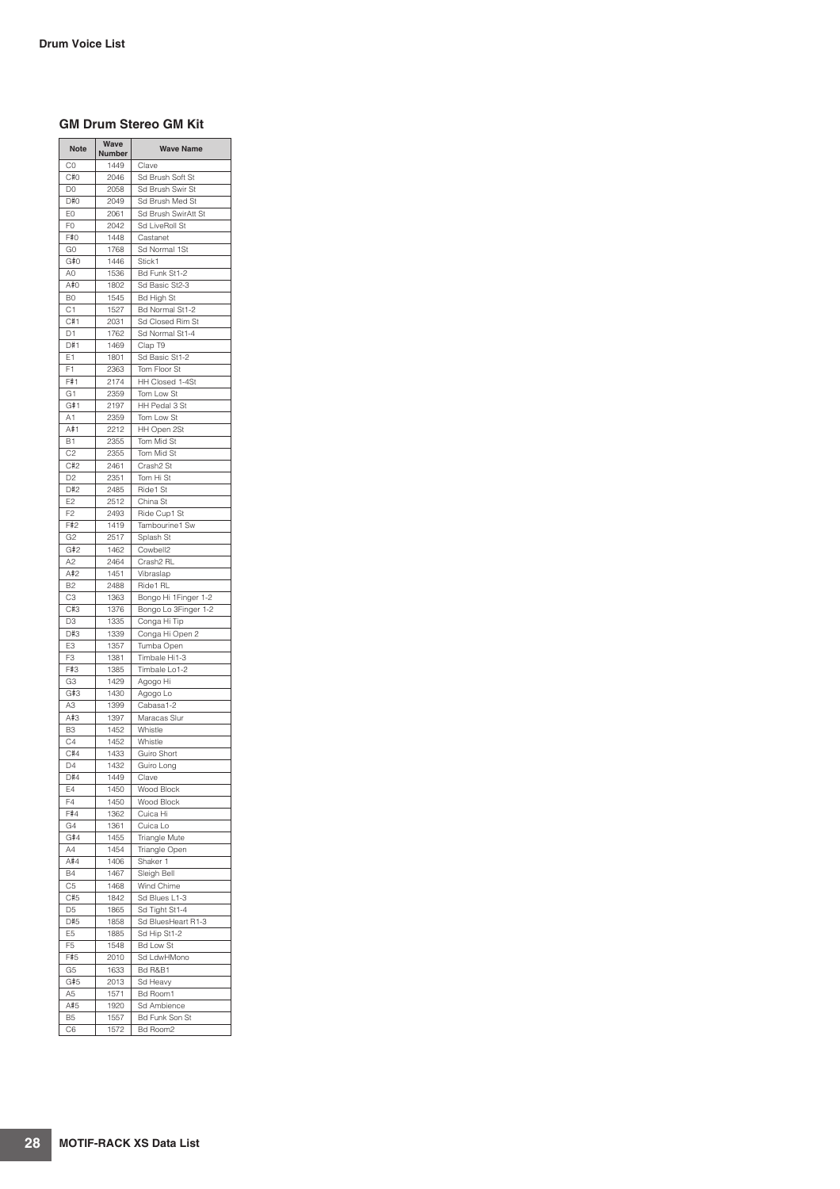### **GM Drum Stereo GM Kit**

| <b>Note</b>           | Wave<br>Number | <b>Wave Name</b>                |  |  |  |  |  |  |
|-----------------------|----------------|---------------------------------|--|--|--|--|--|--|
| C <sub>0</sub>        | 1449           | Clave                           |  |  |  |  |  |  |
| C#O                   | 2046           | Sd Brush Soft St                |  |  |  |  |  |  |
| D <sub>0</sub>        | 2058           | Sd Brush Swir St                |  |  |  |  |  |  |
| D#0                   | 2049           | Sd Brush Med St                 |  |  |  |  |  |  |
| E <sub>0</sub>        | 2061           | Sd Brush SwirAtt St             |  |  |  |  |  |  |
| F <sub>0</sub>        | 2042           | Sd LiveRoll St                  |  |  |  |  |  |  |
| F#0                   | 1448           | Castanet                        |  |  |  |  |  |  |
| G <sub>0</sub>        | 1768           | Sd Normal 1St                   |  |  |  |  |  |  |
| G#O                   | 1446           | Stick1                          |  |  |  |  |  |  |
| A <sub>0</sub><br>A#0 | 1536<br>1802   | Bd Funk St1-2<br>Sd Basic St2-3 |  |  |  |  |  |  |
| B <sub>0</sub>        | 1545           | <b>Bd High St</b>               |  |  |  |  |  |  |
| C <sub>1</sub>        | 1527           | Bd Normal St1-2                 |  |  |  |  |  |  |
| C#1                   | 2031           | Sd Closed Rim St                |  |  |  |  |  |  |
| D1                    | 1762           | Sd Normal St1-4                 |  |  |  |  |  |  |
| D#1                   | 1469           | Clap T9                         |  |  |  |  |  |  |
| E1                    | 1801           | Sd Basic St1-2                  |  |  |  |  |  |  |
| F <sub>1</sub>        | 2363           | Tom Floor St                    |  |  |  |  |  |  |
| F#1                   | 2174           | HH Closed 1-4St                 |  |  |  |  |  |  |
| G1                    | 2359           | Tom Low St                      |  |  |  |  |  |  |
| G#1<br>A1             | 2197<br>2359   | HH Pedal 3 St<br>Tom Low St     |  |  |  |  |  |  |
| A#1                   | 2212           | HH Open 2St                     |  |  |  |  |  |  |
| <b>B1</b>             | 2355           | Tom Mid St                      |  |  |  |  |  |  |
| C <sub>2</sub>        | 2355           | Tom Mid St                      |  |  |  |  |  |  |
| C#2                   | 2461           | Crash <sub>2</sub> St           |  |  |  |  |  |  |
| D <sub>2</sub>        | 2351           | Tom Hi St                       |  |  |  |  |  |  |
| D#2                   | 2485           | Ride1 St                        |  |  |  |  |  |  |
| E <sub>2</sub>        | 2512           | China St                        |  |  |  |  |  |  |
| F <sub>2</sub>        | 2493           | Ride Cup1 St                    |  |  |  |  |  |  |
| F#2                   | 1419           | Tambourine1 Sw                  |  |  |  |  |  |  |
| G <sub>2</sub>        | 2517           | Splash St                       |  |  |  |  |  |  |
| G#2                   | 1462           | Cowbell2                        |  |  |  |  |  |  |
| A <sub>2</sub>        | 2464           | Crash <sub>2</sub> RL           |  |  |  |  |  |  |
| A#2                   | 1451           | Vibraslap                       |  |  |  |  |  |  |
| B <sub>2</sub>        | 2488           | Ride1 RL                        |  |  |  |  |  |  |
| C <sub>3</sub>        | 1363           | Bongo Hi 1Finger 1-2            |  |  |  |  |  |  |
| C#3                   | 1376           | Bongo Lo 3Finger 1-2            |  |  |  |  |  |  |
| D <sub>3</sub><br>D#3 | 1335<br>1339   | Conga Hi Tip<br>Conga Hi Open 2 |  |  |  |  |  |  |
| E <sub>3</sub>        | 1357           | Tumba Open                      |  |  |  |  |  |  |
| F <sub>3</sub>        | 1381           | Timbale Hi1-3                   |  |  |  |  |  |  |
| F#3                   | 1385           | Timbale Lo1-2                   |  |  |  |  |  |  |
| G <sub>3</sub>        | 1429           | Agogo Hi                        |  |  |  |  |  |  |
| G#3                   | 1430           | Agogo Lo                        |  |  |  |  |  |  |
| A3                    | 1399           | Cabasa1-2                       |  |  |  |  |  |  |
| A#3                   | 1397           | Maracas Slur                    |  |  |  |  |  |  |
| B <sub>3</sub>        | 1452           | Whistle                         |  |  |  |  |  |  |
| C <sub>4</sub>        | 1452           | Whistle                         |  |  |  |  |  |  |
| C#4                   | 1433           | Guiro Short                     |  |  |  |  |  |  |
| D4                    | 1432           | Guiro Long                      |  |  |  |  |  |  |
| D#4                   | 1449           | Clave                           |  |  |  |  |  |  |
| E4<br>F4              | 1450<br>1450   | Wood Block<br>Wood Block        |  |  |  |  |  |  |
| F#4                   | 1362           | Cuica Hi                        |  |  |  |  |  |  |
| G4                    | 1361           | Cuica Lo                        |  |  |  |  |  |  |
| G#4                   | 1455           | Triangle Mute                   |  |  |  |  |  |  |
| A4                    | 1454           | Triangle Open                   |  |  |  |  |  |  |
| A#4                   | 1406           | Shaker 1                        |  |  |  |  |  |  |
| <b>B4</b>             | 1467           | Sleigh Bell                     |  |  |  |  |  |  |
| C5                    | 1468           | Wind Chime                      |  |  |  |  |  |  |
| C#5                   | 1842           | Sd Blues L1-3                   |  |  |  |  |  |  |
| D <sub>5</sub>        | 1865           | Sd Tight St1-4                  |  |  |  |  |  |  |
| D#5                   | 1858           | Sd BluesHeart R1-3              |  |  |  |  |  |  |
| E <sub>5</sub>        | 1885           | Sd Hip St1-2                    |  |  |  |  |  |  |
| F <sub>5</sub>        | 1548           | <b>Bd Low St</b>                |  |  |  |  |  |  |
| F#5                   | 2010           | Sd LdwHMono                     |  |  |  |  |  |  |
| G <sub>5</sub>        | 1633           | Bd R&B1                         |  |  |  |  |  |  |
| G#5                   | 2013           | Sd Heavy<br>Bd Room1            |  |  |  |  |  |  |
| A5<br>A#5             | 1571<br>1920   | Sd Ambience                     |  |  |  |  |  |  |
| B <sub>5</sub>        | 1557           | Bd Funk Son St                  |  |  |  |  |  |  |
| C6                    | 1572           | Bd Room2                        |  |  |  |  |  |  |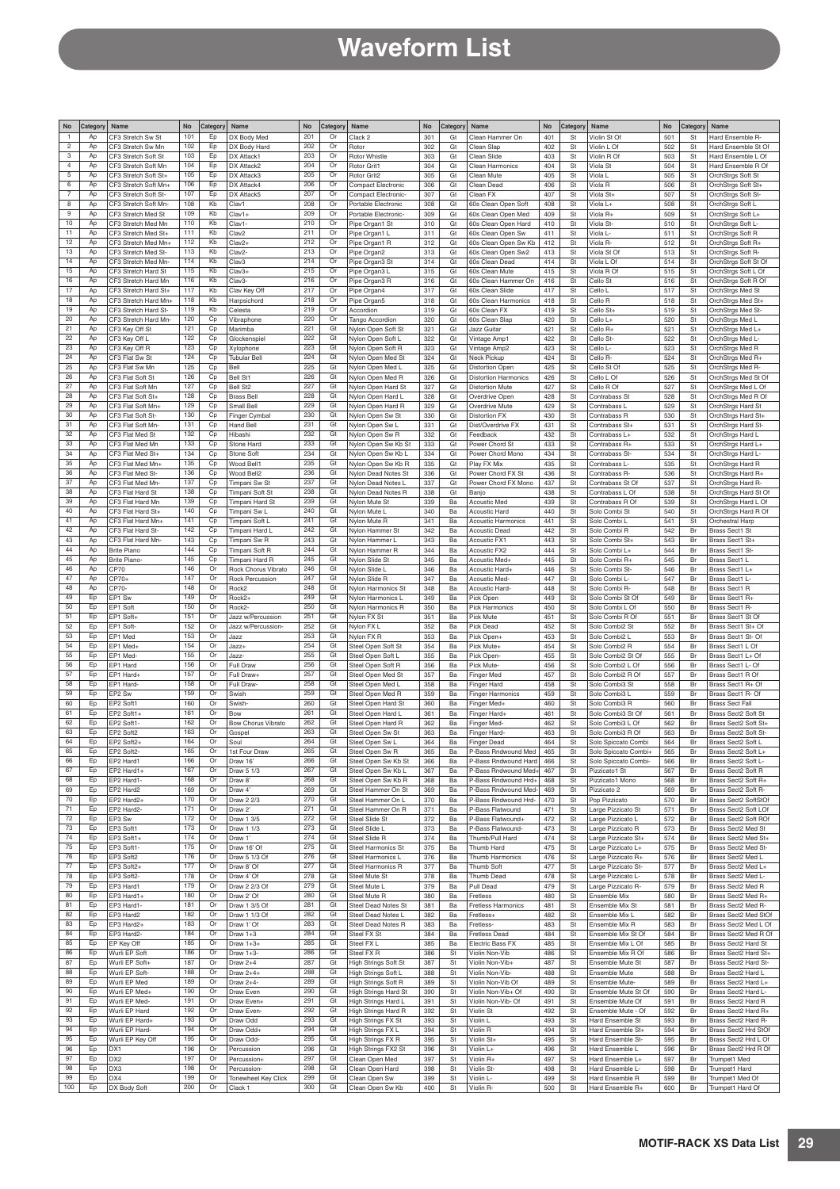# **Waveform List**

| No               | Category | Name                 | <b>No</b> | Category | Name                      | <b>No</b> | Category | Name                  | No  | Category | Name                        | <b>No</b> | Categor | Name                 | <b>No</b> | Category | Name                        |
|------------------|----------|----------------------|-----------|----------|---------------------------|-----------|----------|-----------------------|-----|----------|-----------------------------|-----------|---------|----------------------|-----------|----------|-----------------------------|
|                  | Ap       | CF3 Stretch Sw St    | 101       | Ep       | DX Body Med               | 201       | Or       | Clack <sub>2</sub>    | 301 | Gt       | Clean Hammer On             | 401       | St      | Violin St Of         | 501       | St       | Hard Ensemble R-            |
| $\overline{c}$   | Ap       | CF3 Stretch Sw Mn    | 102       | Ep       | DX Body Hard              | 202       | Or       | Rotor                 | 302 | Gt       | Clean Slap                  | 402       | St      | Violin L Of          | 502       | St       | Hard Ensemble St Of         |
| 3                | Ap       | CF3 Stretch Soft St  | 103       | Ep       | DX Attack1                | 203       | Or       | Rotor Whistle         | 303 | Gt       | Clean Slide                 | 403       | St      | Violin R Of          | 503       | St       | Hard Ensemble L Of          |
| $\overline{4}$   | Ap       | CF3 Stretch Soft Mn  | 104       | Ep       | DX Attack2                | 204       | Or       | Rotor Grit1           | 304 | Gt       | Clean Harmonics             | 404       | St      | Viola St             | 504       | St       | Hard Ensemble R Of          |
| 5                | Ap       | CF3 Stretch Soft St+ | 105       | Ep       | DX Attack3                | 205       | Or       | Rotor Grit2           | 305 | Gt       | Clean Mute                  | 405       | St      | Viola L              | 505       | St       | OrchStrgs Soft St           |
| 6                | Ap       | CF3 Stretch Soft Mn+ | 106       | Ep       | DX Attack4                | 206       | Or       | Compact Electronic    | 306 | Gt       | Clean Dead                  | 406       | St      | Viola <sub>R</sub>   | 506       | St       | OrchStrgs Soft St+          |
| $\overline{7}$   | Ap       | CF3 Stretch Soft St- | 107       | Ep       | DX Attack5                | 207       | Or       | Compact Electronic-   | 307 | Gt       | Clean FX                    | 407       | St      | Viola St-            | 507       | St       | OrchStrgs Soft St-          |
| 8                | Ap       | CF3 Stretch Soft Mn- | 108       | Kb       | Clav1                     | 208       | Or       | Portable Electronic   | 308 | Gt       | 60s Clean Open Soft         | 408       | St      | Viola L+             | 508       | St       | OrchStrgs Soft L            |
| $\boldsymbol{9}$ | Ap       | CF3 Stretch Med St   | 109       | Kb       | Clav1+                    | 209       | Or       | Portable Electronic-  | 309 | Gt       | 60s Clean Open Med          | 409       | St      | Viola R+             | 509       | St       | OrchStrgs Soft L+           |
| 10               | Ap       | CF3 Stretch Med Mn   | 110       | Kb       | Clav1-                    | 210       | Or       | Pipe Organ1 St        | 310 | Gt       | 60s Clean Open Hard         | 410       | St      | Viola St-            | 510       | St       | OrchStrgs Soft L-           |
| 11               | Ap       | CF3 Stretch Med St+  | 111       | Kb       | Clav <sub>2</sub>         | 211       | Or       | Pipe Organ1 L         | 311 | Gt       | 60s Clean Open Sw           | 411       | St      | Viola L-             | 511       | St       | OrchStrgs Soft R            |
| 12               | Ap       | CF3 Stretch Med Mn+  | 112       | Kb       | Clav <sub>2+</sub>        | 212       | Or       | Pipe Organ1 R         | 312 | Gt       | 60s Clean Open Sw Kb        | 412       | St      | Viola R-             | 512       | St       | OrchStrgs Soft R+           |
| 13               | Ap       | CF3 Stretch Med St-  | 113       | Kb       | Clav2-                    | 213       | Or       | Pipe Organ2           | 313 | Gt       | 60s Clean Open Sw2          | 413       | St      | Viola St Of          | 513       | St       | OrchStrgs Soft R-           |
| 14               | Ap       | CF3 Stretch Med Mn-  | 114       | Kb       | Clav3                     | 214       | Or       | Pipe Organ3 St        | 314 | Gt       | 60s Clean Dead              | 414       | St      | Viola L Of           | 514       | St       | OrchStrgs Soft St Of        |
| 15               | Ap       | CF3 Stretch Hard St  | 115       | Kb       | Clav3+                    | 215       | Or       | Pipe Organ3 L         | 315 | Gt       | 60s Clean Mute              | 415       | St      | Viola R Of           | 515       | St       | OrchStrgs Soft L Of         |
| 16               | Ap       | CF3 Stretch Hard Mn  | 116       | Kb       | Clav3-                    | 216       | Or       | Pipe Organ3 R         | 316 | Gt       | 60s Clean Hammer On         | 416       | St      | Cello St             | 516       | St       | OrchStrgs Soft R Of         |
| 17               | Ap       | CF3 Stretch Hard St+ | 117       | Kb       | Clav Key Off              | 217       | Or       | Pipe Organ4           | 317 | Gt       | 60s Clean Slide             | 417       | St      | Cello L              | 517       | St       | OrchStrgs Med St            |
| 18               | Ap       | CF3 Stretch Hard Mn+ | 118       | Kb       | Harpsichord               | 218       | Or       | Pipe Organ5           | 318 | Gt       | 60s Clean Harmonics         | 418       | St      | Cello R              | 518       | St       | OrchStrgs Med St+           |
| 19               | Ap       | CF3 Stretch Hard St- | 119       | Kb       | Celesta                   | 219       | Or       | Accordion             | 319 | Gt       | 60s Clean FX                | 419       | St      | Cello St+            | 519       | St       | OrchStrgs Med St-           |
| 20               | Ap       | CF3 Stretch Hard Mn- | 120       | Cp       | Vibraphone                | 220       | Or       | Tango Accordion       | 320 | Gt       | 60s Clean Slap              | 420       | St      | Cello L+             | 520       | St       | OrchStrgs Med L             |
| 21               | Ap       | CF3 Key Off St       | 121       | Cp       | Marimba                   | 221       | Gt       | Nylon Open Soft St    | 321 | Gt       | Jazz Guitar                 | 421       | St      | Cello R+             | 521       | St       | OrchStrgs Med L+            |
| 22               | Ap       | CF3 Key Off L        | 122       | Cp       | Glockenspiel              | 222       | Gt       | Nylon Open Soft L     | 322 | Gt       | Vintage Amp1                | 422       | St      | Cello St-            | 522       | St       | OrchStrgs Med L-            |
| 23               | Ap       | CF3 Key Off R        | 123       | Cp       | Xylophone                 | 223       | Gt       | Nylon Open Soft R     | 323 | Gt       | Vintage Amp2                | 423       | St      | Cello L-             | 523       | St       | OrchStrgs Med R             |
| 24               | Ap       | CF3 Flat Sw St       | 124       | Cp       | <b>Tubular Bell</b>       | 224       | Gt       | Nylon Open Med St     | 324 | Gt       | Neck Pickup                 | 424       | St      | Cello R-             | 524       | St       | OrchStrgs Med R+            |
| 25               | Ap       | CF3 Flat Sw Mr       | 125       | Cp       | Bell                      | 225       | Gt       | Nylon Open Med L      | 325 | Gt       | Distortion Open             | 425       | St      | Cello St Of          | 525       | St       | OrchStrgs Med R-            |
| 26               | Ap       | CF3 Flat Soft St     | 126       | Cp       | Bell St1                  | 226       | Gt       | Nylon Open Med R      | 326 | Gt       | <b>Distortion Harmonics</b> | 426       | St      | Cello L Of           | 526       | St       | OrchStrgs Med St Of         |
| 27               | Ap       | CF3 Flat Soft Mn     | 127       | Cp       | Bell St <sub>2</sub>      | 227       | Gt       | Nylon Open Hard St    | 327 | Gt       | <b>Distortion Mute</b>      | 427       | St      | Cello R Of           | 527       | St       | OrchStrgs Med L Of          |
| 28               | Ap       | CF3 Flat Soft St+    | 128       | Cp       | <b>Brass Bell</b>         | 228       | Gt       | Nylon Open Hard L     | 328 | Gt       | Overdrive Open              | 428       | St      | Contrabass St        | 528       | St       | OrchStrgs Med R Of          |
| 29               | Ap       | CF3 Flat Soft Mn+    | 129       | Cp       | Small Bel                 | 229       | Gt       | Nylon Open Hard R     | 329 | Gt       | Overdrive Mute              | 429       | St      | Contrabass I         | 529       | St       | OrchStrgs Hard St           |
| 30               | Ap       | CF3 Flat Soft St-    | 130       | Cp       | Finger Cymbal             | 230       | Gt       | Nylon Open Sw St      | 330 | Gt       | <b>Distortion FX</b>        | 430       | St      | Contrabass R         | 530       | St       | OrchStrgs Hard St+          |
| 31               | Ap       | CF3 Flat Soft Mn-    | 131       | Cp       | <b>Hand Bell</b>          | 231       | Gt       | Nylon Open Sw L       | 331 | Gt       | Dist/Overdrive FX           | 431       | St      | Contrabass St+       | 531       | St       | OrchStrgs Hard St-          |
| 32               | Ap       | CF3 Flat Med St      | 132       | Cp       | Hibashi                   | 232       | Gt       | Nylon Open Sw R       | 332 | Gt       | Feedback                    | 432       | St      | Contrabass L+        | 532       | St       | OrchStrgs Hard L            |
| 33               | Ap       | CF3 Flat Med Mn      | 133       | Cp       | Stone Hard                | 233       | Gt       | Nylon Open Sw Kb St   | 333 | Gt       | Power Chord St              | 433       | St      | Contrabass R+        | 533       | St       | OrchStrgs Hard L+           |
| 34               | Ap       | CF3 Flat Med St+     | 134       | Cp       | Stone Soft                | 234       | Gt       | Nylon Open Sw Kb L    | 334 | Gt       | Power Chord Mono            | 434       | St      | Contrabass St-       | 534       | St       | OrchStrgs Hard L-           |
| 35               | Ap       | CF3 Flat Med Mn+     | 135       | Cp       | Wood Bell1                | 235       | Gt       | Nylon Open Sw Kb R    | 335 | Gt       | Play FX Mix                 | 435       | St      | Contrabass L-        | 535       | St       | OrchStrgs Hard R            |
| 36               | Ap       | CF3 Flat Med St-     | 136       | Cp       | Wood Bell2                | 236       | Gt       | Nylon Dead Notes St   | 336 | Gt       | Power Chord FX St           | 436       | St      | Contrabass R-        | 536       | St       | OrchStrgs Hard R+           |
| 37               | Ap       | CF3 Flat Med Mn-     | 137       | Cp       | Timpani Sw St             | 237       | Gt       | Nylon Dead Notes L    | 337 | Gt       | Power Chord FX Mono         | 437       | St      | Contrabass St Of     | 537       | St       | OrchStrgs Hard R-           |
| 38               | Ap       | CF3 Flat Hard St     | 138       | Cp       | Timpani Soft St           | 238       | Gt       | Nylon Dead Notes R    | 338 | Gt       | Banjo                       | 438       | St      | Contrabass L Of      | 538       | St       | OrchStrgs Hard St Of        |
| 39               | Ap       | CF3 Flat Hard Mn     | 139       | Cp       | Timpani Hard St           | 239       | Gt       | Nylon Mute St         | 339 | Ba       | <b>Acoustic Med</b>         | 439       | St      | Contrabass R Of      | 539       | St       | OrchStrgs Hard L Of         |
| 40               | Ap       | CF3 Flat Hard St+    | 140       | Cp       | Timpani Sw L              | 240       | Gt       | Nylon Mute L          | 340 | Ba       | <b>Acoustic Hard</b>        | 440       | St      | Solo Combi St        | 540       | St       | OrchStrgs Hard R Of         |
| 41               | Ap       | CF3 Flat Hard Mn+    | 141       | Cp       | Timpani Soft L            | 241       | Gt       | Nylon Mute R          | 341 | Ba       | <b>Acoustic Harmonics</b>   | 441       | St      | Solo Combi L         | 541       | St       | Orchestral Harp             |
| 42               | Ap       | CF3 Flat Hard St-    | 142       | Cp       | Timpani Hard L            | 242       | Gt       | Nylon Hammer St       | 342 | Ba       | <b>Acoustic Dead</b>        | 442       | St      | Solo Combi R         | 542       | Br       | <b>Brass Sect1 St</b>       |
| 43               | Ap       | CF3 Flat Hard Mn-    | 143       | Cp       | Timpani Sw R              | 243       | Gt       | Nylon Hammer          | 343 | Ba       | <b>Acoustic FX1</b>         | 443       | St      | Solo Combi St-       | 543       | Br       | Brass Sect1 St-             |
| 44               | Ap       | <b>Brite Piano</b>   | 144       | Cp       | Timpani Soft R            | 244       | Gt       | Nylon Hammer R        | 344 | Ba       | <b>Acoustic FX2</b>         | 444       | St      | Solo Combi L+        | 544       | Br       | Brass Sect1 St-             |
| 45               | Ap       | Brite Piano-         | 145       | Cp       | Timpani Hard R            | 245       | Gt       | Nylon Slide St        | 345 | Ba       | Acoustic Med+               | 445       | St      | Solo Combi R+        | 545       | Br       | Brass Sect1 L               |
| 46               | Ap       | CP70                 | 146       | Or       | Rock Chorus Vibrato       | 246       | Gt       | Nylon Slide L         | 346 | Ba       | Acoustic Hard+              | 446       | St      | Solo Combi St-       | 546       | Br       | Brass Sect1 L+              |
| 47               | Ap       | CP70+                | 147       | Or       | <b>Rock Percussion</b>    | 247       | Gt       | Nylon Slide R         | 347 | Ba       | Acoustic Med-               | 447       | St      | Solo Combi L-        | 547       | B        | Brass Sect1 L-              |
| 48               | Ap       | CP70-                | 148       | Or       | Rock <sub>2</sub>         | 248       | Gt       | Nylon Harmonics St    | 348 | Ba       | Acoustic Hard-              | 448       | St      | Solo Combi R-        | 548       | Br       | Brass Sect1 R               |
| 49               | Ep       | EP1 Sw               | 149       | Or       | Rock <sub>2+</sub>        | 249       | Gt       | Nylon Harmonics L     | 349 | Ba       | Pick Open                   | 449       | St      | Solo Combi St Of     | 549       | B        | Brass Sect1 R+              |
| 50               | Ep       | EP1 Soft             | 150       | Or       | Rock <sub>2</sub> -       | 250       | Gt       | Nylon Harmonics R     | 350 | Ba       | <b>Pick Harmonics</b>       | 450       | St      | Solo Combi L Of      | 550       | Br       | Brass Sect1 R-              |
| 51               | Ep       | EP1 Soft+            | 151       | Or       | Jazz w/Percussion         | 251       | Gt       | Nylon FX St           | 351 | Ba       | Pick Mute                   | 451       | St      | Solo Combi R Of      | 551       | Br       | Brass Sect1 St Of           |
| 52               | Ep       | EP1 Soft-            | 152       | Or       | Jazz w/Percussion-        | 252       | Gt       | Nylon FX L            | 352 | Ba       | Pick Dead                   | 452       | St      | Solo Combi2 St       | 552       | Br       | Brass Sect1 St+ Of          |
| 53               | Ep       | EP1 Med              | 153       | Or       | Jazz                      | 253       | Gt       | Nylon FX R            | 353 | Ba       | Pick Open+                  | 453       | St      | Solo Combi2 L        | 553       | Br       | Brass Sect1 St-Of           |
| 54               | Ep       | EP1 Med-             | 154       | Or       | Jazz+                     | 254       | Gt       | Steel Open Soft St    | 354 | Ba       | Pick Mute+                  | 454       | St      | Solo Combi2 R        | 554       | Br       | Brass Sect1 L Of            |
| 55               | Ep       | EP1 Med-             | 155       | Or       | Jazz-                     | 255       | Gt       | Steel Open Soft L     | 355 | Ba       | Pick Open-                  | 455       | St      | Solo Combi2 St Of    | 555       | Br       | Brass Sect1 L+ Of           |
| 56               | Ep       | EP1 Hard             | 156       | Or       | Full Draw                 | 256       | Gt       | Steel Open Soft R     | 356 | Ba       | Pick Mute-                  | 456       | St      | Solo Combi2 L Of     | 556       | Br       | Brass Sect1 L- Of           |
| 57               | Ep       | EP1 Hard+            | 157       | Or       | Full Draw+                | 257       | Gt       | Steel Open Med St     | 357 | Ba       | Finger Med                  | 457       | St      | Solo Combi2 R Of     | 557       | Br       | Brass Sect1 R Of            |
| 58               | Ep       | EP1 Hard-            | 158       | Or       | Full Draw-                | 258       | Gt       | Steel Open Med L      | 358 | Ba       | Finger Hard                 | 458       | St      | Solo Combi3 St       | 558       | Br       | Brass Sect1 R+ Of           |
| 59               | Ep       | EP2 Sw               | 159       | Or       | Swish                     | 259       | Gt       | Steel Open Med R      | 359 | Ba       | <b>Finger Harmonics</b>     | 459       | St      | Solo Combi3 L        | 559       | Br       | Brass Sect1 R-Of            |
| 60               | Ep       | EP2 Soft1            | 160       | Or       | Swish-                    | 260       | Gt       | Steel Open Hard St    | 360 | Ba       | Finger Med+                 | 460       | St      | Solo Combi3 R        | 560       | B        | <b>Brass Sect Fall</b>      |
| 61               | Ep       | EP2 Soft1+           | 161       | Or       | Row                       | 261       | Gt       | Steel Open Hard L     | 361 | Ba       | Finger Hard+                | 461       | St      | Solo Combi3 St Of    | 561       | Br       | Brass Sect2 Soft St         |
| 62               | Ep       | EP2 Soft1-           | 162       | Or       | <b>Bow Chorus Vibrato</b> | 262       | Gt       | Steel Open Hard R     | 362 | Ba       | Finger Med-                 | 462       | St      | Solo Combi3 L Of     | 562       | Br       | Brass Sect2 Soft St+        |
| 63               | Ep       | EP2 Soft2            | 163       | Or       | Gospel                    | 263       | Gt       | Steel Open Sw St      | 363 | Ba       | Finger Hard-                | 463       | St      | Solo Combi3 R Of     | 563       | Br       | Brass Sect2 Soft St-        |
| 64               | Ep       | EP2 Soft2+           | 164       | Or       | Soul                      | 264       | Gt       | Steel Open Sw L       | 364 | Ba       | <b>Finger Dead</b>          | 464       | St      | Solo Spiccato Combi  | 564       | Br       | Brass Sect2 Soft L          |
| 65               | Ep       | EP2 Soft2-           | 165       | Or       | 1st Four Draw             | 265       | Gt       | Steel Open Sw R       | 365 | Ba       | P-Bass Rndwound Med         | 465       | St      | Solo Spiccato Combi+ | 565       | Br       | Brass Sect2 Soft L+         |
| 66               | Ep       | EP2 Hard1            | 166       | Or       | Draw 16'                  | 266       | Gt       | Steel Open Sw Kb St   | 366 | Ba       | P-Bass Rndwound Hard        | 466       | St      | Solo Spiccato Combi- | 566       | Br       | Brass Sect2 Soft L-         |
| 67               | Ep       | EP2 Hard1+           | 167       | Or       | Draw 5 1/3                | 267       | Gt       | Steel Open Sw Kb L    | 367 | Ba       | P-Bass Rndwound Med+        | 467       | St      | Pizzicato1 St        | 567       | Br       | Brass Sect2 Soft R          |
| 68               | Ep       | EP2 Hard1-           | 168       | Or       | Draw 8'                   | 268       | Gt       | Steel Open Sw Kb R    | 368 | Ba       | P-Bass Rndwound Hrd+        | 468       | St      | Pizzicato1 Mono      | 568       | Br       | Brass Sect2 Soft R+         |
| 69               | Ep       | EP2 Hard2            | 169       | Or       | Draw 4'                   | 269       | Gt       | Steel Hammer On St    | 369 | Ba       | P-Bass Rndwound Med-        | 469       | St      | Pizzicato 2          | 569       | Br       | Brass Sect2 Soft R-         |
| 70               | Ep       | EP2 Hard2+           | 170       | Or       | Draw 2 2/3                | 270       | Gt       | Steel Hammer On L     | 370 | Ba       | P-Bass Rndwound Hrd-        | 470       | St      | Pop Pizzicato        | 570       | Br       | <b>Brass Sect2 SoftStOf</b> |
| 71               | Ep       | EP2 Hard2-           | 171       | Or       | Draw 2'                   | 271       | Gt       | Steel Hammer On R     | 371 | Ba       | P-Bass Flatwound            | 471       | St      | Large Pizzicato St   | 571       | Br       | Brass Sect2 Soft LOf        |
| 72               | Ep       | EP3 Sw               | 172       | Or       | Draw 1 3/5                | 272       | Gt       | <b>Steel Slide St</b> | 372 | Ba       | P-Bass Flatwound+           | 472       | St      | Large Pizzicato L    | 572       | Br       | Brass Sect2 Soft ROf        |
| 73               | Ep       | EP3 Soft1            | 173       | Or       | Draw 1 1/3                | 273       | Gt       | Steel Slide L         | 373 | Ba       | P-Bass Flatwound-           | 473       | St      | Large Pizzicato R    | 573       | Br       | Brass Sect2 Med St          |
| 74               | Ep       | EP3 Soft1+           | 174       | Or       | Draw 1'                   | 274       | Gt       | Steel Slide R         | 374 | Ba       | Thumb/Pull Hard             | 474       | St      | Large Pizzicato St+  | 574       | Br       | Brass Sect2 Med St+         |
| 75               | Ep       | EP3 Soft1-           | 175       | Or       | Draw 16' Of               | 275       | Gt       | Steel Harmonics St    | 375 | Ba       | Thumb Hard                  | 475       | St      | Large Pizzicato L+   | 575       | Br       | Brass Sect2 Med St-         |
| 76               | Ep       | EP3 Soft2            | 176       | Or       | Draw 5 1/3 Of             | 276       | Gt       | Steel Harmonics L     | 376 | Ba       | Thumb Harmonics             | 476       | St      | Large Pizzicato R+   | 576       | Br       | Brass Sect2 Med L           |
| 77               | Ep       | EP3 Soft2+           | 177       | Or       | Draw 8' Of                | 277       | Gt       | Steel Harmonics R     | 377 | Ba       | Thumb Soft                  | 477       | St      | Large Pizzicato St-  | 577       | B        | Brass Sect2 Med L+          |
| 78               | Ep       | EP3 Soft2-           | 178       | Or       | Draw 4' Of                | 278       | Gt       | Steel Mute St         | 378 | Ba       | Thumb Dead                  | 478       | St      | Large Pizzicato L-   | 578       | Br       | Brass Sect2 Med L-          |
| 79               | Ep       | EP3 Hard1            | 179       | Or       | Draw 2 2/3 Of             | 279       | Gt       | Steel Mute L          | 379 | Ba       | Pull Dead                   | 479       | St      | Large Pizzicato R-   | 579       | Br       | Brass Sect2 Med R           |
| 80               | Ep       | EP3 Hard1+           | 180       | Or       | Draw 2' Of                | 280       | Gt       | Steel Mute R          | 380 | Ba       | Fretless                    | 480       | St      | Ensemble Mix         | 580       | Br       | Brass Sect2 Med R+          |
| 81               | Ep       | EP3 Hard1-           | 181       | Or       | Draw 1 3/5 Of             | 281       | Gt       | Steel Dead Notes St   | 381 | Ba       | Fretless Harmonics          | 481       | St      | Ensemble Mix St      | 581       | Br       | Brass Sect2 Med R-          |
| 82               | Ep       | EP3 Hard2            | 182       | Or       | Draw 1 1/3 Of             | 282       | Gt       | Steel Dead Notes L    | 382 | Ba       | Fretless+                   | 482       | St      | Ensemble Mix L       | 582       | Br       | Brass Sect2 Med StOf        |
| 83               | Ep       | EP3 Hard2+           | 183       | Or       | Draw 1' Of                | 283       | Gt       | Steel Dead Notes R    | 383 | Ba       | Fretless-                   | 483       | St      | Ensemble Mix R       | 583       | Br       | Brass Sect2 Med L Of        |
| 84               | Ep       | EP3 Hard2-           | 184       | Or       | Draw 1+3                  | 284       | Gt       | Steel FX St           | 384 | Ba       | <b>Fretless Dead</b>        | 484       | St      | Ensemble Mix St Of   | 584       | Br       | Brass Sect2 Med R Of        |
| 85               | Ep       | EP Key Off           | 185       | Or       | Draw $1+3+$               | 285       | Gt       | Steel FX L            | 385 | Ba       | Electric Bass FX            | 485       | St      | Ensemble Mix L Of    | 585       | Br       | Brass Sect2 Hard St         |
| 86               | Ep       | Wurli EP Soft        | 186       | Or       | Draw 1+3-                 | 286       | Gt       | Steel FX R            | 386 | St       | Violin Non-Vib              | 486       | St      | Ensemble Mix R Of    | 586       | Br       | Brass Sect2 Hard St+        |
| 87               | Ep       | Wurli EP Soft+       | 187       | Or       | Draw 2+4                  | 287       | Gt       | High Strings Soft St  | 387 | St       | Violin Non-Vib+             | 487       | St      | Ensemble Mute St     | 587       | Br       | Brass Sect2 Hard St-        |
| 88               | Ep       | Wurli EP Soft-       | 188       | Or       | Draw $2+4+$               | 288       | Gt       | High Strings Soft L   | 388 | St       | Violin Non-Vib-             | 488       | St      | Ensemble Mute        | 588       | Br       | Brass Sect2 Hard L          |
| 89               | Ep       | Wurli EP Med         | 189       | Or       | Draw 2+4-                 | 289       | Gt       | High Strings Soft R   | 389 | St       | Violin Non-Vib Of           | 489       | St      | Ensemble Mute-       | 589       | Br       | Brass Sect2 Hard L+         |
| 90               | Ep       | Wurli EP Med+        | 190       | Or       | Draw Even                 | 290       | Gt       | High Strings Hard St  | 390 | St       | Violin Non-Vib+ Of          | 490       | St      | Ensemble Mute St Of  | 590       | Br       | Brass Sect2 Hard L-         |
| 91               | Ep       | Wurli EP Med-        | 191       | Or       | Draw Even+                | 291       | Gt       | High Strings Hard L   | 391 | St       | Violin Non-Vib- Of          | 491       | St      | Ensemble Mute Of     | 591       | Br       | Brass Sect2 Hard R          |
| 92               | Ep       | Wurli EP Hard        | 192       | Or       | Draw Even-                | 292       | Gt       | High Strings Hard R   | 392 | St       | Violin St                   | 492       | St      | Ensemble Mute - Of   | 592       | Br       | Brass Sect2 Hard R+         |
| 93               | Ep       | Wurli EP Hard+       | 193       | Or       | Draw Odd                  | 293       | Gt       | High Strings FX St    | 393 | St       | Violin L                    | 493       | St      | Hard Ensemble St     | 593       | Br       | Brass Sect2 Hard R-         |
| 94               | Ep       | Wurli EP Hard-       | 194       | Or       | Draw Odd+                 | 294       | Gt       | High Strings FX L     | 394 | St       | Violin R                    | 494       | St      | Hard Ensemble St+    | 594       | Br       | Brass Sect2 Hrd StOf        |
| 95               | Ep       | Wurli EP Key Off     | 195       | Or       | Draw Odd-                 | 295       | Gt       | High Strings FX R     | 395 | St       | Violin St+                  | 495       | St      | Hard Ensemble St-    | 595       | Br       | Brass Sect2 Hrd L Of        |
| 96               | Ep       | DX1                  | 196       | Or       | Percussion                | 296       | Gt       | High Strings FX2 St   | 396 | St       | Violin L+                   | 496       | St      | Hard Ensemble L      | 596       | Br       | Brass Sect2 Hrd R Of        |
| 97               | Ep       | DX <sub>2</sub>      | 197       | Or       | Percussion+               | 297       | Gt       | Clean Open Med        | 397 | St       | Violin R+                   | 497       | St      | Hard Ensemble L+     | 597       | Br       | Trumpet1 Med                |
| 98               | Ep       | DX3                  | 198       | Or       | Percussion-               | 298       | Gt       | Clean Open Hard       | 398 | St       | Violin St-                  | 498       | St      | Hard Ensemble L-     | 598       | Br       | Trumpet1 Hard               |
| 99               | Ep       | DX4                  | 199       | Or       | Tonewheel Key Click       | 299       | Gt       | Clean Open Sw         | 399 | St       | Violin L-                   | 499       | St      | Hard Ensemble R      | 599       | Br       | Trumpet1 Med Of             |
| 100              | Ep       | DX Body Soft         | 200       | Or       | Clack 1                   | 300       | Gt       | Clean Open Sw Kb      | 400 | St       | Violin R-                   | 500       | St      | Hard Ensemble R+     | 600       | Br       | Trumpet1 Hard Of            |
|                  |          |                      |           |          |                           |           |          |                       |     |          |                             |           |         |                      |           |          |                             |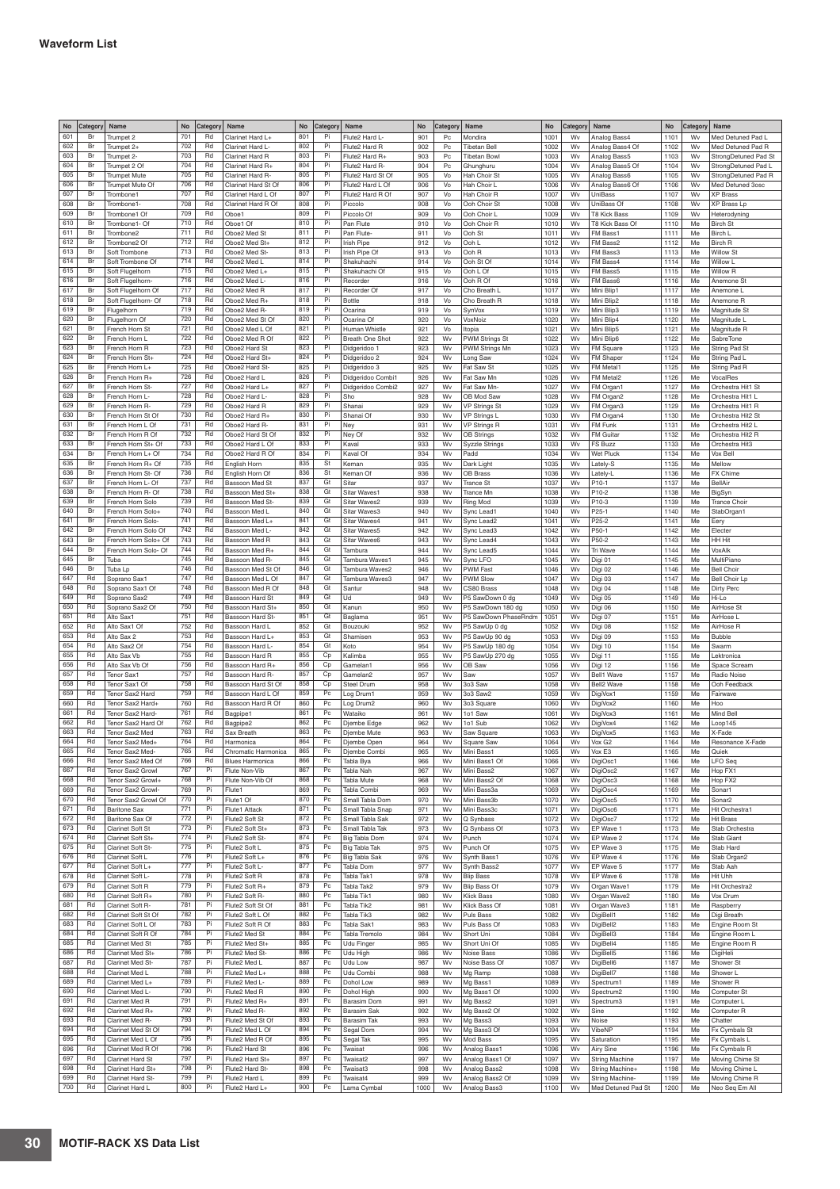| No         | Category  | Name                                      | No         | Categor  | Name                                    | No         | Category       | Name                                  | No         | Category | Name                                 | <b>No</b>    | Category | Name                                     | No           | Category  | Name                                    |
|------------|-----------|-------------------------------------------|------------|----------|-----------------------------------------|------------|----------------|---------------------------------------|------------|----------|--------------------------------------|--------------|----------|------------------------------------------|--------------|-----------|-----------------------------------------|
| 601        | Br        | Trumpet 2                                 | 701        | Rd       | Clarinet Hard L+                        | 801        | Pi             | Flute2 Hard L-                        | 901        | Pc       | Mondira                              | 1001         | Wv       | Analog Bass4                             | 1101         | Wv        | Med Detuned Pad L                       |
| 602        | Br        | Trumpet 2+                                | 702        | Rd       | Clarinet Hard L-                        | 802        | Pi<br>Pi       | Flute2 Hard R                         | 902        | Pc       | <b>Tibetan Bell</b>                  | 1002         | Wv       | Analog Bass4 Of                          | 1102         | Wv        | Med Detuned Pad R                       |
| 603        | Br        | Trumpet 2-                                | 703        | Rd       | Clarinet Hard R                         | 803        |                | Flute2 Hard R+                        | 903        | Pc       | <b>Tibetan Bowl</b>                  | 1003         | Wv       | Analog Bass5                             | 1103         | <b>Wv</b> | StrongDetuned Pad St                    |
| 604        | Br        | Trumpet 2 Of                              | 704        | Rd       | Clarinet Hard R+                        | 804        | Pi             | Flute2 Hard R-                        | 904        | Pc       | Ghunghuru                            | 1004         | Wv       | Analog Bass5 Of                          | 1104         | Wv        | StrongDetuned Pad L                     |
| 605<br>606 | Br<br>Br  | Trumpet Mute                              | 705<br>706 | Rd<br>Rd | Clarinet Hard R-<br>Clarinet Hard St Of | 805<br>806 | Pi<br>Pi       | Flute2 Hard St Of<br>Flute2 Hard L Of | 905<br>906 | Vo<br>Vo | Hah Choir St<br>Hah Choir L          | 1005         | Wv<br>Wv | Analog Bass6                             | 1105<br>1106 | Wv<br>Wv  | StrongDetuned Pad R<br>Med Detuned 3osc |
| 607        | Br        | Trumpet Mute Of<br>Trombone1              | 707        | Rd       | Clarinet Hard L Of                      | 807        | Pi             | Flute2 Hard R Of                      | 907        | Vo       | Hah Choir R                          | 1006<br>1007 | Wv       | Analog Bass6 Of<br>UniBass               | 1107         | Wv        | <b>XP Brass</b>                         |
| 608        | Br        | Trombone1-                                | 708        | Rd       | Clarinet Hard R Of                      | 808        | Pi             | Piccolo                               | 908        | Vo       | Ooh Choir St                         | 1008         | Wv       | UniBass Of                               | 1108         | Wv        | XP Brass Lp                             |
| 609        | Br        | Trombone1 Of                              | 709        | Rd       | Oboe1                                   | 809        | Pi             | Piccolo Of                            | 909        | Vo       | Ooh Choir L                          | 1009         | Wv       | <b>T8 Kick Bass</b>                      | 1109         | Wv        | Heterodyning                            |
| 610        | Br        | Trombone1-Of                              | 710        | Rd       | Oboe1 Of                                | 810        | Pi             | Pan Flute                             | 910        | Vo       | Ooh Choir R                          | 1010         | Wv       | T8 Kick Bass Of                          | 1110         | Me        | <b>Birch St</b>                         |
| 611        | Br        | Trombone2                                 | 711        | Rd       | Oboe2 Med St                            | 811        | Pi             | Pan Flute-                            | 911        | Vo       | Ooh St                               | 1011         | Wv       | FM Bass1                                 | 1111         | Me        | Birch L                                 |
| 612        | Br        | Trombone2 Of                              | 712        | Rd       | Oboe2 Med St+                           | 812        | Pi             | <b>Irish Pipe</b>                     | 912        | Vo       | Ooh L                                | 1012         | Wv       | FM Bass2                                 | 1112         | Me        | Birch R                                 |
| 613        | Br        | Soft Trombone                             | 713        | Rd       | Oboe2 Med St-                           | 813        | Pi             | Irish Pipe Of                         | 913        | Vo       | Ooh R                                | 1013         | Wv       | FM Bass3                                 | 1113         | Me        | Willow St                               |
| 614        | Br        | Soft Trombone Of                          | 714        | Rd       | Oboe2 Med L                             | 814        | Pi             | Shakuhachi                            | 914        | Vo       | Ooh St Of                            | 1014         | Wv       | FM Bass4                                 | 1114         | Me        | Willow L                                |
| 615        | <b>Br</b> | Soft Flugelhorn                           | 715        | Rd       | Oboe2 Med L+                            | 815        | Pi             | Shakuhachi Of                         | 915        | Vo       | Ooh L Of                             | 1015         | Wv       | FM Bass5                                 | 1115         | Me        | Willow R                                |
| 616        | Br        | Soft Flugelhorn-                          | 716        | Rd       | Oboe2 Med L                             | 816        | Pi             | Recorder                              | 916        | Vo       | Ooh R Of                             | 1016         | Wv       | FM Bass6                                 | 1116         | Me        | Anemone St                              |
| 617        | Br        | Soft Flugelhorn Of                        | 717        | Rd       | Oboe2 Med R                             | 817        | Pi             | Recorder Of                           | 917        | Vo       | Cho Breath L                         | 1017         | Wv       | Mini Blip1                               | 1117         | Me        | Anemone I                               |
| 618        | Br<br>Br  | Soft Flugelhorn- Of                       | 718<br>719 | Rd<br>Rd | Oboe2 Med R+                            | 818<br>819 | Pi<br>Pi       | Bottle                                | 918        | Vo       | Cho Breath R                         | 1018         | Wv       | Mini Blip2                               | 1118         | Me        | Anemone R                               |
| 619<br>620 | Br        | Flugelhorn<br>Flugelhorn Of               | 720        | Rd       | Oboe2 Med R-<br>Oboe2 Med St Of         | 820        | Pi             | Ocarina<br>Ocarina Of                 | 919<br>920 | Vo<br>Vo | SynVox<br>VoxNoiz                    | 1019<br>1020 | Wv<br>Wv | Mini Blip3<br>Mini Blip4                 | 1119<br>1120 | Me<br>Me  | Magnitude St<br>Magnitude L             |
| 621        | Br        | French Horn St                            | 721        | Rd       | Oboe2 Med L Of                          | 821        | Pi             | Human Whistle                         | 921        | Vo       | Itopia                               | 1021         | Wv       | Mini Blip5                               | 1121         | Me        | Magnitude R                             |
| 622        | Br        | French Horn L                             | 722        | Rd       | Oboe2 Med R Of                          | 822        | Pi             | <b>Breath One Shot</b>                | 922        | Wv       | <b>PWM Strings St</b>                | 1022         | Wv       | Mini Blip6                               | 1122         | Me        | SabreTone                               |
| 623        | Br        | French Horn R                             | 723        | Rd       | Oboe2 Hard St                           | 823        | Pi             | Didgeridoo 1                          | 923        | Wv       | PWM Strings Mn                       | 1023         | Wv       | FM Square                                | 1123         | Me        | String Pad St                           |
| 624        | Br        | French Horn St+                           | 724        | Rd       | Oboe2 Hard St+                          | 824        | Pi             | Didgeridoo 2                          | 924        | Wv       | Long Saw                             | 1024         | Wv       | <b>FM Shaper</b>                         | 1124         | Me        | String Pad L                            |
| 625        | Br        | French Horn L+                            | 725        | Rd       | Oboe2 Hard St-                          | 825        | Pi             | Didgeridoo 3                          | 925        | Wv       | Fat Saw St                           | 1025         | Wv       | FM Metal1                                | 1125         | Me        | String Pad R                            |
| 626        | Br        | French Horn R+                            | 726        | Rd       | Oboe2 Hard L                            | 826        | Pi             | Didgeridoo Combi1                     | 926        | Wv       | Fat Saw Mn                           | 1026         | Wv       | FM Metal2                                | 1126         | Me        | VocalRes                                |
| 627        | Br        | French Horn St-                           | 727        | Rd       | Oboe2 Hard L+                           | 827        | Pi             | Didgeridoo Combi2                     | 927        | Wv       | Fat Saw Mn-                          | 1027         | Wv       | FM Organ <sup>-</sup>                    | 1127         | Me        | Orchestra Hit1 St                       |
| 628        | Br        | French Horn L-                            | 728        | Rd       | Oboe2 Hard L-                           | 828        | Pi             | Sho                                   | 928        | Wv       | OB Mod Saw                           | 1028         | Wv       | FM Organ2                                | 1128         | Me        | Orchestra Hit1                          |
| 629        | Br        | French Horn R-                            | 729        | Rd       | Oboe2 Hard R                            | 829        | Pi             | Shanai                                | 929        | Wv       | <b>VP Strings St</b>                 | 1029         | Wv       | FM Organ3                                | 1129         | Me        | Orchestra Hit1 R                        |
| 630        | Br        | French Horn St Of                         | 730        | Rd       | Oboe2 Hard R-                           | 830        | Pi             | Shanai Of                             | 930        | Wv       | <b>VP Strings L</b>                  | 1030         | Wv       | FM Organ4                                | 1130         | Me        | Orchestra Hit2 St                       |
| 631        | Br        | French Horn L Of                          | 731        | Rd       | Oboe2 Hard R-                           | 831        | Pi             | Ney                                   | 931        | Wv       | <b>VP Strings R</b>                  | 1031         | Wv       | FM Funk                                  | 1131         | Me        | Orchestra Hit2                          |
| 632<br>633 | Br<br>Br  | French Horn R Of                          | 732<br>733 | Rd<br>Rd | Oboe2 Hard St Of<br>Oboe2 Hard L Of     | 832<br>833 | Pi<br>Pi       | Ney Of<br>Kaval                       | 932<br>933 | Wv<br>Wv | <b>OB Strings</b>                    | 1032         | Wv<br>Wv | FM Guitar<br><b>FS Buzz</b>              | 1132<br>1133 | Me<br>Me  | Orchestra Hit2 R<br>Orchestra Hit3      |
|            | Br        | French Horn St+ Of                        | 734        | Rd       |                                         | 834        |                |                                       |            |          | <b>Syzzle Strings</b>                | 1033         |          |                                          |              |           |                                         |
| 634<br>635 | Br        | French Horn L+ Of<br>French Horn R+ Of    | 735        | Rd       | Oboe2 Hard R Of<br>English Horn         | 835        | Pi<br>St       | Kaval Of<br>Keman                     | 934<br>935 | Wv<br>Wv | Padd<br>Dark Light                   | 1034<br>1035 | Wv<br>Wv | Wet Pluck<br>Lately-S                    | 1134<br>1135 | Me<br>Me  | Vox Bel<br>Mellow                       |
| 636        | Br        | French Horn St- Of                        | 736        | Rd       | English Horn Of                         | 836        | St             | Keman Of                              | 936        | Wv       | <b>OB Brass</b>                      | 1036         | Wv       | Lately-L                                 | 1136         | Me        | FX Chime                                |
| 637        | Br        | French Horn L- Of                         | 737        | Rd       | Bassoon Med St                          | 837        | Gt             | Sitar                                 | 937        | Wv       | <b>Trance St</b>                     | 1037         | Wv       | P10-1                                    | 1137         | Me        | BellAir                                 |
| 638        | Br        | French Horn R-Of                          | 738        | Rd       | Bassoon Med St-                         | 838        | Gt             | Sitar Waves1                          | 938        | Wv       | <b>Trance Mn</b>                     | 1038         | Wv       | P10-2                                    | 1138         | Me        | BigSyn                                  |
| 639        | Br        | French Horn Solo                          | 739        | Rd       | Bassoon Med St-                         | 839        | Gt             | Sitar Waves2                          | 939        | Wv       | Ring Mod                             | 1039         | Wv       | P10-3                                    | 1139         | Me        | <b>Trance Choir</b>                     |
| 640        | Br        | French Horn Solo+                         | 740        | Rd       | Bassoon Med L                           | 840        | Gt             | Sitar Waves3                          | 940        | Wv       | Sync Lead1                           | 1040         | Wv       | P25-1                                    | 1140         | Me        | StabOrgan1                              |
| 641        | Br        | French Horn Solo-                         | 741        | Rd       | Bassoon Med L+                          | 841        | Gt             | Sitar Waves4                          | 941        | Wv       | Sync Lead2                           | 1041         | Wv       | P25-2                                    | 1141         | Me        | Eery                                    |
| 642        | Br        | French Horn Solo Of                       | 742        | Rd       | Bassoon Med L-                          | 842        | Gt             | Sitar Waves5                          | 942        | Wv       | Sync Lead3                           | 1042         | Wv       | P50-1                                    | 1142         | Me        | Electer                                 |
| 643        | Br        | French Horn Solo+ Of                      | 743        | Rd       | Bassoon Med R                           | 843        | Gt             | Sitar Waves6                          | 943        | Wv       | Sync Lead4                           | 1043         | Wv       | P50-2                                    | 1143         | Me        | HH Hit                                  |
| 644        | Br        | French Horn Solo- Of                      | 744        | Rd       | Bassoon Med R+                          | 844        | Gt             | Tambura                               | 944        | Wv       | Sync Lead5                           | 1044         | Wv       | Tri Wave                                 | 1144         | Me        | VoxAlk                                  |
| 645        | Br        | Tuba                                      | 745        | Rd       | Bassoon Med R-                          | 845        | Gt             | Tambura Waves1                        | 945        | Wv       | Sync LFC                             | 1045         | Wv       | Digi 01                                  | 1145         | Me        | MultiPiano                              |
| 646        | Br        | Tuba Lp                                   | 746        | Rd       | Bassoon Med St Of                       | 846        | Gt             | Tambura Waves2                        | 946        | Wv       | PWM Fast                             | 1046         | Wv       | Digi 02                                  | 1146         | Me        | <b>Bell Choir</b>                       |
| 647        | Rd        | Soprano Sax1                              | 747        | Rd       | Bassoon Med L Of                        | 847        | Gt             | Tambura Waves3                        | 947        | Wv       | PWM Slow                             | 1047         | Wv       | Digi 03                                  | 1147         | Me        | Bell Choir Lp                           |
| 648        | Rd<br>Rd  | Soprano Sax1 Of                           | 748<br>749 | Rd<br>Rd | Bassoon Med R Of                        | 848<br>849 | Gt             | Santur                                | 948        | Wv       | CS80 Brass                           | 1048         | Wv       | Digi 04                                  | 1148         | Me        | Dirty Perc                              |
| 649<br>650 | Rd        | Soprano Sax2                              | 750        | Rd       | Bassoon Hard St<br>Bassoon Hard St+     | 850        | Gt<br>Gt       | Ud                                    | 949<br>950 | Wv<br>Wv | P5 SawDown 0 dg<br>P5 SawDown 180 dg | 1049<br>1050 | Wv<br>Wv | Digi 05                                  | 1149<br>1150 | Me<br>Me  | Hi-Lo<br>AirHose St                     |
| 651        | Rd        | Soprano Sax2 Of<br>Alto Sax1              | 751        | Rd       | Bassoon Hard St-                        | 851        | Gt             | Kanun<br>Baglama                      | 951        | Wv       | P5 SawDown PhaseRndm                 | 1051         | Wv       | Digi 06<br>Digi 07                       | 1151         | Me        | AirHose I                               |
| 652        | Rd        | Alto Sax1 Of                              | 752        | Rd       | Bassoon Hard L                          | 852        | Gt             | Bouzouki                              | 952        | Wv       | P5 SawUp 0 dg                        | 1052         | Wv       | Digi 08                                  | 1152         | Me        | AirHose R                               |
| 653        | Rd        | Alto Sax 2                                | 753        | Rd       | Bassoon Hard L+                         | 853        | Gt             | Shamisen                              | 953        | Wv       | P5 SawUp 90 dg                       | 1053         | Wv       | Digi 09                                  | 1153         | Me        | <b>Bubble</b>                           |
| 654        | Rd        | Alto Sax2 Of                              | 754        | Rd       | Bassoon Hard L-                         | 854        | Gt             | Koto                                  | 954        | Wv       | P5 SawUp 180 dg                      | 1054         | Wv       | Digi 10                                  | 1154         | Me        | Swarm                                   |
| 655        | Rd        | Alto Sax Vb                               | 755        | Rd       | Bassoon Hard R                          | 855        | Cp             | Kalimba                               | 955        | Wv       | P5 SawUp 270 dg                      | 1055         | Wv       | Digi 11                                  | 1155         | Me        | Lektronica                              |
| 656        | Rd        | Alto Sax Vb Of                            | 756        | Rd       | Bassoon Hard R+                         | 856        | Cp             | Gamelan1                              | 956        | Wv       | OB Saw                               | 1056         | Wv       | Digi 12                                  | 1156         | Me        | Space Scream                            |
| 657<br>658 | Rd<br>Rd  | <b>Tenor Sax1</b>                         | 757<br>758 | Rd<br>Rd | Bassoon Hard R-<br>Bassoon Hard St Of   | 857<br>858 | Cp<br>Cp       | Gamelan2                              | 957        | Wv<br>Wv | Saw<br>3o3 Saw                       | 1057         | Wv<br>Wv | Bell1 Wave                               | 1157<br>1158 | Me<br>Me  | Radio Noise<br>Ooh Feedback             |
| 659        | Rd        | Tenor Sax1 Of<br>Tenor Sax2 Hard          | 759        | Rd       | Bassoon Hard L Of                       | 859        | Pc             | Steel Drum<br>Log Drum1               | 958<br>959 | Wv       | 3o3 Saw2                             | 1058<br>1059 | Wv       | Bell2 Wave<br>DigiVox1                   | 1159         | Me        | Fairwave                                |
| 660        | Rd        | Tenor Sax2 Hard+                          | 760        | Rd       | Bassoon Hard R Of                       | 860        | Pc             | Log Drum2                             | 960        | Wv       | 3o3 Square                           | 1060         | Wv       | DigiVox2                                 | 1160         | Me        | Hoo                                     |
| 661        | Rd        | Tenor Sax2 Hard-                          | 761        | Rd       | Bagpipe1                                | 861        | Pc             | Wataiko                               | 961        | Wv       | 1o1 Saw                              | 1061         | Wv       | DigiVox3                                 | 1161         | Me        | Mind Bell                               |
| 662        | Rd        | Tenor Sax2 Hard Of                        | 762        | Rd       | Bagpipe2                                | 862        | Pc             | Djembe Edge                           | 962        | Wv       | 1o1 Sub                              | 1062         | Wv       | DigiVox4                                 | 1162         | Me        | Loop145                                 |
| 663        | Rd        | Tenor Sax2 Med                            | 763        | Rd       | Sax Breath                              | 863        | Pc             | Djembe Mute                           | 963        | Wv       | Saw Square                           | 1063         | Wv       | DigiVox5                                 | 1163         | Me        | X-Fade                                  |
| 664        | Rd        | Tenor Sax2 Med+                           | 764        | Rd       | Harmonica                               | 864        | Pc             | Djembe Open                           | 964        | Wv       | Square Saw                           | 1064         | Wv       | Vox G2                                   | 1164         | Me        | Resonance X-Fade                        |
| 665        | Rd        | Tenor Sax2 Med-                           | 765        | Rd       | Chromatic Harmonica                     | 865        | Pc             | Djembe Combi                          | 965        | Wv       | Mini Bass1                           | 1065         | Wv       | Vox E3                                   | 1165         | Me        | Quiek                                   |
| 666        | Rd        | Tenor Sax2 Med Of                         | 766        | Rd       | <b>Blues Harmonica</b>                  | 866        | Pc             | Tabla Bya                             | 966        | Wv       | Mini Bass1 Of                        | 1066         | Wv       | DigiOsc1                                 | 1166         | Me        | LFO Seq                                 |
| 667        | Rd        | Tenor Sax2 Growl                          | 767        | Pi       | Flute Non-Vib                           | 867        | P <sub>C</sub> | Tabla Nah                             | 967        | Wv       | Mini Bass2                           | 1067         | Wv       | DigiOsc2                                 | 1167         | Me        | Hop FX1                                 |
| 668<br>669 | Rd<br>Rd  | Tenor Sax2 Growl+                         | 768<br>769 | Pi<br>Pi | Flute Non-Vib Of                        | 868<br>869 | Pc<br>Pc       | Tabla Mute                            | 968        | Wv       | Mini Bass2 Of                        | 1068         | Wv       | DigiOsc3                                 | 1168         | Me        | Hop FX2                                 |
| 670        | Rd        | Tenor Sax2 Growl-<br>Tenor Sax2 Growl Of  | 770        | Pi       | Flute1<br>Flute1 Of                     | 870        | Pc             | Tabla Combi<br>Small Tabla Dom        | 969<br>970 | Wv<br>Wv | Mini Bass3a<br>Mini Bass3b           | 1069<br>1070 | Wv<br>Wv | DigiOsc4<br>DigiOsc5                     | 1169<br>1170 | Me<br>Me  | Sonar1<br>Sonar <sub>2</sub>            |
| 671        | Rd        | <b>Baritone Sax</b>                       | 771        | Pi       | Flute1 Attack                           | 871        | Pc             | Small Tabla Snap                      | 971        | Wv       | Mini Bass3c                          | 1071         | Wv       | DigiOsc6                                 | 1171         | Me        | Hit Orchestra1                          |
| 672        | Rd        | Baritone Sax Of                           | 772        | Pi       | Flute2 Soft St                          | 872        | Pc             | Small Tabla Sak                       | 972        | Wv       | Q Synbass                            | 1072         | Wv       | DigiOsc7                                 | 1172         | Me        | Hit Brass                               |
| 673        | Rd        | Clarinet Soft St                          | 773        | Pi       | Flute2 Soft St+                         | 873        | Pc             | Small Tabla Tak                       | 973        | Wv       | Q Synbass Of                         | 1073         | Wv       | EP Wave 1                                | 1173         | Me        | Stab Orchestra                          |
| 674        | Rd        | Clarinet Soft St+                         | 774        | Pi       | Flute2 Soft St-                         | 874        | Pc             | Big Tabla Dom                         | 974        | Wv       | Punch                                | 1074         | Wv       | EP Wave 2                                | 1174         | <b>Me</b> | Stab Giant                              |
| 675        | Rd        | Clarinet Soft St-                         | 775        | Pi       | Flute2 Soft L                           | 875        | Pc             | <b>Big Tabla Tak</b>                  | 975        | Wv       | Punch Of                             | 1075         | Wv       | EP Wave 3                                | 1175         | Me        | Stab Hard                               |
| 676        | Rd        | Clarinet Soft L                           | 776        | Pi       | Flute2 Soft L+                          | 876        | Pc             | Big Tabla Sak                         | 976        | Wv       | Synth Bass1                          | 1076         | Wv       | EP Wave 4                                | 1176         | Me        | Stab Organ2                             |
| 677        | Rd        | Clarinet Soft L+                          | 777        | Pi       | Flute2 Soft L-                          | 877        | Pc             | Tabla Dom                             | 977        | Wv       | Synth Bass2                          | 1077         | Wv       | EP Wave 5                                | 1177         | Me        | Stab Aah                                |
| 678        | Rd        | Clarinet Soft L-                          | 778        | Pi       | Flute2 Soft R                           | 878        | Pc             | Tabla Tak1                            | 978        | Wv       | <b>Blip Bass</b>                     | 1078         | Wv       | EP Wave 6                                | 1178         | Me        | Hit Uhh                                 |
| 679        | Rd        | Clarinet Soft R                           | 779        | Pi       | Flute2 Soft R+                          | 879        | Pc             | Tabla Tak2                            | 979        | Wv       | <b>Blip Bass Of</b>                  | 1079         | Wv       | Organ Wave1                              | 1179         | Me        | Hit Orchestra2                          |
| 680        | Rd        | Clarinet Soft R+                          | 780        | Pi       | Flute2 Soft R-                          | 880        | Pc             | Tabla Tik1                            | 980        | Wv       | <b>Klick Bass</b>                    | 1080         | Wv       | Organ Wave2                              | 1180         | Me        | Vox Drum                                |
| 681        | Rd        | Clarinet Soft R-                          | 781        | Pi       | Flute2 Soft St Of                       | 881        | Pc             | Tabla Tik2                            | 981        | Wv       | Klick Bass Of                        | 1081         | Wv       | Organ Wave3                              | 1181         | Me        | Raspberry                               |
| 682<br>683 | Rd<br>Rd  | Clarinet Soft St Of<br>Clarinet Soft L Of | 782<br>783 | Pi<br>Pi | Flute2 Soft L Of                        | 882<br>883 | Pc             | Tabla Tik3                            | 982        | Wv       | Puls Bass                            | 1082         | Wv       | DigiBell1                                | 1182         | Me        | Digi Breath<br>Engine Room St           |
| 684        | Rd        | Clarinet Soft R Of                        | 784        | Pi       | Flute2 Soft R Of<br>Flute2 Med St       | 884        | Pc<br>Pc       | Tabla Sak1<br>Tabla Tremolo           | 983<br>984 | Wv<br>Wv | Puls Bass Of<br>Short Uni            | 1083<br>1084 | Wv<br>Wv | DigiBell2<br>DigiBell3                   | 1183<br>1184 | Me<br>Me  | Engine Room L                           |
| 685        | Rd        | <b>Clarinet Med St</b>                    | 785        | Pi       | Flute2 Med St+                          | 885        | Pc             | Udu Finger                            | 985        | Wv       | Short Uni Of                         | 1085         | Wv       | DigiBell4                                | 1185         | Me        | Engine Room R                           |
| 686        | Rd        | Clarinet Med St+                          | 786        | Pi       | Flute2 Med St-                          | 886        | Pc             | Udu High                              | 986        | Wv       | Noise Bass                           | 1086         | Wv       | DigiBell5                                | 1186         | Me        | DigiHeli                                |
| 687        | Rd        | Clarinet Med St-                          | 787        | Pi       | Flute2 Med L                            | 887        | Pc             | Udu Low                               | 987        | Wv       | Noise Bass Of                        | 1087         | Wv       | DigiBell6                                | 1187         | Me        | Shower St                               |
| 688        | Rd        | Clarinet Med L                            | 788        | Pi       | Flute2 Med L+                           | 888        | Pc             | Udu Combi                             | 988        | Wv       | Mg Ramp                              | 1088         | Wv       | DigiBell7                                | 1188         | Me        | Shower L                                |
| 689        | Rd        | Clarinet Med L+                           | 789        | Pi       | Flute2 Med L-                           | 889        | Pc             | Dohol Low                             | 989        | Wv       | Mg Bass1                             | 1089         | Wv       | Spectrum1                                | 1189         | Me        | Shower <sub>R</sub>                     |
| 690        | Rd        | Clarinet Med L-                           | 790        | Pi       | Flute2 Med R                            | 890        | Pc             | Dohol High                            | 990        | Wv       | Mg Bass1 Of                          | 1090         | Wv       | Spectrum2                                | 1190         | Me        | Computer St                             |
| 691        | Rd        | <b>Clarinet Med R</b>                     | 791        | Pi       | Flute2 Med R+                           | 891        | Pc             | Barasim Dom                           | 991        | Wv       | Mg Bass2                             | 1091         | Wv       | Spectrum3                                | 1191         | Me        | Computer L                              |
| 692        | Rd        | Clarinet Med R+                           | 792        | Pi       | Flute2 Med R-                           | 892        | Pc             | Barasim Sak                           | 992        | Wv       | Mg Bass2 Of                          | 1092         | Wv       | Sine                                     | 1192         | Me        | Computer R                              |
| 693        | Rd        | Clarinet Med R-                           | 793        | Pi       | Flute2 Med St Of                        | 893        | Pc             | <b>Barasim Tak</b>                    | 993        | Wv       | Mg Bass3                             | 1093         | Wv       | Noise                                    | 1193         | Me        | Chatter                                 |
| 694        | Rd        | Clarinet Med St Of                        | 794        | Pi       | Flute2 Med L Of                         | 894        | Pc             | Segal Dom                             | 994        | Wv       | Mg Bass3 Of                          | 1094         | Wv       | VibeNP                                   | 1194         | Me        | Fx Cymbals St                           |
| 695        | Rd        | Clarinet Med L Of                         | 795        | Pi       | Flute2 Med R Of                         | 895        | Pc             | Segal Tak                             | 995        | Wv       | Mod Bass                             | 1095         | Wv       | Saturation                               | 1195         | Me        | Fx Cymbals L                            |
| 696<br>697 | Rd<br>Rd  | Clarinet Med R Of                         | 796<br>797 | Pi<br>Pi | Flute2 Hard St                          | 896<br>897 | Pc             | Twaisat                               | 996        | Wv       | Analog Bass1                         | 1096         | Wv       | Airy Sine                                | 1196         | Me        | Fx Cymbals R                            |
| 698        | Rd        | Clarinet Hard St<br>Clarinet Hard St+     | 798        | Pi       | Flute2 Hard St+<br>Flute2 Hard St-      | 898        | Pc<br>Pc       | Twaisat2<br>Twaisat3                  | 997<br>998 | Wv<br>Wv | Analog Bass1 Of<br>Analog Bass2      | 1097<br>1098 | Wv<br>Wv | <b>String Machine</b><br>String Machine+ | 1197<br>1198 | Me<br>Me  | Moving Chime St<br>Moving Chime L       |
| 699        | Rd        | Clarinet Hard St-                         | 799        | Pi       | Flute2 Hard L                           | 899        | Pc             | Twaisat4                              | 999        | Wv       | Analog Bass2 Of                      | 1099         | Wv       | String Machine-                          | 1199         | Me        | Moving Chime R                          |
| 700        | Rd        | Clarinet Hard L                           | 800        | Pi       | Flute2 Hard L+                          | 900        | Pc             | Lama Cymbal                           | 1000       | Wv       | Analog Bass3                         | 1100         | Wv       | Med Detuned Pad St                       | 1200         | Me        | Neo Seq Em All                          |
|            |           |                                           |            |          |                                         |            |                |                                       |            |          |                                      |              |          |                                          |              |           |                                         |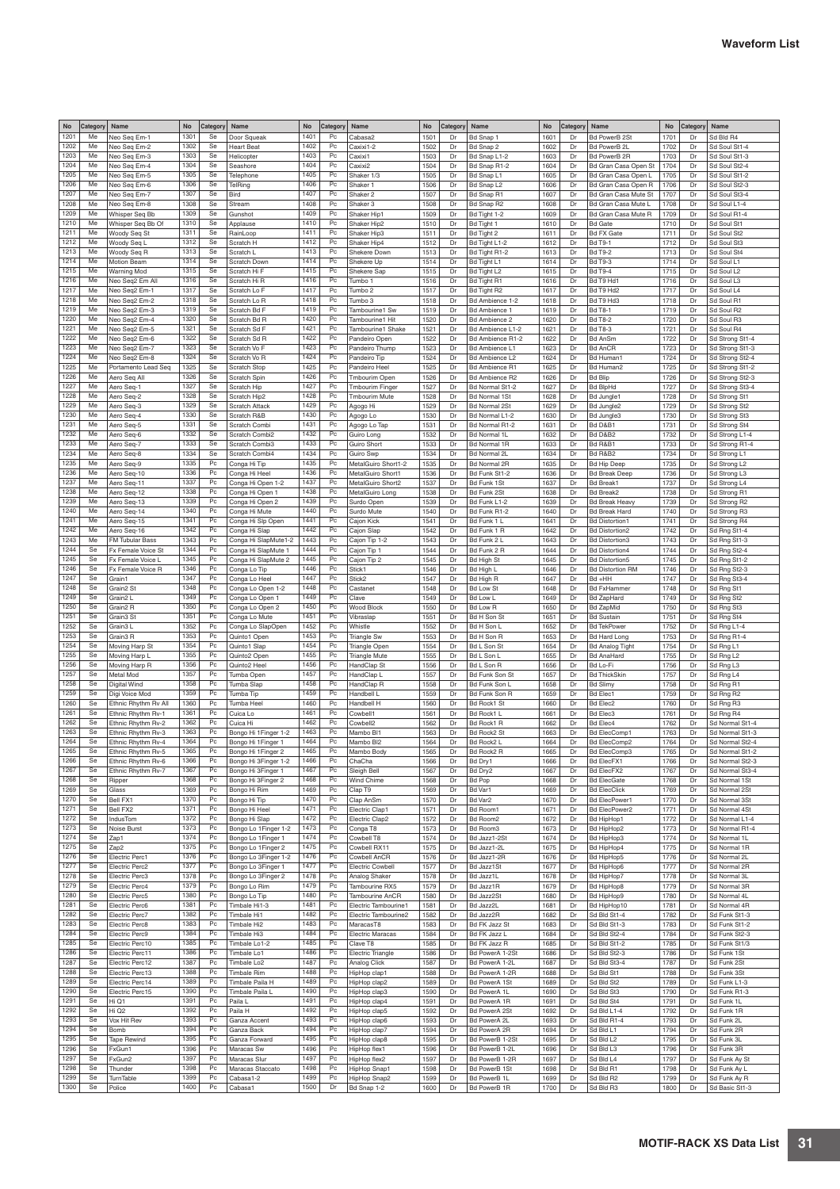| No           | Category | Name                                       | No              | Category             | Name                                       | <b>No</b>    | Category             | Name                                    | <b>No</b>    | Category | Name                                         | <b>No</b>    | Category | Name                                           | <b>No</b>    | Category | Name                                 |
|--------------|----------|--------------------------------------------|-----------------|----------------------|--------------------------------------------|--------------|----------------------|-----------------------------------------|--------------|----------|----------------------------------------------|--------------|----------|------------------------------------------------|--------------|----------|--------------------------------------|
| 1201         | Me       | Neo Seg Em-1                               | 1301            | Se                   | Door Squeak                                | 1401         | Pc                   | Cabasa <sub>2</sub>                     | 1501         | Dr       | Bd Snap 1                                    | 1601         | Dr       | <b>Bd PowerB 2St</b>                           | 1701         | Dr       | <b>Sd Bld R4</b>                     |
| 1202<br>1203 | Me<br>Me | Neo Seq Em-2<br>Neo Seq Em-3               | 1302<br>1303    | Se<br>Se             | <b>Heart Beat</b><br>Helicopter            | 1402<br>1403 | Pc<br>Pc             | Caxixi1-2<br>Caxixi1                    | 1502<br>1503 | Dr<br>Dr | Bd Snap 2<br>Bd Snap L1-2                    | 1602<br>1603 | Dr<br>Dr | Bd PowerB 2L<br><b>Bd PowerB 2R</b>            | 1702<br>1703 | Dr<br>Dr | Sd Soul St1-4<br>Sd Soul St1-3       |
| 1204         | Me       | Neo Seq Em-4                               | 1304            | Se                   | Seashore                                   | 1404         | Pc                   | Caxixi2                                 | 1504         | Dr       | Bd Snap R1-2                                 | 1604         | Dr       | Bd Gran Casa Open St                           | 1704         | Dr       | Sd Soul St <sub>2-4</sub>            |
| 1205         | Me       | Neo Seg Em-5                               | 1305            | Se                   | Telephone                                  | 1405         | Pc                   | Shaker 1/3                              | 1505         | Dr       | Bd Snap L1                                   | 1605         | Dr       | Bd Gran Casa Open L                            | 1705         | Dr       | Sd Soul St1-2                        |
| 1206<br>1207 | Me<br>Me | Neo Seq Em-6<br>Neo Seq Em-7               | 1306<br>1307    | Se<br>Se             | TelRing<br><b>Bird</b>                     | 1406<br>1407 | Pc<br>Pc             | Shaker 1<br>Shaker <sub>2</sub>         | 1506<br>1507 | Dr<br>Dr | Bd Snap L2<br>Bd Snap R1                     | 1606<br>1607 | Dr<br>Dr | Bd Gran Casa Open R<br>Bd Gran Casa Mute St    | 1706<br>1707 | Dr<br>Dr | Sd Soul St2-3<br>Sd Soul St3-4       |
| 1208         | Me       | Neo Seg Em-8                               | 1308            | Se                   | Stream                                     | 1408         | Pc                   | Shaker 3                                | 1508         | Dr       | Bd Snap R2                                   | 1608         | Dr       | Bd Gran Casa Mute L                            | 1708         | Dr       | Sd Soul L1-4                         |
| 1209         | Me       | Whisper Seq Bb                             | 1309            | Se                   | Gunshot                                    | 1409         | Pc                   | Shaker Hip1                             | 1509         | Dr       | Bd Tight 1-2                                 | 1609         | Dr       | Bd Gran Casa Mute R                            | 1709         | Dr       | Sd Soul R1-4                         |
| 1210<br>1211 | Me<br>Me | Whisper Seq Bb Of<br>Woody Seq St          | 1310<br>$131 -$ | Se<br>Se             | Applause<br>RainLoop                       | 1410<br>1411 | Pc<br>Pc             | Shaker Hip2                             | 1510<br>1511 | Dr<br>Dr | Bd Tight 1                                   | 1610<br>1611 | Dr<br>Dr | <b>Bd Gate</b><br><b>Bd FX Gate</b>            | 1710<br>1711 | Dr<br>Dr | Sd Soul St1<br>Sd Soul St2           |
| 1212         | Me       | Woody Seq L                                | 1312            | Se                   | Scratch H                                  | 1412         | Pc                   | Shaker Hip3<br>Shaker Hip4              | 1512         | Dr       | Bd Tight 2<br>Bd Tight L1-2                  | 1612         | Dr       | <b>Bd T9-1</b>                                 | 1712         | Dr       | Sd Soul St3                          |
| 1213         | Me       | Woody Seq R                                | 1313            | Se                   | Scratch L                                  | 1413         | Pc                   | Shekere Down                            | 1513         | Dr       | Bd Tight R1-2                                | 1613         | Dr       | <b>Bd T9-2</b>                                 | 1713         | Dr       | Sd Soul St4                          |
| 1214<br>1215 | Me<br>Me | <b>Motion Beam</b>                         | 1314<br>1315    | Se<br>Se             | Scratch Down                               | 1414<br>1415 | Pc<br>Pc             | Shekere Up                              | 1514         | Dr       | Bd Tight L1                                  | 1614         | Dr       | <b>Bd T9-3</b>                                 | 1714         | Dr       | Sd Soul L1                           |
| 1216         | Me       | Warning Mod<br>Neo Seq2 Em All             | 1316            | Se                   | Scratch Hi F<br>Scratch Hi R               | 1416         | Pc                   | Shekere Sap<br>Tumbo 1                  | 1515<br>1516 | Dr<br>Dr | Bd Tight L2<br>Bd Tight R1                   | 1615<br>1616 | Dr<br>Dr | <b>Bd T9-4</b><br>Bd T9 Hd1                    | 1715<br>1716 | Dr<br>Dr | Sd Soul L <sub>2</sub><br>Sd Soul L3 |
| 1217         | Me       | Neo Seq2 Em-1                              | 1317            | Se                   | Scratch Lo F                               | 1417         | Pc                   | Tumbo 2                                 | 1517         | Dr       | Bd Tight R2                                  | 1617         | Dr       | Bd T9 Hd2                                      | 1717         | Dr       | Sd Soul L4                           |
| 1218         | Me       | Neo Seg2 Em-2                              | 1318            | Se                   | Scratch Lo R                               | 1418         | Pc                   | Tumbo 3                                 | 1518         | Dr       | Bd Ambience 1-2                              | 1618         | Dr       | Bd T9 Hd3                                      | 1718         | Dr       | Sd Soul R1                           |
| 1219<br>1220 | Me<br>Me | Neo Seq2 Em-3<br>Neo Seg2 Em-4             | 1319<br>1320    | Se<br>Se             | Scratch Bd F<br>Scratch Bd R               | 1419<br>1420 | Pc<br>Pc             | Tambourine1 Sw<br>Tambourine1 Hit       | 1519<br>1520 | Dr<br>Dr | Bd Ambience 1<br><b>Bd Ambience 2</b>        | 1619<br>1620 | Dr<br>Dr | <b>Bd T8-1</b><br><b>Bd T8-2</b>               | 1719<br>1720 | Dr<br>Dr | Sd Soul R2<br>Sd Soul R3             |
| 1221         | Me       | Neo Seq2 Em-5                              | 1321            | Se                   | Scratch Sd F                               | 1421         | Pc                   | Tambourine1 Shake                       | 1521         | Dr       | Bd Ambience L1-2                             | 1621         | Dr       | <b>Bd T8-3</b>                                 | 1721         | Dr       | Sd Soul R4                           |
| 1222         | Me       | Neo Seq2 Em-6                              | 1322            | Se                   | Scratch Sd R                               | 1422         | Pc                   | Pandeiro Open                           | 1522         | Dr       | Bd Ambience R1-2                             | 1622         | Dr       | <b>Bd AnSm</b>                                 | 1722         | Dr       | Sd Strong St1-4                      |
| 1223<br>1224 | Me<br>Me | Neo Seq2 Em-7                              | 1323<br>1324    | Se<br>Se             | Scratch Vo F<br>Scratch Vo R               | 1423<br>1424 | Pc<br>Pc             | Pandeiro Thump<br>Pandeiro Tip          | 1523<br>1524 | Dr<br>Dr | <b>Bd Ambience L1</b><br>Bd Ambience L2      | 1623<br>1624 | Dr<br>Dr | <b>Bd AnCR</b><br>Bd Human1                    | 1723<br>1724 | Dr<br>Dr | Sd Strong St1-3                      |
| 1225         | Me       | Neo Seq2 Em-8<br>Portamento Lead Seq       | 1325            | Se                   | Scratch Stop                               | 1425         | Pc                   | Pandeiro Heel                           | 1525         | Dr       | <b>Bd Ambience R1</b>                        | 1625         | Dr       | Bd Human2                                      | 1725         | Dr       | Sd Strong St2-4<br>Sd Strong St1-2   |
| 1226         | Me       | Aero Seq All                               | 1326            | Se                   | Scratch Spin                               | 1426         | Pc                   | <b>Tmbourim Open</b>                    | 1526         | Dr       | <b>Bd Ambience R2</b>                        | 1626         | Dr       | <b>Bd Blip</b>                                 | 1726         | Dr       | Sd Strong St2-3                      |
| 1227         | Me       | Aero Seq-1                                 | 1327            | Se                   | Scratch Hip                                | 1427         | Pc                   | <b>Tmbourim Finger</b>                  | 1527         | Dr       | Bd Normal St1-2                              | 1627         | Dr       | <b>Bd BlpHd</b>                                | 1727         | Dr       | Sd Strong St3-4                      |
| 1228<br>1229 | Me<br>Me | Aero Seq-2<br>Aero Seq-3                   | 1328<br>1329    | Se<br>Se             | Scratch Hip2<br><b>Scratch Attack</b>      | 1428<br>1429 | Pc<br>Pc             | <b>Tmbourim Mute</b><br>Agogo Hi        | 1528<br>1529 | Dr<br>Dr | <b>Bd Normal 1St</b><br><b>Bd Normal 2St</b> | 1628<br>1629 | Dr<br>Dr | Bd Jungle1<br>Bd Jungle2                       | 1728<br>1729 | Dr<br>Dr | Sd Strong St1<br>Sd Strong St2       |
| 1230         | Me       | Aero Seq-4                                 | 1330            | Se                   | Scratch R&B                                | 1430         | Pc                   | Agogo Lo                                | 1530         | Dr       | Bd Normal L1-2                               | 1630         | Dr       | Bd Jungle3                                     | 1730         | Dr       | Sd Strong St3                        |
| 1231         | Me       | Aero Sea-5                                 | 1331            | Se                   | Scratch Combi                              | 1431         | Pc                   | Agogo Lo Tap                            | 1531         | Dr       | Bd Normal R1-2                               | 1631         | Dr       | Bd D&B1                                        | 1731         | Dr       | Sd Strong St4                        |
| 1232<br>1233 | Me<br>Me | Aero Seq-6                                 | 1332            | Se<br>Se             | Scratch Combi2<br>Scratch Combi3           | 1432<br>1433 | Pc<br>Pc             | Guiro Long                              | 1532         | Dr       | Bd Normal 1L                                 | 1632         | Dr       | Bd D&B2                                        | 1732         | Dr       | Sd Strong L1-4                       |
| 1234         | Me       | Aero Seq-7<br>Aero Seq-8                   | 1333<br>1334    | Se                   | Scratch Combi4                             | 1434         | Pc                   | Guiro Short<br>Guiro Swp                | 1533<br>1534 | Dr<br>Dr | <b>Bd Normal 1R</b><br>Bd Normal 2L          | 1633<br>1634 | Dr<br>Dr | Bd R&B1<br>Bd R&B2                             | 1733<br>1734 | Dr<br>Dr | Sd Strong R1-4<br>Sd Strong L1       |
| 1235         | Me       | Aero Seq-9                                 | 1335            | Pc                   | Conga Hi Tip                               | 1435         | Pc                   | MetalGuiro Short1-2                     | 1535         | Dr       | <b>Bd Normal 2R</b>                          | 1635         | Dr       | <b>Bd Hip Deep</b>                             | 1735         | Dr       | Sd Strong L2                         |
| 1236         | Me       | Aero Seq-10                                | 1336            | Pc                   | Conga Hi Heel                              | 1436         | Pc                   | MetalGuiro Short1                       | 1536         | Dr       | Bd Funk St1-2                                | 1636         | Dr       | <b>Bd Break Deep</b>                           | 1736         | Dr       | Sd Strong L3                         |
| 1237<br>1238 | Me<br>Me | Aero Seq-11<br>Aero Seq-12                 | 1337<br>1338    | Pc<br>Pc             | Conga Hi Open 1-2<br>Conga Hi Open 1       | 1437<br>1438 | Pc<br>Pc             | MetalGuiro Short2<br>MetalGuiro Long    | 1537<br>1538 | Dr<br>Dr | Bd Funk 1St<br>Bd Funk 2St                   | 1637<br>1638 | Dr<br>Dr | <b>Bd Break1</b><br><b>Bd Break2</b>           | 1737<br>1738 | Dr<br>Dr | Sd Strong L4<br>Sd Strong R1         |
| 1239         | Me       | Aero Seq-13                                | 1339            | Pc                   | Conga Hi Open 2                            | 1439         | Pc                   | Surdo Open                              | 1539         | Dr       | Bd Funk L1-2                                 | 1639         | Dr       | <b>Bd Break Heavy</b>                          | 1739         | Dr       | Sd Strong R2                         |
| 1240         | Me       | Aero Seq-14                                | 1340            | Pc                   | Conga Hi Mute                              | 1440         | Pc                   | Surdo Mute                              | 1540         | Dr       | Bd Funk R1-2                                 | 1640         | Dr       | <b>Bd Break Hard</b>                           | 1740         | Dr       | Sd Strong R3                         |
| 1241         | Me       | Aero Seq-15                                | 134             | Pc                   | Conga Hi Slp Open                          | 1441         | Pc                   | Cajon Kick                              | 1541         | Dr       | Bd Funk 1 L                                  | 1641         | Dr       | <b>Bd Distortion1</b>                          | 1741         | Dr       | Sd Strong R4                         |
| 1242<br>1243 | Me<br>Me | Aero Seq-16<br><b>FM Tubular Bass</b>      | 1342<br>1343    | Pc<br>Pc             | Conga Hi Slap<br>Conga Hi SlapMute1-2      | 1442<br>1443 | Pc<br>Pc             | Cajon Slap<br>Cajon Tip 1-2             | 1542<br>1543 | Dr<br>Dr | Bd Funk 1 R<br>Bd Funk 2 L                   | 1642<br>1643 | Dr<br>Dr | <b>Bd Distortion2</b><br><b>Bd Distortion3</b> | 1742<br>1743 | Dr<br>Dr | Sd Rng St1-4<br>Sd Rng St1-3         |
| 1244         | Se       | Fx Female Voice St                         | 1344            | Pc                   | Conga Hi SlapMute 1                        | 1444         | Pc                   | Cajon Tip 1                             | 1544         | Dr       | Bd Funk 2 R                                  | 1644         | Dr       | <b>Bd Distortion4</b>                          | 1744         | Dr       | Sd Rng St2-4                         |
| 1245         | Se       | Fx Female Voice L                          | 1345            | P <sub>C</sub>       | Conga Hi SlapMute 2                        | 1445         | P <sub>c</sub>       | Cajon Tip 2                             | 1545         | Dr       | <b>Bd High St</b>                            | 1645         | Dr       | <b>Bd Distortion5</b>                          | 1745         | Dr       | Sd Rng St1-2                         |
| 1246         | Se       | Fx Female Voice R                          | 1346            | Pc                   | Conga Lo Tip                               | 1446         | Pc                   | Stick1                                  | 1546         | Dr       | Bd High L                                    | 1646         | Dr       | <b>Bd Distortion RM</b>                        | 1746         | Dr       | Sd Rng St2-3                         |
| 1247<br>1248 | Se<br>Se | Grain1<br>Grain <sub>2</sub> St            | 1347<br>1348    | Pc<br>Pc             | Conga Lo Heel<br>Conga Lo Open 1-2         | 1447<br>1448 | Pc<br>Pc             | Stick2<br>Castanet                      | 1547<br>1548 | Dr<br>Dr | Bd High R<br><b>Bd Low St</b>                | 1647<br>1648 | Dr<br>Dr | Bd +HH<br><b>Bd FxHammer</b>                   | 1747<br>1748 | Dr<br>Dr | Sd Rng St3-4<br>Sd Rng St1           |
| 1249         | Se       | Grain <sub>2</sub> L                       | 1349            | Pc                   | Conga Lo Open 1                            | 1449         | Pc                   | Clave                                   | 1549         | Dr       | Bd Low L                                     | 1649         | Dr       | <b>Bd ZapHard</b>                              | 1749         | Dr       | Sd Rng St2                           |
| 1250         | Se       | Grain <sub>2</sub> R                       | 1350            | Pc                   | Conga Lo Open 2                            | 1450         | Pc                   | Wood Block                              | 1550         | Dr       | <b>Bd Low R</b>                              | 1650         | Dr       | <b>Bd ZapMid</b>                               | 1750         | Dr       | Sd Rng St3                           |
| 1251         | Se       | Grain3 St                                  | 1351            | Pc                   | Conga Lo Mute                              | 1451         | Pc                   | Vibraslap                               | 1551         | Dr       | <b>Bd H Son St</b>                           | 1651         | Dr       | <b>Bd Sustain</b>                              | 1751         | Dr       | Sd Rng St4                           |
| 1252<br>1253 | Se<br>Se | Grain3 <sub>L</sub><br>Grain3 <sub>R</sub> | 1352<br>1353    | Pc<br>Pc             | Conga Lo SlapOpen<br>Quinto1 Open          | 1452<br>1453 | Pc<br>Pc             | Whistle<br><b>Triangle Sw</b>           | 1552<br>1553 | Dr<br>Dr | Bd H Son L<br>Bd H Son R                     | 1652<br>1653 | Dr<br>Dr | <b>Bd TekPower</b><br><b>Bd Hard Long</b>      | 1752<br>1753 | Dr<br>Dr | Sd Rng L1-4<br>Sd Rng R1-4           |
| 1254         | Se       | Moving Harp St                             | 1354            | Pc                   | Quinto1 Slap                               | 1454         | Pc                   | Triangle Open                           | 1554         | Dr       | <b>Bd L Son St</b>                           | 1654         | Dr       | <b>Bd Analog Tight</b>                         | 1754         | Dr       | Sd Rng L1                            |
| 1255         | Se       | Moving Harp L                              | 1355            | Pc                   | Quinto2 Oper                               | 1455         | Pc                   | <b>Triangle Mute</b>                    | 1555         | Dr       | Bd L Son L                                   | 1655         | Dr       | <b>Bd AnaHard</b>                              | 1755         | Dr       | Sd Rng L2                            |
| 1256<br>1257 | Se<br>Se | Moving Harp R                              | 1356<br>1357    | Pc<br>Pc             | Quinto2 Heel                               | 1456<br>1457 | Pc<br>Pc             | HandClap St                             | 1556         | Dr       | Bd L Son R<br><b>Bd Funk Son St</b>          | 1656         | Dr       | Bd Lo-Fi                                       | 1756         | Dr       | Sd Rng L3                            |
| 1258         | Se       | Metal Mod<br><b>Digital Wind</b>           | 1358            | Pc                   | Tumba Open<br>Tumba Slap                   | 1458         | Pc                   | HandClap L<br>HandClap R                | 1557<br>1558 | Dr<br>Dr | Bd Funk Son L                                | 1657<br>1658 | Dr<br>Dr | <b>Bd ThickSkin</b><br><b>Bd Slimy</b>         | 1757<br>1758 | Dr<br>Dr | Sd Rng L4<br>Sd Rng R1               |
| 1259         | Se       | Digi Voice Mod                             | 1359            | Pc                   | Tumba Tip                                  | 1459         | Pc                   | Handbell L                              | 1559         | Dr       | <b>Bd Funk Son R</b>                         | 1659         | Dr       | <b>Bd Elec1</b>                                | 1759         | Dr       | Sd Rng R <sub>2</sub>                |
| 1260         | Se       | Ethnic Rhythm Rv All                       | 1360            | Pc                   | Tumba Heel                                 | 1460         | Pc                   | Handbell H                              | 1560         | Dr       | Bd Rock1 St                                  | 1660         | Dr       | <b>Bd Elec2</b>                                | 1760         | Dr       | Sd Rng R3                            |
| 1261<br>1262 | Se<br>Se | Ethnic Rhythm Rv-1<br>Ethnic Rhythm Rv-2   | 1361<br>1362    | Pc<br>P <sub>C</sub> | Cuica Lo<br>Cuica Hi                       | 1461<br>1462 | Pc<br>Pc             | Cowbell1<br>Cowbell2                    | 1561<br>1562 | Dr<br>Dr | Bd Rock1 L<br>Bd Rock1 R                     | 1661<br>1662 | Dr<br>Dr | <b>Bd Elec3</b><br>Bd Elec4                    | 1761<br>1762 | Dr<br>Dr | Sd Rng R4<br>Sd Normal St1-4         |
| 1263         | Se       | Ethnic Rhythm Rv-3                         | 1363            | Pc                   | Bongo Hi 1Finger 1-2                       | 1463         | Pc                   | Mambo BI1                               | 1563         | Dr       | <b>Bd Rock2 St</b>                           | 1663         | Dr       | <b>Bd ElecComp1</b>                            | 1763         | Dr       | Sd Normal St1-3                      |
| 1264         | Se       | Ethnic Rhythm Rv-4                         | 1364            | Pc                   | Bongo Hi 1 Finger 1                        | 1464         | Pc                   | Mambo BI2                               | 1564         | Dr       | Bd Rock2 L                                   | 1664         | Dr       | <b>Bd ElecComp2</b>                            | 1764         | Dr       | Sd Normal St2-4                      |
| 1200         | Sе       | Ethnic Rhythm Rv-5                         | 1365            | PС                   | Bongo Hi 1 Finger 2                        | 1465         | PС                   | Mambo Body                              | 1565         | Dr       | Bd Rock2 R                                   | 1665         | Dı       | Bd ElecComp3                                   | 1765         | Dr       | 3d Normal St1-2                      |
| 1266<br>1267 | Se<br>Se | Ethnic Rhythm Rv-6<br>Ethnic Rhythm Rv-7   | 1366<br>1367    | P <sub>C</sub><br>Pc | Bongo Hi 3Finger 1-2<br>Bongo Hi 3Finger 1 | 1466<br>1467 | P <sub>C</sub><br>Pc | ChaCha<br>Sleigh Bell                   | 1566<br>1567 | Dr<br>Dr | Bd Dry1<br>Bd Dry2                           | 1666<br>1667 | Dr<br>Dr | Bd ElecFX1<br>Bd ElecFX2                       | 1766<br>1767 | Dr<br>Dr | Sd Normal St2-3<br>Sd Normal St3-4   |
| 1268         | Se       | Ripper                                     | 1368            | Pc                   | Bongo Hi 3Finger 2                         | 1468         | Pc                   | Wind Chime                              | 1568         | Dr       | <b>Bd Pop</b>                                | 1668         | Dr       | <b>Bd ElecGate</b>                             | 1768         | Dr       | Sd Normal 1St                        |
| 1269         | Se       | Glass                                      | 1369            | Pc                   | Bongo Hi Rim                               | 1469         | Pc                   | Clap T9                                 | 1569         | Dr       | Bd Var1                                      | 1669         | Dr       | <b>Bd ElecClick</b>                            | 1769         | Dr       | Sd Normal 2St                        |
| 1270<br>1271 | Se<br>Se | Bell FX1<br>Bell FX2                       | 1370<br>1371    | Pc<br>Pc             | Bongo Hi Tip<br>Bongo Hi Heel              | 1470<br>1471 | Pc<br>Pc             | Clap AnSm<br>Electric Clap1             | 1570<br>1571 | Dr<br>Dr | Bd Var2<br>Bd Room1                          | 1670<br>1671 | Dr<br>Dr | <b>Bd ElecPower1</b><br><b>Bd ElecPower2</b>   | 1770<br>1771 | Dr<br>Dr | Sd Normal 3St<br>Sd Normal 4St       |
| 1272         | Se       | IndusTom                                   | 1372            | Pc                   | Bongo Hi Slap                              | 1472         | Pc                   | Electric Clap2                          | 1572         | Dr       | Bd Room2                                     | 1672         | Dr       | Bd HipHop1                                     | 1772         | Dr       | Sd Normal L1-4                       |
| 1273         | Se       | Noise Burst                                | 1373            | Pc                   | Bongo Lo 1Finger 1-2                       | 1473         | Pc                   | Conga T8                                | 1573         | Dr       | Bd Room3                                     | 1673         | Dr       | Bd HipHop2                                     | 1773         | Dr       | Sd Normal R1-4                       |
| 1274         | Se       | Zap1                                       | 1374            | Pc                   | Bongo Lo 1Finger 1                         | 1474         | Pc                   | Cowbell T8                              | 1574         | Dr       | Bd Jazz1-2St                                 | 1674         | Dr       | Bd HipHop3                                     | 1774         | Dr       | Sd Normal 1L                         |
| 1275<br>1276 | Se<br>Se | Zap2<br>Electric Perc1                     | 1375<br>1376    | Pc<br>Pc             | Bongo Lo 1Finger 2<br>Bongo Lo 3Finger 1-2 | 1475<br>1476 | Pc<br>Pc             | Cowbell RX11<br>Cowbell AnCR            | 1575<br>1576 | Dr<br>Dr | Bd Jazz1-2L<br>Bd Jazz1-2R                   | 1675<br>1676 | Dr<br>Dr | Bd HipHop4<br>Bd HipHop5                       | 1775<br>1776 | Dr<br>Dr | Sd Normal 1R<br>Sd Normal 2L         |
| 1277         | Se       | Electric Perc2                             | 1377            | Pc                   | Bongo Lo 3Finger 1                         | 1477         | Pc                   | Electric Cowbell                        | 1577         | Dr       | Bd Jazz1St                                   | 1677         | Dr       | Bd HipHop6                                     | 1777         | Dr       | Sd Normal 2R                         |
| 1278         | Se       | Electric Perc3                             | 1378            | Pc                   | Bongo Lo 3Finger 2                         | 1478         | Pc                   | Analog Shaker                           | 1578         | Dr       | Bd Jazz1L                                    | 1678         | Dr       | Bd HipHop7                                     | 1778         | Dr       | Sd Normal 3L                         |
| 1279<br>1280 | Se<br>Se | Electric Perc4<br>Electric Perc5           | 1379<br>1380    | Pc<br>Pc             | Bongo Lo Rim                               | 1479<br>1480 | Pc<br>Pc             | Tambourine RX5                          | 1579         | Dr       | Bd Jazz1R                                    | 1679         | Dr       | Bd HipHop8                                     | 1779         | Dr       | Sd Normal 3R                         |
| 1281         | Se       | Electric Perc6                             | 1381            | Pc                   | Bongo Lo Tip<br>Timbale Hi1-3              | 1481         | Pc                   | Tambourine AnCR<br>Electric Tambourine1 | 1580<br>1581 | Dr<br>Dr | Bd Jazz2St<br>Bd Jazz2L                      | 1680<br>1681 | Dr<br>Dı | Bd HipHop9<br>Bd HipHop10                      | 1780<br>1781 | Dr<br>Dr | Sd Normal 4L<br>Sd Normal 4R         |
| 1282         | Se       | Electric Perc7                             | 1382            | Pc                   | Timbale Hi1                                | 1482         | Pc                   | Electric Tambourine2                    | 1582         | Dr       | <b>Bd Jazz2R</b>                             | 1682         | Dr       | Sd Bld St1-4                                   | 1782         | Dr       | Sd Funk St1-3                        |
| 1283         | Se       | Electric Perc8                             | 1383            | Pc                   | Timbale Hi2                                | 1483         | Pc                   | MaracasT8                               | 1583         | Dr       | <b>Bd FK Jazz St</b>                         | 1683         | Dr       | Sd Bld St1-3                                   | 1783         | Dr       | Sd Funk St1-2                        |
| 1284<br>1285 | Se<br>Se | Electric Perc9                             | 1384<br>1385    | Pc<br>Pc             | Timbale Hi3                                | 1484<br>1485 | Pc<br>Pc             | Electric Maracas                        | 1584         | Dr       | Bd FK Jazz L                                 | 1684         | Dr       | Sd Bld St2-4                                   | 1784         | Dr       | Sd Funk St2-3                        |
| 1286         | Se       | Electric Perc10<br>Electric Perc11         | 1386            | Pc                   | Timbale Lo1-2<br>Timbale Lo1               | 1486         | Pc                   | Clave T8<br>Electric Triangle           | 1585<br>1586 | Dr<br>Dr | Bd FK Jazz R<br>Bd PowerA 1-2St              | 1685<br>1686 | Dr<br>Dr | Sd Bld St1-2<br>Sd Bld St2-3                   | 1785<br>1786 | Dr<br>Dr | Sd Funk St1/3<br>Sd Funk 1St         |
| 1287         | Se       | Electric Perc12                            | 1387            | Pc                   | Timbale Lo <sub>2</sub>                    | 1487         | Pc                   | Analog Click                            | 1587         | Dr       | Bd PowerA 1-2L                               | 1687         | Dr       | Sd Bld St3-4                                   | 1787         | Dr       | Sd Funk 2St                          |
| 1288         | Se       | Electric Perc13                            | 1388            | Pc                   | <b>Timbale Rim</b>                         | 1488         | Pc                   | HipHop clap1                            | 1588         | Dr       | Bd PowerA 1-2R                               | 1688         | Dr       | Sd Bld St1                                     | 1788         | Dr       | Sd Funk 3St                          |
| 1289<br>1290 | Se<br>Se | Electric Perc14                            | 1389<br>1390    | Pc<br>Pc             | Timbale Paila H                            | 1489<br>1490 | Pc<br>Pc             | HipHop clap2                            | 1589         | Dr       | <b>Bd PowerA 1St</b>                         | 1689         | Dr       | Sd Bld St2                                     | 1789         | Dr       | Sd Funk L1-3                         |
| 1291         | Se       | Electric Perc15<br>Hi Q1                   | 1391            | Pc                   | Timbale Paila L<br>Paila L                 | 1491         | Pc                   | HipHop clap3<br>HipHop clap4            | 1590<br>1591 | Dr<br>Dr | Bd PowerA 1L<br>Bd PowerA 1R                 | 1690<br>1691 | Dr<br>Dr | Sd Bld St3<br>Sd Bld St4                       | 1790<br>1791 | Dr<br>Dr | Sd Funk R1-3<br>Sd Funk 1L           |
| 1292         | Se       | Hi Q2                                      | 1392            | Pc                   | Paila H                                    | 1492         | Pc                   | HipHop clap5                            | 1592         | Dr       | <b>Bd PowerA 2St</b>                         | 1692         | Dr       | Sd Bld L1-4                                    | 1792         | Dr       | Sd Funk 1R                           |
| 1293         | Se       | Vox Hit Rev                                | 1393            | Pc                   | Ganza Accent                               | 1493         | Pc                   | HipHop clap6                            | 1593         | Dr       | Bd PowerA 2L                                 | 1693         | Dr       | Sd Bld R1-4                                    | 1793         | Dr       | Sd Funk 2L                           |
| 1294<br>1295 | Se<br>Se | Bomb                                       | 1394<br>1395    | Pc<br>Pc             | Ganza Back<br>Ganza Forward                | 1494<br>1495 | Pc<br>Pc             | HipHop clap7                            | 1594         | Dr<br>Dr | Bd PowerA 2R                                 | 1694<br>1695 | Dr<br>Dr | Sd Bld L1<br>Sd Bld L2                         | 1794         | Dr<br>Dr | Sd Funk 2R<br>Sd Funk 3L             |
| 1296         | Se       | <b>Tape Rewind</b><br>FxGun1               | 1396            | Pc                   | Maracas Sw                                 | 1496         | Pc                   | HipHop clap8<br>HipHop flex1            | 1595<br>1596 | Dr       | Bd PowerB 1-2St<br>Bd PowerB 1-2L            | 1696         | Dr       | Sd Bld L3                                      | 1795<br>1796 | Dr       | Sd Funk 3R                           |
| 1297         | Se       | FxGun2                                     | 1397            | Pc                   | Maracas Slur                               | 1497         | Pc                   | HipHop flex2                            | 1597         | Dr       | Bd PowerB 1-2R                               | 1697         | Dr       | Sd Bld L4                                      | 1797         | Dr       | Sd Funk Ay St                        |
| 1298         | Se       | Thunder                                    | 1398            | Pc                   | Maracas Staccato                           | 1498         | Pc                   | HipHop Snap1                            | 1598         | Dr       | <b>Bd PowerB 1St</b>                         | 1698         | Dr       | Sd Bld R1                                      | 1798         | Dr       | Sd Funk Ay L                         |
| 1299<br>1300 | Se<br>Se | TurnTable                                  | 1399<br>1400    | Pc<br>Pc             | Cabasa1-2                                  | 1499<br>1500 | Pc<br>Dr             | HipHop Snap2                            | 1599         | Dr<br>Dr | Bd PowerB 1L                                 | 1699<br>1700 | Dr       | Sd Bld R2                                      | 1799         | Dr<br>Dr | Sd Funk Ay R                         |
|              |          | Police                                     |                 |                      | Cabasa1                                    |              |                      | Bd Snap 1-2                             | 1600         |          | Bd PowerB 1R                                 |              | Dr       | Sd Bld R3                                      | 1800         |          | Sd Basic St1-3                       |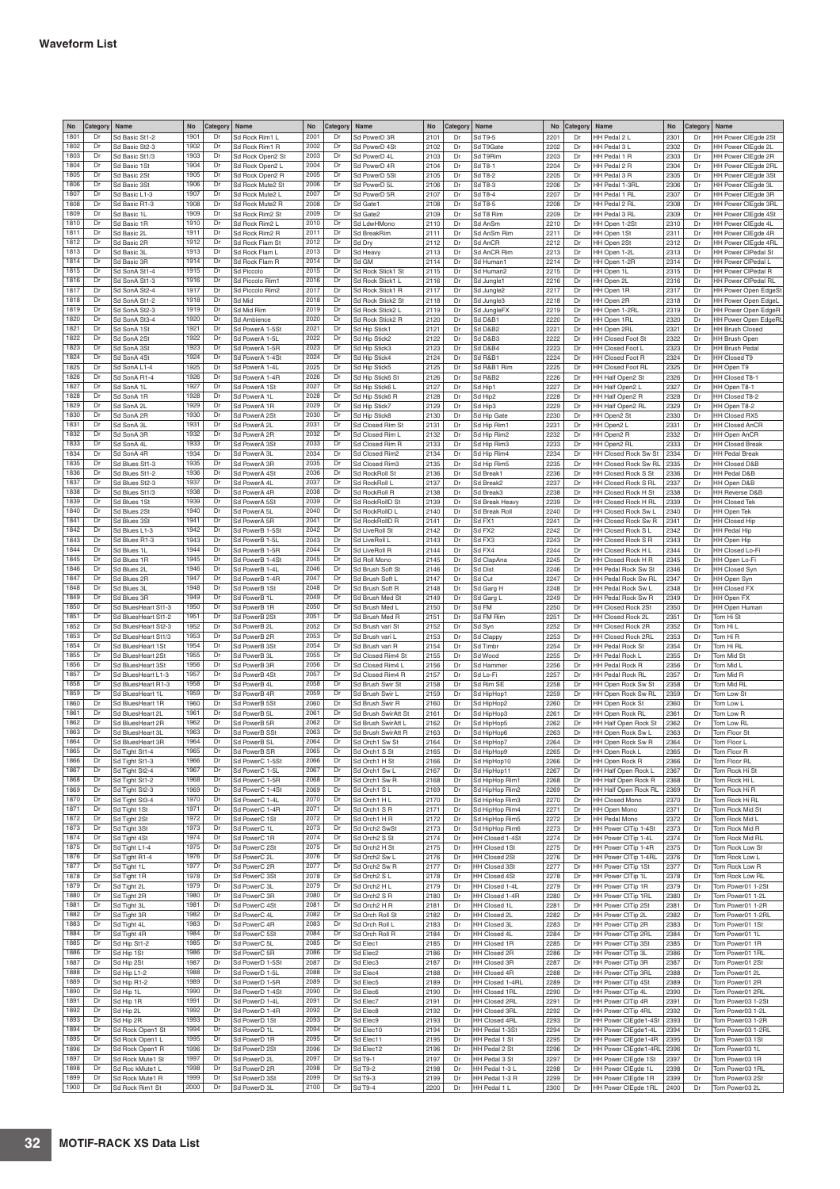| <b>No</b>    | Category | Name                                       | <b>No</b>    | Category | Name                               | <b>No</b>    | Category | Name                                  | No           | Category | Name                            | No           | Category | Name                                        | <b>No</b>    | Category | Name                                            |
|--------------|----------|--------------------------------------------|--------------|----------|------------------------------------|--------------|----------|---------------------------------------|--------------|----------|---------------------------------|--------------|----------|---------------------------------------------|--------------|----------|-------------------------------------------------|
| 1801         | Dr       | Sd Basic St1-2                             | 1901         | Dı       | Sd Rock Rim1 L                     | 2001         | Dr       | Sd PowerD 3R                          | 2101         | Dr       | Sd T9-5                         | 2201         | Dr       | HH Pedal 2 L                                | 2301         | Dr       | HH Power ClEgde 2St                             |
| 1802<br>1803 | Dr<br>Dr | Sd Basic St2-3<br>Sd Basic St1/3           | 1902<br>1903 | Dr<br>Dr | Sd Rock Rim1 R<br>Sd Rock Open2 St | 2002<br>2003 | Dr<br>Dr | Sd PowerD 4St<br>Sd PowerD 4L         | 2102<br>2103 | Dr<br>Dr | Sd T9Gate<br>Sd T9Rim           | 2202         | Dr       | HH Pedal 3 L<br>HH Pedal 1 R                | 2302<br>2303 | Dr<br>Dr | HH Power ClEgde 2L                              |
| 1804         | Dr       | Sd Basic 1St                               | 1904         | Dr       | Sd Rock Open2 L                    | 2004         | Dr       | Sd PowerD 4R                          | 2104         | Dr       | Sd T8-1                         | 2203<br>2204 | Dr<br>Dr | HH Pedal 2 R                                | 2304         | Dr       | HH Power CIEgde 2R<br>HH Power ClEgde 2RL       |
| 1805         | Dr       | Sd Basic 2St                               | 1905         | Dr       | Sd Rock Open2 R                    | 2005         | Dr       | Sd PowerD 5St                         | 2105         | Dr       | Sd T8-2                         | 2205         | Dr       | HH Pedal 3 R                                | 2305         | Dr       | HH Power CIEgde 3St                             |
| 1806         | Dr       | Sd Basic 3St                               | 1906         | Dr       | Sd Rock Mute2 St                   | 2006         | Dr       | Sd PowerD 5L                          | 2106         | Dr       | Sd T8-3                         | 2206         | Dr       | HH Pedal 1-3RL                              | 2306         | Dr       | HH Power ClEgde 3L                              |
| 1807         | Dr       | Sd Basic L1-3                              | 1907         | Dr       | Sd Rock Mute2 L                    | 2007         | Dr       | Sd PowerD 5R                          | 2107         | Dr       | Sd T8-4                         | 2207         | Dr       | HH Pedal 1 RL                               | 2307         | Dr       | HH Power ClEgde 3R                              |
| 1808         | Dr       | Sd Basic R1-3                              | 1908         | Dr       | Sd Rock Mute2 R                    | 2008         | Dr       | Sd Gate1                              | 2108         | Dr       | Sd T8-5                         | 2208         | Dr       | HH Pedal 2 RL                               | 2308         | Dr       | HH Power ClEgde 3RL                             |
| 1809         | Dr       | Sd Basic 1L                                | 1909         | Dr       | Sd Rock Rim2 St                    | 2009         | Dr       | Sd Gate2                              | 2109         | Dr       | Sd T8 Rim                       | 2209         | Dr       | HH Pedal 3 RL                               | 2309         | Dr       | HH Power CIEgde 4St                             |
| 1810         | Dr       | Sd Basic 1R                                | 1910         | Dı       | Sd Rock Rim2 L                     | 2010         | Dr       | Sd LdwHMono                           | 2110         | Dr       | Sd AnSm                         | 2210         | Dr       | HH Open 1-2St                               | 2310         | Dr       | HH Power CIEgde 4L                              |
| 1811         | Dr       | Sd Basic 2L                                | 1911         | Dı       | Sd Rock Rim2 R                     | 2011         | Dr       | Sd BreakRim                           | 2111         | Dr       | Sd AnSm Rim                     | 2211         | Dr       | HH Open 1St                                 | 2311         | Dr       | HH Power ClEgde 4R                              |
| 1812         | Dr       | Sd Basic 2R                                | 1912         | Dr       | Sd Rock Flam St                    | 2012         | Dr       | Sd Dry                                | 2112         | Dr       | Sd AnCR                         | 2212         | Dr       | HH Open 2St                                 | 2312         | Dr       | HH Power ClEgde 4RL                             |
| 1813         | Dr       | Sd Basic 3L                                | 1913         | Dr       | Sd Rock Flam L                     | 2013         | Dr       | Sd Heavy                              | 2113         | Dr       | Sd AnCR Rim                     | 2213         | Dr       | HH Open 1-2L                                | 2313         | Dr       | <b>HH Power CIPedal St</b>                      |
| 1814         | Dr<br>Dr | Sd Basic 3R                                | 1914         | Dı       | Sd Rock Flam R                     | 2014         | Dr       | Sd GM                                 | 2114         | Dr       | Sd Human1                       | 2214         | Dr       | HH Open 1-2R                                | 2314         | Dr       | HH Power CIPedal L                              |
| 1815<br>1816 | Dr       | Sd SonA St1-4                              | 1915<br>1916 | Dr<br>Dr | Sd Piccolo<br>Sd Piccolo Rim1      | 2015<br>2016 | Dr<br>Dr | Sd Rock Stick1 St<br>Sd Rock Stick1 L | 2115         | Dr       | Sd Human2                       | 2215         | Dr       | HH Open 1L                                  | 2315         | Dr<br>Dr | HH Power CIPedal R                              |
| 1817         | Dr       | Sd SonA St1-3<br>Sd SonA St2-4             | 1917         | Dr       | Sd Piccolo Rim2                    | 2017         | Dr       |                                       | 2116         | Dr<br>Dr | Sd Jungle1                      | 2216         | Dr<br>Dr | HH Open 2L                                  | 2316         | Dr       | HH Power CIPedal RL                             |
| 1818         | Dr       | Sd SonA St1-2                              | 1918         | Dr       | Sd Mid                             | 2018         | Dr       | Sd Rock Stick1 R<br>Sd Rock Stick2 St | 2117<br>2118 | Dr       | Sd Jungle2<br>Sd Jungle3        | 2217         | Dr       | HH Open 1R<br>HH Open 2R                    | 2317<br>2318 | Dr       | HH Power Open EdgeSt<br>HH Power Open EdgeL     |
| 1819         | Dr       | Sd SonA St2-3                              | 1919         | Dr       | Sd Mid Rim                         | 2019         | Dr       | Sd Rock Stick2 L                      | 2119         | Dr       | Sd JungleFX                     | 2218<br>2219 | Dr       | HH Open 1-2RL                               | 2319         | Dr       | HH Power Open EdgeR                             |
| 1820         | Dr       | Sd SonA St3-4                              | 1920         | Dr       | Sd Ambience                        | 2020         | Dr       | Sd Rock Stick2 R                      | 2120         | Dr       | Sd D&B1                         | 2220         | Dr       | HH Open 1RL                                 | 2320         | Dr       | HH Power Open EdgeRL                            |
| 1821         | Dr       | Sd SonA 1St                                | 1921         | Dr       | Sd PowerA 1-5St                    | 2021         | Dr       | Sd Hip Stick1                         | 2121         | Dr       | Sd D&B2                         | 2221         | Dr       | HH Open 2RL                                 | 2321         | Dr       | <b>HH Brush Closed</b>                          |
| 1822         | Dr       | Sd SonA 2St                                | 1922         | Dr       | Sd PowerA 1-5L                     | 2022         | Dr       | Sd Hip Stick2                         | 2122         | Dr       | Sd D&B3                         | 2222         | Dr       | <b>HH Closed Foot St</b>                    | 2322         | Dr       | <b>HH Brush Open</b>                            |
| 1823         | Dr       | Sd SonA 3St                                | 1923         | Dr       | Sd PowerA 1-5R                     | 2023         | Dr       | Sd Hip Stick3                         | 2123         | Dr       | Sd D&B4                         | 2223         | Dr       | HH Closed Foot L                            | 2323         | Dr       | <b>HH Brush Pedal</b>                           |
| 1824         | Dr       | Sd SonA 4St                                | 1924         | Dr       | Sd PowerA 1-4St                    | 2024         | Dr       | Sd Hip Stick4                         | 2124         | Dr       | Sd R&B1                         | 2224         | Dr       | <b>HH Closed Foot R</b>                     | 2324         | Dr       | HH Closed T9                                    |
| 1825         | Dr       | Sd SonA L1-4                               | 1925         | Dr       | Sd PowerA 1-4L                     | 2025         | Dr       | Sd Hip Stick5                         | 2125         | Dr       | Sd R&B1 Rim                     | 2225         | Dr       | HH Closed Foot RL                           | 2325         | Dr       | HH Open T9                                      |
| 1826         | Dr       | Sd SonA R1-4                               | 1926         | Dr       | Sd PowerA 1-4R                     | 2026         | Dr       | Sd Hip Stick6 St                      | 2126         | Dr       | Sd R&B2                         | 2226         | Dr       | HH Half Open2 St                            | 2326         | Dr       | HH Closed T8-1                                  |
| 1827         | Dr       | Sd SonA 1L                                 | 1927         | Dr       | Sd PowerA 1St                      | 2027         | Dr       | Sd Hip Stick6 L                       | 2127         | Dr       | Sd Hip1                         | 2227         | Dr       | HH Half Open2 L                             | 2327         | Dr       | HH Open T8-1                                    |
| 1828         | Dr       | Sd SonA 1R                                 | 1928         | Dr       | Sd PowerA 1L                       | 2028         | Dr       | Sd Hip Stick6 R                       | 2128         | Dr       | Sd Hip2                         | 2228         | Dr       | HH Half Open2 R                             | 2328         | Dr       | HH Closed T8-2                                  |
| 1829         | Dr       | Sd SonA 2L                                 | 1929         | Dr       | Sd PowerA 1R                       | 2029         | Dr       | Sd Hip Stick7                         | 2129         | Dr       | Sd Hip3                         | 2229         | Dr       | HH Half Open2 RL                            | 2329         | Dr       | HH Open T8-2                                    |
| 1830         | Dr       | Sd SonA 2R                                 | 1930         | Dr       | Sd PowerA 2St                      | 2030         | Dr       | Sd Hip Stick8                         | 2130         | Dr       | Sd Hip Gate                     | 2230         | Dr       | HH Open2 St                                 | 2330         | Dr       | <b>HH Closed RX5</b>                            |
| 1831         | Dr       | Sd SonA 3L                                 | 1931         | Dr       | Sd PowerA 2L                       | 2031         | Dr       | Sd Closed Rim St                      | 2131         | Dr       | Sd Hip Rim1                     | 2231         | Dr       | HH Open2 L                                  | 2331         | Dr       | <b>HH Closed AnCF</b>                           |
| 1832<br>1833 | Dr<br>Dr | Sd SonA 3R                                 | 1932<br>1933 | Dr<br>Dr | Sd PowerA 2R                       | 2032<br>2033 | Dr<br>Dr | Sd Closed Rim L                       | 2132         | Dr       | Sd Hip Rim2                     | 2232         | Dr       | HH Open2 R                                  | 2332         | Dr       | <b>HH Open AnCR</b>                             |
| 1834         | Dr       | Sd SonA 4L<br>Sd SonA 4R                   | 1934         | Dr       | Sd PowerA 3St<br>Sd PowerA 3L      | 2034         | Dr       | Sd Closed Rim R<br>Sd Closed Rim2     | 2133<br>2134 | Dr<br>Dr | Sd Hip Rim3<br>Sd Hip Rim4      | 2233<br>2234 | Dr<br>Dr | HH Open2 RL<br>HH Closed Rock Sw St         | 2333<br>2334 | Dr<br>Dr | <b>HH Closed Break</b><br><b>HH Pedal Break</b> |
| 1835         | Dr       | Sd Blues St1-3                             | 1935         | Dr       | Sd PowerA 3R                       | 2035         | Dr       | Sd Closed Rim3                        | 2135         | Dr       | Sd Hip Rim5                     | 2235         | Dr       | HH Closed Rock Sw RL                        | 2335         | Dr       | HH Closed D&B                                   |
| 1836         | Dr       | Sd Blues St1-2                             | 1936         | Dr       | Sd PowerA 4St                      | 2036         | Dr       | Sd RockRoll St                        | 2136         | Dr       | Sd Break1                       | 2236         | Dr       | HH Closed Rock S St                         | 2336         | Dr       | HH Pedal D&B                                    |
| 1837         | Dr       | Sd Blues St2-3                             | 1937         | Dr       | Sd PowerA 4L                       | 2037         | Dr       | Sd RockRoll I                         | 2137         | Dr       | Sd Break2                       | 2237         | Dr       | HH Closed Rock S RL                         | 2337         | Dr       | HH Open D&B                                     |
| 1838         | Dr       | Sd Blues St1/3                             | 1938         | Dr       | Sd PowerA 4R                       | 2038         | Dr       | Sd RockRoll R                         | 2138         | Dr       | Sd Break3                       | 2238         | Dr       | <b>HH Closed Rock H St</b>                  | 2338         | Dr       | HH Reverse D&B                                  |
| 1839         | Dr       | Sd Blues 1St                               | 1939         | Dr       | Sd PowerA 5St                      | 2039         | Dr       | Sd RockRollD St                       | 2139         | Dr       | Sd Break Heavy                  | 2239         | Dr       | HH Closed Rock H RL                         | 2339         | Dr       | <b>HH Closed Tek</b>                            |
| 1840         | Dr       | Sd Blues 2St                               | 1940         | Dr       | Sd PowerA 5L                       | 2040         | Dr       | Sd RockRollD I                        | 2140         | Dr       | Sd Break Roll                   | 2240         | Dr       | HH Closed Rock Sw L                         | 2340         | Dr       | <b>HH Open Tek</b>                              |
| 1841         | Dr       | Sd Blues 3St                               | 1941         | Dr       | Sd PowerA 5R                       | 2041         | Dr       | Sd RockRollD R                        | 2141         | Dr       | Sd FX1                          | 2241         | Dr       | HH Closed Rock Sw R                         | 2341         | Dr       | <b>HH Closed Hip</b>                            |
| 1842         | Dr       | Sd Blues L1-3                              | 1942         | Dr       | Sd PowerB 1-5St                    | 2042         | Dr       | Sd LiveRoll St                        | 2142         | Dr       | Sd FX2                          | 2242         | Dr       | HH Closed Rock S L                          | 2342         | Dr       | <b>HH Pedal Hip</b>                             |
| 1843         | Dr       | Sd Blues R1-3                              | 1943         | Dr       | Sd PowerB 1-5L                     | 2043         | Dr       | Sd LiveRoll I                         | 2143         | Dr       | Sd FX3                          | 2243         | Dr       | HH Closed Rock S R                          | 2343         | Dr       | HH Open Hip                                     |
| 1844         | Dr       | Sd Blues 1L                                | 1944         | Dr       | Sd PowerB 1-5R                     | 2044         | Dr       | Sd LiveRoll R                         | 2144         | Dr       | Sd FX4                          | 2244         | Dr       | HH Closed Rock H L                          | 2344         | Dr       | HH Closed Lo-Fi                                 |
| 1845         | Dr       | Sd Blues 1R                                | 1945         | Dr       | Sd PowerB 1-4St                    | 2045         | Dr       | Sd Roll Mono                          | 2145         | Dr       | Sd ClapAna                      | 2245         | Dr       | HH Closed Rock H R                          | 2345         | Dr       | HH Open Lo-Fi                                   |
| 1846         | Dr       | Sd Blues 2L                                | 1946         | Dr       | Sd PowerB 1-4L                     | 2046         | Dr       | Sd Brush Soft St                      | 2146         | Dr       | <b>Sd Dist</b>                  | 2246         | Dr       | HH Pedal Rock Sw St                         | 2346         | Dr       | <b>HH Closed Syn</b>                            |
| 1847         | Dr       | Sd Blues 2R                                | 1947         | Dr       | Sd PowerB 1-4R                     | 2047         | Dr       | Sd Brush Soft L                       | 2147         | Dr       | Sd Cut                          | 2247         | Dr       | HH Pedal Rock Sw RL                         | 2347         | Dr       | HH Open Syn                                     |
| 1848         | Dr       | Sd Blues 3L                                | 1948         | Dr       | Sd PowerB 1St                      | 2048         | Dr       | Sd Brush Soft R                       | 2148         | Dr       | Sd Garg H                       | 2248         | Dr       | HH Pedal Rock Sw L                          | 2348         | Dr       | <b>HH Closed FX</b>                             |
| 1849<br>1850 | Dr<br>Dr | Sd Blues 3R                                | 1949<br>1950 | Dr<br>Dr | Sd PowerB 1L                       | 2049<br>2050 | Dr<br>Dr | Sd Brush Med St                       | 2149         | Dr       | Sd Garg L                       | 2249         | Dr       | HH Pedal Rock Sw R                          | 2349         | Dr       | HH Open FX                                      |
| 1851         | Dr       | Sd BluesHeart St1-3                        | 1951         | Dr       | Sd PowerB 1R                       | 2051         | Dr       | Sd Brush Med L                        | 2150         | Dr       | Sd FM                           | 2250         | Dr       | <b>HH Closed Rock 2St</b>                   | 2350         | Dr       | <b>HH Open Human</b>                            |
| 1852         | Dr       | Sd BluesHeart St1-2<br>Sd BluesHeart St2-3 | 1952         | Dr       | Sd PowerB 2St<br>Sd PowerB 2L      | 2052         | Dr       | Sd Brush Med R<br>Sd Brush vari St    | 2151<br>2152 | Dr<br>Dr | Sd FM Rim<br>Sd Syn             | 2251<br>2252 | Dr<br>Dr | HH Closed Rock 2L<br>HH Closed Rock 2R      | 2351<br>2352 | Dr<br>Dr | Tom Hi St<br>Tom Hi L                           |
| 1853         | Dr       | Sd BluesHeart St1/3                        | 1953         | Dr       | Sd PowerB 2R                       | 2053         | Dr       | Sd Brush vari L                       | 2153         | Dr       | Sd Clappy                       | 2253         | Dr       | HH Closed Rock 2RL                          | 2353         | Dr       | Tom Hi R                                        |
| 1854         | Dr       | Sd BluesHeart 1St                          | 1954         | Dr       | Sd PowerB 3St                      | 2054         | Dr       | Sd Brush vari R                       | 2154         | Dr       | Sd Timbr                        | 2254         | Dr       | HH Pedal Rock St                            | 2354         | Dr       | Tom Hi RL                                       |
| 1855         | Dr       | Sd BluesHeart 2St                          | 1955         | Dr       | Sd PowerB 3L                       | 2055         | Dr       | Sd Closed Rim4 St                     | 2155         | Dr       | Sd Wood                         | 2255         | Dr       | <b>HH Pedal Rock L</b>                      | 2355         | Dr       | Tom Mid St                                      |
| 1856         | Dr       | Sd BluesHeart 3St                          | 1956         | Dr       | Sd PowerB 3R                       | 2056         | Dr       | Sd Closed Rim4 L                      | 2156         | Dr       | Sd Hammer                       | 2256         | Dr       | HH Pedal Rock R                             | 2356         | Dr       | Tom Mid L                                       |
| 1857         | Dr       | Sd BluesHeart L1-3                         | 1957         | Dr       | Sd PowerB 4St                      | 2057         | Dr       | Sd Closed Rim4 R                      | 2157         | Dr       | Sd Lo-Fi                        | 2257         | Dr       | HH Pedal Rock RL                            | 2357         | Dr       | Tom Mid R                                       |
| 1858         | Dr       | Sd BluesHeart R1-3                         | 1958         | Dr       | Sd PowerB 4L                       | 2058         | Dr       | Sd Brush Swir St                      | 2158         | Dr       | Sd Rim SE                       | 2258         | Dr       | HH Open Rock Sw St                          | 2358         | Dr       | Tom Mid RL                                      |
| 1859         | Dr       | Sd BluesHeart 1L                           | 1959         | Dr       | Sd PowerB 4R                       | 2059         | Dr       | Sd Brush Swir I                       | 2159         | Dr       | Sd HipHop1                      | 2259         | Dr       | HH Open Rock Sw RL                          | 2359         | Dr       | Tom Low St                                      |
| 1860         | Dr       | Sd BluesHeart 1R                           | 1960         | Dr       | Sd PowerB 5St                      | 2060         | Dr       | Sd Brush Swir R                       | 2160         | Dr       | Sd HipHop2                      | 2260         | Dr       | HH Open Rock St                             | 2360         | Dr       | Tom Low L                                       |
| 1861         | Dr       | Sd BluesHeart 2L                           | 1961         | Dr       | Sd PowerB 5L                       | 2061         | Dr       | Sd Brush SwirAtt St                   | 2161         | Dr       | Sd HipHop3                      | 2261         | Dr       | HH Open Rock RL                             | 2361         | Dr       | Tom Low R                                       |
| 1862         | Dr       | Sd BluesHeart 2R                           | 1962         | Dr       | Sd PowerB 5R                       | 2062         | Dr       | Sd Brush SwirAtt L                    | 2162         | Dı       | Sd HipHop5                      | 2262         | Dı       | HH Half Open Rock St                        | 2362         | Dr       | Tom Low RL                                      |
| 1863         | Dr       | Sd BluesHeart 3L                           | 1963         | Dr       | Sd PowerB SSt                      | 2063         | Dr       | Sd Brush SwirAtt R                    | 2163         | Dr       | Sd HipHop6                      | 2263         | Dr       | HH Open Rock Sw L                           | 2363         | Dr       | Tom Floor St                                    |
| 1864<br>1865 | Dr<br>Dr | Sd BluesHeart 3R                           | 1964<br>1965 | Dr<br>Dr | Sd PowerB SL                       | 2064<br>2065 | Dr<br>Dr | Sd Orch1 Sw St                        | 2164         | Dr       | Sd HipHop7                      | 2264         | Dr       | HH Open Rock Sw R                           | 2364         | Dr       | Tom Floor L                                     |
| 1866         | Dr       | Sd Tight St1-4                             | 1966         | Dr       | Sd PowerB SR                       | 2066         | Dr       | Sd Orch1 S St<br>Sd Orch1 H St        | 2165         | Dr<br>Dr | Sd HipHop9<br>Sd HipHop10       | 2265<br>2266 | Dr       | HH Open Rock L                              | 2365<br>2366 | Dr<br>Dr | Tom Floor R<br>Tom Floor RL                     |
| 1867         | Dr       | Sd Tight St1-3<br>Sd Tight St2-4           | 1967         | Dr       | Sd PowerC 1-5St<br>Sd PowerC 1-5L  | 2067         | Dr       | Sd Orch1 Sw L                         | 2166<br>2167 | Dr       | Sd HipHop11                     | 2267         | Dr<br>Dr | HH Open Rock R<br>HH Half Open Rock L       | 2367         | Dr       | Tom Rock Hi St                                  |
| 1868         | Dr       | Sd Tight St1-2                             | 1968         | Dr       | Sd PowerC 1-5R                     | 2068         | Dr       | Sd Orch1 Sw R                         | 2168         | Dr       | Sd HipHop Rim1                  | 2268         | Dr       | HH Half Open Rock R                         | 2368         | Dr       | Tom Rock Hi L                                   |
| 1869         | Dr       | Sd Tight St2-3                             | 1969         | Dr       | Sd PowerC 1-4St                    | 2069         | Dr       | Sd Orch1 SL                           | 2169         | Dr       | Sd HipHop Rim2                  | 2269         | Dr       | HH Half Open Rock RL                        | 2369         | Dr       | Tom Rock Hi R                                   |
| 1870         | Dr       | Sd Tight St3-4                             | 1970         | Dr       | Sd PowerC 1-4L                     | 2070         | Dr       | Sd Orch1 H L                          | 2170         | Dr       | Sd HipHop Rim3                  | 2270         | Dr       | HH Closed Mono                              | 2370         | Dr       | Tom Rock Hi RL                                  |
| 1871         | Dr       | Sd Tight 1St                               | 1971         | Dr       | Sd PowerC 1-4R                     | 2071         | Dr       | Sd Orch1 S R                          | 2171         | Dr       | Sd HipHop Rim4                  | 2271         | Dr       | HH Open Mono                                | 2371         | Dr       | Tom Rock Mid St                                 |
| 1872         | Dr       | Sd Tight 2St                               | 1972         | Dr       | Sd PowerC 1St                      | 2072         | Dr       | Sd Orch1 H R                          | 2172         | Dr       | Sd HipHop Rim5                  | 2272         | Dr       | HH Pedal Mono                               | 2372         | Dr       | Tom Rock Mid L                                  |
| 1873         | Dr       | Sd Tight 3St                               | 1973         | Dr       | Sd PowerC 1L                       | 2073         | Dr       | Sd Orch2 SwSt                         | 2173         | Dr       | Sd HipHop Rim6                  | 2273         | Dr       | HH Power CITip 1-4St                        | 2373         | Dr       | Tom Rock Mid R                                  |
| 1874         | Dr       | Sd Tight 4St                               | 1974         | Dr       | Sd PowerC 1R                       | 2074         | Dr       | Sd Orch2 S St                         | 2174         | Dr       | HH Closed 1-4St                 | 2274         | Dr       | HH Power CITip 1-4L                         | 2374         | Dr       | Tom Rock Mid RL                                 |
| 1875         | Dr       | Sd Tight L1-4                              | 1975         | Dr       | Sd PowerC 2St                      | 2075         | Dr       | Sd Orch2 H St                         | 2175         | Dr       | HH Closed 1St                   | 2275         | Dr       | HH Power CITip 1-4R                         | 2375         | Dr       | Tom Rock Low St                                 |
| 1876         | Dr       | Sd Tight R1-4                              | 1976         | Dr       | Sd PowerC 2L                       | 2076         | Dr       | Sd Orch2 Sw L                         | 2176         | Dr       | <b>HH Closed 2St</b>            | 2276         | Dr       | HH Power CITip 1-4RL                        | 2376         | Dr       | Tom Rock Low L                                  |
| 1877         | Dr<br>Dr | Sd Tight 1L                                | 1977<br>1978 | Dr<br>Dr | Sd PowerC 2R                       | 2077         | Dr<br>Dr | Sd Orch2 Sw R                         | 2177         | Dr       | HH Closed 3St                   | 2277         | Dr       | HH Power CITip 1St                          | 2377         | Dr       | Tom Rock Low R                                  |
| 1878<br>1879 | Dr       | Sd Tight 1R                                | 1979         | Dr       | Sd PowerC 3St<br>Sd PowerC 3L      | 2078<br>2079 | Dr       | Sd Orch2 S L<br>Sd Orch2 H L          | 2178<br>2179 | Dr<br>Dr | HH Closed 4St<br>HH Closed 1-4L | 2278<br>2279 | Dr<br>Dr | HH Power CITip 1L<br>HH Power CITip 1R      | 2378<br>2379 | Dr<br>Dr | Tom Rock Low RL<br>Tom Power01 1-2St            |
| 1880         | Dr       | Sd Tight 2L<br>Sd Tight 2R                 | 1980         | Dr       | Sd PowerC 3R                       | 2080         | Dr       | Sd Orch2 S R                          | 2180         | Dr       | HH Closed 1-4R                  | 2280         | Dr       | HH Power CITip 1RL                          | 2380         | Dr       | Tom Power01 1-2L                                |
| 1881         | Dr       | Sd Tight 3L                                | 1981         | Dr       | Sd PowerC 4St                      | 2081         | Dr       | Sd Orch2 H R                          | 2181         | Dr       | HH Closed 1L                    | 2281         | Dr       | HH Power CITip 2St                          | 2381         | Dr       | Tom Power01 1-2R                                |
| 1882         | Dr       | Sd Tight 3R                                | 1982         | Dr       | Sd PowerC 4L                       | 2082         | Dr       | Sd Orch Roll St                       | 2182         | Dr       | HH Closed 2L                    | 2282         | Dr       | HH Power CITip 2L                           | 2382         | Dr       | Tom Power01 1-2RL                               |
| 1883         | Dr       | Sd Tight 4L                                | 1983         | Dr       | Sd PowerC 4R                       | 2083         | Dr       | Sd Orch Roll L                        | 2183         | Dr       | HH Closed 3L                    | 2283         | Dr       | HH Power CITip 2R                           | 2383         | Dr       | Tom Power01 1St                                 |
| 1884         | Dr       | Sd Tight 4R                                | 1984         | Dr       | Sd PowerC 5St                      | 2084         | Dr       | Sd Orch Roll R                        | 2184         | Dr       | HH Closed 4L                    | 2284         | Dr       | HH Power CITip 2RL                          | 2384         | Dr       | Tom Power01 1L                                  |
| 1885         | Dr       | Sd Hip St1-2                               | 1985         | Dr       | Sd PowerC 5L                       | 2085         | Dr       | Sd Elec1                              | 2185         | Dr       | HH Closed 1R                    | 2285         | Dr       | HH Power CITip 3St                          | 2385         | Dr       | Tom Power01 1R                                  |
| 1886         | Dr       | Sd Hip 1St                                 | 1986         | Dr       | Sd PowerC 5R                       | 2086         | Dr       | Sd Elec2                              | 2186         | Dr       | HH Closed 2R                    | 2286         | Dr       | HH Power CITip 3L                           | 2386         | Dr       | Tom Power01 1RL                                 |
| 1887         | Dr       | Sd Hip 2St                                 | 1987         | Dr       | Sd PowerD 1-5St                    | 2087         | Dr       | Sd Elec3                              | 2187         | Dr       | HH Closed 3R                    | 2287         | Dr       | HH Power CITip 3R                           | 2387         | Dr       | Tom Power01 2St                                 |
| 1888         | Dr       | Sd Hip L1-2                                | 1988         | Dr       | Sd PowerD 1-5L                     | 2088         | Dr       | Sd Elec4                              | 2188         | Dr       | HH Closed 4R                    | 2288         | Dr       | HH Power CITip 3RL                          | 2388         | Dr       | Tom Power01 2L                                  |
| 1889         | Dr       | Sd Hip R1-2                                | 1989         | Dr       | Sd PowerD 1-5R                     | 2089         | Dr       | Sd Elec5                              | 2189         | Dr       | HH Closed 1-4RL                 | 2289         | Dr       | HH Power CITip 4St                          | 2389         | Dr       | Tom Power01 2R                                  |
| 1890         | Dr       | Sd Hip 1L                                  | 1990         | Dr       | Sd PowerD 1-4St                    | 2090         | Dr       | Sd Elec6                              | 2190         | Dr       | HH Closed 1RL                   | 2290         | Dr       | HH Power CITip 4L                           | 2390         | Dr       | Tom Power01 2RL                                 |
| 1891<br>1892 | Dr<br>Dr | Sd Hip 1R                                  | 1991<br>1992 | Dr<br>Dr | Sd PowerD 1-4L                     | 2091<br>2092 | Dr<br>Dr | Sd Elec7                              | 2191         | Dr       | <b>HH Closed 2RL</b>            | 2291         | Dr<br>Dr | HH Power CITip 4R                           | 2391<br>2392 | Dr<br>Dr | Tom Power03 1-2St                               |
| 1893         | Dr       | Sd Hip 2L<br>Sd Hip 2R                     | 1993         | Dr       | Sd PowerD 1-4R<br>Sd PowerD 1St    | 2093         | Dr       | Sd Elec8                              | 2192<br>2193 | Dr       | HH Closed 3RL<br>HH Closed 4RL  | 2292<br>2293 |          | HH Power CITip 4RL                          | 2393         |          | Tom Power03 1-2L                                |
| 1894         | Dr       | Sd Rock Open1 St                           | 1994         | Dr       | Sd PowerD 1L                       | 2094         | Dr       | Sd Elec9<br>Sd Elec10                 | 2194         | Dr<br>Dr | HH Pedal 1-3St                  | 2294         | Dr<br>Dr | HH Power ClEgde1-4St<br>HH Power ClEgde1-4L | 2394         | Dr<br>Dr | Tom Power03 1-2R<br>Tom Power03 1-2RL           |
| 1895         | Dr       | Sd Rock Open1 L                            | 1995         | Dr       | Sd PowerD 1R                       | 2095         | Dr       | Sd Elec11                             | 2195         | Dr       | HH Pedal 1 St                   | 2295         | Dr       | HH Power ClEgde1-4R                         | 2395         | Dr       | Tom Power03 1St                                 |
| 1896         | Dr       | Sd Rock Open1 R                            | 1996         | Dr       | Sd PowerD 2St                      | 2096         | Dr       | Sd Elec12                             | 2196         | Dr       | HH Pedal 2 St                   | 2296         | Dr       | HH Power ClEgde1-4RL                        | 2396         | Dr       | Tom Power03 1L                                  |
| 1897         | Dr       | Sd Rock Mute1 St                           | 1997         | Dr       | Sd PowerD 2L                       | 2097         | Dr       | Sd T9-1                               | 2197         | Dr       | HH Pedal 3 St                   | 2297         | Dr       | HH Power ClEgde 1St                         | 2397         | Dr       | Tom Power03 1R                                  |
| 1898         | Dr       | Sd Roc kMute1 L                            | 1998         | Dr       | Sd PowerD 2R                       | 2098         | Dr       | Sd T9-2                               | 2198         | Dr       | HH Pedal 1-3 L                  | 2298         | Dr       | HH Power ClEgde 1L                          | 2398         | Dr       | Tom Power03 1RL                                 |
| 1899         | Dr       | Sd Rock Mute1 R                            | 1999         | Dr       | Sd PowerD 3St                      | 2099         | Dr       | Sd T9-3                               | 2199         | Dr       | HH Pedal 1-3 R                  | 2299         | Dr       | HH Power ClEgde 1R                          | 2399         | Dr       | Tom Power03 2St                                 |
| 1900         | Dr       | Sd Rock Rim1 St                            | 2000         | Dr       | Sd PowerD 3L                       | 2100         | Dr       | Sd T9-4                               | 2200         | Dr       | HH Pedal 1 L                    | 2300         | Dr       | HH Power ClEgde 1RL                         | 2400         | Dr       | Tom Power03 2L                                  |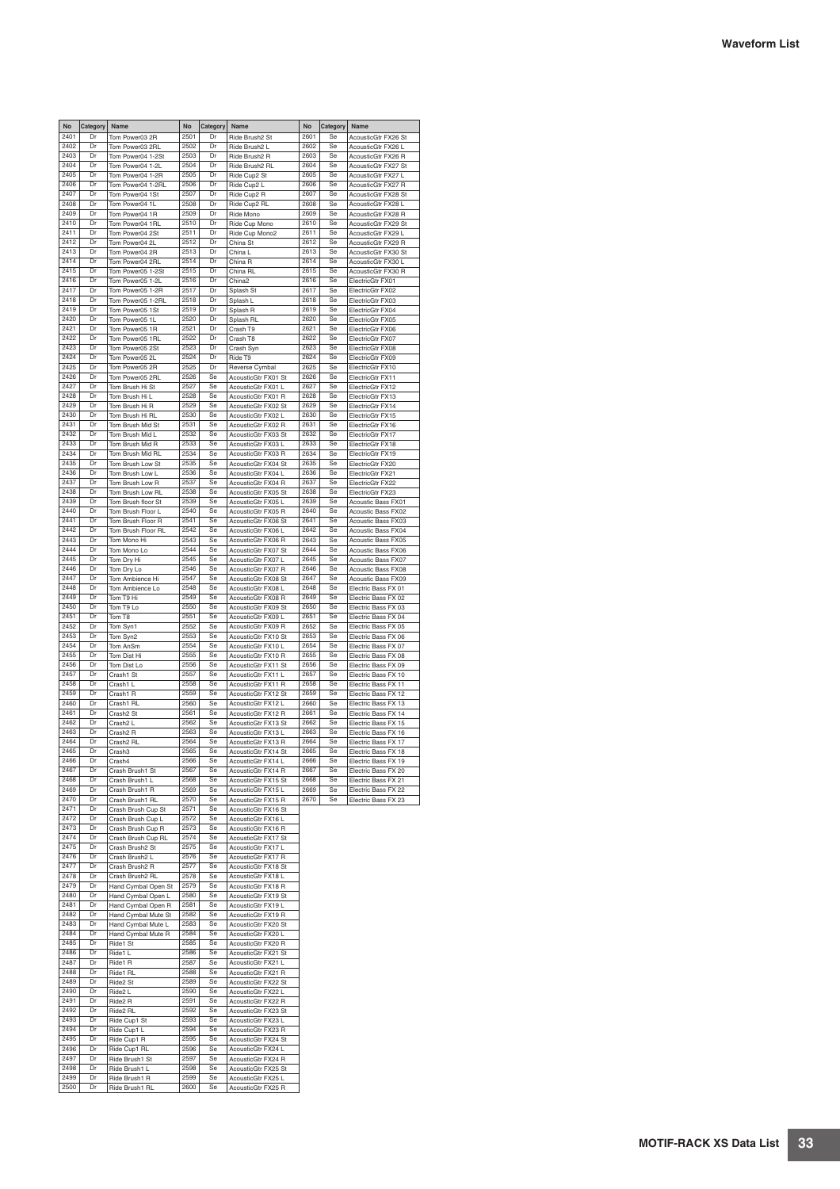| <b>No</b>    | Category | Name                                | <b>No</b>    | Category   | Name                                      | <b>No</b>    | Category             | Name                                            |
|--------------|----------|-------------------------------------|--------------|------------|-------------------------------------------|--------------|----------------------|-------------------------------------------------|
| 2401         | Dr       | Tom Power03 2R                      | 2501         | Dr         | Ride Brush2 St                            | 2601         | Se                   | AcousticGtr FX26 St                             |
| 2402         | Dr       | Tom Power03 2RL                     | 2502         | Dr         | Ride Brush2 L                             | 2602         | Se                   | AcousticGtr FX26 L                              |
| 2403         | Dr       | Tom Power04 1-2St                   | 2503         | Dr         | Ride Brush2 R                             | 2603         | Se                   | <b>AcousticGtr FX26 R</b>                       |
| 2404         | Dr       | Tom Power04 1-2L                    | 2504         | Dr         | Ride Brush2 RL                            | 2604         | Se                   | AcousticGtr FX27 St                             |
| 2405         | Dr       | Tom Power04 1-2R                    | 2505         | Dr         | Ride Cup2 St                              | 2605         | Se                   | AcousticGtr FX27 L                              |
| 2406         | Dr       | Tom Power04 1-2RL                   | 2506         | Dr         | Ride Cup2 L                               | 2606         | Se                   | AcousticGtr FX27 R                              |
| 2407         | Dr       | Tom Power04 1St                     | 2507         | Dr         | Ride Cup2 R                               | 2607         | <b>Se</b>            | AcousticGtr FX28 St                             |
| 2408         | Dr       | Tom Power04 1L                      | 2508         | Dr         | Ride Cup2 RL                              | 2608         | Se                   | AcousticGtr FX28 L                              |
| 2409         | Dr       | Tom Power04 1R                      | 2509         | Dr         | Ride Mono                                 | 2609         | Se                   | AcousticGtr FX28 R                              |
| 2410         | Dr       | Tom Power04 1RL                     | 2510         | Dr         | Ride Cup Mono                             | 2610         | Se                   | AcousticGtr FX29 St                             |
| 2411         | Dr       | Tom Power04 2St                     | 2511         | Dr         | Ride Cup Mono2                            | 2611         | Se                   | AcousticGtr FX29 L                              |
| 2412         | Dr       | Tom Power04 2L                      | 2512         | Dr         | China St                                  | 2612         | Se                   | AcousticGtr FX29 R                              |
| 2413         | Dr       | Tom Power04 2R                      | 2513         | Dr         | China L                                   | 2613         | Se                   | AcousticGtr FX30 St                             |
| 2414         | Dr       | Tom Power04 2RL                     | 2514         | Dr         | China R                                   | 2614         | Se                   | AcousticGtr FX30 L                              |
| 2415         | Dr       | Tom Power05 1-2St                   | 2515         | Dr         | China RL                                  | 2615         | <b>Se</b>            | AcousticGtr FX30 R                              |
| 2416         | Dr       | Tom Power05 1-2L                    | 2516         | Dr         | China2                                    | 2616         | Se                   | ElectricGtr FX01                                |
| 2417         | Dr       | Tom Power05 1-2R                    | 2517         | Dr         | Splash St                                 | 2617         | Se                   | ElectricGtr FX02                                |
| 2418         | Dr       | Tom Power05 1-2RL                   | 2518         | Dr         | Splash L                                  | 2618         | Se                   | ElectricGtr FX03                                |
| 2419         | Dr       | Tom Power05 1St                     | 2519         | Dr         | Splash R                                  | 2619         | Se                   | ElectricGtr FX04                                |
| 2420         | Dr       | Tom Power05 1L                      | 2520         | Dr         | Splash RL                                 | 2620         | Se                   | ElectricGtr FX05                                |
| 2421         | Dr       | Tom Power05 1R                      | 2521         | Dr         | Crash T9                                  | 2621         | Se                   | ElectricGtr FX06                                |
| 2422         | Dr       | Tom Power05 1RL                     | 2522         | Dr         | Crash T8                                  | 2622         | Se                   | ElectricGtr FX07                                |
| 2423         | Dr       | Tom Power05 2St                     | 2523         | Dr         | Crash Syn                                 | 2623         | Se                   | ElectricGtr FX08                                |
| 2424         | Dr       |                                     | 2524         | Dr         |                                           | 2624         | <b>Se</b>            |                                                 |
| 2425         | Dr       | Tom Power05 2L<br>Tom Power05 2R    | 2525         | Dr         | Ride T9                                   | 2625         | Se                   | ElectricGtr FX09<br>ElectricGtr FX10            |
| 2426         | Dr       |                                     | 2526         | Se         | Reverse Cymbal                            | 2626         | Se                   |                                                 |
| 2427         | Dr       | Tom Power05 2RL<br>Tom Brush Hi St  | 2527         | Se         | AcousticGtr FX01 St<br>AcousticGtr FX01 L | 2627         | Se                   | ElectricGtr FX11<br>ElectricGtr FX12            |
| 2428         | Dr       |                                     | 2528         | Se         |                                           | 2628         | Se                   |                                                 |
| 2429         | Dr       | Tom Brush Hi L                      | 2529         | Se         | AcousticGtr FX01 R                        | 2629         | Se                   | ElectricGtr FX13                                |
| 2430         | Dr       | Tom Brush Hi R                      | 2530         | Se         | AcousticGtr FX02 St                       | 2630         | Se                   | ElectricGtr FX14                                |
| 2431         | Dr       | Tom Brush Hi RL<br>Tom Brush Mid St | 2531         | Se         | AcousticGtr FX02 L                        | 2631         | Se                   | ElectricGtr FX15                                |
| 2432         | Dr       |                                     | 2532         | Se         | AcousticGtr FX02 R                        | 2632         | Se                   | ElectricGtr FX16                                |
| 2433         | Dr       | Tom Brush Mid L                     | 2533         | Se         | AcousticGtr FX03 St                       | 2633         | Se                   | ElectricGtr FX17                                |
| 2434         | Dr       | Tom Brush Mid R                     |              | $\bar{S}e$ | AcousticGtr FX03 L                        |              | Se                   | ElectricGtr FX18                                |
| 2435         | Dr       | Tom Brush Mid RL                    | 2534<br>2535 | Se         | AcousticGtr FX03 R                        | 2634<br>2635 | Se                   | ElectricGtr FX19                                |
| 2436         | Dr       | Tom Brush Low St                    |              | Se         | AcousticGtr FX04 St                       |              |                      | ElectricGtr FX20                                |
| 2437         | Dr       | Tom Brush Low L                     | 2536<br>2537 | Se         | AcousticGtr FX04 L                        | 2636<br>2637 | Se<br>Se             | ElectricGtr FX21                                |
| 2438         | Dr       | Tom Brush Low R                     | 2538         | Se         | AcousticGtr FX04 R                        | 2638         | Se                   | ElectricGtr FX22<br>ElectricGtr FX23            |
|              |          | Tom Brush Low RL                    |              |            | AcousticGtr FX05 St                       |              |                      |                                                 |
| 2439<br>2440 | Dr<br>Dr | Tom Brush floor St                  | 2539<br>2540 | Se<br>Se   | AcousticGtr FX05 L                        | 2639<br>2640 | Se<br>Se             | Acoustic Bass FX01<br><b>Acoustic Bass FX02</b> |
| 2441         | Dr       | Tom Brush Floor L                   | 2541         | Se         | AcousticGtr FX05 R                        | 2641         | Se                   |                                                 |
|              |          | Tom Brush Floor R                   |              |            | AcousticGtr FX06 St                       |              |                      | Acoustic Bass FX03                              |
| 2442         | Dr<br>Dr | Tom Brush Floor RL                  | 2542         | Se         | AcousticGtr FX06 L                        | 2642         | Se                   | Acoustic Bass FX04                              |
| 2443         |          | Tom Mono Hi                         | 2543         | Se         | AcousticGtr FX06 R                        | 2643         | Se                   | Acoustic Bass FX05                              |
| 2444         | Dr       | Tom Mono Lo                         | 2544         | Se         | AcousticGtr FX07 St                       | 2644         | Se                   | Acoustic Bass FX06                              |
| 2445         | Dr       | Tom Dry Hi                          | 2545         | Se         | AcousticGtr FX07 L                        | 2645         | Se                   | Acoustic Bass FX07                              |
| 2446         | Dr       | Tom Dry Lo                          | 2546         | Se         | AcousticGtr FX07 R                        | 2646         | Se                   | Acoustic Bass FX08                              |
| 2447         | Dr       | Tom Ambience Hi                     | 2547         | $\bar{S}e$ | AcousticGtr FX08 St                       | 2647         | Se                   | Acoustic Bass FX09                              |
| 2448         | Dr       | Tom Ambience Lo                     | 2548         | Se         | AcousticGtr FX08 L                        | 2648         | Se                   | Electric Bass FX 01                             |
| 2449         | Dr       | Tom T9 Hi                           | 2549         | $\bar{S}e$ | AcousticGtr FX08 R                        | 2649         | $\bar{\mathbf{s}}$ e | Electric Bass FX 02                             |
| 2450         | Dr       | Tom T9 Lo                           | 2550         | Se         | AcousticGtr FX09 St                       | 2650         | Se                   | Electric Bass FX 03                             |
| 2451         | Dr       | Tom T8                              | 2551         | Se         | AcousticGtr FX09 L                        | 2651         | Se                   | Electric Bass FX 04                             |
| 2452         | Dr       | Tom Syn1                            | 2552         | Se         | AcousticGtr FX09 R                        | 2652         | <b>Se</b>            | Electric Bass FX 05                             |
| 2453         | Dr       | Tom Syn2                            | 2553         | Se         | AcousticGtr FX10 St                       | 2653         | Se                   | Electric Bass FX 06                             |
| 2454         | Dr       | Tom AnSm                            | 2554         | Se         | AcousticGtr FX10 L                        | 2654         | Se                   | Electric Bass FX 07                             |
| 2455         | Dr       | Tom Dist Hi                         | 2555         | Se         | AcousticGtr FX10 R                        | 2655         | Se                   | Electric Bass FX 08                             |
| 2456         | Dr       | Tom Dist Lo                         | 2556         | Se         | AcousticGtr FX11 St                       | 2656         | Se                   | Electric Bass FX 09                             |
| 2457         | Dr       | Crash1 St                           | 2557         | Se         | AcousticGtr FX11 L                        | 2657         | Se                   | Electric Bass FX 10                             |
| 2458         | Dr       | Crash1 L                            | 2558         | Se         | AcousticGtr FX11 R                        | 2658         | Se                   | Electric Bass FX 11                             |
| 2459         | Dr       | Crash1 R                            | 2559         | Se         | AcousticGtr FX12 St                       | 2659         | Se                   | Electric Bass FX 12                             |
| 2460         | Dr       | Crash1 RL                           | 2560         | Se         | AcousticGtr FX12 L                        | 2660         | Se                   | Electric Bass FX 13                             |
| 2461         | Dr       | Crash <sub>2</sub> St               | 2561         | Se         | AcousticGtr FX12 R                        | 2661         | Se                   | Electric Bass FX 14                             |
| 2462         | Dr       | Crash <sub>2</sub> L                | 2562         | Se         | AcousticGtr FX13 St                       | 2662         | Se                   | Electric Bass FX 15                             |
| 2463         | Dr       | Crash <sub>2</sub> R                | 2563         | Se         | AcousticGtr FX13 L                        | 2663         | Se                   | Electric Bass FX 16                             |
| 2464         | Dr       | Crash <sub>2</sub> RL               | 2564         | Se         | AcousticGtr FX13 R                        | 2664         | Se                   | Electric Bass FX 17                             |
| 2465         | Dr       |                                     | 2565         | Se         | ousticGtr FX14                            | 2665         | <b>Se</b>            |                                                 |
| 2466         | Dr       | Crash4                              | 2566         | Se         | AcousticGtr FX14 L                        | 2666         | Se                   | Electric Bass FX 19                             |
| 2467         | Dr       | Crash Brush1 St                     | 2567         | Se         | AcousticGtr FX14 R                        | 2667         | Se                   | Electric Bass FX 20                             |
| 2468         | Dr       | Crash Brush1 L                      | 2568         | Se         | AcousticGtr FX15 St                       | 2668         | Se                   | Electric Bass FX 21                             |
| 2469         | Dr       | Crash Brush1 R                      | 2569         | Se         | AcousticGtr FX15 L                        | 2669         | Se                   | Electric Bass FX 22                             |
| 2470         | Dr       | Crash Brush1 RL                     | 2570         | Se         | AcousticGtr FX15 R                        | 2670         | Se                   | Electric Bass FX 23                             |
| 2471         | Dr       | Crash Brush Cup St                  | 2571         | Se         | AcousticGtr FX16 St                       |              |                      |                                                 |
| 2472         | Dr       | Crash Brush Cup L                   | 2572         | Se         | AcousticGtr FX16 L                        |              |                      |                                                 |
| 2473         | Dr       | Crash Brush Cup R                   | 2573         | Se         | AcousticGtr FX16 R                        |              |                      |                                                 |
| 2474         | Dr       | Crash Brush Cup RL                  | 2574         | Se         | AcousticGtr FX17 St                       |              |                      |                                                 |
| 2475         | Dr       | Crash Brush2 St                     | 2575         | Se         | AcousticGtr FX17 L                        |              |                      |                                                 |
| 2476         | Dr       | Crash Brush2 L                      | 2576         | Se         | AcousticGtr FX17 R                        |              |                      |                                                 |
| 2477         | Dr       | Crash Brush2 R                      | 2577         | Se         | AcousticGtr FX18 St                       |              |                      |                                                 |
| 2478         | Dr       | Crash Brush2 RL                     | 2578         | Se         | AcousticGtr FX18 L                        |              |                      |                                                 |
| 2479         | Dr       | Hand Cymbal Open St                 | 2579         | Se         | AcousticGtr FX18 R                        |              |                      |                                                 |
| 2480         | Dr       | Hand Cymbal Open L                  | 2580         | Se         | AcousticGtr FX19 St                       |              |                      |                                                 |
| 2481         | Dr       | Hand Cymbal Open R                  | 2581         | Se         | AcousticGtr FX19 L                        |              |                      |                                                 |
| 2482         | Dr       | Hand Cymbal Mute St                 | 2582         | Se         | AcousticGtr FX19 R                        |              |                      |                                                 |
| 2483         | Dr       | Hand Cymbal Mute L                  | 2583         | Se         | AcousticGtr FX20 St                       |              |                      |                                                 |
| 2484         | Dr       | Hand Cymbal Mute R                  | 2584         | Se         | AcousticGtr FX20 L                        |              |                      |                                                 |
| 2485         | Dr       | Ride1 St                            | 2585         | Se         | AcousticGtr FX20 R                        |              |                      |                                                 |
| 2486         | Dr       | Ride1 L                             | 2586         | Se         | AcousticGtr FX21 St                       |              |                      |                                                 |
| 2487         | Dr       | Ride1 <sub>R</sub>                  | 2587         | Se         | AcousticGtr FX21 L                        |              |                      |                                                 |
| 2488         | Dr       | Ride1 <sub>RL</sub>                 | 2588         | Se         | AcousticGtr FX21 R                        |              |                      |                                                 |
| 2489         | Dr       | Ride2 St                            | 2589         | Se         | AcousticGtr FX22 St                       |              |                      |                                                 |
| 2490         | Dr       | Ride2 L                             | 2590         | Se         | AcousticGtr FX22 L                        |              |                      |                                                 |
| 2491         | Dr       | Ride2 <sub>R</sub>                  | 2591         | Se         | AcousticGtr FX22 R                        |              |                      |                                                 |
| 2492         | Dr       | Ride2 RL                            | 2592         | Se         | AcousticGtr FX23 St                       |              |                      |                                                 |
| 2493         | Dr       | Ride Cup1 St                        | 2593         | Se         | AcousticGtr FX23 L                        |              |                      |                                                 |
| 2494         | Dr       | Ride Cup1 L                         | 2594         | Se         | AcousticGtr FX23 R                        |              |                      |                                                 |
| 2495         | Dr       | Ride Cup1 R                         | 2595         | Se         | AcousticGtr FX24 St                       |              |                      |                                                 |
| 2496         | Dr       | Ride Cup1 RL                        | 2596         | Se         | AcousticGtr FX24 L                        |              |                      |                                                 |
| 2497         | Dr       | Ride Brush1 St                      | 2597         | Se         | AcousticGtr FX24 R                        |              |                      |                                                 |
| 2498         | Dr       | Ride Brush1 L                       | 2598         | Se         | AcousticGtr FX25 St                       |              |                      |                                                 |
| 2499         | Dr       | Ride Brush1 R                       | 2599         | Se         | AcousticGtr FX25 L                        |              |                      |                                                 |
| 2500         | Dr       | Ride Brush1 RL                      | 2600         | Se         | AcousticGtr FX25 R                        |              |                      |                                                 |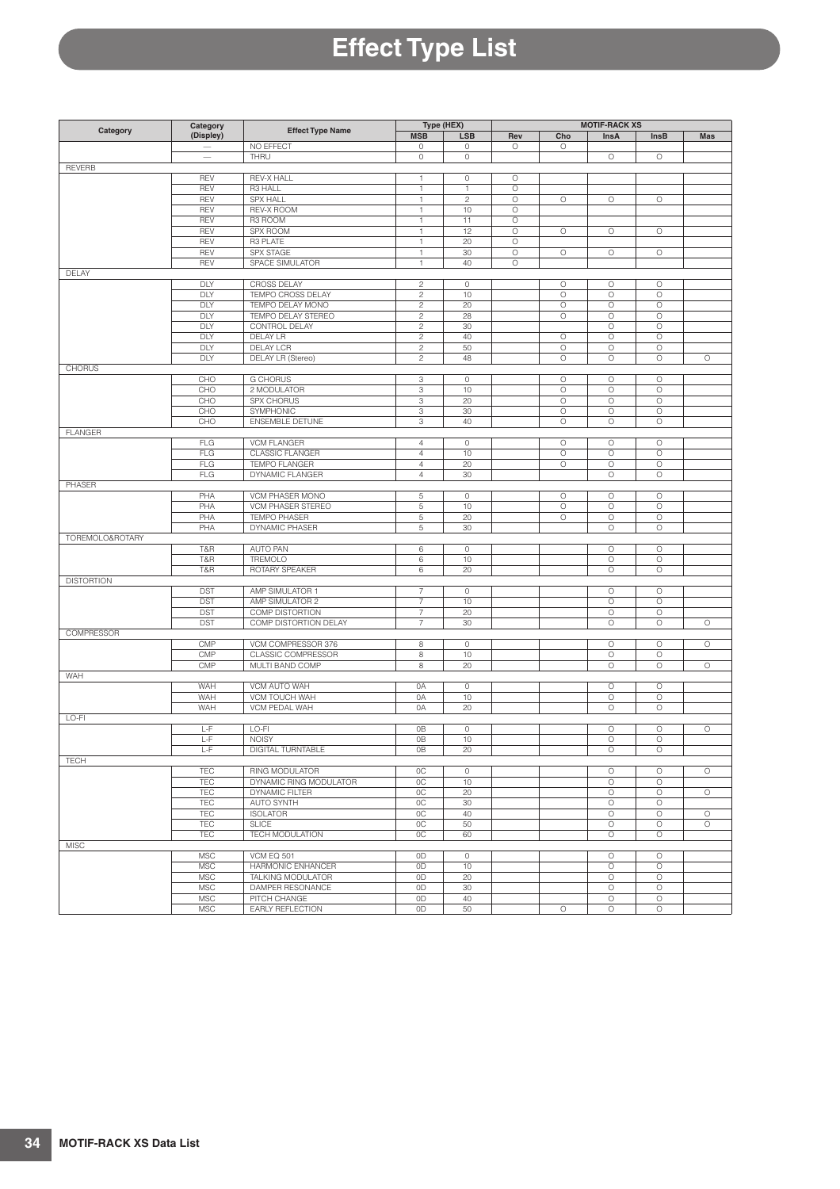# **Effect Type List**

|                   | Category                 |                          |                          | Type (HEX)   |         |         | <b>MOTIF-RACK XS</b> |             |         |
|-------------------|--------------------------|--------------------------|--------------------------|--------------|---------|---------|----------------------|-------------|---------|
| Category          | (Displey)                | <b>Effect Type Name</b>  | <b>MSB</b>               | <b>LSB</b>   | Rev     | Cho     | InsA                 | <b>InsB</b> | Mas     |
|                   |                          | NO EFFECT                | 0                        | 0            | O       | O       |                      |             |         |
|                   | $\overline{\phantom{0}}$ | THRU                     | 0                        | $\circ$      |         |         | 0                    | О           |         |
| <b>REVERB</b>     |                          |                          |                          |              |         |         |                      |             |         |
|                   | REV                      | <b>REV-X HALL</b>        | $\mathbf{1}$             | $\circ$      | O       |         |                      |             |         |
|                   | REV                      | R3 HALL                  | $\mathbf{1}$             | $\mathbf{1}$ | $\circ$ |         |                      |             |         |
|                   | REV                      | <b>SPX HALL</b>          | $\mathbf{1}$             | $\sqrt{2}$   | $\circ$ | $\circ$ | 0                    | 0           |         |
|                   | REV                      | REV-X ROOM               | $\mathbf{1}$             | 10           | $\circ$ |         |                      |             |         |
|                   | <b>REV</b>               | R3 ROOM                  | 1                        | 11           | O       |         |                      |             |         |
|                   | REV                      | SPX ROOM                 | 1                        | 12           | $\circ$ | О       | $\circ$              | О           |         |
|                   | <b>REV</b>               | R3 PLATE                 | 1                        | 20           | $\circ$ |         |                      |             |         |
|                   | REV                      | SPX STAGE                | 1                        | 30           | $\circ$ | $\circ$ | $\circ$              | О           |         |
|                   | <b>REV</b>               | SPACE SIMULATOR          | 1                        | 40           | O       |         |                      |             |         |
| DELAY             |                          |                          |                          |              |         |         |                      |             |         |
|                   | DLY                      | <b>CROSS DELAY</b>       | $\overline{\mathbf{c}}$  | $\mathbb O$  |         | О       | $\circ$              | О           |         |
|                   | DLY                      | TEMPO CROSS DELAY        | $\overline{c}$           | 10           |         | $\circ$ | $\circ$              | О           |         |
|                   | DLY                      | TEMPO DELAY MONO         | $\overline{\mathbf{c}}$  | 20           |         | $\circ$ | $\circ$              | O           |         |
|                   | DLY                      | TEMPO DELAY STEREO       | $\overline{c}$           | 28           |         | O       | $\circ$              | О           |         |
|                   | DLY                      | CONTROL DELAY            | $\overline{\mathbf{c}}$  | 30           |         |         | $\circ$              | O           |         |
|                   | DLY                      | <b>DELAY LR</b>          | $\sqrt{2}$               | 40           |         | О       | $\circ$              | О           |         |
|                   | DLY                      | <b>DELAY LCR</b>         | $\overline{\mathbf{c}}$  | 50           |         | O       | $\circ$              | O           |         |
|                   | DLY                      | DELAY LR (Stereo)        | $\overline{c}$           | 48           |         | $\circ$ | $\circ$              | $\circ$     | $\circ$ |
| <b>CHORUS</b>     |                          |                          |                          |              |         |         |                      |             |         |
|                   | CHO                      | <b>G CHORUS</b>          | 3                        | $\circ$      |         | О       | $\circ$              | О           |         |
|                   | CHO                      | 2 MODULATOR              | 3                        | 10           |         | $\circ$ | $\circ$              | О           |         |
|                   | CHO                      | <b>SPX CHORUS</b>        | 3                        | 20           |         | $\circ$ | $\circ$              | $\circ$     |         |
|                   | CHO                      | SYMPHONIC                | 3                        | 30           |         | O       | $\circ$              | O           |         |
|                   | CHO                      | <b>ENSEMBLE DETUNE</b>   | 3                        | 40           |         | $\circ$ | $\circ$              | О           |         |
| <b>FLANGER</b>    |                          |                          |                          |              |         |         |                      |             |         |
|                   | <b>FLG</b>               | <b>VCM FLANGER</b>       | $\overline{4}$           | $\circ$      |         | О       | $\circ$              | О           |         |
|                   | FLG                      | CLASSIC FLANGER          | $\overline{4}$           | 10           |         | O       | $\circ$              | О           |         |
|                   | FLG                      | <b>TEMPO FLANGER</b>     | $\overline{4}$           | 20           |         | О       | $\circ$              | О           |         |
|                   | FLG                      | DYNAMIC FLANGER          | $\overline{4}$           | 30           |         |         | $\circ$              | О           |         |
| PHASER            |                          |                          |                          |              |         |         |                      |             |         |
|                   | PHA                      | <b>VCM PHASER MONO</b>   |                          |              |         |         |                      |             |         |
|                   | PHA                      |                          | 5                        | $\mathbb O$  |         | О       | $\circ$              | О           |         |
|                   | PHA                      | VCM PHASER STEREO        | 5                        | 10           |         | O       | $\circ$              | О           |         |
|                   |                          | <b>TEMPO PHASER</b>      | 5                        | 20           |         | O       | $\circ$              | О           |         |
|                   | PHA                      | DYNAMIC PHASER           | 5                        | 30           |         |         | $\circ$              | $\circ$     |         |
| TOREMOLO&ROTARY   |                          |                          |                          |              |         |         |                      |             |         |
|                   | T&R                      | <b>AUTO PAN</b>          | 6                        | $\circ$      |         |         | $\circ$              | О           |         |
|                   | T&R                      | TREMOLO                  | 6                        | 10           |         |         | $\circ$              | О           |         |
|                   | T&R                      | ROTARY SPEAKER           | 6                        | 20           |         |         | $\circ$              | $\circ$     |         |
| <b>DISTORTION</b> |                          |                          |                          |              |         |         |                      |             |         |
|                   | <b>DST</b>               | AMP SIMULATOR 1          | $\overline{7}$           | $\circ$      |         |         | $\circ$              | О           |         |
|                   | <b>DST</b>               | AMP SIMULATOR 2          | $\overline{7}$           | 10           |         |         | $\circ$              | О           |         |
|                   | <b>DST</b>               | COMP DISTORTION          | $\overline{7}$           | 20           |         |         | $\circ$              | О           |         |
|                   | <b>DST</b>               | COMP DISTORTION DELAY    | $\overline{\mathcal{I}}$ | 30           |         |         | $\circ$              | O           | O       |
| COMPRESSOR        |                          |                          |                          |              |         |         |                      |             |         |
|                   | CMP                      | VCM COMPRESSOR 376       | 8                        | $\circ$      |         |         | $\circ$              | О           | $\circ$ |
|                   | CMP                      | CLASSIC COMPRESSOR       | 8                        | 10           |         |         | $\circ$              | О           |         |
|                   | CMP                      | MULTI BAND COMP          | 8                        | 20           |         |         | $\circ$              | О           | O       |
| WAH               |                          |                          |                          |              |         |         |                      |             |         |
|                   | WAH                      | VCM AUTO WAH             | 0A                       | $\circ$      |         |         | $\circ$              | О           |         |
|                   | WAH                      | VCM TOUCH WAH            | 0A                       | 10           |         |         | $\circ$              | О           |         |
|                   | WAH                      | VCM PEDAL WAH            | 0A                       | 20           |         |         | $\circ$              | О           |         |
| LO-FI             |                          |                          |                          |              |         |         |                      |             |         |
|                   | L-F                      | LO-FI                    | 0B                       | $\circ$      |         |         | $\circ$              | O           | $\circ$ |
|                   | L-F                      | <b>NOISY</b>             | 0B                       | 10           |         |         | $\circ$              | О           |         |
|                   | L-F                      | <b>DIGITAL TURNTABLE</b> | 0B                       | 20           |         |         | O                    | $\circ$     |         |
| <b>TECH</b>       |                          |                          |                          |              |         |         |                      |             |         |
|                   | TEC                      | RING MODULATOR           | 0C                       | $\circ$      |         |         | $\circ$              | О           | $\circ$ |
|                   | TEC                      | DYNAMIC RING MODULATOR   | 0C                       | 10           |         |         | $\circ$              | О           |         |
|                   | TEC                      | <b>DYNAMIC FILTER</b>    | 0C                       | 20           |         |         | $\circ$              | O           | $\circ$ |
|                   | TEC                      | AUTO SYNTH               | 0C                       | 30           |         |         | $\circ$              | $\circ$     |         |
|                   | TEC                      | <b>ISOLATOR</b>          | 0C                       | 40           |         |         | $\circ$              | О           | $\circ$ |
|                   | TEC                      | <b>SLICE</b>             | 0C                       | 50           |         |         | $\circ$              | О           | $\circ$ |
|                   | TEC                      | TECH MODULATION          | 0C                       | 60           |         |         | 0                    | О           |         |
| <b>MISC</b>       |                          |                          |                          |              |         |         |                      |             |         |
|                   | <b>MSC</b>               | <b>VCM EQ 501</b>        | 0D                       | $\circ$      |         |         | $\circ$              | О           |         |
|                   | <b>MSC</b>               | HARMONIC ENHANCER        | 0D                       | 10           |         |         | $\circ$              | $\circ$     |         |
|                   | <b>MSC</b>               | TALKING MODULATOR        | 0D                       | 20           |         |         | $\circ$              | O           |         |
|                   | <b>MSC</b>               | DAMPER RESONANCE         | 0D                       | 30           |         |         | $\circ$              | О           |         |
|                   | <b>MSC</b>               | PITCH CHANGE             | 0D                       | 40           |         |         | $\circ$              | О           |         |
|                   | <b>MSC</b>               | EARLY REFLECTION         | 0D                       | 50           |         | О       | $\circ$              | $\circ$     |         |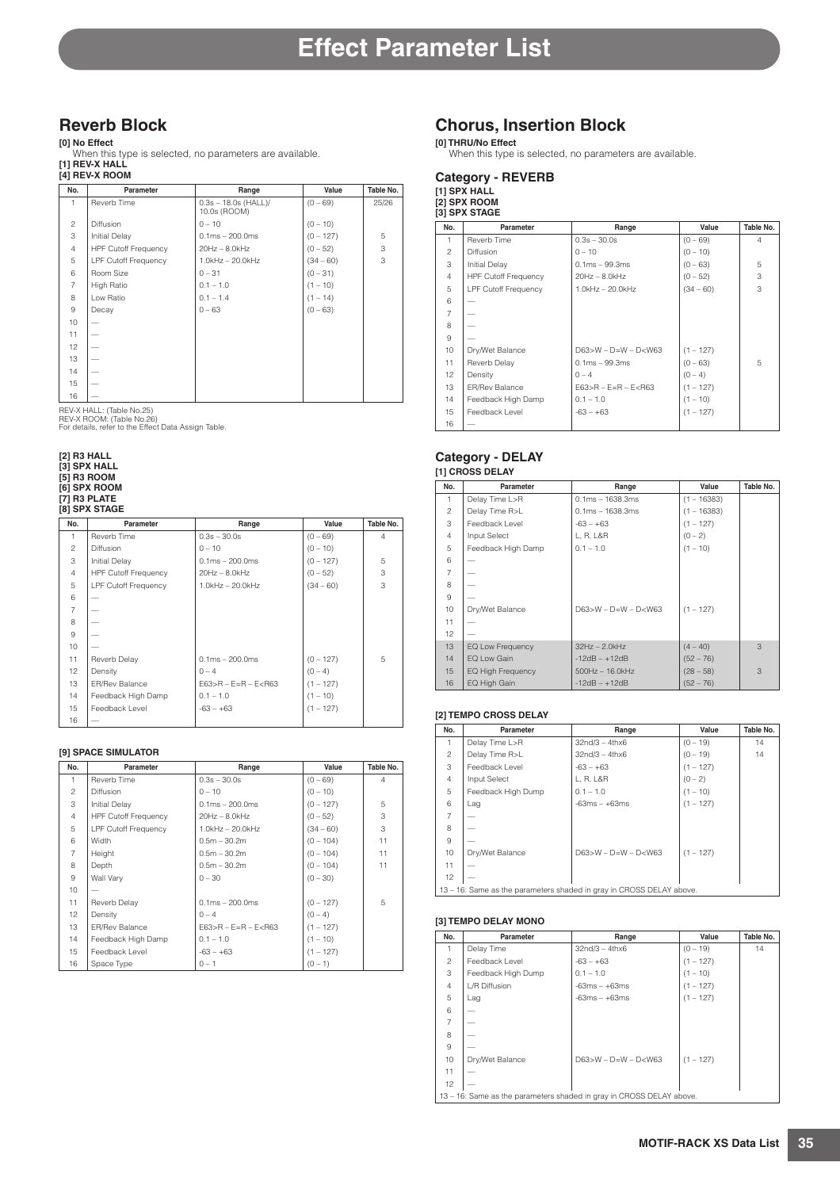# **Reverb Block**

### **[0] No Effect**

When this type is selected, no parameters are available. **[1] REV-X HALL [4] REV-X ROOM**

| No.            | Parameter                   | Range                                  | Value       | Table No. |
|----------------|-----------------------------|----------------------------------------|-------------|-----------|
| 1              | Reverb Time                 | $0.3s - 18.0s$ (HALL)/<br>10.0s (ROOM) | $(0 - 69)$  | 25/26     |
| $\overline{c}$ | Diffusion                   | $0 - 10$                               | $(0 - 10)$  |           |
| 3              | <b>Initial Delay</b>        | $0.1ms - 200.0ms$                      | $(0 - 127)$ | 5         |
| $\overline{4}$ | <b>HPF Cutoff Frequency</b> | $20Hz - 8.0kHz$                        | $(0 - 52)$  | 3         |
| 5              | LPF Cutoff Frequency        | $1.0$ kHz $-$ 20.0kHz                  | $(34 - 60)$ | 3         |
| 6              | Room Size                   | $0 - 31$                               | $(0 - 31)$  |           |
| $\overline{7}$ | High Ratio                  | $0.1 - 1.0$                            | $(1 - 10)$  |           |
| 8              | Low Ratio                   | $0.1 - 1.4$                            | $(1 - 14)$  |           |
| 9              | Decay                       | $0 - 63$                               | $(0 - 63)$  |           |
| 10             |                             |                                        |             |           |
| 11             |                             |                                        |             |           |
| 12             |                             |                                        |             |           |
| 13             |                             |                                        |             |           |
| 14             |                             |                                        |             |           |
| 15             |                             |                                        |             |           |
| 16             |                             |                                        |             |           |

 $-16$   $-$ 

REV-X HALL: (Table No.25) REV-X ROOM: (Table No.26) For details, refer to the Effect Data Assign Table.

| [2] R3 HALL          |
|----------------------|
| [3] SPX HALL         |
| [5] R3 ROOM          |
| [6] SPX ROOM         |
| [7] R3 PLATE         |
| <b>ISI CDY CTACE</b> |

# **[8] SPX STAGE**

| No.            | Parameter                   | Range                       | Value       | Table No.      |
|----------------|-----------------------------|-----------------------------|-------------|----------------|
| 1              | Reverb Time                 | $0.3s - 30.0s$              | $(0 - 69)$  | $\overline{4}$ |
| $\overline{c}$ | <b>Diffusion</b>            | $0 - 10$                    | $(0 - 10)$  |                |
| 3              | <b>Initial Delay</b>        | $0.1ms - 200.0ms$           | $(0 - 127)$ | 5              |
| $\overline{4}$ | <b>HPF Cutoff Frequency</b> | 20Hz - 8.0kHz               | $(0 - 52)$  | 3              |
| 5              | <b>LPF Cutoff Frequency</b> | $1.0$ kHz $-$ 20.0kHz       | $(34 - 60)$ | 3              |
| 6              |                             |                             |             |                |
| $\overline{7}$ |                             |                             |             |                |
| 8              |                             |                             |             |                |
| 9              |                             |                             |             |                |
| 10             |                             |                             |             |                |
| 11             | Reverb Delay                | $0.1ms - 200.0ms$           | $(0 - 127)$ | 5              |
| 12             | Density                     | $0 - 4$                     | $(0 - 4)$   |                |
| 13             | <b>ER/Rev Balance</b>       | $E63 > R - E = R - E < R63$ | $(1 - 127)$ |                |
| 14             | Feedback High Damp          | $0.1 - 1.0$                 | $(1 - 10)$  |                |
| 15             | Feedback Level              | $-63 - +63$                 | $(1 - 127)$ |                |
| 16             |                             |                             |             |                |

### **[9] SPACE SIMULATOR**

| No.               | Parameter                   | Range                       | Value       | Table No.      |
|-------------------|-----------------------------|-----------------------------|-------------|----------------|
| 1                 | Reverb Time                 | $0.3s - 30.0s$              | $(0 - 69)$  | $\overline{4}$ |
| $\overline{c}$    | <b>Diffusion</b>            | $0 - 10$                    | $(0 - 10)$  |                |
| 3                 | <b>Initial Delay</b>        | $0.1ms - 200.0ms$           | $(0 - 127)$ | 5              |
| $\overline{4}$    | <b>HPF Cutoff Frequency</b> | 20Hz - 8.0kHz               | $(0 - 52)$  | 3              |
| 5                 | <b>LPF Cutoff Frequency</b> | $1.0$ kHz $-$ 20.0kHz       | $(34 - 60)$ | 3              |
| 6                 | Width                       | $0.5m - 30.2m$              | $(0 - 104)$ | 11             |
| $\overline{7}$    | Height                      | $0.5m - 30.2m$              | $(0 - 104)$ | 11             |
| 8                 | Depth                       | $0.5m - 30.2m$              | $(0 - 104)$ | 11             |
| 9                 | Wall Vary                   | $0 - 30$                    | $(0 - 30)$  |                |
| 10                |                             |                             |             |                |
| 11                | Reverb Delay                | $0.1ms - 200.0ms$           | $(0 - 127)$ | 5              |
| $12 \overline{ }$ | Density                     | $0 - 4$                     | $(0 - 4)$   |                |
| 13                | <b>ER/Rev Balance</b>       | $E63 > R - E = R - E < R63$ | $(1 - 127)$ |                |
| 14                | Feedback High Damp          | $0.1 - 1.0$                 | $(1 - 10)$  |                |
| 15                | Feedback Level              | $-63 - +63$                 | $(1 - 127)$ |                |
| 16                | Space Type                  | $0 - 1$                     | $(0 - 1)$   |                |

# **Chorus, Insertion Block**

**[0] THRU/No Effect** When this type is selected, no parameters are available.

| <b>Category - REVERB</b> |  |
|--------------------------|--|
| [1] SPX HALL             |  |
| [2] SPX ROOM             |  |
| [3] SPX STAGE            |  |

| No.            | Parameter                   | Range                       | Value       | Table No.      |
|----------------|-----------------------------|-----------------------------|-------------|----------------|
| 1              | Reverb Time                 | $0.3s - 30.0s$              | $(0 - 69)$  | $\overline{4}$ |
| $\overline{c}$ | <b>Diffusion</b>            | $0 - 10$                    | $(0 - 10)$  |                |
| 3              | Initial Delay               | $0.1ms - 99.3ms$            | $(0 - 63)$  | 5              |
| $\overline{4}$ | <b>HPF Cutoff Frequency</b> | $20Hz - 8.0kHz$             | $(0 - 52)$  | 3              |
| 5              | <b>LPF Cutoff Frequency</b> | $1.0$ kHz $-$ 20.0kHz       | $(34 - 60)$ | 3              |
| 6              |                             |                             |             |                |
| $\overline{7}$ |                             |                             |             |                |
| 8              |                             |                             |             |                |
| 9              |                             |                             |             |                |
| 10             | Dry/Wet Balance             | $D63>W - D=W - D< W63$      | $(1 - 127)$ |                |
| 11             | Reverb Delay                | $0.1ms - 99.3ms$            | $(0 - 63)$  | 5              |
| 12             | Density                     | $0 - 4$                     | $(0 - 4)$   |                |
| 13             | <b>ER/Rev Balance</b>       | $E63 > R - E = R - E < R63$ | $(1 - 127)$ |                |
| 14             | Feedback High Damp          | $0.1 - 1.0$                 | $(1 - 10)$  |                |
| 15             | Feedback Level              | $-63 - +63$                 | $(1 - 127)$ |                |
| 16             |                             |                             |             |                |

### **Category - DELAY [1] CROSS DELAY**

| No.            | Parameter               | Range                  | Value         | Table No. |
|----------------|-------------------------|------------------------|---------------|-----------|
|                | Delay Time L>R          | $0.1ms - 1638.3ms$     | $(1 - 16383)$ |           |
| $\overline{c}$ | Delay Time R>L          | $0.1ms - 1638.3ms$     | $(1 - 16383)$ |           |
| 3              | Feedback Level          | $-63 - +63$            | $(1 - 127)$   |           |
| $\overline{4}$ | Input Select            | L, R, L&R              | $(0 - 2)$     |           |
| 5              | Feedback High Damp      | $0.1 - 1.0$            | $(1 - 10)$    |           |
| 6              |                         |                        |               |           |
| $\overline{7}$ |                         |                        |               |           |
| 8              |                         |                        |               |           |
| 9              |                         |                        |               |           |
| 10             | Dry/Wet Balance         | $D63>W - D=W - D< W63$ | $(1 - 127)$   |           |
| 11             |                         |                        |               |           |
| 12             |                         |                        |               |           |
| 13             | <b>EQ Low Frequency</b> | $32Hz - 2.0kHz$        | $(4 - 40)$    | 3         |
| 14             | EQ Low Gain             | $-12dB - +12dB$        | $(52 - 76)$   |           |
| 15             | EQ High Frequency       | $500$ Hz $- 16.0$ kHz  | $(28 - 58)$   | 3         |
| 16             | EQ High Gain            | $-12dB - +12dB$        | $(52 - 76)$   |           |

### **[2] TEMPO CROSS DELAY**

| No.            | Parameter                                                            | Range                  | Value       | Table No. |  |
|----------------|----------------------------------------------------------------------|------------------------|-------------|-----------|--|
| 1              | Delay Time L>R                                                       | $32n d/3 - 4thx6$      | $(0 - 19)$  | 14        |  |
| $\overline{c}$ | Delay Time R>L                                                       | $32n d/3 - 4thx6$      | $(0 - 19)$  | 14        |  |
| 3              | Feedback Level                                                       | $-63 - +63$            | $(1 - 127)$ |           |  |
| $\overline{4}$ | Input Select                                                         | L. R. L&R              | $(0 - 2)$   |           |  |
| 5              | Feedback High Dump                                                   | $0.1 - 1.0$            | $(1 - 10)$  |           |  |
| 6              | Lag                                                                  | $-63ms - +63ms$        | $(1 - 127)$ |           |  |
| $\overline{7}$ |                                                                      |                        |             |           |  |
| 8              |                                                                      |                        |             |           |  |
| 9              |                                                                      |                        |             |           |  |
| 10             | Dry/Wet Balance                                                      | $D63>W - D=W - D< W63$ | $(1 - 127)$ |           |  |
| 11             |                                                                      |                        |             |           |  |
| 12             |                                                                      |                        |             |           |  |
|                | 13 - 16: Same as the parameters shaded in gray in CROSS DELAY above. |                        |             |           |  |

### **[3] TEMPO DELAY MONO**

| No.            | Parameter                                                            | Range                  | Value       | Table No. |  |
|----------------|----------------------------------------------------------------------|------------------------|-------------|-----------|--|
| 1              | Delay Time                                                           | $32n d/3 - 4thx6$      | $(0 - 19)$  | 14        |  |
| $\overline{c}$ | Feedback Level                                                       | $-63 - +63$            | $(1 - 127)$ |           |  |
| 3              | Feedback High Dump                                                   | $0.1 - 1.0$            | $(1 - 10)$  |           |  |
| $\overline{4}$ | L/R Diffusion                                                        | $-63ms - +63ms$        | $(1 - 127)$ |           |  |
| 5              | Lag                                                                  | $-63ms - +63ms$        | $(1 - 127)$ |           |  |
| 6              |                                                                      |                        |             |           |  |
| $\overline{7}$ |                                                                      |                        |             |           |  |
| 8              |                                                                      |                        |             |           |  |
| 9              |                                                                      |                        |             |           |  |
| 10             | Dry/Wet Balance                                                      | $D63>W - D=W - D< W63$ | $(1 - 127)$ |           |  |
| 11             |                                                                      |                        |             |           |  |
| 12             |                                                                      |                        |             |           |  |
|                | 13 - 16: Same as the parameters shaded in gray in CROSS DELAY above. |                        |             |           |  |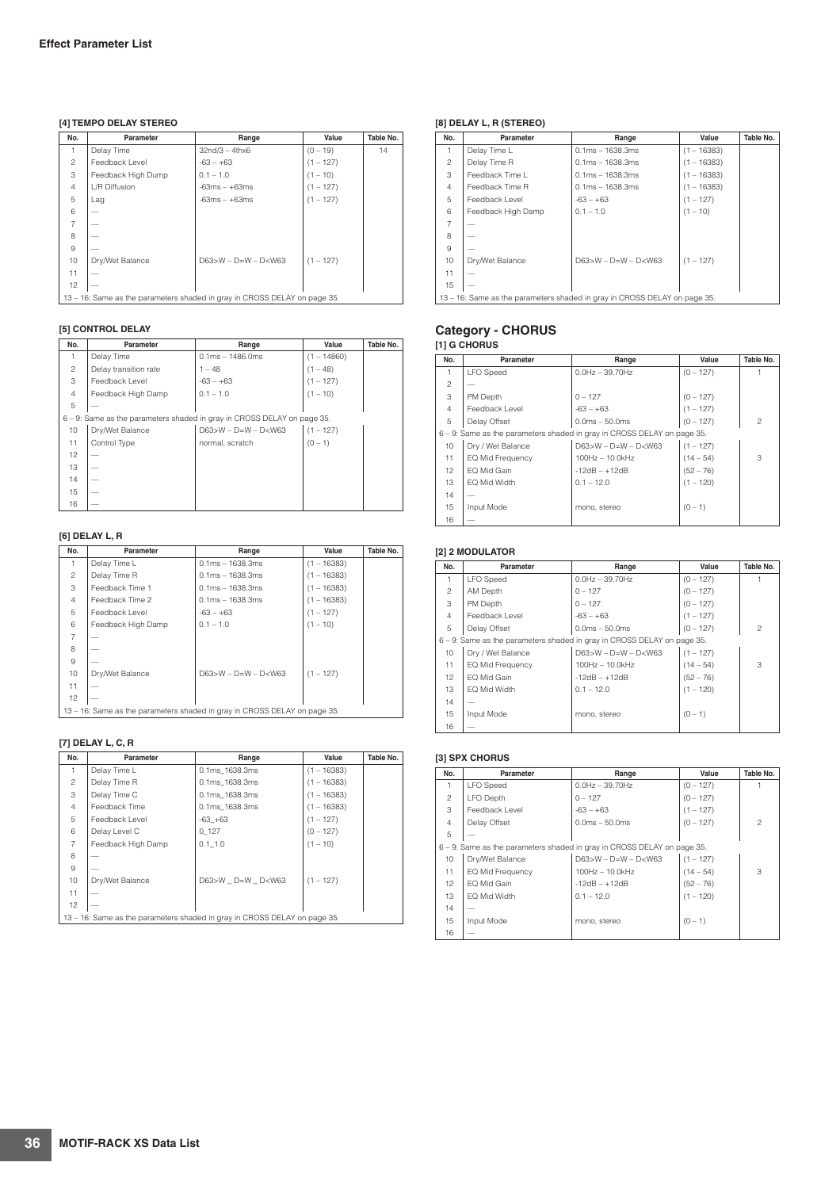### **[4] TEMPO DELAY STEREO**

| No.            | Parameter                                                                 | Range                     | Value       | Table No. |
|----------------|---------------------------------------------------------------------------|---------------------------|-------------|-----------|
|                | Delay Time                                                                | $32n d/3 - 4thx6$         | $(0 - 19)$  | 14        |
| $\overline{c}$ | Feedback Level                                                            | $-63 - +63$               | $(1 - 127)$ |           |
| 3              | Feedback High Dump                                                        | $0.1 - 1.0$               | $(1 - 10)$  |           |
| $\overline{4}$ | L/R Diffusion                                                             | $-63ms - +63ms$           | $(1 - 127)$ |           |
| 5              | Lag                                                                       | $-63ms - +63ms$           | $(1 - 127)$ |           |
| 6              |                                                                           |                           |             |           |
| 7              |                                                                           |                           |             |           |
| 8              |                                                                           |                           |             |           |
| 9              |                                                                           |                           |             |           |
| 10             | Dry/Wet Balance                                                           | $D63 > W - D=W - D < W63$ | $(1 - 127)$ |           |
| 11             |                                                                           |                           |             |           |
| 12             |                                                                           |                           |             |           |
|                | 13 – 16: Same as the parameters shaded in gray in CROSS DELAY on page 35. |                           |             |           |

### **[5] CONTROL DELAY**

| No.            | Parameter                                                               | Range                  | Value         | Table No. |
|----------------|-------------------------------------------------------------------------|------------------------|---------------|-----------|
| 1              | Delay Time                                                              | $0.1ms - 1486.0ms$     | $(1 - 14860)$ |           |
| $\overline{c}$ | Delay transition rate                                                   | $1 - 48$               | $(1 - 48)$    |           |
| 3              | Feedback Level                                                          | $-63 - +63$            | $(1 - 127)$   |           |
| $\overline{4}$ | Feedback High Damp                                                      | $0.1 - 1.0$            | $(1 - 10)$    |           |
| 5              |                                                                         |                        |               |           |
|                | 6 - 9: Same as the parameters shaded in gray in CROSS DELAY on page 35. |                        |               |           |
| 10             | Dry/Wet Balance                                                         | $D63>W - D=W - D< W63$ | $(1 - 127)$   |           |
| 11             | Control Type                                                            | normal, scratch        | $(0 - 1)$     |           |
| 12             |                                                                         |                        |               |           |
| 13             |                                                                         |                        |               |           |
| 14             |                                                                         |                        |               |           |
| 15             |                                                                         |                        |               |           |
| 16             |                                                                         |                        |               |           |

### **[6] DELAY L, R**

| No.            | Parameter                                                                 | Range                     | Value         | Table No. |
|----------------|---------------------------------------------------------------------------|---------------------------|---------------|-----------|
| 1              | Delay Time L                                                              | $0.1ms - 1638.3ms$        | $(1 - 16383)$ |           |
| $\overline{c}$ | Delay Time R                                                              | $0.1ms - 1638.3ms$        | $(1 - 16383)$ |           |
| 3              | Feedback Time 1                                                           | $0.1ms - 1638.3ms$        | $(1 - 16383)$ |           |
| $\overline{4}$ | Feedback Time 2                                                           | $0.1ms - 1638.3ms$        | $(1 - 16383)$ |           |
| 5              | Feedback Level                                                            | $-63 - +63$               | $(1 - 127)$   |           |
| 6              | Feedback High Damp                                                        | $0.1 - 1.0$               | $(1 - 10)$    |           |
| $\overline{7}$ |                                                                           |                           |               |           |
| 8              |                                                                           |                           |               |           |
| 9              |                                                                           |                           |               |           |
| 10             | Dry/Wet Balance                                                           | $D63 > W - D=W - D < W63$ | $(1 - 127)$   |           |
| 11             |                                                                           |                           |               |           |
| 12             |                                                                           |                           |               |           |
|                | 13 – 16: Same as the parameters shaded in gray in CROSS DELAY on page 35. |                           |               |           |

### **[7] DELAY L, C, R**

| No.            | Parameter                                                                 | Range                 | Value         | Table No. |
|----------------|---------------------------------------------------------------------------|-----------------------|---------------|-----------|
|                | Delay Time L                                                              | 0.1ms_1638.3ms        | $(1 - 16383)$ |           |
| $\overline{c}$ | Delay Time R                                                              | 0.1ms_1638.3ms        | $(1 - 16383)$ |           |
| 3              | Delay Time C                                                              | 0.1ms_1638.3ms        | $(1 - 16383)$ |           |
| $\overline{4}$ | Feedback Time                                                             | 0.1ms_1638.3ms        | $(1 - 16383)$ |           |
| 5              | Feedback Level                                                            | $-63 + 63$            | $(1 - 127)$   |           |
| 6              | Delay Level C                                                             | $0_{127}$             | $(0 - 127)$   |           |
| $\overline{7}$ | Feedback High Damp                                                        | $0.1 - 1.0$           | $(1 - 10)$    |           |
| 8              |                                                                           |                       |               |           |
| 9              |                                                                           |                       |               |           |
| 10             | Dry/Wet Balance                                                           | $D63>$ W $D=W_D<$ W63 | $(1 - 127)$   |           |
| 11             |                                                                           |                       |               |           |
| 12             |                                                                           |                       |               |           |
|                | 13 - 16: Same as the parameters shaded in gray in CROSS DELAY on page 35. |                       |               |           |

### **[8] DELAY L, R (STEREO)**

| No.            | Parameter                                                                 | Range                  | Value         | Table No. |  |  |
|----------------|---------------------------------------------------------------------------|------------------------|---------------|-----------|--|--|
| 1              | Delay Time L                                                              | $0.1ms - 1638.3ms$     | $(1 - 16383)$ |           |  |  |
| $\overline{c}$ | Delay Time R                                                              | $0.1ms - 1638.3ms$     | $(1 - 16383)$ |           |  |  |
| 3              | Feedback Time I                                                           | $0.1ms - 1638.3ms$     | $(1 - 16383)$ |           |  |  |
| $\overline{4}$ | Feedback Time R                                                           | $0.1ms - 1638.3ms$     | $(1 - 16383)$ |           |  |  |
| 5              | Feedback Level                                                            | $-63 - +63$            | $(1 - 127)$   |           |  |  |
| 6              | Feedback High Damp                                                        | $0.1 - 1.0$            | $(1 - 10)$    |           |  |  |
| $\overline{7}$ |                                                                           |                        |               |           |  |  |
| 8              |                                                                           |                        |               |           |  |  |
| 9              |                                                                           |                        |               |           |  |  |
| 10             | Dry/Wet Balance                                                           | $D63>W - D=W - D< W63$ | $(1 - 127)$   |           |  |  |
| 11             |                                                                           |                        |               |           |  |  |
| 15             |                                                                           |                        |               |           |  |  |
|                | 13 - 16: Same as the parameters shaded in gray in CROSS DELAY on page 35. |                        |               |           |  |  |

### **Category - CHORUS**

|                  | [1] G CHORUS      |                                                                         |             |                |  |
|------------------|-------------------|-------------------------------------------------------------------------|-------------|----------------|--|
| No.              | Parameter         | Range                                                                   | Value       | Table No.      |  |
| 1                | <b>LFO</b> Speed  | $0.0$ Hz $-$ 39.70Hz                                                    | $(0 - 127)$ |                |  |
| $\overline{c}$   |                   |                                                                         |             |                |  |
| 3                | PM Depth          | $0 - 127$                                                               | $(0 - 127)$ |                |  |
| $\overline{4}$   | Feedback Level    | $-63 - +63$                                                             | $(1 - 127)$ |                |  |
| 5                | Delay Offset      | $0.0ms - 50.0ms$                                                        | $(0 - 127)$ | $\overline{c}$ |  |
|                  |                   | 6 – 9: Same as the parameters shaded in gray in CROSS DELAY on page 35. |             |                |  |
| 10               | Dry / Wet Balance | $D63>W - D=W - D< W63$                                                  | $(1 - 127)$ |                |  |
| 11               | EQ Mid Frequency  | 100Hz - 10.0kHz                                                         | $(14 - 54)$ | 3              |  |
| 12               | EQ Mid Gain       | $-12dB - +12dB$                                                         | $(52 - 76)$ |                |  |
| 13 <sup>13</sup> | EQ Mid Width      | $0.1 - 12.0$                                                            | $(1 - 120)$ |                |  |
| 14               |                   |                                                                         |             |                |  |
| 15               | Input Mode        | mono, stereo                                                            | $(0 - 1)$   |                |  |
| 16               |                   |                                                                         |             |                |  |

### **[2] 2 MODULATOR**

| No.            | Parameter                                                               | Range                  | Value       | Table No.      |
|----------------|-------------------------------------------------------------------------|------------------------|-------------|----------------|
| 1              | <b>LFO</b> Speed                                                        | $0.0$ Hz $-$ 39.70Hz   | $(0 - 127)$ |                |
| $\overline{c}$ | AM Depth                                                                | $0 - 127$              | $(0 - 127)$ |                |
| 3              | PM Depth                                                                | $0 - 127$              | $(0 - 127)$ |                |
| $\overline{4}$ | Feedback Level                                                          | $-63 - +63$            | $(1 - 127)$ |                |
| 5              | Delay Offset                                                            | $0.0ms - 50.0ms$       | $(0 - 127)$ | $\overline{c}$ |
|                | 6 - 9: Same as the parameters shaded in gray in CROSS DELAY on page 35. |                        |             |                |
| 10             | Dry / Wet Balance                                                       | $D63>W - D=W - D< W63$ | $(1 - 127)$ |                |
| 11             | EQ Mid Frequency                                                        | 100Hz - 10.0kHz        | $(14 - 54)$ | 3              |
| 12             | EQ Mid Gain                                                             | $-12dB - +12dB$        | $(52 - 76)$ |                |
| 13             | EQ Mid Width                                                            | $0.1 - 12.0$           | $(1 - 120)$ |                |
| 14             |                                                                         |                        |             |                |
| 15             | Input Mode                                                              | mono, stereo           | $(0 - 1)$   |                |
| 16             |                                                                         |                        |             |                |

### **[3] SPX CHORUS**

| No.             | Parameter        | Range                                                                   | Value       | Table No.      |
|-----------------|------------------|-------------------------------------------------------------------------|-------------|----------------|
| 1               | <b>LFO</b> Speed | $0.0$ Hz $-$ 39.70Hz                                                    | $(0 - 127)$ |                |
| $\mathfrak{D}$  | LFO Depth        | $0 - 127$                                                               | $(0 - 127)$ |                |
| 3               | Feedback Level   | $-63 - +63$                                                             | $(1 - 127)$ |                |
| $\overline{4}$  | Delay Offset     | $0.0ms - 50.0ms$                                                        | $(0 - 127)$ | $\overline{c}$ |
| 5               |                  |                                                                         |             |                |
|                 |                  | 6 – 9: Same as the parameters shaded in gray in CROSS DELAY on page 35. |             |                |
| 10              | Dry/Wet Balance  | $D63>W - D=W - D< W63$                                                  | $(1 - 127)$ |                |
| 11              | EQ Mid Frequency | 100Hz - 10.0kHz                                                         | $(14 - 54)$ | 3              |
| 12              | EQ Mid Gain      | $-12dB - +12dB$                                                         | $(52 - 76)$ |                |
| 13 <sup>°</sup> | EQ Mid Width     | $0.1 - 12.0$                                                            | $(1 - 120)$ |                |
| 14              |                  |                                                                         |             |                |
| 15              | Input Mode       | mono, stereo                                                            | $(0 - 1)$   |                |
| 16              |                  |                                                                         |             |                |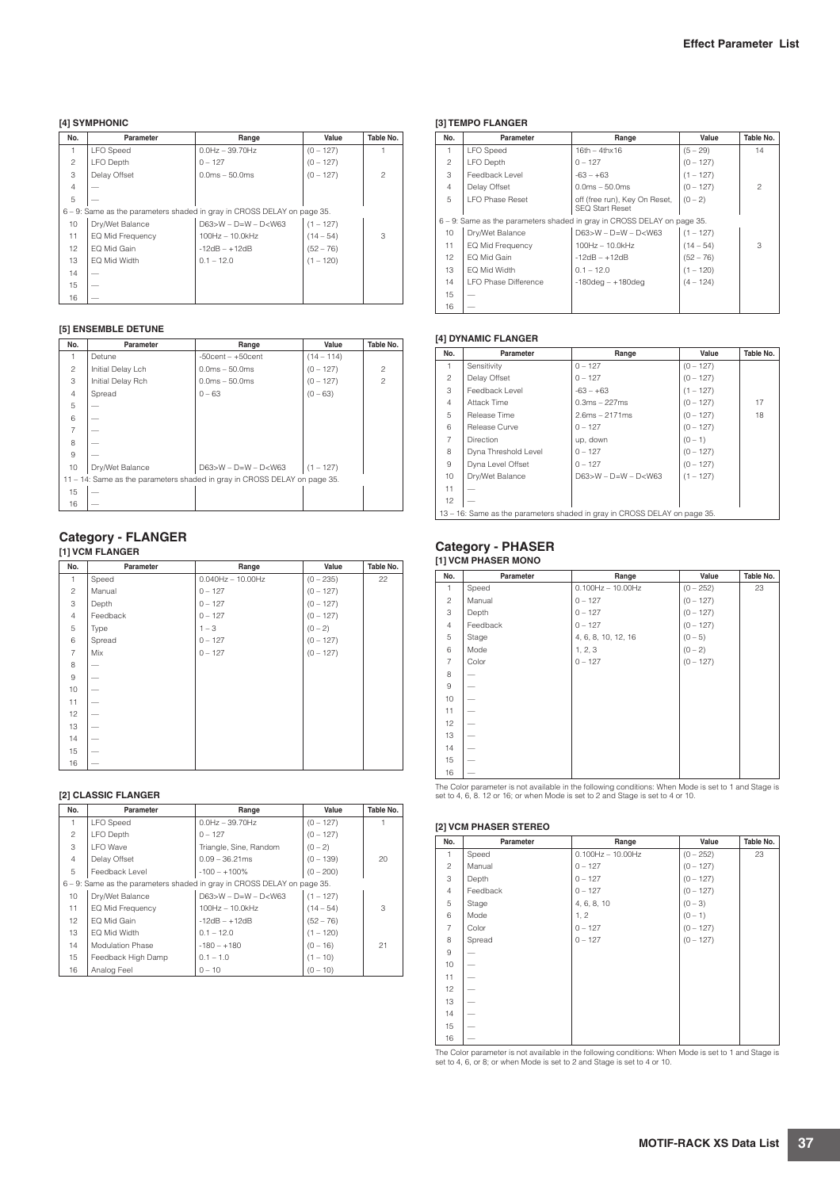### **[4] SYMPHONIC**

| No.            | Parameter                                                               | Range                       | Value       | Table No.      |
|----------------|-------------------------------------------------------------------------|-----------------------------|-------------|----------------|
| 1              | <b>LFO</b> Speed                                                        | $0.0$ Hz $-$ 39.70Hz        | $(0 - 127)$ |                |
| $\overline{c}$ | LFO Depth                                                               | $0 - 127$                   | $(0 - 127)$ |                |
| 3              | Delay Offset                                                            | $0.0ms - 50.0ms$            | $(0 - 127)$ | $\mathfrak{p}$ |
| $\overline{4}$ |                                                                         |                             |             |                |
| 5              |                                                                         |                             |             |                |
|                | 6 - 9: Same as the parameters shaded in gray in CROSS DELAY on page 35. |                             |             |                |
| 10             | Dry/Wet Balance                                                         | $D63 > W - D = W - D < W63$ | $(1 - 127)$ |                |
| 11             | EQ Mid Frequency                                                        | 100Hz - 10.0kHz             | $(14 - 54)$ | 3              |
| 12             | EQ Mid Gain                                                             | $-12dB - +12dB$             | $(52 - 76)$ |                |
| 13             | EQ Mid Width                                                            | $0.1 - 12.0$                | $(1 - 120)$ |                |
| 14             |                                                                         |                             |             |                |
| 15             |                                                                         |                             |             |                |
| 16             |                                                                         |                             |             |                |

### **[5] ENSEMBLE DETUNE**

| No.                                                                       | Parameter         | Range                  | Value        | Table No.      |
|---------------------------------------------------------------------------|-------------------|------------------------|--------------|----------------|
|                                                                           | Detune            | $-50$ cent $-+50$ cent | $(14 - 114)$ |                |
| $\overline{c}$                                                            | Initial Delay Lch | $0.0ms - 50.0ms$       | $(0 - 127)$  | $\overline{c}$ |
| 3                                                                         | Initial Delay Rch | $0.0ms - 50.0ms$       | $(0 - 127)$  | $\overline{c}$ |
| $\overline{4}$                                                            | Spread            | $0 - 63$               | $(0 - 63)$   |                |
| 5                                                                         |                   |                        |              |                |
| 6                                                                         |                   |                        |              |                |
| 7                                                                         |                   |                        |              |                |
| 8                                                                         |                   |                        |              |                |
| 9                                                                         |                   |                        |              |                |
| 10                                                                        | Dry/Wet Balance   | $D63>W - D=W - D< W63$ | $(1 - 127)$  |                |
| 11 - 14: Same as the parameters shaded in gray in CROSS DELAY on page 35. |                   |                        |              |                |
| 15                                                                        |                   |                        |              |                |
| 16                                                                        |                   |                        |              |                |

### **Category - FLANGER**

#### **[1] VCM FLANGER**

| No.            | Parameter | Range                   | Value       | Table No. |
|----------------|-----------|-------------------------|-------------|-----------|
| 1              | Speed     | $0.040$ Hz $- 10.00$ Hz | $(0 - 235)$ | 22        |
| $\overline{c}$ | Manual    | $0 - 127$               | $(0 - 127)$ |           |
| 3              | Depth     | $0 - 127$               | $(0 - 127)$ |           |
| $\overline{4}$ | Feedback  | $0 - 127$               | $(0 - 127)$ |           |
| 5              | Type      | $1 - 3$                 | $(0 - 2)$   |           |
| 6              | Spread    | $0 - 127$               | $(0 - 127)$ |           |
| $\overline{7}$ | Mix       | $0 - 127$               | $(0 - 127)$ |           |
| 8              |           |                         |             |           |
| 9              |           |                         |             |           |
| 10             |           |                         |             |           |
| 11             |           |                         |             |           |
| 12             |           |                         |             |           |
| 13             |           |                         |             |           |
| 14             |           |                         |             |           |
| 15             |           |                         |             |           |
| 16             |           |                         |             |           |

### **[2] CLASSIC FLANGER**

| No.                                                                     | Parameter               | Range                       | Value       | Table No. |
|-------------------------------------------------------------------------|-------------------------|-----------------------------|-------------|-----------|
| 1                                                                       | <b>LFO</b> Speed        | $0.0$ Hz $-$ 39.70Hz        | $(0 - 127)$ |           |
| $\overline{c}$                                                          | LFO Depth               | $0 - 127$                   | $(0 - 127)$ |           |
| 3                                                                       | <b>LFO</b> Wave         | Triangle, Sine, Random      | $(0 - 2)$   |           |
| $\overline{4}$                                                          | Delay Offset            | $0.09 - 36.21$ ms           | $(0 - 139)$ | 20        |
| 5                                                                       | Feedback Level          | $-100 - +100\%$             | $(0 - 200)$ |           |
| 6 - 9: Same as the parameters shaded in gray in CROSS DELAY on page 35. |                         |                             |             |           |
| 10                                                                      | Dry/Wet Balance         | $D63 > W - D = W - D < W63$ | $(1 - 127)$ |           |
| 11                                                                      | EQ Mid Frequency        | 100Hz - 10.0kHz             | $(14 - 54)$ | 3         |
| 12 <sup>12</sup>                                                        | EQ Mid Gain             | $-12dB - +12dB$             | $(52 - 76)$ |           |
| 13                                                                      | FO Mid Width            | $0.1 - 12.0$                | $(1 - 120)$ |           |
| 14                                                                      | <b>Modulation Phase</b> | $-180 - +180$               | $(0 - 16)$  | 21        |
| 15                                                                      | Feedback High Damp      | $0.1 - 1.0$                 | $(1 - 10)$  |           |
| 16                                                                      | Analog Feel             | $0 - 10$                    | $(0 - 10)$  |           |

### **[3] TEMPO FLANGER**

| No. | Parameter                                                               | Range                                                   | Value       | Table No.      |
|-----|-------------------------------------------------------------------------|---------------------------------------------------------|-------------|----------------|
| 1   | <b>LFO</b> Speed                                                        | $16th - 4th \times 16$                                  | $(5 - 29)$  | 14             |
| 2   | LFO Depth                                                               | $0 - 127$                                               | $(0 - 127)$ |                |
| 3   | Feedback Level                                                          | $-63 - +63$                                             | $(1 - 127)$ |                |
| 4   | Delay Offset                                                            | $0.0ms - 50.0ms$                                        | $(0 - 127)$ | $\overline{c}$ |
| 5   | <b>I FO Phase Reset</b>                                                 | off (free run), Key On Reset,<br><b>SEQ Start Reset</b> | $(0 - 2)$   |                |
|     | 6 - 9: Same as the parameters shaded in gray in CROSS DELAY on page 35. |                                                         |             |                |
| 10  | Dry/Wet Balance                                                         | $D63>W - D=W - D< W63$                                  | $(1 - 127)$ |                |
| 11  | EQ Mid Frequency                                                        | 100Hz - 10.0kHz                                         | $(14 - 54)$ | 3              |
| 12  | EQ Mid Gain                                                             | $-12dB - +12dB$                                         | $(52 - 76)$ |                |
| 13  | FO Mid Width                                                            | $0.1 - 12.0$                                            | $(1 - 120)$ |                |
| 14  | I FO Phase Difference                                                   | $-180$ deg $- +180$ deg                                 | $(4 - 124)$ |                |
| 15  |                                                                         |                                                         |             |                |
| 16  |                                                                         |                                                         |             |                |

### **[4] DYNAMIC FLANGER**

| No.            | Parameter            | Range                                                                     | Value       | Table No. |
|----------------|----------------------|---------------------------------------------------------------------------|-------------|-----------|
| 1              | Sensitivity          | $0 - 127$                                                                 | $(0 - 127)$ |           |
| $\overline{c}$ | Delay Offset         | $0 - 127$                                                                 | $(0 - 127)$ |           |
| 3              | Feedback Level       | $-63 - +63$                                                               | $(1 - 127)$ |           |
| $\overline{4}$ | Attack Time          | $0.3ms - 227ms$                                                           | $(0 - 127)$ | 17        |
| 5              | Release Time         | $2.6ms - 2171ms$                                                          | $(0 - 127)$ | 18        |
| 6              | Release Curve        | $0 - 127$                                                                 | $(0 - 127)$ |           |
| $\overline{7}$ | <b>Direction</b>     | up, down                                                                  | $(0 - 1)$   |           |
| 8              | Dyna Threshold Level | $0 - 127$                                                                 | $(0 - 127)$ |           |
| 9              | Dyna Level Offset    | $0 - 127$                                                                 | $(0 - 127)$ |           |
| 10             | Dry/Wet Balance      | $D63>W - D=W - D< W63$                                                    | $(1 - 127)$ |           |
| 11             |                      |                                                                           |             |           |
| 12             |                      |                                                                           |             |           |
|                |                      | 13 - 16: Same as the parameters shaded in gray in CROSS DELAY on page 35. |             |           |

### **Category - PHASER**

### **[1] VCM PHASER MONO**

| No.            | Parameter | Range               | Value       | Table No. |
|----------------|-----------|---------------------|-------------|-----------|
| $\mathbf{1}$   | Speed     | $0.100Hz - 10.00Hz$ | $(0 - 252)$ | 23        |
| $\overline{c}$ | Manual    | $0 - 127$           | $(0 - 127)$ |           |
| $_{\rm 3}$     | Depth     | $0 - 127$           | $(0 - 127)$ |           |
| $\overline{4}$ | Feedback  | $0 - 127$           | $(0 - 127)$ |           |
| 5              | Stage     | 4, 6, 8, 10, 12, 16 | $(0 - 5)$   |           |
| 6              | Mode      | 1, 2, 3             | $(0 - 2)$   |           |
| $\overline{7}$ | Color     | $0 - 127$           | $(0 - 127)$ |           |
| 8              |           |                     |             |           |
| 9              |           |                     |             |           |
| 10             |           |                     |             |           |
| 11             |           |                     |             |           |
| 12             |           |                     |             |           |
| 13             |           |                     |             |           |
| 14             |           |                     |             |           |
| 15             |           |                     |             |           |
| 16             |           |                     |             |           |

The Color parameter is not available in the following conditions: When Mode is set to 1 and Stage is set to 4, 6, 8. 12 or 16; or when Mode is set to 2 and Stage is set to 4 or 10.

### **[2] VCM PHASER STEREO**

| No.            | Parameter | Range               | Value       | Table No. |
|----------------|-----------|---------------------|-------------|-----------|
| 1              | Speed     | $0.100Hz - 10.00Hz$ | $(0 - 252)$ | 23        |
| $\overline{c}$ | Manual    | $0 - 127$           | $(0 - 127)$ |           |
| 3              | Depth     | $0 - 127$           | $(0 - 127)$ |           |
| $\overline{4}$ | Feedback  | $0 - 127$           | $(0 - 127)$ |           |
| 5              | Stage     | 4, 6, 8, 10         | $(0 - 3)$   |           |
| 6              | Mode      | 1, 2                | $(0 - 1)$   |           |
| $\overline{7}$ | Color     | $0 - 127$           | $(0 - 127)$ |           |
| 8              | Spread    | $0 - 127$           | $(0 - 127)$ |           |
| 9              |           |                     |             |           |
| 10             |           |                     |             |           |
| 11             |           |                     |             |           |
| 12             |           |                     |             |           |
| 13             |           |                     |             |           |
| 14             |           |                     |             |           |
| 15             |           |                     |             |           |
| 16             |           |                     |             |           |

The Color parameter is not available in the following conditions: When Mode is set to 1 and Stage is set to 4, 6, or 8; or when Mode is set to 2 and Stage is set to 4 or 10.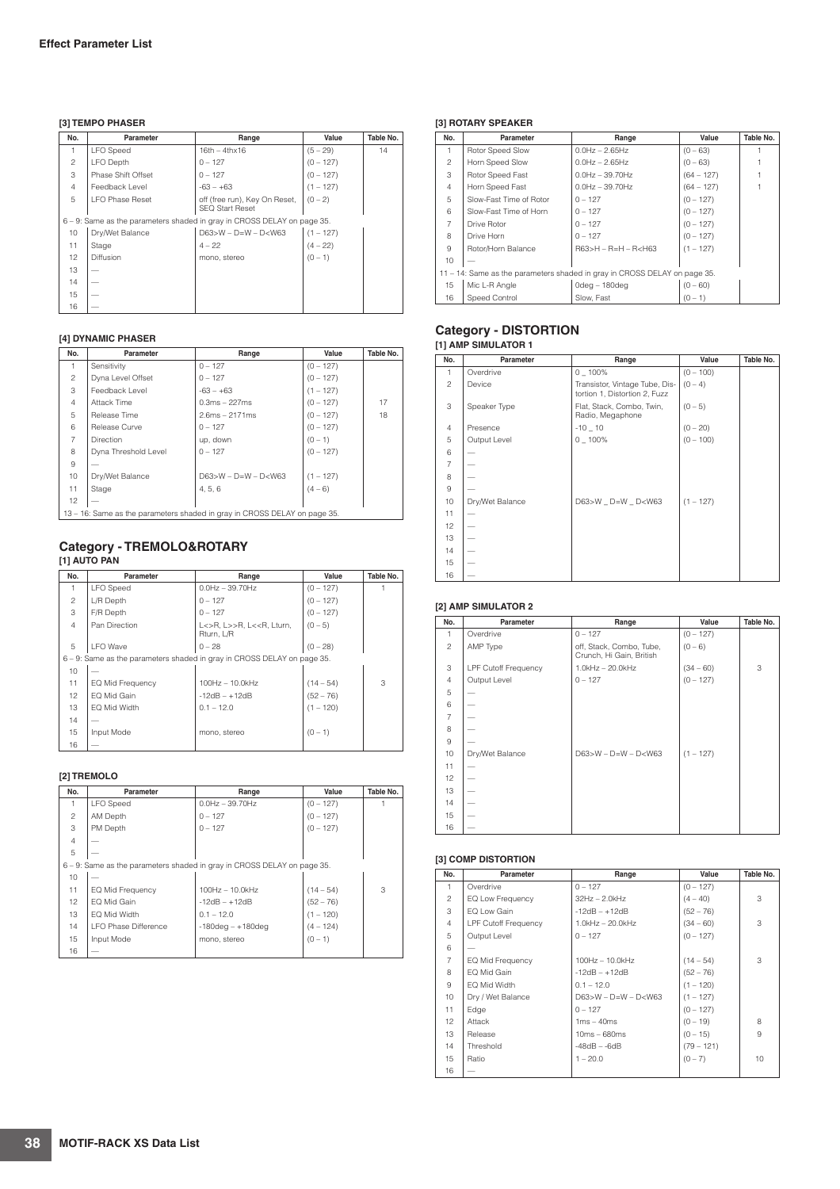### **[3] TEMPO PHASER**

| No.            | Parameter                                                               | Range                                                   | Value       | Table No. |
|----------------|-------------------------------------------------------------------------|---------------------------------------------------------|-------------|-----------|
| 1              | <b>LFO</b> Speed                                                        | $16th - 4thx16$                                         | $(5 - 29)$  | 14        |
| $\overline{c}$ | LFO Depth                                                               | $0 - 127$                                               | $(0 - 127)$ |           |
| 3              | Phase Shift Offset                                                      | $0 - 127$                                               | $(0 - 127)$ |           |
| $\overline{4}$ | Feedback Level                                                          | $-63 - +63$                                             | $(1 - 127)$ |           |
| 5              | <b>I FO Phase Reset</b>                                                 | off (free run), Key On Reset,<br><b>SEQ Start Reset</b> | $(0 - 2)$   |           |
|                | 6 – 9: Same as the parameters shaded in gray in CROSS DELAY on page 35. |                                                         |             |           |
| 10             | Dry/Wet Balance                                                         | $D63 > W - D=W - D < W63$                               | $(1 - 127)$ |           |
| 11             | Stage                                                                   | $4 - 22$                                                | $(4 - 22)$  |           |
| 12             | Diffusion                                                               | mono, stereo                                            | $(0 - 1)$   |           |
| 13             |                                                                         |                                                         |             |           |
| 14             |                                                                         |                                                         |             |           |
| 15             |                                                                         |                                                         |             |           |
| 16             |                                                                         |                                                         |             |           |

### **[4] DYNAMIC PHASER**

| No.            | Parameter                                                                 | Range                     | Value       | Table No. |
|----------------|---------------------------------------------------------------------------|---------------------------|-------------|-----------|
| 1              | Sensitivity                                                               | $0 - 127$                 | $(0 - 127)$ |           |
| $\mathfrak{p}$ | Dyna Level Offset                                                         | $0 - 127$                 | $(0 - 127)$ |           |
| 3              | Feedback Level                                                            | $-63 - +63$               | $(1 - 127)$ |           |
| $\overline{4}$ | Attack Time                                                               | $0.3ms - 227ms$           | $(0 - 127)$ | 17        |
| 5              | Release Time                                                              | $2.6ms - 2171ms$          | $(0 - 127)$ | 18        |
| 6              | Release Curve                                                             | $0 - 127$                 | $(0 - 127)$ |           |
| $\overline{7}$ | <b>Direction</b>                                                          | up, down                  | $(0 - 1)$   |           |
| 8              | Dyna Threshold Level                                                      | $0 - 127$                 | $(0 - 127)$ |           |
| 9              |                                                                           |                           |             |           |
| 10             | Dry/Wet Balance                                                           | $D63 > W - D=W - D < W63$ | $(1 - 127)$ |           |
| 11             | Stage                                                                     | 4, 5, 6                   | $(4 - 6)$   |           |
| 12             |                                                                           |                           |             |           |
|                | 13 - 16: Same as the parameters shaded in gray in CROSS DELAY on page 35. |                           |             |           |

### **Category - TREMOLO&ROTARY [1] AUTO PAN**

| No.            | Parameter                                                               | Range                                           | Value       | Table No. |
|----------------|-------------------------------------------------------------------------|-------------------------------------------------|-------------|-----------|
| 1              | <b>LFO</b> Speed                                                        | $0.0$ Hz $-$ 39.70Hz                            | $(0 - 127)$ |           |
| $\overline{c}$ | L/R Depth                                                               | $0 - 127$                                       | $(0 - 127)$ |           |
| 3              | F/R Depth                                                               | $0 - 127$                                       | $(0 - 127)$ |           |
| $\overline{4}$ | Pan Direction                                                           | L<>R, L>>R, L< <r, lturn,<br="">Rturn, L/R</r,> | $(0 - 5)$   |           |
| 5              | <b>LFO</b> Wave                                                         | $0 - 28$                                        | $(0 - 28)$  |           |
|                | 6 - 9: Same as the parameters shaded in gray in CROSS DELAY on page 35. |                                                 |             |           |
| 10             |                                                                         |                                                 |             |           |
| 11             | EQ Mid Frequency                                                        | 100Hz - 10.0kHz                                 | $(14 - 54)$ | 3         |
| 12             | EQ Mid Gain                                                             | $-12dB - +12dB$                                 | $(52 - 76)$ |           |
| 13             | FO Mid Width                                                            | $0.1 - 12.0$                                    | $(1 - 120)$ |           |
| 14             |                                                                         |                                                 |             |           |
| 15             | Input Mode                                                              | mono, stereo                                    | $(0 - 1)$   |           |
| 16             |                                                                         |                                                 |             |           |

### **[2] TREMOLO**

| No.            | Parameter               | Range                                                                   | Value       | Table No. |
|----------------|-------------------------|-------------------------------------------------------------------------|-------------|-----------|
|                | <b>LFO</b> Speed        | $0.0$ Hz $-$ 39.70Hz                                                    | $(0 - 127)$ |           |
| $\mathfrak{p}$ | AM Depth                | $0 - 127$                                                               | $(0 - 127)$ |           |
| 3              | PM Depth                | $0 - 127$                                                               | $(0 - 127)$ |           |
| $\overline{4}$ |                         |                                                                         |             |           |
| 5              |                         |                                                                         |             |           |
|                |                         | 6 – 9: Same as the parameters shaded in gray in CROSS DELAY on page 35. |             |           |
| 10             |                         |                                                                         |             |           |
| 11             | <b>EQ Mid Frequency</b> | 100Hz - 10.0kHz                                                         | $(14 - 54)$ | 3         |
| 12             | EQ Mid Gain             | $-12dB - +12dB$                                                         | $(52 - 76)$ |           |
| 13             | FO Mid Width            | $0.1 - 12.0$                                                            | $(1 - 120)$ |           |
| 14             | LFO Phase Difference    | $-180$ deg $- +180$ deg                                                 | $(4 - 124)$ |           |
| 15             | Input Mode              | mono, stereo                                                            | $(0 - 1)$   |           |
| 16             |                         |                                                                         |             |           |

### **[3] ROTARY SPEAKER**

| No.                                                                       | Parameter               | Range                       | Value        | Table No. |
|---------------------------------------------------------------------------|-------------------------|-----------------------------|--------------|-----------|
| $\mathbf{1}$                                                              | Rotor Speed Slow        | $0.0$ Hz $- 2.65$ Hz        | $(0 - 63)$   |           |
| $\overline{c}$                                                            | Horn Speed Slow         | $0.0$ Hz $- 2.65$ Hz        | $(0 - 63)$   |           |
| 3                                                                         | Rotor Speed Fast        | $0.0$ Hz $-$ 39.70Hz        | $(64 - 127)$ |           |
| $\overline{4}$                                                            | Horn Speed Fast         | $0.0$ Hz $-$ 39.70Hz        | $(64 - 127)$ |           |
| 5                                                                         | Slow-Fast Time of Rotor | $0 - 127$                   | $(0 - 127)$  |           |
| 6                                                                         | Slow-Fast Time of Horn  | $0 - 127$                   | $(0 - 127)$  |           |
| $\overline{7}$                                                            | Drive Rotor             | $0 - 127$                   | $(0 - 127)$  |           |
| 8                                                                         | Drive Horn              | $0 - 127$                   | $(0 - 127)$  |           |
| 9                                                                         | Rotor/Horn Balance      | $R63 > H - R = H - R < H63$ | $(1 - 127)$  |           |
| 10                                                                        |                         |                             |              |           |
| 11 - 14: Same as the parameters shaded in gray in CROSS DELAY on page 35. |                         |                             |              |           |
| 15                                                                        | Mic L-R Angle           | $0$ deg – 180deg            | $(0 - 60)$   |           |
| 16                                                                        | Speed Control           | Slow, Fast                  | $(0 - 1)$    |           |

## **Category - DISTORTION**

|                | [1] AMP SIMULATOR 1 |                                                                 |             |           |  |  |
|----------------|---------------------|-----------------------------------------------------------------|-------------|-----------|--|--|
| No.            | Parameter           | Range                                                           | Value       | Table No. |  |  |
| 1              | Overdrive           | $0 - 100\%$                                                     | $(0 - 100)$ |           |  |  |
| 2              | Device              | Transistor, Vintage Tube, Dis-<br>tortion 1, Distortion 2, Fuzz | $(0 - 4)$   |           |  |  |
| 3              | Speaker Type        | Flat, Stack, Combo, Twin,<br>Radio, Megaphone                   | $(0 - 5)$   |           |  |  |
| $\overline{4}$ | Presence            | $-10 - 10$                                                      | $(0 - 20)$  |           |  |  |
| 5              | Output Level        | $0 - 100\%$                                                     | $(0 - 100)$ |           |  |  |
| 6              |                     |                                                                 |             |           |  |  |
| $\overline{7}$ |                     |                                                                 |             |           |  |  |
| 8              |                     |                                                                 |             |           |  |  |
| 9              |                     |                                                                 |             |           |  |  |
| 10             | Dry/Wet Balance     | $D63>W$ $D=W$ $D< W63$                                          | $(1 - 127)$ |           |  |  |
| 11             |                     |                                                                 |             |           |  |  |
| 12             |                     |                                                                 |             |           |  |  |
| 13             |                     |                                                                 |             |           |  |  |
| 14             |                     |                                                                 |             |           |  |  |
| 15             |                     |                                                                 |             |           |  |  |
| 16             |                     |                                                                 |             |           |  |  |

### **[2] AMP SIMULATOR 2**

| No.            | Parameter            | Range                                                | Value       | Table No. |
|----------------|----------------------|------------------------------------------------------|-------------|-----------|
| 1              | Overdrive            | $0 - 127$                                            | $(0 - 127)$ |           |
| $\overline{c}$ | AMP Type             | off, Stack, Combo, Tube,<br>Crunch, Hi Gain, British | $(0 - 6)$   |           |
| 3              | LPF Cutoff Frequency | $1.0$ kHz $-$ 20.0kHz                                | $(34 - 60)$ | 3         |
| $\overline{4}$ | Output Level         | $0 - 127$                                            | $(0 - 127)$ |           |
| 5              |                      |                                                      |             |           |
| 6              |                      |                                                      |             |           |
| $\overline{7}$ |                      |                                                      |             |           |
| 8              |                      |                                                      |             |           |
| 9              |                      |                                                      |             |           |
| 10             | Dry/Wet Balance      | $D63>W - D=W - D< W63$                               | $(1 - 127)$ |           |
| 11             |                      |                                                      |             |           |
| 12             |                      |                                                      |             |           |
| 13             |                      |                                                      |             |           |
| 14             |                      |                                                      |             |           |
| 15             |                      |                                                      |             |           |
| 16             |                      |                                                      |             |           |

### **[3] COMP DISTORTION**

| No.            | Parameter                   | Range                  | Value        | Table No. |
|----------------|-----------------------------|------------------------|--------------|-----------|
| $\mathbf{1}$   | Overdrive                   | $0 - 127$              | $(0 - 127)$  |           |
| 2              | EQ Low Frequency            | $32Hz - 2.0kHz$        | $(4 - 40)$   | 3         |
| 3              | EQ Low Gain                 | $-12dB - +12dB$        | $(52 - 76)$  |           |
| $\overline{4}$ | <b>LPF Cutoff Frequency</b> | $1.0$ kHz $-$ 20.0kHz  | $(34 - 60)$  | 3         |
| 5              | Output Level                | $0 - 127$              | $(0 - 127)$  |           |
| 6              |                             |                        |              |           |
| $\overline{7}$ | EQ Mid Frequency            | 100Hz - 10.0kHz        | $(14 - 54)$  | 3         |
| 8              | EQ Mid Gain                 | $-12dB - +12dB$        | $(52 - 76)$  |           |
| 9              | EQ Mid Width                | $0.1 - 12.0$           | $(1 - 120)$  |           |
| 10             | Dry / Wet Balance           | $D63>W - D=W - D< W63$ | $(1 - 127)$  |           |
| 11             | Edge                        | $0 - 127$              | $(0 - 127)$  |           |
| 12             | Attack                      | $1ms - 40ms$           | $(0 - 19)$   | 8         |
| 13             | Release                     | $10ms - 680ms$         | $(0 - 15)$   | 9         |
| 14             | Threshold                   | $-48dB - -6dB$         | $(79 - 121)$ |           |
| 15             | Ratio                       | $1 - 20.0$             | $(0 - 7)$    | 10        |
| 16             |                             |                        |              |           |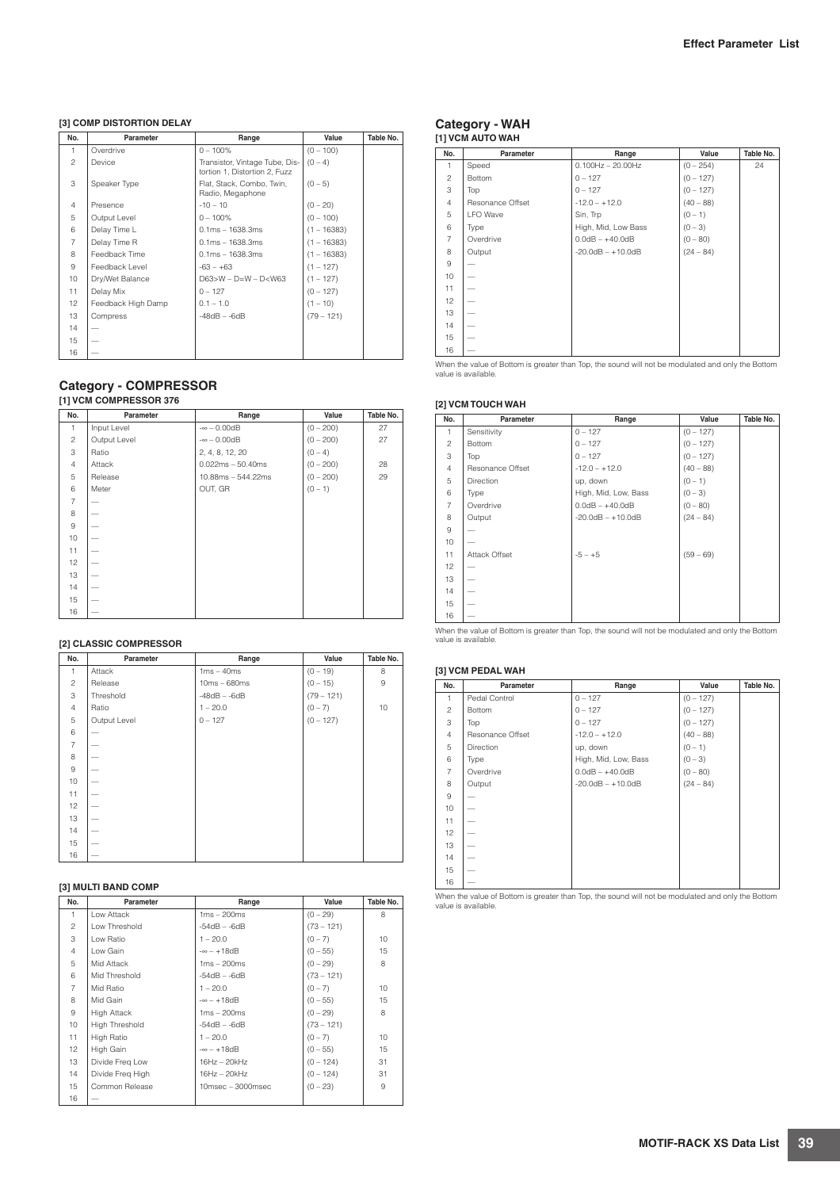### **[3] COMP DISTORTION DELAY**

| No.            | Parameter          | Range                                                           | Value         | Table No. |
|----------------|--------------------|-----------------------------------------------------------------|---------------|-----------|
| 1              | Overdrive          | $0 - 100\%$                                                     | $(0 - 100)$   |           |
| $\mathfrak{p}$ | Device             | Transistor, Vintage Tube, Dis-<br>tortion 1, Distortion 2, Fuzz | $(0 - 4)$     |           |
| 3              | Speaker Type       | Flat, Stack, Combo, Twin,<br>Radio, Megaphone                   | $(0 - 5)$     |           |
| 4              | Presence           | $-10 - 10$                                                      | $(0 - 20)$    |           |
| 5              | Output Level       | $0 - 100\%$                                                     | $(0 - 100)$   |           |
| 6              | Delay Time L       | $0.1ms - 1638.3ms$                                              | $(1 - 16383)$ |           |
| $\overline{7}$ | Delay Time R       | $0.1ms - 1638.3ms$                                              | $(1 - 16383)$ |           |
| 8              | Feedback Time      | $0.1ms - 1638.3ms$                                              | $(1 - 16383)$ |           |
| 9              | Feedback Level     | $-63 - +63$                                                     | $(1 - 127)$   |           |
| 10             | Dry/Wet Balance    | $D63 > W - D = W - D < W63$                                     | $(1 - 127)$   |           |
| 11             | Delay Mix          | $0 - 127$                                                       | $(0 - 127)$   |           |
| 12             | Feedback High Damp | $0.1 - 1.0$                                                     | $(1 - 10)$    |           |
| 13             | Compress           | $-48dB - -6dB$                                                  | $(79 - 121)$  |           |
| 14             |                    |                                                                 |               |           |
| 15             |                    |                                                                 |               |           |
| 16             |                    |                                                                 |               |           |

### **Category - COMPRESSOR**

### **[1] VCM COMPRESSOR 376**

| No.            | Parameter    | Range               | Value       | Table No. |
|----------------|--------------|---------------------|-------------|-----------|
| 1              | Input Level  | $-\infty - 0.00$ dB | $(0 - 200)$ | 27        |
| $\overline{c}$ | Output Level | $-\infty - 0.00$ dB | $(0 - 200)$ | 27        |
| 3              | Ratio        | 2, 4, 8, 12, 20     | $(0 - 4)$   |           |
| $\overline{4}$ | Attack       | $0.022ms - 50.40ms$ | $(0 - 200)$ | 28        |
| 5              | Release      | 10.88ms - 544.22ms  | $(0 - 200)$ | 29        |
| 6              | Meter        | OUT, GR             | $(0 - 1)$   |           |
| $\overline{7}$ |              |                     |             |           |
| 8              |              |                     |             |           |
| 9              |              |                     |             |           |
| 10             |              |                     |             |           |
| 11             |              |                     |             |           |
| 12             |              |                     |             |           |
| 13             |              |                     |             |           |
| 14             |              |                     |             |           |
| 15             |              |                     |             |           |
| 16             |              |                     |             |           |

### **[2] CLASSIC COMPRESSOR**

| No.            | Parameter    | Range          | Value        | Table No.  |
|----------------|--------------|----------------|--------------|------------|
| 1              | Attack       | $1ms - 40ms$   | $(0 - 19)$   | 8          |
| $\overline{c}$ | Release      | $10ms - 680ms$ | $(0 - 15)$   | $\hbox{9}$ |
| 3              | Threshold    | $-48dB - -6dB$ | $(79 - 121)$ |            |
| $\overline{4}$ | Ratio        | $1 - 20.0$     | $(0 - 7)$    | 10         |
| 5              | Output Level | $0 - 127$      | $(0 - 127)$  |            |
| 6              |              |                |              |            |
| $\overline{7}$ |              |                |              |            |
| 8              |              |                |              |            |
| 9              |              |                |              |            |
| 10             |              |                |              |            |
| 11             |              |                |              |            |
| 12             |              |                |              |            |
| 13             |              |                |              |            |
| 14             |              |                |              |            |
| 15             |              |                |              |            |
| 16             |              |                |              |            |

### **[3] MULTI BAND COMP**

| No.            | Parameter        | Range                  | Value        | Table No. |
|----------------|------------------|------------------------|--------------|-----------|
| 1              | Low Attack       | $1ms - 200ms$          | $(0 - 29)$   | 8         |
| $\overline{c}$ | Low Threshold    | $-54dB - -6dB$         | $(73 - 121)$ |           |
| 3              | Low Ratio        | $1 - 20.0$             | $(0 - 7)$    | 10        |
| $\overline{4}$ | Low Gain         | $-\infty - +18dB$      | $(0 - 55)$   | 15        |
| 5              | Mid Attack       | $1ms - 200ms$          | $(0 - 29)$   | 8         |
| 6              | Mid Threshold    | $-54dB - -6dB$         | $(73 - 121)$ |           |
| $\overline{7}$ | Mid Ratio        | $1 - 20.0$             | $(0 - 7)$    | 10        |
| 8              | Mid Gain         | $-\infty - +18dB$      | $(0 - 55)$   | 15        |
| 9              | High Attack      | $1ms - 200ms$          | $(0 - 29)$   | 8         |
| 10             | High Threshold   | $-54dB - -6dB$         | $(73 - 121)$ |           |
| 11             | High Ratio       | $1 - 20.0$             | $(0 - 7)$    | 10        |
| 12             | High Gain        | $-\infty - +18dB$      | $(0 - 55)$   | 15        |
| 13             | Divide Freg Low  | $16Hz - 20kHz$         | $(0 - 124)$  | 31        |
| 14             | Divide Freg High | $16Hz - 20kHz$         | $(0 - 124)$  | 31        |
| 15             | Common Release   | $10$ msec $-3000$ msec | $(0 - 23)$   | 9         |
| 16             |                  |                        |              |           |

## **Category - WAH**

|  | [1] VCM AUTO WAH |  |
|--|------------------|--|
|  |                  |  |
|  |                  |  |

| No.            | Parameter        | Range                   | Value       | Table No. |
|----------------|------------------|-------------------------|-------------|-----------|
| $\mathbf{1}$   | Speed            | $0.100$ Hz $- 20.00$ Hz | $(0 - 254)$ | 24        |
| 2              | Bottom           | $0 - 127$               | $(0 - 127)$ |           |
| 3              | Top              | $0 - 127$               | $(0 - 127)$ |           |
| $\overline{4}$ | Resonance Offset | $-12.0 - +12.0$         | $(40 - 88)$ |           |
| 5              | <b>LFO</b> Wave  | Sin, Trp                | $(0 - 1)$   |           |
| 6              | Type             | High, Mid, Low Bass     | $(0 - 3)$   |           |
| $\overline{7}$ | Overdrive        | $0.0dB - +40.0dB$       | $(0 - 80)$  |           |
| 8              | Output           | $-20.0dB - +10.0dB$     | $(24 - 84)$ |           |
| 9              |                  |                         |             |           |
| 10             |                  |                         |             |           |
| 11             |                  |                         |             |           |
| 12             |                  |                         |             |           |
| 13             |                  |                         |             |           |
| 14             |                  |                         |             |           |
| 15             |                  |                         |             |           |
| 16             |                  |                         |             |           |

When the value of Bottom is greater than Top, the sound will not be modulated and only the Bottom value is available.

### **[2] VCM TOUCH WAH**

| No.            | Parameter        | Range                | Value       | Table No. |
|----------------|------------------|----------------------|-------------|-----------|
| 1              | Sensitivity      | $0 - 127$            | $(0 - 127)$ |           |
| 2              | <b>Bottom</b>    | $0 - 127$            | $(0 - 127)$ |           |
| 3              | Top              | $0 - 127$            | $(0 - 127)$ |           |
| $\overline{4}$ | Resonance Offset | $-12.0 - +12.0$      | $(40 - 88)$ |           |
| 5              | <b>Direction</b> | up, down             | $(0 - 1)$   |           |
| 6              | Type             | High, Mid, Low, Bass | $(0 - 3)$   |           |
| $\overline{7}$ | Overdrive        | $0.0dB - +40.0dB$    | $(0 - 80)$  |           |
| 8              | Output           | $-20.0dB - +10.0dB$  | $(24 - 84)$ |           |
| 9              |                  |                      |             |           |
| 10             |                  |                      |             |           |
| 11             | Attack Offset    | $-5 - +5$            | $(59 - 69)$ |           |
| 12             |                  |                      |             |           |
| 13             |                  |                      |             |           |
| 14             |                  |                      |             |           |
| 15             |                  |                      |             |           |
| 16             |                  |                      |             |           |

When the value of Bottom is greater than Top, the sound will not be modulated and only the Bottom value is available.

### **[3] VCM PEDAL WAH**

| No.            | Parameter        | Range                | Value       | Table No. |
|----------------|------------------|----------------------|-------------|-----------|
| 1              | Pedal Control    | $0 - 127$            | $(0 - 127)$ |           |
| $\overline{c}$ | Bottom           | $0 - 127$            | $(0 - 127)$ |           |
| 3              | Top              | $0 - 127$            | $(0 - 127)$ |           |
| $\overline{4}$ | Resonance Offset | $-12.0 - +12.0$      | $(40 - 88)$ |           |
| 5              | <b>Direction</b> | up, down             | $(0 - 1)$   |           |
| 6              | Type             | High, Mid, Low, Bass | $(0 - 3)$   |           |
| $\overline{7}$ | Overdrive        | $0.0dB - +40.0dB$    | $(0 - 80)$  |           |
| 8              | Output           | $-20.0dB - +10.0dB$  | $(24 - 84)$ |           |
| 9              |                  |                      |             |           |
| 10             |                  |                      |             |           |
| 11             |                  |                      |             |           |
| 12             |                  |                      |             |           |
| 13             |                  |                      |             |           |
| 14             |                  |                      |             |           |
| 15             |                  |                      |             |           |
| 16             |                  |                      |             |           |

When the value of Bottom is greater than Top, the sound will not be modulated and only the Bottom value is available.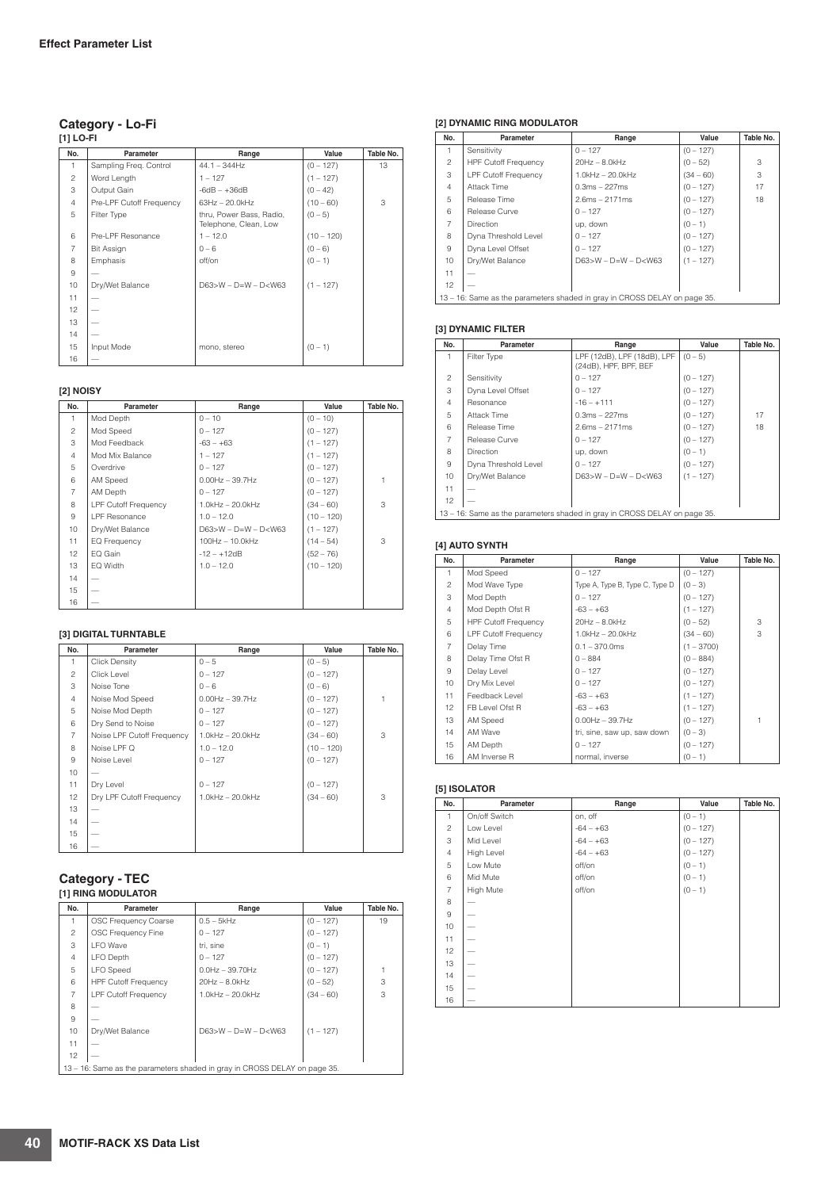### **Category - Lo-Fi [1] LO-FI**

|                | .                        |                                                   |              |           |  |
|----------------|--------------------------|---------------------------------------------------|--------------|-----------|--|
| No.            | Parameter                | Range                                             | Value        | Table No. |  |
| 1              | Sampling Freq. Control   | $44.1 - 344$ Hz                                   | $(0 - 127)$  | 13        |  |
| $\overline{c}$ | Word Length              | $1 - 127$                                         | $(1 - 127)$  |           |  |
| 3              | Output Gain              | $-6dB - +36dB$                                    | $(0 - 42)$   |           |  |
| $\overline{4}$ | Pre-LPF Cutoff Frequency | $63Hz - 20.0kHz$                                  | $(10 - 60)$  | 3         |  |
| 5              | Filter Type              | thru, Power Bass, Radio,<br>Telephone, Clean, Low | $(0 - 5)$    |           |  |
| 6              | Pre-LPF Resonance        | $1 - 12.0$                                        | $(10 - 120)$ |           |  |
| $\overline{7}$ | <b>Bit Assign</b>        | $0 - 6$                                           | $(0 - 6)$    |           |  |
| 8              | Emphasis                 | off/on                                            | $(0 - 1)$    |           |  |
| 9              |                          |                                                   |              |           |  |
| 10             | Dry/Wet Balance          | $D63>W - D=W - D< W63$                            | $(1 - 127)$  |           |  |
| 11             |                          |                                                   |              |           |  |
| 12             |                          |                                                   |              |           |  |
| 13             |                          |                                                   |              |           |  |
| 14             |                          |                                                   |              |           |  |
| 15             | Input Mode               | mono, stereo                                      | $(0 - 1)$    |           |  |
| 16             |                          |                                                   |              |           |  |

### **[2] NOISY**

| No.            | Parameter                   | Range                  | Value        | Table No. |
|----------------|-----------------------------|------------------------|--------------|-----------|
| 1              | Mod Depth                   | $0 - 10$               | $(0 - 10)$   |           |
| $\overline{c}$ | Mod Speed                   | $0 - 127$              | $(0 - 127)$  |           |
| 3              | Mod Feedback                | $-63 - +63$            | $(1 - 127)$  |           |
| $\overline{4}$ | Mod Mix Balance             | $1 - 127$              | $(1 - 127)$  |           |
| 5              | Overdrive                   | $0 - 127$              | $(0 - 127)$  |           |
| 6              | AM Speed                    | $0.00$ Hz $-$ 39.7Hz   | $(0 - 127)$  |           |
| $\overline{7}$ | AM Depth                    | $0 - 127$              | $(0 - 127)$  |           |
| 8              | <b>LPF Cutoff Frequency</b> | $1.0$ kHz $-$ 20.0kHz  | $(34 - 60)$  | 3         |
| 9              | <b>LPF Resonance</b>        | $1.0 - 12.0$           | $(10 - 120)$ |           |
| 10             | Dry/Wet Balance             | $D63>W - D=W - D< W63$ | $(1 - 127)$  |           |
| 11             | <b>EQ Frequency</b>         | 100Hz - 10.0kHz        | $(14 - 54)$  | 3         |
| 12             | EQ Gain                     | $-12 - +12dB$          | $(52 - 76)$  |           |
| 13             | EQ Width                    | $1.0 - 12.0$           | $(10 - 120)$ |           |
| 14             |                             |                        |              |           |
| 15             |                             |                        |              |           |
| 16             |                             |                        |              |           |

### **[3] DIGITAL TURNTABLE**

| No.            | Parameter                  | Range                 | Value        | Table No. |
|----------------|----------------------------|-----------------------|--------------|-----------|
| 1              | <b>Click Density</b>       | $0 - 5$               | $(0 - 5)$    |           |
| $\overline{c}$ | Click Level                | $0 - 127$             | $(0 - 127)$  |           |
| 3              | Noise Tone                 | $0 - 6$               | $(0 - 6)$    |           |
| $\overline{4}$ | Noise Mod Speed            | $0.00$ Hz $-$ 39.7Hz  | $(0 - 127)$  |           |
| 5              | Noise Mod Depth            | $0 - 127$             | $(0 - 127)$  |           |
| 6              | Dry Send to Noise          | $0 - 127$             | $(0 - 127)$  |           |
| $\overline{7}$ | Noise LPF Cutoff Frequency | $1.0$ kHz $-$ 20.0kHz | $(34 - 60)$  | 3         |
| 8              | Noise LPF Q                | $1.0 - 12.0$          | $(10 - 120)$ |           |
| 9              | Noise Level                | $0 - 127$             | $(0 - 127)$  |           |
| 10             |                            |                       |              |           |
| 11             | Dry Level                  | $0 - 127$             | $(0 - 127)$  |           |
| 12             | Dry LPF Cutoff Frequency   | $1.0$ kHz $-$ 20.0kHz | $(34 - 60)$  | 3         |
| 13             |                            |                       |              |           |
| 14             |                            |                       |              |           |
| 15             |                            |                       |              |           |
| 16             |                            |                       |              |           |

### **Category - TEC [1] RING MODULATOR**

| No.             | Parameter                   | Range                                                                     | Value       | Table No. |
|-----------------|-----------------------------|---------------------------------------------------------------------------|-------------|-----------|
| 1               | OSC Frequency Coarse        | $0.5 - 5$ kHz                                                             | $(0 - 127)$ | 19        |
| $\mathfrak{p}$  | OSC Frequency Fine          | $0 - 127$                                                                 | $(0 - 127)$ |           |
| 3               | I FO Wave                   | tri, sine                                                                 | $(0 - 1)$   |           |
| $\overline{4}$  | LFO Depth                   | $0 - 127$                                                                 | $(0 - 127)$ |           |
| 5               | <b>LFO</b> Speed            | $0.0$ Hz $-$ 39.70Hz                                                      | $(0 - 127)$ |           |
| 6               | <b>HPF Cutoff Frequency</b> | 20Hz - 8.0kHz                                                             | $(0 - 52)$  | 3         |
| $\overline{7}$  | <b>LPF Cutoff Frequency</b> | $1.0$ kHz $-$ 20.0kHz                                                     | $(34 - 60)$ | 3         |
| 8               |                             |                                                                           |             |           |
| 9               |                             |                                                                           |             |           |
| 10 <sup>1</sup> | Dry/Wet Balance             | $D63 > W - D = W - D < W63$                                               | $(1 - 127)$ |           |
| 11              |                             |                                                                           |             |           |
| 12              |                             |                                                                           |             |           |
|                 |                             | 13 - 16: Same as the parameters shaded in gray in CROSS DELAY on page 35. |             |           |

### **[2] DYNAMIC RING MODULATOR**

| No.            | Parameter                                                                 | Range                  | Value       | Table No. |
|----------------|---------------------------------------------------------------------------|------------------------|-------------|-----------|
| 1              | Sensitivity                                                               | $0 - 127$              | $(0 - 127)$ |           |
| 2              | <b>HPF Cutoff Frequency</b>                                               | $20Hz - 8.0kHz$        | $(0 - 52)$  | 3         |
| 3              | <b>LPF Cutoff Frequency</b>                                               | $1.0$ kHz $-$ 20.0kHz  | $(34 - 60)$ | 3         |
| $\overline{4}$ | Attack Time                                                               | $0.3ms - 227ms$        | $(0 - 127)$ | 17        |
| 5              | Release Time                                                              | $2.6ms - 2171ms$       | $(0 - 127)$ | 18        |
| 6              | Release Curve                                                             | $0 - 127$              | $(0 - 127)$ |           |
| $\overline{7}$ | <b>Direction</b>                                                          | up, down               | $(0 - 1)$   |           |
| 8              | Dyna Threshold Level                                                      | $0 - 127$              | $(0 - 127)$ |           |
| 9              | Dyna Level Offset                                                         | $0 - 127$              | $(0 - 127)$ |           |
| 10             | Dry/Wet Balance                                                           | $D63>W - D=W - D< W63$ | $(1 - 127)$ |           |
| 11             |                                                                           |                        |             |           |
| 12             |                                                                           |                        |             |           |
|                | 13 - 16: Same as the parameters shaded in gray in CROSS DELAY on page 35. |                        |             |           |

### **[3] DYNAMIC FILTER**

| No.            | Parameter                                                                 | Range                                                | Value       | Table No. |
|----------------|---------------------------------------------------------------------------|------------------------------------------------------|-------------|-----------|
| 1              | Filter Type                                                               | LPF (12dB), LPF (18dB), LPF<br>(24dB), HPF, BPF, BEF | $(0 - 5)$   |           |
| $\mathfrak{p}$ | Sensitivity                                                               | $0 - 127$                                            | $(0 - 127)$ |           |
| 3              | Dyna Level Offset                                                         | $0 - 127$                                            | $(0 - 127)$ |           |
| $\overline{4}$ | Resonance                                                                 | $-16 - +111$                                         | $(0 - 127)$ |           |
| 5              | Attack Time                                                               | $0.3ms - 227ms$                                      | $(0 - 127)$ | 17        |
| 6              | Release Time                                                              | $2.6ms - 2171ms$                                     | $(0 - 127)$ | 18        |
| $\overline{7}$ | Release Curve                                                             | $0 - 127$                                            | $(0 - 127)$ |           |
| 8              | <b>Direction</b>                                                          | up, down                                             | $(0 - 1)$   |           |
| 9              | Dyna Threshold Level                                                      | $0 - 127$                                            | $(0 - 127)$ |           |
| 10             | Dry/Wet Balance                                                           | $D63>W - D=W - D< W63$                               | $(1 - 127)$ |           |
| 11             |                                                                           |                                                      |             |           |
| 12             |                                                                           |                                                      |             |           |
|                | 13 - 16: Same as the parameters shaded in gray in CROSS DELAY on page 35. |                                                      |             |           |

### **[4] AUTO SYNTH**

| No.            | Parameter                   | Range                          | Value        | Table No. |
|----------------|-----------------------------|--------------------------------|--------------|-----------|
| 1              | Mod Speed                   | $0 - 127$                      | $(0 - 127)$  |           |
| 2              | Mod Wave Type               | Type A, Type B, Type C, Type D | $(0 - 3)$    |           |
| 3              | Mod Depth                   | $0 - 127$                      | $(0 - 127)$  |           |
| $\overline{4}$ | Mod Depth Ofst R            | $-63 - +63$                    | $(1 - 127)$  |           |
| 5              | <b>HPF Cutoff Frequency</b> | $20Hz - 8.0kHz$                | $(0 - 52)$   | 3         |
| 6              | <b>LPF Cutoff Frequency</b> | $1.0$ kHz $-$ 20.0kHz          | $(34 - 60)$  | 3         |
| $\overline{7}$ | Delay Time                  | $0.1 - 370.0$ ms               | $(1 - 3700)$ |           |
| 8              | Delay Time Ofst R           | $0 - 884$                      | $(0 - 884)$  |           |
| 9              | Delay Level                 | $0 - 127$                      | $(0 - 127)$  |           |
| 10             | Dry Mix Level               | $0 - 127$                      | $(0 - 127)$  |           |
| 11             | Feedback Level              | $-63 - +63$                    | $(1 - 127)$  |           |
| 12             | FB Level Ofst R             | $-63 - +63$                    | $(1 - 127)$  |           |
| 13             | AM Speed                    | $0.00$ Hz $- 39.7$ Hz          | $(0 - 127)$  |           |
| 14             | AM Wave                     | tri, sine, saw up, saw down    | $(0 - 3)$    |           |
| 15             | AM Depth                    | $0 - 127$                      | $(0 - 127)$  |           |
| 16             | AM Inverse R                | normal, inverse                | $(0 - 1)$    |           |

### **[5] ISOLATOR**

| No.            | Parameter     | Range       | Value       | Table No. |
|----------------|---------------|-------------|-------------|-----------|
| 1              | On/off Switch | on, off     | $(0 - 1)$   |           |
| $\overline{c}$ | Low Level     | $-64 - +63$ | $(0 - 127)$ |           |
| 3              | Mid Level     | $-64 - +63$ | $(0 - 127)$ |           |
| 4              | High Level    | $-64 - +63$ | $(0 - 127)$ |           |
| 5              | Low Mute      | off/on      | $(0 - 1)$   |           |
| 6              | Mid Mute      | off/on      | $(0 - 1)$   |           |
| $\overline{7}$ | High Mute     | off/on      | $(0 - 1)$   |           |
| 8              |               |             |             |           |
| $\overline{9}$ |               |             |             |           |
| 10             |               |             |             |           |
| 11             |               |             |             |           |
| 12             |               |             |             |           |
| 13             |               |             |             |           |
| 14             |               |             |             |           |
| 15             |               |             |             |           |
| 16             |               |             |             |           |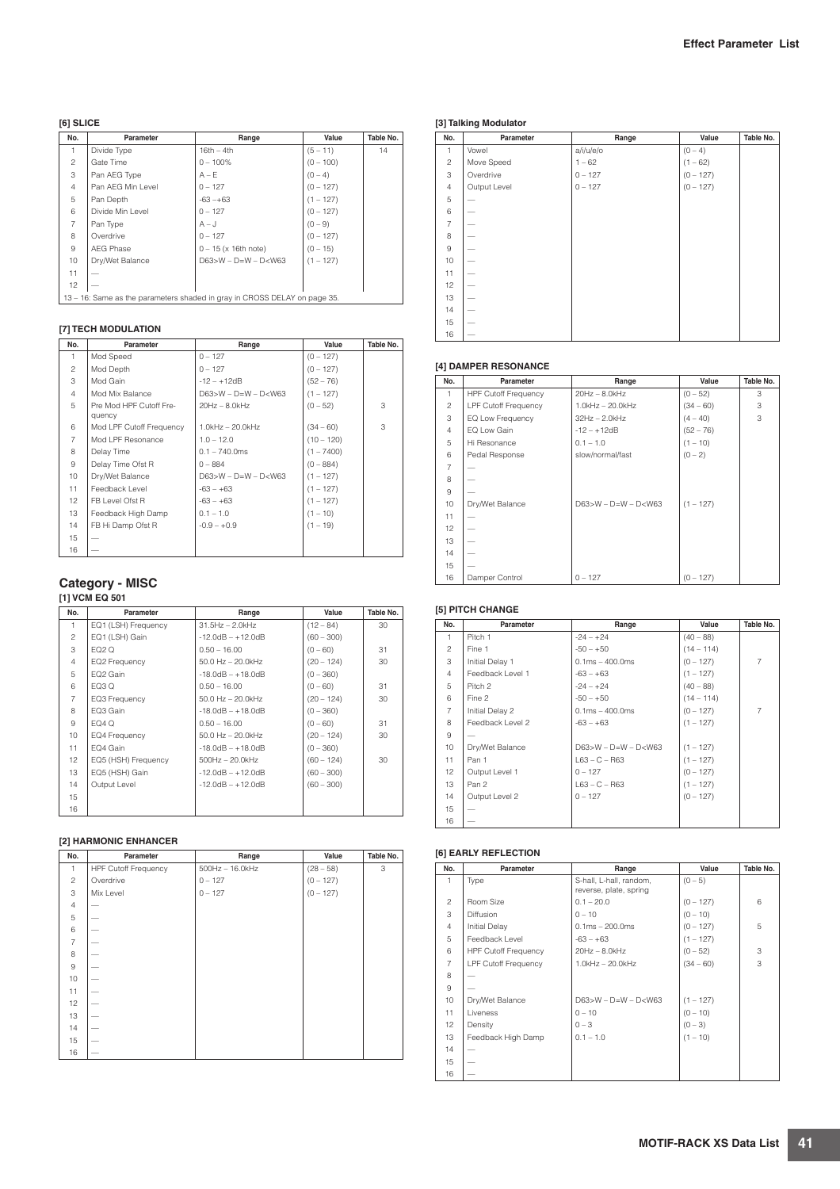### **[6] SLICE**

| No.            | Parameter                                                                 | Range                       | Value       | Table No. |
|----------------|---------------------------------------------------------------------------|-----------------------------|-------------|-----------|
| 1              | Divide Type                                                               | $16th - 4th$                | $(5 - 11)$  | 14        |
| $\overline{c}$ | Gate Time                                                                 | $0 - 100\%$                 | $(0 - 100)$ |           |
| 3              | Pan AEG Type                                                              | $A - F$                     | $(0 - 4)$   |           |
| $\overline{4}$ | Pan AEG Min Level                                                         | $0 - 127$                   | $(0 - 127)$ |           |
| 5              | Pan Depth                                                                 | $-63 - +63$                 | $(1 - 127)$ |           |
| 6              | Divide Min Level                                                          | $0 - 127$                   | $(0 - 127)$ |           |
| 7              | Pan Type                                                                  | $A - J$                     | $(0 - 9)$   |           |
| 8              | Overdrive                                                                 | $0 - 127$                   | $(0 - 127)$ |           |
| 9              | AEG Phase                                                                 | $0 - 15$ (x 16th note)      | $(0 - 15)$  |           |
| 10             | Dry/Wet Balance                                                           | $D63 > W - D = W - D < W63$ | $(1 - 127)$ |           |
| 11             |                                                                           |                             |             |           |
| 12             |                                                                           |                             |             |           |
|                | 13 – 16: Same as the parameters shaded in gray in CROSS DELAY on page 35. |                             |             |           |

### **[7] TECH MODULATION**

| No.            | Parameter                         | Range                     | Value        | Table No. |
|----------------|-----------------------------------|---------------------------|--------------|-----------|
| 1.             | Mod Speed                         | $0 - 127$                 | $(0 - 127)$  |           |
| $\mathfrak{p}$ | Mod Depth                         | $0 - 127$                 | $(0 - 127)$  |           |
| 3              | Mod Gain                          | $-12 - +12dB$             | $(52 - 76)$  |           |
| $\overline{4}$ | Mod Mix Balance                   | $D63 > W - D=W - D < W63$ | $(1 - 127)$  |           |
| 5              | Pre Mod HPF Cutoff Fre-<br>quency | $20Hz - 8.0kHz$           | $(0 - 52)$   | 3         |
| 6              | Mod LPF Cutoff Frequency          | $1.0$ kHz $-$ 20.0kHz     | $(34 - 60)$  | 3         |
| $\overline{7}$ | Mod LPF Resonance                 | $1.0 - 12.0$              | $(10 - 120)$ |           |
| 8              | Delay Time                        | $0.1 - 740.0$ ms          | $(1 - 7400)$ |           |
| 9              | Delay Time Ofst R                 | $0 - 884$                 | $(0 - 884)$  |           |
| 10             | Dry/Wet Balance                   | $D63>W - D=W - D< W63$    | $(1 - 127)$  |           |
| 11             | Feedback Level                    | $-63 - +63$               | $(1 - 127)$  |           |
| 12             | FB Level Ofst R                   | $-63 - +63$               | $(1 - 127)$  |           |
| 13             | Feedback High Damp                | $0.1 - 1.0$               | $(1 - 10)$   |           |
| 14             | FB Hi Damp Ofst R                 | $-0.9 - +0.9$             | $(1 - 19)$   |           |
| 15             |                                   |                           |              |           |
| 16             |                                   |                           |              |           |

### **Category - MISC**

#### **[1] VCM EQ 501**

| No.             | Parameter           | Range               | Value        | Table No. |
|-----------------|---------------------|---------------------|--------------|-----------|
| 1.              | EQ1 (LSH) Frequency | $31.5Hz - 2.0kHz$   | $(12 - 84)$  | 30        |
| $\overline{c}$  | EQ1 (LSH) Gain      | $-12.0dB - +12.0dB$ | $(60 - 300)$ |           |
| 3               | EQ <sub>2</sub> Q   | $0.50 - 16.00$      | $(0 - 60)$   | 31        |
| $\overline{4}$  | EQ2 Frequency       | 50.0 Hz - 20.0kHz   | $(20 - 124)$ | 30        |
| 5               | EQ2 Gain            | $-18.0dB - +18.0dB$ | $(0 - 360)$  |           |
| 6               | EQ3 Q               | $0.50 - 16.00$      | $(0 - 60)$   | 31        |
| $\overline{7}$  | EQ3 Frequency       | 50.0 Hz - 20.0kHz   | $(20 - 124)$ | 30        |
| 8               | EQ3 Gain            | $-18.0dB - +18.0dB$ | $(0 - 360)$  |           |
| 9               | EQ4 Q               | $0.50 - 16.00$      | $(0 - 60)$   | 31        |
| 10              | EQ4 Frequency       | 50.0 Hz - 20.0kHz   | $(20 - 124)$ | 30        |
| 11              | EQ4 Gain            | $-18.0dB - +18.0dB$ | $(0 - 360)$  |           |
| 12 <sup>°</sup> | EQ5 (HSH) Frequency | 500Hz - 20.0kHz     | $(60 - 124)$ | 30        |
| 13              | EQ5 (HSH) Gain      | $-12.0dB - +12.0dB$ | $(60 - 300)$ |           |
| 14              | Output Level        | $-12.0dB - +12.0dB$ | $(60 - 300)$ |           |
| 15              |                     |                     |              |           |
| 16              |                     |                     |              |           |

### **[2] HARMONIC ENHANCER**

| No.            | Parameter                   | Range             | Value       | Table No. |
|----------------|-----------------------------|-------------------|-------------|-----------|
| 1              | <b>HPF Cutoff Frequency</b> | $500Hz - 16.0kHz$ | $(28 - 58)$ | 3         |
| $\overline{c}$ | Overdrive                   | $0 - 127$         | $(0 - 127)$ |           |
| 3              | Mix Level                   | $0 - 127$         | $(0 - 127)$ |           |
| $\overline{4}$ |                             |                   |             |           |
| 5              |                             |                   |             |           |
| 6              |                             |                   |             |           |
| $\overline{7}$ |                             |                   |             |           |
| 8              |                             |                   |             |           |
| $\overline{9}$ |                             |                   |             |           |
| 10             |                             |                   |             |           |
| 11             |                             |                   |             |           |
| 12             |                             |                   |             |           |
| 13             |                             |                   |             |           |
| 14             |                             |                   |             |           |
| 15             |                             |                   |             |           |
| 16             |                             |                   |             |           |

### **[3] Talking Modulator**

| No.            | Parameter    | Range     | Value       | Table No. |
|----------------|--------------|-----------|-------------|-----------|
| 1              | Vowel        | a/i/u/e/o | $(0 - 4)$   |           |
| $\overline{c}$ | Move Speed   | $1 - 62$  | $(1 - 62)$  |           |
| 3              | Overdrive    | $0 - 127$ | $(0 - 127)$ |           |
| $\overline{4}$ | Output Level | $0 - 127$ | $(0 - 127)$ |           |
| 5              |              |           |             |           |
| 6              |              |           |             |           |
| $\overline{7}$ |              |           |             |           |
| 8              |              |           |             |           |
| $\mathsf g$    |              |           |             |           |
| 10             |              |           |             |           |
| 11             |              |           |             |           |
| 12             |              |           |             |           |
| 13             |              |           |             |           |
| 14             |              |           |             |           |
| 15             |              |           |             |           |
| 16             |              |           |             |           |

### **[4] DAMPER RESONANCE**

| No.            | Parameter                   | Range                  | Value       | Table No. |
|----------------|-----------------------------|------------------------|-------------|-----------|
| 1              | <b>HPF Cutoff Frequency</b> | $20Hz - 8.0kHz$        | $(0 - 52)$  | 3         |
| 2              | <b>LPF Cutoff Frequency</b> | $1.0$ kHz $-$ 20.0kHz  | $(34 - 60)$ | 3         |
| 3              | EQ Low Frequency            | $32Hz - 2.0kHz$        | $(4 - 40)$  | 3         |
| $\overline{4}$ | EQ Low Gain                 | $-12 - +12dB$          | $(52 - 76)$ |           |
| 5              | Hi Resonance                | $0.1 - 1.0$            | $(1 - 10)$  |           |
| 6              | Pedal Response              | slow/normal/fast       | $(0 - 2)$   |           |
| $\overline{7}$ |                             |                        |             |           |
| 8              |                             |                        |             |           |
| 9              |                             |                        |             |           |
| 10             | Dry/Wet Balance             | $D63>W - D=W - D< W63$ | $(1 - 127)$ |           |
| 11             |                             |                        |             |           |
| 12             |                             |                        |             |           |
| 13             |                             |                        |             |           |
| 14             |                             |                        |             |           |
| 15             |                             |                        |             |           |
| 16             | Damper Control              | $0 - 127$              | $(0 - 127)$ |           |

### **[5] PITCH CHANGE**

| No.            | Parameter        | Range                  | Value        | Table No.      |
|----------------|------------------|------------------------|--------------|----------------|
| 1              | Pitch 1          | $-24 - +24$            | $(40 - 88)$  |                |
| 2              | Fine 1           | $-50 - +50$            | $(14 - 114)$ |                |
| 3              | Initial Delay 1  | $0.1ms - 400.0ms$      | $(0 - 127)$  | $\overline{7}$ |
| $\overline{4}$ | Feedback Level 1 | $-63 - +63$            | $(1 - 127)$  |                |
| 5              | Pitch 2          | $-24 - +24$            | $(40 - 88)$  |                |
| 6              | Fine 2           | $-50 - +50$            | $(14 - 114)$ |                |
| $\overline{7}$ | Initial Delay 2  | $0.1ms - 400.0ms$      | $(0 - 127)$  | $\overline{7}$ |
| 8              | Feedback Level 2 | $-63 - +63$            | $(1 - 127)$  |                |
| 9              |                  |                        |              |                |
| 10             | Dry/Wet Balance  | $D63>W - D=W - D< W63$ | $(1 - 127)$  |                |
| 11             | Pan 1            | $L63 - C - R63$        | $(1 - 127)$  |                |
| 12             | Output Level 1   | $0 - 127$              | $(0 - 127)$  |                |
| 13             | Pan 2            | $L63 - C - R63$        | $(1 - 127)$  |                |
| 14             | Output Level 2   | $0 - 127$              | $(0 - 127)$  |                |
| 15             |                  |                        |              |                |
| 16             |                  |                        |              |                |

### **[6] EARLY REFLECTION**

| No.            | Parameter                   | Range                                             | Value       | Table No. |
|----------------|-----------------------------|---------------------------------------------------|-------------|-----------|
| 1              | Type                        | S-hall, L-hall, random,<br>reverse, plate, spring | $(0 - 5)$   |           |
| $\overline{c}$ | Room Size                   | $0.1 - 20.0$                                      | $(0 - 127)$ | 6         |
| 3              | Diffusion                   | $0 - 10$                                          | $(0 - 10)$  |           |
| 4              | <b>Initial Delay</b>        | $0.1ms - 200.0ms$                                 | $(0 - 127)$ | 5         |
| 5              | Feedback Level              | $-63 - +63$                                       | $(1 - 127)$ |           |
| 6              | <b>HPF Cutoff Frequency</b> | $20Hz - 8.0kHz$                                   | $(0 - 52)$  | 3         |
| $\overline{7}$ | <b>LPF Cutoff Frequency</b> | 1.0kHz - 20.0kHz                                  | $(34 - 60)$ | 3         |
| 8              |                             |                                                   |             |           |
| 9              |                             |                                                   |             |           |
| 10             | Dry/Wet Balance             | $D63>W - D=W - D< W63$                            | $(1 - 127)$ |           |
| 11             | Liveness                    | $0 - 10$                                          | $(0 - 10)$  |           |
| 12             | Density                     | $0 - 3$                                           | $(0 - 3)$   |           |
| 13             | Feedback High Damp          | $0.1 - 1.0$                                       | $(1 - 10)$  |           |
| 14             |                             |                                                   |             |           |
| 15             |                             |                                                   |             |           |
| 16             |                             |                                                   |             |           |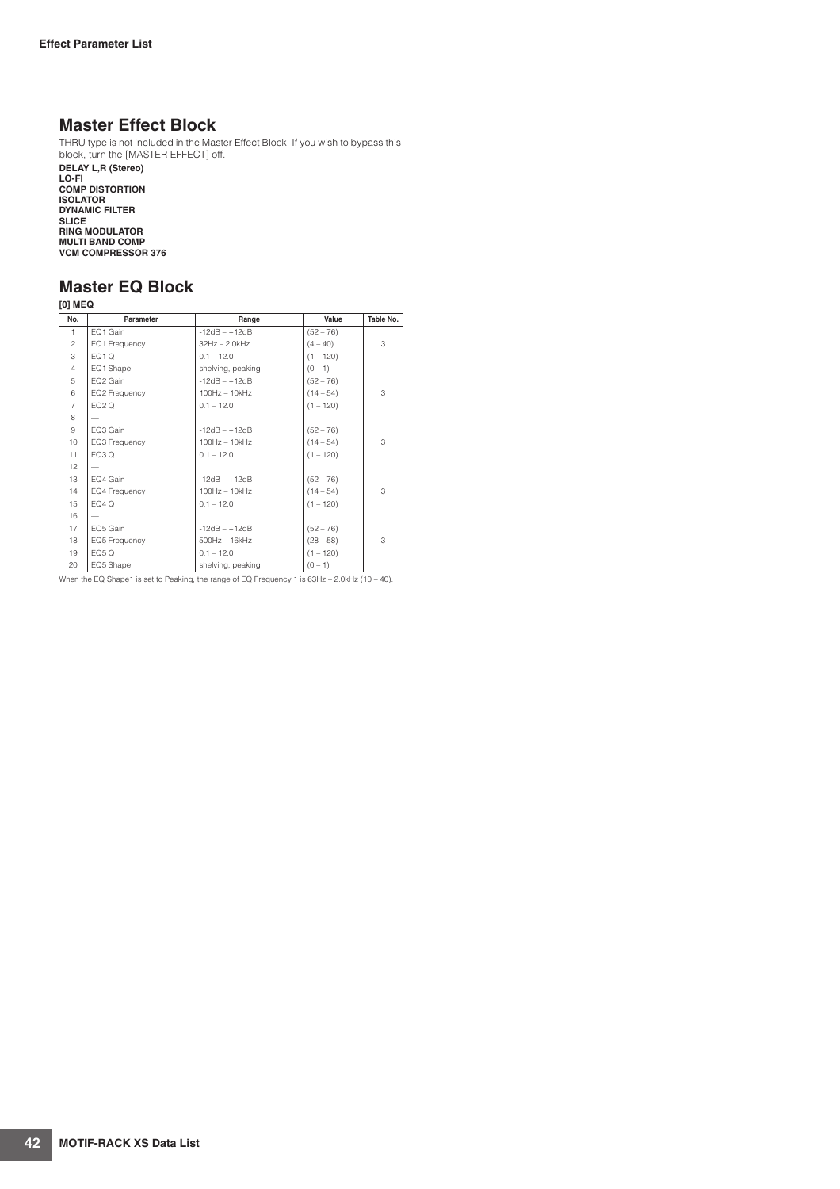### **Master Effect Block**

THRU type is not included in the Master Effect Block. If you wish to bypass this block, turn the [MASTER EFFECT] off.

**DELAY L,R (Stereo) LO-FI COMP DISTORTION ISOLATOR DYNAMIC FILTER SLICE RING MODULATOR MULTI BAND COMP VCM COMPRESSOR 376**

### **Master EQ Block**

### **[0] MEQ**

| No.            | Parameter         | Range             | Value       | Table No. |
|----------------|-------------------|-------------------|-------------|-----------|
| $\mathbf{1}$   | EQ1 Gain          | $-12dB - +12dB$   | $(52 - 76)$ |           |
| $\overline{c}$ | EQ1 Frequency     | $32Hz - 2.0kHz$   | $(4 - 40)$  | 3         |
| 3              | EQ <sub>1</sub> Q | $0.1 - 12.0$      | $(1 - 120)$ |           |
| $\overline{4}$ | EQ1 Shape         | shelving, peaking | $(0 - 1)$   |           |
| 5              | EQ2 Gain          | $-12dB - +12dB$   | $(52 - 76)$ |           |
| 6              | EQ2 Frequency     | $100Hz - 10kHz$   | $(14 - 54)$ | 3         |
| $\overline{7}$ | EQ <sub>2</sub> Q | $0.1 - 12.0$      | $(1 - 120)$ |           |
| 8              |                   |                   |             |           |
| 9              | EQ3 Gain          | $-12dB - +12dB$   | $(52 - 76)$ |           |
| 10             | EQ3 Frequency     | $100Hz - 10kHz$   | $(14 - 54)$ | 3         |
| 11             | EQ3 Q             | $0.1 - 12.0$      | $(1 - 120)$ |           |
| 12             |                   |                   |             |           |
| 13             | EQ4 Gain          | $-12dB - +12dB$   | $(52 - 76)$ |           |
| 14             | EQ4 Frequency     | $100Hz - 10kHz$   | $(14 - 54)$ | 3         |
| 15             | FO4O              | $0.1 - 12.0$      | $(1 - 120)$ |           |
| 16             |                   |                   |             |           |
| 17             | EQ5 Gain          | $-12dB - +12dB$   | $(52 - 76)$ |           |
| 18             | EQ5 Frequency     | $500Hz - 16kHz$   | $(28 - 58)$ | 3         |
| 19             | EQ5 Q             | $0.1 - 12.0$      | $(1 - 120)$ |           |
| 20             | EQ5 Shape         | shelving, peaking | $(0 - 1)$   |           |

When the EQ Shape1 is set to Peaking, the range of EQ Frequency 1 is 63Hz – 2.0kHz (10 – 40).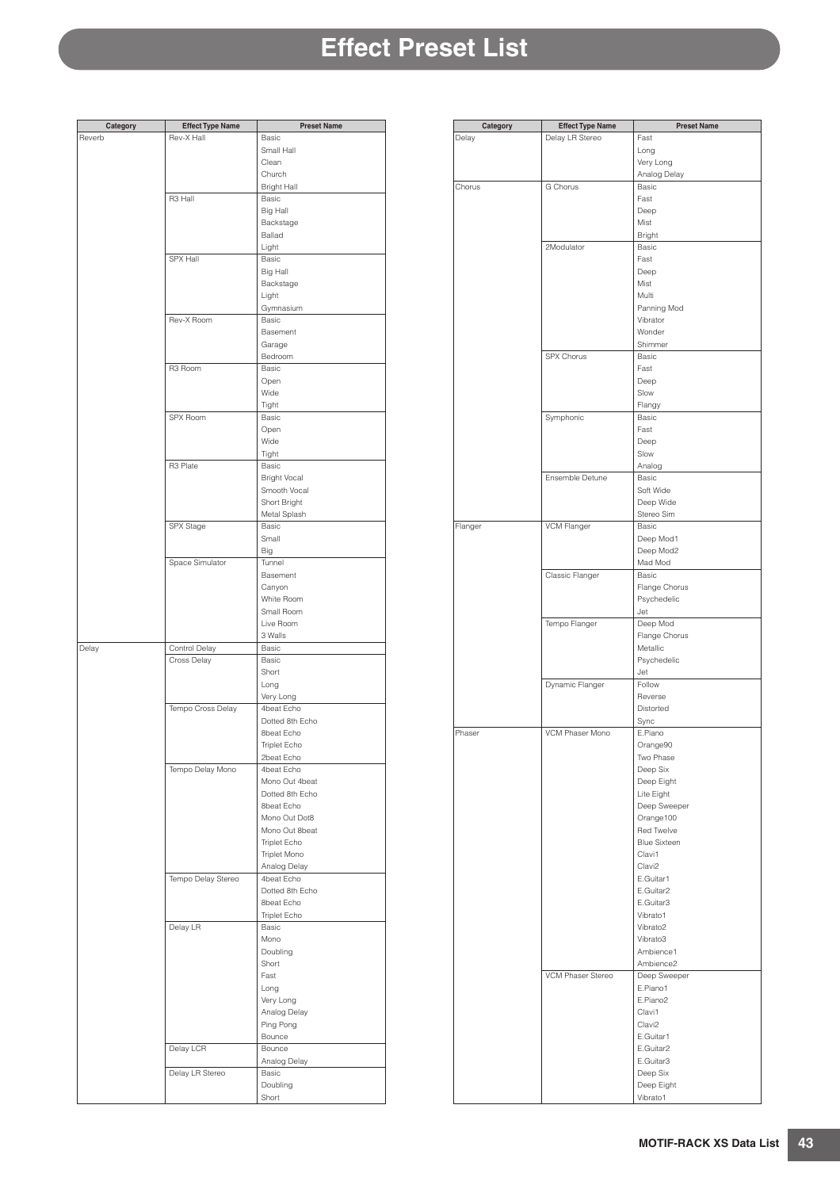# **Effect Preset List**

| Category | <b>Effect Type Name</b> | <b>Preset Name</b>    |
|----------|-------------------------|-----------------------|
| Reverb   | Rev-X Hall              | Basic                 |
|          |                         | Small Hall            |
|          |                         | Clean                 |
|          |                         | Church                |
|          |                         | <b>Bright Hall</b>    |
|          | R3 Hall                 | Basic                 |
|          |                         | Big Hall              |
|          |                         | Backstage             |
|          |                         | Ballad                |
|          |                         | Light                 |
|          | SPX Hall                | Basic                 |
|          |                         | <b>Big Hall</b>       |
|          |                         | Backstage             |
|          |                         |                       |
|          |                         | Light                 |
|          | Rev-X Room              | Gymnasium             |
|          |                         | Basic                 |
|          |                         | Basement              |
|          |                         | Garage                |
|          |                         | Bedroom               |
|          | R3 Room                 | Basic                 |
|          |                         | Open                  |
|          |                         | Wide                  |
|          |                         | Tight                 |
|          | SPX Room                | Basic                 |
|          |                         | Open                  |
|          |                         | Wide                  |
|          |                         | Tight                 |
|          | R3 Plate                | Basic                 |
|          |                         | <b>Bright Vocal</b>   |
|          |                         | Smooth Vocal          |
|          |                         | Short Bright          |
|          |                         | Metal Splash          |
|          | SPX Stage               | Basic                 |
|          |                         | Small                 |
|          |                         | Big                   |
|          | Space Simulator         | Tunnel                |
|          |                         | Basement              |
|          |                         |                       |
|          |                         | Canyon                |
|          |                         | White Room            |
|          |                         | Small Room            |
|          |                         | Live Room             |
|          |                         | 3 Walls               |
| Delay    | Control Delay           | Basic                 |
|          | Cross Delay             | Basic                 |
|          |                         | Short                 |
|          |                         | Long                  |
|          |                         | Very Long             |
|          | Tempo Cross Delay       | 4beat Echo            |
|          |                         | Dotted 8th Echo       |
|          |                         | 8beat Echo            |
|          |                         | Triplet Echo          |
|          |                         | 2beat Echo            |
|          | Tempo Delay Mono        | 4beat Echo            |
|          |                         | Mono Out 4beat        |
|          |                         | Dotted 8th Echo       |
|          |                         | 8beat Echo            |
|          |                         | Mono Out Dot8         |
|          |                         | Mono Out 8beat        |
|          |                         | Triplet Echo          |
|          |                         | Triplet Mono          |
|          |                         | Analog Delay          |
|          | Tempo Delay Stereo      | 4beat Echo            |
|          |                         | Dotted 8th Echo       |
|          |                         | 8beat Echo            |
|          |                         |                       |
|          |                         | Triplet Echo<br>Basic |
|          | Delay LR                |                       |
|          |                         | Mono                  |
|          |                         | Doubling              |
|          |                         | Short                 |
|          |                         | Fast                  |
|          |                         | Long                  |
|          |                         | Very Long             |
|          |                         | Analog Delay          |
|          |                         | Ping Pong             |
|          |                         | Bounce                |
|          | Delay LCR               | Bounce                |
|          |                         | Analog Delay          |
|          | Delay LR Stereo         | Basic                 |
|          |                         | Doubling              |
|          |                         | Short                 |
|          |                         |                       |

|                   | <b>Effect Type Name</b> | <b>Preset Name</b>       |
|-------------------|-------------------------|--------------------------|
| Category<br>Delay | Delay LR Stereo         | Fast                     |
|                   |                         | Long                     |
|                   |                         | Very Long                |
|                   |                         | Analog Delay             |
| Chorus            | G Chorus                | Basic                    |
|                   |                         | Fast                     |
|                   |                         | Deep                     |
|                   |                         | Mist                     |
|                   |                         | Bright                   |
|                   | 2Modulator              | Basic                    |
|                   |                         | Fast                     |
|                   |                         | Deep                     |
|                   |                         | Mist                     |
|                   |                         | Multi                    |
|                   |                         | Panning Mod              |
|                   |                         | Vibrator                 |
|                   |                         | Wonder                   |
|                   |                         | Shimmer                  |
|                   | <b>SPX Chorus</b>       | Basic                    |
|                   |                         | Fast                     |
|                   |                         | Deep                     |
|                   |                         | Slow                     |
|                   |                         | Flangy                   |
|                   | Symphonic               | Basic                    |
|                   |                         | Fast                     |
|                   |                         | Deep                     |
|                   |                         | Slow                     |
|                   |                         | Analog                   |
|                   | Ensemble Detune         | Basic                    |
|                   |                         | Soft Wide                |
|                   |                         | Deep Wide                |
|                   |                         | Stereo Sim               |
| Flanger           | VCM Flanger             | Basic                    |
|                   |                         | Deep Mod1                |
|                   |                         | Deep Mod2<br>Mad Mod     |
|                   | Classic Flanger         | Basic                    |
|                   |                         | Flange Chorus            |
|                   |                         | Psychedelic              |
|                   |                         | Jet                      |
|                   | Tempo Flanger           | Deep Mod                 |
|                   |                         | Flange Chorus            |
|                   |                         | Metallic                 |
|                   |                         | Psychedelic              |
|                   |                         | Jet                      |
|                   | Dynamic Flanger         | Follow                   |
|                   |                         | Reverse                  |
|                   |                         | Distorted                |
|                   |                         | Sync                     |
| Phaser            | VCM Phaser Mono         | E.Piano                  |
|                   |                         | Orange90<br>Two Phase    |
|                   |                         | Deep Six                 |
|                   |                         | Deep Eight               |
|                   |                         | Lite Eight               |
|                   |                         | Deep Sweeper             |
|                   |                         | Orange100                |
|                   |                         | Red Twelve               |
|                   |                         | <b>Blue Sixteen</b>      |
|                   |                         | Clavi1                   |
|                   |                         | Clavi2                   |
|                   |                         | E.Guitar1                |
|                   |                         | E.Guitar2                |
|                   |                         | E.Guitar3                |
|                   |                         | Vibrato1                 |
|                   |                         | Vibrato <sub>2</sub>     |
|                   |                         | Vibrato3                 |
|                   |                         | Ambience1                |
|                   | VCM Phaser Stereo       | Ambience2                |
|                   |                         | Deep Sweeper<br>E.Piano1 |
|                   |                         | E.Piano2                 |
|                   |                         | Clavi1                   |
|                   |                         | Clavi2                   |
|                   |                         | E.Guitar1                |
|                   |                         | E.Guitar2                |
|                   |                         | E.Guitar3                |
|                   |                         | Deep Six                 |
|                   |                         | Deep Eight               |
|                   |                         | Vibrato1                 |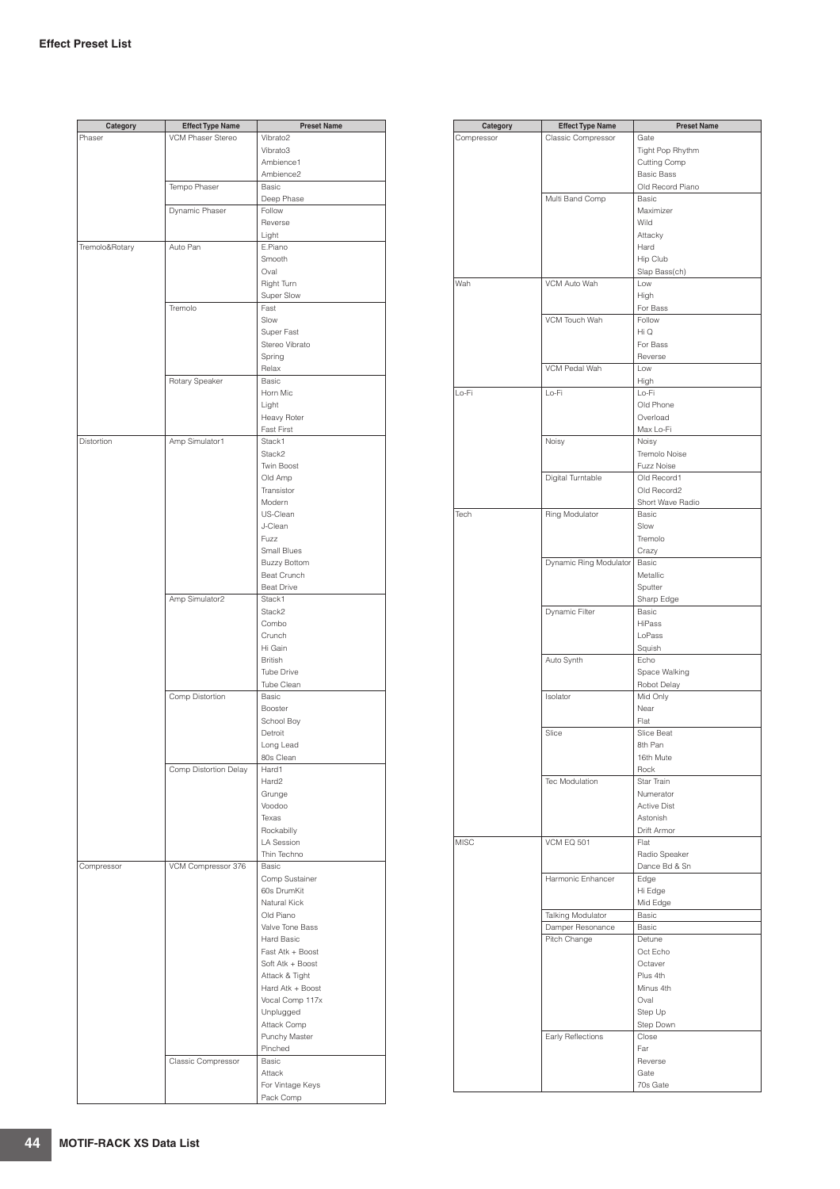| Category       | <b>Effect Type Name</b> | <b>Preset Name</b>   |
|----------------|-------------------------|----------------------|
| Phaser         | VCM Phaser Stereo       | Vibrato <sub>2</sub> |
|                |                         | Vibrato3             |
|                |                         | Ambience1            |
|                |                         | Ambience2            |
|                | Tempo Phaser            | Basic                |
|                |                         | Deep Phase           |
|                | Dynamic Phaser          | Follow               |
|                |                         | Reverse              |
|                |                         | Light                |
| Tremolo&Rotary | Auto Pan                | E.Piano              |
|                |                         | Smooth               |
|                |                         | Oval                 |
|                |                         | Right Turn           |
|                |                         | Super Slow           |
|                | Tremolo                 | Fast                 |
|                |                         | Slow                 |
|                |                         | Super Fast           |
|                |                         | Stereo Vibrato       |
|                |                         | Spring<br>Relax      |
|                | Rotary Speaker          | Basic                |
|                |                         | Horn Mic             |
|                |                         | Light                |
|                |                         | Heavy Roter          |
|                |                         | Fast First           |
| Distortion     | Amp Simulator1          | Stack1               |
|                |                         | Stack2               |
|                |                         | Twin Boost           |
|                |                         | Old Amp              |
|                |                         | Transistor           |
|                |                         | Modern               |
|                |                         | US-Clean             |
|                |                         | J-Clean              |
|                |                         | Fuzz                 |
|                |                         | Small Blues          |
|                |                         | <b>Buzzy Bottom</b>  |
|                |                         | Beat Crunch          |
|                |                         | <b>Beat Drive</b>    |
|                | Amp Simulator2          | Stack1               |
|                |                         | Stack2               |
|                |                         | Combo                |
|                |                         | Crunch               |
|                |                         | Hi Gain              |
|                |                         | <b>British</b>       |
|                |                         | <b>Tube Drive</b>    |
|                |                         | Tube Clean           |
|                | Comp Distortion         | Basic                |
|                |                         | Booster              |
|                |                         | School Boy           |
|                |                         | Detroit              |
|                |                         | Long Lead            |
|                |                         | 80s Clean            |
|                | Comp Distortion Delay   | Hard1                |
|                |                         | Hard2                |
|                |                         | Grunge               |
|                |                         | Voodoo               |
|                |                         | Texas                |
|                |                         | Rockabilly           |
|                |                         | LA Session           |
|                |                         | Thin Techno          |
| Compressor     | VCM Compressor 376      | Basic                |
|                |                         | Comp Sustainer       |
|                |                         | 60s DrumKit          |
|                |                         | Natural Kick         |
|                |                         | Old Piano            |
|                |                         | Valve Tone Bass      |
|                |                         | Hard Basic           |
|                |                         | Fast Atk + Boost     |
|                |                         | Soft Atk + Boost     |
|                |                         | Attack & Tight       |
|                |                         | Hard Atk + Boost     |
|                |                         | Vocal Comp 117x      |
|                |                         | Unplugged            |
|                |                         | Attack Comp          |
|                |                         | Punchy Master        |
|                |                         | Pinched              |
|                | Classic Compressor      | Basic                |
|                |                         | Attack               |
|                |                         | For Vintage Keys     |
|                |                         | Pack Comp            |

| Category    | <b>Effect Type Name</b>               | <b>Preset Name</b>  |
|-------------|---------------------------------------|---------------------|
| Compressor  | Classic Compressor                    | Gate                |
|             |                                       | Tight Pop Rhythm    |
|             |                                       | <b>Cutting Comp</b> |
|             |                                       | <b>Basic Bass</b>   |
|             |                                       | Old Record Piano    |
|             | Multi Band Comp                       | Basic               |
|             |                                       | Maximizer           |
|             |                                       | Wild                |
|             |                                       | Attacky             |
|             |                                       | Hard<br>Hip Club    |
|             |                                       | Slap Bass(ch)       |
| Wah         | VCM Auto Wah                          | Low                 |
|             |                                       | High                |
|             |                                       | For Bass            |
|             | VCM Touch Wah                         | Follow              |
|             |                                       | Hi Q                |
|             |                                       | For Bass            |
|             |                                       | Reverse             |
|             | VCM Pedal Wah                         | Low                 |
|             |                                       | High                |
| Lo-Fi       | Lo-Fi                                 | Lo-Fi               |
|             |                                       | Old Phone           |
|             |                                       | Overload            |
|             | Noisy                                 | Max Lo-Fi<br>Noisy  |
|             |                                       | Tremolo Noise       |
|             |                                       | Fuzz Noise          |
|             | Digital Turntable                     | Old Record1         |
|             |                                       | Old Record2         |
|             |                                       | Short Wave Radio    |
| Tech        | Ring Modulator                        | Basic               |
|             |                                       | Slow                |
|             |                                       | Tremolo             |
|             |                                       | Crazy               |
|             | Dynamic Ring Modulator   Basic        |                     |
|             |                                       | Metallic            |
|             |                                       | Sputter             |
|             | Dynamic Filter                        | Sharp Edge<br>Basic |
|             |                                       | HiPass              |
|             |                                       | LoPass              |
|             |                                       | Squish              |
|             | Auto Synth                            | Echo                |
|             |                                       | Space Walking       |
|             |                                       | Robot Delay         |
|             | Isolator                              | Mid Only            |
|             |                                       | Near                |
|             |                                       | Flat                |
|             | Slice                                 | Slice Beat          |
|             |                                       | 8th Pan             |
|             |                                       | 16th Mute<br>Rock   |
|             | Tec Modulation                        | Star Train          |
|             |                                       | Numerator           |
|             |                                       | <b>Active Dist</b>  |
|             |                                       | Astonish            |
|             |                                       | Drift Armor         |
| <b>MISC</b> | VCM EQ 501                            | Flat                |
|             |                                       | Radio Speaker       |
|             |                                       | Dance Bd & Sn       |
|             | Harmonic Enhancer                     | Edge                |
|             |                                       | Hi Edge             |
|             |                                       | Mid Edge            |
|             | Talking Modulator<br>Damper Resonance | Basic<br>Basic      |
|             | Pitch Change                          | Detune              |
|             |                                       | Oct Echo            |
|             |                                       | Octaver             |
|             |                                       | Plus 4th            |
|             |                                       | Minus 4th           |
|             |                                       | Oval                |
|             |                                       | Step Up             |
|             |                                       | Step Down           |
|             | Early Reflections                     | Close               |
|             |                                       | Far                 |
|             |                                       | Reverse             |
|             |                                       | Gate                |
|             |                                       | 70s Gate            |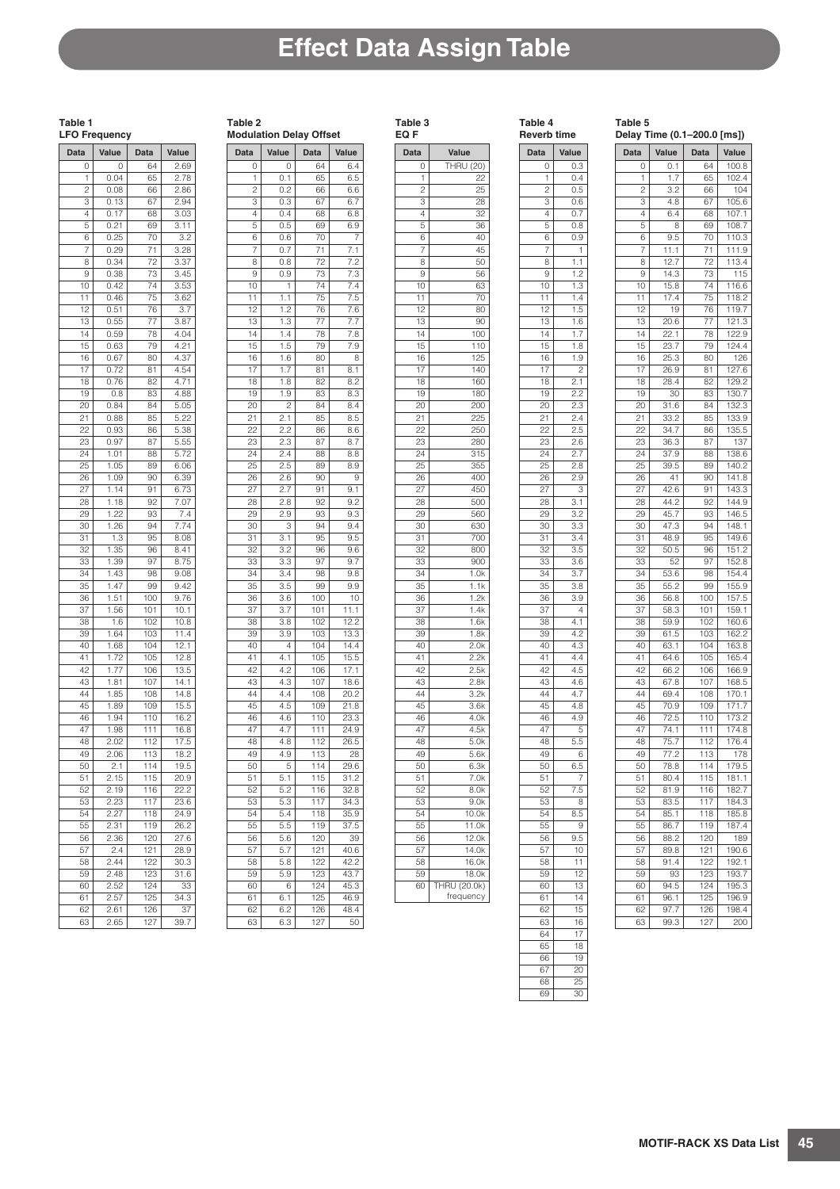# **Effect Data Assign Table**

#### **Table 1 LFO Frequency**

| Data           | Value | Data    | Value |
|----------------|-------|---------|-------|
| 0              | 0     | 64      | 2.69  |
| 1              | 0.04  | 65      | 2.78  |
| 2              | 0.08  | 66      | 2.86  |
| 3              | 0.13  | 67      | 2.94  |
| $\overline{4}$ | 0.17  | 68      | 3.03  |
| 5              | 0.21  | 69      | 3.11  |
| 6              | 0.25  | 70      | 3.2   |
| 7              | 0.29  | 71      | 3.28  |
| 8              | 0.34  | 72      | 3.37  |
| 9              | 0.38  | 73      | 3.45  |
| 10             | 0.42  | 74      | 3.53  |
| 11             | 0.46  | 75      | 3.62  |
| 12             | 0.51  | 76      | 3.7   |
| 13             | 0.55  | 77      | 3.87  |
| 14             | 0.59  | 78      | 4.04  |
|                |       | 79      |       |
| 15             | 0.63  |         | 4.21  |
| 16             | 0.67  | 80      | 4.37  |
| 17             | 0.72  | 81      | 4.54  |
| 18             | 0.76  | 82      | 4.71  |
| 19             | 0.8   | 83      | 4.88  |
| 20             | 0.84  | 84      | 5.05  |
| 21             | 0.88  | 85      | 5.22  |
| 22             | 0.93  | 86      | 5.38  |
| 23             | 0.97  | 87      | 5.55  |
| 24             | 1.01  | 88      | 5.72  |
| 25             | 1.05  | 89      | 6.06  |
| 26             | 1.09  | 90      | 6.39  |
| 27             | 1.14  | 91      | 6.73  |
| 28             | 1.18  | 92      | 7.07  |
| 29             | 1.22  | 93      | 7.4   |
| 30             | 1.26  | 94      | 7.74  |
| 31             | 1.3   | 95      | 8.08  |
| 32             | 1.35  | 96      | 8.41  |
| 33             | 1.39  | 97      | 8.75  |
| 34             | 1.43  | 98      | 9.08  |
| 35             | 1.47  | 99      | 9.42  |
| 36             | 1.51  | 100     | 9.76  |
| 37             | 1.56  | 101     | 10.1  |
| 38             | 1.6   | 102     | 10.8  |
| 39             | 1.64  | 103     | 11.4  |
| 40             | 1.68  | 104     | 12.1  |
| 41             | 1.72  | 105     | 12.8  |
| 42             | 1.77  | 106     | 13.5  |
| 43             | 1.81  | 107     | 14.1  |
|                |       |         |       |
| 44             | 1.85  | 108     | 14.8  |
| 45             | 1.89  | 109     | 15.5  |
| 46             | 1.94  | 110     | 16.2  |
| 47             | 1.98  | 111     | 16.8  |
| 48             | 2.02  | 112     | 17.5  |
| 49             | 2.06  | 113     | 18.2  |
| 50             | 2.1   | 1<br>14 | 19.5  |
| 51             | 2.15  | 115     | 20.9  |
| 52             | 2.19  | 116     | 22.2  |
| 53             | 2.23  | 117     | 23.6  |
| 54             | 2.27  | 118     | 24.9  |
| 55             | 2.31  | 119     | 26.2  |
| 56             | 2.36  | 120     | 27.6  |
| 57             | 2.4   | 121     | 28.9  |
| 58             | 2.44  | 122     | 30.3  |
| 59             | 2.48  | 123     | 31.6  |
| 60             | 2.52  | 124     | 33    |
| 61             | 2.57  | 125     | 34.3  |
| 62             | 2.61  | 126     | 37    |
| 63             | 2.65  | 127     | 39.7  |
|                |       |         |       |

| Table 2                        |  |
|--------------------------------|--|
| <b>Modulation Delay Offset</b> |  |

**Data Value Data Value** 0 0 64 6.4<br>1 0.1 65 6.5  $0.1$ 2 0.2 66 6.6 3 0.3 67 6.7 4 0.4 68 6.8<br>5 0.5 69 6.9 5 0.5 69 6.9 6 0.6 70 7<br>7 0.7 71 7.1 7 0.7 71 7.1 8 0.8 72 7.2<br>9 0.9 73 7.3 9 0.9 73<br>10 1 74

1 74 7.4<br>1 75 7.5 11 1.1 75 7.5<br>12 1.2 76 7.6<br>13 1.3 77 7.7 12 1.2 76 7.6 13 77 7.7 14 1.4 78 7.8<br>15 1.5 79 7.9 15 1.5 79 7.9<br>16 1.6 80 8<br>17 1.7 81 8.1 1.6 80 8<br>1.7 81 8.1

18 1.8 82 8.2<br>19 1.9 83 8.3  $1.9$  83 20 2 84 8.4<br>21 2.1 85 8.5<br>22 2.2 86 8.6 2.1 85 8.5<br>2.2 86 8.6 22 2.2 86 8.6<br>23 2.3 87 8.7 23 2.3 87 8.7<br>24 2.4 88 8.8<br>25 2.5 89 8.9 2.4 88 25 2.5 89 8.9<br>26 2.6 90 9 26 2.6 90 9 27 2.7 91 9.1<br>28 2.8 92 9.2<br>29 2.9 93 9.3 28 2.8 92 9.2 29 2.9 93 9.3 30 3 94 9.4<br>31 3.1 95 9.5 31 3.1 95 9.5<br>32 3.2 96 9.6 32 3.2 96 9.6<br>33 3.3 97 9.7  $3.3$ 34 3.4 98 9.8 35 3.5 99 9.9<br>36 3.6 100 10 36 3.6 100<br>37 3.7 101

38 3.8 102 12.2<br>39 3.9 103 13.3 39 3.9 103 13.3 40 4 104 14.4<br>41 4.1 105 15.5 41 4.1 105 15.5<br>42 4.2 106 17.1 42 4.2 106<br>43 4.3 107 43 4.3 107 18.6<br>44 4.4 108 20.2 44 4.4 108 20.2<br>45 4.5 109 21.8 45 4.5 109 21.8<br>46 4.6 110 23.3 46 4.6 110 23.3<br>47 4.7 111 24.9 47 4.7 111 24.9<br>48 4.8 112 26.5 48 4.8 112 26.5 49 4.9 113 28 50 5 114 29.6<br>51 5.1 115 31.2 51 5.1 115 31.2 52 5.2 116 32.8 53 5.3 117 34.3 54 5.4 118 35.9 55 5.5 119 37.5 56 5.6 120 39 57 5.7 121 40.6 58 5.8 122 42.2  $\frac{59}{60}$   $\frac{6.9}{6}$   $\frac{123}{123}$   $\frac{43.7}{45.3}$ 60 6 124 61 6.1 125 46.9 62 6.2 126 48.4 63 127

 $\frac{1}{8.1}$ 

 $\overline{11.1}$ 

#### **Table 3 EQ F**

| Data | Value                  |
|------|------------------------|
| 0    | THRU (20)              |
| 1    | 22                     |
| 2    | 25                     |
| 3    | 28                     |
| 4    | 32                     |
|      |                        |
| 5    | 36                     |
| 6    | 40                     |
| 7    | 45                     |
| 8    | 50                     |
| 9    | 56                     |
| 10   | 63                     |
| 11   | 70                     |
| 12   | 80                     |
| 13   | 90                     |
|      |                        |
| 14   | 100                    |
| 15   | 110                    |
| 16   | 125                    |
| 17   | 140                    |
| 18   | 160                    |
| 19   | 180                    |
| 20   | 200                    |
| 21   | 225                    |
| 22   | 250                    |
|      |                        |
| 23   | 280                    |
| 24   | 315                    |
| 25   | 355                    |
| 26   | 400                    |
| 27   | 450                    |
| 28   | 500                    |
| 29   | 560                    |
| 30   | 630                    |
| 31   | 700                    |
| 32   | 800                    |
| 33   | 900                    |
|      |                        |
| 34   | 1.0k                   |
| 35   | 1.1k                   |
| 36   | 1.2k                   |
| 37   | 1.4k                   |
| 38   | 1.6k                   |
| 39   | 1.8k                   |
| 40   | 2.0k                   |
| 41   | 2.2k                   |
| 42   | 2.5k                   |
| 43   | 2.8k                   |
|      |                        |
| 44   | 3.2k                   |
| 45   | 3.6k                   |
| 46   | 4.0k                   |
| 47   | 4.5k                   |
| 48   | 5.0k                   |
| 49   | 5.6k                   |
| 50   | 6.3k                   |
| 51   | 7.0k                   |
| 52   | 8.0k                   |
| 53   | 9.0k                   |
| 54   |                        |
|      | 10.0k                  |
| 55   | $\overline{1}$ 1.0 $k$ |
| 56   | 12.0k                  |
| 57   | 14.0k                  |
| 58   | 16.0k                  |
| 59   | 18.0k                  |
| 60   | THRU (20.0k)           |
|      | frequency              |
|      |                        |

| Reverb time           |                                      |
|-----------------------|--------------------------------------|
| Data                  | Value                                |
| 0                     | 0.3                                  |
| 1<br>$\overline{c}$   | 0.4                                  |
| 3                     | 0.5<br>0.6                           |
| 4                     | 0.7                                  |
| 5                     | 0.8                                  |
| 6                     | 0.9                                  |
| 7                     | 1                                    |
| 8                     | 1.1                                  |
| 9<br>10               | $1.\overline{2}$<br>1.3              |
| 11                    | 1.4                                  |
| 12                    | 1.5                                  |
| 13                    | 1.6                                  |
| 14<br>15              | 1.7                                  |
| 16                    | $\overline{1.8}$<br>1.9              |
| 17                    | 2                                    |
| 18                    | 2.1                                  |
| 19                    | 2.2                                  |
| 20                    | 2.3                                  |
| $\overline{21}$<br>22 | $\overline{2}.4$<br>$2.\overline{5}$ |
| 23                    | 2.6                                  |
| 24                    | $\overline{2.7}$                     |
| 25                    | 2.8                                  |
| 26                    | 2.9                                  |
| 27<br>28              | 3                                    |
| 29                    | 3.1<br>3.2                           |
| 30                    | 3.3                                  |
| 31                    | 3.4                                  |
| 32                    | 3.5                                  |
| 33<br>34              | $\bar{3}.6$<br>3.7                   |
| 35                    | 3.8                                  |
| 36                    | 3.9                                  |
| 37                    | $\overline{4}$                       |
| 38<br>39              | 4.1<br>4.2                           |
| 40                    | 4.3                                  |
| 41                    | 4.4                                  |
| 42                    | 4.5                                  |
| 43                    | 4.6                                  |
| 44<br>45              | 4.7<br>4.8                           |
| 46                    | 4.9                                  |
| 47                    | 5                                    |
| 48                    | $\overline{5.5}$                     |
| 49                    | 6                                    |
| 50<br>51              | 6.5<br>7                             |
| 52                    | 7.5                                  |
| 53                    | 8                                    |
| 54                    | 8.5                                  |
| 55<br>56              | 9<br>9.5                             |
| 57                    | 10                                   |
| 58                    | 11                                   |
| 59                    | 12                                   |
| 60                    | 13                                   |
| 61                    | 14                                   |
| 62<br>63              | 15<br>16                             |
| 64                    | 17                                   |
| 65                    | 18                                   |
| 66                    | 19                                   |
| 67<br>68              | 20<br>25                             |
| 69                    | 30                                   |
|                       |                                      |

**Table 4**

| Value<br>Data<br>$6\overline{4}$<br>0.1<br>0<br>1<br>1.7<br>65<br>2<br>3.2<br>3<br>4.8<br>4<br>6.4<br>5<br>8<br>9.5<br>6<br>11.1<br>7<br>8<br>12.7<br>9<br>14.3<br>15.8<br>10<br>11<br>17.4<br>12<br>19<br>13<br>20.6<br>14<br>22.1<br>15<br>23.7<br>16<br>25.3<br>17<br>26.9<br>18<br>28.4<br>19<br>30<br>20<br>31.6<br>21<br>33.2<br>22<br>34.7<br>23<br>36.3<br>87<br>24<br>37.9<br>25<br>39.5<br>41<br>90<br>26<br>27<br>42.6<br>91<br>28<br>44.2<br>92<br>29<br>45.7<br>93<br>30<br>47.3<br>94<br>31<br>48.9<br>95<br>32<br>50.5<br>96<br>33<br>52<br>97<br>34<br>53.6<br>98<br>35<br>55.2<br>99<br>36<br>56.8<br>100<br>37<br>58.3<br>101<br>59.9<br>102<br>38<br>39<br>61.5<br>103<br>40<br>63.1<br>104<br>41<br>64.6<br>105<br>42<br>66.2<br>43<br>67.8<br>107<br>44<br>69.4<br>108<br>45<br>70.9<br>72.5<br>46<br>47<br>74.1<br>111<br>.<br>75.7<br>112<br>48<br>77.2<br>113<br>49<br>50<br>78.8<br>114<br>51<br>80.4<br>115<br>52<br>81.9<br>116<br>53<br>83.5<br>117<br>85.1<br>$\overline{1}$ 18<br>54<br>55<br>86.7<br>119 | Value<br>100.8 | Data |  |
|-----------------------------------------------------------------------------------------------------------------------------------------------------------------------------------------------------------------------------------------------------------------------------------------------------------------------------------------------------------------------------------------------------------------------------------------------------------------------------------------------------------------------------------------------------------------------------------------------------------------------------------------------------------------------------------------------------------------------------------------------------------------------------------------------------------------------------------------------------------------------------------------------------------------------------------------------------------------------------------------------------------------------------------------|----------------|------|--|
|                                                                                                                                                                                                                                                                                                                                                                                                                                                                                                                                                                                                                                                                                                                                                                                                                                                                                                                                                                                                                                         |                |      |  |
|                                                                                                                                                                                                                                                                                                                                                                                                                                                                                                                                                                                                                                                                                                                                                                                                                                                                                                                                                                                                                                         | 102.4          |      |  |
|                                                                                                                                                                                                                                                                                                                                                                                                                                                                                                                                                                                                                                                                                                                                                                                                                                                                                                                                                                                                                                         | 104            | 66   |  |
|                                                                                                                                                                                                                                                                                                                                                                                                                                                                                                                                                                                                                                                                                                                                                                                                                                                                                                                                                                                                                                         | 105.6          | 67   |  |
|                                                                                                                                                                                                                                                                                                                                                                                                                                                                                                                                                                                                                                                                                                                                                                                                                                                                                                                                                                                                                                         | 107.1          | 68   |  |
|                                                                                                                                                                                                                                                                                                                                                                                                                                                                                                                                                                                                                                                                                                                                                                                                                                                                                                                                                                                                                                         | 108.7          | 69   |  |
|                                                                                                                                                                                                                                                                                                                                                                                                                                                                                                                                                                                                                                                                                                                                                                                                                                                                                                                                                                                                                                         | 110.3          | 70   |  |
|                                                                                                                                                                                                                                                                                                                                                                                                                                                                                                                                                                                                                                                                                                                                                                                                                                                                                                                                                                                                                                         | 111.9          | 71   |  |
|                                                                                                                                                                                                                                                                                                                                                                                                                                                                                                                                                                                                                                                                                                                                                                                                                                                                                                                                                                                                                                         | 113.4          | 72   |  |
|                                                                                                                                                                                                                                                                                                                                                                                                                                                                                                                                                                                                                                                                                                                                                                                                                                                                                                                                                                                                                                         | 115            | 73   |  |
|                                                                                                                                                                                                                                                                                                                                                                                                                                                                                                                                                                                                                                                                                                                                                                                                                                                                                                                                                                                                                                         | 116.6          | 74   |  |
|                                                                                                                                                                                                                                                                                                                                                                                                                                                                                                                                                                                                                                                                                                                                                                                                                                                                                                                                                                                                                                         | 118.2          | 75   |  |
|                                                                                                                                                                                                                                                                                                                                                                                                                                                                                                                                                                                                                                                                                                                                                                                                                                                                                                                                                                                                                                         | 119.7          | 76   |  |
|                                                                                                                                                                                                                                                                                                                                                                                                                                                                                                                                                                                                                                                                                                                                                                                                                                                                                                                                                                                                                                         | 121.3          | 77   |  |
|                                                                                                                                                                                                                                                                                                                                                                                                                                                                                                                                                                                                                                                                                                                                                                                                                                                                                                                                                                                                                                         | 122.9          | 78   |  |
|                                                                                                                                                                                                                                                                                                                                                                                                                                                                                                                                                                                                                                                                                                                                                                                                                                                                                                                                                                                                                                         | 124.4          | 79   |  |
|                                                                                                                                                                                                                                                                                                                                                                                                                                                                                                                                                                                                                                                                                                                                                                                                                                                                                                                                                                                                                                         | 126            | 80   |  |
|                                                                                                                                                                                                                                                                                                                                                                                                                                                                                                                                                                                                                                                                                                                                                                                                                                                                                                                                                                                                                                         | 127.6          | 81   |  |
|                                                                                                                                                                                                                                                                                                                                                                                                                                                                                                                                                                                                                                                                                                                                                                                                                                                                                                                                                                                                                                         | 129.2          | 82   |  |
|                                                                                                                                                                                                                                                                                                                                                                                                                                                                                                                                                                                                                                                                                                                                                                                                                                                                                                                                                                                                                                         | 130.7          | 83   |  |
|                                                                                                                                                                                                                                                                                                                                                                                                                                                                                                                                                                                                                                                                                                                                                                                                                                                                                                                                                                                                                                         | 132.3          | 84   |  |
|                                                                                                                                                                                                                                                                                                                                                                                                                                                                                                                                                                                                                                                                                                                                                                                                                                                                                                                                                                                                                                         | 133.9          | 85   |  |
|                                                                                                                                                                                                                                                                                                                                                                                                                                                                                                                                                                                                                                                                                                                                                                                                                                                                                                                                                                                                                                         | 135.5          | 86   |  |
|                                                                                                                                                                                                                                                                                                                                                                                                                                                                                                                                                                                                                                                                                                                                                                                                                                                                                                                                                                                                                                         | 137            |      |  |
|                                                                                                                                                                                                                                                                                                                                                                                                                                                                                                                                                                                                                                                                                                                                                                                                                                                                                                                                                                                                                                         | 138.6          | 88   |  |
|                                                                                                                                                                                                                                                                                                                                                                                                                                                                                                                                                                                                                                                                                                                                                                                                                                                                                                                                                                                                                                         | 140.2          | 89   |  |
|                                                                                                                                                                                                                                                                                                                                                                                                                                                                                                                                                                                                                                                                                                                                                                                                                                                                                                                                                                                                                                         | 141.8          |      |  |
|                                                                                                                                                                                                                                                                                                                                                                                                                                                                                                                                                                                                                                                                                                                                                                                                                                                                                                                                                                                                                                         | 143.3          |      |  |
|                                                                                                                                                                                                                                                                                                                                                                                                                                                                                                                                                                                                                                                                                                                                                                                                                                                                                                                                                                                                                                         | 144.9          |      |  |
|                                                                                                                                                                                                                                                                                                                                                                                                                                                                                                                                                                                                                                                                                                                                                                                                                                                                                                                                                                                                                                         | 146.5          |      |  |
|                                                                                                                                                                                                                                                                                                                                                                                                                                                                                                                                                                                                                                                                                                                                                                                                                                                                                                                                                                                                                                         | 148.1          |      |  |
|                                                                                                                                                                                                                                                                                                                                                                                                                                                                                                                                                                                                                                                                                                                                                                                                                                                                                                                                                                                                                                         | 149.6          |      |  |
|                                                                                                                                                                                                                                                                                                                                                                                                                                                                                                                                                                                                                                                                                                                                                                                                                                                                                                                                                                                                                                         | 151.2          |      |  |
|                                                                                                                                                                                                                                                                                                                                                                                                                                                                                                                                                                                                                                                                                                                                                                                                                                                                                                                                                                                                                                         | 152.8          |      |  |
|                                                                                                                                                                                                                                                                                                                                                                                                                                                                                                                                                                                                                                                                                                                                                                                                                                                                                                                                                                                                                                         | 154.4          |      |  |
|                                                                                                                                                                                                                                                                                                                                                                                                                                                                                                                                                                                                                                                                                                                                                                                                                                                                                                                                                                                                                                         | 155.9          |      |  |
|                                                                                                                                                                                                                                                                                                                                                                                                                                                                                                                                                                                                                                                                                                                                                                                                                                                                                                                                                                                                                                         | 157.5          |      |  |
|                                                                                                                                                                                                                                                                                                                                                                                                                                                                                                                                                                                                                                                                                                                                                                                                                                                                                                                                                                                                                                         | 159.1          |      |  |
|                                                                                                                                                                                                                                                                                                                                                                                                                                                                                                                                                                                                                                                                                                                                                                                                                                                                                                                                                                                                                                         | 160.6          |      |  |
|                                                                                                                                                                                                                                                                                                                                                                                                                                                                                                                                                                                                                                                                                                                                                                                                                                                                                                                                                                                                                                         | 162.2          |      |  |
|                                                                                                                                                                                                                                                                                                                                                                                                                                                                                                                                                                                                                                                                                                                                                                                                                                                                                                                                                                                                                                         | 163.8          |      |  |
|                                                                                                                                                                                                                                                                                                                                                                                                                                                                                                                                                                                                                                                                                                                                                                                                                                                                                                                                                                                                                                         | 165.4          |      |  |
|                                                                                                                                                                                                                                                                                                                                                                                                                                                                                                                                                                                                                                                                                                                                                                                                                                                                                                                                                                                                                                         | 166.9          | 106  |  |
|                                                                                                                                                                                                                                                                                                                                                                                                                                                                                                                                                                                                                                                                                                                                                                                                                                                                                                                                                                                                                                         | 168.5          |      |  |
|                                                                                                                                                                                                                                                                                                                                                                                                                                                                                                                                                                                                                                                                                                                                                                                                                                                                                                                                                                                                                                         | 170.1          |      |  |
|                                                                                                                                                                                                                                                                                                                                                                                                                                                                                                                                                                                                                                                                                                                                                                                                                                                                                                                                                                                                                                         | 171.7          | 109  |  |
|                                                                                                                                                                                                                                                                                                                                                                                                                                                                                                                                                                                                                                                                                                                                                                                                                                                                                                                                                                                                                                         | 173.2          | 110  |  |
|                                                                                                                                                                                                                                                                                                                                                                                                                                                                                                                                                                                                                                                                                                                                                                                                                                                                                                                                                                                                                                         | 174.8          |      |  |
|                                                                                                                                                                                                                                                                                                                                                                                                                                                                                                                                                                                                                                                                                                                                                                                                                                                                                                                                                                                                                                         | 176.4          |      |  |
|                                                                                                                                                                                                                                                                                                                                                                                                                                                                                                                                                                                                                                                                                                                                                                                                                                                                                                                                                                                                                                         | 178            |      |  |
|                                                                                                                                                                                                                                                                                                                                                                                                                                                                                                                                                                                                                                                                                                                                                                                                                                                                                                                                                                                                                                         | 179.5          |      |  |
|                                                                                                                                                                                                                                                                                                                                                                                                                                                                                                                                                                                                                                                                                                                                                                                                                                                                                                                                                                                                                                         | 181.1          |      |  |
|                                                                                                                                                                                                                                                                                                                                                                                                                                                                                                                                                                                                                                                                                                                                                                                                                                                                                                                                                                                                                                         |                |      |  |
|                                                                                                                                                                                                                                                                                                                                                                                                                                                                                                                                                                                                                                                                                                                                                                                                                                                                                                                                                                                                                                         | 182.7          |      |  |
|                                                                                                                                                                                                                                                                                                                                                                                                                                                                                                                                                                                                                                                                                                                                                                                                                                                                                                                                                                                                                                         | 184.3<br>185.8 |      |  |
|                                                                                                                                                                                                                                                                                                                                                                                                                                                                                                                                                                                                                                                                                                                                                                                                                                                                                                                                                                                                                                         |                |      |  |
|                                                                                                                                                                                                                                                                                                                                                                                                                                                                                                                                                                                                                                                                                                                                                                                                                                                                                                                                                                                                                                         | 187.4          |      |  |
| 56<br>88.2                                                                                                                                                                                                                                                                                                                                                                                                                                                                                                                                                                                                                                                                                                                                                                                                                                                                                                                                                                                                                              | 189            | 120  |  |
| 57<br>89.8                                                                                                                                                                                                                                                                                                                                                                                                                                                                                                                                                                                                                                                                                                                                                                                                                                                                                                                                                                                                                              | 190.6          | 121  |  |
| 91.4<br>58                                                                                                                                                                                                                                                                                                                                                                                                                                                                                                                                                                                                                                                                                                                                                                                                                                                                                                                                                                                                                              | 192.1          | 122  |  |
| 59<br>93                                                                                                                                                                                                                                                                                                                                                                                                                                                                                                                                                                                                                                                                                                                                                                                                                                                                                                                                                                                                                                | 193.7          | 123  |  |
| 60<br>94.5                                                                                                                                                                                                                                                                                                                                                                                                                                                                                                                                                                                                                                                                                                                                                                                                                                                                                                                                                                                                                              | 195.3          | 124  |  |
| 61<br>96.1                                                                                                                                                                                                                                                                                                                                                                                                                                                                                                                                                                                                                                                                                                                                                                                                                                                                                                                                                                                                                              |                | 125  |  |
| 97.7<br>62<br>63<br>99.3<br>127                                                                                                                                                                                                                                                                                                                                                                                                                                                                                                                                                                                                                                                                                                                                                                                                                                                                                                                                                                                                         | 196.9<br>198.4 | 126  |  |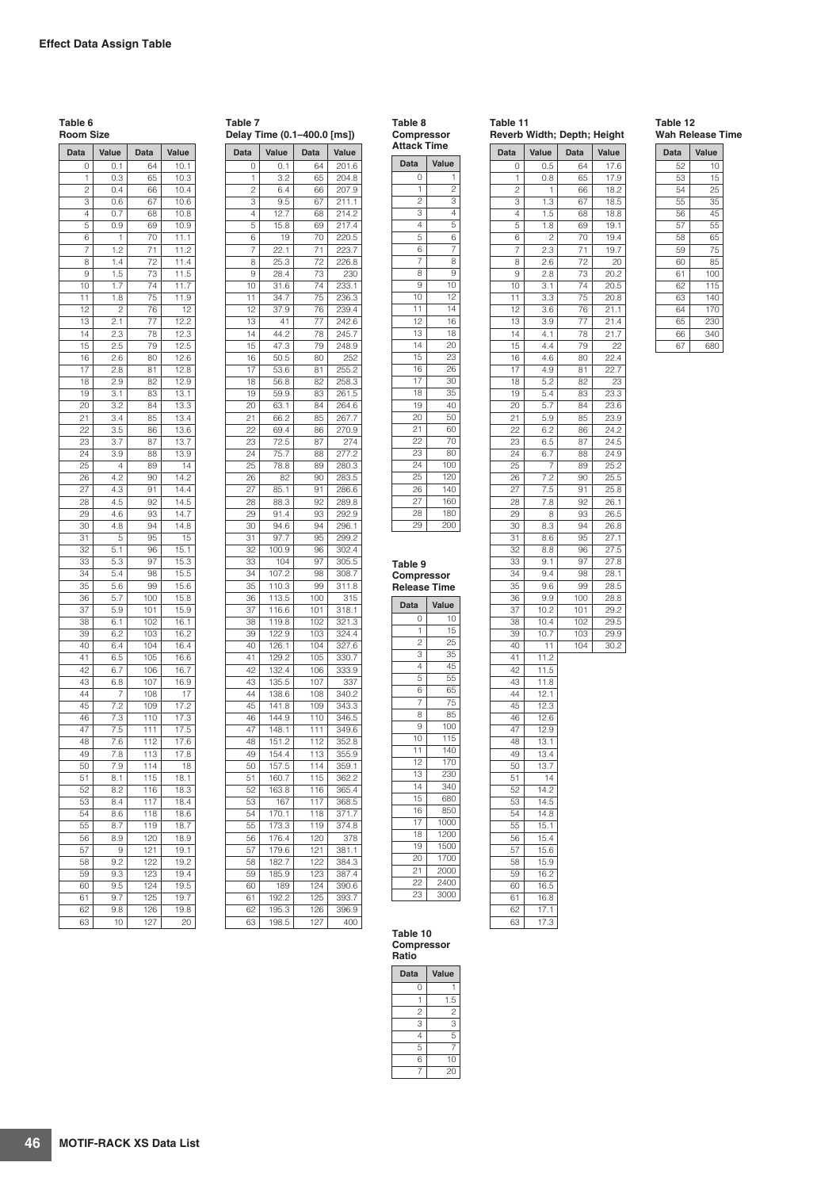### **Table 6 Room Size**

#### **Table 7 Delay Time (0.1–400.0 [ms])**

**Data Value Data Value**

| Table 8     |
|-------------|
| Compressor  |
| Attack Time |

**Data Value**  $\begin{array}{|c|c|c|c|c|}\n\hline\n0 & 1\n\end{array}$ **Data Value Data Value** 0 0.5 64 17.6<br>1 0.8 65 17.9  $\overline{1}$  66 18.2 3 1.3 67 18.5 4 1.5 68 18.8<br>5 1.8 69 19.1 6 2 70 19.4<br>7 2.3 71 19.7  $\begin{array}{|c|c|c|}\n\hline\n8 & 2.6 \\
\hline\n9 & 2.8 \\
\hline\n\end{array}$ 9 2.8 73 20.2 10 3.1 74 20.5 11 3.3 75 20.8<br>
11 3.6 76 21.1<br>
12.9 77 21.4 12 3.6 76 21.1 13 3.9 77 21.4  $\frac{1}{4.1}$  78 21.7 4.4 79 22<br>4.6 80 22.4 16 4.6 80 22.4 17 4.9 81 22.7 18 5.4 82 23 19 5.4 83 23.3 20 5.7 84 23.6 21 5.9 85 23.9 2 6.2 86 24.2 23 6.5 87 24.5<br>24 6.7 88 24.9 24 6.7 88 24.9 25 7 89 25.2  $\frac{1}{7.2}$  90 25.5 7.5 91 25.8<br>7.8 92 26.1 8 93 26.5 8.3 94 26.8 8.6 95 8.8 96 27.5<br>9.1 97 27.8 34 9.4 98 28.1 9.6 99 28.5<br>9.9 100 28.8  $10.2$ 18 10.4 102 29.5<br>19 10.7 103 29.9 3 10.7 103  $\frac{11}{2}$  11.2  $11.5$  $\overline{3}$  11.8  $4$  12.1  $\frac{1}{5}$  12.3 12.6

**Table 11 Reverb Width; Depth; Height**

 $17.9$ 

69 19.1<br>70 19.4

 $\frac{71}{72}$  19.7

 $92 26.1$ 

100 28.8<br>101 29.2

57 15.6 58 15.9<br>59 16.2  $\frac{1}{16.2}$ 60 16.5  $61$  16.8  $62 171$ 63 17.3  $27.8$ 

 $30.2$ 

**Table 12 Wah Release Time**

| <b>Data</b> | Value |
|-------------|-------|
| 52          | 10    |
| 53          | 15    |
| 54          | 25    |
| 55          | 35    |
| 56          | 45    |
| 57          | 55    |
| 58          | 65    |
| 59          | 75    |
| 60          | 85    |
| 61          | 100   |
| 62          | 115   |
| 63          | 140   |
| 64          | 170   |
| 65          | 230   |
| 66          | 340   |
| 67          | 680   |

| Data           | Value          | Data | Value |
|----------------|----------------|------|-------|
| 0              | 0.1            | 64   | 10.1  |
| 1              | 0.3            | 65   | 10.3  |
| $\overline{c}$ | 0.4            | 66   | 10.4  |
| 3              | 0.6            | 67   | 10.6  |
| 4              | 0.7            | 68   | 10.8  |
| 5              | 0.9            | 69   | 10.9  |
| 6              | 1              | 70   | 11.1  |
| 7              | 1.2            | 71   | 11.2  |
| 8              | 1.4            | 72   | 11.4  |
| 9              | 1.5            | 73   | 11.5  |
| 10             | 1.7            | 74   | 11.7  |
| 11             | 1.8            | 75   | 11.9  |
| 12             |                | 76   | 12    |
|                | 2              |      |       |
| 13             | 2.1            | 77   | 12.2  |
| 14             | 2.3            | 78   | 12.3  |
| 15             | 2.5            | 79   | 12.5  |
| 16             | 2.6            | 80   | 12.6  |
| 17             | 2.8            | 81   | 12.8  |
| 18             | 2.9            | 82   | 12.9  |
| 19             | 3.1            | 83   | 13.1  |
| 20             | 3.2            | 84   | 13.3  |
| 21             | 3.4            | 85   | 13.4  |
| 22             | 3.5            | 86   | 13.6  |
| 23             | 3.7            | 87   | 13.7  |
| 24             | 3.9            | 88   | 13.9  |
| 25             | $\overline{4}$ | 89   | 14    |
| 26             | 4.2            | 90   | 14.2  |
| 27             | 4.3            | 91   | 14.4  |
| 28             | 4.5            | 92   | 14.5  |
| 29             |                |      |       |
|                | 4.6            | 93   | 14.7  |
| 30             | 4.8            | 94   | 14.8  |
| 31             | 5              | 95   | 15    |
| 32             | 5.1            | 96   | 15.1  |
| 33             | 5.3            | 97   | 15.3  |
| 34             | 5.4            | 98   | 15.5  |
| 35             | 5.6            | 99   | 15.6  |
| 36             | 5.7            | 100  | 15.8  |
| 37             | 5.9            | 101  | 15.9  |
| 38             | 6.1            | 102  | 16.1  |
| 39             | 6.2            | 103  | 16.2  |
| 40             | 6.4            | 104  | 16.4  |
| 41             | 6.5            | 105  | 16.6  |
| 42             | 6.7            | 106  | 16.7  |
| 43             | 6.8            | 107  | 16.9  |
| 44             | $\overline{7}$ | 108  | 17    |
| 45             | 7.2            | 109  | 17.2  |
| 46             | 7.3            | 110  | 17.3  |
| 47             | 7.5            | 111  | 17.5  |
| 48             | 7.6            | 112  | 17.6  |
| 49             | 7.8            | 113  | 17.8  |
|                |                |      |       |
| 50             | 7.9            | 114  | 18    |
| 51             | 8.1            | 115  | 18.1  |
| 52             | 8.2            | 116  | 18.3  |
| 53             | 8.4            | 117  | 18.4  |
| 54             | 8.6            | 118  | 18.6  |
| 55             | 8.7            | 119  | 18.7  |
| 56             | 8.9            | 120  | 18.9  |
| 57             | 9              | 121  | 19.1  |
| 58             | 9.2            | 122  | 19.2  |
| 59             | 9.3            | 123  | 19.4  |
| 60             | 9.5            | 124  | 19.5  |
| 61             | 9.7            | 125  | 19.7  |
| 62             | 9.8            | 126  | 19.8  |
| 63             | 10             | 127  | 20    |
|                |                |      |       |

| ata | aiuu  | ,ata              | anuu              |
|-----|-------|-------------------|-------------------|
| 0   | 0.1   | 64                | 201.6             |
| 1   | 3.2   | 65                | 204.8             |
| 2   | 6.4   | 66                | 207.9             |
| 3   | 9.5   | 67                | 211.1             |
| 4   | 12.7  | 68                | 214.2             |
| 5   | 15.8  | 69                | 217.4             |
| 6   | 19    | 70                | 220.5             |
| 7   | 22.1  | 71                | 223.7             |
| 8   | 25.3  | 72                | 226.8             |
| 9   | 28.4  | 73                | 230               |
| 10  | 31.6  | 74                | 233.1             |
| 11  | 34.7  | 75                | 236.3             |
| 12  | 37.9  | 76                | 239.4             |
| 13  | 41    | 77                | 242.6             |
| 14  | 44.2  | 78                | 245.7             |
| 15  | 47.3  | 79                | 248.9             |
|     |       |                   | 252               |
| 16  | 50.5  | 80                |                   |
| 17  | 53.6  | 81                | 255.2             |
| 18  | 56.8  | 82                | 258.3             |
| 19  | 59.9  | 83                | 261.5             |
| 20  | 63.1  | 84                | 264.6             |
| 21  | 66.2  | 85                | 267.7             |
| 22  | 69.4  | 86                | 270.9             |
| 23  | 72.5  | 87                | 274               |
| 24  | 75.7  | 88                | $\frac{1}{277.2}$ |
| 25  | 78.8  | 89                | 280.3             |
| 26  | 82    | 90                | 283.5             |
| 27  | 85.1  | 91                | 286.6             |
| 28  | 88.3  | 92                | 289.8             |
| 29  | 91.4  | 93                | 292.9             |
| 30  | 94.6  | 94                | 296.1             |
| 31  | 97.7  | 95                | 299.2             |
| 32  | 100.9 | 96                | 302.4             |
| 33  | 104   | 97                | 305.5             |
| 34  | 107.2 | 98                | 308.7             |
| 35  | 110.3 | 99                | 311.8             |
| 36  | 113.5 | 100               | 315               |
| 37  | 116.6 | 101               | 318.1             |
| 38  | 119.8 | 102               | 321.3             |
| 39  | 122.9 | 103               | 324.4             |
| 40  | 126.1 | 104               | 327.6             |
| 41  | 129.2 | 105               | 330.7             |
| 42  | 132.4 | 106               | 333.9             |
| 43  | 135.5 | 107               | 337               |
| 44  | 138.6 | 108               | 340.2             |
| 45  | 141.8 |                   | 343.3             |
| 46  | 144.9 | 109<br>110        | 346.5             |
|     |       |                   |                   |
| 47  | 148.1 | 111               | 349.6             |
| 48  | 151.2 | $\overline{1}$ 12 | 352.8<br>355.9    |
| 49  | 154.4 | 113               |                   |
| 50  | 157.5 | 114               | 359.1             |
| 51  | 160.7 | 115               | 362.2             |
| 52  | 163.8 | 116               | 365.4             |
| 53  | 167   | 117               | 368.5             |
| 54  | 170.1 | 118               | 371.7             |
| 55  | 173.3 | 119               | 374.8             |
| 56  | 176.4 | 120               | 378               |
| 57  | 179.6 | 121               | 381.1             |
| 58  | 182.7 | 122               | 384.3             |
| 59  | 185.9 | 123               | 387.4             |
| 60  | 189   | 124               | 390.6             |
| 61  | 192.2 | 125               | 393.7             |
| 62  | 195.3 | 126               | 396.9             |
| 63  | 198.5 | 127               | 400               |
|     |       |                   |                   |

| 1              | 2                   | $\overline{c}$ |                                                                            |
|----------------|---------------------|----------------|----------------------------------------------------------------------------|
| $\overline{c}$ | 3                   | 3              | 1.3                                                                        |
| 3              | 4                   | 4              | 1.5                                                                        |
| 4              | 5                   | 5              | 1.8                                                                        |
| 5              | 6                   | 6              |                                                                            |
| 6              | 7                   | 7              | 2.3                                                                        |
| 7              | 8                   | 8              | 2.6                                                                        |
| 8              | 9                   | 9              | 2.8                                                                        |
| 9              | 10                  | 10             | 3.1                                                                        |
| 10             | 12                  | 11             | 3.3                                                                        |
| 11             | 14                  | 12             | 3.6                                                                        |
| 12             | 16                  | 13             | 3.9                                                                        |
| 13             | 18                  | 14             | 4.1                                                                        |
| 14             | 20                  | 15             | 4.4                                                                        |
| 15             | 23                  | 16             | 4.6                                                                        |
| 16             | 26                  | 17             | 4.9                                                                        |
| 17             | 30                  | 18             | 5.2                                                                        |
| 18             | 35                  | 19             | 5.4                                                                        |
| 19             | 40                  | 20             | 5.7                                                                        |
| 20             | 50                  | 21             | 5.9                                                                        |
| 21             | 60                  | 22             | 6.2                                                                        |
| 22             | 70                  | 23             | 6.5                                                                        |
| 23             | 80                  | 24             | 6.7                                                                        |
| 24             | 100                 | 25             |                                                                            |
| 25             | 120                 | 26             | 7.2                                                                        |
| 26             | 140                 | 27             | 7.5                                                                        |
|                |                     |                |                                                                            |
|                |                     |                |                                                                            |
| 27             | 160                 | 28             | 7.8                                                                        |
| 28             | 180                 | 29             | 8                                                                          |
| 29             | 200                 | 30             | 8.3                                                                        |
|                |                     | 31             | 8.6                                                                        |
|                |                     | 32             | 8.8                                                                        |
| Table 9        |                     | 33             | 9.1                                                                        |
| Compressor     |                     | 34             | 9.4                                                                        |
|                | <b>Release Time</b> | 35             |                                                                            |
| <b>Data</b>    | Value               | 36             |                                                                            |
| 0              | 10                  | 37             |                                                                            |
| 1              | 15                  | 38             | 9.6<br>9.9<br>10.2<br>10.4                                                 |
| $\mathfrak{p}$ | 25                  | 39             |                                                                            |
| 3              | 35                  | 40             | 10.7<br>11                                                                 |
| 4              | 45                  | 41             | 11.2                                                                       |
| 5              | 55                  | 42             |                                                                            |
| 6              | 65                  | 43             |                                                                            |
| 7              | 75                  | 44             |                                                                            |
| 8              | 85                  | 45             |                                                                            |
| 9              | 100                 | 46             |                                                                            |
| 10             | 115                 | 47             |                                                                            |
| 11             | 140                 | 48             |                                                                            |
| 12             | 170                 | 49             |                                                                            |
|                |                     | 50             |                                                                            |
| 13             | 230                 | 51             | 11.5<br>11.8<br>12.1<br>12.3<br>12.6<br>12.9<br>13.1<br>13.4<br>13.7<br>14 |
| 14             | 340                 | 52             | 14.2                                                                       |
| 15             | 680                 | 53             | 14.5                                                                       |
| 16             | 850                 | 54             | 14.8                                                                       |
| 17<br>18       | 1000<br>1200        | 55<br>56       | 15.1<br>154                                                                |

### **Table 10 Compressor Ratio**

| <b>Data</b>    | Value          |
|----------------|----------------|
| 0              |                |
|                | 1.5            |
| $\overline{c}$ | $\overline{c}$ |
| 3              | $\overline{3}$ |
| 4              | 5              |
| 5              | 7              |
| 6              | 10             |
| 7              | 20             |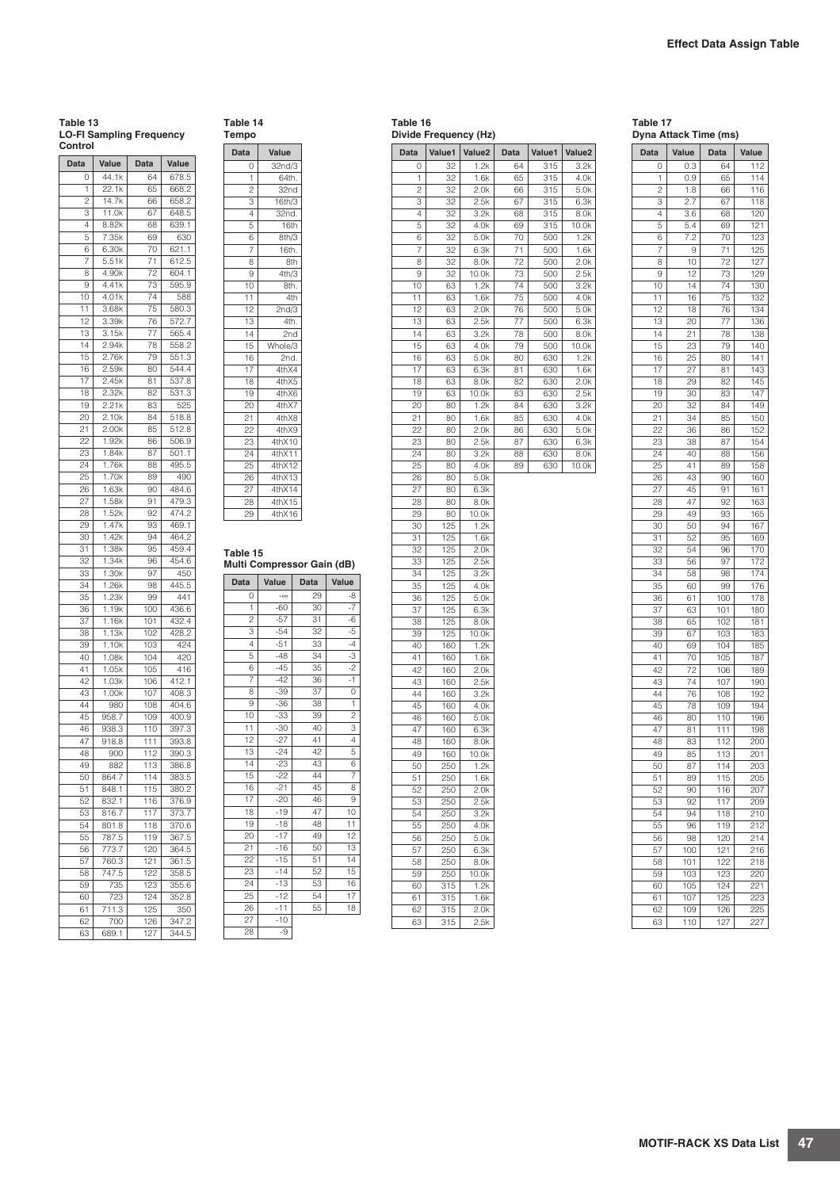#### **Table 13 LO-FI Sampling Frequency Control**

**Data Value Data Value** 0 44.1k 64 678.5 1 22.1k 65 668.2 2 14.7k 66 658.2 3 11.0k 67 648.5 4 8.82k 68 639.1<br>5 7.35k 69 630  $7.35k$ 

6 6.30k 70 621.1 7 5.51k 71 612.5<br>8 4.90k 72 604.1 8 4.90k 72 604.1<br>9 4.41k 73 595.9  $4.41k$ 

10 4.01k 74 588<br>11 3.68k 75 580.3 11 3.68k 75<br>12 3.39k 76

13 3.15k 77 565.4<br>14 2.94k 78 558.2 14 2.94k 78 558.2<br>15 2.76k 79 551.3 2.76k

16 2.59k 80 544.4<br>17 2.45k 81 537.8 17 2.45k 81 537.8<br>18 2.32k 82 531.3  $2.32k$ 

19 2.21k 83 525 20 2.10k 84 518.8 21 2.00k 85 512.8 22 1.92k 86 506.9<br>23 1.84k 87 501.1 1.84k 87 501.1 24 1.76k 88 495.5 25 1.70k 89 490 26 1.63k 90 484.6<br>27 1.58k 91 479.3 1.58k 91 479.3 28 1.52k 92 474.2 29 1.47k 93 469.1<br>30 1.42k 94 464.2 1.42k 94 464.2<br>1.38k 95 459.4

32 1.34k 96 454.6 33 1.30k 97 450 34 1.26k 98 445.5 35 1.23k 99 441 36 1.19k 100 436.6 37 1.16k 101 432.4 38 1.13k 102 428.2 39 1.10k 103 424  $1.08k$ 41 1.05k 105 416 42 1.03k 106 412.1<br>43 1.00k 107 408.3 43 1.00k 107 408.3<br>44 980 108 404.6 44 980 108 404.6<br>45 958.7 109 400.9 45 958.7 109 400.9<br>46 938.3 110 397.3 46 938.3 110<br>47 918.8 111 47 918.8 111 393.8<br>48 900 112 390.3 48 900 112 390.3<br>49 882 113 386.8 49 882 113 386.8<br>50 864.7 114 383.5 50 864.7 114 383.5 51 848.1 115<br>52 832.1 116 52 832.1 116 376.9<br>53 816.7 117 373.7 53 816.7 117 373.7 801.8 118 370.6<br>787.5 119 367.5

55 787.5 119 56 773.7 120 364.5<br>57 760.3 121 361.5

747.5 122 358.5 59 735 123 355.6 60 723 124 352.8 61 711.3 125 350 62 700 126 347.2<br>63 689.1 127 344.5 63 689.1 127 344.5

 $\frac{1}{57}$  760.3

 $31 1.38k$ 

 $\frac{572.7}{565.4}$ 

#### **Table 14 Tempo**

| <b>Data</b>    | Value   |
|----------------|---------|
| $\Omega$       | 32nd/3  |
| 1              | 64th.   |
| $\overline{2}$ | 32nd    |
| 3              | 16th/3  |
| 4              | 32nd.   |
| 5              | 16th    |
| 6              | 8th/3   |
| 7              | 16th.   |
| 8              | 8th     |
| 9              | 4th/3   |
| 10             | 8th.    |
| 11             | 4th     |
| 12             | 2nd/3   |
| 13             | 4th.    |
| 14             | 2nd     |
| 15             | Whole/3 |
| 16             | 2nd.    |
| 17             | 4thX4   |
| 18             | 4thX5   |
| 19             | 4thX6   |
| 20             | 4thX7   |
| 21             | 4thX8   |
| 22             | 4thX9   |
| 23             | 4thX10  |
| 24             | 4th X11 |
| 25             | 4thX12  |
| 26             | 4thX13  |
| 27             | 4thX14  |
| 28             | 4thX15  |
| 29             | 4thX16  |

#### **Table 15 Multi Compressor Gain (dB)**

| ոսու<br>ounpre:<br>sor aaiii (u <del>u</del> ) |           |             |                 |
|------------------------------------------------|-----------|-------------|-----------------|
| <b>Data</b>                                    | Value     | <b>Data</b> | Value           |
| 0                                              | $-\infty$ | 29          | $-8$            |
| 1                                              | $-60$     | 30          | $-7$            |
| $\overline{c}$                                 | $-57$     | 31          | $-6$            |
| 3                                              | $-54$     | 32          | $-5$            |
| $\overline{4}$                                 | $-51$     | 33          | $-4$            |
| 5                                              | $-48$     | 34          | $-3$            |
| 6                                              | $-45$     | 35          | $-2$            |
| 7                                              | $-42$     | 36          | $-1$            |
| 8                                              | $-39$     | 37          | 0               |
| 9                                              | $-36$     | 38          | 1               |
| 10                                             | $-33$     | 39          | $\overline{c}$  |
| 11                                             | $-30$     | 40          | 3               |
| 12                                             | $-27$     | 41          | $\overline{4}$  |
| 13                                             | $-24$     | 42          | 5               |
| 14                                             | $-23$     | 43          | 6               |
| 15                                             | $-22$     | 44          | 7               |
| 16                                             | $-21$     | 45          | 8               |
| 17                                             | $-20$     | 46          | 9               |
| 18                                             | $-19$     | 47          | 10              |
| 19                                             | $-18$     | 48          | $\overline{11}$ |
| 20                                             | $-17$     | 49          | 12              |
| 21                                             | $-16$     | 50          | 13              |
| 22                                             | $-15$     | 51          | $\overline{14}$ |
| 23                                             | $-14$     | 52          | $\overline{15}$ |
| 24                                             | $-13$     | 53          | $\overline{16}$ |
| 25                                             | -12       | 54          | 17              |
| 26                                             | $-11$     | 55          | 18              |
| 27                                             | $-10$     |             |                 |
| 28                                             | $-9$      |             |                 |

| <b>Data</b>    | Value1 | Value <sub>2</sub> | D |
|----------------|--------|--------------------|---|
| 0              | 32     | 1.2k               |   |
| 1              | 32     | 1.6k               |   |
| $\overline{c}$ | 32     | 2.0k               |   |
| 3              | 32     | 2.5k               |   |
| 4              | 32     | 3.2k               |   |
| 5              | 32     | 4.0k               |   |
| 6              | 32     | 5.0k               |   |
| $\overline{7}$ | 32     | 6.3k               |   |
| 8              | 32     | 8.0k               |   |
| 9              | 32     | 10.0k              |   |
| 10             | 63     | 1.2k               |   |
| 11             | 63     | 1.6k               |   |
| 12             | 63     | 2.0k               |   |
| 10             | $\sim$ | QE                 |   |

| iviae r        |        | requency (nz <i>)</i> |      |        |                    |
|----------------|--------|-----------------------|------|--------|--------------------|
| Data           | Value1 | Value2                | Data | Value1 | Value <sub>2</sub> |
| 0              | 32     | 1.2k                  | 64   | 315    | 3.2k               |
| 1              | 32     | 1.6k                  | 65   | 315    | 4.0k               |
| $\overline{c}$ | 32     | 2.0k                  | 66   | 315    | 5.0k               |
| 3              | 32     | 2.5k                  | 67   | 315    | 6.3k               |
| 4              | 32     | 3.2k                  | 68   | 315    | 8.0k               |
| 5              | 32     | 4.0k                  | 69   | 315    | 10.0k              |
| 6              | 32     | 5.0k                  | 70   | 500    | 1.2k               |
| 7              | 32     | 6.3k                  | 71   | 500    | 1.6k               |
| 8              | 32     | 8.0k                  | 72   | 500    | 2.0k               |
| 9              | 32     | 10.0k                 | 73   | 500    | 2.5k               |
| 10             | 63     | 1.2k                  | 74   | 500    | 3.2k               |
| 11             | 63     | 1.6k                  | 75   | 500    | 4.0k               |
| 12             | 63     | 2.0k                  | 76   | 500    | 5.0k               |
| 13             | 63     | 2.5k                  | 77   | 500    | 6.3k               |
| 14             | 63     | 3.2k                  | 78   | 500    | 8.0k               |
| 15             | 63     | 4.0k                  | 79   | 500    | 10.0k              |
| 16             | 63     | 5.0k                  | 80   | 630    | 1.2k               |
| 17             | 63     | 6.3k                  | 81   | 630    | 1.6k               |
| 18             | 63     | 8.0k                  | 82   | 630    | 2.0k               |
| 19             |        | 10.0k                 | 83   |        | 2.5k               |
|                | 63     |                       |      | 630    |                    |
| 20             | 80     | 1.2k                  | 84   | 630    | 3.2k               |
| 21             | 80     | 1.6k                  | 85   | 630    | 4.0k               |
| 22             | 80     | 2.0k                  | 86   | 630    | 5.0k               |
| 23             | 80     | 2.5k                  | 87   | 630    | 6.3k               |
| 24             | 80     | 3.2k                  | 88   | 630    | 8.0k               |
| 25             | 80     | 4.0k                  | 89   | 630    | 10.0k              |
| 26             | 80     | 5.0k                  |      |        |                    |
| 27             | 80     | 6.3k                  |      |        |                    |
| 28             | 80     | 8.0k                  |      |        |                    |
| 29             | 80     | 10.0k                 |      |        |                    |
| 30             | 125    | 1.2k                  |      |        |                    |
| 31             | 125    | 1.6k                  |      |        |                    |
| 32             | 125    | 2.0k                  |      |        |                    |
| 33             | 125    | 2.5k                  |      |        |                    |
| 34             | 125    | 3.2k                  |      |        |                    |
| 35             | 125    | 4.0k                  |      |        |                    |
| 36             | 125    | 5.0k                  |      |        |                    |
| 37             | 125    | 6.3k                  |      |        |                    |
| 38             | 125    | 8.0k                  |      |        |                    |
| 39             | 125    | 10.0k                 |      |        |                    |
| 40             | 160    | 1.2k                  |      |        |                    |
| 41             | 160    | 1.6k                  |      |        |                    |
| 42             | 160    | 2.0k                  |      |        |                    |
| 43             | 160    | 2.5k                  |      |        |                    |
| 44             | 160    | 3.2k                  |      |        |                    |
| 45             | 160    | 4.0k                  |      |        |                    |
| 46             | 160    | 5.0k                  |      |        |                    |
| 47             | 160    | 6.3k                  |      |        |                    |
| 48             | 160    | 8.0k                  |      |        |                    |
| 49             | 160    | 10.0k                 |      |        |                    |
| 50             | 250    | 1.2k                  |      |        |                    |
| 51             | 250    | 1.6k                  |      |        |                    |
| 52             | 250    | 2.0k                  |      |        |                    |
| 53             | 250    | 2.5k                  |      |        |                    |
| 54             | 250    | 3.2k                  |      |        |                    |
| 55             | 250    | 4.0k                  |      |        |                    |
| 56             | 250    | 5.0k                  |      |        |                    |
| 57             | 250    | 6.3k                  |      |        |                    |
| 58             | 250    | 8.0k                  |      |        |                    |
| 59             | 250    | 10.0k                 |      |        |                    |
| 60             | 315    | 1.2k                  |      |        |                    |
| 61             | 315    | 1.6k                  |      |        |                    |
| 62             | 315    | 2.0k                  |      |        |                    |
| 63             | 315    | 2.5k                  |      |        |                    |

### **Table 17 Dyna Attack Time (ms)**

| Data     | Value    | Data             | Value      |
|----------|----------|------------------|------------|
| 0        | 0.3      | 64               | 112        |
| 1        | 0.9      | 65               | 114        |
| 2        | 1.8      | 66               | 116        |
| 3        | 2.7      | 67               | 118        |
| 4        | 3.6      | 68               | 120        |
| 5        | 5.4      | 69               | 121        |
| 6        | 7.2      | 70               | 123        |
| 7        | 9        | 71               | 125        |
| 8        | 10       | 72               | 127        |
| 9        | 12       | 73               | 129        |
| 10       | 14       | 74               | 130        |
| 11       | 16       | 75               | 132        |
| 12       | 18       | 76               | 134        |
| 13       | 20       | 77               | 136        |
| 14       | 21       | 78               | 138        |
| 15       | 23       | 79               | 140        |
| 16       | 25       | 80               | 141        |
| 17       | 27       | 81               | 143        |
| 18       | 29       | 82               | 145        |
| 19       | 30       | 83               | 147        |
| 20       | 32       | 84               | 149        |
| 21       | 34       | 85               | 150        |
| 22       | 36       | 86               | 152        |
| 23       | 38       | 87               | 154        |
| 24       | 40       | 88               | 156        |
| 25       | 41       | 89               | 158        |
| 26       | 43       | 90               | 160        |
| 27       | 45       | 91               | 161        |
| 28       | 47       | 92               | 163        |
| 29       | 49       | 93               | 165        |
| 30       | 50       | 94               | 167        |
| 31       | 52       | 95               | 169        |
| 32<br>33 | 54<br>56 | 96<br>97         | 170<br>172 |
| 34       | 58       | 98               | 174        |
| 35       | 60       | 99               | 176        |
| 36       | 61       | 100              | 178        |
| 37       | 63       | 101              | 180        |
| 38       | 65       | 102              | 181        |
| 39       | 67       | 103              | 183        |
| 40       | 69       | 104              | 185        |
| 41       | 70       | 105              | 187        |
| 42       | 72       | 106              | 189        |
| 43       | 74       | 107              | 190        |
| 44       | 76       | 108              | 192        |
| 45       | 78       | 109              | 194        |
| 46       | 80       | 110              | 196        |
| 47       | 81       | 111              | 198        |
| 48       | 83       | 112              | 200        |
| 49       | 85       | 113              | 201        |
| 50       | 87       | 114              | 203        |
| 51       | 89       | 115              | 205        |
| 52       | 90       | 116              | 207        |
| 53       | 92       | 117              | 209        |
| 54       | 94       | 118              | 210        |
| 55       | 96       | $\overline{119}$ | 212        |
| 56       | 98       | 120              | 214        |
| 57       | 100      | 121              | 216        |
| 58       | 101      | 122              | 218        |
| 59       | 103      | 123              | 220        |
| 60       | 105      | 124              | 221        |
| 61       | 107      | $\frac{1}{25}$   | 223        |
| 62       | 109      | 126              | 225        |
| 63       | 110      | 127              | 227        |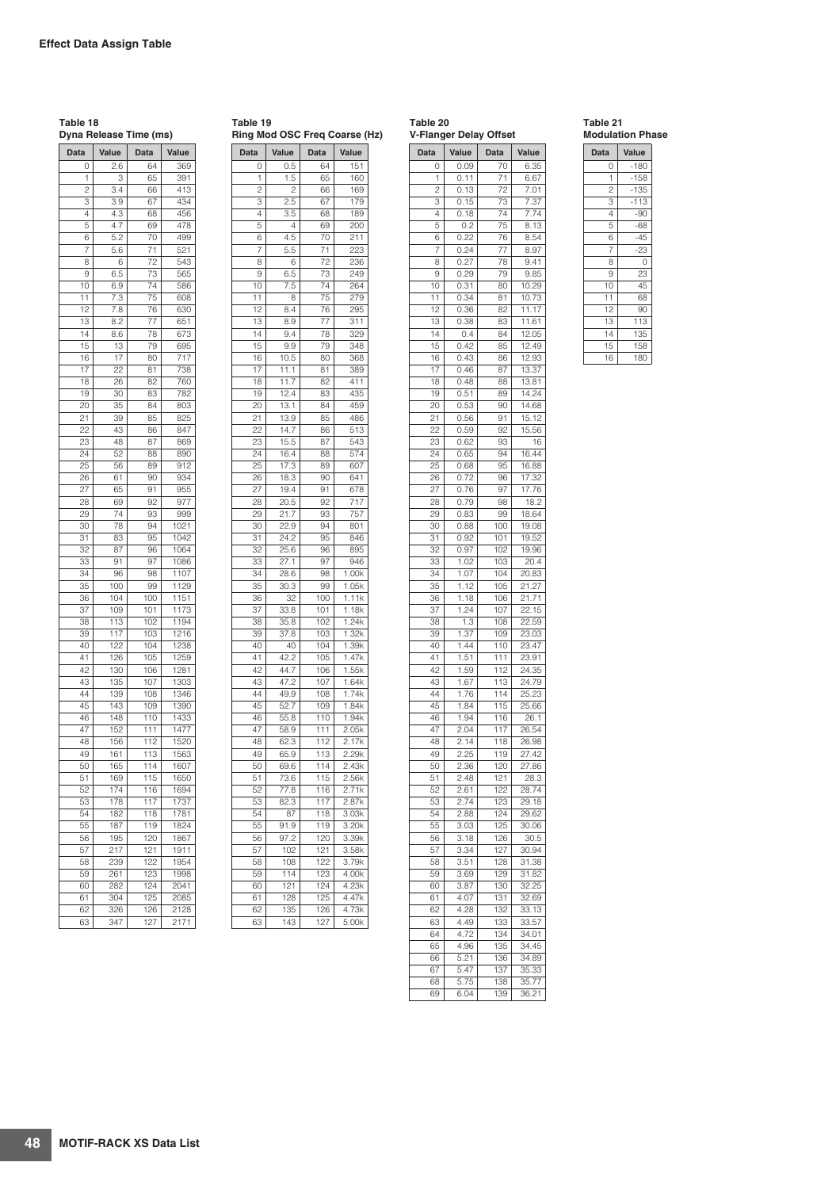#### **Table 18 Dyna Release Time (ms)**

|            |       | Dyna Release Time (ms) |            |
|------------|-------|------------------------|------------|
| Data       | Value | Data                   | Value      |
| 0          | 2.6   | 64                     | 369        |
| 1          | 3     | 65                     | 391        |
| 2          | 3.4   | 66                     | 413        |
| 3          | 3.9   | 67                     | 434        |
| 4          | 4.3   | 68                     | 456        |
| 5          | 4.7   | 69                     | 478        |
| 6          | 5.2   | 70                     | 499        |
| $\sqrt{2}$ | 5.6   | 71                     | 521        |
| 8          | 6     | 72                     | 543        |
| 9          | 6.5   | 73                     | 565        |
| 10         | 6.9   | 74                     | 586        |
| 11         | 7.3   | 75                     | 608        |
| 12         | 7.8   | 76                     | 630        |
| 13         | 8.2   | 77                     | 651        |
| 14         | 8.6   | 78                     | 673        |
| 15         | 13    | 79                     | 695        |
| 16         | 17    | 80                     | 717        |
| 17         | 22    | 81                     | 738        |
| 18         | 26    | 82                     | 760        |
| 19         | 30    | 83                     | 782        |
| 20         | 35    | 84                     | 803        |
| 21         | 39    | 85                     | 825        |
| 22         | 43    | 86                     | 847        |
| 23         |       | 87                     | 869        |
| 24         | 48    | 88                     | 890        |
| 25         | 52    |                        |            |
|            | 56    | 89                     | 912<br>934 |
| 26         | 61    | 90                     |            |
| 27         | 65    | 91                     | 955        |
| 28         | 69    | 92                     | 977        |
| 29         | 74    | 93                     | 999        |
| 30         | 78    | 94                     | 1021       |
| 31         | 83    | 95                     | 1042       |
| 32         | 87    | 96                     | 1064       |
| 33         | 91    | 97                     | 1086       |
| 34         | 96    | 98                     | 1107       |
| 35         | 100   | 99                     | 1129       |
| 36         | 104   | 100                    | 1151       |
| 37         | 109   | 101                    | 1173       |
| 38         | 113   | 102                    | 1194       |
| 39         | 117   | 103                    | 1216       |
| 40         | 122   | 104                    | 1238       |
| 41         | 126   | 105                    | 1259       |
| 42         | 130   | 106                    | 1281       |
| 43         | 135   | 107                    | 1303       |
| 44         | 139   | 108                    | 1346       |
| 45         | 143   | 109                    | 1390       |
| 46         | 148   | 110                    | 1433       |
| 47         | 152   | 111                    | 1477       |
| 48         | 156   | 112                    | 1520       |
| 49         | 161   | 113                    | 1563       |
| 50         | 165   | 114                    | 1607       |
| 51         | 169   | 115                    | 1650       |
| 52         | 174   | 116                    | 1694       |
| 53         | 178   | 117                    | 1737       |
| 54         | 182   | 118                    | 1781       |
| 55         | 187   | 119                    | 1824       |
| 56         | 195   | 120                    | 1867       |
| 57         | 217   | 121                    | 1911       |
| 58         | 239   | 122                    | 1954       |
| 59         | 261   | 123                    | 1998       |
| 60         | 282   | 124                    | 2041       |
| 61         | 304   | 125                    | 2085       |

#### **Table 19 Ring Mod OSC Freq Coarse (Hz)**

160

**Data Value Data Value** 0 0.5 64 151

## **Table 20**

## **V-Flanger Delay Offset Data Value Data Value**

#### **Table 21 Modulation Phase**

| <b>Data</b>    | Value  |
|----------------|--------|
| 0              | $-180$ |
| 1              | $-158$ |
| $\overline{c}$ | $-135$ |
| 3              | $-113$ |
| $\overline{4}$ | $-90$  |
| 5              | $-68$  |
| 6              | $-45$  |
| 7              | $-23$  |
| 8              | 0      |
| 9              | 23     |
| 10             | 45     |
| 11             | 68     |
| 12             | 90     |
| 13             | 113    |
| 14             | 135    |
| 15             | 158    |

16 180

| 1              | 1.5            | 65  | 160   |
|----------------|----------------|-----|-------|
| $\overline{c}$ | $\overline{c}$ | 66  | 169   |
| 3              | 2.5            | 67  | 179   |
| 4              | 3.5            | 68  | 189   |
| 5              | 4              | 69  | 200   |
| 6              | 4.5            | 70  | 211   |
| 7              | 5.5            | 71  | 223   |
| 8              | 6              | 72  | 236   |
| 9              | 6.5            | 73  | 249   |
| 10             | 7.5            | 74  | 264   |
| 11             | 8              | 75  | 279   |
| 12             | 8.4            | 76  | 295   |
| 13             | 8.9            | 77  | 311   |
| 14             | 9.4            | 78  | 329   |
| 15             | 9.9            | 79  | 348   |
| 16             | 10.5           | 80  | 368   |
| 17             | 11.1           | 81  | 389   |
| 18             | 11.7           | 82  | 411   |
| 19             | 12.4           | 83  | 435   |
| 20             | 13.1           | 84  | 459   |
| 21             | 13.9           | 85  | 486   |
| 22             |                | 86  | 513   |
|                | 14.7           |     |       |
| 23             | 15.5           | 87  | 543   |
| 24             | 16.4           | 88  | 574   |
| 25             | 17.3           | 89  | 607   |
| 26             | 18.3           | 90  | 641   |
| 27             | 19.4           | 91  | 678   |
| 28             | 20.5           | 92  | 717   |
| 29             | 21.7           | 93  | 757   |
| 30             | 22.9           | 94  | 801   |
| 31             | 24.2           | 95  | 846   |
| 32             | 25.6           | 96  | 895   |
| 33             | 27.1           | 97  | 946   |
| 34             | 28.6           | 98  | 1.00k |
| 35             | 30.3           | 99  | 1.05k |
| 36             | 32             | 100 | 1.11k |
| 37             | 33.8           | 101 | 1.18k |
| 38             | 35.8           | 102 | 1.24k |
| 39             | 37.8           | 103 | 1.32k |
| 40             | 40             | 104 | 1.39k |
| 41             | 42.2           | 105 | 1.47k |
| 42             | 44.7           | 106 | 1.55k |
| 43             | 47.2           | 107 | 1.64k |
| 44             | 49.9           | 108 | 1.74k |
| 45             | 52.7           | 109 | 1.84k |
| 46             | 55.8           | 110 | 1.94k |
| 47             | 58.9           | 111 | 2.05k |
| 48             | 62.3           | 112 | 2.17k |
| 49             | 65.9           | 113 | 2.29k |
| 50             | 69.6           | 114 | 2.43k |
| 51             | 73.6           | 115 | 2.56k |
| 52             | 77.8           | 116 | 2.71k |
| 53             | 82.3           | 117 | 2.87k |
| 54             | 87             | 118 | 3.03k |
| 55             | 91.9           | 119 | 3.20k |
|                |                |     |       |

56 97.2 120 3.39k 57 102 121 3.58k 58 108 122 3.79k 59 114 123 4.00k<br>60 121 124 4.23k 60 121 124 4.23k 61 128 125 4.47k 62 135 126 4.73k<br>63 143 127 5.00k 143 127 5.00k

| 0  | 0.09              | 70  | 6.35  |
|----|-------------------|-----|-------|
|    |                   |     |       |
| 1  | 0.11              | 71  | 6.67  |
| 2  | 0.13              | 72  | 7.01  |
| 3  | 0.15              | 73  | 7.37  |
| 4  | 0.18              | 74  | 7.74  |
| 5  | 0.2               | 75  | 8.13  |
|    |                   |     |       |
| 6  | 0.22              | 76  | 8.54  |
| 7  | 0.24              | 77  | 8.97  |
| 8  | 0.27              | 78  | 9.41  |
| 9  | 0.29              | 79  | 9.85  |
| 10 | 0.31              | 80  | 10.29 |
|    |                   |     |       |
| 11 | 0.34              | 81  | 10.73 |
| 12 | 0.36              | 82  | 11.17 |
| 13 | 0.38              | 83  | 11.61 |
| 14 | 0.4               | 84  | 12.05 |
| 15 | 0.42              | 85  | 12.49 |
|    |                   |     |       |
| 16 | 0.43              | 86  | 12.93 |
| 17 | 0.46              | 87  | 13.37 |
| 18 | 0.48              | 88  | 13.81 |
| 19 | 0.51              | 89  | 14.24 |
| 20 | 0.53              | 90  | 14.68 |
|    |                   | 91  |       |
| 21 | 0.56              |     | 15.12 |
| 22 | 0.59              | 92  | 15.56 |
| 23 | 0.62              | 93  | 16    |
| 24 | 0.65              | 94  | 16.44 |
| 25 | 0.68              | 95  | 16.88 |
|    |                   |     | 17.32 |
| 26 | 0.72              | 96  |       |
| 27 | 0.76              | 97  | 17.76 |
| 28 | 0.79              | 98  | 18.2  |
| 29 | 0.83              | 99  | 18.64 |
| 30 | 0.88              | 100 | 19.08 |
| 31 | 0.92              | 101 | 19.52 |
|    |                   |     |       |
| 32 | 0.97              | 102 | 19.96 |
| 33 | 1.02              | 103 | 20.4  |
| 34 | 1.07              | 104 | 20.83 |
| 35 | 1.12              | 105 | 21.27 |
| 36 | 1.18              | 106 | 21.71 |
| 37 | 1.24              |     | 22.15 |
|    |                   | 107 |       |
| 38 | 1.3               | 108 | 22.59 |
| 39 | 1.37              | 109 | 23.03 |
| 40 | 1.44              | 110 | 23.47 |
| 41 | 1.51              | 111 | 23.91 |
| 42 | 1.59              | 112 | 24.35 |
|    |                   |     |       |
| 43 | 1.67              | 113 | 24.79 |
| 44 | 1.76              | 114 | 25.23 |
| 45 | 1.84              | 115 | 25.66 |
| 46 | 1.94              | 116 | 26.1  |
| 47 | 2.04              | 117 | 26.54 |
| 48 | 2.14              | 118 | 26.98 |
|    |                   |     |       |
| 49 | 2.25              | 119 | 27.42 |
| 50 | 2.36              | 120 | 27.86 |
| 51 | 2.48              | 121 | 28.3  |
| 52 | 2.61              | 122 | 28.74 |
| 53 | 2.74              | 123 | 29.18 |
|    | 2.88              |     |       |
| 54 |                   | 124 | 29.62 |
| 55 | 3.03              | 125 | 30.06 |
| 56 | 3.18              | 126 | 30.5  |
| 57 | 3.34              | 127 | 30.94 |
| 58 | $\overline{3.51}$ | 128 | 31.38 |
| 59 | 3.69              | 129 | 31.82 |
|    |                   |     |       |
| 60 | 3.87              | 130 | 32.25 |
| 61 | 4.07              | 131 | 32.69 |
|    | 4.28              | 132 | 33.13 |
| 62 |                   |     |       |
|    |                   |     |       |
| 63 | 4.49              | 133 | 33.57 |
| 64 | 4.72              | 134 | 34.01 |
| 65 | 4.96              | 135 | 34.45 |
| 66 | 5.21<br>5.47      | 136 | 34.89 |

68 | 5.75 | 138 | 35.77 69 6.04 139 36.21

62 326 126 2128 63 347 127 2171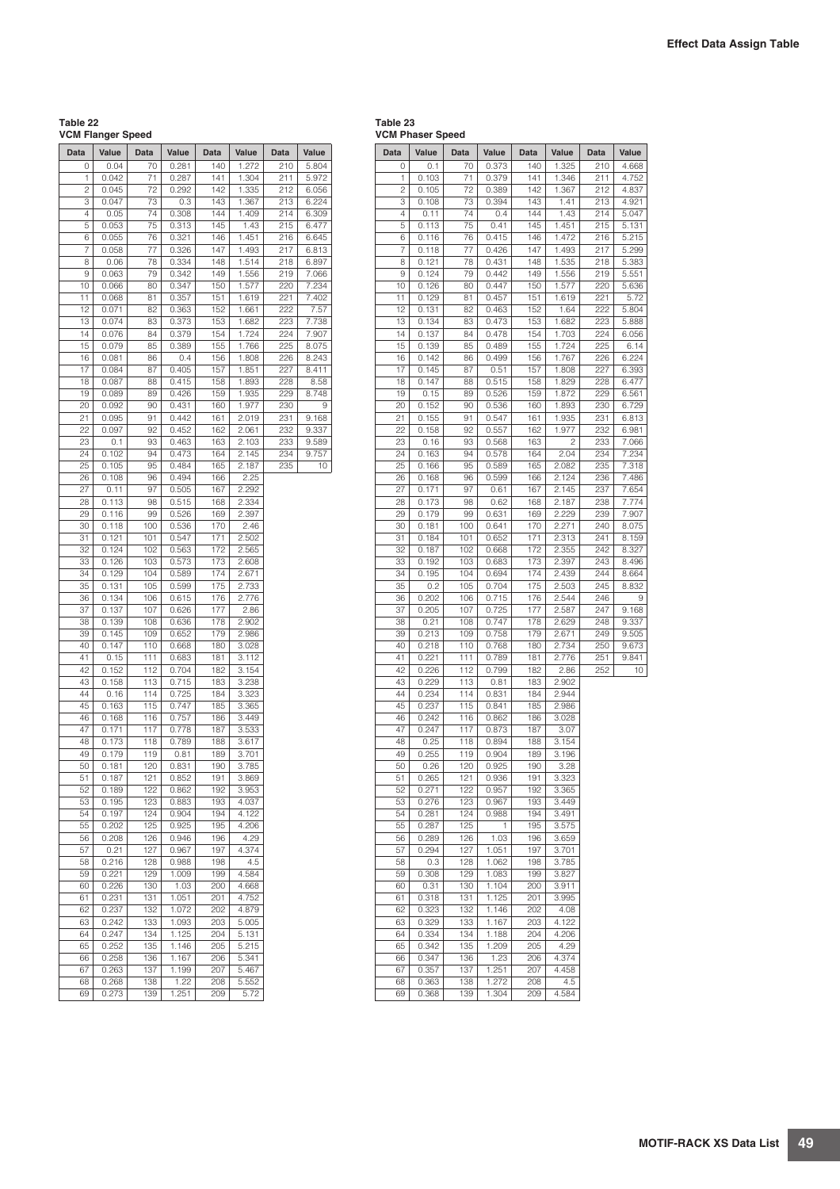### **Effect Data Assign Table**

#### **Table 22 VCM Flanger Speed**

| Data     | Value          | Data       | Value          | Data       | Value          | Data       | Value          |
|----------|----------------|------------|----------------|------------|----------------|------------|----------------|
| 0        | 0.04           | 70         | 0.281          | 140        | 1.272          | 210        | 5.804          |
| 1        | 0.042          | 71         | 0.287          | 141        | 1.304          | 211        | 5.972          |
| 2        | 0.045          | 72         | 0.292          | 142        | 1.335          | 212        | 6.056          |
| 3        | 0.047          | 73         | 0.3            | 143        | 1.367          | 213        | 6.224          |
| 4<br>5   | 0.05<br>0.053  | 74<br>75   | 0.308<br>0.313 | 144<br>145 | 1.409<br>1.43  | 214<br>215 | 6.309<br>6.477 |
| 6        | 0.055          | 76         | 0.321          | 146        | 1.451          | 216        | 6.645          |
| 7        | 0.058          | 77         | 0.326          | 147        | 1.493          | 217        | 6.813          |
| 8        | 0.06           | 78         | 0.334          | 148        | 1.514          | 218        | 6.897          |
| 9        | 0.063          | 79         | 0.342          | 149        | 1.556          | 219        | 7.066          |
| 10       | 0.066          | 80         | 0.347          | 150        | 1.577          | 220        | 7.234          |
| 11       | 0.068          | 81         | 0.357          | 151        | 1.619          | 221        | 7.402          |
| 12       | 0.071          | 82         | 0.363          | 152        | 1.661          | 222        | 7.57           |
| 13       | 0.074          | 83         | 0.373          | 153        | 1.682          | 223        | 7.738          |
| 14       | 0.076          | 84         | 0.379          | 154        | 1.724          | 224        | 7.907          |
| 15       | 0.079          | 85         | 0.389          | 155        | 1.766          | 225        | 8.075          |
| 16       | 0.081          | 86         | 0.4            | 156        | 1.808          | 226        | 8.243          |
| 17       | 0.084          | 87         | 0.405          | 157        | 1.851          | 227        | 8.411          |
| 18       | 0.087          | 88         | 0.415          | 158        | 1.893          | 228<br>229 | 8.58<br>8.748  |
| 19<br>20 | 0.089<br>0.092 | 89<br>90   | 0.426<br>0.431 | 159<br>160 | 1.935<br>1.977 | 230        | 9              |
| 21       | 0.095          | 91         | 0.442          | 161        | 2.019          | 231        | 9.168          |
| 22       | 0.097          | 92         | 0.452          | 162        | 2.061          | 232        | 9.337          |
| 23       | 0.1            | 93         | 0.463          | 163        | 2.103          | 233        | 9.589          |
| 24       | 0.102          | 94         | 0.473          | 164        | 2.145          | 234        | 9.757          |
| 25       | 0.105          | 95         | 0.484          | 165        | 2.187          | 235        | 10             |
| 26       | 0.108          | 96         | 0.494          | 166        | 2.25           |            |                |
| 27       | 0.11           | 97         | 0.505          | 167        | 2.292          |            |                |
| 28       | 0.113          | 98         | 0.515          | 168        | 2.334          |            |                |
| 29       | 0.116          | 99         | 0.526          | 169        | 2.397          |            |                |
| 30       | 0.118          | 100        | 0.536          | 170        | 2.46           |            |                |
| 31       | 0.121          | 101        | 0.547          | 171        | 2.502          |            |                |
| 32       | 0.124          | 102        | 0.563          | 172        | 2.565          |            |                |
| 33<br>34 | 0.126<br>0.129 | 103<br>104 | 0.573<br>0.589 | 173<br>174 | 2.608<br>2.671 |            |                |
| 35       | 0.131          | 105        | 0.599          | 175        | 2.733          |            |                |
| 36       | 0.134          | 106        | 0.615          | 176        | 2.776          |            |                |
| 37       | 0.137          | 107        | 0.626          | 177        | 2.86           |            |                |
| 38       | 0.139          | 108        | 0.636          | 178        | 2.902          |            |                |
| 39       | 0.145          | 109        | 0.652          | 179        | 2.986          |            |                |
| 40       | 0.147          | 110        | 0.668          | 180        | 3.028          |            |                |
| 41       | 0.15           | 111        | 0.683          | 181        | 3.112          |            |                |
| 42       | 0.152          | 112        | 0.704          | 182        | 3.154          |            |                |
| 43       | 0.158          | 113        | 0.715          | 183        | 3.238          |            |                |
| 44       | 0.16           | 114        | 0.725          | 184        | 3.323          |            |                |
| 45       | 0.163          | 115        | 0.747          | 185        | 3.365          |            |                |
| 46<br>47 | 0.168<br>0.171 | 116<br>117 | 0.757<br>0.778 | 186<br>187 | 3.449<br>3.533 |            |                |
| 48       | 0.173          | 118        | 0.789          | 188        | 3.617          |            |                |
| 49       | 0.179          | 119        | 0.81           | 189        | 3.701          |            |                |
| 50       | 0.181          | 120        | 0.831          | 190        | 3.785          |            |                |
| 51       | 0.187          | 121        | 0.852          | 191        | 3.869          |            |                |
| 52       | 0.189          | 122        | 0.862          | 192        | 3.953          |            |                |
| 53       | 0.195          | 123        | 0.883          | 193        | 4.037          |            |                |
| 54       | 0.197          | 124        | 0.904          | 194        | 4.122          |            |                |
| 55       | 0.202          | 125        | 0.925          | 195        | 4.206          |            |                |
| 56       | 0.208          | 126        | 0.946          | 196        | 4.29           |            |                |
| 57       | 0.21           | 127        | 0.967          | 197        | 4.374          |            |                |
| 58       | 0.216          | 128        | 0.988          | 198        | 4.5            |            |                |
| 59<br>60 | 0.221<br>0.226 | 129<br>130 | 1.009<br>1.03  | 199<br>200 | 4.584<br>4.668 |            |                |
| 61       | 0.231          | 131        | 1.051          | 201        | 4.752          |            |                |
| 62       | 0.237          | 132        | 1.072          | 202        | 4.879          |            |                |
| 63       | 0.242          | 133        | 1.093          | 203        | 5.005          |            |                |
| 64       | 0.247          | 134        | 1.125          | 204        | 5.131          |            |                |
| 65       | 0.252          | 135        | 1.146          | 205        | 5.215          |            |                |
| 66       | 0.258          | 136        | 1.167          | 206        | 5.341          |            |                |
| 67       | 0.263          | 137        | 1.199          | 207        | 5.467          |            |                |
| 68       | 0.268          | 138        | 1.22           | 208        | 5.552          |            |                |
| 69       | 0.273          | 139        | 1.251          | 209        | 5.72           |            |                |

#### **Table 23 VCM Phaser Speed**

| Data           | Value | Data      | Value          | Data       | Value | Data       | Value          |
|----------------|-------|-----------|----------------|------------|-------|------------|----------------|
| 0              | 0.1   | 70        | 0.373          | 140        | 1.325 | 210        | 4.668          |
| 1              | 0.103 | 71        | 0.379          | 141        | 1.346 | 211        | 4.752          |
| $\overline{c}$ | 0.105 | 72        | 0.389          | 142        | 1.367 | 212        | 4.837          |
| 3              | 0.108 | 73        | 0.394          | 143        | 1.41  | 213        | 4.921          |
| 4              | 0.11  | 74        | 0.4            | 144        | 1.43  | 214        | 5.047          |
| 5              | 0.113 | 75        | 0.41           | 145        | 1.451 | 215        | 5.131          |
| 6              | 0.116 | 76        | 0.415          | 146        | 1.472 | 216        | 5.215          |
| 7              | 0.118 | 77        | 0.426          | 147        | 1.493 | 217        | 5.299          |
| 8              | 0.121 | 78        | 0.431          | 148        | 1.535 | 218        | 5.383          |
| 9              | 0.124 | 79        | 0.442          | 149        | 1.556 | 219        | 5.551          |
| 10             | 0.126 | 80        | 0.447          | 150        | 1.577 | 220        | 5.636          |
| 11             | 0.129 | 81        | 0.457          | 151        | 1.619 | 221        | 5.72           |
| 12             | 0.131 | 82        | 0.463          | 152        | 1.64  | 222        | 5.804          |
| 13             | 0.134 | 83        | 0.473          | 153        | 1.682 | 223        | 5.888          |
| 14             | 0.137 | 84        | 0.478          | 154        | 1.703 | 224        | 6.056          |
| 15             | 0.139 | 85        | 0.489          | 155        | 1.724 | 225        | 6.14           |
| 16             | 0.142 | 86        | 0.499          | 156        | 1.767 | 226        | 6.224          |
| 17             | 0.145 | 87        | 0.51           | 157        | 1.808 | 227        | 6.393          |
| 18             | 0.147 | 88        | 0.515          | 158        | 1.829 | 228        | 6.477          |
| 19             | 0.15  | 89        | 0.526          | 159        | 1.872 | 229        | 6.561          |
| 20             | 0.152 | 90        | 0.536          | 160        | 1.893 | 230        | 6.729          |
| 21             | 0.155 | 91        | 0.547          | 161        | 1.935 | 231        | 6.813          |
| 22             | 0.158 | 92        | 0.557          | 162        | 1.977 | 232        | 6.981          |
| 23             | 0.16  | 93        | 0.568          | 163        | 2     | 233        | 7.066          |
| 24             | 0.163 | 94        | 0.578          | 164        | 2.04  | 234        | 7.234          |
| 25             | 0.166 | 95        | 0.589          | 165        | 2.082 | 235        | 7.318          |
| 26             | 0.168 | 96        | 0.599          | 166        | 2.124 | 236        | 7.486          |
| 27             | 0.171 | 97        | 0.61           | 167        | 2.145 | 237        | 7.654          |
|                |       |           |                |            |       |            |                |
| 28             | 0.173 | 98        | 0.62           | 168<br>169 | 2.187 | 238<br>239 | 7.774          |
| 29<br>30       | 0.179 | 99<br>100 | 0.631<br>0.641 | 170        | 2.229 | 240        | 7.907<br>8.075 |
|                | 0.181 |           |                |            | 2.271 |            |                |
| 31             | 0.184 | 101       | 0.652          | 171        | 2.313 | 241        | 8.159          |
| 32             | 0.187 | 102       | 0.668          | 172        | 2.355 | 242        | 8.327          |
| 33             | 0.192 | 103       | 0.683          | 173        | 2.397 | 243        | 8.496          |
| 34             | 0.195 | 104       | 0.694          | 174        | 2.439 | 244        | 8.664          |
| 35             | 0.2   | 105       | 0.704          | 175        | 2.503 | 245        | 8.832          |
| 36             | 0.202 | 106       | 0.715          | 176        | 2.544 | 246        | 9              |
| 37             | 0.205 | 107       | 0.725          | 177        | 2.587 | 247        | 9.168          |
| 38             | 0.21  | 108       | 0.747          | 178        | 2.629 | 248        | 9.337          |
| 39             | 0.213 | 109       | 0.758          | 179        | 2.671 | 249        | 9.505          |
| 40             | 0.218 | 110       | 0.768          | 180        | 2.734 | 250        | 9.673          |
| 41             | 0.221 | 111       | 0.789          | 181        | 2.776 | 251        | 9.841          |
| 42             | 0.226 | 112       | 0.799          | 182        | 2.86  | 252        | 10             |
| 43             | 0.229 | 113       | 0.81           | 183        | 2.902 |            |                |
| 44             | 0.234 | 114       | 0.831          | 184        | 2.944 |            |                |
| 45             | 0.237 | 115       | 0.841          | 185        | 2.986 |            |                |
| 46             | 0.242 | 116       | 0.862          | 186        | 3.028 |            |                |
| 47             | 0.247 | 117       | 0.873          | 187        | 3.07  |            |                |
| 48             | 0.25  | 118       | 0.894          | 188        | 3.154 |            |                |
| 49             | 0.255 | 119       | 0.904          | 189        | 3.196 |            |                |
| 50             | 0.26  | 120       | 0.925          | 190        | 3.28  |            |                |
| 51             | 0.265 | 121       | 0.936          | 191        | 3.323 |            |                |
| 52             | 0.271 | 122       | 0.957          | 192        | 3.365 |            |                |
| 53             | 0.276 | 123       | 0.967          | 193        | 3.449 |            |                |
| 54             | 0.281 | 124       | 0.988          | 194        | 3.491 |            |                |
| 55             | 0.287 | 125       | 1              | 195        | 3.575 |            |                |
| 56             | 0.289 | 126       | 1.03           | 196        | 3.659 |            |                |
| 57             | 0.294 | 127       | 1.051          | 197        | 3.701 |            |                |
| 58             | 0.3   | 128       | 1.062          | 198        | 3.785 |            |                |
| 59             | 0.308 | 129       | 1.083          | 199        | 3.827 |            |                |
| 60             | 0.31  | 130       | 1.104          | 200        | 3.911 |            |                |
| 61             | 0.318 | 131       | 1.125          | 201        | 3.995 |            |                |
| 62             | 0.323 | 132       | 1.146          | 202        | 4.08  |            |                |
| 63             | 0.329 | 133       | 1.167          | 203        | 4.122 |            |                |
| 64             | 0.334 | 134       | 1.188          | 204        | 4.206 |            |                |
| 65             | 0.342 | 135       | 1.209          | 205        | 4.29  |            |                |
| 66             | 0.347 | 136       | 1.23           | 206        | 4.374 |            |                |
| 67             | 0.357 | 137       | 1.251          | 207        | 4.458 |            |                |
| 68             | 0.363 | 138       | 1.272          | 208        | 4.5   |            |                |
| 69             | 0.368 | 139       | 1.304          | 209        | 4.584 |            |                |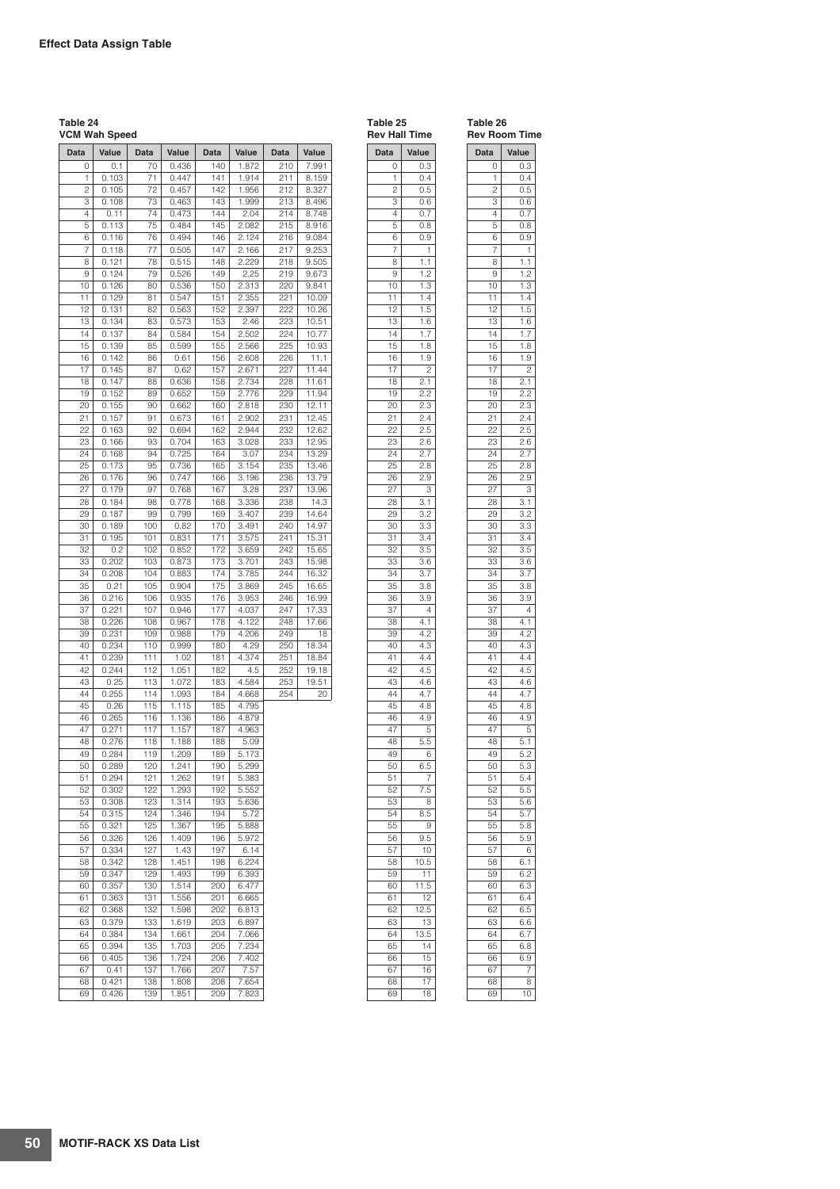| Table 24    | <b>VCM Wah Speed</b> |                  |                |            |                |             |                |
|-------------|----------------------|------------------|----------------|------------|----------------|-------------|----------------|
| <b>Data</b> | Value                | <b>Data</b>      | Value          | Data       | Value          | <b>Data</b> | Value          |
| 0           | 0.1                  | 70               | 0.436          | 140        | 1.872          | 210         | 7.991          |
| 1<br>2      | 0.103<br>0.105       | 71<br>72         | 0.447<br>0.457 | 141<br>142 | 1.914<br>1.956 | 211<br>212  | 8.159<br>8.327 |
| 3           | 0.108                | 73               | 0.463          | 143        | 1.999          | 213         | 8.496          |
| 4           | 0.11                 | 74               | 0.473          | 144        | 2.04           | 214         | 8.748          |
| 5           | 0.113                | 75               | 0.484          | 145        | 2.082          | 215         | 8.916          |
| 6           | 0.116                | 76               | 0.494          | 146        | 2.124          | 216         | 9.084          |
| 7<br>8      | 0.118<br>0.121       | 77<br>78         | 0.505<br>0.515 | 147<br>148 | 2.166<br>2.229 | 217<br>218  | 9.253<br>9.505 |
| 9           | 0.124                | 79               | 0.526          | 149        | 2.25           | 219         | 9.673          |
| 10          | 0.126                | 80               | 0.536          | 150        | 2.313          | 220         | 9.841          |
| 11          | 0.129                | 81               | 0.547          | 151        | 2.355          | 221         | 10.09          |
| 12          | 0.131                | 82               | 0.563          | 152        | 2.397          | 222         | 10.26          |
| 13          | 0.134                | 83               | 0.573          | 153        | 2.46           | 223         | 10.51          |
| 14<br>15    | 0.137<br>0.139       | 84<br>85         | 0.584<br>0.599 | 154<br>155 | 2.502<br>2.566 | 224<br>225  | 10.77          |
| 16          | 0.142                | 86               | 0.61           | 156        | 2.608          | 226         | 10.93<br>11.1  |
| 17          | 0.145                | 87               | 0.62           | 157        | 2.671          | 227         | 11.44          |
| 18          | 0.147                | 88               | 0.636          | 158        | 2.734          | 228         | 11.61          |
| 19          | 0.152                | 89               | 0.652          | 159        | 2.776          | 229         | 11.94          |
| 20          | 0.155                | 90               | 0.662          | 160        | 2.818          | 230         | 12.11          |
| 21          | 0.157                | 91               | 0.673          | 161        | 2.902          | 231         | 12.45          |
| 22<br>23    | 0.163<br>0.166       | 92<br>93         | 0.694<br>0.704 | 162<br>163 | 2.944<br>3.028 | 232<br>233  | 12.62<br>12.95 |
| 24          | 0.168                | 94               | 0.725          | 164        | 3.07           | 234         | 13.29          |
| 25          | 0.173                | 95               | 0.736          | 165        | 3.154          | 235         | 13.46          |
| 26          | 0.176                | 96               | 0.747          | 166        | 3.196          | 236         | 13.79          |
| 27          | 0.179                | 97               | 0.768          | 167        | 3.28           | 237         | 13.96          |
| 28          | 0.184                | 98               | 0.778          | 168        | 3.336          | 238         | 14.3           |
| 29<br>30    | 0.187<br>0.189       | 99<br>100        | 0.799<br>0.82  | 169<br>170 | 3.407<br>3.491 | 239<br>240  | 14.64<br>14.97 |
| 31          | 0.195                | 101              | 0.831          | 171        | 3.575          | 241         | 15.31          |
| 32          | 0.2                  | 102              | 0.852          | 172        | 3.659          | 242         | 15.65          |
| 33          | 0.202                | 103              | 0.873          | 173        | 3.701          | 243         | 15.98          |
| 34          | 0.208                | 104              | 0.883          | 174        | 3.785          | 244         | 16.32          |
| 35          | 0.21                 | 105              | 0.904          | 175        | 3.869          | 245         | 16.65          |
| 36<br>37    | 0.216<br>0.221       | 106<br>107       | 0.935<br>0.946 | 176<br>177 | 3.953<br>4.037 | 246<br>247  | 16.99<br>17.33 |
| 38          | 0.226                | 108              | 0.967          | 178        | 4.122          | 248         | 17.66          |
| 39          | 0.231                | 109              | 0.988          | 179        | 4.206          | 249         | 18             |
| 40          | 0.234                | 110              | 0.999          | 180        | 4.29           | 250         | 18.34          |
| 41          | 0.239                | 111              | 1.02           | 181        | 4.374          | 251         | 18.84          |
| 42          | 0.244                | 112              | 1.051          | 182        | 4.5            | 252         | 19.18          |
| 43<br>44    | 0.25<br>0.255        | 113<br>114       | 1.072          | 183<br>184 | 4.584<br>4.668 | 253<br>254  | 19.51          |
| 45          | 0.26                 | $\overline{1}15$ | 1.093<br>1.115 | 185        | 4.795          |             | 20             |
| 46          | 0.265                | 116              | 1.136          | 186        | 4.879          |             |                |
| 47          | 0.271                | 117              | 1.157          | 187        | 4.963          |             |                |
| 48          | 0.276                | 118              | 1.188          | 188        | 5.09           |             |                |
| 49          | 0.284                | 119              | 1.209          | 189        | 5.173          |             |                |
| 50          | 0.289                | 120              | 1.241          | 190        | 5.299          |             |                |
| 51<br>52    | 0.294<br>0.302       | 121<br>122       | 1.262<br>1.293 | 191<br>192 | 5.383<br>5.552 |             |                |
| 53          | 0.308                | 123              | 1.314          | 193        | 5.636          |             |                |
| 54          | 0.315                | 124              | 1.346          | 194        | 5.72           |             |                |
| 55          | 0.321                | 125              | 1.367          | 195        | 5.888          |             |                |
| 56          | 0.326                | 126              | 1.409          | 196        | 5.972          |             |                |
| 57          | 0.334                | 127              | 1.43           | 197        | 6.14           |             |                |
| 58          | 0.342                | 128              | 1.451          | 198        | 6.224          |             |                |
| 59<br>60    | 0.347<br>0.357       | 129<br>130       | 1.493<br>1.514 | 199<br>200 | 6.393<br>6.477 |             |                |
| 61          | 0.363                | 131              | 1.556          | 201        | 6.665          |             |                |
| 62          | 0.368                | 132              | 1.598          | 202        | 6.813          |             |                |
| 63          | 0.379                | 133              | 1.619          | 203        | 6.897          |             |                |
| 64          | 0.384                | 134              | 1.661          | 204        | 7.066          |             |                |
| 65          | 0.394                | 135              | 1.703          | 205        | 7.234          |             |                |
| 66          | 0.405                | 136<br>137       | 1.724          | 206        | 7.402<br>7.57  |             |                |
| 67<br>68    | 0.41<br>0.421        | 138              | 1.766<br>1.808 | 207<br>208 | 7.654          |             |                |
| 69          | 0.426                | 139              | 1.851          | 209        | 7.823          |             |                |
|             |                      |                  |                |            |                |             |                |

| Table 25<br>Rev Hall Time |                |  |
|---------------------------|----------------|--|
| Data                      | Value          |  |
| 0                         | 0.3            |  |
| 1                         | 0.4            |  |
| $\overline{c}$            | 0.5            |  |
| 3                         |                |  |
|                           | 0.6            |  |
| 4                         | 0.7            |  |
| 5                         | 0.8            |  |
| 6                         | 0.9            |  |
| 7                         | 1              |  |
| 8                         | 1.1            |  |
| 9                         | 1.2            |  |
|                           |                |  |
| 10                        | 1.3            |  |
| 11                        | 1.4            |  |
| 12                        | 1.5            |  |
| 13                        | 1.6            |  |
| 14                        | 1.7            |  |
| 15                        |                |  |
|                           | 1.8            |  |
| 16                        | 1.9            |  |
| 17                        | $\overline{c}$ |  |
| 18                        | 2.1            |  |
| 19                        | 2.2            |  |
| 20                        | 2.3            |  |
|                           |                |  |
| 21                        | 2.4            |  |
| 22                        | 2.5            |  |
| 23                        | 2.6            |  |
| 24                        | 2.7            |  |
| 25                        | 2.8            |  |
|                           |                |  |
| 26                        | 2.9            |  |
| 27                        | 3              |  |
| 28                        | 3.1            |  |
| 29                        | 3.2            |  |
| 30                        | 3.3            |  |
| 31                        | 3.4            |  |
|                           |                |  |
| 32                        | 3.5            |  |
| 33                        | 3.6            |  |
| 34                        | 3.7            |  |
| 35                        | 3.8            |  |
| 36                        | 3.9            |  |
| 37                        | $\overline{4}$ |  |
| 38                        | 4.1            |  |
|                           |                |  |
| 39                        | 4.2            |  |
| 40                        | 4.3            |  |
| 41                        | 4.4            |  |
| 42                        | 4.5            |  |
| 43                        | 4.6            |  |
|                           |                |  |
| 44                        | 4.7            |  |
| 45                        | 4.8            |  |
| 46                        | 4.9            |  |
| 47                        | 5              |  |
| 48                        | 5.5            |  |
| 49                        | 6              |  |
|                           |                |  |
| 50                        | 6.5            |  |
| 51                        | 7              |  |
| 52                        | 7.5            |  |
| 53                        | 8              |  |
| 54                        | 8.5            |  |
|                           |                |  |
| 55                        | 9              |  |
| 56                        | 9.5            |  |
| 57                        | 10             |  |
| 58                        | 10.5           |  |
| 59                        | 11             |  |
|                           |                |  |
| 60                        | 11.5           |  |
| 61                        | 12             |  |
| 62                        | 12.5           |  |
| 63                        | 13             |  |
| 64                        | 13.5           |  |
|                           |                |  |
| 65                        | 14             |  |
| 66                        | 15             |  |
| 67                        | 16             |  |
| 68                        | 17             |  |
| 69                        | 18             |  |
|                           |                |  |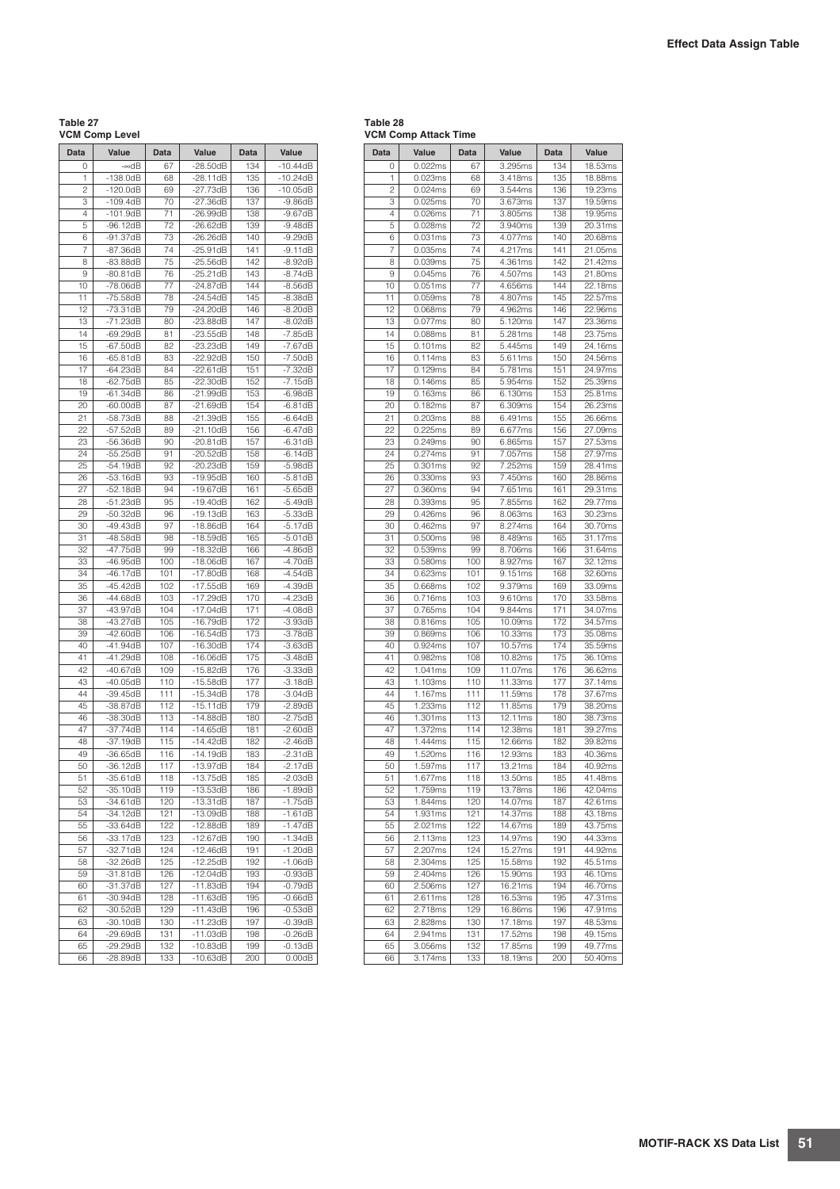### **Table 27 VCM Comp Level**

| Data           | Value      | <b>Data</b> | Value      | Data | Value      |
|----------------|------------|-------------|------------|------|------------|
| 0              | $-$ ∞dB    | 67          | $-28.50dB$ | 134  | $-10.44dB$ |
| 1              | $-138.0dB$ | 68          | $-28.11dB$ | 135  | $-10.24dB$ |
| $\overline{c}$ | $-120.0dB$ | 69          | $-27.73dB$ | 136  | $-10.05dB$ |
|                |            |             | $-27.36dB$ |      |            |
| 3              | $-109.4dB$ | 70          |            | 137  | $-9.86dB$  |
| 4              | $-101.9dB$ | 71          | $-26.99dB$ | 138  | $-9.67dB$  |
| 5              | $-96.12dB$ | 72          | $-26.62dB$ | 139  | $-9.48dB$  |
| 6              | $-91.37dB$ | 73          | $-26.26dB$ | 140  | $-9.29dB$  |
| 7              | $-87.36dB$ | 74          | $-25.91dB$ | 141  | $-9.11dB$  |
| 8              | $-83.88dB$ | 75          | $-25.56dB$ | 142  | $-8.92dB$  |
| 9              | $-80.81dB$ | 76          | $-25.21dB$ | 143  | $-8.74dB$  |
|                |            |             |            |      |            |
| 10             | $-78.06dB$ | 77          | $-24.87dB$ | 144  | $-8.56dB$  |
| 11             | $-75.58dB$ | 78          | $-24.54dB$ | 145  | $-8.38dB$  |
| 12             | $-73.31dB$ | 79          | $-24.20dB$ | 146  | $-8.20dB$  |
| 13             | $-71.23dB$ | 80          | $-23.88dB$ | 147  | $-8.02dB$  |
| 14             | $-69.29dB$ | 81          | $-23.55dB$ | 148  | $-7.85dB$  |
| 15             | $-67.50dB$ | 82          | $-23.23dB$ | 149  | $-7.67dB$  |
| 16             |            | 83          | $-22.92dB$ | 150  | $-7.50dB$  |
|                | $-65.81dB$ |             |            |      |            |
| 17             | $-64.23dB$ | 84          | $-22.61dB$ | 151  | $-7.32dB$  |
| 18             | $-62.75dB$ | 85          | $-22.30dB$ | 152  | $-7.15dB$  |
| 19             | $-61.34dB$ | 86          | $-21.99dB$ | 153  | $-6.98dB$  |
| 20             | $-60.00dB$ | 87          | $-21.69dB$ | 154  | $-6.81dB$  |
| 21             | $-58.73dB$ | 88          | $-21.39dB$ | 155  | $-6.64dB$  |
| 22             | $-57.52dB$ | 89          | $-21.10dB$ | 156  | $-6.47dB$  |
|                |            |             |            |      |            |
| 23             | $-56.36dB$ | 90          | $-20.81dB$ | 157  | $-6.31dB$  |
| 24             | $-55.25dB$ | 91          | $-20.52dB$ | 158  | $-6.14dB$  |
| 25             | $-54.19dB$ | 92          | $-20.23dB$ | 159  | $-5.98dB$  |
| 26             | $-53.16dB$ | 93          | $-19.95dB$ | 160  | $-5.81dB$  |
| 27             | $-52.18dB$ | 94          | $-19.67dB$ | 161  | $-5.65dB$  |
| 28             | $-51.23dB$ | 95          | $-19.40dB$ | 162  | $-5.49dB$  |
| 29             | $-50.32dB$ | 96          | $-19.13dB$ | 163  | $-5.33dB$  |
|                |            |             |            |      |            |
| 30             | $-49.43dB$ | 97          | $-18.86dB$ | 164  | $-5.17dB$  |
| 31             | $-48.58dB$ | 98          | $-18.59dB$ | 165  | $-5.01dB$  |
| 32             | $-47.75dB$ | 99          | $-18.32dB$ | 166  | $-4.86dB$  |
| 33             | $-46.95dB$ | 100         | $-18.06dB$ | 167  | $-4.70dB$  |
| 34             | $-46.17dB$ | 101         | $-17.80dB$ | 168  | $-4.54dB$  |
| 35             | $-45.42dB$ | 102         | $-17.55dB$ | 169  | $-4.39dB$  |
| 36             | $-44.68dB$ | 103         | $-17.29dB$ | 170  | $-4.23dB$  |
|                |            |             |            |      |            |
| 37             | $-43.97dB$ | 104         | $-17.04dB$ | 171  | $-4.08dB$  |
| 38             | $-43.27dB$ | 105         | $-16.79dB$ | 172  | $-3.93dB$  |
| 39             | $-42.60dB$ | 106         | $-16.54dB$ | 173  | $-3.78dB$  |
| 40             | $-41.94dB$ | 107         | $-16.30dB$ | 174  | $-3.63dB$  |
| 41             | $-41.29dB$ | 108         | $-16.06dB$ | 175  | $-3.48dB$  |
| 42             | $-40.67dB$ | 109         | $-15.82dB$ | 176  | $-3.33dB$  |
|                |            |             |            |      |            |
| 43             | $-40.05dB$ | 110         | $-15.58dB$ | 177  | $-3.18dB$  |
| 44             | $-39.45dB$ | 111         | $-15.34dB$ | 178  | $-3.04dB$  |
| 45             | $-38.87dB$ | 112         | $-15.11dB$ | 179  | $-2.89dB$  |
| 46             | $-38.30dB$ | 113         | $-14.88dB$ | 180  | $-2.75dB$  |
| 47             | $-37.74dB$ | 114         | $-14.65dB$ | 181  | $-2.60dB$  |
| 48             | $-37.19dB$ | 115         | $-14.42dB$ | 182  | $-2.46dB$  |
| 49             | $-36.65dB$ | 116         | $-14.19dB$ | 183  | $-2.31dB$  |
|                |            |             |            |      |            |
| 50             | $-36.12dB$ | 117         | $-13.97dB$ | 184  | $-2.17dB$  |
| 51             | $-35.61dB$ | 118         | $-13.75dB$ | 185  | $-2.03dB$  |
| 52             | $-35.10dB$ | 119         | $-13.53dB$ | 186  | $-1.89dB$  |
| 53             | $-34.61dB$ | 120         | -13.31dB   | 187  | $-1.75dB$  |
| 54             | $-34.12dB$ | 121         | $-13.09dB$ | 188  | $-1.61dB$  |
| 55             | $-33.64dB$ | 122         | $-12.88dB$ | 189  | $-1.47dB$  |
|                | $-33.17dB$ | 123         | $-12.67dB$ |      | $-1.34dB$  |
| 56             |            |             |            | 190  |            |
| 57             | $-32.71dB$ | 124         | $-12.46dB$ | 191  | $-1.20dB$  |
| 58             | $-32.26dB$ | 125         | $-12.25dB$ | 192  | $-1.06dB$  |
| 59             | $-31.81dB$ | 126         | $-12.04dB$ | 193  | $-0.93dB$  |
| 60             | $-31.37dB$ | 127         | $-11.83dB$ | 194  | $-0.79dB$  |
| 61             | $-30.94dB$ | 128         | $-11.63dB$ | 195  | $-0.66dB$  |
| 62             | $-30.52dB$ | 129         | $-11.43dB$ | 196  | $-0.53dB$  |
|                |            |             |            |      |            |
| 63             | $-30.10dB$ | 130         | $-11.23dB$ | 197  | $-0.39dB$  |
| 64             | $-29.69dB$ | 131         | $-11.03dB$ | 198  | $-0.26dB$  |
| 65             | $-29.29dB$ | 132         | $-10.83dB$ | 199  | $-0.13dB$  |
| 66             | $-28.89dB$ | 133         | $-10.63dB$ | 200  | 0.00dB     |
|                |            |             |            |      |            |

#### **Table 28 VCM Comp Attack Time**

| Data     | Value              | Data | Value              | Data       | Value   |
|----------|--------------------|------|--------------------|------------|---------|
| 0        | 0.022ms            | 67   | 3.295ms            | 134        | 18.53ms |
| 1        | 0.023ms            | 68   | 3.418ms            | 135        | 18.88ms |
| 2        | 0.024ms            | 69   | 3.544ms            | 136        | 19.23ms |
| 3        | 0.025ms            | 70   | 3.673ms            | 137        | 19.59ms |
| 4        | 0.026ms            | 71   | 3.805ms            | 138        | 19.95ms |
| 5        | 0.028ms            | 72   | 3.940ms            | 139        | 20.31ms |
| 6        | 0.031ms            | 73   | 4.077ms            | 140        | 20.68ms |
| 7        | 0.035ms            | 74   | 4.217ms            | 141        | 21.05ms |
| 8        | 0.039ms            | 75   | 4.361ms            | 142        | 21.42ms |
| 9        | 0.045ms            | 76   | 4.507ms            | 143        | 21.80ms |
| 10       | 0.051ms            | 77   | 4.656ms            | 144        | 22.18ms |
| 11       | 0.059ms            | 78   | 4.807ms            | 145        | 22.57ms |
| 12       | 0.068ms            | 79   | 4.962ms            | 146        | 22.96ms |
| 13       | 0.077ms            | 80   | 5.120ms            | 147        | 23.36ms |
| 14       | 0.088ms            | 81   | 5.281ms            | 148        | 23.75ms |
| 15       | 0.101ms            | 82   | 5.445ms            | 149        | 24.16ms |
| 16       | 0.114ms            | 83   | 5.611ms            | 150        | 24.56ms |
| 17       | 0.129ms            | 84   | 5.781ms            | 151        | 24.97ms |
| 18       | 0.146ms            | 85   | 5.954ms            | 152        | 25.39ms |
| 19       | 0.163ms            | 86   | 6.130ms            | 153        | 25.81ms |
| 20       | 0.182ms            | 87   | 6.309ms            | 154        | 26.23ms |
| 21       | 0.203ms            | 88   | 6.491ms            | 155        | 26.66ms |
| 22       | 0.225ms            | 89   | 6.677ms            | 156        | 27.09ms |
| 23       | 0.249ms            | 90   | 6.865ms            | 157        | 27.53ms |
| 24       | 0.274ms            | 91   | 7.057ms            | 158        | 27.97ms |
| 25       | 0.301ms            | 92   | 7.252ms            | 159        | 28.41ms |
| 26       | 0.330ms            | 93   | 7.450ms            | 160        | 28.86ms |
| 27       | 0.360ms            | 94   | 7.651ms            | 161        | 29.31ms |
| 28       | 0.393ms            | 95   | 7.855ms            | 162        | 29.77ms |
| 29       | 0.426ms            | 96   | 8.063ms            | 163        | 30.23ms |
| 30       | 0.462ms            | 97   | 8.274ms            | 164        | 30.70ms |
| 31       | 0.500ms            | 98   | 8.489ms            | 165        | 31.17ms |
| 32       | 0.539ms            | 99   | 8.706ms            | 166        | 31.64ms |
| 33       | 0.580ms            | 100  | 8.927ms            | 167        | 32.12ms |
| 34       | 0.623ms            | 101  | 9.151ms            | 168        | 32.60ms |
| 35       | 0.668ms            | 102  | 9.379ms            | 169        | 33.09ms |
| 36       | 0.716ms            | 103  | 9.610ms            | 170        | 33.58ms |
| 37       | 0.765ms            | 104  | 9.844ms            | 171        | 34.07ms |
|          |                    | 105  | 10.09ms            |            | 34.57ms |
| 38<br>39 | 0.816ms<br>0.869ms | 106  | 10.33ms            | 172<br>173 | 35.08ms |
| 40       | 0.924ms            | 107  | 10.57ms            | 174        | 35.59ms |
|          |                    |      |                    |            |         |
| 41<br>42 | 0.982ms            | 108  | 10.82ms            | 175        | 36.10ms |
|          | 1.041ms            | 109  | 11.07ms<br>11.33ms | 176        | 36.62ms |
| 43       | 1.103ms            | 110  |                    | 177        | 37.14ms |
| 44       | 1.167ms            | 111  | 11.59ms            | 178        | 37.67ms |
| 45       | 1.233ms            | 112  | 11.85ms            | 179        | 38.20ms |
| 46       | 1.301ms            | 113  | 12.11ms            | 180        | 38.73ms |
| 47       | 1.372ms            | 114  | 12.38ms            | 181        | 39.27ms |
| 48       | 1.444ms            | 115  | 12.66ms            | 182        | 39.82ms |
| 49       | 1.520ms            | 116  | 12.93ms            | 183        | 40.36ms |
| 50       | 1.597ms            | 117  | 13.21ms            | 184        | 40.92ms |
| 51       | 1.677ms            | 118  | 13.50ms            | 185        | 41.48ms |
| 52       | 1.759ms            | 119  | 13.78ms            | 186        | 42.04ms |
| 53       | 1.844ms            | 120  | 14.07ms            | 187        | 42.61ms |
| 54       | 1.931ms            | 121  | 14.37ms            | 188        | 43.18ms |
| 55       | 2.021ms            | 122  | 14.67ms            | 189        | 43.75ms |
| 56       | 2.113ms            | 123  | 14.97ms            | 190        | 44.33ms |
| 57       | 2.207ms            | 124  | 15.27ms            | 191        | 44.92ms |
| 58       | 2.304ms            | 125  | 15.58ms            | 192        | 45.51ms |
| 59       | 2.404ms            | 126  | 15.90ms            | 193        | 46.10ms |
| 60       | 2.506ms            | 127  | 16.21ms            | 194        | 46.70ms |
| 61       | 2.611ms            | 128  | 16.53ms            | 195        | 47.31ms |
| 62       | 2.718ms            | 129  | 16.86ms            | 196        | 47.91ms |
| 63       | 2.828ms            | 130  | 17.18ms            | 197        | 48.53ms |
| 64       | 2.941ms            | 131  | 17.52ms            | 198        | 49.15ms |
| 65       | 3.056ms            | 132  | 17.85ms            | 199        | 49.77ms |
| 66       | 3.174ms            | 133  | 18.19ms            | 200        | 50.40ms |
|          |                    |      |                    |            |         |

### **Effect Data Assign Table**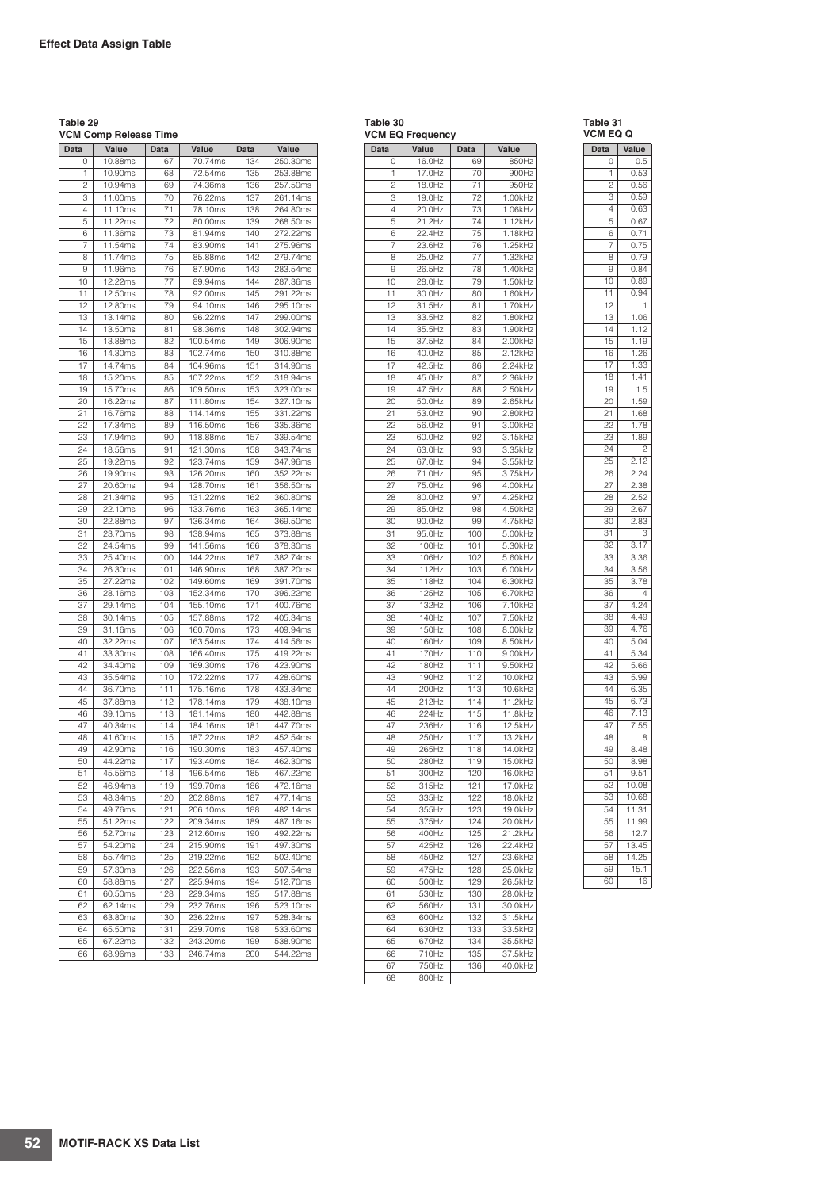**Table 29 VCM Comp Release Time**

| Data           | Value   | Data | Value    | Data | Value    |
|----------------|---------|------|----------|------|----------|
| 0              | 10.88ms | 67   | 70.74ms  | 134  | 250.30ms |
| 1              | 10.90ms | 68   | 72.54ms  | 135  | 253.88ms |
| $\overline{c}$ | 10.94ms | 69   | 74.36ms  | 136  | 257.50ms |
| 3              | 11.00ms | 70   | 76.22ms  | 137  | 261.14ms |
|                |         |      |          |      |          |
| 4              | 11.10ms | 71   | 78.10ms  | 138  | 264.80ms |
| 5              | 11.22ms | 72   | 80.00ms  | 139  | 268.50ms |
| 6              | 11.36ms | 73   | 81.94ms  | 140  | 272.22ms |
| 7              | 11.54ms | 74   | 83.90ms  | 141  | 275.96ms |
| 8              | 11.74ms | 75   | 85.88ms  | 142  | 279.74ms |
| 9              | 11.96ms | 76   | 87.90ms  | 143  | 283.54ms |
| 10             | 12.22ms | 77   | 89.94ms  | 144  | 287.36ms |
| 11             | 12.50ms | 78   | 92.00ms  | 145  | 291.22ms |
| 12             | 12.80ms | 79   | 94.10ms  | 146  | 295.10ms |
|                |         |      |          |      |          |
| 13             | 13.14ms | 80   | 96.22ms  | 147  | 299.00ms |
| 14             | 13.50ms | 81   | 98.36ms  | 148  | 302.94ms |
| 15             | 13.88ms | 82   | 100.54ms | 149  | 306.90ms |
| 16             | 14.30ms | 83   | 102.74ms | 150  | 310.88ms |
| 17             | 14.74ms | 84   | 104.96ms | 151  | 314.90ms |
| 18             | 15.20ms | 85   | 107.22ms | 152  | 318.94ms |
| 19             | 15.70ms | 86   | 109.50ms | 153  | 323.00ms |
| 20             | 16.22ms | 87   | 111.80ms | 154  | 327.10ms |
| 21             | 16.76ms | 88   | 114.14ms | 155  | 331.22ms |
|                |         |      |          |      |          |
| 22             | 17.34ms | 89   | 116.50ms | 156  | 335.36ms |
| 23             | 17.94ms | 90   | 118.88ms | 157  | 339.54ms |
| 24             | 18.56ms | 91   | 121.30ms | 158  | 343.74ms |
| 25             | 19.22ms | 92   | 123.74ms | 159  | 347.96ms |
| 26             | 19.90ms | 93   | 126.20ms | 160  | 352.22ms |
| 27             | 20.60ms | 94   | 128.70ms | 161  | 356.50ms |
| 28             | 21.34ms | 95   | 131.22ms | 162  | 360.80ms |
| 29             | 22.10ms | 96   | 133.76ms | 163  | 365.14ms |
| 30             |         | 97   | 136.34ms |      | 369.50ms |
|                | 22.88ms |      |          | 164  |          |
| 31             | 23.70ms | 98   | 138.94ms | 165  | 373.88ms |
| 32             | 24.54ms | 99   | 141.56ms | 166  | 378.30ms |
| 33             | 25.40ms | 100  | 144.22ms | 167  | 382.74ms |
| 34             | 26.30ms | 101  | 146.90ms | 168  | 387.20ms |
| 35             | 27.22ms | 102  | 149.60ms | 169  | 391.70ms |
| 36             | 28.16ms | 103  | 152.34ms | 170  | 396.22ms |
| 37             | 29.14ms | 104  | 155.10ms | 171  | 400.76ms |
| 38             | 30.14ms | 105  | 157.88ms | 172  | 405.34ms |
|                |         |      |          |      |          |
| 39             | 31.16ms | 106  | 160.70ms | 173  | 409.94ms |
| 40             | 32.22ms | 107  | 163.54ms | 174  | 414.56ms |
| 41             | 33.30ms | 108  | 166.40ms | 175  | 419.22ms |
| 42             | 34.40ms | 109  | 169.30ms | 176  | 423.90ms |
| 43             | 35.54ms | 110  | 172.22ms | 177  | 428.60ms |
| 44             | 36.70ms | 111  | 175.16ms | 178  | 433.34ms |
| 45             | 37.88ms | 112  | 178.14ms | 179  | 438.10ms |
| 46             | 39.10ms | 113  | 181.14ms | 180  | 442.88ms |
| 47             | 40.34ms | 114  | 184.16ms | 181  | 447.70ms |
|                |         |      | 187.22ms |      | 452.54ms |
| 48             | 41.60ms | 115  |          | 182  |          |
| 49             | 42.90ms | 116  | 190.30ms | 183  | 457.40ms |
| 50             | 44.22ms | 117  | 193.40ms | 184  | 462.30ms |
| 51             | 45.56ms | 118  | 196.54ms | 185  | 467.22ms |
| 52             | 46.94ms | 119  | 199.70ms | 186  | 472.16ms |
| 53             | 48.34ms | 120  | 202.88ms | 187  | 477.14ms |
| 54             | 49.76ms | 121  | 206.10ms | 188  | 482.14ms |
| 55             | 51.22ms | 122  | 209.34ms | 189  | 487.16ms |
| 56             | 52.70ms | 123  | 212.60ms | 190  | 492.22ms |
|                |         |      |          |      |          |
| 57             | 54.20ms | 124  | 215.90ms | 191  | 497.30ms |
| 58             | 55.74ms | 125  | 219.22ms | 192  | 502.40ms |
| 59             | 57.30ms | 126  | 222.56ms | 193  | 507.54ms |
| 60             | 58.88ms | 127  | 225.94ms | 194  | 512.70ms |
| 61             | 60.50ms | 128  | 229.34ms | 195  | 517.88ms |
| 62             | 62.14ms | 129  | 232.76ms | 196  | 523.10ms |
| 63             | 63.80ms | 130  | 236.22ms | 197  | 528.34ms |
| 64             | 65.50ms | 131  | 239.70ms | 198  | 533.60ms |
| 65             | 67.22ms | 132  | 243.20ms | 199  | 538.90ms |
|                |         |      |          |      |          |
| 66             | 68.96ms | 133  | 246.74ms | 200  | 544.22ms |

#### **Table 30 VCM EQ Frequency**

|          | rcquency         |      |         |
|----------|------------------|------|---------|
| Data     | Value            | Data | Value   |
| 0        | 16.0Hz           | 69   | 850Hz   |
| 1        | 17.0Hz           | 70   | 900Hz   |
| 2        | 18.0Hz           | 71   | 950Hz   |
| 3        | 19.0Hz           | 72   | 1.00kHz |
| 4        | 20.0Hz           | 73   | 1.06kHz |
| 5        | 21.2Hz           | 74   | 1.12kHz |
| 6        | 22.4Hz           | 75   | 1.18kHz |
|          |                  |      |         |
| 7        | 23.6Hz           | 76   | 1.25kHz |
| 8        | 25.0Hz           | 77   | 1.32kHz |
| 9        | 26.5Hz           | 78   | 1.40kHz |
| 10       | 28.0Hz           | 79   | 1.50kHz |
| 11       | 30.0Hz           | 80   | 1.60kHz |
| 12       | 31.5Hz           | 81   | 1.70kHz |
| 13       | 33.5Hz           | 82   | 1.80kHz |
| 14       | 35.5Hz           | 83   | 1.90kHz |
| 15       | 37.5Hz           | 84   | 2.00kHz |
|          |                  |      |         |
| 16       | 40.0Hz           | 85   | 2.12kHz |
| 17       | 42.5Hz           | 86   | 2.24kHz |
| 18       | 45.0Hz           | 87   | 2.36kHz |
| 19       | 47.5Hz           | 88   | 2.50kHz |
| 20       | 50.0Hz           | 89   | 2.65kHz |
| 21       | 53.0Hz           | 90   | 2.80kHz |
| 22       | 56.0Hz           | 91   | 3.00kHz |
|          |                  |      | 3.15kHz |
| 23<br>24 | 60.0Hz<br>63.0Hz | 92   |         |
|          |                  | 93   | 3.35kHz |
| 25       | 67.0Hz           | 94   | 3.55kHz |
| 26       | 71.0Hz           | 95   | 3.75kHz |
| 27       | 75.0Hz           | 96   | 4.00kHz |
| 28       | 80.0Hz           | 97   | 4.25kHz |
| 29       | 85.0Hz           | 98   | 4.50kHz |
| 30       | 90.0Hz           | 99   | 4.75kHz |
| 31       | 95.0Hz           | 100  | 5.00kHz |
| 32       | 100Hz            | 101  | 5.30kHz |
| 33       | 106Hz            | 102  | 5.60kHz |
|          | 112Hz            |      |         |
| 34       |                  | 103  | 6.00kHz |
| 35       | 118Hz            | 104  | 6.30kHz |
| 36       | 125Hz            | 105  | 6.70kHz |
| 37       | 132Hz            | 106  | 7.10kHz |
| 38       | 140Hz            | 107  | 7.50kHz |
| 39       | 150Hz            | 108  | 8.00kHz |
| 40       | 160Hz            | 109  | 8.50kHz |
| 41       | 170Hz            | 110  | 9.00kHz |
| 42       | 180Hz            | 111  | 9.50kHz |
| 43       | 190Hz            | 112  | 10.0kHz |
| 44       | 200Hz            | 113  | 10.6kHz |
| 45       | 212Hz            | 114  | 11.2kHz |
|          |                  |      |         |
| 46       | 224Hz            | 115  | 11.8kHz |
| 47       | 236Hz            | 116  | 12.5kHz |
| 48       | 250Hz            | 117  | 13.2kHz |
| 49       | 265Hz            | 118  | 14.0kHz |
| 50       | 280Hz            | 119  | 15.0kHz |
| 51       | 300Hz            | 120  | 16.0kHz |
| 52       | 315Hz            | 121  | 17.0kHz |
| 53       | 335Hz            | 122  | 18.0kHz |
| $54^{-}$ | 355Hz            | 123  | 19.0kHz |
| 55       | 375Hz            | 124  | 20.0kHz |
|          |                  |      |         |
| 56       | 400Hz            | 125  | 21.2kHz |
| 57       | 425Hz            | 126  | 22.4kHz |
| 58       | 450Hz            | 127  | 23.6kHz |
| 59       | 475Hz            | 128  | 25.0kHz |
| 60       | 500Hz            | 129  | 26.5kHz |
| 61       | 530Hz            | 130  | 28.0kHz |
| 62       | 560Hz            | 131  | 30.0kHz |
| 63       | 600Hz            | 132  | 31.5kHz |
| 64       | 630Hz            | 133  | 33.5kHz |
| 65       | 670Hz            | 134  | 35.5kHz |
| 66       | 710Hz            | 135  | 37.5kHz |
| 67       | 750Hz            | 136  | 40.0kHz |
|          |                  |      |         |
| 68       | 800Hz            |      |         |

#### **Table 31 VCM EQ Q Data Value**  $\overline{0}$   $\overline{0.5}$  $1 \ 0.53$ 2 0.56 3 0.59 4 0.63 5 0.67  $\begin{array}{|c|c|c|}\n\hline\n6 & 0.71 \\
\hline\n7 & 0.75 \\
\hline\n\end{array}$  $\begin{array}{|c|c|c|}\n\hline\n7 & 0.75 \\
\hline\n8 & 0.79 \\
\hline\n\end{array}$ 8 0.79<br>9 0.84  $\begin{array}{|c|c|c|}\n\hline\n9 & 0.84 \\
\hline\n10 & 0.89 \\
\hline\n\end{array}$  $\begin{array}{|c|c|c|}\n\hline\n10 & 0.89 \\
\hline\n11 & 0.94 \\
\hline\n\end{array}$  $\frac{0.94}{1}$  $\frac{12}{13}$ 13 1.06<br>14 1.12  $\begin{array}{|c|c|c|}\n\hline\n14 & 1.12 \\
\hline\n15 & 1.19\n\end{array}$ 15 1.19 16 1.26 17 1.33 18 1.41 19 1.5 20 1.59  $\frac{11}{1.68}$  $\frac{1.08}{1.78}$ 1.89  $\begin{array}{r|rrrr}\n 19 & 1.5 \\
 \hline\n 20 & 1.59 \\
 \hline\n 21 & 1.68 \\
 \hline\n 22 & 1.78 \\
 \hline\n 23 & 1.89 \\
 \hline\n 24 & 2 \\
 \hline\n 25 & 2.12 \\
 \hline\n 26 & 2.24\n \end{array}$ 25 2.12 26 2.24 27 2.38<br>28 2.52<br>29 2.67<br>30 2.83 2.52 29 2.67 30 2.83  $\frac{30}{31}$  3<br> $\frac{32}{33}$  3.17<br> $\frac{33}{33}$  3.36  $rac{9}{3.17}$ 3.36 3.56 3.78 34 3.56<br>35 3.78<br>36 4<br>37 4.24<br>38 4.49<br>39 4.76 37 4.24 38 4.49 39 4.76<br>40 5.04 40 5.04 5.34 42 5.66<br>43 5.99<br>44 6.35 43 5.99 44 6.35 45 6.73 46 7.13  $\frac{7.55}{8}$  $\frac{48}{49}$ 49 8.48<br>50 8.98<br>51 9.51 50 8.98 51 9.51 52 10.08 53 10.68  $\frac{53}{52}$  10.08<br>  $\frac{53}{53}$  10.68<br>  $\frac{54}{54}$  11.31<br>  $\frac{55}{56}$  12.7<br>  $\frac{7}{57}$  13.45 11.99 56 12.7 57 13.45 58 14.25<br>59 15.1  $\begin{array}{|c|c|c|}\n\hline\n59 & 15.1 \\
\hline\n60 & 16\n\end{array}$  $-16$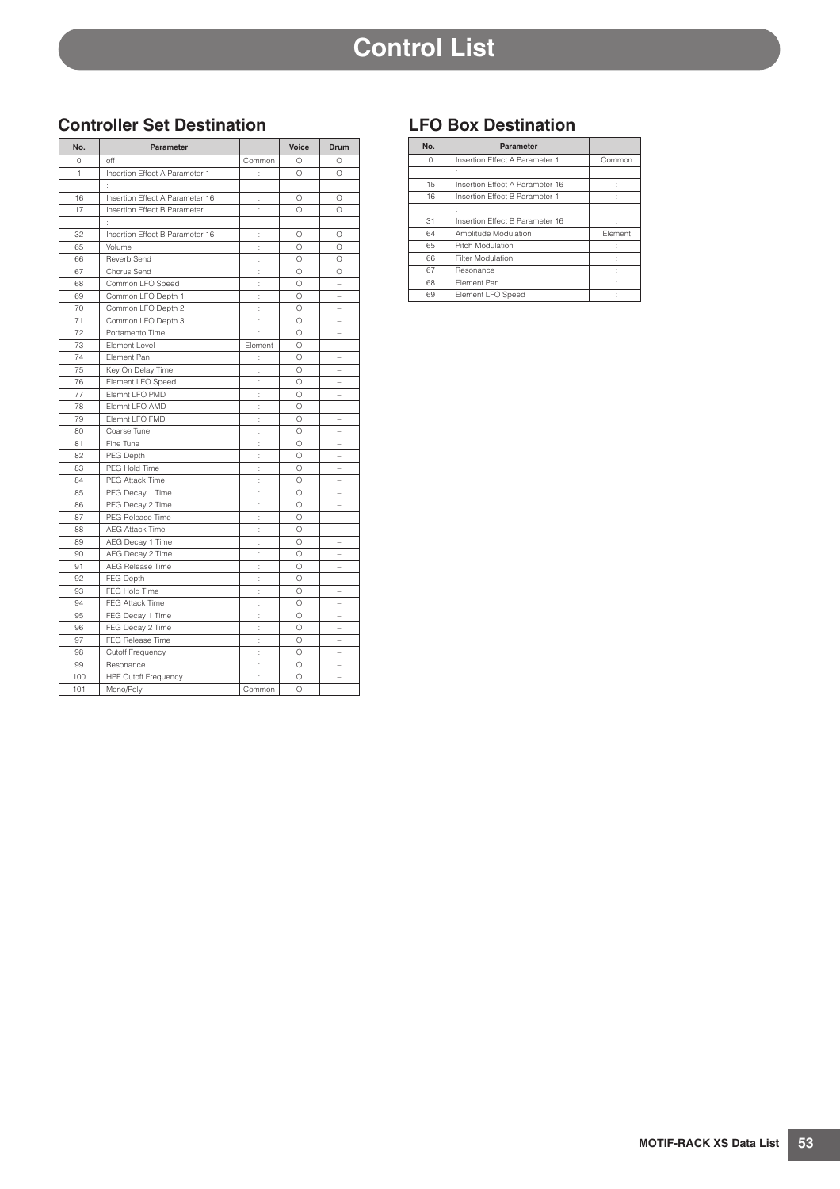# **Control List**

## **Controller Set Destination LFO Box Destination**

| No. | Parameter                       |          | Voice      | Drum                     |
|-----|---------------------------------|----------|------------|--------------------------|
| 0   | off                             | Common   | $\circ$    | $\circ$                  |
| 1   | Insertion Effect A Parameter 1  |          | $\bigcirc$ | $\bigcirc$               |
|     |                                 |          |            |                          |
| 16  | Insertion Effect A Parameter 16 | ÷        | O          | $\circ$                  |
| 17  | Insertion Effect B Parameter 1  | ÷        | $\bigcirc$ | $\Omega$                 |
|     |                                 |          |            |                          |
| 32  | Insertion Effect B Parameter 16 | ÷        | О          | O                        |
| 65  | Volume                          | ł.       | $\circ$    | $\circ$                  |
| 66  | Reverb Send                     | ÷        | $\circ$    | $\circ$                  |
| 67  | Chorus Send                     | ÷        | O          | $\Omega$                 |
| 68  | Common LFO Speed                | ÷        | $\circ$    | $\overline{\phantom{a}}$ |
| 69  | Common LFO Depth 1              | ÷        | $\bigcirc$ |                          |
| 70  | Common LFO Depth 2              | $\vdots$ | O          |                          |
| 71  | Common LFO Depth 3              | ÷        | $\circ$    | $\overline{\phantom{0}}$ |
| 72  | Portamento Time                 | ł.       | $\circ$    | $\overline{a}$           |
| 73  | Element Level                   | Element  | O          | $\overline{a}$           |
| 74  | Element Pan                     | ÷        | $\bigcirc$ | $\overline{\phantom{0}}$ |
| 75  | Key On Delay Time               | ÷        | $\bigcirc$ | $\overline{a}$           |
| 76  | Element LFO Speed               | t        | O          | $\overline{\phantom{a}}$ |
| 77  | Elemnt LFO PMD                  | ÷        | O          |                          |
| 78  | Elemnt LFO AMD                  | ÷        | $\circ$    | $\overline{\phantom{a}}$ |
| 79  | Elemnt LFO FMD                  | t        | $\circ$    | $\overline{\phantom{0}}$ |
| 80  | Coarse Tune                     | ÷        | $\circ$    |                          |
| 81  | Fine Tune                       | ÷        | $\bigcirc$ | $\overline{a}$           |
| 82  | PEG Depth                       | ÷        | O          | $\overline{\phantom{0}}$ |
| 83  | PEG Hold Time                   | $\vdots$ | $\circ$    |                          |
| 84  | PEG Attack Time                 | ÷        | O          | $\overline{\phantom{0}}$ |
| 85  | PEG Decay 1 Time                | ł.       | $\circ$    | $\overline{a}$           |
| 86  | PEG Decay 2 Time                | ċ        | $\bigcirc$ |                          |
| 87  | PEG Release Time                | ÷        | $\circ$    | $\overline{a}$           |
| 88  | <b>AEG Attack Time</b>          | ÷        | O          | $\overline{\phantom{0}}$ |
| 89  | AEG Decay 1 Time                | ÷        | $\bigcirc$ | $\overline{a}$           |
| 90  | AEG Decay 2 Time                | $\vdots$ | O          | $\overline{a}$           |
| 91  | AEG Release Time                | $\vdots$ | O          |                          |
| 92  | FEG Depth                       | ÷        | $\circ$    | $\overline{a}$           |
| 93  | FEG Hold Time                   | ÷        | О          | $\overline{\phantom{a}}$ |
| 94  | <b>FEG Attack Time</b>          | ł.       | $\circ$    | $\overline{a}$           |
| 95  | FEG Decay 1 Time                | ÷        | $\circ$    | $\overline{\phantom{0}}$ |
| 96  | FEG Decay 2 Time                | ÷        | $\bigcirc$ | $\overline{a}$           |
| 97  | FEG Release Time                | ÷        | $\bigcirc$ |                          |
| 98  | Cutoff Frequency                | ÷        | О          | $\overline{\phantom{a}}$ |
| 99  | Resonance                       | ÷        | O          |                          |
| 100 | <b>HPF Cutoff Frequency</b>     | ÷        | $\circ$    |                          |
| 101 | Mono/Poly                       | Common   | $\circ$    | $\overline{a}$           |

| <b>Parameter</b>                |         |
|---------------------------------|---------|
| Insertion Effect A Parameter 1  | Common  |
|                                 |         |
| Insertion Effect A Parameter 16 |         |
| Insertion Effect B Parameter 1  |         |
|                                 |         |
| Insertion Effect B Parameter 16 |         |
| Amplitude Modulation            | Flement |
| Pitch Modulation                |         |
| <b>Filter Modulation</b>        |         |
| Resonance                       |         |
| Flement Pan                     |         |
| Element LFO Speed               |         |
|                                 |         |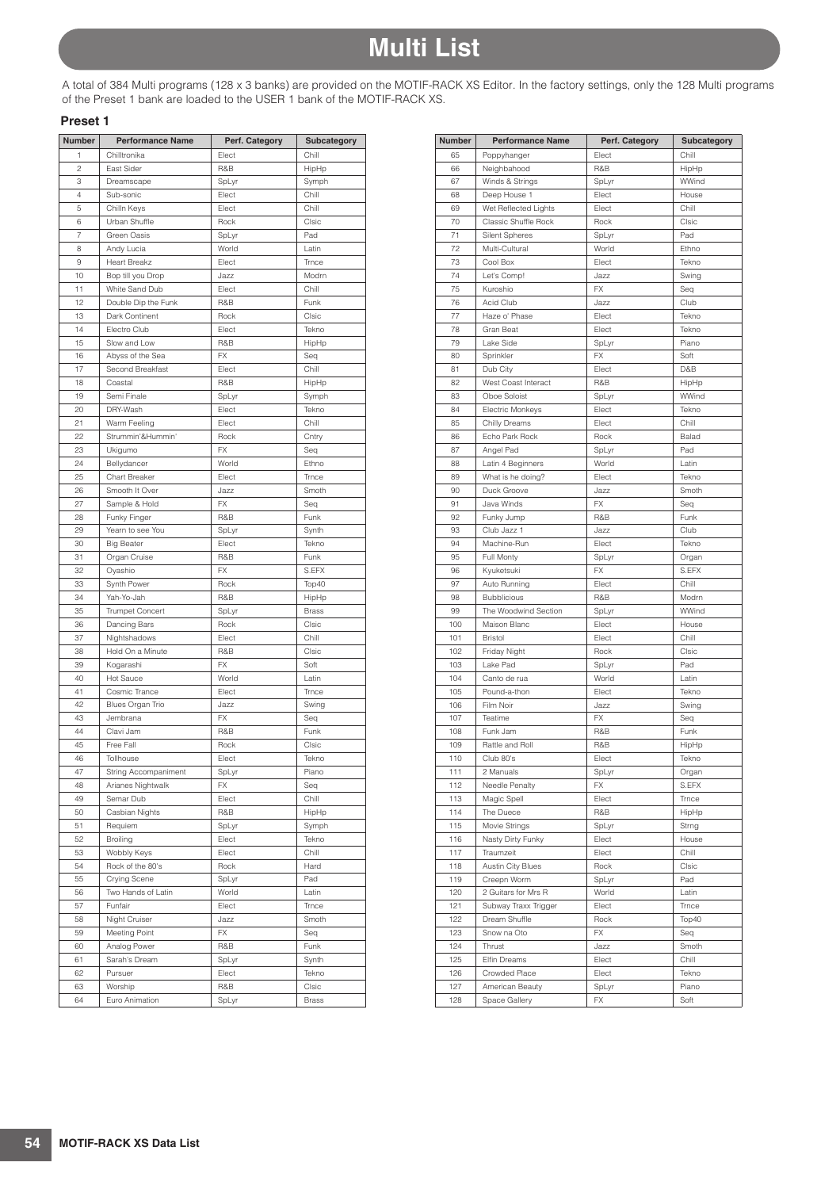# **Multi List**

A total of 384 Multi programs (128 x 3 banks) are provided on the MOTIF-RACK XS Editor. In the factory settings, only the 128 Multi programs of the Preset 1 bank are loaded to the USER 1 bank of the MOTIF-RACK XS.

### **Preset 1**

| Number         | <b>Performance Name</b> | Perf. Category | Subcategory  |
|----------------|-------------------------|----------------|--------------|
| 1              | Chilltronika            | Elect          | Chill        |
| $\overline{c}$ | East Sider              | R&B            | HipHp        |
| 3              | Dreamscape              | SpLyr          | Symph        |
| 4              | Sub-sonic               | Elect          | Chill        |
| 5              | Chilln Keys             | Elect          | Chill        |
| 6              | Urban Shuffle           | Rock           | Clsic        |
| $\overline{7}$ | Green Oasis             | SpLyr          | Pad          |
| 8              | Andy Lucia              | World          | Latin        |
| 9              | <b>Heart Breakz</b>     | Elect          | Trnce        |
| 10             | Bop till you Drop       | Jazz           | Modrn        |
| 11             | White Sand Dub          | Elect          | Chill        |
| 12             | Double Dip the Funk     | R&B            | Funk         |
| 13             | Dark Continent          | Rock           | Clsic        |
| 14             | Electro Club            | Elect          | Tekno        |
| 15             | Slow and Low            | R&B            | HipHp        |
| 16             | Abyss of the Sea        | <b>FX</b>      | Seq          |
| 17             | Second Breakfast        | Elect          | Chill        |
| 18             | Coastal                 | R&B            | HipHp        |
| 19             | Semi Finale             | SpLyr          | Symph        |
| 20             | DRY-Wash                | Elect          | Tekno        |
| 21             | Warm Feeling            | Elect          | Chill        |
| 22             | Strummin'&Hummin'       | Rock           | Cntry        |
| 23             | Ukigumo                 | <b>FX</b>      |              |
| 24             |                         | World          | Seq<br>Ethno |
|                | Bellydancer             |                |              |
| 25             | Chart Breaker           | Elect          | Trnce        |
| 26             | Smooth It Over          | Jazz           | Smoth        |
| 27             | Sample & Hold           | <b>FX</b>      | Seq          |
| 28             | Funky Finger            | R&B            | Funk         |
| 29             | Yearn to see You        | SpLyr          | Synth        |
| 30             | <b>Big Beater</b>       | Elect          | Tekno        |
| 31             | Organ Cruise            | R&B            | Funk         |
| 32             | Oyashio                 | <b>FX</b>      | S.EFX        |
| 33             | Synth Power             | Rock           | Top40        |
| 34             | Yah-Yo-Jah              | R&B            | HipHp        |
| 35             | <b>Trumpet Concert</b>  | SpLyr          | <b>Brass</b> |
| 36             | Dancing Bars            | Rock           | Clsic        |
| 37             | Nightshadows            | Elect          | Chill        |
| 38             | Hold On a Minute        | R&B            | Clsic        |
| 39             | Kogarashi               | <b>FX</b>      | Soft         |
| 40             | Hot Sauce               | World          | Latin        |
| 41             | Cosmic Trance           | Elect          | Trnce        |
| 42             | Blues Organ Trio        | Jazz           | Swing        |
| 43             | Jembrana                | <b>FX</b>      | Seq          |
| 44             | Clavi Jam               | R&B            | Funk         |
| 45             | Free Fall               | Rock           | Clsic        |
| 46             | Tollhouse               | Elect          | Tekno        |
| 47             | String Accompaniment    | SpLyr          | Piano        |
| 48             | Arianes Nightwalk       | FX             | Seq          |
| 49             | Semar Dub               | Elect          | Chill        |
| 50             | Casbian Nights          | R&B            | HipHp        |
| 51             | Requiem                 | SpLyr          | Symph        |
| 52             | Broiling                | Elect          | Tekno        |
|                |                         |                |              |
| 53             | Wobbly Keys             | Elect          | Chill        |
| 54             | Rock of the 80's        | Rock           | Hard         |
| 55             | Crying Scene            | SpLyr          | Pad          |
| 56             | Two Hands of Latin      | World          | Latin        |
| 57             | Funfair                 | Elect          | Trnce        |
| 58             | Night Cruiser           | Jazz           | Smoth        |
| 59             | Meeting Point           | FX             | Seq          |
| 60             | Analog Power            | R&B            | Funk         |
| 61             | Sarah's Dream           | SpLyr          | Synth        |
| 62             | Pursuer                 | Elect          | Tekno        |
| 63             | Worship                 | R&B            | Clsic        |
|                |                         | SpLyr          | <b>Brass</b> |

| Number     | <b>Performance Name</b>           | Perf. Category | Subcategory    |
|------------|-----------------------------------|----------------|----------------|
| 65         | Poppyhanger                       | Elect          | Chill          |
| 66         | Neighbahood                       | R&B            | HipHp          |
| 67         | Winds & Strings                   | SpLyr          | WWind          |
| 68         | Deep House 1                      | Elect          | House          |
| 69         | Wet Reflected Lights              | Elect          | Chill          |
| 70         | Classic Shuffle Rock              | Rock           | Clsic          |
| 71         | <b>Silent Spheres</b>             | SpLyr          | Pad            |
| 72         | Multi-Cultural                    | World          | Ethno          |
| 73         | Cool Box                          | Elect          | Tekno          |
| 74         | Let's Comp!                       | Jazz           | Swing          |
| 75         | Kuroshio                          | <b>FX</b>      | Seq            |
| 76         | Acid Club                         | Jazz           | Club           |
| 77         | Haze o' Phase                     | Elect          | Tekno          |
| 78         | Gran Beat                         | Elect          | Tekno          |
| 79         | Lake Side                         | SpLyr          | Piano          |
| 80         | Sprinkler                         | FX             | Soft           |
| 81         | Dub City                          | Elect          | D&B            |
| 82         | West Coast Interact               | R&B            | HipHp          |
| 83         | Oboe Soloist                      | SpLyr          | WWind          |
| 84         | Electric Monkeys<br>Chilly Dreams | Elect          | Tekno<br>Chill |
| 85<br>86   | Echo Park Rock                    | Elect<br>Rock  | Balad          |
| 87         | Angel Pad                         | SpLyr          | Pad            |
| 88         | Latin 4 Beginners                 | World          | Latin          |
| 89         | What is he doing?                 | Elect          | Tekno          |
| 90         | Duck Groove                       | Jazz           | Smoth          |
| 91         | Java Winds                        | FX             | Seq            |
| 92         | Funky Jump                        | R&B            | Funk           |
| 93         | Club Jazz 1                       | Jazz           | Club           |
| 94         | Machine-Run                       | Elect          | Tekno          |
| 95         | Full Monty                        | SpLyr          | Organ          |
| 96         | Kyuketsuki                        | <b>FX</b>      | S.EFX          |
| 97         | Auto Running                      | Elect          | Chill          |
| 98         | <b>Bubblicious</b>                | R&B            | Modrn          |
| 99         | The Woodwind Section              | SpLyr          | WWind          |
| 100        | Maison Blanc                      | Elect          | House          |
| 101        | <b>Bristol</b>                    | Elect          | Chill          |
| 102        | Friday Night                      | Rock           | Clsic          |
| 103        | Lake Pad                          | SpLyr          | Pad            |
| 104        | Canto de rua                      | World          | Latin          |
| 105        | Pound-a-thon                      | Elect          | Tekno          |
| 106        | Film Noir                         | Jazz           | Swing          |
| 107        | Teatime                           | FX             | Seq            |
| 108        | Funk Jam                          | R&B            | Funk           |
| 109        | Rattle and Roll                   | R&B            | HipHp          |
| 110        | Club 80's                         | Elect          | Tekno          |
| 111        | 2 Manuals                         | SpLyr          | Organ          |
| 112        | Needle Penalty                    | FX             | S.EFX          |
| 113<br>114 | Magic Spell<br>The Duece          | Elect<br>R&B   | Trnce<br>HipHp |
| 115        | Movie Strings                     | SpLyr          | Strng          |
| 116        | Nasty Dirty Funky                 | Elect          | House          |
| 117        | Traumzeit                         | Elect          | Chill          |
| 118        | <b>Austin City Blues</b>          | Rock           | Clsic          |
| 119        | Creepn Worm                       | SpLyr          | Pad            |
| 120        | 2 Guitars for Mrs R               | World          | Latin          |
| 121        | Subway Traxx Trigger              | Elect          | Trnce          |
| 122        | Dream Shuffle                     | Rock           | Top40          |
| 123        | Snow na Oto                       | FX             | Seq            |
| 124        | Thrust                            | Jazz           | Smoth          |
| 125        | Elfin Dreams                      | Elect          | Chill          |
| 126        | Crowded Place                     | Elect          | Tekno          |
| 127        | American Beauty                   | SpLyr          | Piano          |
| 128        | Space Gallery                     | <b>FX</b>      | Soft           |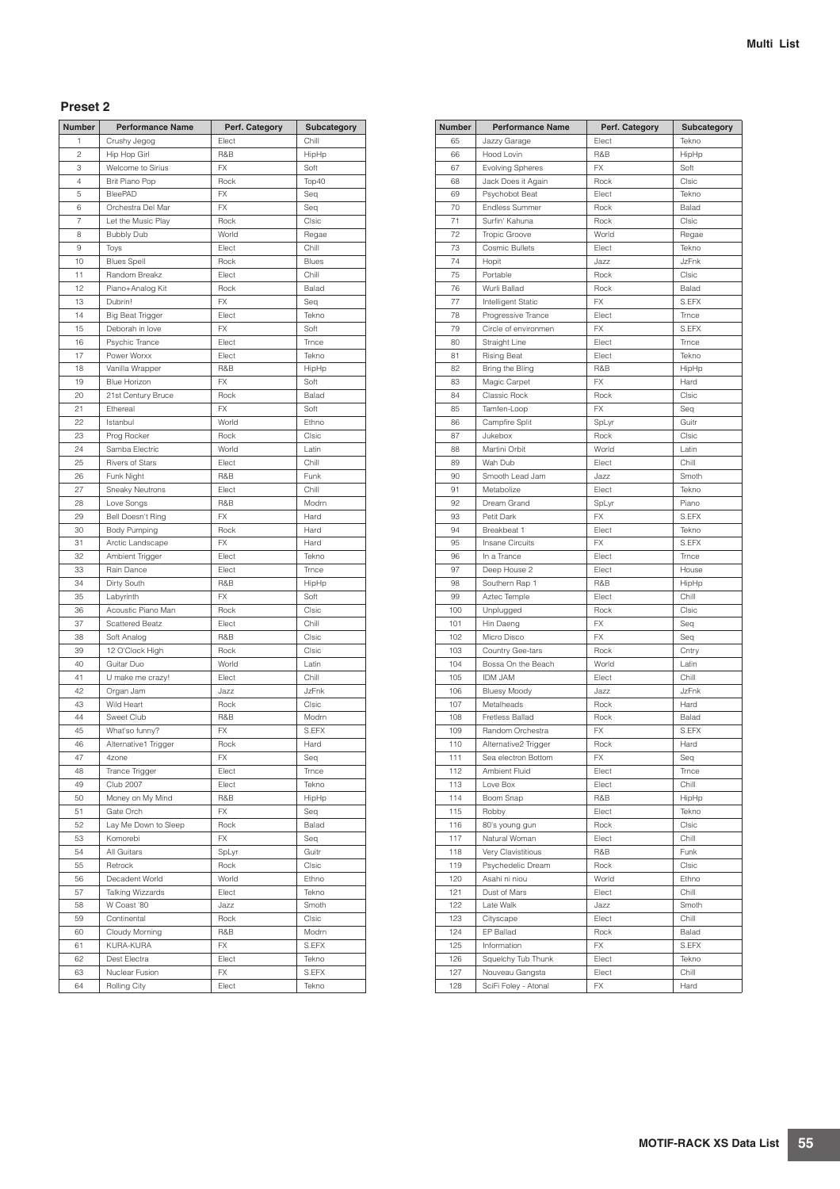### **Preset 2**

| <b>Number</b>  | <b>Performance Name</b>  | Perf. Category | Subcategory  |
|----------------|--------------------------|----------------|--------------|
| 1              | Crushy Jegog             | Elect          | Chill        |
| $\overline{c}$ | Hip Hop Girl             | R&B            | HipHp        |
| 3              | Welcome to Sirius        | <b>FX</b>      | Soft         |
| 4              | Brit Piano Pop           | Rock           | Top40        |
| 5              | <b>BleePAD</b>           | <b>FX</b>      | Seq          |
| 6              | Orchestra Del Mar        | <b>FX</b>      | Seq          |
| 7              | Let the Music Play       | Rock           | Clsic        |
| 8              | <b>Bubbly Dub</b>        | World          | Regae        |
| 9              | Toys                     | Elect          | Chill        |
| 10             | <b>Blues Spell</b>       | Rock           | <b>Blues</b> |
| 11             | Random Breakz            | Elect          | Chill        |
| 12             | Piano+Analog Kit         | Rock           | Balad        |
| 13             | Dubrin!                  | <b>FX</b>      | Seq          |
| 14             | <b>Big Beat Trigger</b>  | Elect          | Tekno        |
| 15             | Deborah in love          | <b>FX</b>      | Soft         |
|                |                          |                |              |
| 16             | Psychic Trance           | Elect          | Trnce        |
| 17             | Power Worxx              | Elect          | Tekno        |
| 18             | Vanilla Wrapper          | R&B            | HipHp        |
| 19             | <b>Blue Horizon</b>      | <b>FX</b>      | Soft         |
| 20             | 21st Century Bruce       | Rock           | Balad        |
| 21             | Ethereal                 | <b>FX</b>      | Soft         |
| 22             | Istanbul                 | World          | Ethno        |
| 23             | Prog Rocker              | Rock           | Clsic        |
| 24             | Samba Electric           | World          | Latin        |
| 25             | <b>Rivers of Stars</b>   | Elect          | Chill        |
| 26             | Funk Night               | R&B            | Funk         |
| 27             | Sneaky Neutrons          | Elect          | Chill        |
| 28             | Love Songs               | R&B            | Modrn        |
| 29             | <b>Bell Doesn't Ring</b> | <b>FX</b>      | Hard         |
| 30             | Body Pumping             | Rock           | Hard         |
| 31             | Arctic Landscape         | <b>FX</b>      | Hard         |
| 32             | Ambient Trigger          | Elect          | Tekno        |
| 33             | Rain Dance               | Elect          | Trnce        |
| 34             | Dirty South              | R&B            | HipHp        |
| 35             | Labyrinth                | <b>FX</b>      | Soft         |
| 36             | Acoustic Piano Man       | Rock           | Clsic        |
| 37             | <b>Scattered Beatz</b>   | Elect          | Chill        |
| 38             | Soft Analog              | R&B            | Clsic        |
| 39             | 12 O'Clock High          | Rock           | Clsic        |
| 40             | Guitar Duo               | World          | Latin        |
| 41             | U make me crazy!         | Elect          | Chill        |
| 42             | Organ Jam                | Jazz           | JzFnk        |
| 43             | Wild Heart               | Rock           | Clsic        |
| 44             | Sweet Club               | R&B            | Modrn        |
| 45             | What'so funny?           | <b>FX</b>      | S.EFX        |
| 46             | Alternative1 Trigger     | Rock           | Hard         |
| 47             | 4zone                    | FX             | Seq          |
| 48             | Trance Trigger           | Elect          | Trnce        |
| 49             | <b>Club 2007</b>         | Elect          | Tekno        |
| 50             | Money on My Mind         | R&B            | HipHp        |
| 51             | Gate Orch                | FX             | Seq          |
| 52             | Lay Me Down to Sleep     | Rock           | Balad        |
| 53             | Komorebi                 | FX             | Seq          |
| 54             | All Guitars              | SpLyr          | Guitr        |
| 55             | Retrock                  | Rock           | Clsic        |
| 56             | Decadent World           | World          | Ethno        |
| 57             | Talking Wizzards         | Elect          | Tekno        |
| 58             | W Coast '80              | Jazz           | Smoth        |
| 59             | Continental              | Rock           | Clsic        |
| 60             | Cloudy Morning           | R&B            | Modrn        |
| 61             | KURA-KURA                | <b>FX</b>      | S.EFX        |
| 62             | Dest Electra             | Elect          | Tekno        |
| 63             | Nuclear Fusion           | FX             | S.EFX        |
| 64             | Rolling City             | Elect          | Tekno        |
|                |                          |                |              |

| Number<br>65 | <b>Performance Name</b><br>Jazzy Garage | Perf. Category<br>Elect | Subcategory<br>Tekno |
|--------------|-----------------------------------------|-------------------------|----------------------|
| 66           | Hood Lovin                              | R&B                     | HipHp                |
| 67           | <b>Evolving Spheres</b>                 | <b>FX</b>               | Soft                 |
| 68           | Jack Does it Again                      | Rock                    | Clsic                |
| 69           | Psychobot Beat                          | Elect                   | Tekno                |
| 70           | <b>Endless Summer</b>                   | Rock                    | Balad                |
| 71           | Surfin' Kahuna                          | Rock                    | Clsic                |
| 72           | Tropic Groove                           | World                   | Regae                |
| 73           | Cosmic Bullets                          | Elect                   | Tekno                |
| 74           | Hopit                                   | Jazz                    | <b>JzFnk</b>         |
| 75           | Portable                                | Rock                    | Clsic                |
| 76           | Wurli Ballad                            | Rock                    | Balad                |
| 77           | Intelligent Static                      | FX                      | S.EFX                |
| 78           | Progressive Trance                      | Elect                   | Trnce                |
| 79           | Circle of environmen                    | <b>FX</b>               | S.EFX                |
| 80           | Straight Line                           | Elect                   | Trnce                |
| 81           | <b>Rising Beat</b>                      | Elect                   | Tekno                |
| 82           | Bring the Bling                         | R&B                     | HipHp                |
| 83           | Magic Carpet                            | FX                      | Hard                 |
| 84           | Classic Rock                            | Rock                    | Clsic                |
| 85           | Tamfen-Loop                             | FX                      | Seq                  |
| 86           | Campfire Split                          | SpLyr                   | Guitr                |
| 87           | Jukebox                                 | Rock                    | Clsic                |
| 88           | Martini Orbit                           | World<br>Elect          | Latin                |
| 89<br>90     | Wah Dub<br>Smooth Lead Jam              | Jazz                    | Chill<br>Smoth       |
| 91           | Metabolize                              | Elect                   | Tekno                |
| 92           | Dream Grand                             | SpLyr                   | Piano                |
| 93           | Petit Dark                              | FX                      | S.EFX                |
| 94           | Breakbeat 1                             | Elect                   | Tekno                |
| 95           | <b>Insane Circuits</b>                  | FX                      | S.EFX                |
| 96           | In a Trance                             | Elect                   | Trnce                |
| 97           | Deep House 2                            | Elect                   | House                |
| 98           | Southern Rap 1                          | R&B                     | HipHp                |
| 99           | Aztec Temple                            | Elect                   | Chill                |
| 100          | Unplugged                               | Rock                    | Clsic                |
| 101          | Hin Daeng                               | FX                      | Seq                  |
| 102          | Micro Disco                             | FX                      | Seq                  |
| 103          | Country Gee-tars                        | Rock                    | Cntry                |
| 104          | Bossa On the Beach                      | World                   | Latin                |
| 105          | <b>IDM JAM</b>                          | Elect                   | Chill                |
| 106          | <b>Bluesy Moody</b>                     | Jazz                    | <b>JzFnk</b>         |
| 107          | Metalheads                              | Rock                    | Hard                 |
| 108          | Fretless Ballad                         | Rock                    | Balad                |
| 109          | Random Orchestra                        | FX                      | S.EFX                |
| 110          | Alternative2 Trigger                    | Rock                    | Hard                 |
| 111<br>112   | Sea electron Bottom<br>Ambient Fluid    | FX<br>Elect             | Seq<br>Trnce         |
|              |                                         |                         |                      |
| 113<br>114   | Love Box<br>Boom Snap                   | Elect<br>R&B            | Chill                |
| 115          | Robby                                   | Elect                   | HipHp<br>Tekno       |
| 116          | 80's young gun                          | Rock                    | Clsic                |
| 117          | Natural Woman                           | Elect                   | Chill                |
| 118          | Very Clavistitious                      | R&B                     | Funk                 |
| 119          | Psychedelic Dream                       | Rock                    | Clsic                |
| 120          | Asahi ni niou                           | World                   | Ethno                |
| 121          | Dust of Mars                            | Elect                   | Chill                |
| 122          | Late Walk                               | Jazz                    | Smoth                |
| 123          | Cityscape                               | Elect                   | Chill                |
| 124          | EP Ballad                               | Rock                    | Balad                |
| 125          | Information                             | FX                      | S.EFX                |
| 126          | Squelchy Tub Thunk                      | Elect                   | Tekno                |
| 127          | Nouveau Gangsta                         | Elect                   | Chill                |
| 128          | SciFi Foley - Atonal                    | FX                      | Hard                 |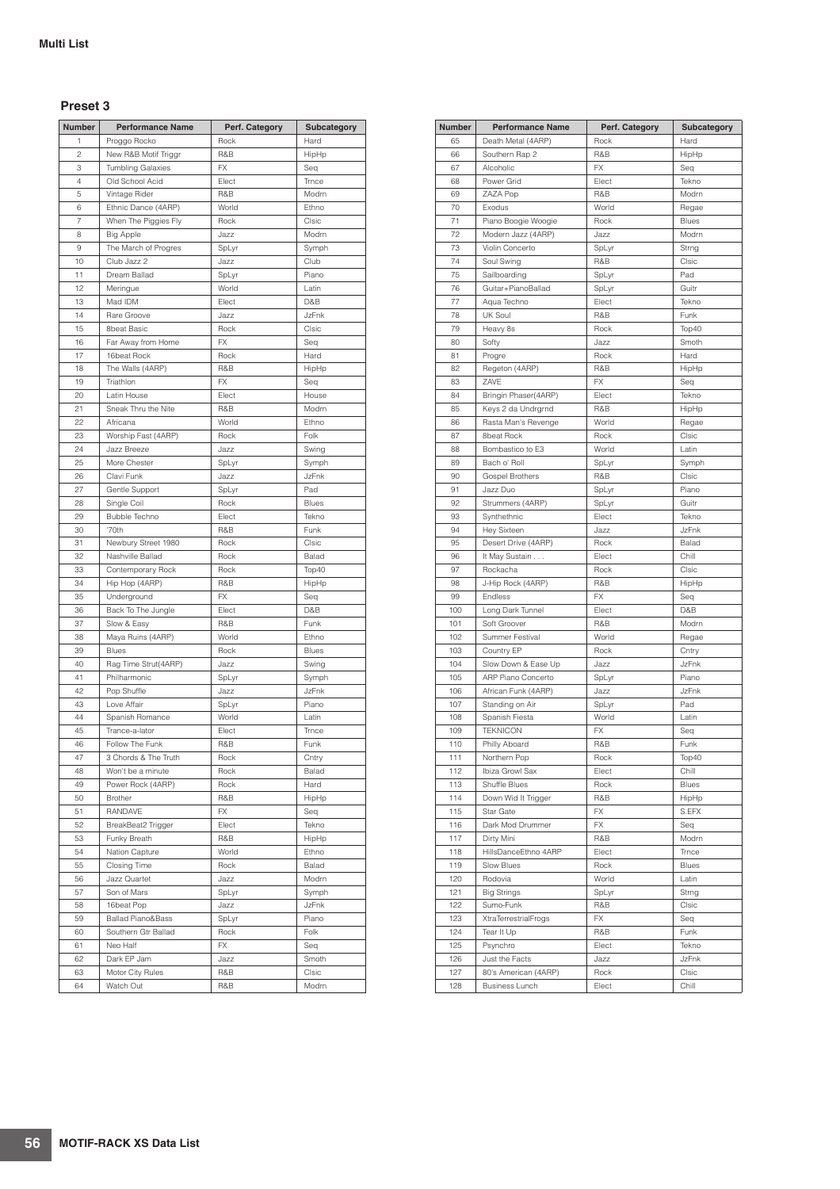### **Preset 3**

| 1<br>$\overline{c}$<br>3<br>4<br>5<br>6<br>7<br>8<br>9<br>10<br>11<br>12<br>13<br>14<br>15<br>16<br>17<br>18<br>19<br>20<br>21<br>22<br>23<br>24<br>25<br>26<br>27<br>28<br>29<br>30<br>31<br>32<br>33<br>34<br>35 | Proggo Rocko<br>New R&B Motif Triggr<br><b>Tumbling Galaxies</b><br>Old School Acid<br>Vintage Rider<br>Ethnic Dance (4ARP)<br>When The Piggies Fly<br><b>Big Apple</b><br>The March of Progres<br>Club Jazz 2<br>Dream Ballad<br>Meringue<br>Mad IDM<br>Rare Groove<br><b>8beat Basic</b><br>Far Away from Home<br>16beat Rock<br>The Walls (4ARP)<br>Triathlon<br>Latin House<br>Sneak Thru the Nite<br>Africana<br>Worship Fast (4ARP)<br>Jazz Breeze<br>More Chester<br>Clavi Funk<br>Gentle Support | Rock<br>R&B<br><b>FX</b><br>Elect<br>R&B<br>World<br>Rock<br>Jazz<br>SpLyr<br>Jazz<br>SpLyr<br>World<br>Elect<br>Jazz<br>Rock<br><b>FX</b><br>Rock<br>R&B<br><b>FX</b><br>Elect<br>R&B<br>World<br>Rock<br>Jazz<br>SpLyr | Hard<br>HipHp<br>Seq<br>Trnce<br>Modrn<br>Ethno<br>Clsic<br>Modrn<br>Symph<br>Club<br>Piano<br>Latin<br>D&B<br>JzFnk<br>Clsic<br>Seq<br>Hard<br>HipHp<br>Seq<br>House<br>Modrn<br>Ethno<br>Folk<br>Swing |
|--------------------------------------------------------------------------------------------------------------------------------------------------------------------------------------------------------------------|----------------------------------------------------------------------------------------------------------------------------------------------------------------------------------------------------------------------------------------------------------------------------------------------------------------------------------------------------------------------------------------------------------------------------------------------------------------------------------------------------------|--------------------------------------------------------------------------------------------------------------------------------------------------------------------------------------------------------------------------|----------------------------------------------------------------------------------------------------------------------------------------------------------------------------------------------------------|
|                                                                                                                                                                                                                    |                                                                                                                                                                                                                                                                                                                                                                                                                                                                                                          |                                                                                                                                                                                                                          |                                                                                                                                                                                                          |
|                                                                                                                                                                                                                    |                                                                                                                                                                                                                                                                                                                                                                                                                                                                                                          |                                                                                                                                                                                                                          |                                                                                                                                                                                                          |
|                                                                                                                                                                                                                    |                                                                                                                                                                                                                                                                                                                                                                                                                                                                                                          |                                                                                                                                                                                                                          |                                                                                                                                                                                                          |
|                                                                                                                                                                                                                    |                                                                                                                                                                                                                                                                                                                                                                                                                                                                                                          |                                                                                                                                                                                                                          |                                                                                                                                                                                                          |
|                                                                                                                                                                                                                    |                                                                                                                                                                                                                                                                                                                                                                                                                                                                                                          |                                                                                                                                                                                                                          |                                                                                                                                                                                                          |
|                                                                                                                                                                                                                    |                                                                                                                                                                                                                                                                                                                                                                                                                                                                                                          |                                                                                                                                                                                                                          |                                                                                                                                                                                                          |
|                                                                                                                                                                                                                    |                                                                                                                                                                                                                                                                                                                                                                                                                                                                                                          |                                                                                                                                                                                                                          |                                                                                                                                                                                                          |
|                                                                                                                                                                                                                    |                                                                                                                                                                                                                                                                                                                                                                                                                                                                                                          |                                                                                                                                                                                                                          |                                                                                                                                                                                                          |
|                                                                                                                                                                                                                    |                                                                                                                                                                                                                                                                                                                                                                                                                                                                                                          |                                                                                                                                                                                                                          |                                                                                                                                                                                                          |
|                                                                                                                                                                                                                    |                                                                                                                                                                                                                                                                                                                                                                                                                                                                                                          |                                                                                                                                                                                                                          |                                                                                                                                                                                                          |
|                                                                                                                                                                                                                    |                                                                                                                                                                                                                                                                                                                                                                                                                                                                                                          |                                                                                                                                                                                                                          |                                                                                                                                                                                                          |
|                                                                                                                                                                                                                    |                                                                                                                                                                                                                                                                                                                                                                                                                                                                                                          |                                                                                                                                                                                                                          |                                                                                                                                                                                                          |
|                                                                                                                                                                                                                    |                                                                                                                                                                                                                                                                                                                                                                                                                                                                                                          |                                                                                                                                                                                                                          |                                                                                                                                                                                                          |
|                                                                                                                                                                                                                    |                                                                                                                                                                                                                                                                                                                                                                                                                                                                                                          |                                                                                                                                                                                                                          |                                                                                                                                                                                                          |
|                                                                                                                                                                                                                    |                                                                                                                                                                                                                                                                                                                                                                                                                                                                                                          |                                                                                                                                                                                                                          |                                                                                                                                                                                                          |
|                                                                                                                                                                                                                    |                                                                                                                                                                                                                                                                                                                                                                                                                                                                                                          |                                                                                                                                                                                                                          |                                                                                                                                                                                                          |
|                                                                                                                                                                                                                    |                                                                                                                                                                                                                                                                                                                                                                                                                                                                                                          |                                                                                                                                                                                                                          |                                                                                                                                                                                                          |
|                                                                                                                                                                                                                    |                                                                                                                                                                                                                                                                                                                                                                                                                                                                                                          |                                                                                                                                                                                                                          |                                                                                                                                                                                                          |
|                                                                                                                                                                                                                    |                                                                                                                                                                                                                                                                                                                                                                                                                                                                                                          |                                                                                                                                                                                                                          |                                                                                                                                                                                                          |
|                                                                                                                                                                                                                    |                                                                                                                                                                                                                                                                                                                                                                                                                                                                                                          |                                                                                                                                                                                                                          |                                                                                                                                                                                                          |
|                                                                                                                                                                                                                    |                                                                                                                                                                                                                                                                                                                                                                                                                                                                                                          |                                                                                                                                                                                                                          |                                                                                                                                                                                                          |
|                                                                                                                                                                                                                    |                                                                                                                                                                                                                                                                                                                                                                                                                                                                                                          |                                                                                                                                                                                                                          |                                                                                                                                                                                                          |
|                                                                                                                                                                                                                    |                                                                                                                                                                                                                                                                                                                                                                                                                                                                                                          |                                                                                                                                                                                                                          |                                                                                                                                                                                                          |
|                                                                                                                                                                                                                    |                                                                                                                                                                                                                                                                                                                                                                                                                                                                                                          |                                                                                                                                                                                                                          |                                                                                                                                                                                                          |
|                                                                                                                                                                                                                    |                                                                                                                                                                                                                                                                                                                                                                                                                                                                                                          |                                                                                                                                                                                                                          |                                                                                                                                                                                                          |
|                                                                                                                                                                                                                    |                                                                                                                                                                                                                                                                                                                                                                                                                                                                                                          |                                                                                                                                                                                                                          | Symph                                                                                                                                                                                                    |
|                                                                                                                                                                                                                    |                                                                                                                                                                                                                                                                                                                                                                                                                                                                                                          | Jazz                                                                                                                                                                                                                     | JzFnk                                                                                                                                                                                                    |
|                                                                                                                                                                                                                    |                                                                                                                                                                                                                                                                                                                                                                                                                                                                                                          | SpLyr                                                                                                                                                                                                                    | Pad                                                                                                                                                                                                      |
|                                                                                                                                                                                                                    | Single Coil                                                                                                                                                                                                                                                                                                                                                                                                                                                                                              | Rock                                                                                                                                                                                                                     | Blues                                                                                                                                                                                                    |
|                                                                                                                                                                                                                    | <b>Bubble Techno</b>                                                                                                                                                                                                                                                                                                                                                                                                                                                                                     | Elect                                                                                                                                                                                                                    | Tekno                                                                                                                                                                                                    |
|                                                                                                                                                                                                                    | '70th                                                                                                                                                                                                                                                                                                                                                                                                                                                                                                    | R&B                                                                                                                                                                                                                      | Funk                                                                                                                                                                                                     |
|                                                                                                                                                                                                                    | Newbury Street 1980                                                                                                                                                                                                                                                                                                                                                                                                                                                                                      | Rock                                                                                                                                                                                                                     | Clsic                                                                                                                                                                                                    |
|                                                                                                                                                                                                                    | Nashville Ballad                                                                                                                                                                                                                                                                                                                                                                                                                                                                                         | Rock                                                                                                                                                                                                                     | Balad                                                                                                                                                                                                    |
|                                                                                                                                                                                                                    | Contemporary Rock                                                                                                                                                                                                                                                                                                                                                                                                                                                                                        | Rock                                                                                                                                                                                                                     | Top40                                                                                                                                                                                                    |
|                                                                                                                                                                                                                    | Hip Hop (4ARP)                                                                                                                                                                                                                                                                                                                                                                                                                                                                                           | R&B                                                                                                                                                                                                                      | HipHp                                                                                                                                                                                                    |
|                                                                                                                                                                                                                    | Underground                                                                                                                                                                                                                                                                                                                                                                                                                                                                                              | <b>FX</b>                                                                                                                                                                                                                | Seq                                                                                                                                                                                                      |
| 36                                                                                                                                                                                                                 | Back To The Jungle                                                                                                                                                                                                                                                                                                                                                                                                                                                                                       | Elect                                                                                                                                                                                                                    | D&B                                                                                                                                                                                                      |
| 37                                                                                                                                                                                                                 | Slow & Easy                                                                                                                                                                                                                                                                                                                                                                                                                                                                                              | R&B                                                                                                                                                                                                                      | Funk                                                                                                                                                                                                     |
| 38                                                                                                                                                                                                                 | Maya Ruins (4ARP)                                                                                                                                                                                                                                                                                                                                                                                                                                                                                        | World                                                                                                                                                                                                                    | Ethno                                                                                                                                                                                                    |
| 39                                                                                                                                                                                                                 | <b>Blues</b>                                                                                                                                                                                                                                                                                                                                                                                                                                                                                             | Rock                                                                                                                                                                                                                     | <b>Blues</b>                                                                                                                                                                                             |
| 40                                                                                                                                                                                                                 | Rag Time Strut(4ARP)                                                                                                                                                                                                                                                                                                                                                                                                                                                                                     | Jazz                                                                                                                                                                                                                     | Swing                                                                                                                                                                                                    |
| 41                                                                                                                                                                                                                 | Philharmonic                                                                                                                                                                                                                                                                                                                                                                                                                                                                                             | SpLyr                                                                                                                                                                                                                    | Symph                                                                                                                                                                                                    |
| 42                                                                                                                                                                                                                 | Pop Shuffle                                                                                                                                                                                                                                                                                                                                                                                                                                                                                              | Jazz                                                                                                                                                                                                                     | JzFnk                                                                                                                                                                                                    |
| 43                                                                                                                                                                                                                 | Love Affair                                                                                                                                                                                                                                                                                                                                                                                                                                                                                              | SpLyr                                                                                                                                                                                                                    | Piano                                                                                                                                                                                                    |
| 44                                                                                                                                                                                                                 | Spanish Romance                                                                                                                                                                                                                                                                                                                                                                                                                                                                                          | World                                                                                                                                                                                                                    | Latin                                                                                                                                                                                                    |
| 45                                                                                                                                                                                                                 | Trance-a-lator                                                                                                                                                                                                                                                                                                                                                                                                                                                                                           | Elect                                                                                                                                                                                                                    | Trnce                                                                                                                                                                                                    |
| 46                                                                                                                                                                                                                 | Follow The Funk                                                                                                                                                                                                                                                                                                                                                                                                                                                                                          | R&B                                                                                                                                                                                                                      | Funk                                                                                                                                                                                                     |
| 47                                                                                                                                                                                                                 | 3 Chords & The Truth                                                                                                                                                                                                                                                                                                                                                                                                                                                                                     | Rock                                                                                                                                                                                                                     | Cntry                                                                                                                                                                                                    |
| 48                                                                                                                                                                                                                 | Won't be a minute                                                                                                                                                                                                                                                                                                                                                                                                                                                                                        | Rock                                                                                                                                                                                                                     | Balad                                                                                                                                                                                                    |
| 49                                                                                                                                                                                                                 | Power Rock (4ARP)                                                                                                                                                                                                                                                                                                                                                                                                                                                                                        | Rock                                                                                                                                                                                                                     | Hard                                                                                                                                                                                                     |
| 50                                                                                                                                                                                                                 | Brother                                                                                                                                                                                                                                                                                                                                                                                                                                                                                                  | R&B                                                                                                                                                                                                                      | HipHp                                                                                                                                                                                                    |
| 51                                                                                                                                                                                                                 | RANDAVE                                                                                                                                                                                                                                                                                                                                                                                                                                                                                                  | <b>FX</b>                                                                                                                                                                                                                | Seq                                                                                                                                                                                                      |
| 52                                                                                                                                                                                                                 | BreakBeat2 Trigger                                                                                                                                                                                                                                                                                                                                                                                                                                                                                       | Elect                                                                                                                                                                                                                    | Tekno                                                                                                                                                                                                    |
| 53                                                                                                                                                                                                                 | Funky Breath                                                                                                                                                                                                                                                                                                                                                                                                                                                                                             | R&B                                                                                                                                                                                                                      | HipHp                                                                                                                                                                                                    |
| 54                                                                                                                                                                                                                 | Nation Capture                                                                                                                                                                                                                                                                                                                                                                                                                                                                                           | World                                                                                                                                                                                                                    | Ethno                                                                                                                                                                                                    |
| 55                                                                                                                                                                                                                 | Closing Time                                                                                                                                                                                                                                                                                                                                                                                                                                                                                             | Rock                                                                                                                                                                                                                     | Balad                                                                                                                                                                                                    |
| 56                                                                                                                                                                                                                 | Jazz Quartet                                                                                                                                                                                                                                                                                                                                                                                                                                                                                             | Jazz                                                                                                                                                                                                                     | Modrn                                                                                                                                                                                                    |
| 57                                                                                                                                                                                                                 | Son of Mars                                                                                                                                                                                                                                                                                                                                                                                                                                                                                              | SpLyr                                                                                                                                                                                                                    | Symph                                                                                                                                                                                                    |
| 58                                                                                                                                                                                                                 | 16beat Pop                                                                                                                                                                                                                                                                                                                                                                                                                                                                                               | Jazz                                                                                                                                                                                                                     | JzFnk                                                                                                                                                                                                    |
| 59                                                                                                                                                                                                                 | Ballad Piano&Bass                                                                                                                                                                                                                                                                                                                                                                                                                                                                                        |                                                                                                                                                                                                                          | Piano                                                                                                                                                                                                    |
|                                                                                                                                                                                                                    |                                                                                                                                                                                                                                                                                                                                                                                                                                                                                                          | SpLyr                                                                                                                                                                                                                    |                                                                                                                                                                                                          |
| 60                                                                                                                                                                                                                 | Southern Gtr Ballad                                                                                                                                                                                                                                                                                                                                                                                                                                                                                      | Rock                                                                                                                                                                                                                     | Folk                                                                                                                                                                                                     |
| 61                                                                                                                                                                                                                 | Neo Half                                                                                                                                                                                                                                                                                                                                                                                                                                                                                                 | <b>FX</b>                                                                                                                                                                                                                | Seq                                                                                                                                                                                                      |
| 62                                                                                                                                                                                                                 | Dark EP Jam                                                                                                                                                                                                                                                                                                                                                                                                                                                                                              | Jazz                                                                                                                                                                                                                     | Smoth                                                                                                                                                                                                    |
| 63<br>Watch Out<br>64                                                                                                                                                                                              | Motor City Rules                                                                                                                                                                                                                                                                                                                                                                                                                                                                                         | R&B<br>R&B                                                                                                                                                                                                               | Clsic<br>Modrn                                                                                                                                                                                           |

| Number | <b>Performance Name</b> | Perf. Category | Subcategory  |
|--------|-------------------------|----------------|--------------|
| 65     | Death Metal (4ARP)      | Rock           | Hard         |
| 66     | Southern Rap 2          | R&B            | HipHp        |
| 67     | Alcoholic               | FX             | Seq          |
| 68     | Power Grid              | Elect          | Tekno        |
| 69     | ZAZA Pop                | R&B            | Modrn        |
| 70     | Exodus                  | World          | Regae        |
| 71     | Piano Boogie Woogie     | Rock           | Blues        |
| 72     | Modern Jazz (4ARP)      | Jazz           | Modrn        |
| 73     | Violin Concerto         | SpLyr          | Strng        |
| 74     | Soul Swing              | R&B            | Clsic        |
| 75     | Sailboarding            | SpLyr          | Pad          |
| 76     | Guitar+PianoBallad      | SpLyr          | Guitr        |
| 77     | Aqua Techno             | Elect          | Tekno        |
| 78     | UK Soul                 | R&B            | Funk         |
| 79     | Heavy 8s                | Rock           | Top40        |
| 80     | Softy                   | Jazz           | Smoth        |
| 81     | Progre                  | Rock           | Hard         |
| 82     | Regeton (4ARP)          | R&B            | HipHp        |
| 83     | ZAVE                    | FX             | Seq          |
| 84     | Bringin Phaser(4ARP)    | Elect          | Tekno        |
| 85     | Keys 2 da Undrgrnd      | R&B            | HipHp        |
| 86     | Rasta Man's Revenge     | World          | Regae        |
| 87     | 8beat Rock              | Rock           | Clsic        |
| 88     | Bombastico to E3        | World          | Latin        |
| 89     | Bach o' Roll            | SpLyr          | Symph        |
| 90     | <b>Gospel Brothers</b>  | R&B            | Clsic        |
| 91     | Jazz Duo                | SpLyr          | Piano        |
| 92     | Strummers (4ARP)        | SpLyr          | Guitr        |
| 93     | Synthethnic             | Elect          | Tekno        |
| 94     | <b>Hey Sixteen</b>      | Jazz           | JzFnk        |
| 95     | Desert Drive (4ARP)     | Rock           | Balad        |
| 96     | It May Sustain          | Elect          | Chill        |
| 97     | Rockacha                | Rock           | Clsic        |
| 98     | J-Hip Rock (4ARP)       | R&B            | HipHp        |
| 99     | Endless                 | <b>FX</b>      | Seq          |
| 100    | Long Dark Tunnel        | Elect          | D&B          |
| 101    | Soft Groover            | R&B            | Modrn        |
| 102    | Summer Festival         | World          | Regae        |
| 103    | Country EP              | Rock           | Cntry        |
| 104    | Slow Down & Ease Up     | Jazz           | JzFnk        |
| 105    | ARP Piano Concerto      | SpLyr          | Piano        |
| 106    | African Funk (4ARP)     | Jazz           | JzFnk        |
| 107    | Standing on Air         | SpLyr          | Pad          |
| 108    | Spanish Fiesta          | World          | Latin        |
| 109    | <b>TEKNICON</b>         | FX             | Seg          |
| 110    | Philly Aboard           | R&B            | Funk         |
| 111    | Northern Pop            | Rock           | Top40        |
| 112    | Ibiza Growl Sax         | Elect          | Chill        |
| 113    | Shuffle Blues           | Rock           | Blues        |
| 114    | Down Wid It Trigger     | R&B            | HipHp        |
| 115    | Star Gate               | FX             | S.EFX        |
| 116    | Dark Mod Drummer        | FX             | Seq          |
| 117    | Dirty Mini              | R&B            | Modrn        |
| 118    | HillsDanceEthno 4ARP    | Elect          | Trnce        |
| 119    | Slow Blues              | Rock           | <b>Blues</b> |
| 120    | Rodovia                 | World          | Latin        |
| 121    | <b>Big Strings</b>      | SpLyr          | Strng        |
| 122    | Sumo-Funk               | R&B            | Clsic        |
| 123    | XtraTerrestrialFrogs    | FX             | Seq          |
| 124    | Tear It Up              | R&B            | Funk         |
| 125    | Psynchro                | Elect          | Tekno        |
| 126    | Just the Facts          | Jazz           | JzFnk        |
| 127    | 80's American (4ARP)    | Rock           | Clsic        |
| 128    | <b>Business Lunch</b>   | Elect          | Chill        |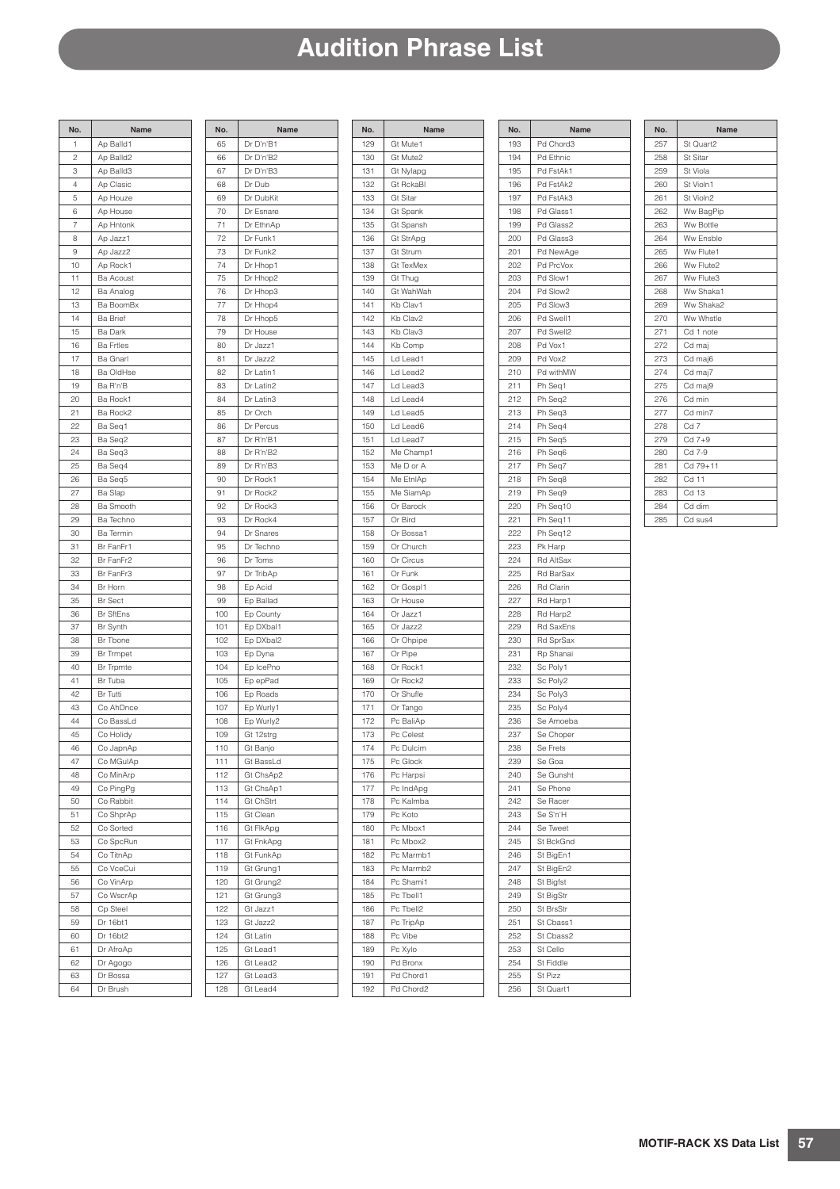# **Audition Phrase List**

| No.            | Name             |
|----------------|------------------|
| 1              | Ap Balld1        |
| $\overline{c}$ | Ap Balld2        |
| 3              | Ap Balld3        |
| 4              | Ap Clasic        |
| 5              | Ap Houze         |
| 6              | Ap House         |
| 7              | Ap Hntonk        |
| 8              | Ap Jazz1         |
| 9              | Ap Jazz2         |
| 10             | Ap Rock1         |
| 11             | Ba Acoust        |
| 12             | Ba Analog        |
| 13             | Ba BoomBx        |
| 14             | <b>Ba Brief</b>  |
| 15             | Ba Dark          |
| 16             | <b>Ba Frtles</b> |
| 17             | Ba Gnarl         |
| 18             | <b>Ba OldHse</b> |
| 19             | Ba R'n'B         |
| 20             | Ba Rock1         |
| 21             | Ba Rock2         |
| 22             | Ba Seq1          |
| 23             | Ba Seq2          |
| 24             | Ba Seq3          |
| 25             | Ba Seg4          |
| 26             | Ba Seg5          |
| 27             | Ba Slap          |
| 28             | Ba Smooth        |
| 29             | Ba Techno        |
| 30             | Ba Termin        |
| 31             | Br FanFr1        |
| 32             | Br FanFr2        |
| 33             | Br FanFr3        |
| 34             | Br Horn          |
| 35             | <b>Br</b> Sect   |
| 36             | <b>Br SftEns</b> |
| 37             | Br Synth         |
| 38             | Br Tbone         |
| 39             | <b>Br</b> Trmpet |
| 40             | <b>Br</b> Trpmte |
| 41             | Br Tuba          |
| 42             | <b>Br</b> Tutti  |
| 43             | Co AhDnce        |
| 44             | Co BassLd        |
| 45             | Co Holidy        |
| 46             | Co JapnAp        |
| 47             | Co MGulAp        |
| 48             | Co MinArp        |
| 49             | Co PingPg        |
| 50             | Co Rabbit        |
| 51             | Co ShprAp        |
| 52             | Co Sorted        |
| 53             | Co SpcRun        |
| 54             | Co TitnAp        |
| 55             | Co VceCui        |
| 56             | Co VinArp        |
| 57             | Co WscrAp        |
| 58             | Cp Steel         |
| 59             | Dr 16bt1         |
| 60             | Dr 16bt2         |
| 61             | Dr AfroAp        |
| 62             | Dr Agogo         |
| 63             | Dr Bossa         |
| 64             | Dr Brush         |

| No. | Name             |
|-----|------------------|
| 65  | Dr D'n'B1        |
| 66  | Dr D'n'B2        |
| 67  | Dr D'n'B3        |
| 68  | Dr Dub           |
| 69  | Dr DubKit        |
| 70  | Dr Esnare        |
| 71  | Dr EthnAp        |
| 72  | Dr Funk1         |
| 73  | Dr Funk2         |
| 74  | Dr Hhop1         |
| 75  | Dr Hhop2         |
| 76  | Dr Hhop3         |
| 77  | Dr Hhop4         |
| 78  | Dr Hhop5         |
| 79  | Dr House         |
| 80  | Dr Jazz1         |
| 81  | Dr Jazz2         |
| 82  | Dr Latin1        |
| 83  | Dr Latin2        |
| 84  | Dr Latin3        |
| 85  | Dr Orch          |
| 86  | Dr Percus        |
| 87  | Dr R'n'B1        |
| 88  | Dr R'n'B2        |
|     | Dr R'n'B3        |
| 89  | Dr Rock1         |
| 90  |                  |
| 91  | Dr Rock2         |
| 92  | Dr Rock3         |
| 93  | Dr Rock4         |
| 94  | Dr Snares        |
| 95  | Dr Techno        |
| 96  | Dr Toms          |
| 97  | Dr TribAp        |
| 98  | Ep Acid          |
| 99  | Ep Ballad        |
| 100 | Ep County        |
| 101 | Ep DXbal1        |
| 102 | Ep DXbal2        |
| 103 | Ep Dyna          |
| 104 | Ep IcePno        |
| 105 | Ep epPad         |
| 106 | Ep Roads         |
| 107 | Ep Wurly1        |
| 108 | Ep Wurly2        |
| 109 | Gt 12strg        |
| 110 | Gt Banjo         |
| 111 | Gt BassLd        |
| 112 | Gt ChsAp2        |
| 113 | Gt ChsAp1        |
| 114 | <b>Gt ChStrt</b> |
| 115 | Gt Clean         |
| 116 | Gt FlkApg        |
| 117 | Gt FnkApg        |
| 118 | Gt FunkAp        |
| 119 | Gt Grung1        |
| 120 | Gt Grung2        |
| 121 | Gt Grung3        |
| 122 | Gt Jazz1         |
| 123 | Gt Jazz2         |
| 124 | Gt Latin         |
| 125 | Gt Lead1         |
| 126 | Gt Lead2         |
| 127 | Gt Lead3         |
| 128 | Gt Lead4         |

 $\overline{\mathbb{E}}$ 

| No. |                  |     |                |
|-----|------------------|-----|----------------|
|     | Name             | No. |                |
| 129 | Gt Mute1         | 193 | P              |
| 130 | Gt Mute2         | 194 | P <sub>0</sub> |
| 131 | Gt Nylapg        | 195 | P              |
| 132 | Gt RckaBl        | 196 | P <sub>0</sub> |
| 133 | <b>Gt Sitar</b>  | 197 | P              |
| 134 | Gt Spank         | 198 | P              |
| 135 | Gt Spansh        | 199 | P              |
| 136 | Gt StrApg        | 200 | P <sub>0</sub> |
| 137 | Gt Strum         | 201 | P              |
| 138 | <b>Gt TexMex</b> | 202 | P <sub>(</sub> |
| 139 | Gt Thug          | 203 | P              |
| 140 | Gt WahWah        | 204 | P)             |
| 141 | Kb Clav1         | 205 | P <sub>(</sub> |
| 142 | Kb Clav2         | 206 | P <sub>0</sub> |
| 143 | Kb Clav3         | 207 | P              |
| 144 | Kb Comp          | 208 | P <sub>0</sub> |
| 145 | Ld Lead1         | 209 | P)             |
| 146 | Ld Lead2         | 210 | P)             |
| 147 | Ld Lead3         | 211 | Pł             |
| 148 | Ld Lead4         | 212 | P              |
| 149 | Ld Lead5         | 213 | Pł             |
| 150 | Ld Lead6         | 214 | P              |
| 151 | Ld Lead7         | 215 | Pł             |
| 152 | Me Champ1        | 216 | Pł             |
| 153 | Me D or A        | 217 | Pł             |
| 154 | Me EtnlAp        | 218 | P              |
| 155 | Me SiamAp        | 219 | Pł             |
| 156 | Or Barock        | 220 | P              |
| 157 | Or Bird          | 221 | Pł             |
| 158 | Or Bossa1        | 222 | Pł             |
| 159 | Or Church        | 223 | Ρł             |
| 160 | Or Circus        | 224 | R              |
| 161 | Or Funk          | 225 | R              |
| 162 | Or Gospl1        | 226 | R              |
| 163 | Or House         | 227 | R)             |
| 164 | Or Jazz1         | 228 | R              |
| 165 | Or Jazz2         | 229 | R              |
| 166 | Or Ohpipe        | 230 | R              |
| 167 | Or Pipe          | 231 | R              |
| 168 | Or Rock1         | 232 | S              |
| 169 | Or Rock2         | 233 | S              |
| 170 | Or Shufle        | 234 | S              |
| 171 | Or Tango         | 235 | S              |
| 172 | Pc BaliAp        | 236 | Sε             |
| 173 | Pc Celest        | 237 | Sε             |
| 174 | Pc Dulcim        | 238 | S(             |
| 175 | Pc Glock         | 239 | Sε             |
| 176 | Pc Harpsi        | 240 | Sε             |
| 177 | Pc IndApg        | 241 | Sε             |
| 178 | Pc Kalmba        | 242 | Sε             |
| 179 | Pc Koto          | 243 | Sε             |
| 180 | Pc Mbox1         | 244 | Sε             |
| 181 | Pc Mbox2         | 245 | St             |
| 182 | Pc Marmb1        | 246 | St             |
| 183 | Pc Marmb2        | 247 | St             |
| 184 | Pc Shami1        | 248 | St             |
| 185 | Pc Tbell1        | 249 | St             |
| 186 | Pc Tbell2        | 250 | St             |
| 187 | Pc TripAp        | 251 | St             |
| 188 | Pc Vibe          | 252 | St             |
| 189 | Pc Xylo          | 253 | St             |
| 190 | Pd Bronx         | 254 | St             |
| 191 | Pd Chord1        | 255 | St             |
| 192 | Pd Chord2        | 256 | St             |
|     |                  |     |                |

| No.        | Name                   |  |  |  |
|------------|------------------------|--|--|--|
| 193        | Pd Chord3              |  |  |  |
| 194        | Pd Ethnic              |  |  |  |
| 195        | Pd FstAk1              |  |  |  |
| 196        | Pd FstAk2              |  |  |  |
| 197        | Pd FstAk3              |  |  |  |
| 198        | Pd Glass1              |  |  |  |
| 199        | Pd Glass2              |  |  |  |
| 200<br>201 | Pd Glass3<br>Pd NewAge |  |  |  |
| 202        | Pd PrcVox              |  |  |  |
| 203        | Pd Slow1               |  |  |  |
| 204        | Pd Slow2               |  |  |  |
| 205        | Pd Slow3               |  |  |  |
| 206        | Pd Swell1              |  |  |  |
| 207        | Pd Swell2              |  |  |  |
| 208        | Pd Vox1                |  |  |  |
| 209        | Pd Vox2                |  |  |  |
| 210        | Pd withMW              |  |  |  |
| 211        | Ph Seq1                |  |  |  |
| 212        | Ph Seq2                |  |  |  |
| 213        | Ph Seq3                |  |  |  |
| 214        | Ph Seq4<br>Ph Seq5     |  |  |  |
| 215<br>216 | Ph Seq6                |  |  |  |
| 217        | Ph Seq7                |  |  |  |
| 218        | Ph Seq8                |  |  |  |
| 219        | Ph Seq9                |  |  |  |
| 220        | Ph Seq10               |  |  |  |
| 221        | Ph Seq11               |  |  |  |
| 222        | Ph Seq12               |  |  |  |
| 223        | Pk Harp                |  |  |  |
| 224        | Rd AltSax              |  |  |  |
| 225        | Rd BarSax              |  |  |  |
| 226        | Rd Clarin              |  |  |  |
| 227<br>228 | Rd Harp1<br>Rd Harp2   |  |  |  |
| 229        | <b>Rd SaxEns</b>       |  |  |  |
| 230        | Rd SprSax              |  |  |  |
| 231        | Rp Shanai              |  |  |  |
| 232        | Sc Poly1               |  |  |  |
| 233        | Sc Poly2               |  |  |  |
| 234        | Sc Poly3               |  |  |  |
| 235        | Sc Poly4               |  |  |  |
| 236        | Se Amoeba              |  |  |  |
| 237        | Se Choper              |  |  |  |
| 238        | Se Frets               |  |  |  |
| 239<br>240 | Se Goa<br>Se Gunsht    |  |  |  |
| 241        | Se Phone               |  |  |  |
| 242        | Se Racer               |  |  |  |
| 243        | Se S'n'H               |  |  |  |
| 244        | Se Tweet               |  |  |  |
| 245        | St BckGnd              |  |  |  |
| 246        | St BigEn1              |  |  |  |
| 247        | St BigEn2              |  |  |  |
| 248        | St Bigfst              |  |  |  |
| 249        | St BigStr              |  |  |  |
| 250<br>251 | St BrsStr              |  |  |  |
| 252        | St Cbass1<br>St Cbass2 |  |  |  |
| 253        | St Cello               |  |  |  |
| 254        | St Fiddle              |  |  |  |
| 255        | St Pizz                |  |  |  |
| 256        | St Quart1              |  |  |  |
|            |                        |  |  |  |

| No. | <b>Name</b>     |  |  |
|-----|-----------------|--|--|
| 257 | St Quart2       |  |  |
| 258 | St Sitar        |  |  |
| 259 | St Viola        |  |  |
| 260 | St Violn1       |  |  |
| 261 | St Violn2       |  |  |
| 262 | Ww BagPip       |  |  |
| 263 | Ww Bottle       |  |  |
| 264 | Ww Fnsble       |  |  |
|     |                 |  |  |
| 265 | Ww Flute1       |  |  |
| 266 | Ww Flute2       |  |  |
| 267 | Ww Flute3       |  |  |
| 268 | Ww Shaka1       |  |  |
| 269 | Ww Shaka2       |  |  |
| 270 | Ww Whstle       |  |  |
| 271 | Cd 1 note       |  |  |
| 272 | Cd maj          |  |  |
| 273 | Cd maj6         |  |  |
| 274 | Cd maj7         |  |  |
| 275 | Cd maj9         |  |  |
| 276 | Cd min          |  |  |
| 277 | Cd min7         |  |  |
| 278 | Cd <sub>7</sub> |  |  |
| 279 | $Cd 7+9$        |  |  |
| 280 | Cd 7-9          |  |  |
| 281 | Cd 79+11        |  |  |
| 282 | Cd 11           |  |  |
| 283 | Cd 13           |  |  |
| 284 | Cd dim          |  |  |
| 285 | Cd sus4         |  |  |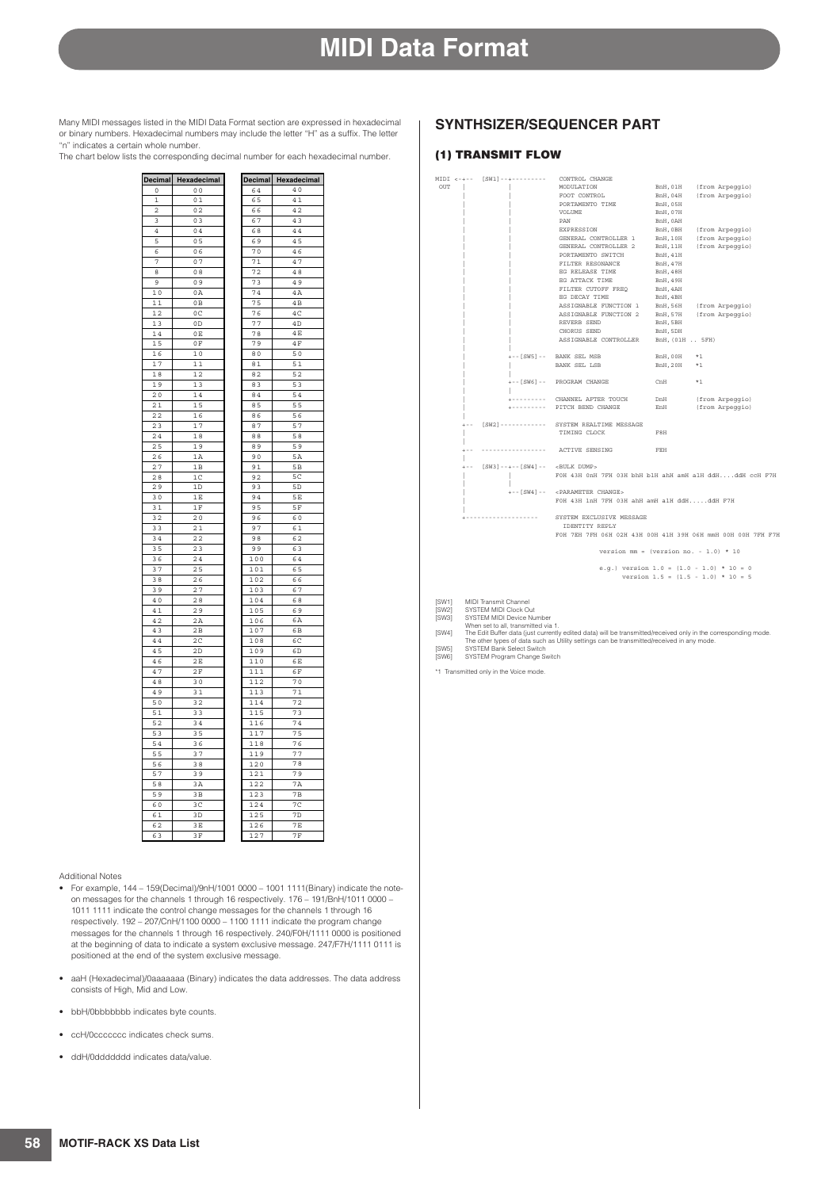Many MIDI messages listed in the MIDI Data Format section are expressed in hexadecimal or binary numbers. Hexadecimal numbers may include the letter "H" as a suffix. The letter "n" indicates a certain whole number.

The chart below lists the corresponding decimal number for each hexadecimal number.

#### 0 1 2 3 4 5  $\overline{6}$ 7 8 9 10 11 12 13  $\frac{13}{14}$ 15 16 17  $\overline{18}$ 19 20 21  $\frac{22}{23}$ <br> $\frac{23}{24}$  $\overline{\overline{\overline{25}}}$ 26 27 28  $\frac{1}{29}$  $\frac{30}{31}$ 32 33 34 35  $\frac{36}{37}$ 38 39 40  $41$ 42 43 44  $\frac{45}{46}$ 47 48 49 50 51  $52$  $rac{52}{53}$ 54 55 56 57 58 59 60 61 62 63 00 01 02  $03$ 04 05 06 07 08 09 0A 0B  $\overline{0}C$  $\overline{0}$  $rac{1}{0E}$ 0F 10 11 12 13 14 15 16 17 18  $\overline{1}$ 1A 1B 1C 1D 1E 1F 20 21 22  $\overline{23}$ 24  $\overline{\overline{\overline{2}}}$ 26 27 28  $\frac{1}{29}$  $\overline{2}$  $2B$  $2C$ 2D 2E  $2F$ 30 31 32 33 34 35 36 37  $\frac{1}{38}$ 39 3A  $\overline{3B}$ 3C  $\overline{3D}$ 3E 3F 64 65 66 67 68 69 70 71 72 73 74 75 76 77  $rac{1}{78}$ 79 80 81 82 83 84 85 86 87 88  $\overline{89}$ 90 91  $92$  $\frac{1}{93}$ 94  $rac{3}{95}$ 96 97 98 99 100 101 102 103 104  $\frac{105}{105}$ 106 107 108 109 110 111 112 113 114 115 116 117 118 119 120 121 122 123 124 125 126 127 40 41 42 43 44 45 46 47 48 49 4A 4B  $4\,\mathrm{C}$ 4D 4E 4F 50 51  $52$ 53 54 55 56 57 58  $59$ 5A 5B  $\overline{50}$ 5D 5E 5F 60 61 62 63 64  $\overline{65}$ 66 67 68 69  $5a$ 6B  $\overline{\epsilon}$ 6D 6E  $6F$ 70 71 72 73 74 75 76 77 78 79 7A  $\overline{7B}$ 7C  $\overline{7D}$ 7E 7F **Decimal Hexadecimal Decimal Hexadecimal**

Additional Notes

• For example, 144 – 159(Decimal)/9nH/1001 0000 – 1001 1111(Binary) indicate the noteon messages for the channels 1 through 16 respectively. 176 – 191/BnH/1011 0000 – 1011 1111 indicate the control change messages for the channels 1 through 16 respectively. 192 – 207/CnH/1100 0000 – 1100 1111 indicate the program change messages for the channels 1 through 16 respectively. 240/F0H/1111 0000 is positioned at the beginning of data to indicate a system exclusive message. 247/F7H/1111 0111 is positioned at the end of the system exclusive message.

- aaH (Hexadecimal)/0aaaaaaa (Binary) indicates the data addresses. The data address consists of High, Mid and Low.
- bbH/0bbbbbbb indicates byte counts.
- ccH/0ccccccc indicates check sums.
- ddH/0ddddddd indicates data/value.

### **SYNTHSIZER/SEQUENCER PART**

### **(1) TRANSMIT FLOW**

| MIDI <-+-- | $[SW1]$ --+---------                        | CONTROL CHANGE                                                                                                 |                 |                                            |  |
|------------|---------------------------------------------|----------------------------------------------------------------------------------------------------------------|-----------------|--------------------------------------------|--|
| OUT        |                                             | MODULATION                                                                                                     | BnH, OlH        | (from Arpeggio)                            |  |
|            |                                             | FOOT CONTROL                                                                                                   | BnH, 04H        | (from Arpeggio)                            |  |
|            |                                             | PORTAMENTO TIME                                                                                                | BnH, 05H        |                                            |  |
|            |                                             | VOLUME                                                                                                         | BnH, 07H        |                                            |  |
|            |                                             | PAN                                                                                                            | BnH, OAH        |                                            |  |
|            |                                             | EXPRESSION                                                                                                     |                 | BnH, OBH (from Arpeggio)                   |  |
|            |                                             | GENERAL CONTROLLER 1                                                                                           | BnH, 10H        | (from Arpeggio)                            |  |
|            |                                             | GENERAL CONTROLLER 2                                                                                           |                 | BnH, 11H (from Arpeggio)                   |  |
|            |                                             | PORTAMENTO SWITCH                                                                                              | BnH, 41H        |                                            |  |
|            |                                             | FILTER RESONANCE                                                                                               | BnH, 47H        |                                            |  |
|            |                                             | EG RELEASE TIME                                                                                                | <b>BnH, 48H</b> |                                            |  |
|            |                                             | EG ATTACK TIME                                                                                                 | BnH, 49H        |                                            |  |
|            |                                             | FILTER CUTOFF FREQ                                                                                             | BnH, 4AH        |                                            |  |
|            |                                             | EG DECAY TIME                                                                                                  | BnH, 4BH        |                                            |  |
|            |                                             | ASSIGNABLE FUNCTION 1                                                                                          |                 | BnH, 56H (from Arpeggio)                   |  |
|            |                                             | ASSIGNABLE FUNCTION 2                                                                                          | BnH, 57H        | (from Arpeggio)                            |  |
|            |                                             | REVERB SEND                                                                                                    | BnH, 5BH        |                                            |  |
|            |                                             | CHORUS SEND                                                                                                    | BnH, 5DH        |                                            |  |
|            |                                             | ASSIGNABLE CONTROLLER                                                                                          | BnH, (01H  5FH) |                                            |  |
|            |                                             | +-- [SW5]-- BANK SEL MSB                                                                                       | BnH, OOH        | $*1$                                       |  |
|            |                                             | BANK SEL LSB                                                                                                   | BnH, 20H *1     |                                            |  |
|            |                                             |                                                                                                                |                 |                                            |  |
|            |                                             | +-- [SW6]-- PROGRAM CHANGE                                                                                     | CnH             | $*1$                                       |  |
|            |                                             |                                                                                                                |                 |                                            |  |
|            |                                             | +--------- CHANNEL AFTER TOUCH                                                                                 | DnH             | (from Arpeggio)                            |  |
|            |                                             | +--------- PITCH BEND CHANGE                                                                                   | EnH             | (from Arpeggio)                            |  |
|            | [SW2] ------------<br>$+ - -$               | SYSTEM REALTIME MESSAGE                                                                                        |                 |                                            |  |
|            |                                             | TIMING CLOCK                                                                                                   | F8H             |                                            |  |
|            |                                             |                                                                                                                |                 |                                            |  |
|            | $+ - -$<br>-------------                    | ACTIVE SENSING                                                                                                 | FEH             |                                            |  |
|            | +-- [SW3]--+--[SW4]-- <bulk dump=""></bulk> |                                                                                                                |                 |                                            |  |
|            |                                             | FOH 43H OnH 7FH 03H bhH blH ahH amH alH ddHddH ccH F7H                                                         |                 |                                            |  |
|            |                                             |                                                                                                                |                 |                                            |  |
|            | $+ 5W4$ ] $--$                              | <parameter change=""></parameter>                                                                              |                 |                                            |  |
|            |                                             | FOH 43H 1nH 7FH 03H ahH amH alH ddHddH F7H                                                                     |                 |                                            |  |
|            |                                             | SYSTEM EXCLUSIVE MESSAGE                                                                                       |                 |                                            |  |
|            |                                             | IDENTITY REPLY                                                                                                 |                 |                                            |  |
|            |                                             | FOH 7EH 7FH 06H 02H 43H 00H 41H 39H 06H mmH 00H 00H 7FH F7H                                                    |                 |                                            |  |
|            |                                             |                                                                                                                |                 |                                            |  |
|            |                                             |                                                                                                                |                 | version mm = (version no. - 1.0) * 10      |  |
|            |                                             |                                                                                                                |                 | e.g.) version $1.0 = (1.0 - 1.0) * 10 = 0$ |  |
|            |                                             |                                                                                                                |                 | version $1.5 = (1.5 - 1.0) * 10 = 5$       |  |
|            |                                             |                                                                                                                |                 |                                            |  |
| [SW1]      | MIDI Transmit Channel                       |                                                                                                                |                 |                                            |  |
| [SW2]      | SYSTEM MIDI Clock Out                       |                                                                                                                |                 |                                            |  |
| [SW3]      | SYSTEM MIDI Device Number                   |                                                                                                                |                 |                                            |  |
| [SW4]      | When set to all, transmitted via 1.         | The Edit Buffer data (just currently edited data) will be transmitted/received only in the corresponding mode. |                 |                                            |  |
|            |                                             | The other types of data such as Utility settings can be transmitted/received in any mode.                      |                 |                                            |  |
| [SW5]      | SYSTEM Bank Select Switch                   |                                                                                                                |                 |                                            |  |

[SW5] SYSTEM Bank Select Switch [SW6] SYSTEM Program Change Switch

\*1 Transmitted only in the Voice mode.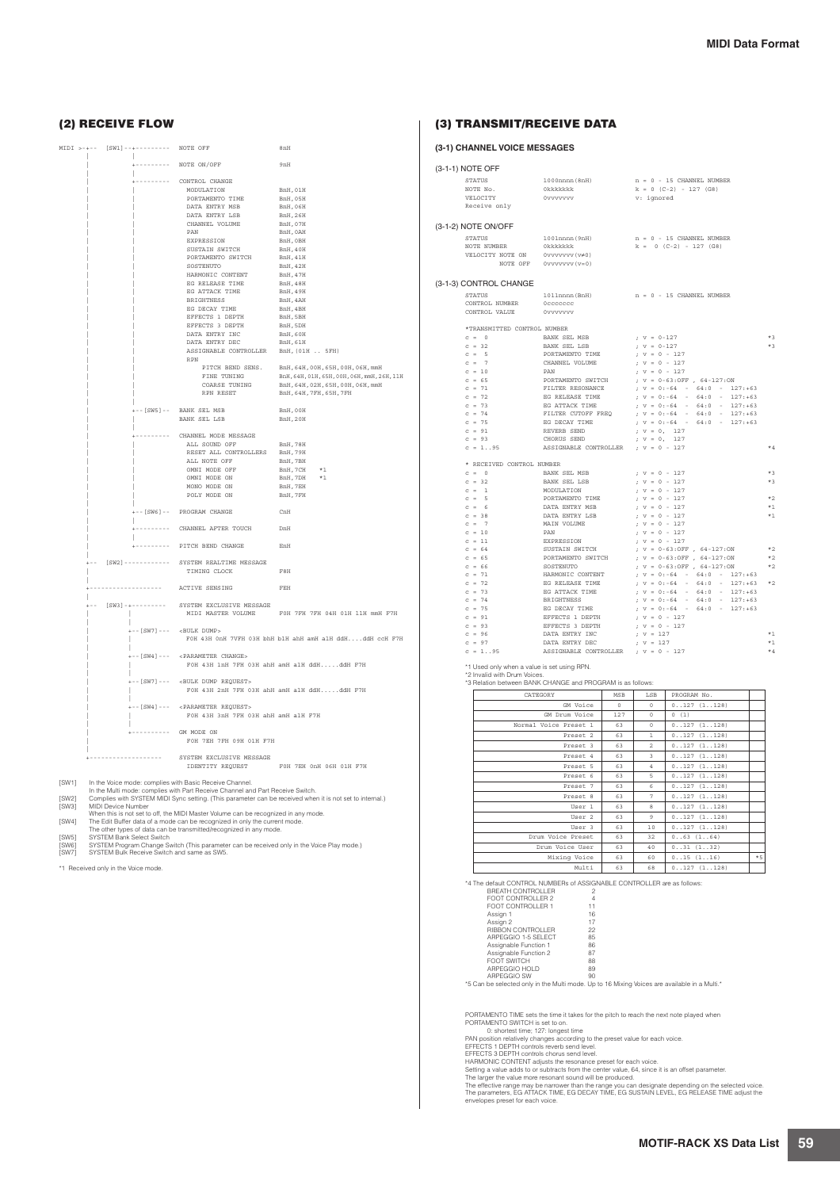### **(2) RECEIVE FLOW**

| $\texttt{MIDI} \texttt{ >}\texttt{++}\texttt{-}\texttt{[SW1]}\texttt{-}\texttt{++}\texttt{-}\texttt{-}\texttt{-}\texttt{-}\texttt{-}\texttt{-} \texttt{[} \texttt{OFF}$ |                                                                                  | 8nH                                                                                                                                                                                                                                                                                                                                                                                                                   |
|-------------------------------------------------------------------------------------------------------------------------------------------------------------------------|----------------------------------------------------------------------------------|-----------------------------------------------------------------------------------------------------------------------------------------------------------------------------------------------------------------------------------------------------------------------------------------------------------------------------------------------------------------------------------------------------------------------|
|                                                                                                                                                                         | $+\cdot\cdot\cdot\cdot\cdot\cdot\cdot\cdot -\qquad\text{NOTE}\quad\text{ON/OFF}$ | 9nH                                                                                                                                                                                                                                                                                                                                                                                                                   |
|                                                                                                                                                                         | $+\cdot\cdot\cdot--\cdot--\quad\text{CONTROL CHANGE}$                            |                                                                                                                                                                                                                                                                                                                                                                                                                       |
|                                                                                                                                                                         | MODULATION                                                                       | BnH, 01H                                                                                                                                                                                                                                                                                                                                                                                                              |
|                                                                                                                                                                         | PORTAMENTO TIME                                                                  | BnH, 05H                                                                                                                                                                                                                                                                                                                                                                                                              |
|                                                                                                                                                                         | DATA ENTRY MSB                                                                   | BnH, 06H                                                                                                                                                                                                                                                                                                                                                                                                              |
|                                                                                                                                                                         | DATA ENTRY LSB                                                                   | BnH, 26H                                                                                                                                                                                                                                                                                                                                                                                                              |
|                                                                                                                                                                         | CHANNEL VOLUME                                                                   | BnH, 07H                                                                                                                                                                                                                                                                                                                                                                                                              |
|                                                                                                                                                                         | PAN                                                                              | BnH, OAH                                                                                                                                                                                                                                                                                                                                                                                                              |
|                                                                                                                                                                         | EXPRESSION                                                                       | BnH, OBH                                                                                                                                                                                                                                                                                                                                                                                                              |
|                                                                                                                                                                         | SUSTAIN SWITCH                                                                   | BnH.40H                                                                                                                                                                                                                                                                                                                                                                                                               |
|                                                                                                                                                                         | PORTAMENTO SWITCH                                                                | <b>BnH</b> , 41H                                                                                                                                                                                                                                                                                                                                                                                                      |
|                                                                                                                                                                         | SOSTENUTO                                                                        | BnH, 42H                                                                                                                                                                                                                                                                                                                                                                                                              |
|                                                                                                                                                                         | HARMONIC CONTENT<br>EG RELEASE TIME                                              | BnH, 47H<br>BnH, 48H                                                                                                                                                                                                                                                                                                                                                                                                  |
|                                                                                                                                                                         | EG ATTACK TIME                                                                   | BnH, 49H                                                                                                                                                                                                                                                                                                                                                                                                              |
|                                                                                                                                                                         | <b>BRIGHTNESS</b>                                                                | BnH, 4AH                                                                                                                                                                                                                                                                                                                                                                                                              |
|                                                                                                                                                                         | EG DECAY TIME                                                                    | BnH, 4BH                                                                                                                                                                                                                                                                                                                                                                                                              |
|                                                                                                                                                                         | EFFECTS 1 DEPTH                                                                  | BnH, 5BH                                                                                                                                                                                                                                                                                                                                                                                                              |
|                                                                                                                                                                         | EFFECTS 3 DEPTH                                                                  | BnH, 5DH                                                                                                                                                                                                                                                                                                                                                                                                              |
|                                                                                                                                                                         | DATA ENTRY INC                                                                   | BnH, 60H                                                                                                                                                                                                                                                                                                                                                                                                              |
|                                                                                                                                                                         | DATA ENTRY DEC                                                                   | BnH, 61H                                                                                                                                                                                                                                                                                                                                                                                                              |
|                                                                                                                                                                         | ASSIGNABLE CONTROLLER BnH, (O1H  5FH)                                            |                                                                                                                                                                                                                                                                                                                                                                                                                       |
|                                                                                                                                                                         | <b>RPN</b>                                                                       | PITCH BEND SENS. BnH, $64H$ , $00H$ , $65H$ , $00H$ , $06H$ , $mmH$                                                                                                                                                                                                                                                                                                                                                   |
|                                                                                                                                                                         |                                                                                  | BnH, 64H, 01H, 65H, 00H, 06H, mmH, 26H, 11H                                                                                                                                                                                                                                                                                                                                                                           |
|                                                                                                                                                                         |                                                                                  |                                                                                                                                                                                                                                                                                                                                                                                                                       |
|                                                                                                                                                                         |                                                                                  | $\begin{tabular}{lllllllll} $\textsc{min}$ & \textsc{min}, & $\textsc{min}$ & $\textsc{min}$\\ \textsc{min}{\textsc{min}}, & $\textsc{min},\textsc{min}$ & $\textsc{min},\textsc{min}$\\ \textsc{CORRSE TUNING} & \textsc{BnH},\textsc{64H},\textsc{02H},\textsc{65H},\textsc{00H},\textsc{06H},\textsc{mmH}$\\ \textsc{RPN RESET} & \textsc{RnH} & $\textsc{min}$ & $\textsc{min}$ & $\textsc{min}$\\ \end{tabular}$ |
|                                                                                                                                                                         |                                                                                  |                                                                                                                                                                                                                                                                                                                                                                                                                       |
|                                                                                                                                                                         | +--[SW5]-- BANK SEL MSB<br>BANK SEL LSB                                          | BnH, 00H<br>BnH, 20H                                                                                                                                                                                                                                                                                                                                                                                                  |
|                                                                                                                                                                         |                                                                                  |                                                                                                                                                                                                                                                                                                                                                                                                                       |
|                                                                                                                                                                         | +--------- CHANNEL MODE MESSAGE                                                  |                                                                                                                                                                                                                                                                                                                                                                                                                       |
|                                                                                                                                                                         | ALL SOUND OFF                                                                    | BnH, 78H                                                                                                                                                                                                                                                                                                                                                                                                              |
|                                                                                                                                                                         | RESET ALL CONTROLLERS BnH, 79H                                                   |                                                                                                                                                                                                                                                                                                                                                                                                                       |
|                                                                                                                                                                         | ALL NOTE OFF                                                                     | BnH, 7BH                                                                                                                                                                                                                                                                                                                                                                                                              |
|                                                                                                                                                                         | OMNI MODE OFF                                                                    | BnH, 7CH<br>$*1$                                                                                                                                                                                                                                                                                                                                                                                                      |
|                                                                                                                                                                         | OMNI MODE ON<br>MONO MODE ON                                                     | BnH, 7DH *1<br>BnH. 7EH                                                                                                                                                                                                                                                                                                                                                                                               |
|                                                                                                                                                                         | POLY MODE ON                                                                     | BnH, 7FH                                                                                                                                                                                                                                                                                                                                                                                                              |
|                                                                                                                                                                         |                                                                                  |                                                                                                                                                                                                                                                                                                                                                                                                                       |
|                                                                                                                                                                         | +-- [SW6]-- PROGRAM CHANGE                                                       | CnH                                                                                                                                                                                                                                                                                                                                                                                                                   |
|                                                                                                                                                                         | +--------- CHANNEL AFTER TOUCH                                                   | DnH                                                                                                                                                                                                                                                                                                                                                                                                                   |
|                                                                                                                                                                         |                                                                                  |                                                                                                                                                                                                                                                                                                                                                                                                                       |
| .                                                                                                                                                                       | PITCH BEND CHANGE                                                                | EnH                                                                                                                                                                                                                                                                                                                                                                                                                   |
| $+ - -$ [SW2] -------------                                                                                                                                             | SYSTEM REALTIME MESSAGE                                                          |                                                                                                                                                                                                                                                                                                                                                                                                                       |
|                                                                                                                                                                         | TIMING CLOCK                                                                     | F8H                                                                                                                                                                                                                                                                                                                                                                                                                   |
| -------------------                                                                                                                                                     | ACTIVE SENSING                                                                   | FEH                                                                                                                                                                                                                                                                                                                                                                                                                   |
|                                                                                                                                                                         |                                                                                  |                                                                                                                                                                                                                                                                                                                                                                                                                       |
|                                                                                                                                                                         | +-- [SW3]-+--------- SYSTEM EXCLUSIVE MESSAGE                                    |                                                                                                                                                                                                                                                                                                                                                                                                                       |
|                                                                                                                                                                         | MIDI MASTER VOLUME                                                               | FOH 7FH 7FH 04H 01H 11H mmH F7H                                                                                                                                                                                                                                                                                                                                                                                       |
|                                                                                                                                                                         |                                                                                  |                                                                                                                                                                                                                                                                                                                                                                                                                       |
| $+ \text{- - [SW7]} \text{- --} \qquad \text{cBULK DUMP}>$                                                                                                              |                                                                                  | FOH 43H OnH 7VFH 03H bhH blH ahH amH alH ddHddH ccH F7H                                                                                                                                                                                                                                                                                                                                                               |
|                                                                                                                                                                         |                                                                                  |                                                                                                                                                                                                                                                                                                                                                                                                                       |
|                                                                                                                                                                         | +-- [SW4] --- <parameter change=""></parameter>                                  |                                                                                                                                                                                                                                                                                                                                                                                                                       |
|                                                                                                                                                                         | FOH 43H 1nH 7FH 03H ahH amH alH ddHddH F7H                                       |                                                                                                                                                                                                                                                                                                                                                                                                                       |
|                                                                                                                                                                         |                                                                                  |                                                                                                                                                                                                                                                                                                                                                                                                                       |
|                                                                                                                                                                         | +--[SW7]--- <bulk dump="" request=""></bulk>                                     |                                                                                                                                                                                                                                                                                                                                                                                                                       |
|                                                                                                                                                                         | FOH 43H 2nH 7FH 03H ahH amH alH ddHddH F7H                                       |                                                                                                                                                                                                                                                                                                                                                                                                                       |
|                                                                                                                                                                         | +-- [SW4] --- <parameter request=""></parameter>                                 |                                                                                                                                                                                                                                                                                                                                                                                                                       |
|                                                                                                                                                                         | FOH 43H 3nH 7FH 03H ahH amH alH F7H                                              |                                                                                                                                                                                                                                                                                                                                                                                                                       |
|                                                                                                                                                                         |                                                                                  |                                                                                                                                                                                                                                                                                                                                                                                                                       |
| +---------- GM MODE ON                                                                                                                                                  |                                                                                  |                                                                                                                                                                                                                                                                                                                                                                                                                       |
|                                                                                                                                                                         | FOH 7EH 7FH 09H 01H F7H                                                          |                                                                                                                                                                                                                                                                                                                                                                                                                       |
|                                                                                                                                                                         | SYSTEM EXCLUSIVE MESSAGE                                                         |                                                                                                                                                                                                                                                                                                                                                                                                                       |
|                                                                                                                                                                         | IDENTITY REQUEST                                                                 | FOH 7EH OnH O6H O1H F7H                                                                                                                                                                                                                                                                                                                                                                                               |
|                                                                                                                                                                         |                                                                                  |                                                                                                                                                                                                                                                                                                                                                                                                                       |
|                                                                                                                                                                         | ISW11 In the Voice mode: complies with Basic Receive Channel.                    |                                                                                                                                                                                                                                                                                                                                                                                                                       |

SW1] In the Voice mode: complies with Basic Receive Channel.<br>
In the Multi mode: complies with Part Receive Channel and Part Receive Switch.<br>
SW2] Complies with SYSTEM MIDI Sync setting. (This parameter can be received whe

\*1 Received only in the Voice mode.

### **(3) TRANSMIT/RECEIVE DATA**

### **(3-1) CHANNEL VOICE MESSAGES**

| (3-1-1) NOTE OFF                                                                                                                                                                                                                                                                 |                                                                                                                                                                                                                                                                                                                                                                                        |                                                                                                                                                                                                                                                                                                                                                                                                                                                                                               |                                                               |
|----------------------------------------------------------------------------------------------------------------------------------------------------------------------------------------------------------------------------------------------------------------------------------|----------------------------------------------------------------------------------------------------------------------------------------------------------------------------------------------------------------------------------------------------------------------------------------------------------------------------------------------------------------------------------------|-----------------------------------------------------------------------------------------------------------------------------------------------------------------------------------------------------------------------------------------------------------------------------------------------------------------------------------------------------------------------------------------------------------------------------------------------------------------------------------------------|---------------------------------------------------------------|
| STATUS<br>NOTE No.<br>VELOCITY<br>Receive only                                                                                                                                                                                                                                   | 1000nnnn(8nH)<br>0 kkkkkkk<br>Ovvvvvvv                                                                                                                                                                                                                                                                                                                                                 | $n = 0 - 15$ CHANNEL NUMBER<br>$k = 0$ (C-2) - 127 (G8)<br>v: ignored                                                                                                                                                                                                                                                                                                                                                                                                                         |                                                               |
| (3-1-2) NOTE ON/OFF                                                                                                                                                                                                                                                              |                                                                                                                                                                                                                                                                                                                                                                                        |                                                                                                                                                                                                                                                                                                                                                                                                                                                                                               |                                                               |
| <b>STATUS</b><br>NOTE NUMBER<br>VELOCITY NOTE ON                                                                                                                                                                                                                                 | $1001$ nnnn $(9nH)$<br>Okkkkkkk<br>0vvvvvvv(v≠0)<br>NOTE OFF $0$ vvvvvv $(v=0)$                                                                                                                                                                                                                                                                                                        | $n = 0 - 15$ CHANNEL NUMBER<br>$k = 0$ (C-2) - 127 (G8)                                                                                                                                                                                                                                                                                                                                                                                                                                       |                                                               |
| (3-1-3) CONTROL CHANGE                                                                                                                                                                                                                                                           |                                                                                                                                                                                                                                                                                                                                                                                        |                                                                                                                                                                                                                                                                                                                                                                                                                                                                                               |                                                               |
| <b>STATUS</b><br>CONTROL NUMBER<br>CONTROL VALUE                                                                                                                                                                                                                                 | 1011nnnn (BnH)<br>Occccccc<br>0vvvvvvv                                                                                                                                                                                                                                                                                                                                                 | $n = 0 - 15$ CHANNEL NUMBER                                                                                                                                                                                                                                                                                                                                                                                                                                                                   |                                                               |
| *TRANSMITTED CONTROL NUMBER                                                                                                                                                                                                                                                      |                                                                                                                                                                                                                                                                                                                                                                                        |                                                                                                                                                                                                                                                                                                                                                                                                                                                                                               |                                                               |
| $C = 0$<br>$C = 32$<br>$C = 5$<br>$C = 7$<br>$c = 10$<br>$c = 65$<br>$c = 71$<br>$c = 72$<br>$C = 73$<br>$C = 74$<br>$c = 75$<br>$c = 91$<br>$C = 93$<br>$c = 1.095$<br>* RECEIVED CONTROL NUMBER<br>$C = 0$<br>$C = 32$<br>$c = 1$<br>$C = 5$<br>$C = 6$<br>$C = 38$<br>$C = 7$ | BANK SEL MSB<br>BANK SEL LSB<br>PORTAMENTO TIME<br>CHANNEL VOLUME<br>PAN<br>PORTAMENTO SWITCH<br>FILTER RESONANCE<br>EG RELEASE TIME<br>EG ATTACK TIME<br>FILTER CUTOFF FREQ<br>EG DECAY TIME<br>REVERB SEND<br>CHORUS SEND<br>ASSIGNABLE CONTROLLER ; v = 0 - 127<br>BANK SEL MSB<br>BANK SEL LSB<br>MODULATION<br>PORTAMENTO TIME<br>DATA ENTRY MSB<br>DATA ENTRY LSB<br>MAIN VOLUME | ; $v = 0-127$<br>; $v = 0-127$<br>$: v = 0 - 127$<br>$: v = 0 - 127$<br>$: v = 0 - 127$<br>; $v = 0-63:OFF$ , $64-127:ON$<br>; $v = 0:-64 - 64:0 - 127:+63$<br>; $v = 0:-64 - 64:0 -$<br>$127: +63$<br>; $v = 0:-64 - 64:0 - 127:+63$<br>; $v = 0:-64 - 64:0 -$<br>$127: +63$<br>; $v = 0:-64$ - $64:0$ - $127:+63$<br>$; v = 0, 127$<br>; $v = 0$ , 127<br>$: v = 0 - 127$<br>; $v = 0 - 127$<br>$: v = 0 - 127$<br>; $v = 0 - 127$<br>; $v = 0 - 127$<br>$: v = 0 - 127$<br>$: v = 0 - 127$ | $*3$<br>$*3$<br>$*4$<br>$*2$<br>$*$ 3<br>$*2$<br>$*1$<br>$*1$ |
| $c = 10$<br>$c = 11$<br>$C = 64$                                                                                                                                                                                                                                                 | PAN<br>EXPRESSION<br>SUSTAIN SWITCH                                                                                                                                                                                                                                                                                                                                                    | $: v = 0 - 127$<br>; $v = 0 - 127$<br>; $v = 0 - 63 : OFF$ , $64 - 127 : ON$                                                                                                                                                                                                                                                                                                                                                                                                                  | $*2$                                                          |
| $c = 65$                                                                                                                                                                                                                                                                         | PORTAMENTO SWITCH                                                                                                                                                                                                                                                                                                                                                                      | ; $v = 0-63:OFF$ , $64-127:ON$                                                                                                                                                                                                                                                                                                                                                                                                                                                                | $*2$                                                          |
| $c = 66$<br>$c = 71$<br>$c = 72$<br>$c = 73$<br>$c = 74$<br>$c = 75$<br>$c = 91$<br>$c = 93$                                                                                                                                                                                     | SOSTENITO<br>HARMONIC CONTENT<br>EG RELEASE TIME<br>EG ATTACK TIME<br><b>BRIGHTNESS</b><br>EG DECAY TIME<br>EFFECTS 1 DEPTH<br>EFFECTS 3 DEPTH                                                                                                                                                                                                                                         | ; $v = 0 - 63 : OFF$ , $64 - 127 : ON$<br>; $v = 0:-64 - 64:0 - 127:+63$<br>; $v = 0:-64 - 64:0 - 127:+63$<br>; $v = 0:-64 - 64:0 - 127:+63$<br>; $v = 0:-64 - 64:0 - 127:+63$<br>; $v = 0:-64 - 64:0 - 127:+63$<br>; $v = 0 - 127$<br>; $v = 0 - 127$                                                                                                                                                                                                                                        | $*2$<br>$*2$                                                  |
| $C = 96$                                                                                                                                                                                                                                                                         | DATA ENTRY INC                                                                                                                                                                                                                                                                                                                                                                         | $: v = 127$                                                                                                                                                                                                                                                                                                                                                                                                                                                                                   | $*1$                                                          |
| $c = 97$<br>$c = 1.095$                                                                                                                                                                                                                                                          | DATA ENTRY DEC<br>ASSIGNABLE CONTROLLER                                                                                                                                                                                                                                                                                                                                                | $: v = 127$<br>$; v = 0 - 127$                                                                                                                                                                                                                                                                                                                                                                                                                                                                | $*1$<br>$*4$                                                  |
|                                                                                                                                                                                                                                                                                  |                                                                                                                                                                                                                                                                                                                                                                                        |                                                                                                                                                                                                                                                                                                                                                                                                                                                                                               |                                                               |

\*1 Used only when a value is set using RPN. \*2 Invalid with Drum Voices. \*3 Relation between BANK CHANGE and PROGRAM is as follows:

| CATEGORY              | MSR      | LSB.           | PROGRAM No.    |      |
|-----------------------|----------|----------------|----------------|------|
| GM Voice              | $\Omega$ | $\Omega$       | 0.127(1.128)   |      |
| GM Drum Voice         | 127      | $\Omega$       | 0(1)           |      |
| Normal Voice Preset 1 | 63       | $\Omega$       | 0.127(1.128)   |      |
| Preset 2              | 63.      | 1              | 0.127(1.128)   |      |
| Preset 3              | 63.      | $\overline{2}$ | 0.127(1.128)   |      |
| Preset 4              | 63       | 3              | 0.127(1.128)   |      |
| Preset 5              | 63       | $\overline{4}$ | 0.127(1.128)   |      |
| Preset 6              | 63       | 5              | 0.127(1.128)   |      |
| Preset 7              | 63       | 6              | 0.127(1.128)   |      |
| Preset 8              | 63       | 7              | 0.127(1.128)   |      |
| User 1                | 63       | 8              | 0.127(1.128)   |      |
| User 2                | 63       | $\mathbf{q}$   | 0.127(1.128)   |      |
| User 3                | 63       | 10             | 0.127(1.128)   |      |
| Drum Voice Preset     | 63.      | 32             | 0.063(1.064)   |      |
| Drum Voice User       | 63.      | 40             | 0. .31(1. .32) |      |
| Mixing Voice          | 63.      | 60             | 0.15(1.16)     | $*5$ |
| Multi                 | 63       | 68             | 0.127(1.128)   |      |

\*4 The default CONTROL NUMBERs of ASSIGNABLE CONTROLLER are as follows:

| <b>BREATH CONTROLLER</b> | 2              |
|--------------------------|----------------|
| FOOT CONTROLLER 2        | $\overline{4}$ |
| FOOT CONTROLLER 1        | 11             |
| Assign 1                 | 16             |
| Assign 2                 | 17             |
| RIBBON CONTROLLER        | 22             |
| ARPEGGIO 1-5 SELECT      | 85             |
| Assignable Function 1    | 86             |
| Assignable Function 2    | 87             |
| <b>FOOT SWITCH</b>       | 88             |
| ARPEGGIO HOLD            | 89             |
| ARPEGGIO SW              | 90             |
|                          |                |

ARPEGGIO SW 90 \*5 Can be selected only in the Multi mode. Up to 16 Mixing Voices are available in a Multi.\*

PORTAMENTO TMC sets the time it takes for the pitch to reach the next note played when<br>PORTAMENTO SWITCH is set to on.<br>2. shortest time; 127: longest time<br>PAN position relatively changes according to the preset value for e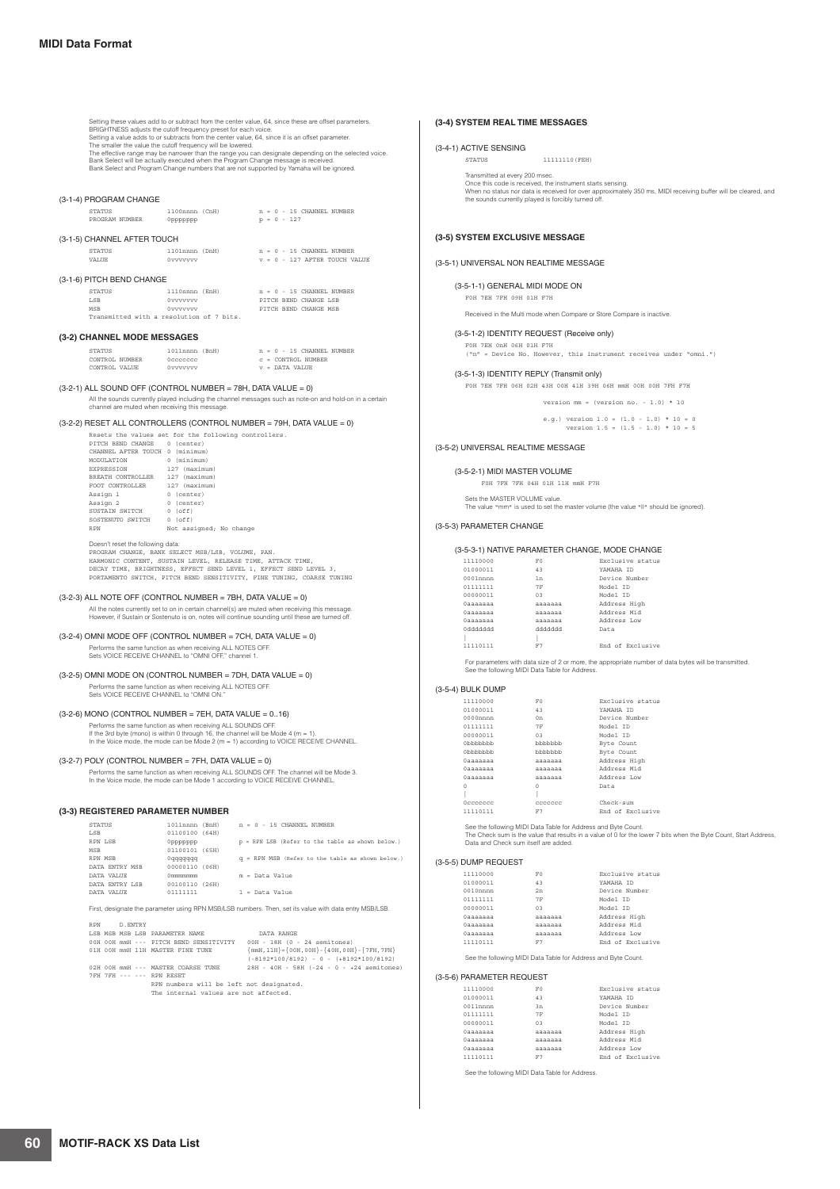Setting these values add to or subtract from the center value, 64, since these are offset parameters.<br>BRIGHTNESS adjusts the cutoff frequency preset for each voice.<br>Setting a value adds to or subtracts from the center valu (3-1-4) PROGRAM CHANGE STATUS 1100nnn (CnH) n = 0 - 15 CHANNEL NUMBER<br>PROGRAM NUMBER 0ppppppp pp = 0 - 127 PROGRAM NUMBER 0ppppppp (3-1-5) CHANNEL AFTER TOUCH STATUS 1101nnnn (DnH) n = 0 - 15 CHANNEL NUMBER VALUE 0vvvvvvv v = 0 - 127 AFTER TOUCH VALUE (3-1-6) PITCH BEND CHANGE STATUS 1110nnnn (EnH) n = 0 - 15 CHANNEL NUMBER LSB 0vvvvvvv PITCH BEND CHANGE LSB MSB 0vvvvvvv PITCH BEND CHANGE MSB Transmitted with a resolution of 7 bits. **(3-2) CHANNEL MODE MESSAGES** STATUS 1011nnnn (BnH)  $n = 0 - 15$  CHANNEL NUMBER  $C = CONTROL NUMBER$ <br> $V = DATA VALUE$ CONTROL NUMBER<br>CONTROL VALUE (3-2-1) ALL SOUND OFF (CONTROL NUMBER = 78H, DATA VALUE = 0) All the sounds currently played including the channel messages such as note-on and hold-on in a certain channel are muted when receiving this message. (3-2-2) RESET ALL CONTROLLERS (CONTROL NUMBER = 79H, DATA VALUE = 0) Reaets the values set for the following controllers.<br>
Reaets the values set for the following in the CHANNEL AFTER TOUCH 0 (minimum)<br>
MODULATION 0 (minimum)<br>
MODULATION 127 (maximum)<br>
RERRENT CONTROLLER 127 (maximum)<br>
RORT Doesn't reset the following data: PROGRAM CHANGE, BANK SELECT MSB/LSB, VOLUME, PAN. HARMONIC CONTENT, SUSTAIN LEVEL, RELEASE TIME, ATTACK TIME,<br>DECAY TIME, BRIGHTNESS, EFFECT SEND LEVEL 1, EFFECT SEND LEVEL 3,<br>DORTAMENTO SWITCH, PITCH BEND SENSITIVITY, FINE TUNING, COARSE TUNING (3-2-3) ALL NOTE OFF (CONTROL NUMBER = 7BH, DATA VALUE = 0) All the notes currently set to on in certain channel(s) are muted when receiving this message. However, if Sustain or Sostenuto is on, notes will continue sounding until these are turned off.  $(3-2-4)$  OMNI MODE OFF  $(CONTROL$  NUMBER = 7CH, DATA VALUE = 0) Performs the same function as when receiving ALL NOTES OFF. Sets VOICE RECEIVE CHANNEL to "OMNI OFF," channel 1.  $(3-2-5)$  OMNI MODE ON  $(CONTROL$  NUMBER = 7DH, DATA VALUE = 0) Performs the same function as when receiving ALL NOTES OFF. Sets VOICE RECEIVE CHANNEL to "OMNI ON."  $(3-2-6)$  MONO (CONTROL NUMBER = 7EH, DATA VALUE =  $0..16$ ) Performs the same function as when receiving ALL SOUNDS OFF.<br>If the 3rd byte (mono) is within 0 through 16, the channel will be Mode 4 (m = 1).<br>In the Voice mode, the mode can be Mode 2 (m = 1) according to VOICE RECEIVE C  $(3-2-7)$  POLY (CONTROL NUMBER = 7FH, DATA VALUE = 0) Performs the same function as when receiving ALL SOUNDS OFF. The channel will be Mode 3. In the Voice mode, the mode can be Mode 1 according to VOICE RECEIVE CHANNEL. **(3-3) REGISTERED PARAMETER NUMBER** STATUS 1011nnnn (BnH)  $n = 0 - 15$  CHANNEL NUMBER STATUS 1011nnnn (BnH)<br>
LSB 01100100 (64H)<br>
RPN LSB 0pppppppp RPN LSB 0ppppppp p = RPN LSB (Refer to the table as shown below.) 0ppppppp<br>01100101 (65H)<br>0qqqqqqq<br>00000110 (06H)  $q$  = RPN MSB (Refer to the table as shown below.) DATA ENTRY MSB 00000110 (06H) DATA VALUE 0mmmmmmm m = Data Value DATA ENTRY LSB 00100110 (26H) DATA VALUE 0lllllll l = Data Value First, designate the parameter using RPN MSB/LSB numbers. Then, set its value with data entry MSB/LSB. RPN D. ENTRY DATA RANGE<br>
LSB MSB MSB LSB PARAMETER NAME<br>
OOH OOH mmH --- PITCH BEND SENSITIVITY 00H - 18H (0 - 24 semitones)<br>
01H OOH mmH -1- MASTER FINE TUNE (mmH,11H MASTER FINE TUNE (100H,0813)-(7FH,7FH)<br>
02H OOH mmH --RPN numbers will be left not designated. The internal values are not affected. F0H 7EH 7FH 09H 01H F7H (3-5-4) BULK DUMP

#### **(3-4) SYSTEM REAL TIME MESSAGES**

### (3-4-1) ACTIVE SENSING

STATUS 11111110(FEH) Transmitted at every 200 msec.

Once this code is received, the instrument starts sensing.<br>When no status nor data is received for over approximately 350 ms, MIDI receiving buffer will be cleared, and<br>the sounds currently played is forcibly turned off.

### **(3-5) SYSTEM EXCLUSIVE MESSAGE**

### (3-5-1) UNIVERSAL NON REALTIME MESSAGE

### (3-5-1-1) GENERAL MIDI MODE ON

Received in the Multi mode when Compare or Store Compare is inactive.

### (3-5-1-2) IDENTITY REQUEST (Receive only)

F0H 7EH 0nH 06H 01H F7H ("n" = Device No. However, this instrument receives under "omni.")

#### (3-5-1-3) IDENTITY REPLY (Transmit only)

F0H 7EH 7FH 06H 02H 43H 00H 41H 39H 06H mmH 00H 00H 7FH F7H

version mm = (version no. - 1.0) \* 10

e.g.) version 1.0 = (1.0 - 1.0) \* 10 = 0 version 1.5 = (1.5 - 1.0) \* 10 = 5

#### (3-5-2) UNIVERSAL REALTIME MESSAGE

(3-5-2-1) MIDI MASTER VOLUME

F0H 7FH 7FH 04H 01H llH mmH F7H

Sets the MASTER VOLUME value. The value "mm" is used to set the master volume (the value "ll" should be ignored).

### (3-5-3) PARAMETER CHANGE

#### (3-5-3-1) NATIVE PARAMETER CHANGE, MODE CHANGE

| 11110000    | F0            | Exclusive status |
|-------------|---------------|------------------|
| 01000011    | 43            | YAMAHA TD        |
| $0001$ nnnn | 1n            | Device Number    |
| 01111111    | 7F            | Model ID         |
| 00000011    | 03            | Model ID         |
| Одаааааа    | aaaaaaa       | Address High     |
| Одаааааа    | aaaaaaa       | Address Mid      |
| Одаааааа    | <b>AAAAAA</b> | Address Low      |
| 09999999    | hhhhhhh       | Data             |
|             |               |                  |
| 11110111    |               | End of Exclusive |

For parameters with data size of 2 or more, the appropriate number of data bytes will be transmitted. See the following MIDI Data Table for Address.

| 11110000              | F <sub>0</sub> | Exclusive status |
|-----------------------|----------------|------------------|
| 01000011              | 43             | YAMAHA TD        |
| $0000$ nnnn           | 0m             | Device Number    |
| 01111111              | 7F             | Model TD         |
| 00000011              | 03             | Model ID         |
| 0 <sub>h</sub> hhhhhh | hhhhhhh        | Byte Count       |
| 0bbbbbbb              | bbbbbb         | Byte Count       |
| Одаааааа              | aaaaaaa        | Address High     |
| <b>Oaaaaaaa</b>       | aaaaaaa        | Address Mid      |
| <b>Oaaaaaaa</b>       | aaaaaaa        | Address Low      |
| O                     | O              | Data             |
|                       |                |                  |
| Occccccc              | ccccccc        | $Check-sum$      |
| 11110111              | F7             | End of Exclusive |

See the following MIDI Data Table for Address and Byte Count.<br>The Check sum is the value that results in a value of 0 for the lower 7 bits when the Byte Count, Start Address,<br>Data and Check sum itself are added.

#### $(3-5-5)$  DUMP REQUEST

| 11110000    | F <sub>0</sub> | Exclusive status |
|-------------|----------------|------------------|
| 01000011    | 43             | YAMAHA TD        |
| $0010$ nnnn | 2n             | Device Number    |
| 01111111    | 7F             | Model ID         |
| 00000011    | 03             | Model ID         |
| Одаааааа    | <b>AAAAAA</b>  | Address High     |
| Одаааааа    | <b>AAAAAA</b>  | Address Mid      |
| Одаааааа    | <b>AAAAAA</b>  | Address Low      |
| 11110111    | F7             | End of Exclusive |
|             |                |                  |

See the following MIDI Data Table for Address and Byte Count.

#### (3-5-6) PARAMETER REQUEST

| 11110000        | F0            | Exclusive status |
|-----------------|---------------|------------------|
| 01000011        | 43            | YAMAHA ID        |
| $0011$ nnnn     | 3n            | Device Number    |
| 01111111        | 7F            | Model TD         |
| 00000011        | 03            | Model TD         |
| Одаааааа        | <b>AAAAAA</b> | Address High     |
| <b>Oaaaaaaa</b> | <b>AAAAAA</b> | hiM aaanbhA      |
| Одаааааа        | aaaaaa        | Address Low      |
| 11110111        | F7            | End of Exclusive |

See the following MIDI Data Table for Address.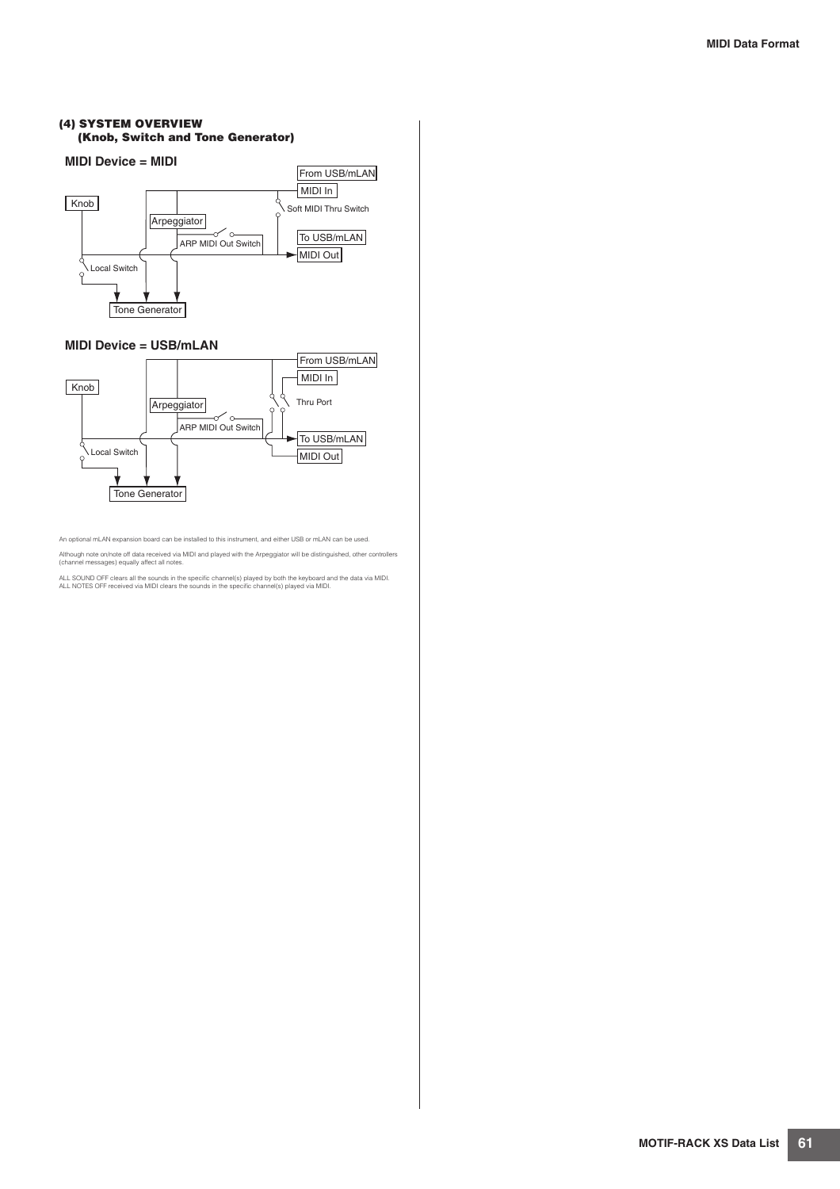### **(4) SYSTEM OVERVIEW (Knob, Switch and Tone Generator)**



An optional mLAN expansion board can be installed to this instrument, and either USB or mLAN can be used.

Tone Generator

Although note on/note off data received via MIDI and played with the Arpeggiator will be distinguished, other controllers<br>(channel messages) equally affect all notes.

ALL SOUND OFF clears all the sounds in the specific channel(s) played by both the keyboard and the data via MIDI. ALL NOTES OFF received via MIDI clears the sounds in the specific channel(s) played via MIDI.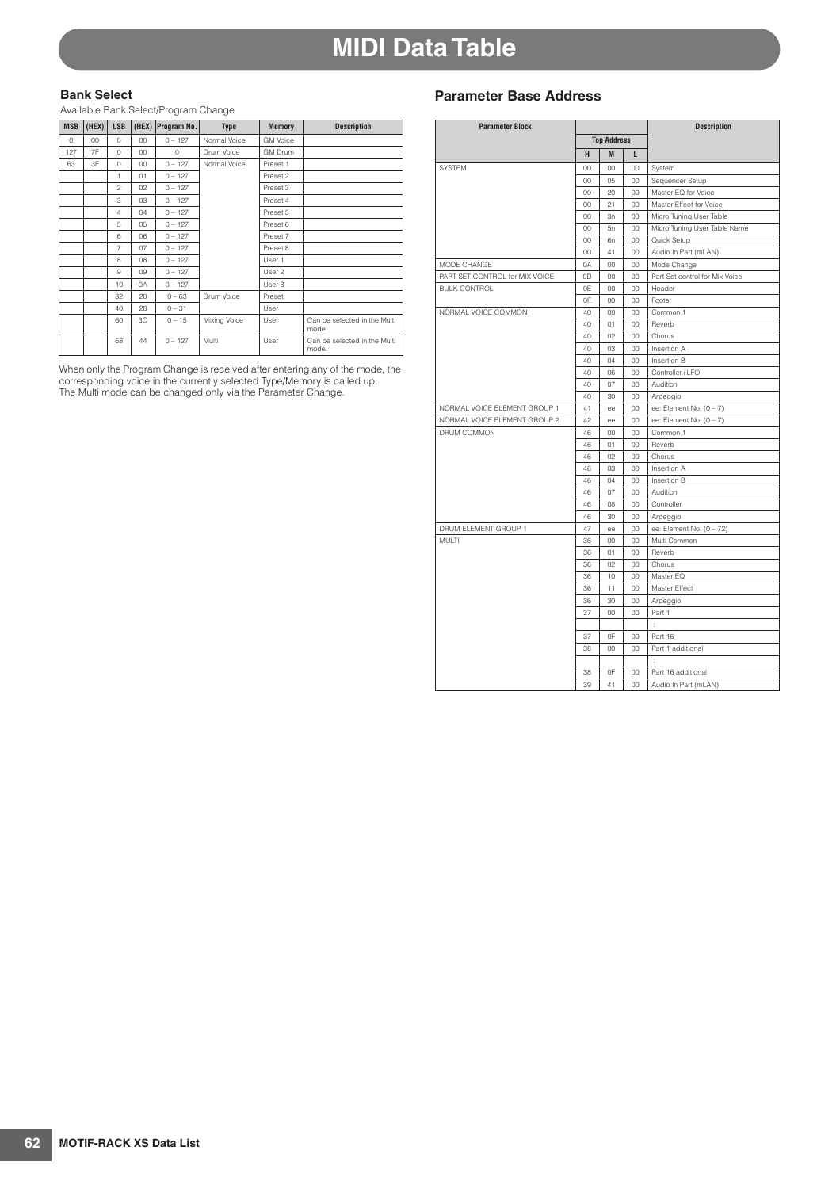# **MIDI Data Table**

### **Bank Select**

Available Bank Select/Program Change

| <b>MSB</b> | (HEX)  | <b>LSB</b>     |        | (HEX) Program No. | <b>Type</b>  | Memory          | <b>Description</b>                    |
|------------|--------|----------------|--------|-------------------|--------------|-----------------|---------------------------------------|
| $\Omega$   | $00\,$ | $\Omega$       | 00     | $0 - 127$         | Normal Voice | <b>GM Voice</b> |                                       |
| 127        | 7F     | $\Omega$       | 00     | $\Omega$          | Drum Voice   | <b>GM Drum</b>  |                                       |
| 63         | 3F     | $\Omega$       | 00     | $0 - 127$         | Normal Voice | Preset 1        |                                       |
|            |        | 1              | 01     | $0 - 127$         |              | Preset 2        |                                       |
|            |        | $\overline{c}$ | 02     | $0 - 127$         |              | Preset 3        |                                       |
|            |        | 3              | 03     | $0 - 127$         |              | Preset 4        |                                       |
|            |        | $\overline{4}$ | 04     | $0 - 127$         |              | Preset 5        |                                       |
|            |        | 5              | 0.5    | $0 - 127$         |              | Preset 6        |                                       |
|            |        | 6              | 06     | $0 - 127$         |              | Preset 7        |                                       |
|            |        | $\overline{7}$ | 07     | $0 - 127$         |              | Preset 8        |                                       |
|            |        | 8              | 08     | $0 - 127$         |              | User 1          |                                       |
|            |        | 9              | 09     | $0 - 127$         |              | User 2          |                                       |
|            |        | 10             | 0A     | $0 - 127$         |              | User 3          |                                       |
|            |        | 32             | $20 -$ | $0 - 63$          | Drum Voice   | Preset          |                                       |
|            |        | 40             | 28     | $0 - 31$          |              | User            |                                       |
|            |        | 60             | 3C     | $0 - 15$          | Mixing Voice | User            | Can be selected in the Multi<br>mode. |
|            |        | 68             | 44     | $0 - 127$         | Multi        | User            | Can be selected in the Multi<br>mode. |

When only the Program Change is received after entering any of the mode, the corresponding voice in the currently selected Type/Memory is called up. The Multi mode can be changed only via the Parameter Change.

### **Parameter Base Address**

| <b>Parameter Block</b>         |    |                    |         | <b>Description</b>             |
|--------------------------------|----|--------------------|---------|--------------------------------|
|                                |    | <b>Top Address</b> |         |                                |
|                                | н  | M                  | L       |                                |
| <b>SYSTEM</b>                  | 00 | 00                 | 00      | System                         |
|                                | 00 | 05                 | $_{00}$ | Sequencer Setup                |
|                                | 00 | 20                 | $00\,$  | Master EQ for Voice            |
|                                | 00 | 21                 | 00      | Master Effect for Voice        |
|                                | 00 | 3n                 | 00      | Micro Tuning User Table        |
|                                | 00 | 5n                 | 00      | Micro Tuning User Table Name   |
|                                | 00 | 6n                 | 00      | Quick Setup                    |
|                                | 00 | 41                 | 00      | Audio In Part (mLAN)           |
| MODE CHANGE                    | 0A | 00                 | 00      | Mode Change                    |
| PART SET CONTROL for MIX VOICE | 0D | 00                 | 00      | Part Set control for Mix Voice |
| <b>BULK CONTROL</b>            | 0E | 00                 | 00      | Header                         |
|                                | 0F | 00                 | 00      | Footer                         |
| NORMAL VOICE COMMON            | 40 | 00                 | 00      | Common 1                       |
|                                | 40 | 01                 | $00\,$  | Reverb                         |
|                                | 40 | 02                 | 00      | Chorus                         |
|                                | 40 | 03                 | 00      | Insertion A                    |
|                                | 40 | 04                 | 00      | Insertion B                    |
|                                | 40 | 06                 | 00      | Controller+LFO                 |
|                                | 40 | 07                 | 00      | Audition                       |
|                                | 40 | 30                 | 00      | Arpeggio                       |
| NORMAL VOICE ELEMENT GROUP 1   | 41 | ee                 | $_{00}$ | ee: Element No. $(0 - 7)$      |
| NORMAL VOICE ELEMENT GROUP 2   | 42 | ee                 | $_{00}$ | ee: Element No. $(0 - 7)$      |
| DRUM COMMON                    | 46 | 00                 | $_{00}$ | Common 1                       |
|                                | 46 | 01                 | 00      | Reverb                         |
|                                | 46 | 02                 | $00 \,$ | Chorus                         |
|                                | 46 | 03                 | $00 \,$ | Insertion A                    |
|                                | 46 | 04                 | 00      | Insertion B                    |
|                                | 46 | 07                 | 00      | Audition                       |
|                                | 46 | 08                 | $00\,$  | Controller                     |
|                                | 46 | 30                 | 00      | Arpeggio                       |
| DRUM ELEMENT GROUP 1           | 47 | ee                 | 00      | ee: Element No. (0 - 72)       |
| <b>MULTI</b>                   | 36 | 00                 | 00      | Multi Common                   |
|                                | 36 | 01                 | $00\,$  | Reverb                         |
|                                | 36 | 02                 | 00      | Chorus                         |
|                                | 36 | 10                 | 00      | Master EQ                      |
|                                | 36 | 11                 | 00      | Master Effect                  |
|                                | 36 | 30                 | $00\,$  | Arpeggio                       |
|                                | 37 | 00                 | 00      | Part 1                         |
|                                |    |                    |         | ÷                              |
|                                | 37 | 0F                 | 00      | Part 16                        |
|                                | 38 | 00                 | 00      | Part 1 additional              |
|                                |    |                    |         | ÷                              |
|                                | 38 | 0F                 | 00      | Part 16 additional             |
|                                | 39 | 41                 | 00      | Audio In Part (mLAN)           |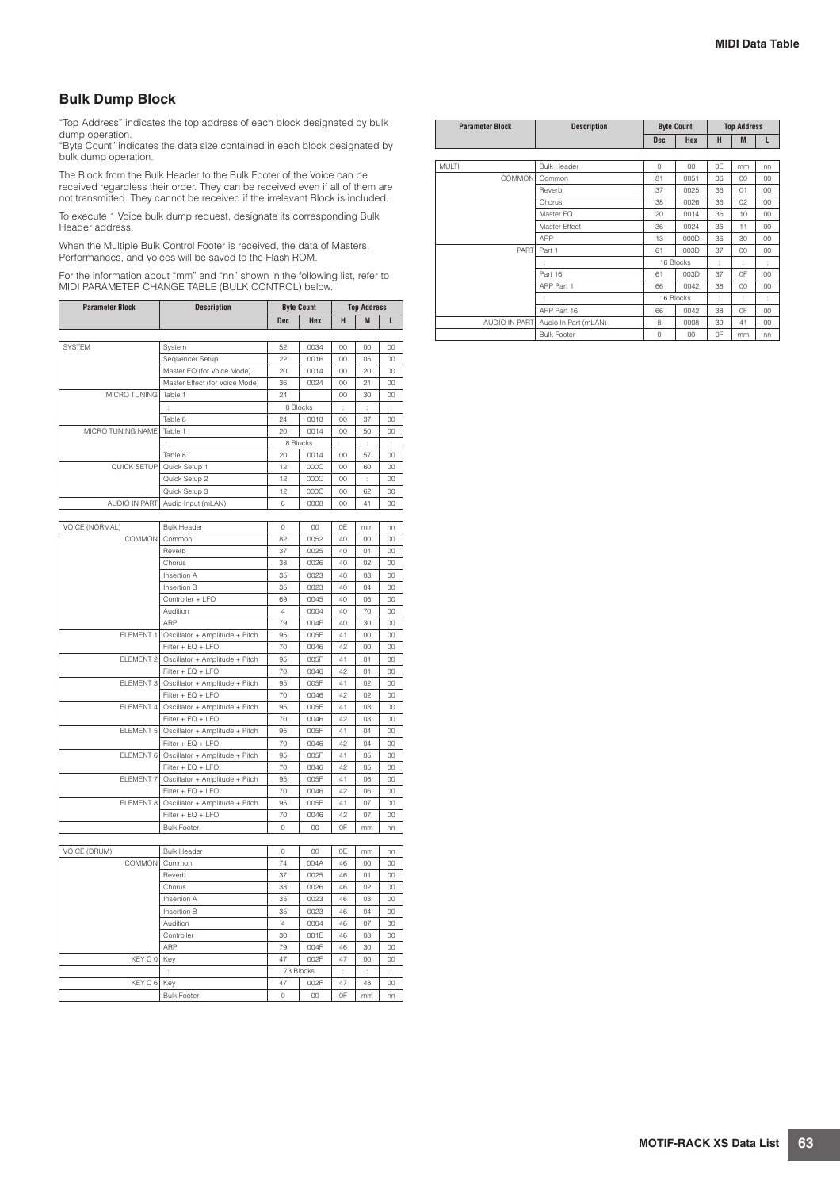### **Bulk Dump Block**

"Top Address" indicates the top address of each block designated by bulk dump operation.

"Byte Count" indicates the data size contained in each block designated by bulk dump operation.

The Block from the Bulk Header to the Bulk Footer of the Voice can be received regardless their order. They can be received even if all of them are not transmitted. They cannot be received if the irrelevant Block is included.

To execute 1 Voice bulk dump request, designate its corresponding Bulk Header address.

When the Multiple Bulk Control Footer is received, the data of Masters, Performances, and Voices will be saved to the Flash ROM.

For the information about "mm" and "nn" shown in the following list, refer to MIDI PARAMETER CHANGE TABLE (BULK CONTROL) below. **Parameter Block Description Byte Count Top Address** 

|                      |                                | <b>Dec</b> | <b>Hex</b> | H      | M  | L              |
|----------------------|--------------------------------|------------|------------|--------|----|----------------|
|                      |                                |            |            |        |    |                |
| <b>SYSTEM</b>        | System                         | 52         | 0034       | 00     | 00 | $00\,$         |
|                      | Sequencer Setup                | 22         | 0016       | 00     | 05 | 00             |
|                      | Master EQ (for Voice Mode)     | 20         | 0014       | 00     | 20 | $00\,$         |
|                      | Master Effect (for Voice Mode) | 36         | 0024       | $00\,$ | 21 | 00             |
| MICRO TUNING         | Table 1                        | 24         |            | 00     | 30 | 00             |
|                      |                                | 8 Blocks   |            | ÷      | ÷  | $\alpha$       |
|                      | Table 8                        | 24         | 0018       | $00\,$ | 37 | 00             |
| MICRO TUNING NAME    | Table 1                        | 20         | 0014       | 00     | 50 | $00\,$         |
|                      |                                | 8 Blocks   |            | t      | ÷  | $\alpha$<br>×. |
|                      | Table 8                        | 20         | 0014       | $00\,$ | 57 | 00             |
| QUICK SETUP          | Quick Setup 1                  | 12         | 000C       | $00\,$ | 60 | $00\,$         |
|                      | Quick Setup 2                  | 12         | 000C       | $00\,$ | ÷  | $00\,$         |
|                      | Quick Setup 3                  | 12         | 000C       | $00\,$ | 62 | $00\,$         |
| <b>AUDIO IN PART</b> | Audio Input (mLAN)             | 8          | 0008       | $00\,$ | 41 | $00\,$         |
|                      |                                |            |            |        |    |                |

| VOICE (NORMAL)       | <b>Bulk Header</b>                       | $\Omega$       | 00     | 0E | mm              | nn              |
|----------------------|------------------------------------------|----------------|--------|----|-----------------|-----------------|
| <b>COMMON</b>        | Common                                   | 82             | 0052   | 40 | 00 <sub>0</sub> | CO              |
|                      | Reverb                                   | 37             | 0025   | 40 | 01              | $00\,$          |
|                      | Chorus                                   | 38             | 0026   | 40 | 02              | 00              |
|                      | Insertion A                              | 35             | 0023   | 40 | 03              | 00              |
|                      | Insertion B                              | 35             | 0023   | 40 | 04              | 00              |
|                      | Controller + LEO                         | 69             | 0045   | 40 | 06              | CO              |
|                      | Audition                                 | $\overline{4}$ | 0004   | 40 | 70              | 00              |
|                      | ARP                                      | 79             | 004F   | 40 | 30              | 00              |
| ELEMENT <sub>1</sub> | Oscillator + Amplitude + Pitch           | 95             | 005F   | 41 | 00 <sub>0</sub> | $00\,$          |
|                      | Filter + EQ + LFO                        | 70             | 0046   | 42 | 00 <sub>0</sub> | 00              |
| ELEMENT 2            | Oscillator + Amplitude + Pitch           | 95             | 005F   | 41 | 01              | CO              |
|                      | $Filter + EQ + LFO$                      | 70             | 0046   | 42 | 01              | 00              |
| ELEMENT 3            | Oscillator + Amplitude + Pitch           | 95             | 005F   | 41 | 02              | 00              |
|                      | $Filter + EQ + LFO$                      | 70             | 0046   | 42 | 02              | $^{00}$         |
| ELEMENT 4            | Oscillator + Amplitude + Pitch           | 95             | 005F   | 41 | 03              | 00              |
|                      | $Filter + EQ + LFO$                      | 70             | 0046   | 42 | 03              | CO              |
| ELEMENT 5            | Oscillator + Amplitude + Pitch           | 95             | 005F   | 41 | 04              | 00              |
|                      | Filter + EQ + LFO                        | 70             | 0046   | 42 | 04              | 00              |
|                      | ELEMENT 6 Oscillator + Amplitude + Pitch | 95             | 005F   | 41 | 0 <sub>5</sub>  | CO              |
|                      | Filter + EQ + LFO                        | 70             | 0046   | 42 | 05              | 00              |
| ELEMENT 7            | Oscillator + Amplitude + Pitch           | 95             | 005F   | 41 | 06              | 00              |
|                      | Filter + EQ + LFO                        | 70             | 0046   | 42 | 06              | 00              |
| ELEMENT 8            | Oscillator + Amplitude + Pitch           | 95             | 005F   | 41 | 07              | 00              |
|                      | $Filter + EQ + LFO$                      | 70             | 0046   | 42 | 07              | 00 <sup>1</sup> |
|                      | <b>Bulk Footer</b>                       | $\circ$        | $00\,$ | 0F | mm              | nn              |
|                      |                                          |                |        |    |                 |                 |

| <b>VOICE (DRUM)</b> | <b>Bulk Header</b> | $\Omega$       | $00\,$ | 0E | mm      | nn |
|---------------------|--------------------|----------------|--------|----|---------|----|
| <b>COMMON</b>       | Common             | 74             | 004A   | 46 | $00\,$  | 00 |
|                     | Reverb             | 37             | 0025   | 46 | 01      | 00 |
|                     | Chorus             | 38             | 0026   | 46 | 02      | 00 |
|                     | Insertion A        | 35             | 0023   | 46 | 03      | 00 |
|                     | Insertion B        | 35             | 0023   | 46 | 04      | 00 |
|                     | Audition           | $\overline{4}$ | 0004   | 46 | 07      | 00 |
|                     | Controller         | 30             | 001E   | 46 | 08      | 00 |
|                     | ARP                | 79             | 004F   | 46 | 30      | 00 |
| KEY C 0             | Key                | 47             | 002F   | 47 | $00\,$  | 00 |
|                     |                    | 73 Blocks      |        | ÷  | ٠<br>×. |    |
| KEY C 6             | Key                | 47             | 002F   | 47 | 48      | 00 |
|                     | <b>Bulk Footer</b> | $\circ$        | $00\,$ | 0F | mm      | nn |

| <b>Parameter Block</b> | <b>Description</b>   |            | <b>Byte Count</b> | <b>Top Address</b> |    |        |
|------------------------|----------------------|------------|-------------------|--------------------|----|--------|
|                        |                      | <b>Dec</b> | Hex               | H                  | M  | L      |
|                        |                      |            |                   |                    |    |        |
| <b>MULTI</b>           | <b>Bulk Header</b>   | $\Omega$   | 00                | 0E                 | mm | nn     |
| <b>COMMON</b>          | Common               | 81         | 0051              | 36                 | 00 | 00     |
|                        | Reverb               | 37         | 0025              | 36                 | 01 | $00\,$ |
|                        | Chorus               | 38         | 0026              | 36                 | 02 | $00\,$ |
|                        | Master EQ            | 20         | 0014              | 36                 | 10 | $00\,$ |
|                        | Master Effect        | 36         | 0024              | 36                 | 11 | $00\,$ |
|                        | ARP                  | 13         | 000D              | 36                 | 30 | $00\,$ |
| PART                   | Part 1               | 61         | 003D              | 37                 | 00 | 00     |
|                        |                      |            | 16 Blocks         | ÷                  | ÷  | t      |
|                        | Part 16              | 61         | 003D              | 37                 | 0F | 00     |
|                        | ARP Part 1           | 66         | 0042              | 38                 | 00 | 00     |
|                        |                      |            | 16 Blocks         | ÷                  | ÷  | t      |
|                        | ARP Part 16          | 66         | 0042              | 38                 | 0F | $00\,$ |
| AUDIO IN PART          | Audio In Part (mLAN) | 8          | 0008              | 39                 | 41 | $00\,$ |
|                        | <b>Bulk Footer</b>   | $\Omega$   | 00                | 0F                 | mm | nn     |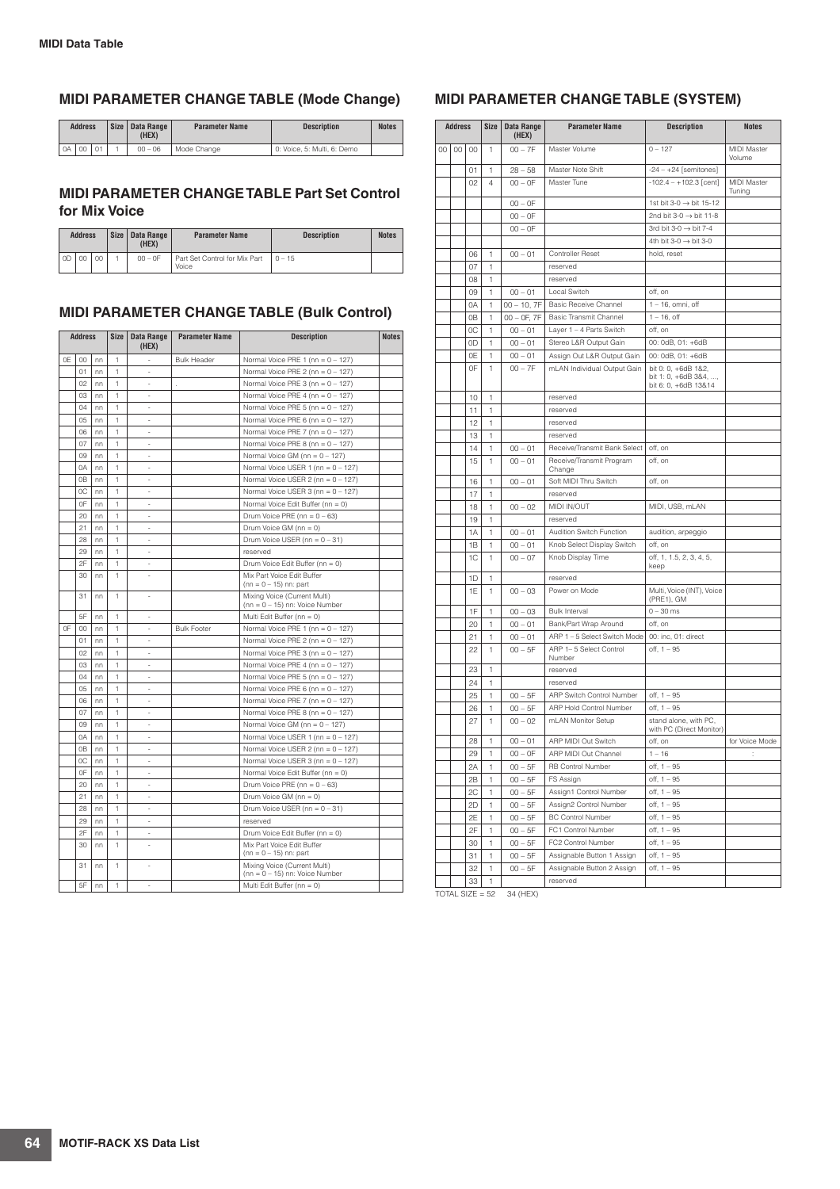### **MIDI PARAMETER CHANGE TABLE (Mode Change) MIDI PARAMETER CHANGE TABLE (SYSTEM)**

| <b>Address</b> |       | Size   Data Range<br>(HEX) | <b>Parameter Name</b> | <b>Description</b> | <b>Notes</b>                |  |
|----------------|-------|----------------------------|-----------------------|--------------------|-----------------------------|--|
| l OA           | 00101 |                            | $00 - 06$             | Mode Change        | 0: Voice, 5: Multi, 6: Demo |  |

### **MIDI PARAMETER CHANGE TABLE Part Set Control for Mix Voice**

|                | Size   Data Range  <br><b>Address</b><br>(HEX) |                 |  | <b>Parameter Name</b> | <b>Description</b>                     | <b>Notes</b> |  |
|----------------|------------------------------------------------|-----------------|--|-----------------------|----------------------------------------|--------------|--|
| $\overline{O}$ | 00                                             | 00 <sup>1</sup> |  | $00 - 0F$             | Part Set Control for Mix Part<br>Voice | $0 - 15$     |  |

### **MIDI PARAMETER CHANGE TABLE (Bulk Control)**

|    | <b>Address</b> |    | <b>Size</b>  | <b>Data Range</b><br>(HEX) | <b>Parameter Name</b> | <b>Description</b>                                               | <b>Notes</b> |
|----|----------------|----|--------------|----------------------------|-----------------------|------------------------------------------------------------------|--------------|
| 0E | $00\,$         | nn | 1            | ÷.                         | <b>Bulk Header</b>    | Normal Voice PRE 1 (nn = $0 - 127$ )                             |              |
|    | 01             | nn | 1            | ÷.                         |                       | Normal Voice PRE $2$ (nn = $0 - 127$ )                           |              |
|    | 02             | nn | 1            | ä,                         |                       | Normal Voice PRE $3$ (nn = $0 - 127$ )                           |              |
|    | 03             | nn | $\mathbf{1}$ | ÷.                         |                       | Normal Voice PRE $4$ (nn = $0 - 127$ )                           |              |
|    | 04             | nn | 1            | L,                         |                       | Normal Voice PRE $5$ (nn = $0 - 127$ )                           |              |
|    | 05             | nn | 1            | ÷,                         |                       | Normal Voice PRE $6$ (nn = $0 - 127$ )                           |              |
|    | 06             | nn | 1            | ٠                          |                       | Normal Voice PRE 7 (nn = $0 - 127$ )                             |              |
|    | 07             | nn | 1            | L,                         |                       | Normal Voice PRE $8$ (nn = $0 - 127$ )                           |              |
|    | 09             | nn | 1            | ä,                         |                       | Normal Voice GM ( $nn = 0 - 127$ )                               |              |
|    | 0A             | nn | $\mathbf{1}$ | ÷.                         |                       | Normal Voice USER 1 (nn = 0 - 127)                               |              |
|    | 0B             | nn | 1            | L,                         |                       | Normal Voice USER $2$ (nn = $0 - 127$ )                          |              |
|    | 0C             | nn | 1            | ÷,                         |                       | Normal Voice USER $3$ (nn = $0 - 127$ )                          |              |
|    | 0F             | nn | 1            | ä,                         |                       | Normal Voice Edit Buffer (nn = 0)                                |              |
|    | 20             | nn | 1            |                            |                       | Drum Voice PRE (nn = $0 - 63$ )                                  |              |
|    | 21             | nn | 1            | ä,                         |                       | Drum Voice GM (nn = 0)                                           |              |
|    | 28             | nn | 1            | L.                         |                       | Drum Voice USER (nn = $0 - 31$ )                                 |              |
|    | 29             | nn | 1            |                            |                       | reserved                                                         |              |
|    | 2F             | nn | 1            | $\bar{a}$                  |                       | Drum Voice Edit Buffer (nn = 0)                                  |              |
|    | 30             | nn | 1            | ٠                          |                       | Mix Part Voice Edit Buffer<br>$(nn = 0 - 15)$ nn: part           |              |
|    | 31             | nn | 1            | ÷.                         |                       | Mixing Voice (Current Multi)<br>$(nn = 0 - 15)$ nn: Voice Number |              |
|    | 5F             | nn | 1            | $\overline{\phantom{0}}$   |                       | Multi Edit Buffer (nn = 0)                                       |              |
| 0F | $00\,$         | nn | 1            | ٠                          | <b>Bulk Footer</b>    | Normal Voice PRE $1$ (nn = $0 - 127$ )                           |              |
|    | 01             | nn | 1            | L,                         |                       | Normal Voice PRE $2$ (nn = $0 - 127$ )                           |              |
|    | 02             | nn | 1            | ä,                         |                       | Normal Voice PRE $3$ (nn = $0 - 127$ )                           |              |
|    | 03             | nn | $\mathbf{1}$ | ÷.                         |                       | Normal Voice PRE $4$ (nn = $0 - 127$ )                           |              |
|    | 04             | nn | 1            | L,                         |                       | Normal Voice PRE $5$ (nn = $0 - 127$ )                           |              |
|    | 05             | nn | 1            | ÷,                         |                       | Normal Voice PRE $6$ (nn = $0 - 127$ )                           |              |
|    | 06             | nn | 1            | ä,                         |                       | Normal Voice PRE 7 (nn = $0 - 127$ )                             |              |
|    | 07             | nn | 1            |                            |                       | Normal Voice PRE $8$ (nn = $0 - 127$ )                           |              |
|    | 09             | nn | 1            | ä,                         |                       | Normal Voice GM ( $nn = 0 - 127$ )                               |              |
|    | 0A             | nn | 1            | ÷                          |                       | Normal Voice USER 1 (nn = 0 - 127)                               |              |
|    | 0B             | nn | $\mathbf{1}$ |                            |                       | Normal Voice USER $2$ (nn = $0 - 127$ )                          |              |
|    | OC.            | nn | 1            | $\bar{a}$                  |                       | Normal Voice USER $3$ (nn = $0 - 127$ )                          |              |
|    | 0F             | nn | 1            | ٠                          |                       | Normal Voice Edit Buffer (nn = 0)                                |              |
|    | 20             | nn | $\mathbf{1}$ | l,                         |                       | Drum Voice PRE (nn = $0 - 63$ )                                  |              |
|    | 21             | nn | 1            | ä,                         |                       | Drum Voice GM (nn = 0)                                           |              |
|    | 28             | nn | 1            | ٠                          |                       | Drum Voice USER (nn = $0 - 31$ )                                 |              |
|    | 29             | nn | $\mathbf{1}$ | ÷,                         |                       | reserved                                                         |              |
|    | 2F             | nn | 1            | ÷,                         |                       | Drum Voice Edit Buffer (nn = 0)                                  |              |
|    | 30             | nn | 1            | ä,                         |                       | Mix Part Voice Edit Buffer<br>$(nn = 0 - 15)$ nn: part           |              |
|    | 31             | nn | 1            | ÷                          |                       | Mixing Voice (Current Multi)<br>$(nn = 0 - 15)$ nn: Voice Number |              |
|    | 5F             | nn | 1            | ä,                         |                       | Multi Edit Buffer (nn = 0)                                       |              |

|    | <b>Address</b> |    | <b>Size</b> | <b>Data Range</b><br>(HEX) | <b>Parameter Name</b>              | <b>Description</b>                                                   | <b>Notes</b>                 |
|----|----------------|----|-------------|----------------------------|------------------------------------|----------------------------------------------------------------------|------------------------------|
| 00 | 00             | 00 | 1           | $00 - 7F$                  | Master Volume                      | $0 - 127$                                                            | <b>MIDI</b> Master<br>Volume |
|    |                | 01 | 1           | $28 - 58$                  | Master Note Shift                  | $-24 - +24$ [semitones]                                              |                              |
|    |                | 02 | 4           | $00 - 0F$                  | Master Tune                        | $-102.4 - +102.3$ [cent]                                             | MIDI Master<br>Tuning        |
|    |                |    |             | $00 - 0F$                  |                                    | 1st bit 3-0 $\rightarrow$ bit 15-12                                  |                              |
|    |                |    |             | $00 - 0F$                  |                                    | 2nd bit 3-0 $\rightarrow$ bit 11-8                                   |                              |
|    |                |    |             | $00 - 0F$                  |                                    | 3rd bit 3-0 $\rightarrow$ bit 7-4                                    |                              |
|    |                |    |             |                            |                                    | 4th bit 3-0 $\rightarrow$ bit 3-0                                    |                              |
|    |                | 06 | 1           | $00 - 01$                  | Controller Reset                   | hold, reset                                                          |                              |
|    |                | 07 | 1           |                            | reserved                           |                                                                      |                              |
|    | 08             |    | 1           |                            | reserved                           |                                                                      |                              |
|    |                | 09 | 1           | $00 - 01$                  | Local Switch                       | off, on                                                              |                              |
|    |                | 0A | 1           | $00 - 10, 7F$              | <b>Basic Receive Channel</b>       | $1 - 16$ , omni, off                                                 |                              |
|    |                | 0B | 1           | $00 - 0F$ , $7F$           | <b>Basic Transmit Channel</b>      | $1 - 16$ , off                                                       |                              |
|    |                | 0C | 1           | $00 - 01$                  | Layer 1 - 4 Parts Switch           | off, on                                                              |                              |
|    |                | 0D | 1           | $00 - 01$                  | Stereo L&R Output Gain             | 00: 0dB, 01: +6dB                                                    |                              |
|    |                | 0E | 1           | $00 - 01$                  | Assign Out L&R Output Gain         | 00: 0dB, 01: +6dB                                                    |                              |
|    |                | 0F | 1           | $00 - 7F$                  | mLAN Individual Output Gain        | bit 0: 0, +6dB 1&2,<br>bit 1: 0, +6dB 3&4, ,<br>bit 6: 0, +6dB 13&14 |                              |
|    |                | 10 | 1           |                            | reserved                           |                                                                      |                              |
|    |                | 11 | 1           |                            | reserved                           |                                                                      |                              |
|    |                | 12 | 1           |                            | reserved                           |                                                                      |                              |
|    |                | 13 | 1           |                            | reserved                           |                                                                      |                              |
|    |                | 14 | 1           | $00 - 01$                  | Receive/Transmit Bank Select       | off, on                                                              |                              |
|    |                | 15 | 1           | $00 - 01$                  | Receive/Transmit Program<br>Change | off, on                                                              |                              |
|    |                | 16 | 1           | $00 - 01$                  | Soft MIDI Thru Switch              | off, on                                                              |                              |
|    |                | 17 | 1           |                            | reserved                           |                                                                      |                              |
|    |                | 18 | 1           | $00 - 02$                  | MIDI IN/OUT                        | MIDI, USB, mLAN                                                      |                              |
|    |                | 19 | 1           |                            | reserved                           |                                                                      |                              |
|    |                | 1A | 1           | $00 - 01$                  | Audition Switch Function           | audition, arpeggio                                                   |                              |
|    |                | 1B | 1           | $00 - 01$                  | Knob Select Display Switch         | off, on                                                              |                              |
|    |                | 1C | 1           | $00 - 07$                  | Knob Display Time                  | off, 1, 1.5, 2, 3, 4, 5,<br>keep                                     |                              |
|    |                | 1D | 1           |                            | reserved                           |                                                                      |                              |
|    |                | 1E | 1           | $00 - 03$                  | Power on Mode                      | Multi, Voice (INT), Voice<br>(PRE1), GM                              |                              |
|    |                | 1F | 1           | $00 - 03$                  | <b>Bulk Interval</b>               | $0 - 30$ ms                                                          |                              |
|    |                | 20 | 1           | $00 - 01$                  | Bank/Part Wrap Around              | off, on                                                              |                              |
|    |                | 21 | 1           | $00 - 01$                  | ARP 1-5 Select Switch Mode         | 00: inc, 01: direct                                                  |                              |
|    |                | 22 | 1           | $00 - 5F$                  | ARP 1-5 Select Control<br>Number   | off, 1 - 95                                                          |                              |
|    |                | 23 | 1           |                            | reserved                           |                                                                      |                              |
|    |                | 24 | 1           |                            | reserved                           |                                                                      |                              |
|    |                | 25 | 1           | $00 - 5F$                  | ARP Switch Control Number          | $off, 1 - 95$                                                        |                              |
|    |                | 26 | 1           | $00 - 5F$                  | ARP Hold Control Number            | $off, 1 - 95$                                                        |                              |
|    |                | 27 | 1           | $00 - 02$                  | mLAN Monitor Setup                 | stand alone, with PC,<br>with PC (Direct Monitor)                    |                              |
|    |                | 28 | 1           | $00 - 01$                  | ARP MIDI Out Switch                | off, on                                                              | for Voice Mode               |
|    |                | 29 | 1           | $00 - 0F$                  | ARP MIDI Out Channel               | $1 - 16$                                                             | ÷                            |
|    |                | 2A | 1           | $00 - 5F$                  | RB Control Number                  | $off, 1 - 95$                                                        |                              |
|    |                | 2B | 1           | $00 - 5F$                  | FS Assign                          | $off, 1 - 95$                                                        |                              |
|    |                | 2C | 1           | $00 - 5F$                  | Assign1 Control Number             | $off, 1 - 95$                                                        |                              |
|    |                | 2D | 1           | $00 - 5F$                  | Assign2 Control Number             | $off, 1 - 95$                                                        |                              |
|    |                | 2E | 1           | $00 - 5F$                  | <b>BC Control Number</b>           | $off, 1 - 95$                                                        |                              |
|    |                | 2F | 1           | $00 - 5F$                  | FC1 Control Number                 | $off, 1 - 95$                                                        |                              |
|    |                | 30 | 1           | $00 - 5F$                  | FC2 Control Number                 | $off, 1 - 95$                                                        |                              |
|    |                | 31 | 1           | $00 - 5F$                  | Assignable Button 1 Assign         | $off, 1 - 95$                                                        |                              |
|    |                | 32 | 1           | $00 - 5F$                  | Assignable Button 2 Assign         | $off, 1 - 95$                                                        |                              |
|    |                | 33 | 1           |                            | reserved                           |                                                                      |                              |

 $TOTAL SIZE = 52$  34 (HEX)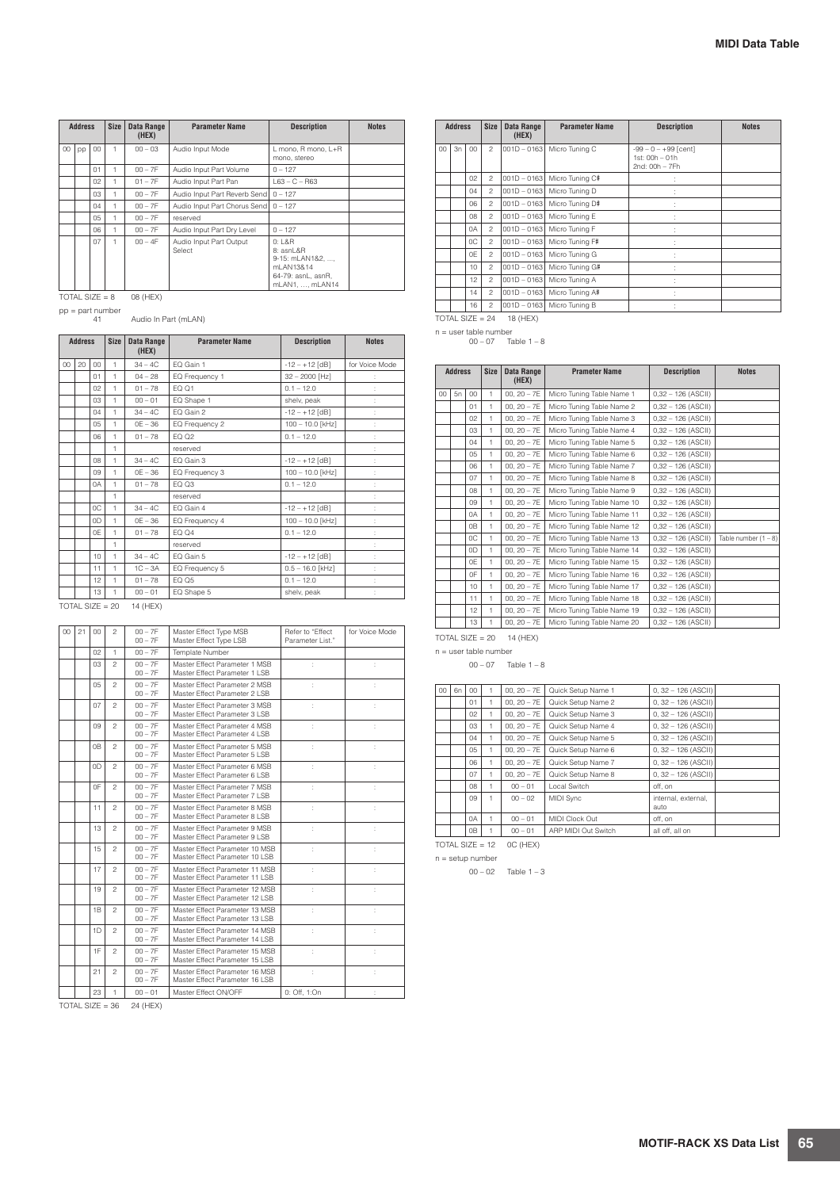|        | <b>Address</b> |    | <b>Size</b> | <b>Data Range</b><br>(HEX) | <b>Parameter Name</b>             | <b>Description</b>                                                                           | <b>Notes</b> |
|--------|----------------|----|-------------|----------------------------|-----------------------------------|----------------------------------------------------------------------------------------------|--------------|
| $00\,$ | pp             | 00 |             | $00 - 03$                  | Audio Input Mode                  | L mono. R mono. L+R<br>mono, stereo                                                          |              |
|        |                | 01 |             | $00 - 7F$                  | Audio Input Part Volume           | $0 - 127$                                                                                    |              |
|        |                | 02 |             | $01 - 7F$                  | Audio Input Part Pan              | $L63 - C - R63$                                                                              |              |
|        |                | 03 | 1           | $00 - 7F$                  | Audio Input Part Reverb Send      | $0 - 127$                                                                                    |              |
|        |                | 04 |             | $00 - 7F$                  | Audio Input Part Chorus Send      | $0 - 127$                                                                                    |              |
|        |                | 05 |             | $00 - 7F$                  | reserved                          |                                                                                              |              |
|        |                | 06 |             | $00 - 7F$                  | Audio Input Part Dry Level        | $0 - 127$                                                                                    |              |
|        |                | 07 | 1           | $00 - 4F$                  | Audio Input Part Output<br>Select | 0:1.8R<br>8: asnL&R<br>9-15: mLAN1&2.<br>ml AN13&14<br>64-79; asnL, asnR.<br>mLAN1, , mLAN14 |              |

 $TOTAL SIZE = 8$  08 (HEX)

pp = part number 41 Audio In Part (mLAN)

|            |    | <b>Address</b>   |        | <b>Size</b><br>(HEX) |                | Data Range         | <b>Parameter Name</b> | <b>Description</b> | <b>Notes</b> |
|------------|----|------------------|--------|----------------------|----------------|--------------------|-----------------------|--------------------|--------------|
| $00\,$     | 20 | 00               | 1      | $34 - 4C$            | EQ Gain 1      | $-12 - +12$ [dB]   | for Voice Mode        |                    |              |
|            |    | 01               | 1      | $04 - 28$            | EQ Frequency 1 | $32 - 2000$ [Hz]   |                       |                    |              |
|            |    | 02               | 1      | $01 - 78$            | EQ 01          | $0.1 - 12.0$       |                       |                    |              |
|            |    | 03               | 1      | $00 - 01$            | EQ Shape 1     | shelv, peak        |                       |                    |              |
|            |    | 04               | 1      | $34 - 4C$            | EQ Gain 2      | $-12 - +12$ [dB]   |                       |                    |              |
|            |    | 0.5 <sub>0</sub> | 1      | $OE - 36$            | EQ Frequency 2 | 100 - 10.0 [kHz]   |                       |                    |              |
|            |    | 06               | 1      | $01 - 78$            | EQ Q2          | $0.1 - 12.0$       | t                     |                    |              |
|            |    |                  | 1      |                      | reserved       |                    |                       |                    |              |
|            |    | 08               | 1      | $34 - 4C$            | EQ Gain 3      | $-12 - +12$ [dB]   |                       |                    |              |
|            |    | 09               | 1      | $OE - 36$            | EQ Frequency 3 | 100 - 10.0 [kHz]   |                       |                    |              |
|            |    | 0A               | 1      | $01 - 78$            | EQ Q3          | $0.1 - 12.0$       |                       |                    |              |
|            |    |                  | 1      |                      | reserved       |                    |                       |                    |              |
|            |    | 0C               | 1      | $34 - 4C$            | EQ Gain 4      | $-12 - +12$ [dB]   |                       |                    |              |
|            |    | 0D               | 1      | $OE - 36$            | EQ Frequency 4 | 100 - 10.0 [kHz]   |                       |                    |              |
|            |    | 0F               | 1      | $01 - 78$            | EQ Q4          | $0.1 - 12.0$       |                       |                    |              |
|            |    |                  | 1      |                      | reserved       |                    |                       |                    |              |
|            |    | 10               | 1      | $34 - 4C$            | EQ Gain 5      | $-12 - +12$ [dB]   |                       |                    |              |
|            |    | 11               | 1      | $1C - 3A$            | EQ Frequency 5 | $0.5 - 16.0$ [kHz] |                       |                    |              |
|            |    | 12               | 1      | $01 - 78$            | EQ Q5          | $0.1 - 12.0$       | t                     |                    |              |
|            |    | 13               | 1      | $00 - 01$            | EQ Shape 5     | shelv, peak        |                       |                    |              |
| TOTAL OIZE |    |                  | $\cap$ | A A H H T V V        |                |                    |                       |                    |              |

 $TOTAL SIZE = 20$  14 (HEX)

| 00 | 21 | $00\,$            | $\overline{c}$ | $00 - 7F$<br>$00 - 7F$ | Master Effect Type MSB<br>Master Effect Type LSB                  | Refer to "Effect<br>Parameter List." | for Voice Mode |
|----|----|-------------------|----------------|------------------------|-------------------------------------------------------------------|--------------------------------------|----------------|
|    |    | 02                | $\mathbf{1}$   | $00 - 7F$              | Template Number                                                   |                                      |                |
|    |    | 03                | $\mathfrak{p}$ | $00 - 7F$<br>$00 - 7F$ | Master Effect Parameter 1 MSB<br>Master Effect Parameter 1 LSB    | t                                    |                |
|    |    | 05                | $\overline{c}$ | $00 - 7F$<br>$00 - 7F$ | Master Effect Parameter 2 MSB<br>Master Effect Parameter 2 LSB    |                                      |                |
|    |    | 07                | $\mathfrak{p}$ | $00 - 7F$<br>$00 - 7F$ | Master Effect Parameter 3 MSB<br>Master Effect Parameter 3 LSB    |                                      |                |
|    |    | 09                | $\overline{c}$ | $00 - 7F$<br>$00 - 7F$ | Master Effect Parameter 4 MSB<br>Master Effect Parameter 4   SB   |                                      |                |
|    |    | 0 <sub>B</sub>    | $\mathfrak{p}$ | $00 - 7F$<br>$00 - 7F$ | Master Effect Parameter 5 MSB<br>Master Effect Parameter 5 LSB    |                                      |                |
|    |    | 0D                | $\overline{c}$ | $00 - 7F$<br>$00 - 7F$ | Master Effect Parameter 6 MSB<br>Master Effect Parameter 6   SB   |                                      |                |
|    |    | 0F                | $\mathfrak{D}$ | $00 - 7F$<br>$00 - 7F$ | Master Effect Parameter 7 MSB<br>Master Effect Parameter 7 LSB    | t                                    |                |
|    |    | 11                | $\mathfrak{p}$ | $00 - 7F$<br>$00 - 7F$ | Master Effect Parameter 8 MSB<br>Master Effect Parameter 8   SB   | t                                    |                |
|    |    | 13                | $\mathfrak{D}$ | $00 - 7F$<br>$00 - 7F$ | Master Effect Parameter 9 MSB<br>Master Effect Parameter 9   SB   | ÷                                    |                |
|    |    | 15                | $\mathfrak{p}$ | $00 - 7F$<br>$00 - 7F$ | Master Effect Parameter 10 MSB<br>Master Effect Parameter 10 LSB  | t                                    |                |
|    |    | 17                | $\mathfrak{p}$ | $00 - 7F$<br>$00 - 7F$ | Master Effect Parameter 11 MSB<br>Master Effect Parameter 11 LSB  | t                                    |                |
|    |    | 19                | $\mathfrak{p}$ | $00 - 7F$<br>$00 - 7F$ | Master Effect Parameter 12 MSB<br>Master Effect Parameter 12   SB | t                                    |                |
|    |    | 1 <sub>B</sub>    | $\mathfrak{p}$ | $00 - 7F$<br>$00 - 7F$ | Master Effect Parameter 13 MSB<br>Master Effect Parameter 13 LSB  | t                                    |                |
|    |    | 1D                | $\mathfrak{p}$ | $00 - 7F$<br>$00 - 7F$ | Master Effect Parameter 14 MSB<br>Master Effect Parameter 14 LSB  | t                                    |                |
|    |    | 1F                | $\mathfrak{p}$ | $00 - 7F$<br>$00 - 7F$ | Master Effect Parameter 15 MSB<br>Master Effect Parameter 15 LSB  | t                                    |                |
|    |    | 21                | $\mathfrak{p}$ | $00 - 7F$<br>$00 - 7F$ | Master Effect Parameter 16 MSB<br>Master Effect Parameter 16 LSB  | t                                    |                |
|    |    | 23                | 1              | $00 - 01$              | Master Effect ON/OFF                                              | 0: Off, 1:On                         |                |
|    |    | TOTAL SIZE = $36$ |                | 24 (HEX)               |                                                                   |                                      |                |

|                               | <b>Address</b> |    | <b>Size</b><br>Data Range<br>(HEX) |               | <b>Parameter Name</b>        | <b>Description</b>                                         | <b>Notes</b> |
|-------------------------------|----------------|----|------------------------------------|---------------|------------------------------|------------------------------------------------------------|--------------|
| $00\,$                        | 3n             | 00 | $\mathfrak{D}$                     |               | 001D - 0163   Micro Tuning C | $-99 - 0 - +99$ [cent]<br>1st: 00h - 01h<br>2nd: 00h - 7Fh |              |
|                               |                | 02 | $\overline{c}$                     | $001D - 0163$ | Micro Tuning C#              |                                                            |              |
|                               |                | 04 | $\overline{c}$                     | $001D - 0163$ | Micro Tuning D               |                                                            |              |
|                               |                | 06 | $\overline{c}$                     | $001D - 0163$ | Micro Tuning D#              |                                                            |              |
|                               |                | 08 | $\overline{c}$                     |               | 001D - 0163 Micro Tuning E   |                                                            |              |
|                               |                | 0A | $\overline{c}$                     |               | 001D - 0163 Micro Tuning F   |                                                            |              |
|                               |                | 0C | $\overline{c}$                     | $001D - 0163$ | Micro Tuning F#              |                                                            |              |
|                               |                | 0E | $\mathfrak{p}$                     | $001D - 0163$ | Micro Tuning G               |                                                            |              |
|                               |                | 10 | $\mathfrak{p}$                     | $001D - 0163$ | Micro Tuning G#              |                                                            |              |
|                               |                | 12 | $\overline{c}$                     | $001D - 0163$ | Micro Tuning A               |                                                            |              |
|                               |                | 14 | $\overline{c}$                     | $001D - 0163$ | Micro Tuning A#              |                                                            |              |
|                               |                | 16 | $\overline{c}$                     | $001D - 0163$ | Micro Tuning B               |                                                            |              |
| TOTAL SIZE = $24$<br>18 (HEX) |                |    |                                    |               |                              |                                                            |              |

n = user table number 00 – 07 Table 1 – 8

| <b>Address</b> |    |                | <b>Size</b> | <b>Data Range</b><br>(HEX) | <b>Prameter Name</b>       | <b>Description</b>   | <b>Notes</b>           |
|----------------|----|----------------|-------------|----------------------------|----------------------------|----------------------|------------------------|
| 00             | 5n | 00             | 1           | $00, 20 - 7E$              | Micro Tuning Table Name 1  | $0,32 - 126$ (ASCII) |                        |
|                |    | 01             | 1           | $00, 20 - 7E$              | Micro Tuning Table Name 2  | $0.32 - 126$ (ASCII) |                        |
|                |    | 02             | 1           | $00, 20 - 7E$              | Micro Tuning Table Name 3  | $0,32 - 126$ (ASCII) |                        |
|                |    | 03             | 1           | $00, 20 - 7E$              | Micro Tuning Table Name 4  | $0,32 - 126$ (ASCII) |                        |
|                |    | 04             | 1           | $00, 20 - 7E$              | Micro Tuning Table Name 5  | $0.32 - 126$ (ASCII) |                        |
|                |    | $0.5\,$        | 1           | $00, 20 - 7E$              | Micro Tuning Table Name 6  | $0,32 - 126$ (ASCII) |                        |
|                |    | 06             | 1           | $00, 20 - 7E$              | Micro Tuning Table Name 7  | $0,32 - 126$ (ASCII) |                        |
|                |    | 07             | 1           | $00.20 - 7E$               | Micro Tuning Table Name 8  | $0.32 - 126$ (ASCII) |                        |
|                |    | 08             | 1           | $00, 20 - 7E$              | Micro Tuning Table Name 9  | $0.32 - 126$ (ASCII) |                        |
|                |    | 09             | 1           | $00, 20 - 7E$              | Micro Tuning Table Name 10 | $0,32 - 126$ (ASCII) |                        |
|                |    | 0A             | 1           | $00.20 - 7E$               | Micro Tuning Table Name 11 | $0.32 - 126$ (ASCII) |                        |
|                |    | 0 <sub>B</sub> | 1           | $00, 20 - 7E$              | Micro Tuning Table Name 12 | $0.32 - 126$ (ASCII) |                        |
|                |    | OC.            | 1           | $00, 20 - 7E$              | Micro Tuning Table Name 13 | $0,32 - 126$ (ASCII) | Table number $(1 - 8)$ |
|                |    | 0D             | 1           | $00.20 - 7E$               | Micro Tuning Table Name 14 | $0,32 - 126$ (ASCII) |                        |
|                |    | 0F             | 1           | $00.20 - 7E$               | Micro Tuning Table Name 15 | $0.32 - 126$ (ASCII) |                        |
|                |    | 0F             | 1           | $00, 20 - 7E$              | Micro Tuning Table Name 16 | $0,32 - 126$ (ASCII) |                        |
|                |    | 10             | 1           | $00.20 - 7E$               | Micro Tuning Table Name 17 | $0,32 - 126$ (ASCII) |                        |
|                |    | 11             | 1           | $00, 20 - 7E$              | Micro Tuning Table Name 18 | $0.32 - 126$ (ASCII) |                        |
|                |    | 12             | 1           | $00, 20 - 7E$              | Micro Tuning Table Name 19 | $0,32 - 126$ (ASCII) |                        |
|                |    | 13             | 1           | $00, 20 - 7E$              | Micro Tuning Table Name 20 | $0,32 - 126$ (ASCII) |                        |

 $TOTAL SIZE = 20$  14 (HEX)

n = user table number

 $00 - 07$  Table  $1 - 8$ 

| 00                | 6n | 00               |   | $00.20 - 7E$  | Quick Setup Name 1  | $0, 32 - 126$ (ASCII)       |
|-------------------|----|------------------|---|---------------|---------------------|-----------------------------|
|                   |    | 01               | 1 | $00.20 - 7E$  | Quick Setup Name 2  | $0, 32 - 126$ (ASCII)       |
|                   |    | 02               | 1 | $00, 20 - 7E$ | Quick Setup Name 3  | $0, 32 - 126$ (ASCII)       |
|                   |    | 03               | 1 | $00.20 - 7E$  | Quick Setup Name 4  | $0, 32 - 126$ (ASCII)       |
|                   |    | 04               | 1 | $00.20 - 7E$  | Quick Setup Name 5  | $0, 32 - 126$ (ASCII)       |
|                   |    | 0.5 <sub>1</sub> | 1 | $00.20 - 7E$  | Quick Setup Name 6  | $0, 32 - 126$ (ASCII)       |
|                   |    | 06               | 1 | $00.20 - 7E$  | Quick Setup Name 7  | $0, 32 - 126$ (ASCII)       |
|                   |    | 07               | 1 | $00.20 - 7E$  | Quick Setup Name 8  | $0, 32 - 126$ (ASCII)       |
|                   |    | 80               |   | $00 - 01$     | Local Switch        | off. on                     |
|                   |    | 09               | 1 | $00 - 02$     | MIDI Sync           | internal, external,<br>auto |
|                   |    | 0A               | 1 | $00 - 01$     | MIDI Clock Out      | off, on                     |
|                   |    | 0B               |   | $00 - 01$     | ARP MIDI Out Switch | all off, all on             |
| TOTAL SIZE = $12$ |    |                  |   |               |                     |                             |

n = setup number

 $00 - 02$  Table  $1 - 3$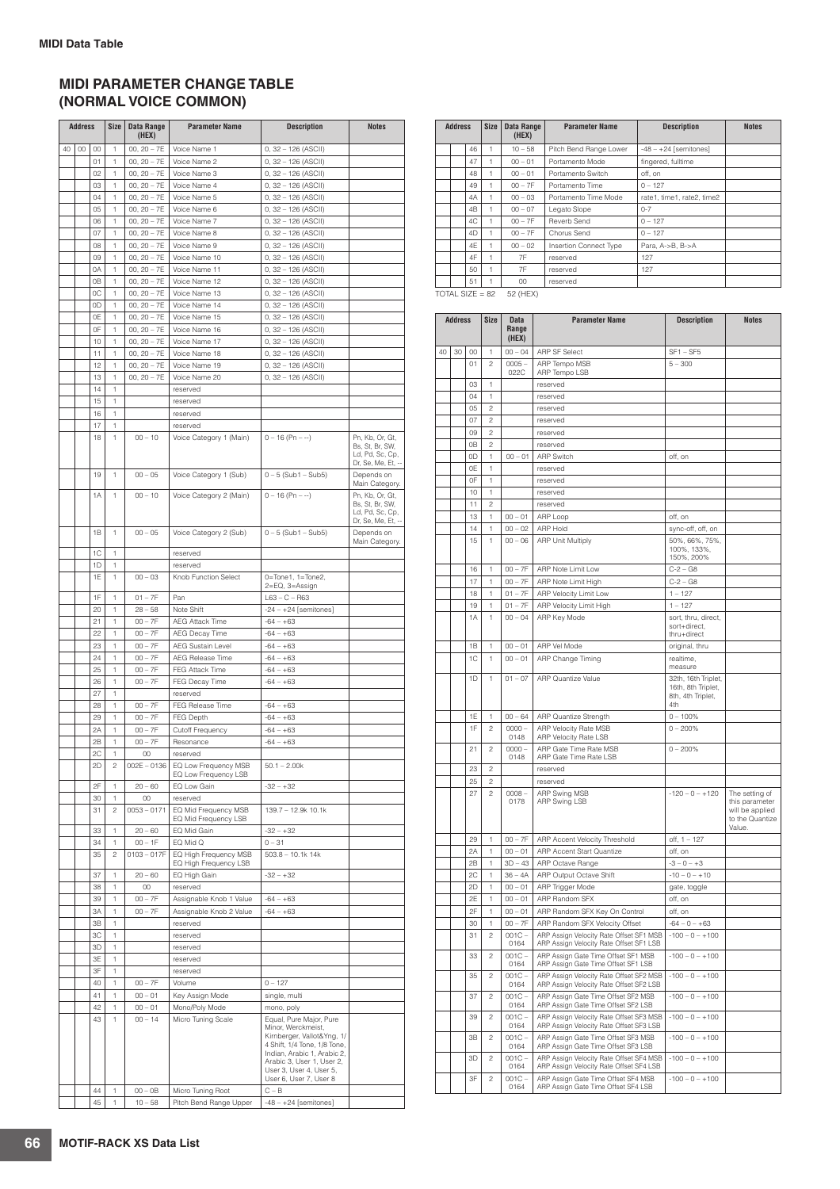### **MIDI PARAMETER CHANGE TABLE (NORMAL VOICE COMMON)**

|    | <b>Address</b> |          | Size           | <b>Data Range</b>   | <b>Parameter Name</b>                                    | <b>Description</b>                                                                                                                                                      | <b>Notes</b>                                                                |
|----|----------------|----------|----------------|---------------------|----------------------------------------------------------|-------------------------------------------------------------------------------------------------------------------------------------------------------------------------|-----------------------------------------------------------------------------|
|    |                |          |                | (HEX)               |                                                          |                                                                                                                                                                         |                                                                             |
| 40 | 00             | 00       | 1              | $00, 20 - 7E$       | Voice Name 1                                             | $0, 32 - 126$ (ASCII)                                                                                                                                                   |                                                                             |
|    |                | 01       | 1              | $00, 20 - 7E$       | Voice Name 2                                             | $0, 32 - 126$ (ASCII)                                                                                                                                                   |                                                                             |
|    |                | 02       | 1              | $00, 20 - 7E$       | Voice Name 3                                             | $0, 32 - 126$ (ASCII)                                                                                                                                                   |                                                                             |
|    |                | 03       | 1              | $00, 20 - 7E$       | Voice Name 4                                             | 0, 32 - 126 (ASCII)                                                                                                                                                     |                                                                             |
|    |                | 04       | 1              | 00, $20 - 7E$       | Voice Name 5                                             | 0, 32 - 126 (ASCII)                                                                                                                                                     |                                                                             |
|    |                | 05       | 1              | $00.20 - 7E$        | Voice Name 6                                             | $0, 32 - 126$ (ASCII)                                                                                                                                                   |                                                                             |
|    |                | 06       | 1              | $00, 20 - 7E$       | Voice Name 7                                             | $0, 32 - 126$ (ASCII)                                                                                                                                                   |                                                                             |
|    |                | 07       | 1              | $00, 20 - 7E$       | Voice Name 8                                             | $0, 32 - 126$ (ASCII)                                                                                                                                                   |                                                                             |
|    |                | 08       | 1              | $00, 20 - 7E$       | Voice Name 9                                             | $0, 32 - 126$ (ASCII)                                                                                                                                                   |                                                                             |
|    |                | 09       | 1              | $00, 20 - 7E$       | Voice Name 10                                            | 0, 32 - 126 (ASCII)                                                                                                                                                     |                                                                             |
|    |                | 0A       | 1              | $00, 20 - 7E$       | Voice Name 11                                            | 0, 32 - 126 (ASCII)                                                                                                                                                     |                                                                             |
|    |                | 0B       | 1              | $00, 20 - 7E$       | Voice Name 12                                            | $0, 32 - 126$ (ASCII)                                                                                                                                                   |                                                                             |
|    |                | ОC       | 1              | $00.20 - 7E$        | Voice Name 13                                            | $0, 32 - 126$ (ASCII)                                                                                                                                                   |                                                                             |
|    |                | 0D       | 1              | $00, 20 - 7E$       | Voice Name 14                                            | $0, 32 - 126$ (ASCII)                                                                                                                                                   |                                                                             |
|    |                | 0E       | 1              | $00, 20 - 7E$       | Voice Name 15                                            | $0, 32 - 126$ (ASCII)                                                                                                                                                   |                                                                             |
|    |                | 0F       | 1              | $00, 20 - 7E$       | Voice Name 16                                            | 0, 32 - 126 (ASCII)                                                                                                                                                     |                                                                             |
|    |                | 10       | 1              | 00, $20 - 7E$       | Voice Name 17                                            | 0, 32 - 126 (ASCII)                                                                                                                                                     |                                                                             |
|    |                | 11       | 1              | $00, 20 - 7E$       | Voice Name 18                                            | $0, 32 - 126$ (ASCII)                                                                                                                                                   |                                                                             |
|    |                | 12       | 1              | $00, 20 - 7E$       | Voice Name 19                                            | 0, 32 - 126 (ASCII)                                                                                                                                                     |                                                                             |
|    |                | 13       | 1              | $00, 20 - 7E$       | Voice Name 20                                            | 0, 32 - 126 (ASCII)                                                                                                                                                     |                                                                             |
|    |                | 14       | 1              |                     | reserved                                                 |                                                                                                                                                                         |                                                                             |
|    |                | 15       | 1              |                     | reserved                                                 |                                                                                                                                                                         |                                                                             |
|    |                | 16       | 1              |                     | reserved                                                 |                                                                                                                                                                         |                                                                             |
|    |                | 17       | 1              |                     | reserved                                                 |                                                                                                                                                                         |                                                                             |
|    |                | 18       | 1              | $00 - 10$           | Voice Category 1 (Main)                                  | $0 - 16 (Pn - -1)$                                                                                                                                                      | Pn, Kb, Or, Gt,                                                             |
|    |                |          |                |                     |                                                          |                                                                                                                                                                         | Bs, St, Br, SW,<br>Ld, Pd, Sc, Cp,<br>Dr, Se, Me, Et, -                     |
|    |                | 19       | 1              | $00 - 05$           | Voice Category 1 (Sub)                                   | $0 - 5$ (Sub1 - Sub5)                                                                                                                                                   | Depends on<br>Main Category.                                                |
|    |                | 1A       | 1              | $00 - 10$           | Voice Category 2 (Main)                                  | $0 - 16 (Pn - -1)$                                                                                                                                                      | Pn, Kb, Or, Gt,<br>Bs, St, Br, SW,<br>Ld, Pd, Sc, Cp,<br>Dr, Se, Me, Et, -- |
|    |                | 1B       | 1              | $00 - 05$           | Voice Category 2 (Sub)                                   | $0 - 5$ (Sub1 - Sub5)                                                                                                                                                   | Depends on<br>Main Category.                                                |
|    |                | 1C       | 1              |                     | reserved                                                 |                                                                                                                                                                         |                                                                             |
|    |                | 1D       | 1              |                     | reserved                                                 |                                                                                                                                                                         |                                                                             |
|    |                | 1E       | $\mathbf{1}$   | $00 - 03$           | Knob Function Select                                     | 0=Tone1, 1=Tone2,<br>2=EQ, 3=Assign                                                                                                                                     |                                                                             |
|    |                | 1F       | 1              | $01 - 7F$           | Pan                                                      | $L63 - C - R63$                                                                                                                                                         |                                                                             |
|    |                | 20       | 1              | $28 - 58$           | Note Shift                                               | $-24 - +24$ [semitones]                                                                                                                                                 |                                                                             |
|    |                | 21       | 1              | $00 - 7F$           | <b>AEG Attack Time</b>                                   | $-64 - +63$                                                                                                                                                             |                                                                             |
|    |                | 22       | 1              | $00 - 7F$           | <b>AEG Decay Time</b>                                    | $-64 - +63$                                                                                                                                                             |                                                                             |
|    |                | 23       | 1              | $00 - 7F$           | <b>AEG Sustain Level</b>                                 | $-64 - +63$                                                                                                                                                             |                                                                             |
|    |                | 24       | 1              | $00 - 7F$           | <b>AEG Release Time</b>                                  | $-64 - +63$                                                                                                                                                             |                                                                             |
|    |                | 25       | 1              | $00 - 7F$           | FEG Attack Time                                          | $-64 - +63$                                                                                                                                                             |                                                                             |
|    |                | 26       | 1              | $00 - 7F$           | FEG Decay Time                                           | $-64 - +63$                                                                                                                                                             |                                                                             |
|    |                | 27       | 1              |                     | reserved                                                 |                                                                                                                                                                         |                                                                             |
|    |                | 28       | 1              | $00 - 7F$           | FEG Release Time                                         | $-64 - +63$                                                                                                                                                             |                                                                             |
|    |                | 29       | 1              | $00 - 7F$           | FEG Depth                                                | $-64 - +63$                                                                                                                                                             |                                                                             |
|    |                | 2A       | 1              | $00 - 7F$           | Cutoff Frequency                                         | $-64 - +63$                                                                                                                                                             |                                                                             |
|    |                | 2B       | 1              | $00 - 7F$           | Resonance                                                | $-64 - +63$                                                                                                                                                             |                                                                             |
|    |                | 2C<br>2D | 1<br>2         | 00<br>$002E - 0136$ | reserved<br>EQ Low Frequency MSB<br>EQ Low Frequency LSB | $50.1 - 2.00k$                                                                                                                                                          |                                                                             |
|    |                | 2F       | 1              | $20 - 60$           | EQ Low Gain                                              | $-32 - +32$                                                                                                                                                             |                                                                             |
|    |                | 30       | 1              | $^{00}$             | reserved                                                 |                                                                                                                                                                         |                                                                             |
|    |                | 31       | $\overline{c}$ | $0053 - 0171$       | EQ Mid Frequency MSB<br>EQ Mid Frequency LSB             | 139.7 - 12.9k 10.1k                                                                                                                                                     |                                                                             |
|    |                | 33       | 1              | $20 - 60$           | EQ Mid Gain                                              | $-32 - +32$                                                                                                                                                             |                                                                             |
|    |                | 34       | 1              | $00 - 1F$           | EQ Mid Q                                                 | $0 - 31$                                                                                                                                                                |                                                                             |
|    |                | 35       | $\overline{c}$ | $0103 - 017F$       | EQ High Frequency MSB<br>EQ High Frequency LSB           | $503.8 - 10.1k$ 14k                                                                                                                                                     |                                                                             |
|    |                | 37       | 1              | $20 - 60$           | EQ High Gain                                             | $-32 - +32$                                                                                                                                                             |                                                                             |
|    |                | 38       | 1              | $^{00}$             | reserved                                                 |                                                                                                                                                                         |                                                                             |
|    |                | 39       | 1              | $00 - 7F$           | Assignable Knob 1 Value                                  | $-64 - +63$                                                                                                                                                             |                                                                             |
|    |                | ЗA       | 1              | $00 - 7F$           | Assignable Knob 2 Value                                  | $-64 - +63$                                                                                                                                                             |                                                                             |
|    |                | 3B       | 1              |                     | reserved                                                 |                                                                                                                                                                         |                                                                             |
|    |                | 3C       | 1              |                     | reserved                                                 |                                                                                                                                                                         |                                                                             |
|    |                | 3D       | 1              |                     | reserved                                                 |                                                                                                                                                                         |                                                                             |
|    |                | 3E       | 1              |                     | reserved                                                 |                                                                                                                                                                         |                                                                             |
|    |                | 3F       | 1              |                     | reserved                                                 |                                                                                                                                                                         |                                                                             |
|    |                | 40       | 1              | $00 - 7F$           | Volume                                                   | $0 - 127$                                                                                                                                                               |                                                                             |
|    |                | 41       | 1              | $00 - 01$           | Key Assign Mode                                          | single, multi                                                                                                                                                           |                                                                             |
|    |                | 42       | 1              | $00 - 01$           | Mono/Poly Mode                                           | mono, poly                                                                                                                                                              |                                                                             |
|    |                | 43       | 1              | $00 - 14$           | Micro Tuning Scale                                       | Equal, Pure Major, Pure<br>Minor, Werckmeist,<br>Kirnberger, Vallot&Yng, 1/<br>4 Shift, 1/4 Tone, 1/8 Tone,<br>Indian, Arabic 1, Arabic 2,<br>Arabic 3, User 1, User 2, |                                                                             |
|    |                |          |                |                     |                                                          | User 3, User 4, User 5,<br>User 6, User 7, User 8                                                                                                                       |                                                                             |
|    |                | 44       | 1              | $00 - 0B$           | Micro Tuning Root                                        | $C - B$                                                                                                                                                                 |                                                                             |
|    |                | 45       | 1              | $10 - 58$           | Pitch Bend Range Upper                                   | $-48 - +24$ [semitones]                                                                                                                                                 |                                                                             |

| <b>Address</b>    |    | <b>Size</b> | Data Range<br>(HEX) | <b>Parameter Name</b>  | <b>Description</b>         | <b>Notes</b> |
|-------------------|----|-------------|---------------------|------------------------|----------------------------|--------------|
|                   | 46 | 1           | $10 - 58$           | Pitch Bend Range Lower | $-48 - +24$ [semitones]    |              |
|                   | 47 | 1           | $00 - 01$           | Portamento Mode        | fingered, fulltime         |              |
|                   | 48 | 1           | $00 - 01$           | Portamento Switch      | off. on                    |              |
|                   | 49 | 1           | $00 - 7F$           | Portamento Time        | $0 - 127$                  |              |
|                   | 4A | 1           | $00 - 03$           | Portamento Time Mode   | rate1, time1, rate2, time2 |              |
|                   | 4B | 1           | $00 - 07$           | Legato Slope           | $0 - 7$                    |              |
|                   | 4C | 1           | $00 - 7F$           | Reverb Send            | $0 - 127$                  |              |
|                   | 4D | 1           | $00 - 7F$           | Chorus Send            | $0 - 127$                  |              |
|                   | 4E | 1           | $00 - 02$           | Insertion Connect Type | Para, A->B, B->A           |              |
|                   | 4F | 1           | 7F                  | reserved               | 127                        |              |
|                   | 50 | 1           | 7F                  | reserved               | 127                        |              |
|                   | 51 | 1           | $00\,$              | reserved               |                            |              |
| TOTAL SIZE = $82$ |    |             | 52 (HEX)            |                        |                            |              |

| <b>Address</b> |    |          | Size                | <b>Data</b><br><b>Range</b><br>(HEX) | <b>Parameter Name</b>                                                                                                     | <b>Description</b>                                                    | <b>Notes</b>                                                                     |
|----------------|----|----------|---------------------|--------------------------------------|---------------------------------------------------------------------------------------------------------------------------|-----------------------------------------------------------------------|----------------------------------------------------------------------------------|
| 40             | 30 | 00       | 1                   | $00 - 04$                            | <b>ARP SF Select</b>                                                                                                      | $SF1 - SF5$                                                           |                                                                                  |
|                |    | 01       | 2                   | $0005 -$                             | ARP Tempo MSB                                                                                                             | $5 - 300$                                                             |                                                                                  |
|                |    |          |                     | 022C                                 | ARP Tempo LSB                                                                                                             |                                                                       |                                                                                  |
|                |    | 03       | 1                   |                                      | reserved                                                                                                                  |                                                                       |                                                                                  |
|                |    | 04       | 1                   |                                      | reserved                                                                                                                  |                                                                       |                                                                                  |
|                |    | 05       | $\overline{c}$      |                                      | reserved                                                                                                                  |                                                                       |                                                                                  |
|                |    | 07       | $\overline{c}$      |                                      | reserved                                                                                                                  |                                                                       |                                                                                  |
|                |    | 09       | $\overline{c}$      |                                      | reserved                                                                                                                  |                                                                       |                                                                                  |
|                |    | 0B       | 2                   |                                      | reserved                                                                                                                  |                                                                       |                                                                                  |
|                |    | 0D       | 1                   | $00 - 01$                            | <b>ARP Switch</b>                                                                                                         | off, on                                                               |                                                                                  |
|                |    | 0E       | 1                   |                                      | reserved                                                                                                                  |                                                                       |                                                                                  |
|                |    | 0F       | 1                   |                                      | reserved                                                                                                                  |                                                                       |                                                                                  |
|                |    | 10       | 1                   |                                      | reserved                                                                                                                  |                                                                       |                                                                                  |
|                |    | 11       | 2                   |                                      | reserved<br>ARP Loop                                                                                                      |                                                                       |                                                                                  |
|                |    | 13<br>14 | 1<br>1              | $00 - 01$<br>$00 - 02$               | ARP Hold                                                                                                                  | off, on                                                               |                                                                                  |
|                |    | 15       | 1                   | $00 - 06$                            | <b>ARP Unit Multiply</b>                                                                                                  | sync-off, off, on<br>50%, 66%, 75%,                                   |                                                                                  |
|                |    |          |                     |                                      |                                                                                                                           | 100%, 133%,<br>150%, 200%                                             |                                                                                  |
|                |    | 16       | 1                   | $00 - 7F$                            | ARP Note Limit Low                                                                                                        | $C - 2 - G8$                                                          |                                                                                  |
|                |    | 17       | 1                   | $00 - 7F$                            | ARP Note Limit High                                                                                                       | $C-2 - G8$                                                            |                                                                                  |
|                |    | 18       | 1                   | $01 - 7F$                            | ARP Velocity Limit Low                                                                                                    | $1 - 127$                                                             |                                                                                  |
|                |    | 19       | 1                   | $01 - 7F$                            | ARP Velocity Limit High                                                                                                   | $1 - 127$                                                             |                                                                                  |
|                |    | 1A       | 1                   | $00 - 04$                            | ARP Key Mode                                                                                                              | sort, thru, direct,<br>sort+direct,<br>thru+direct                    |                                                                                  |
|                |    | 1B       | 1                   | $00 - 01$                            | ARP Vel Mode                                                                                                              | original, thru                                                        |                                                                                  |
|                |    | 1C       | 1                   | $00 - 01$                            | ARP Change Timing                                                                                                         | realtime,<br>measure                                                  |                                                                                  |
|                |    | 1D       | 1                   | $01 - 07$                            | ARP Quantize Value                                                                                                        | 32th, 16th Triplet,<br>16th, 8th Triplet,<br>8th, 4th Triplet,<br>4th |                                                                                  |
|                |    | 1E       | 1                   | $00 - 64$                            | <b>ARP Quantize Strength</b>                                                                                              | $0 - 100%$                                                            |                                                                                  |
|                |    | 1F       | 2                   | $0000 -$<br>0148                     | ARP Velocity Rate MSB<br>ARP Velocity Rate LSB                                                                            | $0 - 200%$                                                            |                                                                                  |
|                |    | 21       | $\mathfrak{p}$      | $0000 -$<br>0148                     | ARP Gate Time Rate MSB<br>ARP Gate Time Rate LSB                                                                          | $0 - 200%$                                                            |                                                                                  |
|                |    | 23       | 2                   |                                      | reserved                                                                                                                  |                                                                       |                                                                                  |
|                |    | 25       | $\overline{c}$      |                                      | reserved                                                                                                                  |                                                                       |                                                                                  |
|                |    | 27       | $\overline{c}$      | $0008 -$<br>0178                     | ARP Swing MSB<br>ARP Swing LSB                                                                                            | $-120 - 0 - +120$                                                     | The setting of<br>this parameter<br>will be applied<br>to the Quantize<br>Value. |
|                |    | 29       | 1                   | $00 - 7F$                            | ARP Accent Velocity Threshold                                                                                             | off, 1 - 127                                                          |                                                                                  |
|                |    | 2A       | 1                   | $00 - 01$                            | ARP Accent Start Quantize                                                                                                 | off, on                                                               |                                                                                  |
|                |    | 2B       | 1                   | $3D - 43$                            | ARP Octave Range                                                                                                          | $-3 - 0 - +3$                                                         |                                                                                  |
|                |    | 2C       | 1                   | $36 - 4A$                            | ARP Output Octave Shift                                                                                                   | $-10 - 0 - +10$                                                       |                                                                                  |
|                |    | 2D       | 1                   | $00 - 01$                            | ARP Trigger Mode                                                                                                          | gate, toggle                                                          |                                                                                  |
|                |    | 2E       | 1                   | $00 - 01$                            | ARP Random SFX                                                                                                            | off, on                                                               |                                                                                  |
|                |    | 2F       | 1                   | $00 - 01$                            | ARP Random SFX Key On Control                                                                                             | off, on                                                               |                                                                                  |
|                |    | 30<br>31 | 1<br>$\mathfrak{p}$ | $00 - 7F$<br>$001C -$                | ARP Random SFX Velocity Offset                                                                                            | $-64 - 0 - +63$<br>$-100 - 0 - +100$                                  |                                                                                  |
|                |    | 33       | 2                   | 0164<br>$001C -$                     | ARP Assign Velocity Rate Offset SF1 MSB<br>ARP Assign Velocity Rate Offset SF1 LSB<br>ARP Assign Gate Time Offset SF1 MSB | $-100 - 0 - +100$                                                     |                                                                                  |
|                |    | 35       | 2                   | 0164<br>$001C -$                     | ARP Assign Gate Time Offset SF1 LSB<br>ARP Assign Velocity Rate Offset SF2 MSB                                            | $-100 - 0 - +100$                                                     |                                                                                  |
|                |    | 37       | 2                   | 0164<br>$001C -$                     | ARP Assign Velocity Rate Offset SF2 LSB<br>ARP Assign Gate Time Offset SF2 MSB                                            | $-100 - 0 - +100$                                                     |                                                                                  |
|                |    | 39       | $\overline{c}$      | 0164<br>$001C -$                     | ARP Assign Gate Time Offset SF2 LSB<br>ARP Assign Velocity Rate Offset SF3 MSB                                            | $-100 - 0 - +100$                                                     |                                                                                  |
|                |    | 3B       | 2                   | 0164<br>$001C -$                     | ARP Assign Velocity Rate Offset SF3 LSB<br>ARP Assign Gate Time Offset SF3 MSB                                            | $-100 - 0 - +100$                                                     |                                                                                  |
|                |    | 3D       | $\mathfrak{p}$      | 0164<br>$001C -$                     | ARP Assign Gate Time Offset SF3 LSB<br>ARP Assign Velocity Rate Offset SF4 MSB                                            | $-100 - 0 - +100$                                                     |                                                                                  |
|                |    | 3F       | $\overline{c}$      | 0164<br>$001C -$                     | ARP Assign Velocity Rate Offset SF4 LSB<br>ARP Assign Gate Time Offset SF4 MSB                                            | $-100 - 0 - +100$                                                     |                                                                                  |
|                |    |          |                     | 0164                                 | ARP Assign Gate Time Offset SF4 LSB                                                                                       |                                                                       |                                                                                  |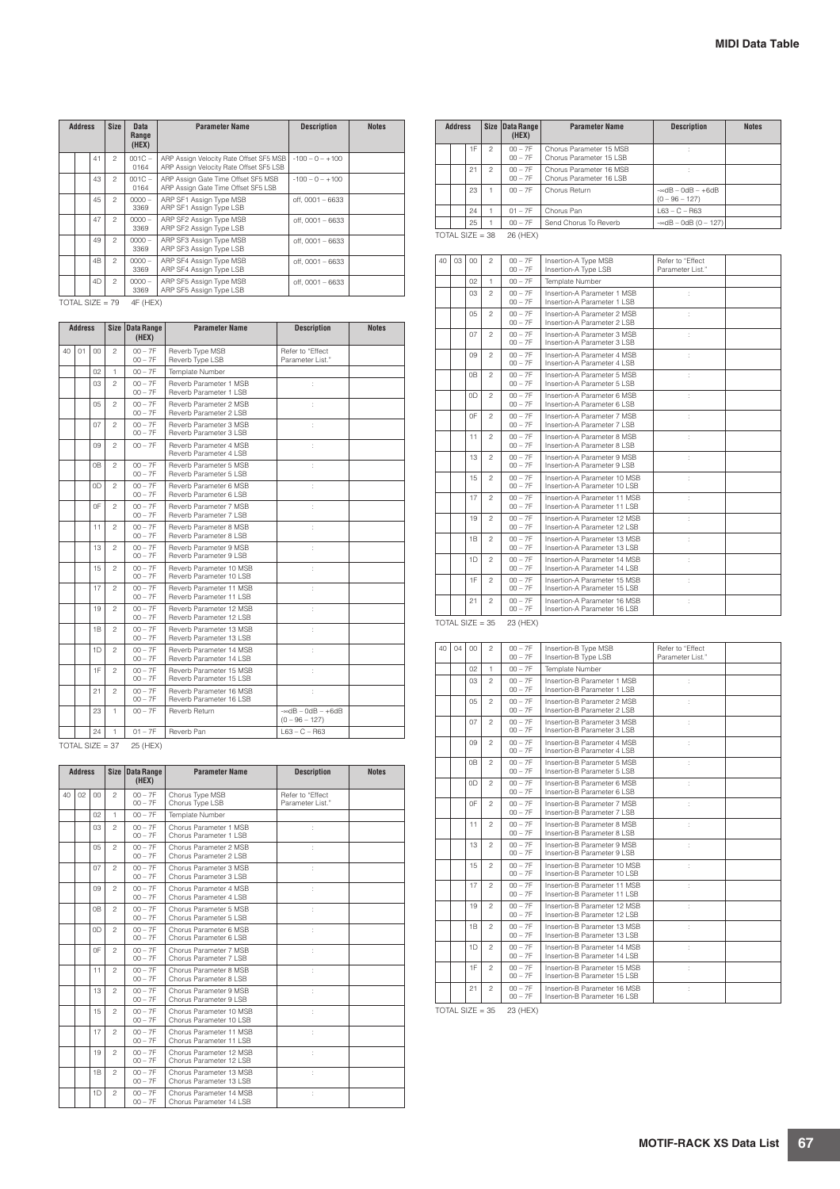| <b>Address</b> |                | <b>Size</b><br><b>Data</b><br>Range<br>(HEX) |                  | <b>Parameter Name</b>                                                              | <b>Description</b> | <b>Notes</b> |
|----------------|----------------|----------------------------------------------|------------------|------------------------------------------------------------------------------------|--------------------|--------------|
|                | 41             | $\mathfrak{p}$                               | $001C -$<br>0164 | ARP Assign Velocity Rate Offset SF5 MSB<br>ARP Assign Velocity Rate Offset SF5 LSB | $-100 - 0 - +100$  |              |
|                | 43             | $\mathfrak{p}$                               | $001C -$<br>0164 | ARP Assign Gate Time Offset SF5 MSB<br>ARP Assign Gate Time Offset SF5 LSB         | $-100 - 0 - +100$  |              |
|                | 45             | $\mathfrak{p}$                               | $0000 -$<br>3369 | ARP SF1 Assign Type MSB<br>ARP SF1 Assign Type LSB                                 | off, 0001 - 6633   |              |
|                | 47             | $\mathfrak{p}$                               | $0000 -$<br>3369 | ARP SF2 Assign Type MSB<br>ARP SF2 Assign Type LSB                                 | off. 0001 - 6633   |              |
|                | 49             | $\mathfrak{p}$                               | $0000 -$<br>3369 | ARP SF3 Assign Type MSB<br>ARP SF3 Assign Type LSB                                 | off. 0001 - 6633   |              |
|                | 4 <sub>B</sub> | $\mathfrak{p}$                               | $0000 -$<br>3369 | ARP SF4 Assign Type MSB<br>ARP SF4 Assign Type LSB                                 | off. 0001 - 6633   |              |
|                | 4D             | $\mathfrak{p}$                               | $0000 -$<br>3369 | ARP SF5 Assign Type MSB<br>ARP SF5 Assign Type LSB                                 | off. 0001 - 6633   |              |

 $TOTAL SIZE = 79$   $4F (HEX)$ 

|    | <b>Address</b> |                |                | Size Data Range<br>(HEX) | <b>Parameter Name</b>                             | <b>Description</b>                   | <b>Notes</b> |
|----|----------------|----------------|----------------|--------------------------|---------------------------------------------------|--------------------------------------|--------------|
| 40 | 01             | $00 \,$        | $\mathfrak{p}$ | $00 - 7F$<br>$00 - 7F$   | Reverb Type MSB<br>Reverb Type LSB                | Refer to "Effect<br>Parameter List." |              |
|    |                | 02             | 1              | $00 - 7F$                | Template Number                                   |                                      |              |
|    |                | 03             | $\mathfrak{p}$ | $00 - 7F$<br>$00 - 7F$   | Reverb Parameter 1 MSB<br>Reverb Parameter 1 LSB  |                                      |              |
|    |                | 05             | $\mathfrak{p}$ | $00 - 7F$<br>$00 - 7F$   | Reverb Parameter 2 MSB<br>Reverb Parameter 2 LSB  |                                      |              |
|    |                | 07             | $\mathfrak{p}$ | $00 - 7F$<br>$00 - 7F$   | Reverb Parameter 3 MSB<br>Reverb Parameter 3 LSB  |                                      |              |
|    |                | 09             | $\mathfrak{p}$ | $00 - 7F$                | Reverb Parameter 4 MSB<br>Reverb Parameter 4 LSB  |                                      |              |
|    |                | 0 <sub>B</sub> | $\mathfrak{p}$ | $00 - 7F$<br>$00 - 7F$   | Reverb Parameter 5 MSB<br>Reverb Parameter 5 LSB  |                                      |              |
|    |                | 0D             | $\mathfrak{p}$ | $00 - 7F$<br>$00 - 7F$   | Reverb Parameter 6 MSB<br>Reverb Parameter 6 LSB  |                                      |              |
|    |                | 0F             | $\mathfrak{p}$ | $00 - 7F$<br>00 7E       | Reverb Parameter 7 MSB<br>Royarb Paramotor 7   CR |                                      |              |

|  |                |                | $00 - 7F$              | .<br>Reverb Type LSB                               | Parameter List."                            |  |
|--|----------------|----------------|------------------------|----------------------------------------------------|---------------------------------------------|--|
|  | 02             | 1              | $00 - 7F$              | Template Number                                    |                                             |  |
|  | 03             | $\mathfrak{p}$ | $00 - 7F$<br>$00 - 7F$ | Reverb Parameter 1 MSB<br>Reverb Parameter 1 LSB   |                                             |  |
|  | 0.5            | 2              | $00 - 7F$<br>$00 - 7F$ | Reverb Parameter 2 MSB<br>Reverb Parameter 2 LSB   |                                             |  |
|  | 07             | $\mathfrak{p}$ | $00 - 7F$<br>$00 - 7F$ | Reverb Parameter 3 MSB<br>Reverb Parameter 3 LSB   | t                                           |  |
|  | 09             | 2              | $00 - 7F$              | Reverb Parameter 4 MSB<br>Reverb Parameter 4 LSB   | ÷                                           |  |
|  | 0B             | $\mathfrak{p}$ | $00 - 7F$<br>$00 - 7F$ | Reverb Parameter 5 MSB<br>Reverb Parameter 5   SB  |                                             |  |
|  | 0D             | 2              | $00 - 7F$<br>$00 - 7F$ | Reverb Parameter 6 MSB<br>Reverb Parameter 6 LSB   | ÷                                           |  |
|  | 0F             | 2              | $00 - 7F$<br>$00 - 7F$ | Reverb Parameter 7 MSB<br>Reverb Parameter 7 LSB   | ÷                                           |  |
|  | 11             | 2              | $00 - 7F$<br>$00 - 7F$ | Reverb Parameter 8 MSB<br>Reverb Parameter 8 LSB   | ÷                                           |  |
|  | 13             | $\mathfrak{p}$ | $00 - 7F$<br>$00 - 7F$ | Reverb Parameter 9 MSB<br>Reverb Parameter 9   SB  | ÷                                           |  |
|  | 15             | 2              | $00 - 7F$<br>$00 - 7F$ | Reverb Parameter 10 MSB<br>Reverb Parameter 10 LSB | ÷                                           |  |
|  | 17             | $\mathfrak{p}$ | $00 - 7F$<br>$00 - 7F$ | Reverb Parameter 11 MSB<br>Reverb Parameter 11 LSB |                                             |  |
|  | 19             | 2              | $00 - 7F$<br>$00 - 7F$ | Reverb Parameter 12 MSB<br>Reverb Parameter 12 LSB | ÷                                           |  |
|  | 1B             | $\overline{c}$ | $00 - 7F$<br>$00 - 7F$ | Reverb Parameter 13 MSB<br>Reverb Parameter 13 LSB | ÷                                           |  |
|  | 1 <sub>D</sub> | 2              | $00 - 7F$<br>$00 - 7F$ | Reverb Parameter 14 MSB<br>Reverb Parameter 14 LSB |                                             |  |
|  | 1F             | $\mathfrak{p}$ | $00 - 7F$<br>$00 - 7F$ | Reverb Parameter 15 MSB<br>Reverb Parameter 15 LSB | ÷                                           |  |
|  | 21             | $\overline{c}$ | $00 - 7F$<br>$00 - 7F$ | Reverb Parameter 16 MSB<br>Reverb Parameter 16 LSB | ÷.                                          |  |
|  | 23             | 1              | $00 - 7F$              | Reverb Return                                      | $-$ ∞dB - 0dB - $+6$ dB<br>$(0 - 96 - 127)$ |  |
|  | 24             | 1              | $01 - 7F$              | Reverb Pan                                         | $L63 - C - R63$                             |  |

 $\begin{array}{|c|c|c|c|c|c|}\n\hline\n\text{TOTAL SIZE} = 37 & 25 (\text{HEX}) \\
\hline\n\end{array}$ 

|    | <b>Address</b> |                | Size           | <b>Data Range</b><br>(HEX) | <b>Parameter Name</b>                               | <b>Description</b>                   | <b>Notes</b> |
|----|----------------|----------------|----------------|----------------------------|-----------------------------------------------------|--------------------------------------|--------------|
| 40 | 02             | $00 \,$        | $\mathfrak{p}$ | $00 - 7F$<br>$00 - 7F$     | Chorus Type MSB<br>Chorus Type LSB                  | Refer to "Fffect<br>Parameter List." |              |
|    |                | 02             | $\mathbf{1}$   | $00 - 7F$                  | Template Number                                     |                                      |              |
|    |                | 03             | $\mathfrak{p}$ | $00 - 7F$<br>$00 - 7F$     | Chorus Parameter 1 MSB<br>Chorus Parameter 1 LSB    |                                      |              |
|    |                | $0.5^{\circ}$  | $\mathfrak{D}$ | $00 - 7F$<br>$00 - 7F$     | Chorus Parameter 2 MSB<br>Chorus Parameter 21 SB    | ÷                                    |              |
|    |                | 07             | $\mathfrak{p}$ | $00 - 7F$<br>$00 - 7F$     | Chorus Parameter 3 MSB<br>Chorus Parameter 3   SB   | t.                                   |              |
|    |                | 09             | $\overline{c}$ | $00 - 7F$<br>$00 - 7F$     | Chorus Parameter 4 MSB<br>Chorus Parameter 4 LSB    | t,                                   |              |
|    |                | 0 <sub>B</sub> | $\mathfrak{p}$ | $00 - 7F$<br>$00 - 7F$     | Chorus Parameter 5 MSB<br>Chorus Parameter 5   SB   | t                                    |              |
|    |                | 0D             | $\mathfrak{p}$ | $00 - 7F$<br>$00 - 7F$     | Chorus Parameter 6 MSB<br>Chorus Parameter 6   SB   |                                      |              |
|    |                | 0F             | $\mathfrak{D}$ | $00 - 7F$<br>$00 - 7F$     | Chorus Parameter 7 MSB<br>Chorus Parameter 7 I SB   | ł.                                   |              |
|    |                | 11             | $\mathfrak{D}$ | $00 - 7F$<br>$00 - 7F$     | Chorus Parameter 8 MSB<br>Chorus Parameter 8   SB   | t,                                   |              |
|    |                | 13             | $\mathfrak{p}$ | $00 - 7F$<br>$00 - 7F$     | Chorus Parameter 9 MSB<br>Chorus Parameter 9 LSB    | ÷                                    |              |
|    |                | 15             | $\mathfrak{p}$ | $00 - 7F$<br>$00 - 7F$     | Chorus Parameter 10 MSB<br>Chorus Parameter 10 LSB  |                                      |              |
|    |                | 17             | $\mathfrak{p}$ | $00 - 7F$<br>$00 - 7F$     | Chorus Parameter 11 MSB<br>Chorus Parameter 11   SB |                                      |              |
|    |                | 19             | $\overline{c}$ | $00 - 7F$<br>$00 - 7F$     | Chorus Parameter 12 MSB<br>Chorus Parameter 12 LSB  | ÷                                    |              |
|    |                | 1B             | $\overline{c}$ | $00 - 7F$<br>$00 - 7F$     | Chorus Parameter 13 MSB<br>Chorus Parameter 13 LSB  | ł.                                   |              |
|    |                | 1D             | $\mathfrak{p}$ | $00 - 7F$<br>$00 - 7F$     | Chorus Parameter 14 MSB<br>Chorus Parameter 14 LSB  | t                                    |              |

| <b>Address</b> |  | <b>Size</b> | <b>Data Range</b><br>(HEX) | <b>Parameter Name</b>  | <b>Description</b>                                  | <b>Notes</b>                                 |  |
|----------------|--|-------------|----------------------------|------------------------|-----------------------------------------------------|----------------------------------------------|--|
|                |  | 1F          | 2                          | $00 - 7F$<br>$00 - 7F$ | Chorus Parameter 15 MSB<br>Chorus Parameter 15   SB |                                              |  |
|                |  | 21          | $\mathfrak{p}$             | $00 - 7F$<br>$00 - 7F$ | Chorus Parameter 16 MSB<br>Chorus Parameter 16   SB |                                              |  |
|                |  | 23          |                            | $00 - 7F$              | Chorus Return                                       | $-$ ∞dB $-$ 0dB $-$ +6dB<br>$(0 - 96 - 127)$ |  |
|                |  | 24          |                            | $01 - 7F$              | Chorus Pan                                          | $163 - C - R63$                              |  |
|                |  | 25          |                            | $00 - 7F$              | Send Chorus To Reverb                               | $-$ ∞dB $-$ 0dB (0 $-$ 127)                  |  |

TOTAL SIZE =  $38$  26 (HEX)

| 40 | 03 | 00             | $\overline{c}$ | $00 - 7F$<br>$00 - 7F$ | Insertion-A Type MSB<br>Insertion-A Type LSB                 | Refer to "Effect<br>Parameter List." |  |
|----|----|----------------|----------------|------------------------|--------------------------------------------------------------|--------------------------------------|--|
|    |    | 02             | $\mathbf{1}$   | $00 - 7F$              | Template Number                                              |                                      |  |
|    |    | 03             | $\mathfrak{p}$ | $00 - 7F$<br>$00 - 7F$ | Insertion-A Parameter 1 MSB<br>Insertion-A Parameter 1 LSB   | $\pm$                                |  |
|    |    | $0.5^{\circ}$  | $\mathfrak{p}$ | $00 - 7F$<br>$00 - 7F$ | Insertion-A Parameter 2 MSB<br>Insertion-A Parameter 2 LSB   | ÷.                                   |  |
|    |    | 07             | $\mathfrak{p}$ | $00 - 7F$<br>$00 - 7F$ | Insertion-A Parameter 3 MSB<br>Insertion-A Parameter 3 LSB   | ł.                                   |  |
|    |    | 09             | $\mathfrak{p}$ | $00 - 7F$<br>$00 - 7F$ | Insertion-A Parameter 4 MSB<br>Insertion-A Parameter 4 LSB   | ÷.                                   |  |
|    |    | 0B             | $\overline{c}$ | $00 - 7F$<br>$00 - 7F$ | Insertion-A Parameter 5 MSB<br>Insertion-A Parameter 5 LSB   | $\ddot{\phantom{a}}$                 |  |
|    |    | 0D             | $\mathfrak{p}$ | $00 - 7F$<br>$00 - 7F$ | Insertion-A Parameter 6 MSB<br>Insertion-A Parameter 6 LSB   | ÷.                                   |  |
|    |    | 0F             | $\mathfrak{p}$ | $00 - 7F$<br>$00 - 7F$ | Insertion-A Parameter 7 MSB<br>Insertion-A Parameter 7 LSB   |                                      |  |
|    |    | 11             | $\mathfrak{p}$ | $00 - 7F$<br>$00 - 7F$ | Insertion-A Parameter 8 MSB<br>Insertion-A Parameter 8 LSB   |                                      |  |
|    |    | 13             | $\mathfrak{p}$ | $00 - 7F$<br>$00 - 7F$ | Insertion-A Parameter 9 MSB<br>Insertion-A Parameter 9 LSB   |                                      |  |
|    |    | 15             | $\mathfrak{p}$ | $00 - 7F$<br>$00 - 7F$ | Insertion-A Parameter 10 MSB<br>Insertion-A Parameter 10 LSB | ÷                                    |  |
|    |    | 17             | $\mathfrak{p}$ | $00 - 7F$<br>$00 - 7F$ | Insertion-A Parameter 11 MSB<br>Insertion-A Parameter 11 LSB | ÷.                                   |  |
|    |    | 19             | $\mathfrak{p}$ | $00 - 7F$<br>$00 - 7F$ | Insertion-A Parameter 12 MSB<br>Insertion-A Parameter 12 LSB | ÷.                                   |  |
|    |    | 1B             | $\mathfrak{p}$ | $00 - 7F$<br>$00 - 7F$ | Insertion-A Parameter 13 MSB<br>Insertion-A Parameter 13 LSB | ÷                                    |  |
|    |    | 1 <sub>D</sub> | $\overline{c}$ | $00 - 7F$<br>$00 - 7F$ | Insertion-A Parameter 14 MSB<br>Insertion-A Parameter 14 LSB | ÷                                    |  |
|    |    | 1F             | $\overline{c}$ | $00 - 7F$<br>$00 - 7F$ | Insertion-A Parameter 15 MSB<br>Insertion-A Parameter 15 LSB | ÷.                                   |  |
|    |    | 21             | $\overline{c}$ | $00 - 7F$<br>$00 - 7F$ | Insertion-A Parameter 16 MSB<br>Insertion-A Parameter 16 LSB | t                                    |  |

 $TOTAL SIZE = 35$  23 (HEX)

| 40 | 04 | 00                                                                                                            | $\overline{c}$ | $00 - 7F$<br>$00 - 7F$ | Insertion-B Type MSB<br>Insertion-B Type LSB                  | Refer to "Effect<br>Parameter List." |  |
|----|----|---------------------------------------------------------------------------------------------------------------|----------------|------------------------|---------------------------------------------------------------|--------------------------------------|--|
|    |    | 02                                                                                                            | 1              | $00 - 7F$              | Template Number                                               |                                      |  |
|    |    | 03                                                                                                            | $\overline{c}$ | $00 - 7F$<br>$00 - 7F$ | Insertion-B Parameter 1 MSB<br>Insertion-B Parameter 1 LSB    | ÷.                                   |  |
|    |    | $0.5\,$                                                                                                       | $\mathfrak{p}$ | $00 - 7F$<br>$00 - 7F$ | Insertion-B Parameter 2 MSB<br>Insertion-B Parameter 2 LSB    | ÷                                    |  |
|    |    | 07                                                                                                            | $\overline{c}$ | $00 - 7F$<br>$00 - 7F$ | Insertion-B Parameter 3 MSB<br>Insertion-B Parameter 3 LSB    | ÷.                                   |  |
|    |    | $\overline{c}$<br>$00 - 7F$<br>09<br>Insertion-B Parameter 4 MSB<br>$00 - 7F$<br>Insertion-B Parameter 4 I SB |                |                        |                                                               |                                      |  |
|    |    | 0 <sub>B</sub>                                                                                                | $\mathfrak{p}$ | $00 - 7F$<br>$00 - 7F$ | Insertion-B Parameter 5 MSB<br>Insertion-B Parameter 5 LSB    |                                      |  |
|    |    | 0D                                                                                                            | $\overline{c}$ | $00 - 7F$<br>$00 - 7F$ | Insertion-B Parameter 6 MSB<br>Insertion-B Parameter 6 LSB    | ÷.                                   |  |
|    |    | 0F                                                                                                            | $\overline{c}$ | $00 - 7F$<br>$00 - 7F$ | Insertion-B Parameter 7 MSB<br>Insertion-B Parameter 7 LSB    | ÷                                    |  |
|    |    | 11                                                                                                            | $\mathfrak{p}$ | $00 - 7F$<br>$00 - 7F$ | Insertion-B Parameter 8 MSB<br>Insertion-B Parameter 8 LSB    | ÷                                    |  |
|    |    | 13                                                                                                            | $\overline{c}$ | $00 - 7F$<br>$00 - 7F$ | Insertion-B Parameter 9 MSB<br>Insertion-B Parameter 9 LSB    | ÷.                                   |  |
|    |    | 15                                                                                                            | $\overline{c}$ | $00 - 7F$<br>$00 - 7F$ | Insertion-B Parameter 10 MSB<br>Insertion-B Parameter 10 LSB  | ÷                                    |  |
|    |    | 17                                                                                                            | $\overline{c}$ | $00 - 7F$<br>$00 - 7F$ | Insertion-B Parameter 11 MSB<br>Insertion-B Parameter 11 I SB | ÷.                                   |  |
|    |    | 19                                                                                                            | $\overline{c}$ | $00 - 7F$<br>$00 - 7F$ | Insertion-B Parameter 12 MSB<br>Insertion-B Parameter 12 LSB  |                                      |  |
|    |    | 1B                                                                                                            | $\mathfrak{p}$ | $00 - 7F$<br>$00 - 7F$ | Insertion-B Parameter 13 MSB<br>Insertion-B Parameter 13 LSB  |                                      |  |
|    |    | 1D                                                                                                            | $\mathfrak{p}$ | $00 - 7F$<br>$00 - 7F$ | Insertion-B Parameter 14 MSB<br>Insertion-B Parameter 14 LSB  | ÷.                                   |  |
|    |    | 1F                                                                                                            | $\overline{c}$ | $00 - 7F$<br>$00 - 7F$ | Insertion-B Parameter 15 MSB<br>Insertion-B Parameter 15 LSB  | ÷                                    |  |
|    |    | 21                                                                                                            | $\mathfrak{p}$ | $00 - 7F$<br>$00 - 7F$ | Insertion-B Parameter 16 MSB<br>Insertion-B Parameter 16 LSB  | ÷.                                   |  |

 $TOTAL$  SIZE = 35 23 (HEX)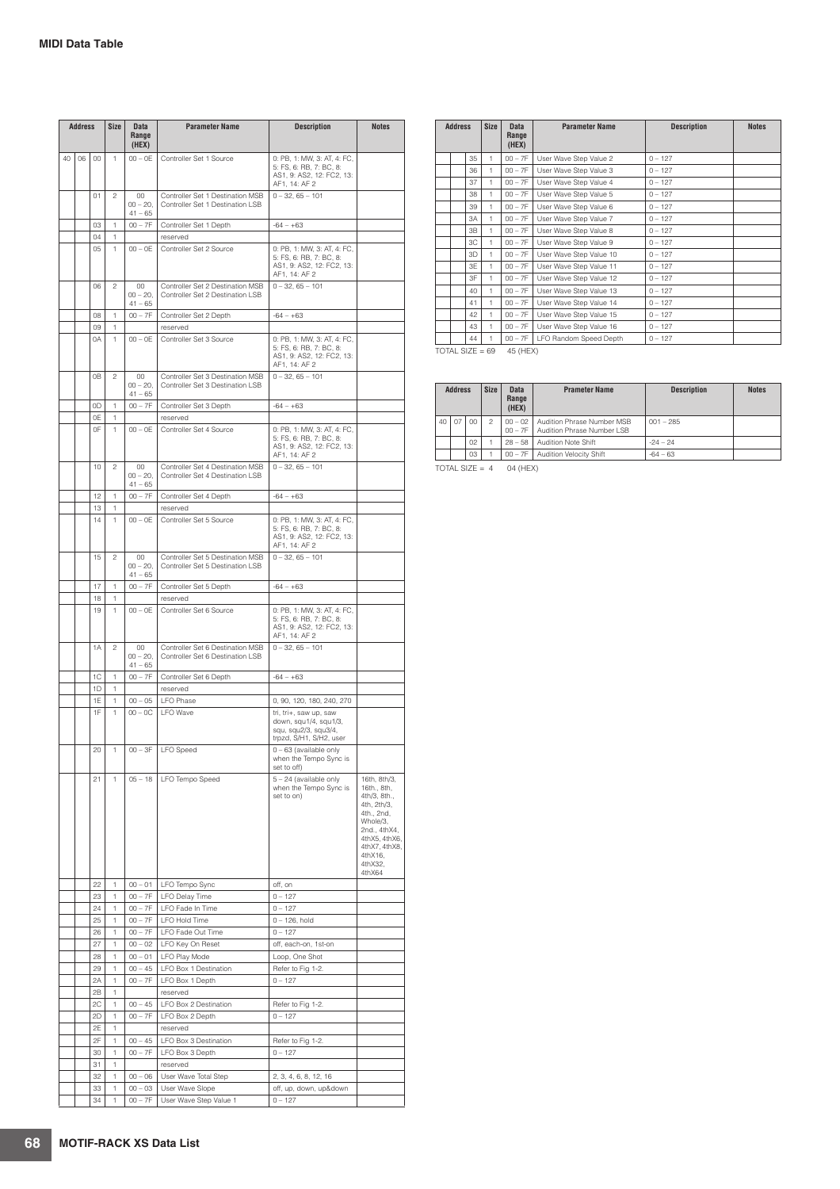|    | <b>Address</b>       |                           | <b>Size</b>       | <b>Data</b>                       | <b>Parameter Name</b>                                                         | <b>Description</b>                                                                                                                                                         | <b>Notes</b> |
|----|----------------------|---------------------------|-------------------|-----------------------------------|-------------------------------------------------------------------------------|----------------------------------------------------------------------------------------------------------------------------------------------------------------------------|--------------|
|    |                      |                           |                   | Range<br>(HEX)                    |                                                                               |                                                                                                                                                                            |              |
| 40 | 06                   | 00                        | 1                 | $00 - 0E$                         | Controller Set 1 Source                                                       | 0: PB, 1: MW, 3: AT, 4: FC,<br>5: FS, 6: RB, 7: BC, 8:<br>AS1, 9: AS2, 12: FC2, 13:<br>AF1, 14: AF 2                                                                       |              |
|    |                      | 01                        | $\overline{c}$    | 00<br>$00 - 20,$<br>$41 - 65$     | Controller Set 1 Destination MSB<br>Controller Set 1 Destination LSB          | $0 - 32, 65 - 101$                                                                                                                                                         |              |
|    |                      | 03                        | 1                 | $00 - 7F$                         | Controller Set 1 Depth                                                        | $-64 - +63$                                                                                                                                                                |              |
|    |                      | 04<br>05                  | 1<br>1            | $00 - 0E$                         | reserved<br>Controller Set 2 Source                                           | 0: PB, 1: MW, 3: AT, 4: FC,                                                                                                                                                |              |
|    |                      |                           |                   |                                   |                                                                               | 5: FS, 6: RB, 7: BC, 8:<br>AS1, 9: AS2, 12: FC2, 13:<br>AF1, 14: AF 2                                                                                                      |              |
|    |                      | 06                        | $\overline{c}$    | $00\,$<br>$00 - 20.$<br>$41 - 65$ | Controller Set 2 Destination MSB<br>Controller Set 2 Destination LSB          | $0 - 32, 65 - 101$                                                                                                                                                         |              |
|    |                      | 08<br>09                  | 1<br>1            | $00 - 7F$                         | Controller Set 2 Depth<br>reserved                                            | $-64 - +63$                                                                                                                                                                |              |
|    |                      | 0A                        | 1                 | $00 - 0E$                         | Controller Set 3 Source                                                       | 0: PB, 1: MW, 3: AT, 4: FC,<br>5: FS, 6: RB, 7: BC, 8:<br>AS1, 9: AS2, 12: FC2, 13:<br>AF1, 14: AF 2                                                                       |              |
|    |                      | 0B                        | $\mathfrak{p}$    | 00<br>$00 - 20$<br>$41 - 65$      | Controller Set 3 Destination MSB<br>Controller Set 3 Destination LSB          | $0 - 32, 65 - 101$                                                                                                                                                         |              |
|    |                      | 0D                        | 1                 | $00 - 7F$                         | Controller Set 3 Depth                                                        | $-64 - +63$                                                                                                                                                                |              |
|    |                      | 0E<br>1<br>0F<br>1        |                   | $00 - 0E$                         | reserved<br>Controller Set 4 Source                                           | 0: PB, 1: MW, 3: AT, 4: FC,                                                                                                                                                |              |
|    |                      | $\overline{c}$<br>10      |                   |                                   |                                                                               | 5: FS, 6: RB, 7: BC, 8:<br>AS1, 9: AS2, 12: FC2, 13:<br>AF1, 14: AF 2                                                                                                      |              |
|    |                      |                           |                   | 00<br>$00 - 20$<br>$41 - 65$      | Controller Set 4 Destination MSB<br>Controller Set 4 Destination LSB          | $0 - 32, 65 - 101$                                                                                                                                                         |              |
|    |                      | $00 - 7F$<br>12<br>1<br>1 |                   |                                   | Controller Set 4 Depth                                                        | $-64 - +63$                                                                                                                                                                |              |
|    |                      | 13<br>14                  | $\mathbf{1}$      | $00 - 0E$                         | reserved<br>Controller Set 5 Source                                           | 0: PB, 1: MW, 3: AT, 4: FC,                                                                                                                                                |              |
|    |                      |                           |                   |                                   |                                                                               | 5: FS, 6: RB, 7: BC, 8:<br>AS1, 9: AS2, 12: FC2, 13:<br>AF1, 14: AF 2                                                                                                      |              |
|    |                      | 15<br>$\overline{c}$      |                   | $00\,$<br>$00 - 20.$<br>$41 - 65$ | Controller Set 5 Destination MSB<br>Controller Set 5 Destination LSB          | $0 - 32, 65 - 101$                                                                                                                                                         |              |
|    |                      | 17                        | 1                 | $00 - 7F$                         | Controller Set 5 Depth                                                        | $-64 - +63$                                                                                                                                                                |              |
|    |                      | 18<br>19                  | 1<br>1            | $00 - 0E$                         | reserved<br>Controller Set 6 Source                                           | 0: PB, 1: MW, 3: AT, 4: FC,<br>5: FS, 6: RB, 7: BC, 8:<br>AS1, 9: AS2, 12: FC2, 13:<br>AF1, 14: AF 2                                                                       |              |
|    |                      | 1A                        | $\mathfrak{p}$    | 00<br>$00 - 20,$<br>$41 - 65$     | Controller Set 6 Destination MSB<br>Controller Set 6 Destination LSB          | $0 - 32, 65 - 101$                                                                                                                                                         |              |
|    |                      | 1C                        | 1                 | $00 - 7F$                         | Controller Set 6 Depth                                                        | $-64 - +63$                                                                                                                                                                |              |
|    |                      | 1D<br>1E                  | 1<br>1            | $00 - 05$                         | reserved<br>LFO Phase                                                         | 0, 90, 120, 180, 240, 270                                                                                                                                                  |              |
|    |                      | 1F                        | 1                 | $00 - 0C$                         | <b>LFO</b> Wave                                                               | tri, tri+, saw up, saw<br>down, squ1/4, squ1/3,<br>squ, squ2/3, squ3/4,                                                                                                    |              |
|    |                      | 20                        | 1.                | $00 - 3F$                         | LFO Speed                                                                     | trpzd, S/H1, S/H2, user<br>0 - 63 (available only<br>when the Tempo Sync is                                                                                                |              |
|    | $05 - 18$<br>21<br>1 |                           |                   | LFO Tempo Speed                   | set to off)<br>5 - 24 (available only<br>when the Tempo Sync is<br>set to on) | 16th, 8th/3.<br>16th., 8th,<br>4th/3, 8th.,<br>4th, 2th/3,<br>4th., 2nd,<br>Whole/3,<br>2nd., 4thX4,<br>4th X5, 4th X6.<br>4thX7, 4thX8,<br>4th X16,<br>4th X32,<br>4thX64 |              |
|    |                      | 22<br>23                  | 1<br>$\mathbf{1}$ | $00 - 01$<br>$00 - 7F$            | LFO Tempo Sync<br>LFO Delay Time                                              | off, on<br>$0 - 127$                                                                                                                                                       |              |
|    |                      | 24                        | 1                 | $00 - 7F$                         | LFO Fade In Time                                                              | $0 - 127$                                                                                                                                                                  |              |
|    |                      | 25                        | 1                 | $00 - 7F$                         | LFO Hold Time                                                                 | $0 - 126$ , hold                                                                                                                                                           |              |
|    |                      | 26                        | 1                 | $00 - 7F$                         | LFO Fade Out Time                                                             | $0 - 127$                                                                                                                                                                  |              |
|    |                      | 27<br>28                  | 1<br>1            | $00 - 02$<br>$00 - 01$            | LFO Key On Reset<br>LFO Play Mode                                             | off, each-on, 1st-on<br>Loop, One Shot                                                                                                                                     |              |
|    |                      | 29                        | 1                 | $00 - 45$                         | LFO Box 1 Destination                                                         | Refer to Fig 1-2.                                                                                                                                                          |              |
|    |                      | 2A                        | 1                 | $00 - 7F$                         | LFO Box 1 Depth                                                               | $0 - 127$                                                                                                                                                                  |              |
|    |                      | 2B                        | 1                 |                                   | reserved                                                                      |                                                                                                                                                                            |              |
|    |                      | 2C<br>2D                  | 1<br>1            | $00 - 45$<br>$00 - 7F$            | LFO Box 2 Destination<br>LFO Box 2 Depth                                      | Refer to Fig 1-2.<br>$0 - 127$                                                                                                                                             |              |
|    |                      | 2E                        | 1                 |                                   | reserved                                                                      |                                                                                                                                                                            |              |
|    |                      | 2F                        | 1                 | $00 - 45$                         | LFO Box 3 Destination                                                         | Refer to Fig 1-2.                                                                                                                                                          |              |
|    |                      | 30<br>1                   |                   | $00 - 7F$                         | LFO Box 3 Depth                                                               | $0 - 127$                                                                                                                                                                  |              |
|    |                      | 31<br>32                  | 1<br>1            | $00 - 06$                         | reserved<br>User Wave Total Step                                              | 2, 3, 4, 6, 8, 12, 16                                                                                                                                                      |              |
|    |                      | 33                        | 1                 | $00 - 03$                         | User Wave Slope                                                               | off, up, down, up&down                                                                                                                                                     |              |
|    |                      | 34                        | 1                 | $00 - 7F$                         | User Wave Step Value 1                                                        | $0 - 127$                                                                                                                                                                  |              |

| <b>Address</b> |                      | <b>Size</b><br><b>Data</b><br><b>Parameter Name</b><br>Range<br>(HEX) |                        |                         | <b>Description</b> | <b>Notes</b> |
|----------------|----------------------|-----------------------------------------------------------------------|------------------------|-------------------------|--------------------|--------------|
|                | $00 - 7F$<br>35<br>1 |                                                                       |                        | User Wave Step Value 2  | $0 - 127$          |              |
|                | 1<br>36<br>$00 - 7F$ |                                                                       |                        | User Wave Step Value 3  | $0 - 127$          |              |
|                | 37                   | 1                                                                     | $00 - 7F$              | User Wave Step Value 4  | $0 - 127$          |              |
|                | 1<br>38              |                                                                       | $00 - 7F$              | User Wave Step Value 5  | $0 - 127$          |              |
| 1<br>39        |                      | $00 - 7F$                                                             | User Wave Step Value 6 | $0 - 127$               |                    |              |
| 3A             |                      | 1                                                                     | $00 - 7F$              | User Wave Step Value 7  | $0 - 127$          |              |
|                | 3 <sub>B</sub>       | 1                                                                     | $00 - 7F$              | User Wave Step Value 8  | $0 - 127$          |              |
|                | ЗC                   | 1                                                                     | $00 - 7F$              | User Wave Step Value 9  | $0 - 127$          |              |
|                | 3D                   | 1                                                                     | $00 - 7F$              | User Wave Step Value 10 | $0 - 127$          |              |
|                | 3E                   | 1                                                                     | $00 - 7F$              | User Wave Step Value 11 | $0 - 127$          |              |
|                | 3F                   | 1                                                                     | $00 - 7F$              | User Wave Step Value 12 | $0 - 127$          |              |
|                | 40                   | 1                                                                     | $00 - 7F$              | User Wave Step Value 13 | $0 - 127$          |              |
|                | 41                   | 1                                                                     | $00 - 7F$              | User Wave Step Value 14 | $0 - 127$          |              |
|                | 42                   | 1                                                                     | $00 - 7F$              | User Wave Step Value 15 | $0 - 127$          |              |
|                | 43                   | 1                                                                     | $00 - 7F$              | User Wave Step Value 16 | $0 - 127$          |              |
|                | 44                   | 1                                                                     | $00 - 7F$              | LFO Random Speed Depth  | $0 - 127$          |              |

TOTAL SIZE =  $69$  45 (HEX)

| <b>Address</b> |  |                | <b>Size</b>             | Data<br>Range<br>(HEX)                                                       | <b>Prameter Name</b>       | <b>Description</b> | <b>Notes</b> |
|----------------|--|----------------|-------------------------|------------------------------------------------------------------------------|----------------------------|--------------------|--------------|
| 40<br>00<br>07 |  | $\mathfrak{p}$ |                         | 00 - 02   Audition Phrase Number MSB<br>00 - 7F   Audition Phrase Number LSB | $001 - 285$                |                    |              |
|                |  | 02             |                         | $28 - 58$                                                                    | <b>Audition Note Shift</b> | $-24 - 24$         |              |
| 03             |  | $00 - 7F$      | Audition Velocity Shift | $-64 - 63$                                                                   |                            |                    |              |

 $TOTAL SIZE = 4$  04 (HEX)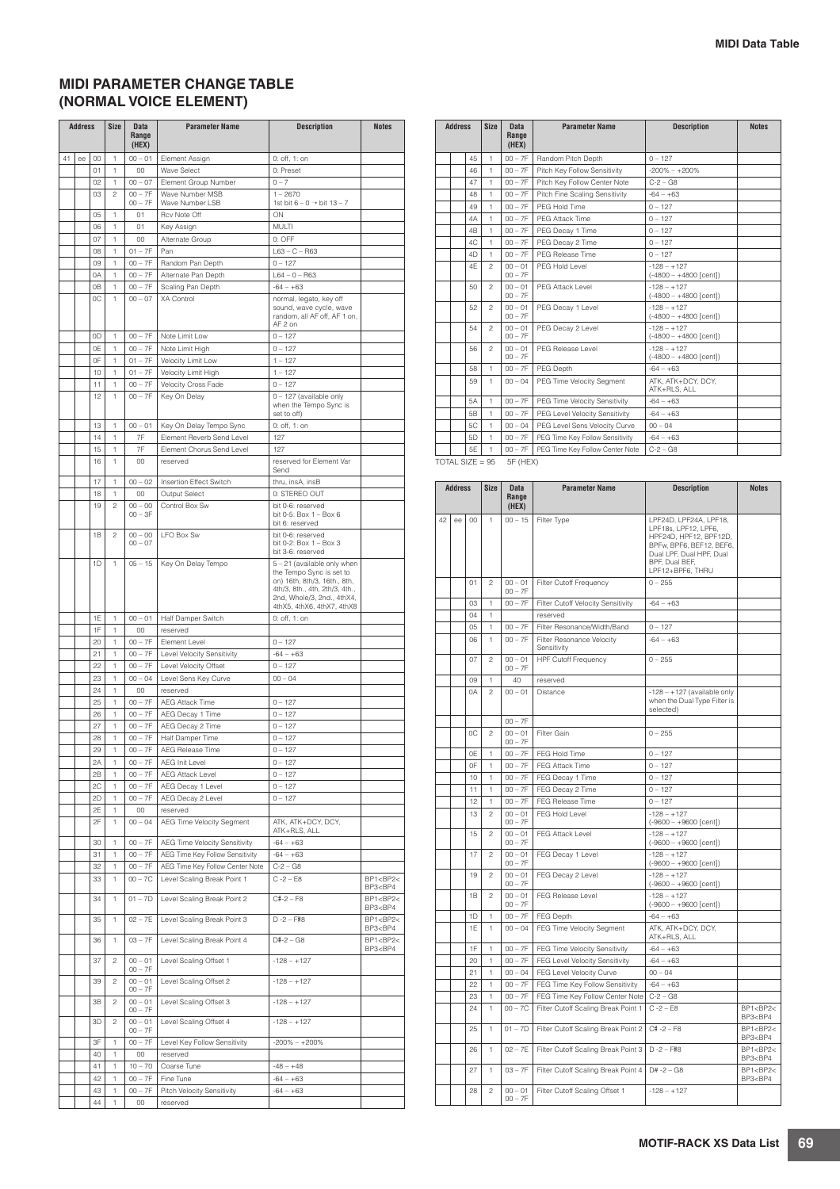### **MIDI PARAMETER CHANGE TABLE (NORMAL VOICE ELEMENT)**

|    | <b>Address</b> |                                        | <b>Size</b><br><b>Data</b><br>Range<br>(HEX) |                                     | <b>Parameter Name</b>                                      | <b>Description</b>                                                                                                         | <b>Notes</b>                                                      |
|----|----------------|----------------------------------------|----------------------------------------------|-------------------------------------|------------------------------------------------------------|----------------------------------------------------------------------------------------------------------------------------|-------------------------------------------------------------------|
| 41 | ee             | $^{00}$                                | 1                                            | $00 - 01$                           | Element Assign                                             | 0: off, 1: on                                                                                                              |                                                                   |
|    |                | 01                                     | 1                                            | 00                                  | <b>Wave Select</b>                                         | 0: Preset                                                                                                                  |                                                                   |
|    |                | 02                                     | 1                                            | $00 - 07$                           | Element Group Number                                       | $0 - 7$                                                                                                                    |                                                                   |
|    |                | 03                                     | $\mathfrak{D}$                               | $00 - 7F$                           | Wave Number MSB                                            | $1 - 2670$                                                                                                                 |                                                                   |
|    |                |                                        |                                              | $00 - 7F$                           | Wave Number LSB                                            | 1st bit $6 - 0 \rightarrow$ bit $13 - 7$                                                                                   |                                                                   |
|    |                | 05                                     | 1                                            | 01                                  | Rcv Note Off                                               | ON                                                                                                                         |                                                                   |
|    |                | 06                                     | 1                                            | 01                                  | Key Assign                                                 | MULTI                                                                                                                      |                                                                   |
|    |                | 07                                     | 1                                            | 00                                  | Alternate Group                                            | 0: OFF                                                                                                                     |                                                                   |
|    |                | 08                                     | 1                                            | $01 - 7F$                           | Pan                                                        | $L63 - C - R63$                                                                                                            |                                                                   |
|    |                | 09                                     | 1                                            | $00 - 7F$                           | Random Pan Depth                                           | $0 - 127$                                                                                                                  |                                                                   |
|    |                | 0A                                     | 1                                            | $00 - 7F$                           | Alternate Pan Depth                                        | $L64 - 0 - R63$                                                                                                            |                                                                   |
|    |                | 0B                                     | 1                                            | $00 - 7F$                           | Scaling Pan Depth                                          | $-64 - +63$                                                                                                                |                                                                   |
|    |                | ОC                                     | 1                                            | $00 - 07$                           | XA Control                                                 | normal, legato, key off                                                                                                    |                                                                   |
|    |                |                                        |                                              |                                     |                                                            | sound, wave cycle, wave<br>random, all AF off, AF 1 on,<br>AF 2 on                                                         |                                                                   |
|    |                | 0D                                     | 1                                            | $00 - 7F$                           | Note Limit Low                                             | $0 - 127$                                                                                                                  |                                                                   |
|    |                | 0E                                     | 1                                            | $00 - 7F$                           | Note Limit High                                            | $0 - 127$                                                                                                                  |                                                                   |
|    |                | 0F                                     | 1                                            | $01 - 7F$                           | Velocity Limit Low                                         | $1 - 127$                                                                                                                  |                                                                   |
|    |                | 10                                     | 1                                            | $01 - 7F$                           | Velocity Limit High                                        | $1 - 127$                                                                                                                  |                                                                   |
|    |                | 11                                     | 1                                            | $00 - 7F$                           | Velocity Cross Fade                                        | $0 - 127$                                                                                                                  |                                                                   |
|    |                | 12                                     | 1                                            | $00 - 7F$                           | Key On Delay                                               | 0 - 127 (available only<br>when the Tempo Sync is<br>set to off)                                                           |                                                                   |
|    |                | 13                                     | 1                                            | $00 - 01$                           | Key On Delay Tempo Sync                                    | 0: off, 1: on                                                                                                              |                                                                   |
|    |                | 14<br>1<br>7F                          |                                              |                                     | Element Reverb Send Level                                  | 127                                                                                                                        |                                                                   |
|    |                | 15<br>1<br>7F                          |                                              |                                     | Element Chorus Send Level                                  | 127                                                                                                                        |                                                                   |
|    |                | 16                                     | 1                                            | $^{00}$                             | reserved                                                   | reserved for Element Var                                                                                                   |                                                                   |
|    |                |                                        |                                              |                                     |                                                            | Send                                                                                                                       |                                                                   |
|    |                | 17                                     | 1                                            | $00 - 02$                           | Insertion Effect Switch                                    | thru, insA, insB                                                                                                           |                                                                   |
|    |                | 18                                     | 1                                            | 00                                  | Output Select                                              | 0: STEREO OUT                                                                                                              |                                                                   |
|    |                | 19                                     | $\overline{c}$                               | $00 - 00$<br>$00 - 3F$              | Control Box Sw                                             | bit 0-6: reserved<br>bit 0-5: Box 1 - Box 6<br>bit 6: reserved                                                             |                                                                   |
|    |                | 1B                                     | $\overline{c}$                               | $00 - 00$<br>$00 - 07$              | LFO Box Sw                                                 | bit 0-6: reserved<br>bit 0-2: Box 1 - Box 3<br>bit 3-6: reserved                                                           |                                                                   |
|    |                | 1D                                     | 1                                            | $05 - 15$                           | Key On Delay Tempo                                         | 5-21 (available only when<br>the Tempo Sync is set to                                                                      |                                                                   |
|    |                |                                        |                                              |                                     |                                                            | on) 16th, 8th/3, 16th., 8th,<br>4th/3, 8th., 4th, 2th/3, 4th.,<br>2nd, Whole/3, 2nd., 4thX4,<br>4thX5, 4thX6, 4thX7, 4thX8 |                                                                   |
|    |                | 1E                                     | 1                                            | $00 - 01$                           | Half Damper Switch                                         | 0: off, 1: on                                                                                                              |                                                                   |
|    |                | 1F                                     | 1                                            | 00                                  | reserved                                                   |                                                                                                                            |                                                                   |
|    |                | 20                                     | 1                                            | $00 - 7F$                           | Element Level                                              | $0 - 127$                                                                                                                  |                                                                   |
|    |                | 21                                     | 1                                            | $00 - 7F$                           | Level Velocity Sensitivity                                 | $-64 - +63$                                                                                                                |                                                                   |
|    |                | 22                                     | 1                                            | $00 - 7F$                           | Level Velocity Offset                                      | $0 - 127$                                                                                                                  |                                                                   |
|    |                | 23                                     | 1                                            | $00 - 04$                           | Level Sens Key Curve                                       | $00 - 04$                                                                                                                  |                                                                   |
|    |                | 24                                     | 1                                            | $00\,$                              | reserved                                                   |                                                                                                                            |                                                                   |
|    |                | 25                                     | 1                                            | $00 - 7F$                           | <b>AEG Attack Time</b>                                     | $0 - 127$                                                                                                                  |                                                                   |
|    |                | 26                                     | 1                                            | $00 - 7F$                           | AEG Decay 1 Time                                           | $0 - 127$                                                                                                                  |                                                                   |
|    |                | 27                                     | 1                                            | $00 - 7F$                           | AEG Decay 2 Time                                           | $0 - 127$                                                                                                                  |                                                                   |
|    |                | 28                                     | 1                                            | $00 - 7F$                           | Half Damper Time                                           | $0 - 127$                                                                                                                  |                                                                   |
|    |                | 29                                     | 1                                            | $00 - 7F$                           | <b>AEG Release Time</b>                                    | $0 - 127$                                                                                                                  |                                                                   |
|    |                | 2A                                     | 1                                            | $00 - 7F$                           | <b>AEG Init Level</b>                                      | $0 - 127$                                                                                                                  |                                                                   |
|    |                | 2B                                     | 1                                            | $00 - 7F$                           | <b>AEG Attack Level</b>                                    | $0 - 127$                                                                                                                  |                                                                   |
|    |                | 2С                                     | 1                                            | $00 - 7F$                           | AEG Decay 1 Level                                          | $0 - 127$                                                                                                                  |                                                                   |
|    |                | 2D                                     | 1                                            | $00 - 7F$                           | AEG Decay 2 Level                                          | $0 - 127$                                                                                                                  |                                                                   |
|    |                | 2E                                     | 1                                            | $00\,$                              | reserved                                                   |                                                                                                                            |                                                                   |
|    |                | 2F                                     | 1                                            | $00 - 04$                           | AEG Time Velocity Segment                                  | ATK, ATK+DCY, DCY,<br>ATK+RLS, ALL                                                                                         |                                                                   |
|    |                | 30                                     | 1                                            | $00 - 7F$                           | AEG Time Velocity Sensitivity                              | $-64 - +63$                                                                                                                |                                                                   |
|    |                | 31                                     | 1                                            | $00 - 7F$                           | AEG Time Key Follow Sensitivity                            | $-64 - +63$                                                                                                                |                                                                   |
|    |                | 32                                     | 1                                            | $00 - 7F$                           | AEG Time Key Follow Center Note                            | $C-2 - G8$                                                                                                                 |                                                                   |
|    |                | 33                                     | 1                                            | $00 - 7C$                           | Level Scaling Break Point 1                                | $C - 2 - E8$                                                                                                               | BP1 <bp2<<br>BP3<bp4< td=""></bp4<></bp2<<br>                     |
|    |                | 34<br>35                               | 1<br>1                                       | $01 - 7D$<br>$02 - 7E$              | Level Scaling Break Point 2<br>Level Scaling Break Point 3 | $C# - 2 - F8$<br>$D - 2 - F#8$                                                                                             | BP1 <bp2<<br>BP3<bp4<br>BP1 &lt; BP2 &lt;</bp4<br></bp2<<br>      |
|    |                | 36                                     | 1                                            | $03 - 7F$                           | Level Scaling Break Point 4                                | $D# - 2 - G8$                                                                                                              | BP3 <bp4<br>BP1<bp2<<br>BP3<bp4< td=""></bp4<></bp2<<br></bp4<br> |
|    |                | 37                                     | $\overline{c}$                               | $00 - 01$<br>$00 - 7F$              | Level Scaling Offset 1                                     | $-128 - +127$                                                                                                              |                                                                   |
|    |                | 39                                     | $\overline{c}$                               | $00 - 01$<br>$00 - 7F$              | Level Scaling Offset 2                                     | $-128 - +127$                                                                                                              |                                                                   |
|    |                | 3B<br>$\overline{c}$<br>$\mathfrak{p}$ |                                              | $00 - 01$<br>$00 - 7F$<br>$00 - 01$ | Level Scaling Offset 3<br>Level Scaling Offset 4           | $-128 - +127$<br>$-128 - +127$                                                                                             |                                                                   |
|    |                | 3D                                     |                                              | $00 - 7F$                           |                                                            |                                                                                                                            |                                                                   |
|    |                | 3F                                     | 1                                            | $00 - 7F$                           | Level Key Follow Sensitivity                               | $-200\% - +200\%$                                                                                                          |                                                                   |
|    |                | 40                                     | 1                                            | $^{00}$                             | reserved                                                   |                                                                                                                            |                                                                   |
|    |                | 41                                     | 1                                            | $10 - 70$                           | Coarse Tune                                                | $-48 - +48$                                                                                                                |                                                                   |
|    |                | 42                                     | 1                                            | $00 - 7F$                           | Fine Tune                                                  | $-64 - +63$                                                                                                                |                                                                   |
|    |                | 43                                     | 1                                            | $00 - 7F$                           | Pitch Velocity Sensitivity                                 | $-64 - +63$                                                                                                                |                                                                   |
|    |                | 44                                     | 1                                            | $00\,$                              | reserved                                                   |                                                                                                                            |                                                                   |

| <b>Address</b>                                 | <b>Size</b>    | <b>Data</b><br>Range<br>(HEX) | <b>Parameter Name</b>           | <b>Description</b>                        | <b>Notes</b> |
|------------------------------------------------|----------------|-------------------------------|---------------------------------|-------------------------------------------|--------------|
| 45                                             | 1              | $00 - 7F$                     | Random Pitch Depth              | $0 - 127$                                 |              |
| 46                                             | $\mathbf{1}$   | $00 - 7F$                     | Pitch Key Follow Sensitivity    | $-200\% - +200\%$                         |              |
| 47                                             | 1              | $00 - 7F$                     | Pitch Kev Follow Center Note    | $C - 2 - G8$                              |              |
| 48                                             | 1              | $00 - 7F$                     | Pitch Fine Scaling Sensitivity  | $-64 - +63$                               |              |
| 49                                             | 1              | $00 - 7F$                     | PFG Hold Time                   | $0 - 127$                                 |              |
| 4A                                             | 1              | $00 - 7F$                     | PFG Attack Time                 | $0 - 127$                                 |              |
| 4 <sub>B</sub>                                 | 1              | $00 - 7F$                     | PEG Decay 1 Time                | $0 - 127$                                 |              |
| 4C                                             | 1              | $00 - 7F$                     | PEG Decay 2 Time                | $0 - 127$                                 |              |
| $\mathbf{1}$<br>4D                             |                | $00 - 7F$                     | PFG Release Time                | $0 - 127$                                 |              |
| 4F                                             | $\mathfrak{p}$ | $00 - 01$<br>$00 - 7F$        | PEG Hold Level                  | $-128 - +127$<br>$(-4800 - +4800$ [cent]) |              |
| $00 - 01$<br>50<br>$\mathfrak{p}$<br>$00 - 7F$ |                |                               | PEG Attack Level                | $-128 - +127$<br>$(-4800 - +4800$ [cent]) |              |
| 52                                             | $\mathfrak{p}$ | $00 - 01$<br>$00 - 7F$        | PEG Decay 1 Level               | $-128 - +127$<br>$(-4800 - +4800$ [cent]) |              |
| 54                                             | $\overline{c}$ | $00 - 01$<br>$00 - 7F$        | PEG Decay 2 Level               | $-128 - +127$<br>$(-4800 - +4800$ [cent]) |              |
| 56                                             | $\mathfrak{p}$ | $00 - 01$<br>$00 - 7F$        | PEG Release Level               | $-128 - +127$<br>$(-4800 - +4800$ [cent]) |              |
| 58                                             | 1              | $00 - 7F$                     | PEG Depth                       | $-64 - +63$                               |              |
| 59                                             | $\mathbf{1}$   | $00 - 04$                     | PEG Time Velocity Segment       | ATK. ATK+DCY. DCY.<br>ATK+RLS, ALL        |              |
| 5A                                             | 1              | $00 - 7F$                     | PEG Time Velocity Sensitivity   | $-64 - +63$                               |              |
| 5B                                             | 1              | $00 - 7F$                     | PEG Level Velocity Sensitivity  | $-64 - +63$                               |              |
| 5C                                             | 1              | $00 - 04$                     | PEG Level Sens Velocity Curve   | $00 - 04$                                 |              |
| 5D                                             | 1              | $00 - 7F$                     | PEG Time Key Follow Sensitivity | $-64 - +63$                               |              |
| 5E                                             | 1              | $00 - 7F$                     | PEG Time Key Follow Center Note | $C-2 - G8$                                |              |
| $TOTAL$ SIZE = 95                              |                | 5F (HEX)                      |                                 |                                           |              |

|    | <b>Address</b> |                      | <b>Size</b>    | <b>Data</b><br>Range   | <b>Parameter Name</b>                     | <b>Description</b>                                                                                                                                                     | <b>Notes</b>                                  |
|----|----------------|----------------------|----------------|------------------------|-------------------------------------------|------------------------------------------------------------------------------------------------------------------------------------------------------------------------|-----------------------------------------------|
|    |                |                      |                | (HEX)                  |                                           |                                                                                                                                                                        |                                               |
| 42 | ee             | 00                   | 1              | $00 - 15$              | Filter Type                               | LPF24D, LPF24A, LPF18,<br>LPF18s, LPF12, LPF6,<br>HPF24D, HPF12, BPF12D,<br>BPFw, BPF6, BEF12, BEF6,<br>Dual LPF, Dual HPF, Dual<br>BPF, Dual BEF,<br>LPF12+BPF6, THRU |                                               |
|    |                | 01                   | $\mathfrak{p}$ | $00 - 01$<br>$00 - 7F$ | Filter Cutoff Frequency                   | $0 - 255$                                                                                                                                                              |                                               |
|    |                | 03                   | 1              | $00 - 7F$              | <b>Filter Cutoff Velocity Sensitivity</b> | $-64 - +63$                                                                                                                                                            |                                               |
|    |                | 04                   | $\mathbf{1}$   |                        | reserved                                  |                                                                                                                                                                        |                                               |
|    |                | 05                   | 1              | $00 - 7F$              | Filter Resonance/Width/Band               | $0 - 127$                                                                                                                                                              |                                               |
|    |                | 06                   | 1              | $00 - 7F$              | Filter Resonance Velocity<br>Sensitivity  | $-64 - +63$                                                                                                                                                            |                                               |
|    |                | 07                   | $\mathfrak{D}$ | $00 - 01$<br>$00 - 7F$ | <b>HPF Cutoff Frequency</b>               | $0 - 255$                                                                                                                                                              |                                               |
|    |                | 09                   | 1              | 40                     | reserved                                  |                                                                                                                                                                        |                                               |
|    |                | 0A                   | 2              | $00 - 01$              | Distance                                  | $-128 - +127$ (available only<br>when the Dual Type Filter is<br>selected)                                                                                             |                                               |
|    |                |                      |                | $00 - 7F$              |                                           |                                                                                                                                                                        |                                               |
|    |                | 0C                   | $\overline{c}$ | $00 - 01$<br>$00 - 7F$ | Filter Gain                               | $0 - 255$                                                                                                                                                              |                                               |
|    |                | 0E                   | 1              | $00 - 7F$              | FEG Hold Time                             | $0 - 127$                                                                                                                                                              |                                               |
|    |                | 0F                   | 1              | $00 - 7F$              | FEG Attack Time                           | $0 - 127$                                                                                                                                                              |                                               |
|    |                | 10                   | 1              | $00 - 7F$              | FEG Decay 1 Time                          | $0 - 127$                                                                                                                                                              |                                               |
|    |                | 11                   | 1              | $00 - 7F$              | FEG Decay 2 Time                          | $0 - 127$                                                                                                                                                              |                                               |
|    |                | 12                   | 1              | $00 - 7F$              | FEG Release Time                          | $0 - 127$                                                                                                                                                              |                                               |
|    |                | 13                   | $\overline{c}$ | $00 - 01$<br>$00 - 7F$ | FEG Hold Level                            | $-128 - +127$<br>$(-9600 - +9600$ [cent])                                                                                                                              |                                               |
|    |                | 15                   | $\overline{c}$ | $00 - 01$<br>$00 - 7F$ | FEG Attack Level                          | $-128 - +127$<br>$(-9600 - +9600$ [cent])                                                                                                                              |                                               |
|    |                | 17                   | $\mathfrak{D}$ | $00 - 01$<br>$00 - 7F$ | FEG Decay 1 Level                         | $-128 - +127$<br>$(-9600 - +9600$ [cent])                                                                                                                              |                                               |
|    |                | 19                   | $\mathfrak{D}$ | $00 - 01$<br>$00 - 7F$ | FEG Decay 2 Level                         | $-128 - +127$<br>$(-9600 - +9600$ [cent])                                                                                                                              |                                               |
|    |                | 1B                   | $\overline{c}$ | $00 - 01$<br>$00 - 7F$ | FEG Release Level                         | $-128 - +127$<br>$(-9600 - +9600$ [cent])                                                                                                                              |                                               |
|    |                | 1D                   | 1              | $00 - 7F$              | FEG Depth                                 | $-64 - +63$                                                                                                                                                            |                                               |
|    |                | 1E                   | 1              | $00 - 04$              | FEG Time Velocity Segment                 | ATK, ATK+DCY, DCY,<br>ATK+RLS, ALL                                                                                                                                     |                                               |
|    |                | 1F                   | 1              | $00 - 7F$              | FEG Time Velocity Sensitivity             | $-64 - +63$                                                                                                                                                            |                                               |
|    |                | 20                   | 1              | $00 - 7F$              | FEG Level Velocity Sensitivity            | $-64 - +63$                                                                                                                                                            |                                               |
|    |                | 21                   | 1              | $00 - 04$              | FEG Level Velocity Curve                  | $00 - 04$                                                                                                                                                              |                                               |
|    |                | 22                   | 1              | $00 - 7F$              | FEG Time Key Follow Sensitivity           | $-64 - +63$                                                                                                                                                            |                                               |
|    |                | 23                   | 1              | $00 - 7F$              | FEG Time Key Follow Center Note           | $C - 2 - G8$                                                                                                                                                           |                                               |
|    |                | 24                   | 1              | $00 - 7C$              | Filter Cutoff Scaling Break Point 1       | $C - 2 - E8$                                                                                                                                                           | BP1 <bp2<<br>BP3<bp4< td=""></bp4<></bp2<<br> |
|    |                | 25                   | 1              | $01 - 7D$              | Filter Cutoff Scaling Break Point 2       | $C# -2 - F8$                                                                                                                                                           | BP1 <bp2<<br>BP3<bp4< td=""></bp4<></bp2<<br> |
|    |                | 26                   | $02 - 7E$<br>1 |                        | Filter Cutoff Scaling Break Point 3       | $D - 2 - F#8$                                                                                                                                                          | BP1 <bp2<<br>BP3<bp4< td=""></bp4<></bp2<<br> |
|    |                | $03 - 7F$<br>27<br>1 |                |                        | Filter Cutoff Scaling Break Point 4       | $D# -2 - G8$                                                                                                                                                           | BP1 <bp2<<br>BP3<bp4< td=""></bp4<></bp2<<br> |
|    |                | 28                   | $\overline{c}$ | $00 - 01$<br>$00 - 7F$ | Filter Cutoff Scaling Offset 1            | $-128 - +127$                                                                                                                                                          |                                               |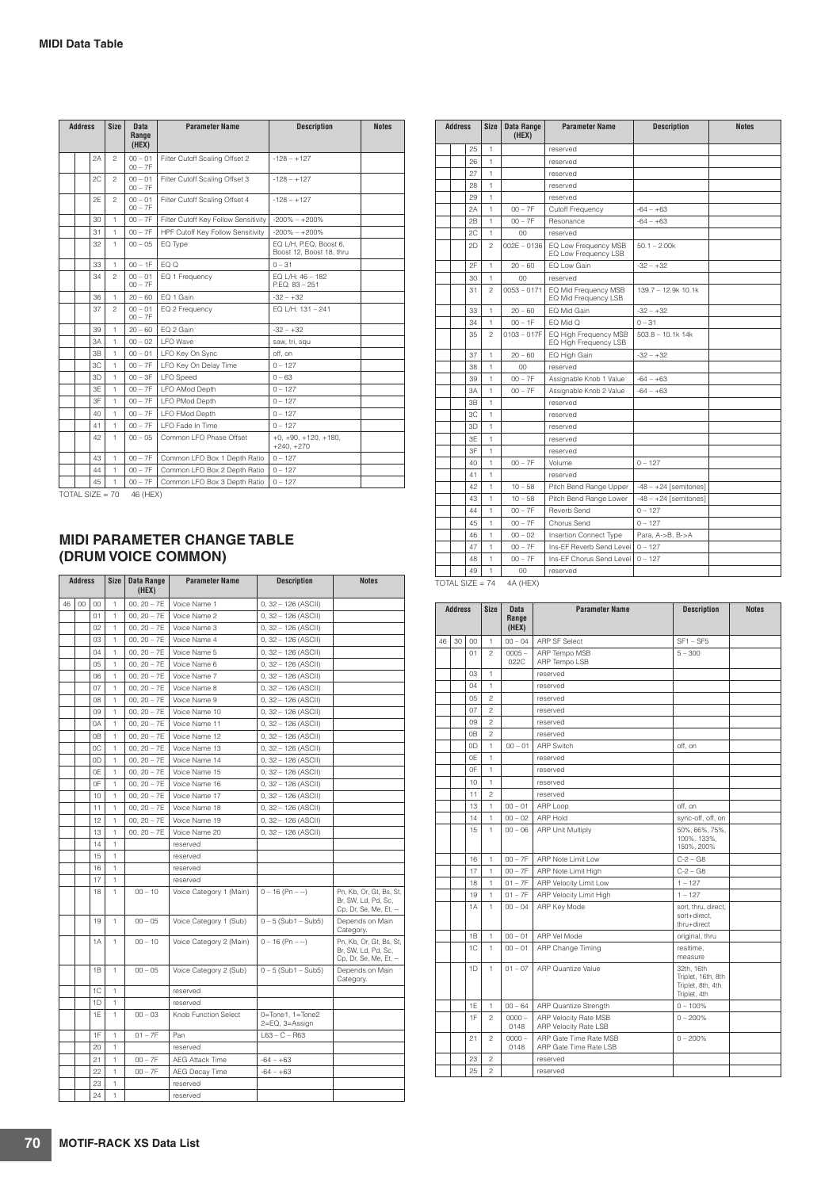| $00 - 01$<br>$-128 - +127$<br>2A<br>$\overline{c}$<br>Filter Cutoff Scaling Offset 2<br>$00 - 7F$        |  |
|----------------------------------------------------------------------------------------------------------|--|
|                                                                                                          |  |
| $00 - 01$<br>2C<br>$\overline{c}$<br>Filter Cutoff Scaling Offset 3<br>$-128 - +127$<br>$00 - 7F$        |  |
| 2F<br>$00 - 01$<br>Filter Cutoff Scaling Offset 4<br>2<br>$-128 - +127$<br>$00 - 7F$                     |  |
| $00 - 7F$<br>1<br>Filter Cutoff Key Follow Sensitivity<br>$-200\% - +200\%$<br>30                        |  |
| $00 - 7F$<br>$\mathbf{1}$<br>31<br>HPF Cutoff Key Follow Sensitivity<br>$-200\% - +200\%$                |  |
| 32<br>1<br>$00 - 05$<br>EQ Type<br>EQ L/H. P.EQ. Boost 6.<br>Boost 12, Boost 18, thru                    |  |
| $00 - 1F$<br>EQ Q<br>$0 - 31$<br>33<br>1                                                                 |  |
| $00 - 01$<br>EQ L/H: 46 - 182<br>34<br>$\mathfrak{p}$<br>EQ 1 Frequency<br>$00 - 7F$<br>$P.EQ: 83 - 251$ |  |
| $-32 - +32$<br>1<br>$20 - 60$<br>FO 1 Gain<br>36                                                         |  |
| $00 - 01$<br>37<br>EQ 2 Frequency<br>EQ L/H: 131 - 241<br>2<br>$00 - 7F$                                 |  |
| $20 - 60$<br>FO 2 Gain<br>$-32 - +32$<br>39<br>1                                                         |  |
| $00 - 02$<br>I FO Wave<br>3A<br>1<br>saw, tri, squ                                                       |  |
| $00 - 01$<br>1<br>LFO Key On Sync<br>off. on<br>3B                                                       |  |
| 3C<br>1<br>$00 - 7F$<br>LFO Key On Delay Time<br>$0 - 127$                                               |  |
| $00 - 3F$<br>3D<br>1<br><b>LFO</b> Speed<br>$0 - 63$                                                     |  |
| 3F<br>$00 - 7F$<br>LFO AMod Depth<br>$0 - 127$<br>1                                                      |  |
| 3F<br>$00 - 7F$<br>1<br>LFO PMod Depth<br>$0 - 127$                                                      |  |
| $\mathbf{1}$<br>$00 - 7F$<br>$0 - 127$<br>LFO FMod Depth<br>40                                           |  |
| $00 - 7F$<br>1<br>I FO Fade In Time<br>$0 - 127$<br>41                                                   |  |
| 1<br>$00 - 05$<br>42<br>Common I FO Phase Offset<br>$+0, +90, +120, +180,$<br>$+240, +270$               |  |
| $00 - 7F$<br>43<br>1<br>Common LFO Box 1 Depth Ratio<br>$0 - 127$                                        |  |
| $00 - 7F$<br>1<br>Common LFO Box 2 Depth Ratio<br>$0 - 127$<br>44                                        |  |
| 1<br>$00 - 7F$<br>Common LFO Box 3 Depth Ratio<br>$0 - 127$<br>45                                        |  |

 $TOTAL SIZE = 70$  46 (HEX)

### **MIDI PARAMETER CHANGE TABLE (DRUM VOICE COMMON)**

|    | <b>Address</b> | <b>Size</b><br><b>Data Range</b><br>(HEX) |              |               | <b>Parameter Name</b>   | <b>Description</b>                     | <b>Notes</b>                                                             |
|----|----------------|-------------------------------------------|--------------|---------------|-------------------------|----------------------------------------|--------------------------------------------------------------------------|
| 46 | $00\,$         | 00                                        | 1            | $00, 20 - 7E$ | Voice Name 1            | $0, 32 - 126$ (ASCII)                  |                                                                          |
|    |                | 01                                        | 1            | $00, 20 - 7E$ | Voice Name 2            | $0, 32 - 126$ (ASCII)                  |                                                                          |
|    |                | 02                                        | 1            | $00.20 - 7E$  | Voice Name 3            | $0, 32 - 126$ (ASCII)                  |                                                                          |
|    |                | 03                                        | 1            | $00, 20 - 7E$ | Voice Name 4            | $0, 32 - 126$ (ASCII)                  |                                                                          |
|    |                | 04                                        | $\mathbf{1}$ | $00, 20 - 7E$ | Voice Name 5            | $0, 32 - 126$ (ASCII)                  |                                                                          |
|    |                | 05                                        | 1            | $00.20 - 7E$  | Voice Name 6            | $0, 32 - 126$ (ASCII)                  |                                                                          |
|    |                | 06                                        | 1            | $00, 20 - 7E$ | Voice Name 7            | $0, 32 - 126$ (ASCII)                  |                                                                          |
|    |                | 07                                        | $\mathbf{1}$ | $00, 20 - 7E$ | Voice Name 8            | $0, 32 - 126$ (ASCII)                  |                                                                          |
|    |                | 08                                        | 1            | $00.20 - 7E$  | Voice Name 9            | $0, 32 - 126$ (ASCII)                  |                                                                          |
|    |                | 09                                        | 1            | $00, 20 - 7E$ | Voice Name 10           | $0, 32 - 126$ (ASCII)                  |                                                                          |
|    |                | 0A                                        | 1            | $00, 20 - 7E$ | Voice Name 11           | $0, 32 - 126$ (ASCII)                  |                                                                          |
|    |                | 0 <sub>B</sub>                            | $\mathbf{1}$ | $00, 20 - 7E$ | Voice Name 12           | $0, 32 - 126$ (ASCII)                  |                                                                          |
|    |                | 0C                                        | 1            | $00, 20 - 7E$ | Voice Name 13           | $0, 32 - 126$ (ASCII)                  |                                                                          |
|    |                | 0D                                        | 1            | $00, 20 - 7E$ | Voice Name 14           | $0, 32 - 126$ (ASCII)                  |                                                                          |
|    |                | 0E                                        | 1            | $00, 20 - 7E$ | Voice Name 15           | $0, 32 - 126$ (ASCII)                  |                                                                          |
|    |                | 0F                                        | 1            | $00, 20 - 7E$ | Voice Name 16           | $0, 32 - 126$ (ASCII)                  |                                                                          |
|    |                | 10                                        | 1            | $00, 20 - 7E$ | Voice Name 17           | $0, 32 - 126$ (ASCII)                  |                                                                          |
|    |                | 11                                        | 1            | $00, 20 - 7E$ | Voice Name 18           | $0, 32 - 126$ (ASCII)                  |                                                                          |
|    |                | 12                                        | 1            | $00, 20 - 7E$ | Voice Name 19           | 0, 32 - 126 (ASCII)                    |                                                                          |
|    |                | 13                                        | 1            | $00, 20 - 7E$ | Voice Name 20           | 0, 32 - 126 (ASCII)                    |                                                                          |
|    |                | 14                                        | 1            |               | reserved                |                                        |                                                                          |
|    |                | 15                                        | $\mathbf{1}$ |               | reserved                |                                        |                                                                          |
|    |                | 16                                        | 1            |               | reserved                |                                        |                                                                          |
|    |                | 17                                        | 1            |               | reserved                |                                        |                                                                          |
|    |                | 18                                        | 1            | $00 - 10$     | Voice Category 1 (Main) | $0 - 16 (Pn - -1)$                     | Pn, Kb, Or, Gt, Bs, St,<br>Br, SW, Ld, Pd, Sc,<br>Cp. Dr. Se. Me. Et. -- |
|    |                | 19                                        | $\mathbf{1}$ | $00 - 05$     | Voice Category 1 (Sub)  | $0 - 5$ (Sub1 $-$ Sub5)                | Depends on Main<br>Category.                                             |
|    |                | 1A                                        | 1            | $00 - 10$     | Voice Category 2 (Main) | $0 - 16 (Pn - -)$                      | Pn, Kb, Or, Gt, Bs, St,<br>Br, SW, Ld, Pd, Sc,<br>Cp, Dr, Se, Me, Et, -- |
|    |                | 1B                                        | 1            | $00 - 05$     | Voice Category 2 (Sub)  | $0 - 5$ (Sub1 $-$ Sub5)                | Depends on Main<br>Category.                                             |
|    |                | 1C                                        | 1            |               | reserved                |                                        |                                                                          |
|    |                | 1D                                        | 1            |               | reserved                |                                        |                                                                          |
|    |                | 1F                                        | 1            | $00 - 03$     | Knob Function Select    | $0 =$ Tone1, 1=Tone2<br>2=EQ, 3=Assign |                                                                          |
|    |                | 1F                                        | 1            | $01 - 7F$     | Pan                     | $L63 - C - R63$                        |                                                                          |
|    |                | 20                                        | 1            |               | reserved                |                                        |                                                                          |
|    |                | 21                                        | 1            | $00 - 7F$     | <b>AEG Attack Time</b>  | $-64 - +63$                            |                                                                          |
|    |                | 22                                        | 1            | $00 - 7F$     | AEG Decay Time          | $-64 - +63$                            |                                                                          |
|    |                | 23                                        | $\mathbf{1}$ |               | reserved                |                                        |                                                                          |
|    |                | 24                                        | $\mathbf{1}$ |               | reserved                |                                        |                                                                          |

|    | <b>Size</b>    |                | <b>Address</b><br><b>Data Range</b><br>(HEX) |                                                |                         | <b>Parameter Name</b> | <b>Description</b> | <b>Notes</b> |
|----|----------------|----------------|----------------------------------------------|------------------------------------------------|-------------------------|-----------------------|--------------------|--------------|
|    | 25             | 1              |                                              | reserved                                       |                         |                       |                    |              |
|    | 26             | 1              |                                              | reserved                                       |                         |                       |                    |              |
|    | 27             | 1              |                                              | reserved                                       |                         |                       |                    |              |
|    | 28             | 1              |                                              | reserved                                       |                         |                       |                    |              |
|    | 29             | 1              |                                              | reserved                                       |                         |                       |                    |              |
|    | 2A             | 1              | $00 - 7F$                                    | Cutoff Frequency                               | $-64 - +63$             |                       |                    |              |
|    | 2B             | 1              | $00 - 7F$                                    | Resonance                                      | $-64 - +63$             |                       |                    |              |
|    | 2C             | 1              | $00 -$                                       | reserved                                       |                         |                       |                    |              |
|    | 2D             | $\mathfrak{p}$ | $002F - 0136$                                | EQ Low Frequency MSB<br>EQ Low Frequency LSB   | $50.1 - 2.00k$          |                       |                    |              |
|    | 2F             | 1              | $20 - 60$                                    | EQ Low Gain                                    | $-32 - +32$             |                       |                    |              |
| 30 |                | 1              | 00                                           | reserved                                       |                         |                       |                    |              |
|    | 31             | $\mathfrak{p}$ | $0053 - 0171$                                | EQ Mid Frequency MSB<br>EQ Mid Frequency LSB   | 139.7 - 12.9k 10.1k     |                       |                    |              |
|    | 33             | 1              | $20 - 60$                                    | EQ Mid Gain                                    | $-32 - +32$             |                       |                    |              |
| 34 |                | 1              | $00 - 1F$                                    | EQ Mid Q                                       | $0 - 31$                |                       |                    |              |
| 35 |                | $\overline{c}$ | $0103 - 017F$                                | EQ High Frequency MSB<br>EQ High Frequency LSB | $503.8 - 10.1k$ 14k     |                       |                    |              |
|    | 37             | 1              | $20 - 60$                                    | EQ High Gain                                   | $-32 - +32$             |                       |                    |              |
|    | 38             | 1              | $00 -$                                       | reserved                                       |                         |                       |                    |              |
|    | 39             | 1              | $00 - 7F$                                    | Assignable Knob 1 Value                        | $-64 - +63$             |                       |                    |              |
|    | 3A             | 1              | $00 - 7F$                                    | Assignable Knob 2 Value                        | $-64 - +63$             |                       |                    |              |
|    | 3 <sub>B</sub> | 1              |                                              | reserved                                       |                         |                       |                    |              |
|    | 3C             | 1              |                                              | reserved                                       |                         |                       |                    |              |
|    | 3D             | 1              |                                              | reserved                                       |                         |                       |                    |              |
|    | 3F             | 1              |                                              | reserved                                       |                         |                       |                    |              |
|    | 3F             | 1              |                                              | reserved                                       |                         |                       |                    |              |
|    | 40             | 1              | $00 - 7F$                                    | Volume                                         | $0 - 127$               |                       |                    |              |
|    | 41             | 1              |                                              | reserved                                       |                         |                       |                    |              |
|    | 42             | 1              | $10 - 58$                                    | Pitch Bend Range Upper                         | $-48 - +24$ [semitones] |                       |                    |              |
|    | 43             | 1              | $10 - 58$                                    | Pitch Bend Range Lower                         | $-48 - +24$ [semitones] |                       |                    |              |
|    | 44             | 1              | $00 - 7F$                                    | Reverb Send                                    | $0 - 127$               |                       |                    |              |
|    | 45             | 1              | $00 - 7F$                                    | Chorus Send                                    | $0 - 127$               |                       |                    |              |
|    | 46             | 1              | $00 - 02$                                    | <b>Insertion Connect Type</b>                  | Para, A->B, B->A        |                       |                    |              |
|    | 47             | 1              | $00 - 7F$                                    | Ins-EF Reverb Send Level                       | $0 - 127$               |                       |                    |              |
|    | 48             | 1              | $00 - 7F$                                    | Ins-EF Chorus Send Level                       | $0 - 127$               |                       |                    |              |
|    | 49             | 1              | 00                                           | reserved                                       |                         |                       |                    |              |

|    | <b>Address</b> |     | <b>Size</b>    | <b>Data</b><br>Range<br>(HEX)                                                      | <b>Parameter Name</b>                          | <b>Description</b>                                                    | <b>Notes</b> |
|----|----------------|-----|----------------|------------------------------------------------------------------------------------|------------------------------------------------|-----------------------------------------------------------------------|--------------|
| 46 | 30             | 00  | 1              | $00 - 04$                                                                          | <b>ARP SF Select</b>                           | $SF1 - SF5$                                                           |              |
|    |                | 01  | $\mathfrak{p}$ | $0005 -$<br>022C                                                                   | ARP Tempo MSB<br>ARP Tempo LSB                 | $5 - 300$                                                             |              |
|    |                | 03  | 1              |                                                                                    | reserved                                       |                                                                       |              |
|    |                | 04  | $\mathbf{1}$   |                                                                                    | reserved                                       |                                                                       |              |
|    |                | 0.5 | $\overline{c}$ |                                                                                    | reserved                                       |                                                                       |              |
|    |                | 07  | $\overline{c}$ |                                                                                    | reserved                                       |                                                                       |              |
|    |                | 09  | $\overline{c}$ |                                                                                    | reserved                                       |                                                                       |              |
|    |                | 0B  | $\overline{c}$ |                                                                                    | reserved                                       |                                                                       |              |
|    |                | 0D  | 1              | $00 - 01$                                                                          | <b>ARP Switch</b>                              | off, on                                                               |              |
|    |                | 0E  | 1              |                                                                                    | reserved                                       |                                                                       |              |
|    |                | 0F  | 1              |                                                                                    | reserved                                       |                                                                       |              |
|    |                | 10  | 1              |                                                                                    | reserved                                       |                                                                       |              |
|    |                | 11  | $\overline{c}$ |                                                                                    | reserved                                       |                                                                       |              |
|    |                | 13  | $\mathbf{1}$   | $00 - 01$                                                                          | ARP Loop                                       | off, on                                                               |              |
|    |                | 14  | 1              | $00 - 02$                                                                          | ARP Hold                                       | sync-off, off, on                                                     |              |
|    |                | 15  | 1              | $00 - 06$                                                                          | <b>ARP Unit Multiply</b>                       | 50%. 66%. 75%.<br>100%, 133%,<br>150%, 200%                           |              |
|    |                | 16  | 1              | $00 - 7F$                                                                          | <b>ARP Note Limit Low</b>                      | $C - 2 - G8$                                                          |              |
|    |                | 17  | 1              | $00 - 7F$                                                                          | ARP Note Limit High                            | $C - 2 - G8$                                                          |              |
|    |                | 18  | 1              | $01 - 7F$                                                                          | ARP Velocity Limit Low                         | $1 - 127$                                                             |              |
|    |                | 19  | 1              | $01 - 7F$                                                                          | ARP Velocity Limit High                        | $1 - 127$                                                             |              |
|    |                | 1A  | 1              | $00 - 04$                                                                          | ARP Key Mode                                   | sort, thru, direct,<br>sort+direct.<br>thru+direct                    |              |
|    |                | 1B  | $\mathbf{1}$   | $00 - 01$                                                                          | ARP Vel Mode                                   | original, thru                                                        |              |
|    |                | 1C  | 1              | $00 - 01$                                                                          | ARP Change Timing                              | realtime.<br>measure                                                  |              |
|    |                | 1D  | 1              | $01 - 07$                                                                          | <b>ARP Quantize Value</b>                      | 32th, 16th<br>Triplet, 16th, 8th<br>Triplet, 8th, 4th<br>Triplet, 4th |              |
|    |                | 1E  | 1              | $00 - 64$                                                                          | <b>ARP Quantize Strength</b>                   | $0 - 100\%$                                                           |              |
|    |                | 1F  | $\mathfrak{p}$ | $0000 -$<br>0148                                                                   | ARP Velocity Rate MSB<br>ARP Velocity Rate LSB | $0 - 200%$                                                            |              |
|    |                | 21  | $\overline{c}$ | ARP Gate Time Rate MSB<br>$0000 -$<br>$0 - 200%$<br>0148<br>ARP Gate Time Rate LSB |                                                |                                                                       |              |
|    |                | 23  | $\overline{c}$ |                                                                                    | reserved                                       |                                                                       |              |
|    |                | 25  | $\mathfrak{p}$ |                                                                                    | reserved                                       |                                                                       |              |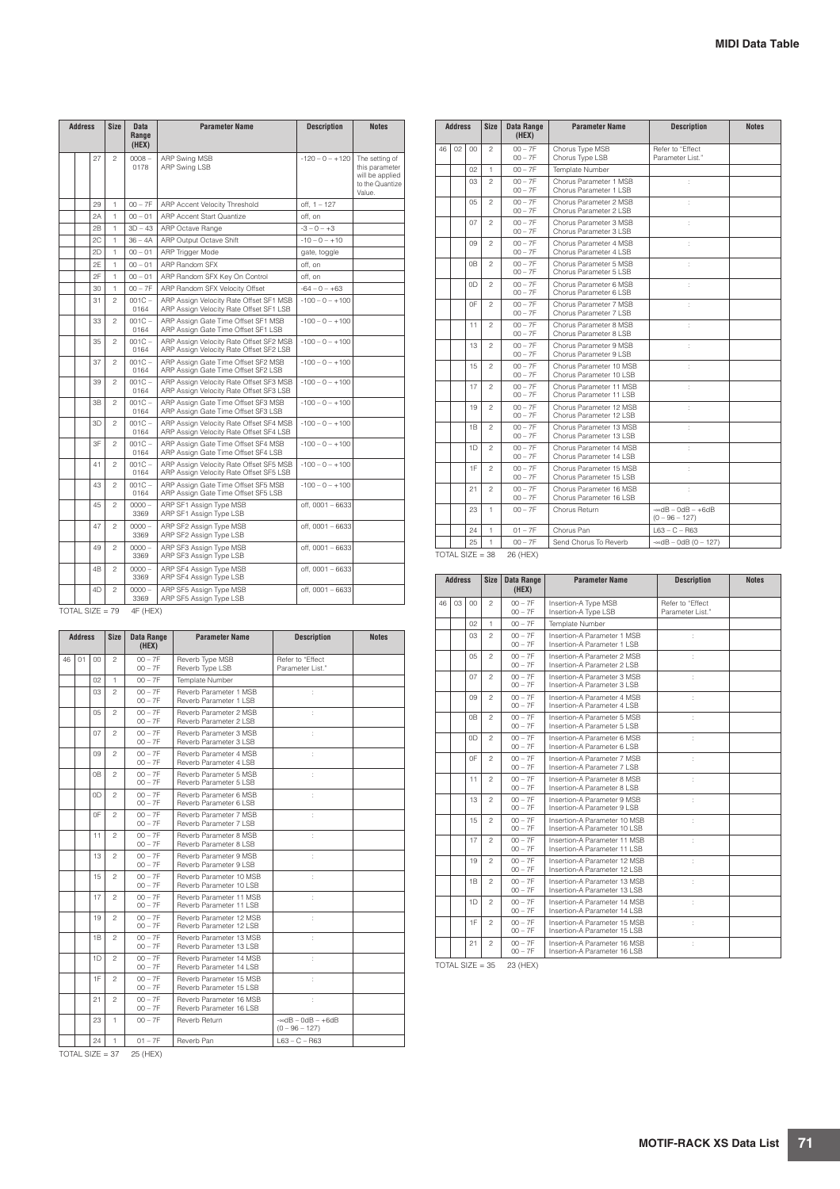|                   | <b>Address</b> |                      | <b>Size</b>                 | <b>Data</b><br>Range                                                                                   | <b>Parameter Name</b>                                                              | <b>Description</b> | <b>Notes</b>                                 |                | <b>Address</b>    |                | <b>Size</b>    | <b>Data Range</b><br>(HEX) | <b>Parameter Name</b>                               | <b>Description</b>                          | <b>Notes</b> |
|-------------------|----------------|----------------------|-----------------------------|--------------------------------------------------------------------------------------------------------|------------------------------------------------------------------------------------|--------------------|----------------------------------------------|----------------|-------------------|----------------|----------------|----------------------------|-----------------------------------------------------|---------------------------------------------|--------------|
|                   |                | 27                   | $\overline{c}$              | (HEX)<br>$0008 -$                                                                                      | <b>ARP Swing MSB</b>                                                               | $-120 - 0 - +120$  | The setting of                               | 46             | 02                | 00             | $\overline{c}$ | $00 - 7F$<br>$00 - 7F$     | Chorus Type MSB<br>Chorus Type LSB                  | Refer to "Effect<br>Parameter List."        |              |
|                   |                |                      |                             | 0178                                                                                                   | <b>ARP Swing LSB</b>                                                               |                    | this parameter                               |                |                   | 02             | $\mathbf{1}$   | $00 - 7F$                  | Template Number                                     |                                             |              |
|                   |                |                      |                             |                                                                                                        |                                                                                    |                    | will be applied<br>to the Quantize<br>Value. |                |                   | 03             | $\overline{c}$ | $00 - 7F$<br>$00 - 7F$     | Chorus Parameter 1 MSB<br>Chorus Parameter 1   SB   | ÷                                           |              |
|                   |                | 29                   | $\mathbf{1}$                | $00 - 7F$                                                                                              | ARP Accent Velocity Threshold                                                      | off. 1 - 127       |                                              |                |                   | 05             | $\sqrt{2}$     | $00 - 7F$<br>$00 - 7F$     | Chorus Parameter 2 MSB<br>Chorus Parameter 2 LSB    | ÷                                           |              |
|                   |                | 2A                   | $00 - 01$<br>$\overline{1}$ |                                                                                                        | ARP Accent Start Quantize                                                          | off. on            |                                              |                |                   | 07             | $\overline{c}$ | $00 - 7F$                  | Chorus Parameter 3 MSB                              | ÷                                           |              |
|                   |                | 2B<br>$\overline{1}$ |                             | $3D - 43$                                                                                              | ARP Octave Range                                                                   | $-3 - 0 - +3$      |                                              |                |                   |                |                | $00 - 7F$                  | Chorus Parameter 3   SB                             |                                             |              |
|                   |                | 2C                   | $\overline{1}$              | $36 - 4A$                                                                                              | ARP Output Octave Shift                                                            | $-10 - 0 - +10$    |                                              |                |                   | 09             | $\sqrt{2}$     | $00 - 7F$                  | Chorus Parameter 4 MSB                              | ÷                                           |              |
|                   |                | 2D                   | $\overline{1}$              | $00 - 01$                                                                                              | ARP Trigger Mode                                                                   | gate, toggle       |                                              |                |                   |                |                | $00 - 7F$                  | Chorus Parameter 4 LSB                              |                                             |              |
|                   |                | 2E                   | $\overline{1}$              | $00 - 01$                                                                                              | ARP Random SFX                                                                     | off. on            |                                              |                |                   | 0 <sub>B</sub> | $\overline{c}$ | $00 - 7F$<br>$00 - 7F$     | Chorus Parameter 5 MSB<br>Chorus Parameter 5 LSB    | ÷                                           |              |
|                   |                | 2F                   | $\overline{1}$              | $00 - 01$                                                                                              | ARP Random SFX Key On Control                                                      | off. on            |                                              |                |                   | 0D             | $\overline{c}$ | $00 - 7F$                  | Chorus Parameter 6 MSB                              |                                             |              |
|                   |                | 30                   | $\overline{1}$              | $00 - 7F$                                                                                              | ARP Random SFX Velocity Offset                                                     | $-64 - 0 - +63$    |                                              |                |                   |                |                | $00 - 7F$                  | Chorus Parameter 6 LSB                              |                                             |              |
|                   |                | 31                   | $\mathfrak{D}$              | $001C -$<br>ARP Assign Velocity Rate Offset SF1 MSB<br>ARP Assign Velocity Rate Offset SF1 LSB<br>0164 |                                                                                    | $-100 - 0 - +100$  |                                              |                |                   | 0F             | $\overline{c}$ | $00 - 7F$<br>$00 - 7F$     | Chorus Parameter 7 MSB<br>Chorus Parameter 7 LSB    |                                             |              |
|                   |                | 33                   | $\mathfrak{D}$              | $001C -$<br>0164                                                                                       | ARP Assign Gate Time Offset SF1 MSB<br>ARP Assign Gate Time Offset SF1 LSB         | $-100 - 0 - +100$  |                                              |                |                   | 11             | $\sqrt{2}$     | $00 - 7F$<br>$00 - 7F$     | Chorus Parameter 8 MSB<br>Chorus Parameter 8   SB   | $\cdot$                                     |              |
|                   |                | 35                   | $\overline{c}$              | $001C -$<br>0164                                                                                       | ARP Assign Velocity Rate Offset SF2 MSB<br>ARP Assign Velocity Rate Offset SF2 LSB | $-100 - 0 - +100$  |                                              |                |                   | 13             | $\overline{c}$ | $00 - 7F$<br>$00 - 7F$     | Chorus Parameter 9 MSB<br>Chorus Parameter 9 LSB    |                                             |              |
|                   |                | 37                   | $\overline{c}$              | $001C -$<br>0164                                                                                       | ARP Assign Gate Time Offset SF2 MSB<br>ARP Assign Gate Time Offset SF2 LSB         | $-100 - 0 - +100$  |                                              |                |                   | 15             | $\overline{c}$ | $00 - 7F$<br>$00 - 7F$     | Chorus Parameter 10 MSB<br>Chorus Parameter 10 LSB  | ÷                                           |              |
|                   |                | 39                   | $\overline{c}$              | $001C -$<br>0164                                                                                       | ARP Assign Velocity Rate Offset SF3 MSB<br>ARP Assign Velocity Rate Offset SF3 LSB | $-100 - 0 - +100$  |                                              |                |                   | 17             | $\overline{c}$ | $00 - 7F$<br>$00 - 7F$     | Chorus Parameter 11 MSB<br>Chorus Parameter 11 LSB  | ÷                                           |              |
|                   |                | 3B                   | $\overline{c}$              | $001C -$<br>0164                                                                                       | ARP Assign Gate Time Offset SF3 MSB<br>ARP Assign Gate Time Offset SF3 LSB         | $-100 - 0 - +100$  |                                              |                |                   | 19             | $\overline{c}$ | $00 - 7F$<br>$00 - 7F$     | Chorus Parameter 12 MSB<br>Chorus Parameter 12 LSB  |                                             |              |
|                   |                | 3D                   | $\overline{c}$              | $001C -$<br>0164                                                                                       | ARP Assign Velocity Rate Offset SF4 MSB<br>ARP Assign Velocity Rate Offset SF4 LSB | $-100 - 0 - +100$  |                                              |                |                   | 1B             | $\overline{c}$ | $00 - 7F$<br>$00 - 7F$     | Chorus Parameter 13 MSB<br>Chorus Parameter 13 LSB  |                                             |              |
|                   |                | 3F                   | $\overline{c}$              | $001C -$<br>0164                                                                                       | ARP Assign Gate Time Offset SF4 MSB<br>ARP Assign Gate Time Offset SF4 LSB         | $-100 - 0 - +100$  |                                              |                |                   | 1D             | $\sqrt{2}$     | $00 - 7F$<br>$00 - 7F$     | Chorus Parameter 14 MSB<br>Chorus Parameter 14 LSB  | ÷                                           |              |
|                   |                | 41                   | $\overline{c}$              | $001C -$<br>0164                                                                                       | ARP Assign Velocity Rate Offset SF5 MSB<br>ARP Assign Velocity Rate Offset SF5 LSB | $-100 - 0 - +100$  |                                              |                |                   | 1F             | $\overline{c}$ | $00 - 7F$<br>$00 - 7F$     | Chorus Parameter 15 MSB<br>Chorus Parameter 15   SB | ÷                                           |              |
|                   |                | 43                   | $\overline{c}$              | $001C -$<br>0164                                                                                       | ARP Assign Gate Time Offset SF5 MSB<br>ARP Assign Gate Time Offset SF5 LSB         | $-100 - 0 - +100$  |                                              |                |                   | 21             | $\overline{c}$ | $00 - 7F$<br>$00 - 7F$     | Chorus Parameter 16 MSB<br>Chorus Parameter 16 LSB  | ÷                                           |              |
|                   |                | 45                   | $\overline{c}$              | $0000 -$<br>3369                                                                                       | ARP SF1 Assign Type MSB<br>ARP SF1 Assign Type LSB                                 | off. 0001 - 6633   |                                              |                |                   | 23             | $\overline{1}$ | $00 - 7F$                  | Chorus Return                                       | $-$ ∞dB - 0dB - $+6$ dB<br>$(0 - 96 - 127)$ |              |
|                   |                | 47                   | $\overline{c}$              | $0000 -$<br>3369                                                                                       | ARP SF2 Assign Type MSB<br>ARP SF2 Assign Type LSB                                 | off. 0001 - 6633   |                                              |                |                   | 24             | $\mathbf{1}$   | $01 - 7F$                  | Chorus Pan                                          | $L63 - C - R63$                             |              |
|                   |                | 49                   | $\overline{c}$              | $0000 -$<br>3369                                                                                       | ARP SF3 Assign Type MSB<br>ARP SF3 Assign Type LSB                                 | off. 0001 - 6633   |                                              |                | $TOTAL SIZE = 38$ | 25             | $\mathbf{1}$   | $00 - 7F$<br>26 (HEX)      | Send Chorus To Reverb                               | $-$ ∞dB - 0dB (0 - 127)                     |              |
|                   |                | 4B                   | $\overline{c}$              | $0000 -$<br>3369                                                                                       | ARP SF4 Assign Type MSB<br>ARP SF4 Assign Type LSB                                 | off. 0001 - 6633   |                                              |                |                   |                |                |                            |                                                     |                                             |              |
|                   |                | 4D                   | $\overline{c}$              | $0000 -$<br>3369                                                                                       | ARP SF5 Assign Type MSB<br>ARP SF5 Assign Type LSB                                 | off. 0001 - 6633   |                                              | <b>Address</b> |                   |                | <b>Size</b>    | <b>Data Range</b><br>(HEX) | <b>Parameter Name</b>                               | <b>Description</b>                          | <b>Notes</b> |
| TOTAL SIZE = $79$ |                |                      |                             | 4F (HEX)                                                                                               |                                                                                    |                    |                                              | 46             | 03                | 00             | $\overline{c}$ | $00 - 7F$<br>$00 - 7F$     | Insertion-A Type MSB<br>Insertion-A Type LSB        | Refer to "Effect<br>Parameter List."        |              |

| IUIAL SIZE = 79 |  | 4F (H |  |
|-----------------|--|-------|--|
|                 |  |       |  |

|    | <b>Address</b> |                  | <b>Size</b>    | <b>Data Range</b><br>(HEX) | <b>Parameter Name</b>                               | <b>Description</b>                          | <b>Notes</b> |
|----|----------------|------------------|----------------|----------------------------|-----------------------------------------------------|---------------------------------------------|--------------|
| 46 | 01             | 00               | $\mathfrak{p}$ | $00 - 7F$<br>$00 - 7F$     | Reverb Type MSB<br>Reverb Type LSB                  | Refer to "Effect<br>Parameter List."        |              |
|    |                | 02               | 1              | $00 - 7F$                  | Template Number                                     |                                             |              |
|    |                | 03               | $\mathfrak{p}$ | $00 - 7F$<br>$00 - 7F$     | Reverb Parameter 1 MSB<br>Reverb Parameter 1 LSB    | ł.                                          |              |
|    |                | 0.5 <sub>0</sub> | $\mathfrak{p}$ | $00 - 7F$<br>$00 - 7F$     | Reverb Parameter 2 MSB<br>Reverb Parameter 2 LSB    | ÷                                           |              |
|    |                | 07               | 2              | $00 - 7F$<br>$00 - 7F$     | Reverb Parameter 3 MSB<br>Reverb Parameter 3 LSB    | t                                           |              |
|    |                | 09               | $\overline{c}$ | $00 - 7F$<br>$00 - 7F$     | Reverb Parameter 4 MSB<br>Reverb Parameter 4 LSB    | t                                           |              |
|    |                | 0 <sub>B</sub>   | $\mathfrak{p}$ | $00 - 7F$<br>$00 - 7F$     | Reverb Parameter 5 MSB<br>Reverb Parameter 5 LSB    | ÷                                           |              |
|    |                | 0D               | $\mathfrak{p}$ | $00 - 7F$<br>$00 - 7F$     | Reverb Parameter 6 MSB<br>Reverb Parameter 6 LSB    | ł.                                          |              |
|    |                | 0F               | $\mathfrak{p}$ | $00 - 7F$<br>$00 - 7F$     | Reverb Parameter 7 MSB<br>Reverb Parameter 7 I SB   | ÷                                           |              |
|    |                | 11               | $\overline{c}$ | $00 - 7F$<br>$00 - 7F$     | Reverb Parameter 8 MSB<br>Reverb Parameter 8   SB   | ÷                                           |              |
|    |                | 13               | $\overline{c}$ | $00 - 7F$<br>$00 - 7F$     | Reverb Parameter 9 MSB<br>Reverb Parameter 9 LSB    | ł.                                          |              |
|    |                | 15               | $\mathfrak{p}$ | $00 - 7F$<br>$00 - 7F$     | Reverb Parameter 10 MSB<br>Reverb Parameter 10 LSB  | t.                                          |              |
|    |                | 17               | $\mathfrak{p}$ | $00 - 7F$<br>$00 - 7F$     | Reverb Parameter 11 MSB<br>Reverb Parameter 11 LSB  | ł.                                          |              |
|    |                | 19               | $\mathfrak{p}$ | $00 - 7F$<br>$00 - 7F$     | Reverb Parameter 12 MSB<br>Reverb Parameter 12 LSB  | ÷                                           |              |
|    |                | 1 <sub>B</sub>   | $\mathfrak{p}$ | $00 - 7F$<br>$00 - 7F$     | Reverb Parameter 13 MSB<br>Reverb Parameter 13   SB | ł.                                          |              |
|    |                | 1 <sub>D</sub>   | $\mathfrak{p}$ | $00 - 7F$<br>$00 - 7F$     | Reverb Parameter 14 MSB<br>Reverb Parameter 14 LSB  | ÷                                           |              |
|    |                | 1F               | $\mathfrak{p}$ | $00 - 7F$<br>$00 - 7F$     | Reverb Parameter 15 MSB<br>Reverb Parameter 15 LSB  | ł.                                          |              |
|    |                | 21               | $\mathfrak{p}$ | $00 - 7F$<br>$00 - 7F$     | Reverb Parameter 16 MSB<br>Reverb Parameter 16 LSB  | ÷                                           |              |
|    |                | 23               | 1              | $00 - 7F$                  | Reverb Return                                       | $-$ ∞dB – 0dB – $+6$ dB<br>$(0 - 96 - 127)$ |              |
|    |                | 24               | 1              | $01 - 7F$                  | Reverb Pan                                          | $L63 - C - R63$                             |              |

|    |    |                 |                | (HEX)                  |                                                    |                                              |  |
|----|----|-----------------|----------------|------------------------|----------------------------------------------------|----------------------------------------------|--|
| 46 | 02 | 00 <sup>1</sup> | $\mathfrak{p}$ | $00 - 7F$<br>$00 - 7F$ | Chorus Type MSB<br>Chorus Type LSB                 | Refer to "Effect<br>Parameter List."         |  |
|    |    | 02              | 1              | $00 - 7F$              | Template Number                                    |                                              |  |
|    |    | CO.             | $\mathfrak{p}$ | $00 - 7F$<br>$00 - 7F$ | Chorus Parameter 1 MSB<br>Chorus Parameter 1 LSB   | t                                            |  |
|    |    | $0.5^{\circ}$   | $\mathfrak{p}$ | $00 - 7F$<br>$00 - 7F$ | Chorus Parameter 2 MSB<br>Chorus Parameter 2 LSB   | ÷.                                           |  |
|    |    | 07              | $\mathfrak{p}$ | $00 - 7F$<br>$00 - 7F$ | Chorus Parameter 3 MSB<br>Chorus Parameter 3 LSB   |                                              |  |
|    |    | 09              | $\mathfrak{D}$ | $00 - 7F$<br>$00 - 7F$ | Chorus Parameter 4 MSB<br>Chorus Parameter 4 LSB   |                                              |  |
|    |    | 0B              | $\overline{c}$ | $00 - 7F$<br>$00 - 7F$ | Chorus Parameter 5 MSB<br>Chorus Parameter 5 LSB   | t                                            |  |
|    |    | 0D              | $\mathfrak{p}$ | $00 - 7F$<br>$00 - 7F$ | Chorus Parameter 6 MSB<br>Chorus Parameter 6 LSB   | t                                            |  |
|    |    | 0F              | $\mathfrak{p}$ | $00 - 7F$<br>$00 - 7F$ | Chorus Parameter 7 MSB<br>Chorus Parameter 7 LSB   |                                              |  |
|    |    | 11              | $\mathfrak{p}$ | $00 - 7F$<br>$00 - 7F$ | Chorus Parameter 8 MSB<br>Chorus Parameter 8 LSB   | t                                            |  |
|    |    | 13              | $\mathfrak{p}$ | $00 - 7F$<br>$00 - 7F$ | Chorus Parameter 9 MSB<br>Chorus Parameter 9   SB  | t                                            |  |
|    |    | 15              | 2              | $00 - 7F$<br>$00 - 7F$ | Chorus Parameter 10 MSB<br>Chorus Parameter 10 LSB | t                                            |  |
|    |    | 17              | $\mathfrak{p}$ | $00 - 7F$<br>$00 - 7F$ | Chorus Parameter 11 MSB<br>Chorus Parameter 11 LSB | t                                            |  |
|    |    | 19              | $\mathfrak{p}$ | $00 - 7F$<br>$00 - 7F$ | Chorus Parameter 12 MSB<br>Chorus Parameter 12 LSB |                                              |  |
|    |    | 1 <sub>B</sub>  | $\mathfrak{p}$ | $00 - 7F$<br>$00 - 7F$ | Chorus Parameter 13 MSB<br>Chorus Parameter 13 LSB | ÷.                                           |  |
|    |    | 1D              | $\overline{c}$ | $00 - 7F$<br>$00 - 7F$ | Chorus Parameter 14 MSB<br>Chorus Parameter 14 LSB | t                                            |  |
|    |    | 1F              | $\mathfrak{p}$ | $00 - 7F$<br>$00 - 7F$ | Chorus Parameter 15 MSB<br>Chorus Parameter 15 LSB | t                                            |  |
|    |    | 21              | $\mathfrak{p}$ | $00 - 7F$<br>$00 - 7F$ | Chorus Parameter 16 MSB<br>Chorus Parameter 16 LSB | ÷                                            |  |
|    |    | 23              | 1              | $00 - 7F$              | Chorus Return                                      | $-$ ∞dB $-$ 0dB $-$ +6dB<br>$(0 - 96 - 127)$ |  |
|    |    | 24              | 1              | $01 - 7F$              | Chorus Pan                                         | $L63 - C - R63$                              |  |
|    |    | 25              | 1              | $00 - 7F$              | Send Chorus To Reverb                              | $-$ ∞dB $-$ 0dB (0 $-$ 127)                  |  |

| <b>Address</b> |    | <b>Size</b>    | <b>Data Range</b><br>(HEX) | <b>Parameter Name</b>  | <b>Description</b>                                           | <b>Notes</b>                         |  |
|----------------|----|----------------|----------------------------|------------------------|--------------------------------------------------------------|--------------------------------------|--|
| 46             | 03 | 00             | $\mathfrak{p}$             | $00 - 7F$<br>$00 - 7F$ | Insertion-A Type MSB<br>Insertion-A Type LSB                 | Refer to "Effect<br>Parameter List." |  |
|                |    | 02             | 1                          | $00 - 7F$              | Template Number                                              |                                      |  |
|                |    | 03             | 2                          | $00 - 7F$<br>$00 - 7F$ | Insertion-A Parameter 1 MSB<br>Insertion-A Parameter 1 LSB   | t                                    |  |
|                |    | $0.5\,$        | $\mathfrak{p}$             | $00 - 7F$<br>$00 - 7F$ | Insertion-A Parameter 2 MSB<br>Insertion-A Parameter 2 LSB   | t                                    |  |
|                |    | 07             | $\mathfrak{p}$             | $00 - 7F$<br>$00 - 7F$ | Insertion-A Parameter 3 MSB<br>Insertion-A Parameter 3 LSB   | t                                    |  |
|                |    | 09             | $\overline{c}$             | $00 - 7F$<br>$00 - 7F$ | Insertion-A Parameter 4 MSB<br>Insertion-A Parameter 4 LSB   | t                                    |  |
|                |    | 0 <sub>B</sub> | $\mathfrak{p}$             | $00 - 7F$<br>$00 - 7F$ | Insertion-A Parameter 5 MSB<br>Insertion-A Parameter 5 LSB   | t                                    |  |
|                |    | 0D             | $\mathfrak{p}$             | $00 - 7F$<br>$00 - 7F$ | Insertion-A Parameter 6 MSB<br>Insertion-A Parameter 6 LSB   | t                                    |  |
|                |    | 0F             | 2                          | $00 - 7F$<br>$00 - 7F$ | Insertion-A Parameter 7 MSB<br>Insertion-A Parameter 7 LSB   |                                      |  |
|                |    | 11             | $\overline{c}$             | $00 - 7F$<br>$00 - 7F$ | Insertion-A Parameter 8 MSB<br>Insertion-A Parameter 8 LSB   |                                      |  |
|                |    | 13             | 2                          | $00 - 7F$<br>$00 - 7F$ | Insertion-A Parameter 9 MSB<br>Insertion-A Parameter 9 LSB   |                                      |  |
|                |    | 15             | $\overline{c}$             | $00 - 7F$<br>$00 - 7F$ | Insertion-A Parameter 10 MSB<br>Insertion-A Parameter 10 LSB |                                      |  |
|                |    | 17             | 2                          | $00 - 7F$<br>$00 - 7F$ | Insertion-A Parameter 11 MSB<br>Insertion-A Parameter 11 LSB |                                      |  |
|                |    | 19             | $\overline{c}$             | $00 - 7F$<br>$00 - 7F$ | Insertion-A Parameter 12 MSB<br>Insertion-A Parameter 12 LSB |                                      |  |
|                |    | 1B             | $\mathfrak{p}$             | $00 - 7F$<br>$00 - 7F$ | Insertion-A Parameter 13 MSB<br>Insertion-A Parameter 13 LSB | t                                    |  |
|                |    | 1 <sub>D</sub> | $\mathfrak{p}$             | $00 - 7F$<br>$00 - 7F$ | Insertion-A Parameter 14 MSB<br>Insertion-A Parameter 14 LSB | t                                    |  |
|                |    | 1F             | $\overline{c}$             | $00 - 7F$<br>$00 - 7F$ | Insertion-A Parameter 15 MSB<br>Insertion-A Parameter 15 LSB |                                      |  |
|                |    | 21             | $\mathfrak{p}$             | $00 - 7F$<br>$00 - 7F$ | Insertion-A Parameter 16 MSB<br>Insertion-A Parameter 16 LSB | Ì                                    |  |

TOTAL SIZE = 35 23 (HEX)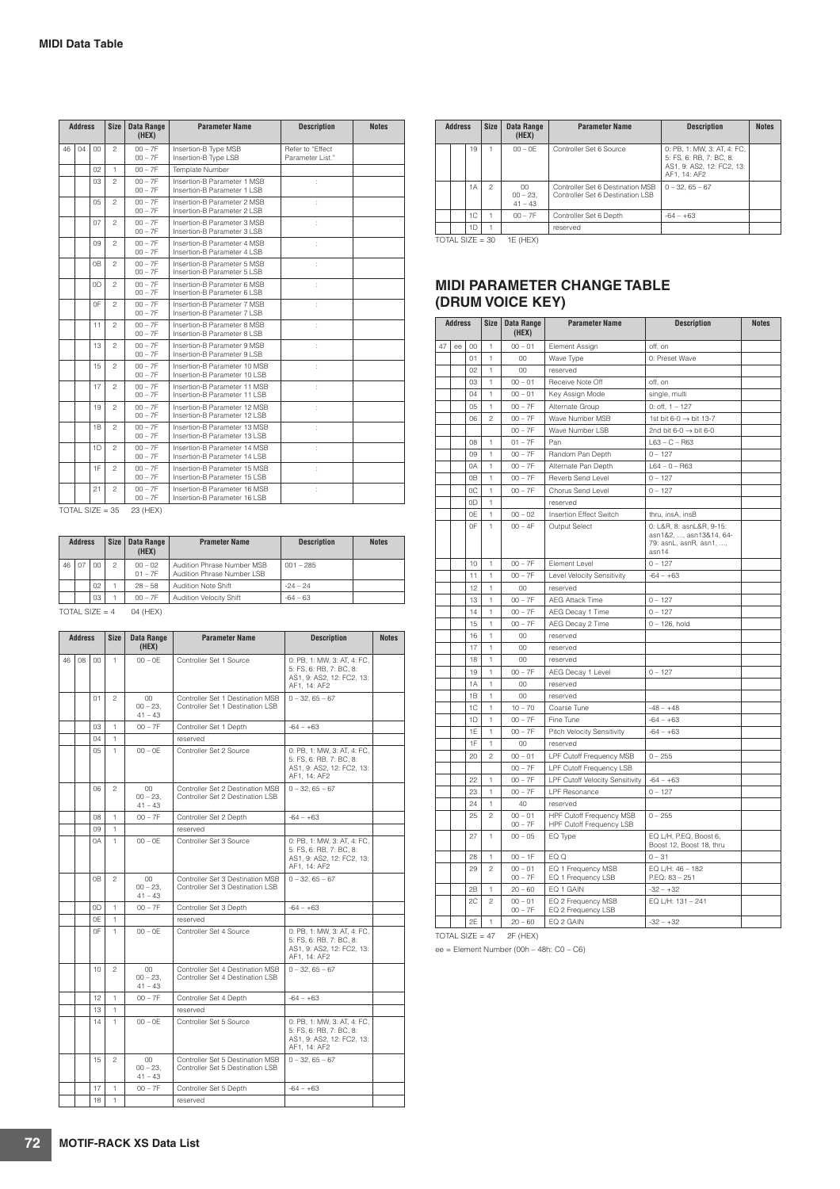|    | <b>Address</b> |                | <b>Size</b>    | <b>Data Range</b><br>(HEX) | <b>Parameter Name</b>                                         | <b>Description</b>                   | <b>Notes</b> |
|----|----------------|----------------|----------------|----------------------------|---------------------------------------------------------------|--------------------------------------|--------------|
| 46 | 04             | 00             | $\overline{c}$ | $00 - 7F$<br>$00 - 7F$     | Insertion-B Type MSB<br>Insertion-B Type LSB                  | Refer to "Effect<br>Parameter List." |              |
|    |                | $02^{1}$       | 1              | $00 - 7F$                  | Template Number                                               |                                      |              |
|    |                | 03             | $\overline{c}$ | $00 - 7F$<br>$00 - 7F$     | Insertion-B Parameter 1 MSB<br>Insertion-B Parameter 1 LSB    | ÷                                    |              |
|    |                | 05             | $\overline{c}$ | $00 - 7F$<br>$00 - 7F$     | Insertion-B Parameter 2 MSB<br>Insertion-B Parameter 2 LSB    | ł.                                   |              |
|    |                | 07             | $\overline{c}$ | $00 - 7F$<br>$00 - 7F$     | Insertion-B Parameter 3 MSB<br>Insertion-B Parameter 3   SB   | ł.                                   |              |
|    |                | 09             | $\overline{c}$ | $00 - 7F$<br>$00 - 7F$     | Insertion-B Parameter 4 MSB<br>Insertion-B Parameter 4 I SB   | ł.                                   |              |
|    |                | 0 <sub>B</sub> | $\mathfrak{p}$ | $00 - 7F$<br>$00 - 7F$     | Insertion-B Parameter 5 MSB<br>Insertion-B Parameter 5 LSB    | ÷.                                   |              |
|    |                | 0D             | $\mathfrak{p}$ | $00 - 7F$<br>$00 - 7F$     | Insertion-B Parameter 6 MSB<br>Insertion-B Parameter 6   SB   | ÷.                                   |              |
|    |                | 0F             | $\overline{c}$ | $00 - 7F$<br>$00 - 7F$     | Insertion-B Parameter 7 MSB<br>Insertion-B Parameter 7 I SB   | ÷.                                   |              |
|    |                | 11             | 2              | $00 - 7F$<br>$00 - 7F$     | Insertion-B Parameter 8 MSB<br>Insertion-B Parameter 8 LSB    | ÷.                                   |              |
|    |                | 13             | $\mathfrak{p}$ | $00 - 7F$<br>$00 - 7F$     | Insertion-B Parameter 9 MSB<br>Insertion-B Parameter 9 LSB    | ÷.                                   |              |
|    |                | 15             | $\mathfrak{p}$ | $00 - 7F$<br>$00 - 7F$     | Insertion-B Parameter 10 MSB<br>Insertion-B Parameter 10 LSB  | ÷.                                   |              |
|    |                | 17             | $\overline{c}$ | $00 - 7F$<br>$00 - 7F$     | Insertion-B Parameter 11 MSB<br>Insertion-B Parameter 11 LSB  | t                                    |              |
|    |                | 19             | $\overline{c}$ | $00 - 7F$<br>$00 - 7F$     | Insertion-B Parameter 12 MSB<br>Insertion-B Parameter 12 LSB  | t                                    |              |
|    |                | 1B             | $\overline{c}$ | $00 - 7F$<br>$00 - 7F$     | Insertion-B Parameter 13 MSB<br>Insertion-B Parameter 13 LSB  | t                                    |              |
|    |                | 1D             | $\overline{c}$ | $00 - 7F$<br>$00 - 7F$     | Insertion-B Parameter 14 MSB<br>Insertion-B Parameter 14   SB | ÷.                                   |              |
|    |                | 1F             | $\overline{c}$ | $00 - 7F$<br>$00 - 7F$     | Insertion-B Parameter 15 MSB<br>Insertion-B Parameter 15 LSB  | ÷.                                   |              |
|    |                | 21             | $\overline{c}$ | $00 - 7F$<br>$00 - 7F$     | Insertion-B Parameter 16 MSB<br>Insertion-B Parameter 16 LSB  | ł.                                   |              |

TOTAL SIZE =  $35$  23 (HEX)

| <b>Address</b> |    | <b>Size</b>   |        | Data Range<br>(HEX)                 | <b>Prameter Name</b>   | <b>Description</b>                                       | <b>Notes</b> |  |
|----------------|----|---------------|--------|-------------------------------------|------------------------|----------------------------------------------------------|--------------|--|
|                | 46 |               | $00 -$ | $\mathfrak{p}$                      | $00 - 02$<br>$01 - 7F$ | Audition Phrase Number MSB<br>Audition Phrase Number LSB | $001 - 285$  |  |
|                |    |               | 02     |                                     | $28 - 58$              | Audition Note Shift                                      | $-24 - 24$   |  |
|                |    |               | 03     |                                     | $00 - 7F$              | Audition Velocity Shift                                  | $-64 - 63$   |  |
|                |    | _ _ _ _ . _ _ |        | the state of the state of the state |                        |                                                          |              |  |

TOTAL SIZE =  $4$  04 (HEX)

|    | <b>Address</b> |                  | <b>Size</b>    | Data Range<br>(HEX)               | <b>Parameter Name</b>                                                | <b>Description</b>                                                                                  | <b>Notes</b> |
|----|----------------|------------------|----------------|-----------------------------------|----------------------------------------------------------------------|-----------------------------------------------------------------------------------------------------|--------------|
| 46 | 08             | $00\,$           | 1              | $00 - 0E$                         | Controller Set 1 Source                                              | 0: PB, 1: MW, 3: AT, 4: FC,<br>5: FS, 6: RB, 7: BC, 8:<br>AS1, 9: AS2, 12: FC2, 13:<br>AF1, 14: AF2 |              |
|    |                | 01               | $\overline{c}$ | $00\,$<br>$00 - 23.$<br>$41 - 43$ | Controller Set 1 Destination MSB<br>Controller Set 1 Destination LSB | $0 - 32.65 - 67$                                                                                    |              |
|    |                | 03               | 1              | $00 - 7F$                         | Controller Set 1 Depth                                               | $-64 - +63$                                                                                         |              |
|    |                | 04               | $\mathbf{1}$   |                                   | reserved                                                             |                                                                                                     |              |
|    |                | $0.5^{\circ}$    | 1              | $00 - 0F$                         | Controller Set 2 Source                                              | 0: PB, 1: MW, 3: AT, 4: FC,<br>5: FS, 6: RB, 7: BC, 8:<br>AS1, 9: AS2, 12: FC2, 13:<br>AF1, 14: AF2 |              |
|    |                | 06               | $\overline{c}$ | $00\,$<br>$00 - 23.$<br>$41 - 43$ | Controller Set 2 Destination MSB<br>Controller Set 2 Destination LSB | $0 - 32.65 - 67$                                                                                    |              |
|    |                | 80               | 1              | $00 - 7F$                         | Controller Set 2 Depth                                               | $-64 - +63$                                                                                         |              |
|    |                | 09               | $\mathbf{1}$   |                                   | reserved                                                             |                                                                                                     |              |
|    |                | 0A               | $\mathbf{1}$   | $00 - 0F$                         | Controller Set 3 Source                                              | 0: PB, 1: MW, 3: AT, 4: FC,<br>5: FS, 6: RB, 7: BC, 8:<br>AS1, 9: AS2, 12: FC2, 13:<br>AF1, 14: AF2 |              |
|    |                | 0B               | $\overline{c}$ | $00\,$<br>$00 - 23.$<br>$41 - 43$ | Controller Set 3 Destination MSB<br>Controller Set 3 Destination LSB | $0 - 32.65 - 67$                                                                                    |              |
|    |                | 0D               | 1              | $00 - 7F$                         | Controller Set 3 Depth                                               | $-64 - +63$                                                                                         |              |
|    |                | 0E               | $\mathbf{1}$   |                                   | reserved                                                             |                                                                                                     |              |
|    |                | OF               | 1              | $00 - 0F$                         | Controller Set 4 Source                                              | 0: PB, 1: MW, 3: AT, 4: FC,<br>5: FS, 6: RB, 7: BC, 8:<br>AS1, 9: AS2, 12: FC2, 13:<br>AF1, 14: AF2 |              |
|    |                | 10 <sup>10</sup> | $\mathfrak{p}$ | $00 -$<br>$00 - 23.$<br>$41 - 43$ | Controller Set 4 Destination MSB<br>Controller Set 4 Destination LSB | $0 - 32.65 - 67$                                                                                    |              |
|    |                | 12               | $\mathbf{1}$   | $00 - 7F$                         | Controller Set 4 Depth                                               | $-64 - +63$                                                                                         |              |
|    |                | 13               | 1              |                                   | reserved                                                             |                                                                                                     |              |
|    |                | 14               | 1              | $00 - 0E$                         | Controller Set 5 Source                                              | 0: PB, 1: MW, 3: AT, 4: FC,<br>5: FS, 6: RB, 7: BC, 8:<br>AS1, 9: AS2, 12: FC2, 13:<br>AF1. 14: AF2 |              |
|    |                | 15               | $\overline{c}$ | $00 -$<br>$00 - 23.$<br>$41 - 43$ | Controller Set 5 Destination MSB<br>Controller Set 5 Destination LSB | $0 - 32, 65 - 67$                                                                                   |              |
|    |                | 17               | 1              | $00 - 7F$                         | Controller Set 5 Depth                                               | $-64 - +63$                                                                                         |              |
|    |                | 18               | 1              |                                   | reserved                                                             |                                                                                                     |              |

| <b>Address</b> |  | <b>Size</b> | Data Range<br>(HEX) | <b>Parameter Name</b>                       | <b>Description</b>                                                   | <b>Notes</b>                                                                                        |  |
|----------------|--|-------------|---------------------|---------------------------------------------|----------------------------------------------------------------------|-----------------------------------------------------------------------------------------------------|--|
|                |  | 19          |                     | $00 - 0F$                                   | Controller Set 6 Source                                              | 0: PB, 1: MW, 3: AT, 4: FC,<br>5: FS. 6: RB. 7: BC. 8:<br>AS1, 9: AS2, 12: FC2, 13:<br>AF1. 14: AF2 |  |
|                |  | 1A          | $\mathfrak{p}$      | 00 <sup>1</sup><br>$00 - 23$ .<br>$41 - 43$ | Controller Set 6 Destination MSB<br>Controller Set 6 Destination LSB | $0 - 32.65 - 67$                                                                                    |  |
|                |  | 1C          |                     | $00 - 7F$                                   | Controller Set 6 Depth                                               | $-64 - +63$                                                                                         |  |
|                |  | 1D          |                     |                                             | reserved                                                             |                                                                                                     |  |

 $TOTAL SIZE = 30 1E (HEX)$ 

### **MIDI PARAMETER CHANGE TABLE (DRUM VOICE KEY)**

| <b>Address</b> |    | <b>Size</b> | <b>Data Range</b><br>(HEX) | <b>Parameter Name</b>  | <b>Description</b>                                   | <b>Notes</b>                                                                            |  |
|----------------|----|-------------|----------------------------|------------------------|------------------------------------------------------|-----------------------------------------------------------------------------------------|--|
| 47             | ee | 00          | 1                          | $00 - 01$              | Element Assign                                       | off, on                                                                                 |  |
|                |    | 01          | 1                          | 00                     | Wave Type                                            | 0: Preset Wave                                                                          |  |
|                |    | 02          | 1                          | 00                     | reserved                                             |                                                                                         |  |
|                |    | 03          | 1                          | $00 - 01$              | Receive Note Off                                     | off, on                                                                                 |  |
|                |    | 04          | 1                          | $00 - 01$              | Key Assign Mode                                      | single, multi                                                                           |  |
|                |    | 05          | 1                          | $00 - 7F$              | Alternate Group                                      | $0:$ off, $1 - 127$                                                                     |  |
|                |    | 06          | $\overline{c}$             | $00 - 7F$              | Wave Number MSB                                      | 1st bit 6-0 $\rightarrow$ bit 13-7                                                      |  |
|                |    |             |                            | $00 - 7F$              | Wave Number LSB                                      | 2nd bit 6-0 $\rightarrow$ bit 6-0                                                       |  |
|                |    | 08          | 1                          | $01 - 7F$              | Pan                                                  | $L63 - C - R63$                                                                         |  |
|                |    | 09          | 1                          | $00 - 7F$              | Random Pan Depth                                     | $0 - 127$                                                                               |  |
|                |    | 0A          | 1                          | $00 - 7F$              | Alternate Pan Depth                                  | $L64 - 0 - R63$                                                                         |  |
|                |    | 0B          | 1                          | $00 - 7F$              | Reverb Send Level                                    | $0 - 127$                                                                               |  |
|                |    | 0C          | 1                          | $00 - 7F$              | Chorus Send Level                                    | $0 - 127$                                                                               |  |
|                |    | 0D          | 1                          |                        | reserved                                             |                                                                                         |  |
|                |    | 0E          | 1                          | $00 - 02$              | Insertion Effect Switch                              | thru, insA, insB                                                                        |  |
|                |    | 0F          | 1                          | $00 - 4F$              | Output Select                                        | 0: L&R, 8: asnL&R, 9-15:<br>asn1&2, , asn13&14, 64-<br>79: asnL, asnR, asn1, ,<br>asn14 |  |
|                |    | 10          | 1                          | $00 - 7F$              | Element Level                                        | $0 - 127$                                                                               |  |
|                |    | 11          | 1                          | $00 - 7F$              | Level Velocity Sensitivity                           | $-64 - +63$                                                                             |  |
|                |    | 12          | 1                          | 00                     | reserved                                             |                                                                                         |  |
|                |    | 13          | 1                          | $00 - 7F$              | <b>AEG Attack Time</b>                               | $0 - 127$                                                                               |  |
|                |    | 14          | 1                          | $00 - 7F$              | AEG Decay 1 Time                                     | $0 - 127$                                                                               |  |
|                |    | 15          | 1                          | $00 - 7F$              | AEG Decay 2 Time                                     | $0 - 126$ , hold                                                                        |  |
|                |    | 16          | 1                          | 00                     | reserved                                             |                                                                                         |  |
|                |    | 17          | 1                          | 00                     | reserved                                             |                                                                                         |  |
|                |    | 18          | 1                          | 00                     | reserved                                             |                                                                                         |  |
|                |    | 19          | 1                          | $00 - 7F$              | AEG Decay 1 Level                                    | $0 - 127$                                                                               |  |
|                |    | 1A          | 1                          | 00                     | reserved                                             |                                                                                         |  |
|                |    | 1B          | 1                          | 00                     | reserved                                             |                                                                                         |  |
|                |    | 1C          | 1                          | $10 - 70$              | Coarse Tune                                          | $-48 - +48$                                                                             |  |
|                |    | 1D          | 1                          | $00 - 7F$              | Fine Tune                                            | $-64 - +63$                                                                             |  |
|                |    | 1E          | 1                          | $00 - 7F$              | Pitch Velocity Sensitivity                           | $-64 - +63$                                                                             |  |
|                |    | 1F          | 1                          | 00                     | reserved                                             |                                                                                         |  |
|                |    | 20          | $\overline{c}$             | $00 - 01$              | LPF Cutoff Frequency MSB                             | $0 - 255$                                                                               |  |
|                |    |             |                            | $00 - 7F$              | LPF Cutoff Frequency LSB                             |                                                                                         |  |
|                |    | 22          | 1                          | $00 - 7F$              | LPF Cutoff Velocity Sensitivity                      | $-64 - +63$                                                                             |  |
|                |    | 23          | 1                          | $00 - 7F$              | LPF Resonance                                        | $0 - 127$                                                                               |  |
|                |    | 24          | 1                          | 40                     | reserved                                             |                                                                                         |  |
|                |    | 25          | $\overline{c}$             | $00 - 01$<br>$00 - 7F$ | HPF Cutoff Frequency MSB<br>HPF Cutoff Frequency LSB | $0 - 255$                                                                               |  |
|                |    | 27          | 1                          | $00 - 05$              | EQ Type                                              | EQ L/H, P.EQ, Boost 6,<br>Boost 12, Boost 18, thru                                      |  |
|                |    | 28          | 1                          | $00 - 1F$              | EQ Q                                                 | $0 - 31$                                                                                |  |
|                |    | 29          | $\overline{c}$             | $00 - 01$<br>$00 - 7F$ | EQ 1 Frequency MSB<br>EQ 1 Frequency LSB             | EQ L/H: 46 - 182<br>$P.EQ: 83 - 251$                                                    |  |
|                |    | 2B          | 1                          | $20 - 60$              | EQ 1 GAIN                                            | $-32 - +32$                                                                             |  |
|                |    | 2C          | $\overline{c}$             | $00 - 01$<br>$00 - 7F$ | EQ 2 Frequency MSB<br>EQ 2 Frequency LSB             | EQ L/H: 131 - 241                                                                       |  |
|                |    | 2E          | 1                          | $20 - 60$              | EQ 2 GAIN                                            | $-32 - +32$                                                                             |  |

TOTAL SIZE =  $47$  2F (HEX)

ee = Element Number (00h – 48h: C0 – C6)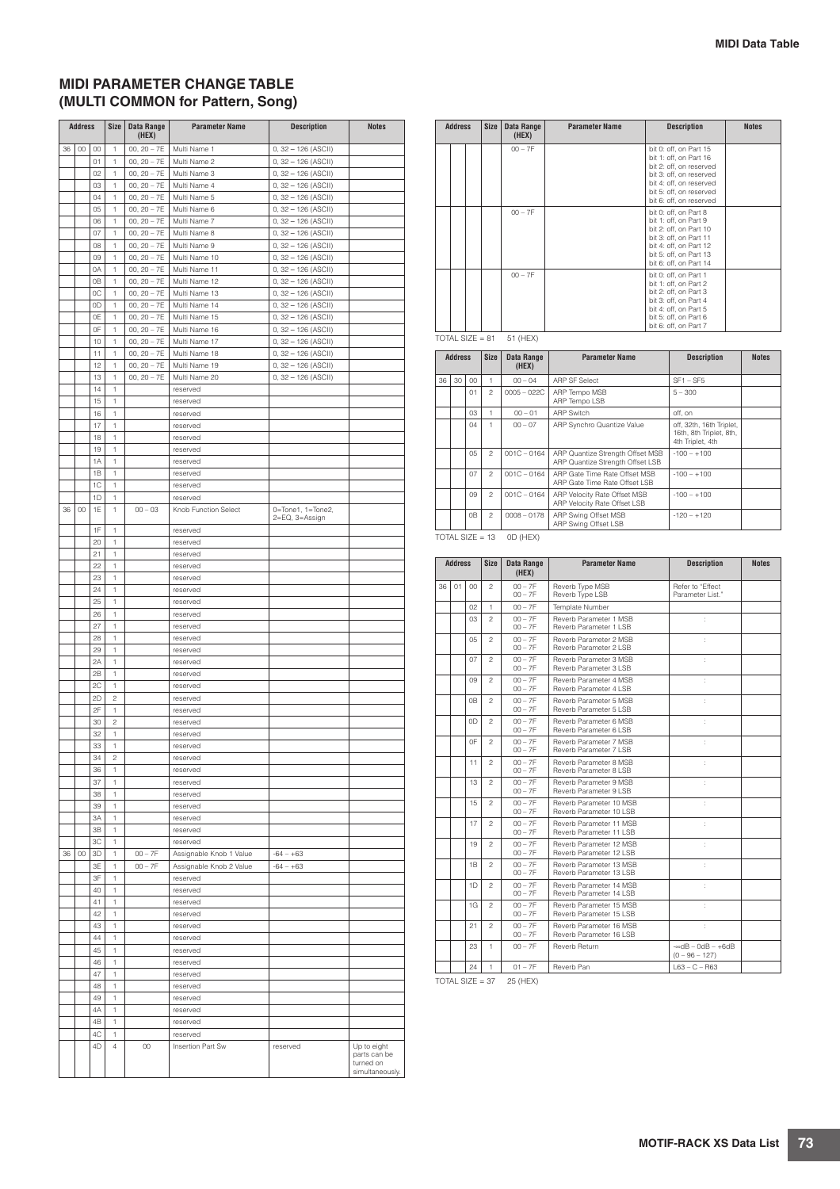### **MIDI PARAMETER CHANGE TABLE (MULTI COMMON for Pattern, Song)**

|    | <b>Address</b> |          | Size   | <b>Data Range</b><br>(HEX)     | <b>Parameter Name</b>            | <b>Description</b>                           | <b>Notes</b>                                                |
|----|----------------|----------|--------|--------------------------------|----------------------------------|----------------------------------------------|-------------------------------------------------------------|
| 36 | 00             | 00       | 1      | $00, 20 - 7E$                  | Multi Name 1                     | 0, 32 - 126 (ASCII)                          |                                                             |
|    |                | 01       | 1      | $00, 20 - 7E$                  | Multi Name 2                     | 0, 32 - 126 (ASCII)                          |                                                             |
|    |                | 02       | 1      | $00, 20 - 7E$                  | Multi Name 3                     | $0, 32 - 126$ (ASCII)                        |                                                             |
|    |                | 03       | 1      | $00, 20 - 7E$                  | Multi Name 4                     | 0, 32 - 126 (ASCII)                          |                                                             |
|    |                | 04       | 1      | $00, 20 - 7E$                  | Multi Name 5                     | $0, 32 - 126$ (ASCII)                        |                                                             |
|    |                | 05       | 1      | $00, 20 - 7E$                  | Multi Name 6                     | $0, 32 - 126$ (ASCII)                        |                                                             |
|    |                | 06       | 1      | $00, 20 - 7E$                  | Multi Name 7                     | 0, 32 - 126 (ASCII)                          |                                                             |
|    |                | 07       | 1      | $00, 20 - 7E$                  | Multi Name 8                     | 0, 32 - 126 (ASCII)                          |                                                             |
|    |                | 08       | 1      | $00, 20 - 7E$                  | Multi Name 9                     | 0, 32 - 126 (ASCII)                          |                                                             |
|    |                | 09<br>0A | 1<br>1 | $00, 20 - 7E$<br>$00, 20 - 7E$ | Multi Name 10<br>Multi Name 11   | 0, 32 - 126 (ASCII)<br>$0, 32 - 126$ (ASCII) |                                                             |
|    |                | 0B       | 1      | $00, 20 - 7E$                  | Multi Name 12                    | $0, 32 - 126$ (ASCII)                        |                                                             |
|    |                | 0C       | 1      | $00, 20 - 7E$                  | Multi Name 13                    | 0, 32 - 126 (ASCII)                          |                                                             |
|    |                | 0D       | 1      | $00, 20 - 7E$                  | Multi Name 14                    | 0, 32 - 126 (ASCII)                          |                                                             |
|    |                | 0E       | 1      | $00, 20 - 7E$                  | Multi Name 15                    | 0, 32 - 126 (ASCII)                          |                                                             |
|    |                | 0F       | 1      | $00, 20 - 7E$                  | Multi Name 16                    | 0, 32 - 126 (ASCII)                          |                                                             |
|    |                | 10       | 1      | $00, 20 - 7E$                  | Multi Name 17                    | $0, 32 - 126$ (ASCII)                        |                                                             |
|    |                | 11       | 1      | $00, 20 - 7E$                  | Multi Name 18                    | $0, 32 - 126$ (ASCII)                        |                                                             |
|    |                | 12       | 1      | $00, 20 - 7E$                  | Multi Name 19                    | 0, 32 - 126 (ASCII)                          |                                                             |
|    |                | 13       | 1      | $00, 20 - 7E$                  | Multi Name 20                    | 0, 32 - 126 (ASCII)                          |                                                             |
|    |                | 14       | 1      |                                | reserved                         |                                              |                                                             |
|    |                | 15       | 1      |                                | reserved                         |                                              |                                                             |
|    |                | 16       | 1      |                                | reserved                         |                                              |                                                             |
|    |                | 17       | 1      |                                | reserved                         |                                              |                                                             |
|    |                | 18       | 1      |                                | reserved                         |                                              |                                                             |
|    |                | 19       | 1      |                                | reserved                         |                                              |                                                             |
|    |                | 1A       | 1      |                                | reserved                         |                                              |                                                             |
|    |                | 1B       | 1      |                                | reserved                         |                                              |                                                             |
|    |                | 1C       | 1      |                                | reserved                         |                                              |                                                             |
| 36 | 00             | 1D<br>1E | 1<br>1 | $00 - 03$                      | reserved<br>Knob Function Select | 0=Tone1, 1=Tone2,                            |                                                             |
|    |                |          |        |                                |                                  | 2=EQ, 3=Assign                               |                                                             |
|    |                | 1F       | 1      |                                | reserved                         |                                              |                                                             |
|    |                | 20       | 1      |                                | reserved                         |                                              |                                                             |
|    |                | 21       | 1      |                                | reserved                         |                                              |                                                             |
|    |                | 22       | 1      |                                | reserved                         |                                              |                                                             |
|    |                | 23       | 1      |                                | reserved                         |                                              |                                                             |
|    |                | 24       | 1      |                                | reserved                         |                                              |                                                             |
|    |                | 25       | 1      |                                | reserved                         |                                              |                                                             |
|    |                | 26       | 1      |                                | reserved                         |                                              |                                                             |
|    |                | 27       | 1      |                                | reserved                         |                                              |                                                             |
|    |                | 28       | 1      |                                | reserved                         |                                              |                                                             |
|    |                | 29       | 1      |                                | reserved                         |                                              |                                                             |
|    |                | 2A<br>2B | 1<br>1 |                                | reserved<br>reserved             |                                              |                                                             |
|    |                | 2C       | 1      |                                | reserved                         |                                              |                                                             |
|    |                | 2D       | 2      |                                | reserved                         |                                              |                                                             |
|    |                | 2F       | 1      |                                | reserved                         |                                              |                                                             |
|    |                | 30       | 2      |                                | reserved                         |                                              |                                                             |
|    |                | 32       | 1      |                                | reserved                         |                                              |                                                             |
|    |                | 33       | 1      |                                | reserved                         |                                              |                                                             |
|    |                | 34       | 2      |                                | reserved                         |                                              |                                                             |
|    |                | 36       | 1      |                                | reserved                         |                                              |                                                             |
|    |                | 37       | 1      |                                | reserved                         |                                              |                                                             |
|    |                | 38       | 1      |                                | reserved                         |                                              |                                                             |
|    |                | 39       | 1      |                                | reserved                         |                                              |                                                             |
|    |                | 3A       | 1      |                                | reserved                         |                                              |                                                             |
|    |                | 3B       | 1      |                                | reserved                         |                                              |                                                             |
|    |                | ЗC       | 1      |                                | reserved                         |                                              |                                                             |
| 36 | 00             | 3D       | 1      | $00 - 7F$                      | Assignable Knob 1 Value          | $-64 - +63$                                  |                                                             |
|    |                | 3E       | 1      | $00 - 7F$                      | Assignable Knob 2 Value          | $-64 - +63$                                  |                                                             |
|    |                | 3F       | 1      |                                | reserved                         |                                              |                                                             |
|    |                | 40       | 1      |                                | reserved                         |                                              |                                                             |
|    |                | 41       | 1      |                                | reserved                         |                                              |                                                             |
|    |                | 42<br>43 | 1<br>1 |                                | reserved<br>reserved             |                                              |                                                             |
|    |                | 44       | 1      |                                | reserved                         |                                              |                                                             |
|    |                | 45       | 1      |                                | reserved                         |                                              |                                                             |
|    |                | 46       | 1      |                                | reserved                         |                                              |                                                             |
|    |                | 47       | 1      |                                | reserved                         |                                              |                                                             |
|    |                | 48       | 1      |                                | reserved                         |                                              |                                                             |
|    |                | 49       | 1      |                                | reserved                         |                                              |                                                             |
|    |                | 4A       | 1      |                                | reserved                         |                                              |                                                             |
|    |                | 4B       | 1      |                                | reserved                         |                                              |                                                             |
|    |                | 4C       | 1      |                                | reserved                         |                                              |                                                             |
|    |                | 4D       | 4      | $^{00}$                        | Insertion Part Sw                | reserved                                     | Up to eight<br>parts can be<br>turned on<br>simultaneously. |

| <b>Address</b> |  | <b>Size</b> | Data Range<br>(HEX) | <b>Parameter Name</b> | <b>Description</b>                                                                                                                                                                      | <b>Notes</b> |
|----------------|--|-------------|---------------------|-----------------------|-----------------------------------------------------------------------------------------------------------------------------------------------------------------------------------------|--------------|
|                |  |             | $00 - 7F$           |                       | bit 0: off, on Part 15<br>bit 1: off, on Part 16<br>bit 2: off, on reserved<br>bit 3: off, on reserved<br>bit 4: off, on reserved<br>bit 5: off, on reserved<br>bit 6: off, on reserved |              |
|                |  |             | $00 - 7F$           |                       | bit 0: off, on Part 8<br>bit 1: off, on Part 9<br>bit 2: off, on Part 10<br>bit 3: off, on Part 11<br>bit 4: off, on Part 12<br>bit 5: off, on Part 13<br>bit 6: off, on Part 14        |              |
|                |  |             | $00 - 7F$           |                       | bit 0: off, on Part 1<br>bit 1: off, on Part 2<br>bit 2: off, on Part 3<br>bit 3: off, on Part 4<br>bit 4: off, on Part 5<br>bit 5: off, on Part 6<br>bit 6: off, on Part 7             |              |

 $TOTAL SIZE = 81 51 (HEX)$ 

| <b>Address</b> |    | <b>Size</b> | Data Range<br>(HEX) | <b>Parameter Name</b> | <b>Description</b>                                                   | <b>Notes</b>                                                            |  |
|----------------|----|-------------|---------------------|-----------------------|----------------------------------------------------------------------|-------------------------------------------------------------------------|--|
| 36             | 30 | $00\,$      |                     | $00 - 04$             | <b>ARP SF Select</b>                                                 | $SF1 - SF5$                                                             |  |
|                |    | 01          | $\mathfrak{p}$      | $0005 - 022C$         | ARP Tempo MSB<br>ARP Tempo LSB                                       | $5 - 300$                                                               |  |
|                |    | 03          |                     | $00 - 01$             | <b>ARP Switch</b>                                                    | off. on                                                                 |  |
|                |    | 04          | 1                   | $00 - 07$             | ARP Synchro Quantize Value                                           | off, 32th, 16th Triplet,<br>16th, 8th Triplet, 8th,<br>4th Triplet, 4th |  |
|                |    | 05          | $\mathfrak{D}$      | $001C - 0164$         | ARP Quantize Strength Offset MSB<br>ARP Quantize Strength Offset LSB | $-100 - +100$                                                           |  |
|                |    | 07          | $\mathfrak{p}$      | $001C - 0164$         | ARP Gate Time Rate Offset MSB<br>ARP Gate Time Rate Offset LSB       | $-100 - +100$                                                           |  |
|                |    | 09          | $\mathfrak{p}$      | $001C - 0164$         | ARP Velocity Rate Offset MSB<br>ARP Velocity Rate Offset LSB         | $-100 - +100$                                                           |  |
|                |    | 0B          | $\mathfrak{p}$      | $0008 - 0178$         | ARP Swing Offset MSB<br>ARP Swing Offset LSB                         | $-120 - +120$                                                           |  |

 $TOTAL SIZE = 13$  OD (HEX)

|    | <b>Address</b> |                | <b>Size</b>    | <b>Data Range</b><br>(HEX) | <b>Parameter Name</b>                               | <b>Description</b>                          | <b>Notes</b> |
|----|----------------|----------------|----------------|----------------------------|-----------------------------------------------------|---------------------------------------------|--------------|
| 36 | 01             | 00             | $\mathfrak{p}$ | $00 - 7F$<br>$00 - 7F$     | Reverb Type MSB<br>Reverb Type LSB                  | Refer to "Effect<br>Parameter List."        |              |
|    |                | 02             | 1              | $00 - 7F$                  | Template Number                                     |                                             |              |
|    |                | CO.            | $\mathfrak{p}$ | $00 - 7F$<br>$00 - 7F$     | Reverb Parameter 1 MSB<br>Reverb Parameter 1   SB   | ÷                                           |              |
|    |                | $0.5\,$        | $\mathfrak{p}$ | $00 - 7F$<br>$00 - 7F$     | Reverb Parameter 2 MSB<br>Reverb Parameter 2 LSB    | t                                           |              |
|    |                | 07             | $\mathfrak{p}$ | $00 - 7F$<br>$00 - 7F$     | Reverb Parameter 3 MSB<br>Reverb Parameter 3 LSB    | t                                           |              |
|    |                | 09             | $\overline{c}$ | $00 - 7F$<br>$00 - 7F$     | Reverb Parameter 4 MSB<br>Reverb Parameter 4 LSB    | ł.                                          |              |
|    |                | 0 <sub>B</sub> | $\mathfrak{p}$ | $00 - 7F$<br>$00 - 7F$     | Reverb Parameter 5 MSB<br>Reverb Parameter 5 LSB    | t.                                          |              |
|    |                | 0D             | $\mathfrak{p}$ | $00 - 7F$<br>$00 - 7F$     | Reverb Parameter 6 MSB<br>Reverb Parameter 6 LSB    | ł.                                          |              |
|    |                | 0F             | $\mathfrak{p}$ | $00 - 7F$<br>$00 - 7F$     | Reverb Parameter 7 MSB<br>Reverb Parameter 7   SB   | t.                                          |              |
|    |                | 11             | $\overline{c}$ | $00 - 7F$<br>$00 - 7F$     | Reverb Parameter 8 MSB<br>Reverb Parameter 8 LSB    | t                                           |              |
|    |                | 13             | $\mathfrak{p}$ | $00 - 7F$<br>$00 - 7F$     | Reverb Parameter 9 MSB<br>Reverb Parameter 9 LSB    |                                             |              |
|    |                | 15             | $\mathfrak{p}$ | $00 - 7F$<br>$00 - 7F$     | Reverb Parameter 10 MSB<br>Reverb Parameter 10 I SB | t.                                          |              |
|    |                | 17             | $\mathfrak{p}$ | $00 - 7F$<br>$00 - 7F$     | Reverb Parameter 11 MSB<br>Reverb Parameter 11 LSB  | t.                                          |              |
|    |                | 19             | $\mathfrak{p}$ | $00 - 7F$<br>$00 - 7F$     | Reverb Parameter 12 MSB<br>Reverb Parameter 12   SB | ł.                                          |              |
|    |                | 1B             | $\mathfrak{p}$ | $00 - 7F$<br>$00 - 7F$     | Reverb Parameter 13 MSB<br>Reverb Parameter 13   SB | t.                                          |              |
|    |                | 1D             | $\mathfrak{p}$ | $00 - 7F$<br>$00 - 7F$     | Reverb Parameter 14 MSB<br>Reverb Parameter 14   SB | ł.                                          |              |
|    |                | 1G             | $\mathfrak{p}$ | $00 - 7F$<br>$00 - 7F$     | Reverb Parameter 15 MSB<br>Reverb Parameter 15   SB |                                             |              |
|    |                | 21             | $\overline{c}$ | $00 - 7F$<br>$00 - 7F$     | Reverb Parameter 16 MSB<br>Reverb Parameter 16 LSB  | ł.                                          |              |
|    |                | 23             | 1              | $00 - 7F$                  | Reverb Return                                       | $-$ ∞dB - 0dB - $+6$ dB<br>$(0 - 96 - 127)$ |              |
|    |                | 24             | 1              | $01 - 7F$                  | Reverb Pan                                          | $163 - C - R63$                             |              |

 $TOTAL SIZE = 37 25 (HEX)$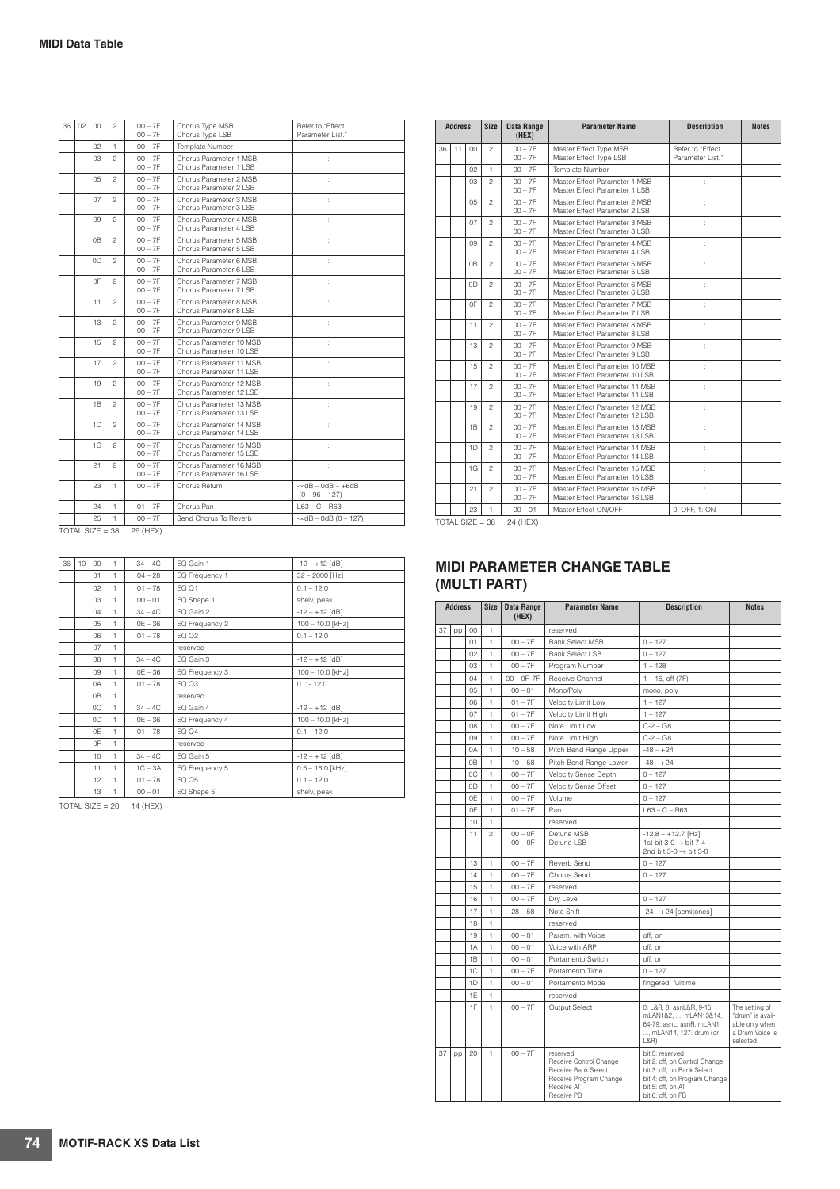| 36 | 02 <sub>2</sub> | 00             | 2              | $00 - 7F$<br>$00 - 7F$ | Chorus Type MSB<br>Chorus Type LSB                  | Refer to "Effect<br>Parameter List."        |
|----|-----------------|----------------|----------------|------------------------|-----------------------------------------------------|---------------------------------------------|
|    |                 | 02             | $\mathbf{1}$   | $00 - 7F$              | Template Number                                     |                                             |
|    |                 | 03             | $\mathfrak{p}$ | $00 - 7F$<br>$00 - 7F$ | Chorus Parameter 1 MSB<br>Chorus Parameter 1 LSB    | ÷                                           |
|    |                 | 05             | $\overline{c}$ | $00 - 7F$<br>$00 - 7F$ | Chorus Parameter 2 MSB<br>Chorus Parameter 2 LSB    | ł.                                          |
|    |                 | 07             | $\overline{c}$ | $00 - 7F$<br>$00 - 7F$ | Chorus Parameter 3 MSB<br>Chorus Parameter 3 LSB    |                                             |
|    |                 | 09             | $\overline{c}$ | $00 - 7F$<br>$00 - 7F$ | Chorus Parameter 4 MSB<br>Chorus Parameter 4 LSB    |                                             |
|    |                 | 0 <sub>B</sub> | $\mathfrak{p}$ | $00 - 7F$<br>$00 - 7F$ | Chorus Parameter 5 MSB<br>Chorus Parameter 5 LSB    | ÷                                           |
|    |                 | 0D             | $\overline{c}$ | $00 - 7F$<br>$00 - 7F$ | Chorus Parameter 6 MSB<br>Chorus Parameter 6 LSB    | ł.                                          |
|    |                 | 0F             | 2              | $00 - 7F$<br>$00 - 7F$ | Chorus Parameter 7 MSB<br>Chorus Parameter 7 LSB    | t                                           |
|    |                 | 11             | $\mathfrak{p}$ | $00 - 7F$<br>$00 - 7F$ | Chorus Parameter 8 MSB<br>Chorus Parameter 8 LSB    | Ì.                                          |
|    |                 | 13             | $\mathfrak{p}$ | $00 - 7F$<br>$00 - 7F$ | Chorus Parameter 9 MSB<br>Chorus Parameter 9 LSB    | t                                           |
|    |                 | 15             | $\overline{c}$ | $00 - 7F$<br>$00 - 7F$ | Chorus Parameter 10 MSB<br>Chorus Parameter 10 LSB  | t                                           |
|    |                 | 17             | $\mathfrak{p}$ | $00 - 7F$<br>$00 - 7F$ | Chorus Parameter 11 MSB<br>Chorus Parameter 11 I SB | t                                           |
|    |                 | 19             | $\mathfrak{p}$ | $00 - 7F$<br>$00 - 7F$ | Chorus Parameter 12 MSB<br>Chorus Parameter 12 LSB  |                                             |
|    |                 | 1 <sub>B</sub> | $\mathfrak{p}$ | $00 - 7F$<br>$00 - 7F$ | Chorus Parameter 13 MSB<br>Chorus Parameter 13 LSB  | ÷                                           |
|    |                 | 1D             | $\overline{c}$ | $00 - 7F$<br>$00 - 7F$ | Chorus Parameter 14 MSB<br>Chorus Parameter 14 LSB  | ł.                                          |
|    |                 | 1G             | $\mathfrak{p}$ | $00 - 7F$<br>$00 - 7F$ | Chorus Parameter 15 MSB<br>Chorus Parameter 15 LSB  | t                                           |
|    |                 | 21             | $\mathfrak{p}$ | $00 - 7F$<br>$00 - 7F$ | Chorus Parameter 16 MSB<br>Chorus Parameter 16 LSB  | ċ                                           |
|    |                 | 23             | $\mathbf{1}$   | $00 - 7F$              | Chorus Return                                       | $-$ ∞dB - 0dB - $+6$ dB<br>$(0 - 96 - 127)$ |
|    |                 | 24             | 1              | $01 - 7F$              | Chorus Pan                                          | $L63 - C - R63$                             |
|    |                 | 25             | $\mathbf{1}$   | $00 - 7F$              | Send Chorus To Reverb                               | $-$ ∞dB $-$ 0dB (0 $-$ 127)                 |

|    | <b>Address</b> |                | <b>Size</b><br><b>Data Range</b><br>(HEX) |                        | <b>Parameter Name</b>                                            | <b>Description</b>                   | <b>Notes</b> |
|----|----------------|----------------|-------------------------------------------|------------------------|------------------------------------------------------------------|--------------------------------------|--------------|
| 36 | 11             | 00             | $\overline{c}$                            | $00 - 7F$<br>$00 - 7F$ | Master Effect Type MSB<br>Master Effect Type LSB                 | Refer to "Effect<br>Parameter List." |              |
|    |                | 02             | 1                                         | $00 - 7F$              | Template Number                                                  |                                      |              |
|    |                | 03             | $\overline{c}$                            | $00 - 7F$<br>$00 - 7F$ | Master Effect Parameter 1 MSB<br>Master Effect Parameter 1 LSB   | ł.                                   |              |
|    |                | $0.5\,$        | $\overline{c}$                            | $00 - 7F$<br>$00 - 7F$ | Master Effect Parameter 2 MSB<br>Master Effect Parameter 2 I SB  |                                      |              |
|    |                | 07             | $\mathfrak{p}$                            | $00 - 7F$<br>$00 - 7F$ | Master Effect Parameter 3 MSB<br>Master Effect Parameter 3 LSB   |                                      |              |
|    |                | 09             | $\mathfrak{p}$                            | $00 - 7F$<br>$00 - 7F$ | Master Effect Parameter 4 MSB<br>Master Effect Parameter 4 LSB   |                                      |              |
|    |                | 0 <sub>B</sub> | $\mathfrak{p}$                            | $00 - 7F$<br>$00 - 7F$ | Master Effect Parameter 5 MSB<br>Master Effect Parameter 5 LSB   |                                      |              |
|    |                | 0D             | $\mathfrak{p}$                            | $00 - 7F$<br>$00 - 7F$ | Master Effect Parameter 6 MSB<br>Master Effect Parameter 6 LSB   | t                                    |              |
|    |                | 0F             | $\mathfrak{p}$                            | $00 - 7F$<br>$00 - 7F$ | Master Effect Parameter 7 MSB<br>Master Effect Parameter 7 LSB   | t                                    |              |
|    |                | 11             | $\mathfrak{p}$                            | $00 - 7F$<br>$00 - 7F$ | Master Effect Parameter 8 MSB<br>Master Effect Parameter 8   SB  | ÷                                    |              |
|    |                | 13             | $\mathfrak{p}$                            | $00 - 7F$<br>$00 - 7F$ | Master Effect Parameter 9 MSB<br>Master Effect Parameter 9   SB  | t,                                   |              |
|    |                | 15             | $\overline{c}$                            | $00 - 7F$<br>$00 - 7F$ | Master Effect Parameter 10 MSB<br>Master Effect Parameter 10 LSB | t                                    |              |
|    |                | 17             | $\mathfrak{p}$                            | $00 - 7F$<br>$00 - 7F$ | Master Effect Parameter 11 MSB<br>Master Effect Parameter 11 LSB | t                                    |              |
|    |                | 19             | $\overline{c}$                            | $00 - 7F$<br>$00 - 7F$ | Master Effect Parameter 12 MSB<br>Master Effect Parameter 12 LSB | ÷                                    |              |
|    |                | 1B             | $\mathfrak{p}$                            | $00 - 7F$<br>$00 - 7F$ | Master Effect Parameter 13 MSB<br>Master Effect Parameter 13 LSB | t                                    |              |
|    |                | 1D             | $\mathfrak{p}$                            | $00 - 7F$<br>$00 - 7F$ | Master Effect Parameter 14 MSB<br>Master Effect Parameter 14 LSB | t                                    |              |
|    |                | 1G             | $\overline{c}$                            | $00 - 7F$<br>$00 - 7F$ | Master Effect Parameter 15 MSB<br>Master Effect Parameter 15 LSB | t                                    |              |
|    |                | 21             | $\mathfrak{p}$                            | $00 - 7F$<br>$00 - 7F$ | Master Effect Parameter 16 MSB<br>Master Effect Parameter 16 LSB | ł.                                   |              |
|    |                | 23             | 1                                         | $00 - 01$              | Master Effect ON/OFF                                             | 0: OFF, 1: ON                        |              |

 $TOTAL SIZE = 38$  26 (HEX)

| 36 | 10 | $00\,$           | 1            | $34 - 4C$ | EQ Gain 1      | $-12 - +12$ [dB]   |
|----|----|------------------|--------------|-----------|----------------|--------------------|
|    |    | 01               | $\mathbf{1}$ | $04 - 28$ | EQ Frequency 1 | $32 - 2000$ [Hz]   |
|    |    | 02               | 1            | $01 - 78$ | EQ Q1          | $0.1 - 12.0$       |
|    |    | 03               | $\mathbf{1}$ | $00 - 01$ | EQ Shape 1     | shelv, peak        |
|    |    | 04               | $\mathbf{1}$ | $34 - 4C$ | EQ Gain 2      | $-12 - +12$ [dB]   |
|    |    | 0.5 <sub>0</sub> | $\mathbf{1}$ | $OE - 36$ | EQ Frequency 2 | 100 - 10.0 [kHz]   |
|    |    | 06               | 1            | $01 - 78$ | EQ 02          | $0.1 - 12.0$       |
|    |    | 07               | $\mathbf{1}$ |           | reserved       |                    |
|    |    | 80               | $\mathbf{1}$ | $34 - 4C$ | EQ Gain 3      | $-12 - +12$ [dB]   |
|    |    | 0.9 <sub>o</sub> | 1            | $OE - 36$ | EQ Frequency 3 | 100 - 10.0 [kHz]   |
|    |    | 0A               | 1            | $01 - 78$ | EQ Q3          | $0.1 - 12.0$       |
|    |    | 0 <sub>B</sub>   | $\mathbf{1}$ |           | reserved       |                    |
|    |    | 0C               | 1            | $34 - 4C$ | EQ Gain 4      | $-12 - +12$ [dB]   |
|    |    | 0D               | 1            | $OE - 36$ | EQ Frequency 4 | 100 - 10.0 [kHz]   |
|    |    | 0E               | $\mathbf{1}$ | $01 - 78$ | EQ 04          | $0.1 - 12.0$       |
|    |    | 0F               | $\mathbf{1}$ |           | reserved       |                    |
|    |    | 10               | 1            | $34 - 4C$ | EQ Gain 5      | $-12 - +12$ [dB]   |
|    |    | 11               | 1            | $1C - 3A$ | EQ Frequency 5 | $0.5 - 16.0$ [kHz] |
|    |    | 12               | 1            | $01 - 78$ | EQ 05          | $0.1 - 12.0$       |
|    |    | 13               | 1            | $00 - 01$ | EQ Shape 5     | shelv, peak        |

 $TOTAL SIZE = 20$  14 (HEX)

# **MIDI PARAMETER CHANGE TABLE**

# **(MULTI PART)**

 $TOTAL$  SIZE = 36 24 (HEX)

|    | <b>Address</b> |                | <b>Size</b>    | <b>Data Range</b><br>(HEX) | <b>Parameter Name</b>                                                                                           | <b>Description</b>                                                                                                                                        | <b>Notes</b>                                                                         |
|----|----------------|----------------|----------------|----------------------------|-----------------------------------------------------------------------------------------------------------------|-----------------------------------------------------------------------------------------------------------------------------------------------------------|--------------------------------------------------------------------------------------|
| 37 | pp             | 00             | 1              |                            | reserved                                                                                                        |                                                                                                                                                           |                                                                                      |
|    |                | 01             | 1              | $00 - 7F$                  | <b>Bank Select MSB</b>                                                                                          | $0 - 127$                                                                                                                                                 |                                                                                      |
|    |                | 02             | 1              | $00 - 7F$                  | <b>Bank Select LSB</b>                                                                                          | $0 - 127$                                                                                                                                                 |                                                                                      |
|    |                | 03             | 1              | $00 - 7F$                  | Program Number                                                                                                  | $1 - 128$                                                                                                                                                 |                                                                                      |
|    |                | 04             | 1              | $00 - 0F$ , $7F$           | Receive Channel                                                                                                 | $1 - 16$ , off (7F)                                                                                                                                       |                                                                                      |
|    |                | 0.5            | 1              | $00 - 01$                  | Mono/Poly                                                                                                       | mono, poly                                                                                                                                                |                                                                                      |
|    |                | 06             | 1              | $01 - 7F$                  | Velocity Limit Low                                                                                              | $1 - 127$                                                                                                                                                 |                                                                                      |
|    |                | 07             | 1              | $01 - 7F$                  | Velocity Limit High                                                                                             | $1 - 127$                                                                                                                                                 |                                                                                      |
|    |                | 08             | 1              | $00 - 7F$                  | Note Limit Low                                                                                                  | $C - 2 - G8$                                                                                                                                              |                                                                                      |
|    |                | 09             | $\mathbf{1}$   | $00 - 7F$                  | Note Limit High                                                                                                 | $C - 2 - G8$                                                                                                                                              |                                                                                      |
|    |                | 0A             | 1              | $10 - 58$                  | Pitch Bend Range Upper                                                                                          | $-48 - +24$                                                                                                                                               |                                                                                      |
|    |                | 0 <sub>B</sub> | 1              | $10 - 58$                  | Pitch Bend Range Lower                                                                                          | $-48 - +24$                                                                                                                                               |                                                                                      |
|    |                | OC.            | 1              | $00 - 7F$                  | Velocity Sense Depth                                                                                            | $0 - 127$                                                                                                                                                 |                                                                                      |
|    |                | <b>OD</b>      | $\mathbf{1}$   | $00 - 7F$                  | Velocity Sense Offset                                                                                           | $0 - 127$                                                                                                                                                 |                                                                                      |
|    |                | 0F             | 1              | $00 - 7F$                  | Volume                                                                                                          | $0 - 127$                                                                                                                                                 |                                                                                      |
|    |                | 0F             | 1              | $01 - 7F$                  | Pan                                                                                                             | $L63 - C - R63$                                                                                                                                           |                                                                                      |
|    |                | 10             | 1              |                            | reserved                                                                                                        |                                                                                                                                                           |                                                                                      |
|    |                | 11             | $\mathfrak{p}$ | $00 - 0F$<br>$00 - 0F$     | Detune MSB<br>Detune LSB                                                                                        | $-12.8 - +12.7$ [Hz]<br>1st bit 3-0 $\rightarrow$ bit 7-4<br>2nd bit 3-0 $\rightarrow$ bit 3-0                                                            |                                                                                      |
|    |                | 13             | 1              | $00 - 7F$                  | Reverb Send                                                                                                     | $0 - 127$                                                                                                                                                 |                                                                                      |
|    |                | 14             | 1              | $00 - 7F$                  | Chorus Send                                                                                                     | $0 - 127$                                                                                                                                                 |                                                                                      |
|    |                | 15             | 1              | $00 - 7F$                  | reserved                                                                                                        |                                                                                                                                                           |                                                                                      |
|    |                | 16             | 1              | $00 - 7F$                  | Dry Level                                                                                                       | $0 - 127$                                                                                                                                                 |                                                                                      |
|    |                | 17             | $\mathbf{1}$   | $28 - 58$                  | Note Shift                                                                                                      | $-24 - +24$ [semitones]                                                                                                                                   |                                                                                      |
|    |                | 18             | 1              |                            | reserved                                                                                                        |                                                                                                                                                           |                                                                                      |
|    |                | 19             | 1              | $00 - 01$                  | Param. with Voice                                                                                               | off, on                                                                                                                                                   |                                                                                      |
|    |                | 1A             | 1              | $00 - 01$                  | Voice with ARP                                                                                                  | off, on                                                                                                                                                   |                                                                                      |
|    |                | 1B             | 1              | $00 - 01$                  | Portamento Switch                                                                                               | off, on                                                                                                                                                   |                                                                                      |
|    |                | 1C             | $\mathbf{1}$   | $00 - 7F$                  | Portamento Time                                                                                                 | $0 - 127$                                                                                                                                                 |                                                                                      |
|    |                | 1D             | 1              | $00 - 01$                  | Portamento Mode                                                                                                 | fingered, fulltime                                                                                                                                        |                                                                                      |
|    |                | 1F             | 1              |                            | reserved                                                                                                        |                                                                                                                                                           |                                                                                      |
|    |                | 1F             | 1              | $00 - 7F$                  | Output Select                                                                                                   | 0: L&R, 8: asnL&R, 9-15:<br>mLAN1&2, , mLAN13&14,<br>64-79: asnL, asnR, mLAN1,<br>, mLAN14, 127: drum (or<br>L&R                                          | The setting of<br>"drum" is avail-<br>able only when<br>a Drum Voice is<br>selected. |
| 37 | pp             | 20             | $\mathbf{1}$   | $00 - 7F$                  | reserved<br>Receive Control Change<br>Receive Bank Select<br>Receive Program Change<br>Receive AT<br>Receive PB | bit 0: reserved<br>bit 2: off, on Control Change<br>bit 3: off, on Bank Select<br>bit 4: off, on Program Change<br>bit 5: off, on AT<br>bit 6: off, on PB |                                                                                      |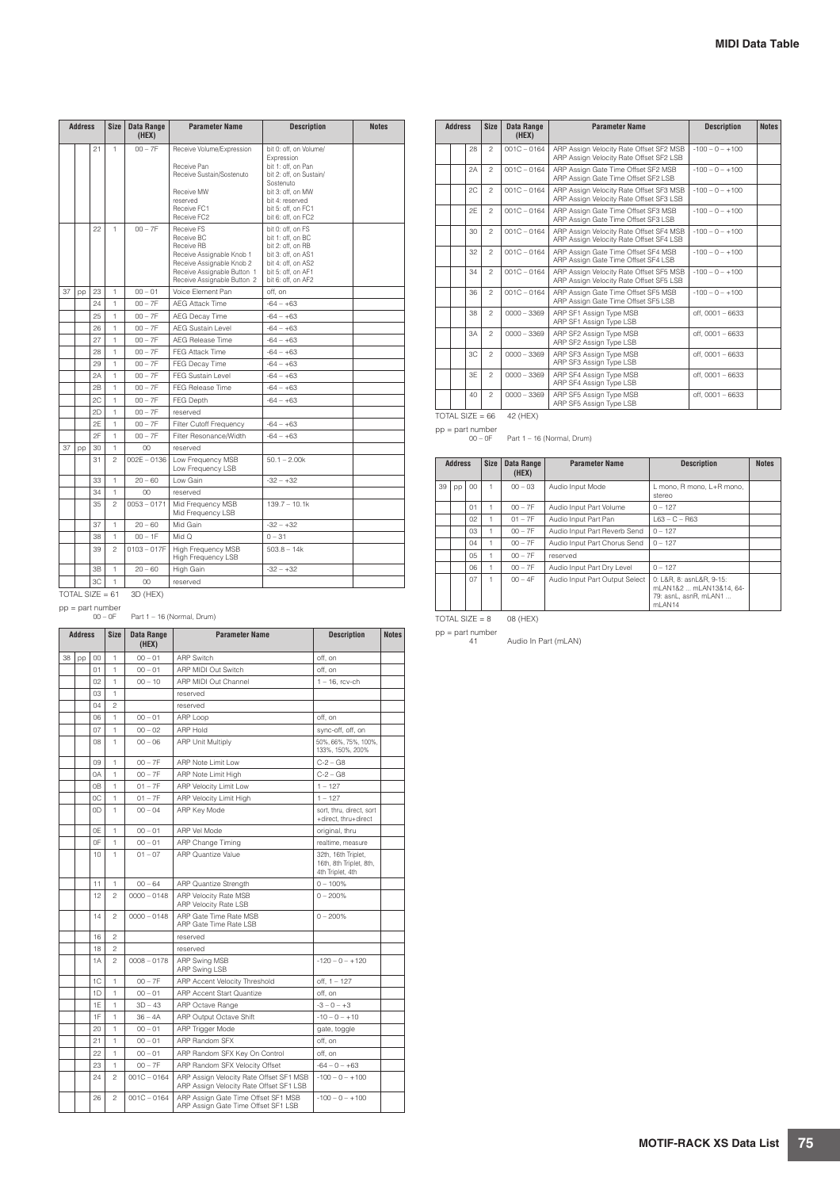|    | <b>Address</b>    |                | Size           | <b>Data Range</b><br>(HEX) | <b>Parameter Name</b>                                                                                                                                          | <b>Description</b>                                                                                                                                                                     | <b>Notes</b> |
|----|-------------------|----------------|----------------|----------------------------|----------------------------------------------------------------------------------------------------------------------------------------------------------------|----------------------------------------------------------------------------------------------------------------------------------------------------------------------------------------|--------------|
|    |                   | 21             | 1              | $00 - 7F$                  | Receive Volume/Expression<br>Receive Pan<br>Receive Sustain/Sostenuto<br>Receive MW<br>reserved<br>Receive FC1<br>Receive FC2                                  | bit 0: off, on Volume/<br>Expression<br>bit 1: off, on Pan<br>bit 2: off. on Sustain/<br>Sostenuto<br>bit 3: off. on MW<br>bit 4: reserved<br>bit 5: off. on FC1<br>bit 6: off. on FC2 |              |
|    |                   | 22             | $\mathbf{1}$   | $00 - 7F$                  | Receive FS<br>Receive BC<br>Receive RB<br>Receive Assignable Knob 1<br>Receive Assignable Knob 2<br>Receive Assignable Button 1<br>Receive Assignable Button 2 | bit 0: off, on FS<br>bit 1: off, on BC<br>bit 2: off. on RB<br>bit 3: off. on AS1<br>bit 4: off. on AS2<br>bit 5: off, on AF1<br>bit 6: off. on AF2                                    |              |
| 37 | pp                | 23             | 1              | $00 - 01$                  | Voice Element Pan                                                                                                                                              | off, on                                                                                                                                                                                |              |
|    |                   | 24             | 1              | $00 - 7F$                  | <b>AEG Attack Time</b>                                                                                                                                         | $-64 - +63$                                                                                                                                                                            |              |
|    |                   | 25             | 1              | $00 - 7F$                  | AEG Decay Time                                                                                                                                                 | $-64 - +63$                                                                                                                                                                            |              |
|    |                   | 26             | 1              | $00 - 7F$                  | <b>AEG Sustain Level</b>                                                                                                                                       | $-64 - +63$                                                                                                                                                                            |              |
|    |                   | 27             | 1              | $00 - 7F$                  | AFG Release Time                                                                                                                                               | $-64 - +63$                                                                                                                                                                            |              |
|    |                   | 28             | 1              | $00 - 7F$                  | FEG Attack Time                                                                                                                                                | $-64 - +63$                                                                                                                                                                            |              |
|    |                   | 29             | 1              | $00 - 7F$                  | FEG Decay Time                                                                                                                                                 | $-64 - +63$                                                                                                                                                                            |              |
|    |                   | 2A             | 1              | $00 - 7F$                  | FEG Sustain Level                                                                                                                                              | $-64 - +63$                                                                                                                                                                            |              |
|    |                   | 2 <sub>R</sub> | 1              | $00 - 7F$                  | FFG Release Time                                                                                                                                               | $-64 - +63$                                                                                                                                                                            |              |
|    |                   | 2C             | 1              | $00 - 7F$                  | FEG Depth                                                                                                                                                      | $-64 - +63$                                                                                                                                                                            |              |
|    |                   | 2D             | 1              | $00 - 7F$                  | reserved                                                                                                                                                       |                                                                                                                                                                                        |              |
|    |                   | 2E             | 1              | $00 - 7F$                  | <b>Filter Cutoff Frequency</b>                                                                                                                                 | $-64 - +63$                                                                                                                                                                            |              |
|    |                   | 2F             | 1              | $00 - 7F$                  | Filter Resonance/Width                                                                                                                                         | $-64 - +63$                                                                                                                                                                            |              |
| 37 | pp                | 30             | 1              | 00                         | reserved                                                                                                                                                       |                                                                                                                                                                                        |              |
|    |                   | 31             | $\mathfrak{p}$ | $002E - 0136$              | Low Frequency MSB<br>Low Frequency LSB                                                                                                                         | $50.1 - 2.00k$                                                                                                                                                                         |              |
|    |                   | 33             | 1              | $20 - 60$                  | Low Gain                                                                                                                                                       | $-32 - +32$                                                                                                                                                                            |              |
|    |                   | 34             | 1              | 00                         | reserved                                                                                                                                                       |                                                                                                                                                                                        |              |
|    |                   | 35             | $\mathfrak{p}$ | $0053 - 0171$              | Mid Frequency MSB<br>Mid Frequency LSB                                                                                                                         | $139.7 - 10.1k$                                                                                                                                                                        |              |
|    |                   | 37             | 1              | $20 - 60$                  | Mid Gain                                                                                                                                                       | $-32 - +32$                                                                                                                                                                            |              |
|    |                   | 38             | $\mathbf{1}$   | $00 - 1F$                  | Mid O                                                                                                                                                          | $0 - 31$                                                                                                                                                                               |              |
|    |                   | 39             | $\mathfrak{p}$ | $0103 - 017F$              | High Frequency MSB<br>High Frequency LSB                                                                                                                       | $503.8 - 14k$                                                                                                                                                                          |              |
|    |                   | 3 <sub>B</sub> | 1              | $20 - 60$                  | High Gain                                                                                                                                                      | $-32 - +32$                                                                                                                                                                            |              |
|    |                   | 3C             | $\mathbf{1}$   | 00                         | reserved                                                                                                                                                       |                                                                                                                                                                                        |              |
|    | TOTAL SIZE = $61$ |                |                | 3D (HEX)                   |                                                                                                                                                                |                                                                                                                                                                                        |              |

#### pp = part number 00 – 0F Part 1 – 16 (Normal, Drum) **Address Size Data Range**

|    | <b>Address</b> |    | <b>Size</b>    | Data Range<br>(HEX) | <b>Parameter Name</b>                                                              | <b>Description</b>                                                 | Notes |
|----|----------------|----|----------------|---------------------|------------------------------------------------------------------------------------|--------------------------------------------------------------------|-------|
| 38 | pp             | 00 | 1              | $00 - 01$           | <b>ARP Switch</b>                                                                  | off. on                                                            |       |
|    |                | 01 | $\mathbf{1}$   | $00 - 01$           | ARP MIDI Out Switch                                                                | off. on                                                            |       |
|    |                | 02 | 1              | $00 - 10$           | ARP MIDI Out Channel                                                               | $1 - 16$ , rcv-ch                                                  |       |
|    |                | 03 | $\mathbf{1}$   |                     | reserved                                                                           |                                                                    |       |
|    |                | 04 | $\overline{c}$ |                     | reserved                                                                           |                                                                    |       |
|    |                | 06 | 1              | $00 - 01$           | ARP Loop                                                                           | off. on                                                            |       |
|    |                | 07 | 1              | $00 - 02$           | <b>ARP Hold</b>                                                                    | sync-off, off, on                                                  |       |
|    |                | 80 | 1              | $00 - 06$           | <b>ARP Unit Multiply</b>                                                           | 50%, 66%, 75%, 100%,<br>133%, 150%, 200%                           |       |
|    |                | 09 | 1              | $00 - 7F$           | ARP Note I imit I ow                                                               | $C - 2 - G8$                                                       |       |
|    |                | 0A | 1              | $00 - 7F$           | ARP Note Limit High                                                                | $C-2 - G8$                                                         |       |
|    |                | 0B | $\mathbf{1}$   | $01 - 7F$           | ARP Velocity Limit Low                                                             | $1 - 127$                                                          |       |
|    |                | 0C | 1              | $01 - 7F$           | <b>ARP Velocity Limit High</b>                                                     | $1 - 127$                                                          |       |
|    |                | 0D | $\mathbf{1}$   | $00 - 04$           | ARP Key Mode                                                                       | sort, thru, direct, sort<br>+direct, thru+direct                   |       |
|    |                | 0E | 1              | $00 - 01$           | ARP Vel Mode                                                                       | original, thru                                                     |       |
|    |                | 0F | $\mathbf{1}$   | $00 - 01$           | ARP Change Timing                                                                  | realtime, measure                                                  |       |
|    |                | 10 | 1              | $01 - 07$           | <b>ARP Quantize Value</b>                                                          | 32th, 16th Triplet,<br>16th, 8th Triplet, 8th,<br>4th Triplet, 4th |       |
|    |                | 11 | $\mathbf{1}$   | $00 - 64$           | <b>ARP Quantize Strength</b>                                                       | $0 - 100%$                                                         |       |
|    |                | 12 | $\mathfrak{p}$ | $0000 - 0148$       | ARP Velocity Rate MSB<br>ARP Velocity Rate LSB                                     | $0 - 200%$                                                         |       |
|    |                | 14 | $\overline{c}$ | $0000 - 0148$       | ARP Gate Time Rate MSB<br>ARP Gate Time Rate LSB                                   | $0 - 200%$                                                         |       |
|    |                | 16 | $\overline{c}$ |                     | reserved                                                                           |                                                                    |       |
|    |                | 18 | $\mathfrak{p}$ |                     | reserved                                                                           |                                                                    |       |
|    |                | 1A | $\overline{c}$ | $0008 - 0178$       | <b>ARP Swing MSB</b><br>ARP Swing LSB                                              | $-120 - 0 - +120$                                                  |       |
|    |                | 1C | $\mathbf{1}$   | $00 - 7F$           | ARP Accent Velocity Threshold                                                      | off. 1 - 127                                                       |       |
|    |                | 1D | 1              | $00 - 01$           | <b>ARP Accent Start Quantize</b>                                                   | off. on                                                            |       |
|    |                | 1F | 1              | $3D - 43$           | ARP Octave Range                                                                   | $-3 - 0 - +3$                                                      |       |
|    |                | 1F | 1              | $36 - 4A$           | ARP Output Octave Shift                                                            | $-10 - 0 - +10$                                                    |       |
|    |                | 20 | $\mathbf{1}$   | $00 - 01$           | ARP Trigger Mode                                                                   | gate, toggle                                                       |       |
|    |                | 21 | 1              | $00 - 01$           | ARP Random SFX                                                                     | off, on                                                            |       |
|    |                | 22 | $\mathbf{1}$   | $00 - 01$           | ARP Random SFX Key On Control                                                      | off. on                                                            |       |
|    |                | 23 | 1              | $00 - 7F$           | ARP Random SFX Velocity Offset                                                     | $-64 - 0 - +63$                                                    |       |
|    |                | 24 | $\overline{c}$ | $001C - 0164$       | ARP Assign Velocity Rate Offset SF1 MSB<br>ARP Assign Velocity Rate Offset SF1 LSB | $-100 - 0 - +100$                                                  |       |
|    |                | 26 | $\overline{c}$ | $001C - 0164$       | ARP Assign Gate Time Offset SF1 MSB<br>ARP Assign Gate Time Offset SF1 LSB         | $-100 - 0 - +100$                                                  |       |

| <b>Address</b>    | <b>Size</b>    | <b>Parameter Name</b><br><b>Data Range</b><br>(HEX) |                                                                                    | <b>Description</b> | <b>Notes</b> |
|-------------------|----------------|-----------------------------------------------------|------------------------------------------------------------------------------------|--------------------|--------------|
| 28                | $\mathfrak{p}$ | $001C - 0164$                                       | ARP Assign Velocity Rate Offset SF2 MSB<br>ARP Assign Velocity Rate Offset SF2 LSB | $-100 - 0 - +100$  |              |
| 2A                | $\mathfrak{p}$ | $001C - 0164$                                       | ARP Assign Gate Time Offset SF2 MSB<br>ARP Assign Gate Time Offset SF2 LSB         | $-100 - 0 - +100$  |              |
| 2C                | $\mathfrak{p}$ | $001C - 0164$                                       | ARP Assign Velocity Rate Offset SF3 MSB<br>ARP Assign Velocity Rate Offset SF3 LSB | $-100 - 0 - +100$  |              |
| 2F                | $\mathfrak{p}$ | $001C - 0164$                                       | ARP Assign Gate Time Offset SF3 MSB<br>ARP Assign Gate Time Offset SF3 LSB         | $-100 - 0 - +100$  |              |
| 30                | $\mathfrak{p}$ | $001C - 0164$                                       | ARP Assign Velocity Rate Offset SF4 MSB<br>ARP Assign Velocity Rate Offset SF4 LSB | $-100 - 0 - +100$  |              |
| 32                | $\mathfrak{p}$ | $001C - 0164$                                       | ARP Assign Gate Time Offset SF4 MSB<br>ARP Assign Gate Time Offset SF4 LSB         | $-100 - 0 - +100$  |              |
| 34                | $\mathfrak{p}$ | $001C - 0164$                                       | ARP Assign Velocity Rate Offset SF5 MSB<br>ARP Assign Velocity Rate Offset SF5 LSB | $-100 - 0 - +100$  |              |
| 36                | $\mathfrak{p}$ | $001C - 0164$                                       | ARP Assign Gate Time Offset SF5 MSB<br>ARP Assign Gate Time Offset SF5 LSB         | $-100 - 0 - +100$  |              |
| 38                | $\mathfrak{p}$ | $0000 - 3369$                                       | ARP SF1 Assign Type MSB<br>ARP SF1 Assign Type LSB                                 | off. 0001 - 6633   |              |
| 3A                | $\mathfrak{p}$ | $0000 - 3369$                                       | ARP SF2 Assign Type MSB<br>ARP SF2 Assign Type LSB                                 | off. 0001 - 6633   |              |
| 3C                | $\mathfrak{p}$ | $0000 - 3369$                                       | ARP SF3 Assign Type MSB<br>ARP SF3 Assign Type LSB                                 | off. 0001 - 6633   |              |
| 3F                | $\mathfrak{p}$ | $0000 - 3369$                                       | ARP SF4 Assign Type MSB<br>ARP SF4 Assign Type LSB                                 | off. 0001 - 6633   |              |
| 40                | $\mathfrak{p}$ | $0000 - 3369$                                       | ARP SF5 Assign Type MSB<br>ARP SF5 Assign Type LSB                                 | off. 0001 - 6633   |              |
| TOTAL SIZE = $66$ |                | 42 (HEX)                                            |                                                                                    |                    |              |

pp = part number 00 – 0F Part 1 – 16 (Normal, Drum)

|                  | <b>Address</b> |               | <b>Size</b> | Data Range<br>(HEX) | <b>Parameter Name</b>          | <b>Description</b>                                                                     | <b>Notes</b> |
|------------------|----------------|---------------|-------------|---------------------|--------------------------------|----------------------------------------------------------------------------------------|--------------|
| 39               | pp             | 00            | 1           | $00 - 03$           | Audio Input Mode               | L mono. R mono. L+R mono.<br>stereo                                                    |              |
|                  |                | 01            | 1           | $00 - 7F$           | Audio Input Part Volume        | $0 - 127$                                                                              |              |
|                  |                | 02            | 1           | $01 - 7F$           | Audio Input Part Pan           | $L63 - C - R63$                                                                        |              |
|                  |                | 03            | 1           | $00 - 7F$           | Audio Input Part Reverb Send   | $0 - 127$                                                                              |              |
|                  |                | 04            | 1           | $00 - 7F$           | Audio Input Part Chorus Send   | $0 - 127$                                                                              |              |
|                  |                | $0.5^{\circ}$ | 1           | $00 - 7F$           | reserved                       |                                                                                        |              |
|                  |                | 06            | 1           | $00 - 7F$           | Audio Input Part Dry Level     | $0 - 127$                                                                              |              |
|                  |                | 07            | 1           | $00 - 4F$           | Audio Input Part Output Select | 0: L&R. 8: asnL&R. 9-15:<br>mLAN1&2  mLAN13&14. 64-<br>79: asnL. asnR. mLAN1<br>mLAN14 |              |
| TOTAL SIZE = $8$ |                |               |             | 08 (HEX)            |                                |                                                                                        |              |

pp = part number 41 Audio In Part (mLAN)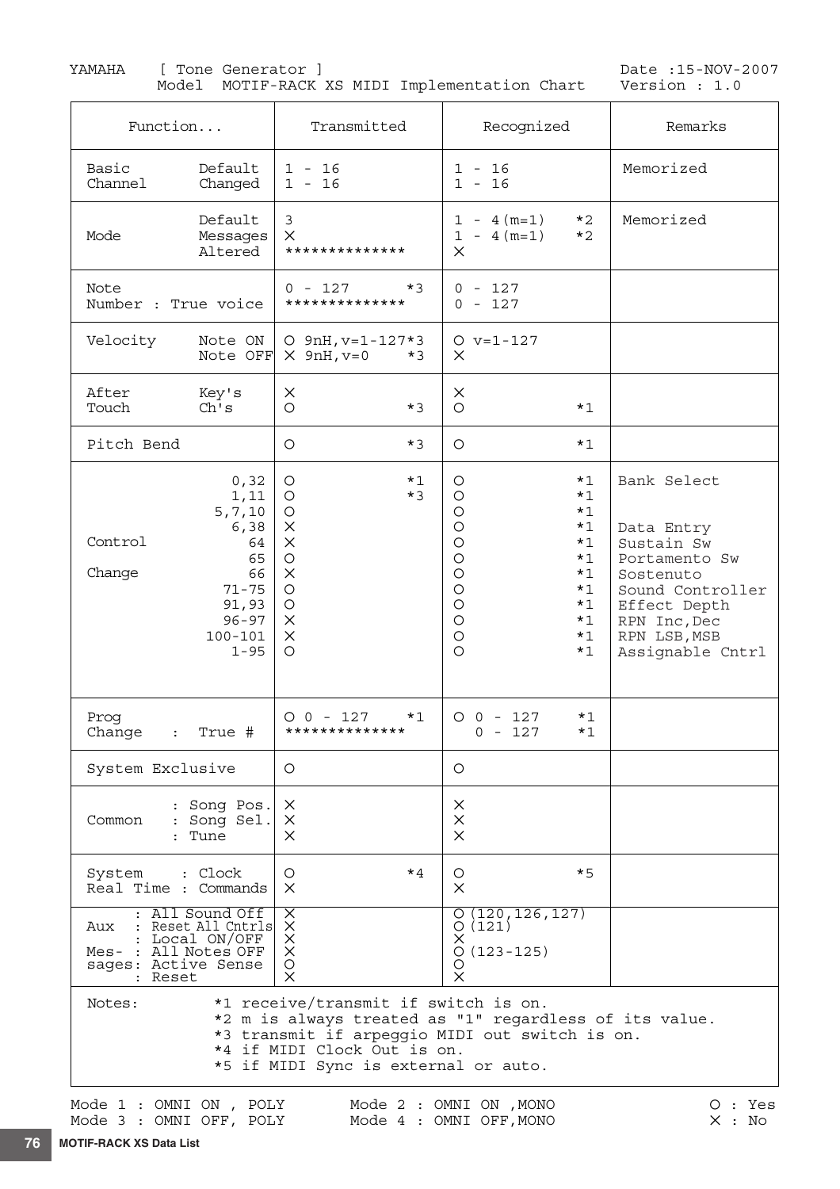YAMAHA [ Tone Generator ]  $Date : 15-NOV-2007$ Model MOTIF-RACK XS MIDI Implementation Chart Version : 1.0

| Function                                                                                                                                                                                                                          |                                                                                                                   | Transmitted                                                                                                                        |              | Recognized                                                                                                                                         |                                                                                              | Remarks                                                                                                                                                       |  |
|-----------------------------------------------------------------------------------------------------------------------------------------------------------------------------------------------------------------------------------|-------------------------------------------------------------------------------------------------------------------|------------------------------------------------------------------------------------------------------------------------------------|--------------|----------------------------------------------------------------------------------------------------------------------------------------------------|----------------------------------------------------------------------------------------------|---------------------------------------------------------------------------------------------------------------------------------------------------------------|--|
| Basic<br>Channel                                                                                                                                                                                                                  | Default<br>Changed                                                                                                | $1 - 16$<br>$1 - 16$                                                                                                               |              | $1 - 16$<br>$1 - 16$                                                                                                                               |                                                                                              | Memorized                                                                                                                                                     |  |
| Mode                                                                                                                                                                                                                              | Default<br>Messages<br>Altered                                                                                    | 3<br>$\times$<br>**************                                                                                                    |              | $1 - 4(m=1)$<br>$1 - 4(m=1)$<br>$\times$                                                                                                           | $*2$<br>$*2$                                                                                 | Memorized                                                                                                                                                     |  |
| Note<br>Number : True voice                                                                                                                                                                                                       |                                                                                                                   | $0 - 127$<br>**************                                                                                                        | $*3$         | $0 - 127$<br>$0 - 127$                                                                                                                             |                                                                                              |                                                                                                                                                               |  |
| Velocity                                                                                                                                                                                                                          | Note ON<br>Note OFF                                                                                               | $O$ 9nH, v=1-127*3<br>$X$ 9nH, $v=0$                                                                                               | $*3$         | $O \, v=1-127$<br>$\times$                                                                                                                         |                                                                                              |                                                                                                                                                               |  |
| After<br>Touch                                                                                                                                                                                                                    | Key's<br>Ch's                                                                                                     | $\times$<br>$\circ$                                                                                                                | $*3$         | $\times$<br>$\circ$                                                                                                                                | $*1$                                                                                         |                                                                                                                                                               |  |
| Pitch Bend                                                                                                                                                                                                                        |                                                                                                                   | $\circ$                                                                                                                            | $*3$         | $\circ$                                                                                                                                            | $*1$                                                                                         |                                                                                                                                                               |  |
| Control<br>Change                                                                                                                                                                                                                 | 0, 32<br>1,11<br>5, 7, 10<br>6,38<br>64<br>65<br>66<br>$71 - 75$<br>91,93<br>$96 - 97$<br>$100 - 101$<br>$1 - 95$ | O<br>$\circ$<br>$\bigcirc$<br>$\times$<br>$\times$<br>$\circ$<br>$\times$<br>$\circ$<br>$\circ$<br>$\times$<br>$\times$<br>$\circ$ | $*1$<br>$*3$ | $\circ$<br>$\bigcirc$<br>$\bigcirc$<br>$\bigcirc$<br>$\circ$<br>$\bigcirc$<br>$\circ$<br>$\circ$<br>$\circ$<br>$\bigcirc$<br>$\bigcirc$<br>$\circ$ | $*1$<br>$*1$<br>$*1$<br>$*1$<br>$*1$<br>$*1$<br>$*1$<br>$*1$<br>$*1$<br>$*1$<br>$*1$<br>$*1$ | Bank Select<br>Data Entry<br>Sustain Sw<br>Portamento Sw<br>Sostenuto<br>Sound Controller<br>Effect Depth<br>RPN Inc, Dec<br>RPN LSB, MSB<br>Assignable Cntrl |  |
| Prog<br>Change : True #                                                                                                                                                                                                           |                                                                                                                   | $O$ 0 - 127<br>**************                                                                                                      | $*1$         | $O$ 0 - 127<br>$0 - 127$                                                                                                                           | *1<br>$*1$                                                                                   |                                                                                                                                                               |  |
| System Exclusive                                                                                                                                                                                                                  |                                                                                                                   | $\circ$                                                                                                                            |              | $\circ$                                                                                                                                            |                                                                                              |                                                                                                                                                               |  |
| : Song Pos.<br>: Song Sel.<br>Common<br>: Tune                                                                                                                                                                                    |                                                                                                                   | $\times$<br>$\times$<br>$\times$                                                                                                   |              | $\times$<br>$\times$<br>$\times$                                                                                                                   |                                                                                              |                                                                                                                                                               |  |
| System : Clock<br>Real Time : Commands                                                                                                                                                                                            |                                                                                                                   | $\circ$<br>$\times$                                                                                                                | $*4$         | $\circ$<br>$\times$                                                                                                                                | $*5$                                                                                         |                                                                                                                                                               |  |
| : All Sound Off<br>: Reset All Cntrls<br>Aux<br>: Local ON/OFF<br>Mes- : All Notes OFF<br>sages: Active Sense<br>: Reset                                                                                                          |                                                                                                                   | ×<br>$\mathsf{X}$<br>$\frac{\times}{\times}$<br>O<br>$\times$                                                                      |              | $\overline{O(120,126,127)}$<br>O(121)<br>X<br>$O(123 - 125)$<br>$\circ$<br>$\times$                                                                |                                                                                              |                                                                                                                                                               |  |
| *1 receive/transmit if switch is on.<br>Notes:<br>*2 m is always treated as "1" regardless of its value.<br>*3 transmit if arpeggio MIDI out switch is on.<br>*4 if MIDI Clock Out is on.<br>*5 if MIDI Sync is external or auto. |                                                                                                                   |                                                                                                                                    |              |                                                                                                                                                    |                                                                                              |                                                                                                                                                               |  |

Mode 1 : OMNI ON , POLY Mode 2 : OMNI ON ,MONO Mode 3 : OMNI OFF, POLY Mode 4 : OMNI OFF, MONO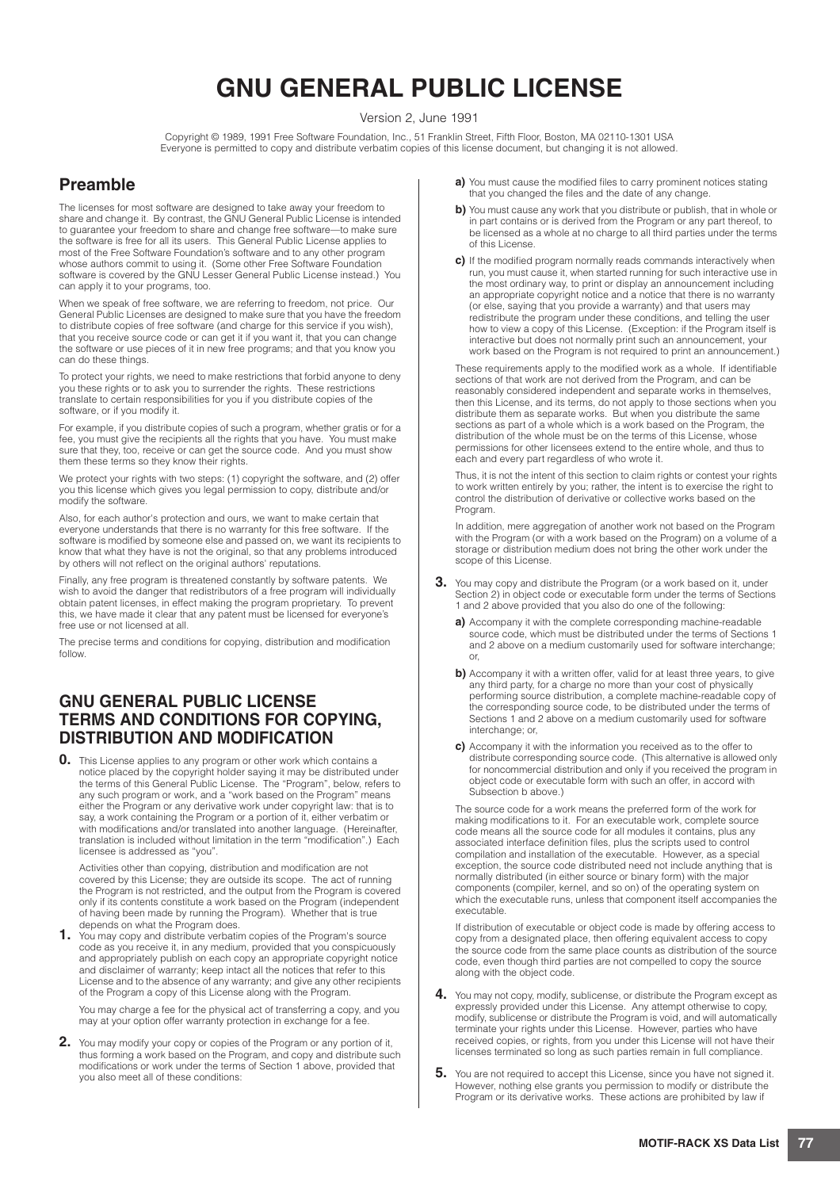# **GNU GENERAL PUBLIC LICENSE**

#### Version 2, June 1991

Copyright © 1989, 1991 Free Software Foundation, Inc., 51 Franklin Street, Fifth Floor, Boston, MA 02110-1301 USA Everyone is permitted to copy and distribute verbatim copies of this license document, but changing it is not allowed.

# **Preamble**

The licenses for most software are designed to take away your freedom to share and change it. By contrast, the GNU General Public License is intended to guarantee your freedom to share and change free software—to make sure the software is free for all its users. This General Public License applies to most of the Free Software Foundation's software and to any other program whose authors commit to using it. (Some other Free Software Foundation software is covered by the GNU Lesser General Public License instead.) You can apply it to your programs, too.

When we speak of free software, we are referring to freedom, not price. Our General Public Licenses are designed to make sure that you have the freedom to distribute copies of free software (and charge for this service if you wish), that you receive source code or can get it if you want it, that you can change the software or use pieces of it in new free programs; and that you know you can do these things.

To protect your rights, we need to make restrictions that forbid anyone to deny you these rights or to ask you to surrender the rights. These restrictions translate to certain responsibilities for you if you distribute copies of the software, or if you modify it.

For example, if you distribute copies of such a program, whether gratis or for a fee, you must give the recipients all the rights that you have. You must make sure that they, too, receive or can get the source code. And you must show them these terms so they know their rights.

We protect your rights with two steps: (1) copyright the software, and (2) offer you this license which gives you legal permission to copy, distribute and/or modify the software.

Also, for each author's protection and ours, we want to make certain that everyone understands that there is no warranty for this free software. If the software is modified by someone else and passed on, we want its recipients to know that what they have is not the original, so that any problems introduced by others will not reflect on the original authors' reputations.

Finally, any free program is threatened constantly by software patents. We wish to avoid the danger that redistributors of a free program will individually obtain patent licenses, in effect making the program proprietary. To prevent this, we have made it clear that any patent must be licensed for everyone's free use or not licensed at all.

The precise terms and conditions for copying, distribution and modification follow.

# **GNU GENERAL PUBLIC LICENSE TERMS AND CONDITIONS FOR COPYING, DISTRIBUTION AND MODIFICATION**

**0.** This License applies to any program or other work which contains a notice placed by the copyright holder saying it may be distributed under the terms of this General Public License. The "Program", below, refers to any such program or work, and a "work based on the Program" means either the Program or any derivative work under copyright law: that is to say, a work containing the Program or a portion of it, either verbatim or with modifications and/or translated into another language. (Hereinafter, translation is included without limitation in the term "modification".) Each licensee is addressed as "you".

Activities other than copying, distribution and modification are not covered by this License; they are outside its scope. The act of running the Program is not restricted, and the output from the Program is covered only if its contents constitute a work based on the Program (independent of having been made by running the Program). Whether that is true

depends on what the Program does. **1.** You may copy and distribute verbatim copies of the Program's source code as you receive it, in any medium, provided that you conspicuously and appropriately publish on each copy an appropriate copyright notice and disclaimer of warranty; keep intact all the notices that refer to this License and to the absence of any warranty; and give any other recipients of the Program a copy of this License along with the Program.

You may charge a fee for the physical act of transferring a copy, and you may at your option offer warranty protection in exchange for a fee.

**2.** You may modify your copy or copies of the Program or any portion of it, thus forming a work based on the Program, and copy and distribute such modifications or work under the terms of Section 1 above, provided that you also meet all of these conditions:

- **a)** You must cause the modified files to carry prominent notices stating that you changed the files and the date of any change.
- **b)** You must cause any work that you distribute or publish, that in whole or in part contains or is derived from the Program or any part thereof, to be licensed as a whole at no charge to all third parties under the terms of this License.
- **c)** If the modified program normally reads commands interactively when run, you must cause it, when started running for such interactive use in the most ordinary way, to print or display an announcement including an appropriate copyright notice and a notice that there is no warranty (or else, saying that you provide a warranty) and that users may redistribute the program under these conditions, and telling the user how to view a copy of this License. (Exception: if the Program itself is interactive but does not normally print such an announcement, your work based on the Program is not required to print an announcement.)

These requirements apply to the modified work as a whole. If identifiable sections of that work are not derived from the Program, and can be reasonably considered independent and separate works in themselves, then this License, and its terms, do not apply to those sections when you distribute them as separate works. But when you distribute the same sections as part of a whole which is a work based on the Program, the distribution of the whole must be on the terms of this License, whose permissions for other licensees extend to the entire whole, and thus to each and every part regardless of who wrote it.

Thus, it is not the intent of this section to claim rights or contest your rights to work written entirely by you; rather, the intent is to exercise the right to control the distribution of derivative or collective works based on the Program.

In addition, mere aggregation of another work not based on the Program with the Program (or with a work based on the Program) on a volume of a storage or distribution medium does not bring the other work under the scope of this License.

- **3.** You may copy and distribute the Program (or a work based on it, under Section 2) in object code or executable form under the terms of Sections 1 and 2 above provided that you also do one of the following:
	- **a)** Accompany it with the complete corresponding machine-readable source code, which must be distributed under the terms of Sections 1 and 2 above on a medium customarily used for software interchange; or,
	- **b)** Accompany it with a written offer, valid for at least three years, to give any third party, for a charge no more than your cost of physically performing source distribution, a complete machine-readable copy of the corresponding source code, to be distributed under the terms of Sections 1 and 2 above on a medium customarily used for software interchange; or,
	- **c)** Accompany it with the information you received as to the offer to distribute corresponding source code. (This alternative is allowed only for noncommercial distribution and only if you received the program in object code or executable form with such an offer, in accord with Subsection b above.)

The source code for a work means the preferred form of the work for making modifications to it. For an executable work, complete source code means all the source code for all modules it contains, plus any associated interface definition files, plus the scripts used to control compilation and installation of the executable. However, as a special exception, the source code distributed need not include anything that is normally distributed (in either source or binary form) with the major components (compiler, kernel, and so on) of the operating system on which the executable runs, unless that component itself accompanies the executable.

If distribution of executable or object code is made by offering access to copy from a designated place, then offering equivalent access to copy the source code from the same place counts as distribution of the source code, even though third parties are not compelled to copy the source along with the object code.

- **4.** You may not copy, modify, sublicense, or distribute the Program except as expressly provided under this License. Any attempt otherwise to copy, modify, sublicense or distribute the Program is void, and will automatically terminate your rights under this License. However, parties who have received copies, or rights, from you under this License will not have their licenses terminated so long as such parties remain in full compliance.
- **5.** You are not required to accept this License, since you have not signed it. However, nothing else grants you permission to modify or distribute the Program or its derivative works. These actions are prohibited by law if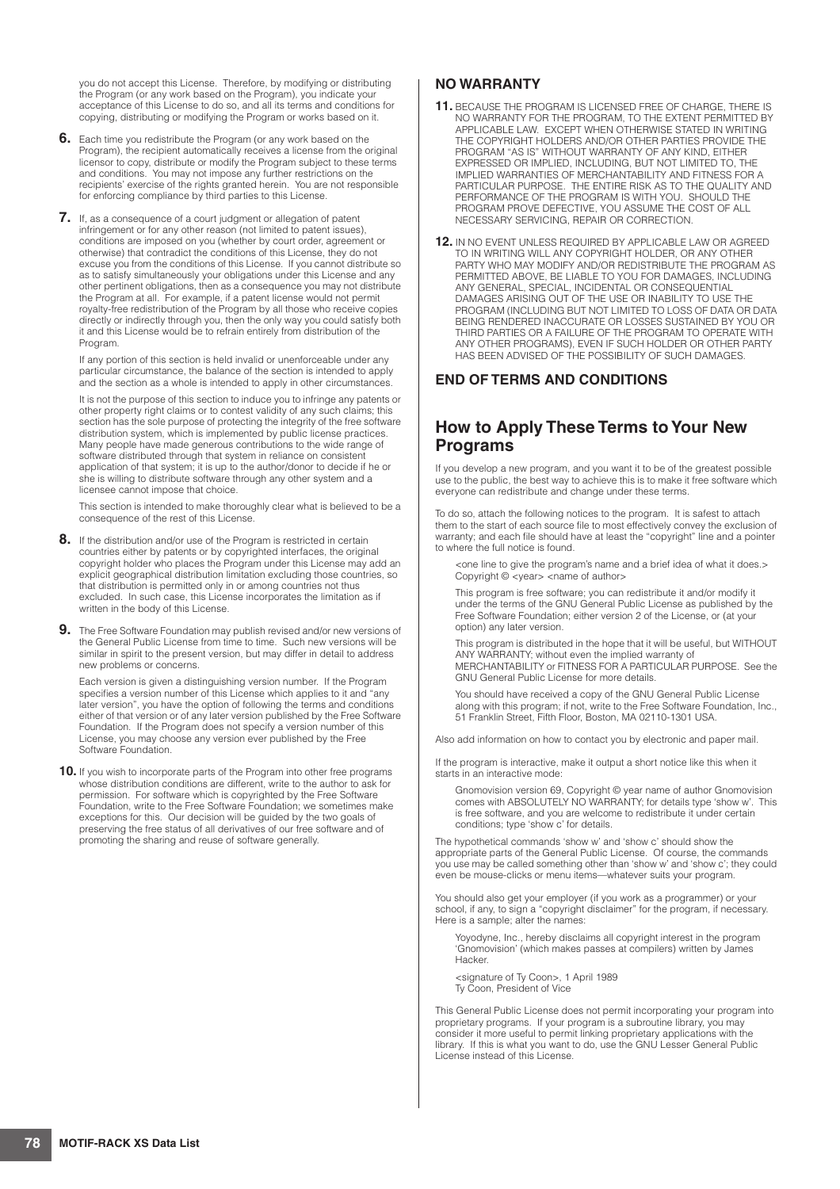you do not accept this License. Therefore, by modifying or distributing the Program (or any work based on the Program), you indicate your acceptance of this License to do so, and all its terms and conditions for copying, distributing or modifying the Program or works based on it.

- **6.** Each time you redistribute the Program (or any work based on the Program), the recipient automatically receives a license from the original licensor to copy, distribute or modify the Program subject to these terms and conditions. You may not impose any further restrictions on the recipients' exercise of the rights granted herein. You are not responsible for enforcing compliance by third parties to this License.
- **7.** If, as a consequence of a court judgment or allegation of patent infringement or for any other reason (not limited to patent issues), conditions are imposed on you (whether by court order, agreement or otherwise) that contradict the conditions of this License, they do not excuse you from the conditions of this License. If you cannot distribute so as to satisfy simultaneously your obligations under this License and any other pertinent obligations, then as a consequence you may not distribute the Program at all. For example, if a patent license would not permit royalty-free redistribution of the Program by all those who receive copies directly or indirectly through you, then the only way you could satisfy both it and this License would be to refrain entirely from distribution of the Program.

If any portion of this section is held invalid or unenforceable under any particular circumstance, the balance of the section is intended to apply and the section as a whole is intended to apply in other circumstances.

It is not the purpose of this section to induce you to infringe any patents or other property right claims or to contest validity of any such claims; this section has the sole purpose of protecting the integrity of the free software distribution system, which is implemented by public license practices. Many people have made generous contributions to the wide range of software distributed through that system in reliance on consistent application of that system; it is up to the author/donor to decide if he or she is willing to distribute software through any other system and a licensee cannot impose that choice.

This section is intended to make thoroughly clear what is believed to be a consequence of the rest of this License.

- **8.** If the distribution and/or use of the Program is restricted in certain countries either by patents or by copyrighted interfaces, the original copyright holder who places the Program under this License may add an explicit geographical distribution limitation excluding those countries, so that distribution is permitted only in or among countries not thus excluded. In such case, this License incorporates the limitation as if written in the body of this License.
- **9.** The Free Software Foundation may publish revised and/or new versions of the General Public License from time to time. Such new versions will be similar in spirit to the present version, but may differ in detail to address new problems or concerns.

Each version is given a distinguishing version number. If the Program specifies a version number of this License which applies to it and "any later version", you have the option of following the terms and conditions either of that version or of any later version published by the Free Software Foundation. If the Program does not specify a version number of this License, you may choose any version ever published by the Free Software Foundation.

**10.** If you wish to incorporate parts of the Program into other free programs whose distribution conditions are different, write to the author to ask for permission. For software which is copyrighted by the Free Software Foundation, write to the Free Software Foundation; we sometimes make exceptions for this. Our decision will be guided by the two goals of preserving the free status of all derivatives of our free software and of promoting the sharing and reuse of software generally.

#### **NO WARRANTY**

- **11.** BECAUSE THE PROGRAM IS LICENSED FREE OF CHARGE, THERE IS NO WARRANTY FOR THE PROGRAM, TO THE EXTENT PERMITTED BY APPLICABLE LAW. EXCEPT WHEN OTHERWISE STATED IN WRITING THE COPYRIGHT HOLDERS AND/OR OTHER PARTIES PROVIDE THE PROGRAM "AS IS" WITHOUT WARRANTY OF ANY KIND, EITHER EXPRESSED OR IMPLIED, INCLUDING, BUT NOT LIMITED TO, THE IMPLIED WARRANTIES OF MERCHANTABILITY AND FITNESS FOR A PARTICULAR PURPOSE. THE ENTIRE RISK AS TO THE QUALITY AND PERFORMANCE OF THE PROGRAM IS WITH YOU. SHOULD THE PROGRAM PROVE DEFECTIVE, YOU ASSUME THE COST OF ALL NECESSARY SERVICING, REPAIR OR CORRECTION.
- **12.** IN NO EVENT UNLESS REQUIRED BY APPLICABLE LAW OR AGREED TO IN WRITING WILL ANY COPYRIGHT HOLDER, OR ANY OTHER PARTY WHO MAY MODIFY AND/OR REDISTRIBUTE THE PROGRAM AS PERMITTED ABOVE, BE LIABLE TO YOU FOR DAMAGES, INCLUDING ANY GENERAL, SPECIAL, INCIDENTAL OR CONSEQUENTIAL DAMAGES ARISING OUT OF THE USE OR INABILITY TO USE THE PROGRAM (INCLUDING BUT NOT LIMITED TO LOSS OF DATA OR DATA BEING RENDERED INACCURATE OR LOSSES SUSTAINED BY YOU OR THIRD PARTIES OR A FAILURE OF THE PROGRAM TO OPERATE WITH ANY OTHER PROGRAMS), EVEN IF SUCH HOLDER OR OTHER PARTY HAS BEEN ADVISED OF THE POSSIBILITY OF SUCH DAMAGES.

### **END OF TERMS AND CONDITIONS**

# **How to Apply These Terms to Your New Programs**

If you develop a new program, and you want it to be of the greatest possible use to the public, the best way to achieve this is to make it free software which everyone can redistribute and change under these terms.

To do so, attach the following notices to the program. It is safest to attach them to the start of each source file to most effectively convey the exclusion of warranty; and each file should have at least the "copyright" line and a pointer to where the full notice is found.

<one line to give the program's name and a brief idea of what it does.> Copyright © <year> <name of author>

This program is free software; you can redistribute it and/or modify it under the terms of the GNU General Public License as published by the Free Software Foundation; either version 2 of the License, or (at your option) any later version.

This program is distributed in the hope that it will be useful, but WITHOUT ANY WARRANTY; without even the implied warranty of MERCHANTABILITY or FITNESS FOR A PARTICULAR PURPOSE. See the GNU General Public License for more details.

You should have received a copy of the GNU General Public License along with this program; if not, write to the Free Software Foundation, Inc., 51 Franklin Street, Fifth Floor, Boston, MA 02110-1301 USA.

Also add information on how to contact you by electronic and paper mail.

If the program is interactive, make it output a short notice like this when it starts in an interactive mode:

Gnomovision version 69, Copyright © year name of author Gnomovision comes with ABSOLUTELY NO WARRANTY; for details type 'show w'. This is free software, and you are welcome to redistribute it under certain conditions; type 'show c' for details.

The hypothetical commands 'show w' and 'show c' should show the appropriate parts of the General Public License. Of course, the commands you use may be called something other than 'show w' and 'show c'; they could even be mouse-clicks or menu items—whatever suits your program.

You should also get your employer (if you work as a programmer) or your school, if any, to sign a "copyright disclaimer" for the program, if necessary. Here is a sample; alter the names:

Yoyodyne, Inc., hereby disclaims all copyright interest in the program 'Gnomovision' (which makes passes at compilers) written by James **Hacker** 

<signature of Ty Coon>, 1 April 1989 Ty Coon, President of Vice

This General Public License does not permit incorporating your program into proprietary programs. If your program is a subroutine library, you may consider it more useful to permit linking proprietary applications with the library. If this is what you want to do, use the GNU Lesser General Public License instead of this License.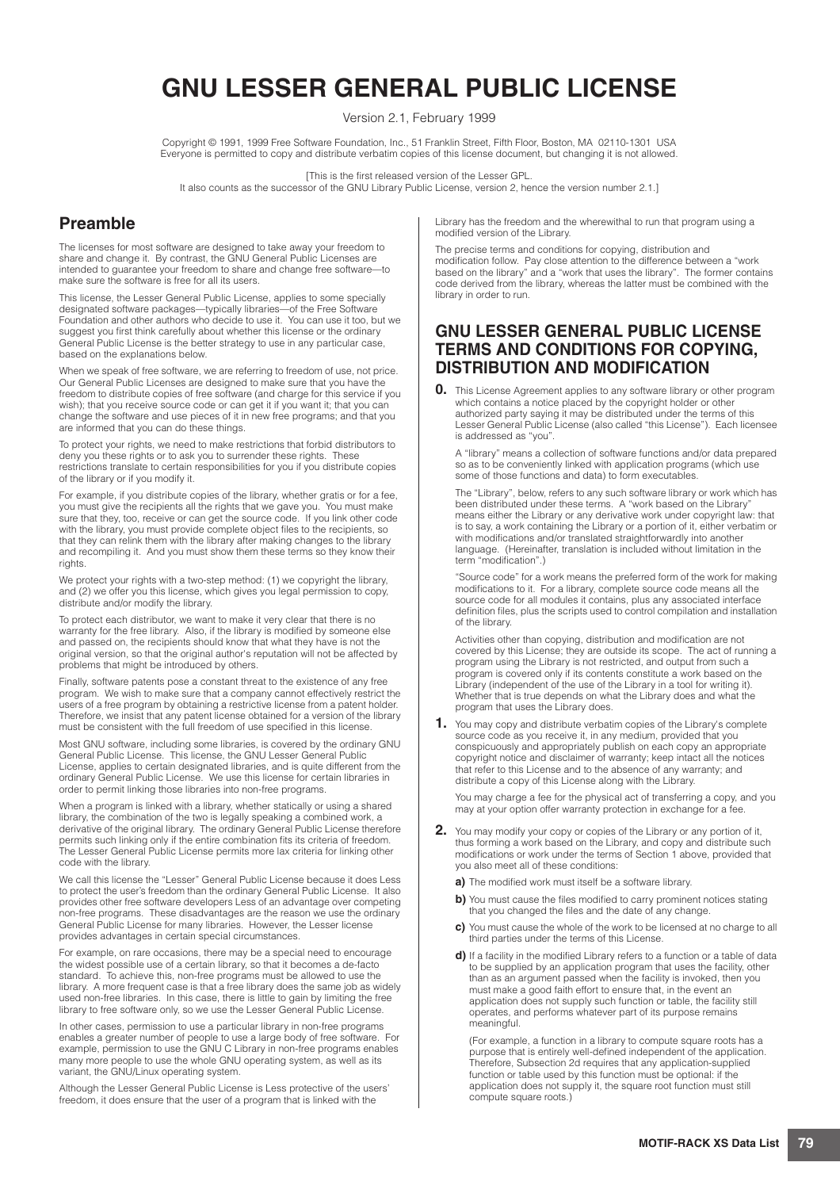# **GNU LESSER GENERAL PUBLIC LICENSE**

Version 2.1, February 1999

Copyright © 1991, 1999 Free Software Foundation, Inc., 51 Franklin Street, Fifth Floor, Boston, MA 02110-1301 USA Everyone is permitted to copy and distribute verbatim copies of this license document, but changing it is not allowed.

[This is the first released version of the Lesser GPL.

It also counts as the successor of the GNU Library Public License, version 2, hence the version number 2.1.]

# **Preamble**

The licenses for most software are designed to take away your freedom to share and change it. By contrast, the GNU General Public Licenses are intended to guarantee your freedom to share and change free software—to make sure the software is free for all its users.

This license, the Lesser General Public License, applies to some specially designated software packages—typically libraries—of the Free Software Foundation and other authors who decide to use it. You can use it too, but we suggest you first think carefully about whether this license or the ordinary General Public License is the better strategy to use in any particular case, based on the explanations below.

When we speak of free software, we are referring to freedom of use, not price. Our General Public Licenses are designed to make sure that you have the freedom to distribute copies of free software (and charge for this service if you wish); that you receive source code or can get it if you want it; that you can change the software and use pieces of it in new free programs; and that you are informed that you can do these things.

To protect your rights, we need to make restrictions that forbid distributors to deny you these rights or to ask you to surrender these rights. These restrictions translate to certain responsibilities for you if you distribute copies of the library or if you modify it.

For example, if you distribute copies of the library, whether gratis or for a fee, you must give the recipients all the rights that we gave you. You must make sure that they, too, receive or can get the source code. If you link other code with the library, you must provide complete object files to the recipients, so that they can relink them with the library after making changes to the library and recompiling it. And you must show them these terms so they know their rights

We protect your rights with a two-step method: (1) we copyright the library, and (2) we offer you this license, which gives you legal permission to copy, distribute and/or modify the library.

To protect each distributor, we want to make it very clear that there is no warranty for the free library. Also, if the library is modified by someone else and passed on, the recipients should know that what they have is not the original version, so that the original author's reputation will not be affected by problems that might be introduced by others.

Finally, software patents pose a constant threat to the existence of any free program. We wish to make sure that a company cannot effectively restrict the users of a free program by obtaining a restrictive license from a patent holder. Therefore, we insist that any patent license obtained for a version of the library must be consistent with the full freedom of use specified in this license.

Most GNU software, including some libraries, is covered by the ordinary GNU General Public License. This license, the GNU Lesser General Public License, applies to certain designated libraries, and is quite different from the ordinary General Public License. We use this license for certain libraries in order to permit linking those libraries into non-free programs.

When a program is linked with a library, whether statically or using a shared library, the combination of the two is legally speaking a combined work, a derivative of the original library. The ordinary General Public License therefore permits such linking only if the entire combination fits its criteria of freedom. The Lesser General Public License permits more lax criteria for linking other code with the library.

We call this license the "Lesser" General Public License because it does Less to protect the user's freedom than the ordinary General Public License. It also provides other free software developers Less of an advantage over competing non-free programs. These disadvantages are the reason we use the ordinary General Public License for many libraries. However, the Lesser license provides advantages in certain special circumstances.

For example, on rare occasions, there may be a special need to encourage the widest possible use of a certain library, so that it becomes a de-facto standard. To achieve this, non-free programs must be allowed to use the library. A more frequent case is that a free library does the same job as widely used non-free libraries. In this case, there is little to gain by limiting the free library to free software only, so we use the Lesser General Public License.

In other cases, permission to use a particular library in non-free programs enables a greater number of people to use a large body of free software. For example, permission to use the GNU C Library in non-free programs enables many more people to use the whole GNU operating system, as well as its variant, the GNU/Linux operating system.

Although the Lesser General Public License is Less protective of the users' freedom, it does ensure that the user of a program that is linked with the

Library has the freedom and the wherewithal to run that program using a modified version of the Library.

The precise terms and conditions for copying, distribution and modification follow. Pay close attention to the difference between a "work based on the library" and a "work that uses the library". The former contains code derived from the library, whereas the latter must be combined with the library in order to run.

# **GNU LESSER GENERAL PUBLIC LICENSE TERMS AND CONDITIONS FOR COPYING, DISTRIBUTION AND MODIFICATION**

**0.** This License Agreement applies to any software library or other program which contains a notice placed by the copyright holder or other authorized party saying it may be distributed under the terms of this Lesser General Public License (also called "this License"). Each licensee is addressed as "you".

A "library" means a collection of software functions and/or data prepared so as to be conveniently linked with application programs (which use some of those functions and data) to form executables.

The "Library", below, refers to any such software library or work which has been distributed under these terms. A "work based on the Library" means either the Library or any derivative work under copyright law: that is to say, a work containing the Library or a portion of it, either verbatim or with modifications and/or translated straightforwardly into another language. (Hereinafter, translation is included without limitation in the term "modification".)

"Source code" for a work means the preferred form of the work for making modifications to it. For a library, complete source code means all the source code for all modules it contains, plus any associated interface definition files, plus the scripts used to control compilation and installation of the library.

Activities other than copying, distribution and modification are not covered by this License; they are outside its scope. The act of running a program using the Library is not restricted, and output from such a program is covered only if its contents constitute a work based on the Library (independent of the use of the Library in a tool for writing it). Whether that is true depends on what the Library does and what the program that uses the Library does.

**1.** You may copy and distribute verbatim copies of the Library's complete source code as you receive it, in any medium, provided that you conspicuously and appropriately publish on each copy an appropriate copyright notice and disclaimer of warranty; keep intact all the notices that refer to this License and to the absence of any warranty; and distribute a copy of this License along with the Library.

You may charge a fee for the physical act of transferring a copy, and you may at your option offer warranty protection in exchange for a fee.

- **2.** You may modify your copy or copies of the Library or any portion of it, thus forming a work based on the Library, and copy and distribute such modifications or work under the terms of Section 1 above, provided that you also meet all of these conditions:
	- **a)** The modified work must itself be a software library.
	- **b)** You must cause the files modified to carry prominent notices stating that you changed the files and the date of any change.
	- **c)** You must cause the whole of the work to be licensed at no charge to all third parties under the terms of this License.
	- **d)** If a facility in the modified Library refers to a function or a table of data to be supplied by an application program that uses the facility, other than as an argument passed when the facility is invoked, then you must make a good faith effort to ensure that, in the event an application does not supply such function or table, the facility still operates, and performs whatever part of its purpose remains meaningful.

(For example, a function in a library to compute square roots has a purpose that is entirely well-defined independent of the application. Therefore, Subsection 2d requires that any application-supplied function or table used by this function must be optional: if the application does not supply it, the square root function must still compute square roots.)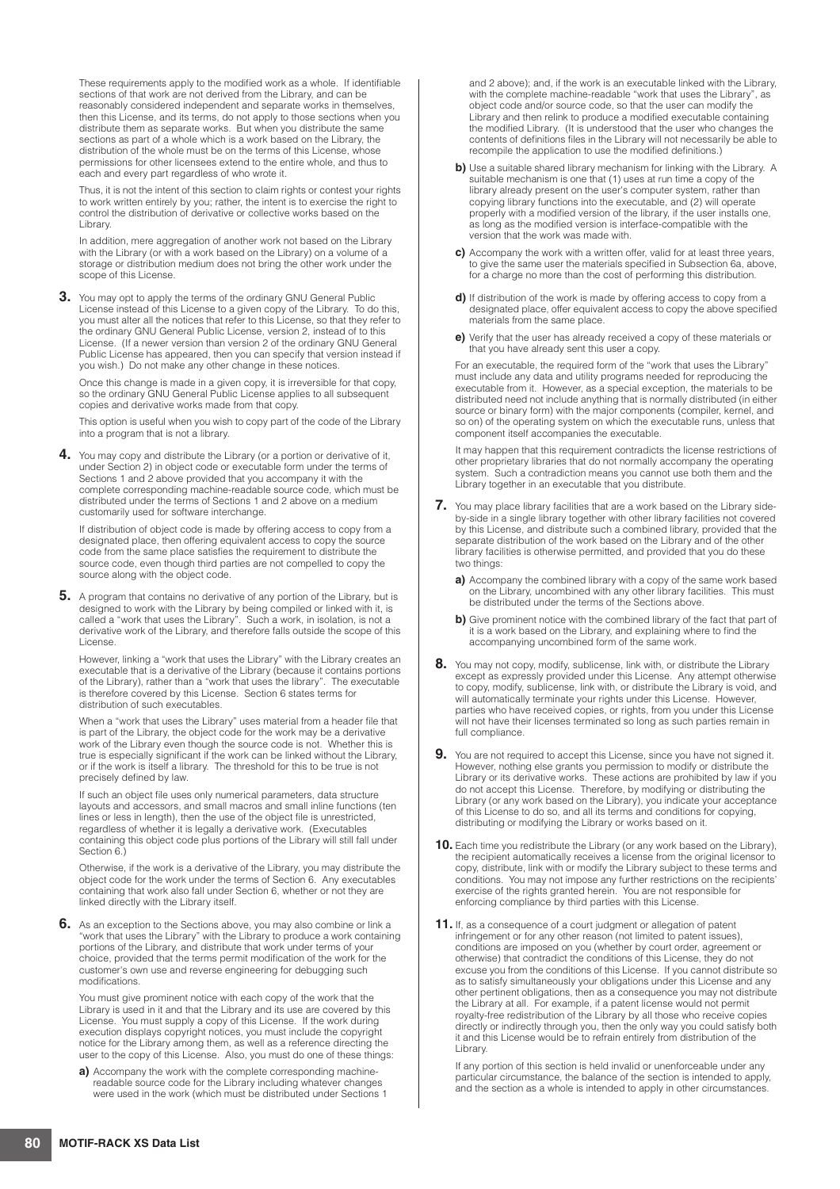These requirements apply to the modified work as a whole. If identifiable sections of that work are not derived from the Library, and can be reasonably considered independent and separate works in themselves, then this License, and its terms, do not apply to those sections when you distribute them as separate works. But when you distribute the same sections as part of a whole which is a work based on the Library, the distribution of the whole must be on the terms of this License, whose permissions for other licensees extend to the entire whole, and thus to each and every part regardless of who wrote it.

Thus, it is not the intent of this section to claim rights or contest your rights to work written entirely by you; rather, the intent is to exercise the right to control the distribution of derivative or collective works based on the Library.

In addition, mere aggregation of another work not based on the Library with the Library (or with a work based on the Library) on a volume of a storage or distribution medium does not bring the other work under the scope of this License.

**3.** You may opt to apply the terms of the ordinary GNU General Public License instead of this License to a given copy of the Library. To do this, you must alter all the notices that refer to this License, so that they refer to the ordinary GNU General Public License, version 2, instead of to this License. (If a newer version than version 2 of the ordinary GNU General Public License has appeared, then you can specify that version instead if you wish.) Do not make any other change in these notices.

Once this change is made in a given copy, it is irreversible for that copy, so the ordinary GNU General Public License applies to all subsequent copies and derivative works made from that copy.

This option is useful when you wish to copy part of the code of the Library into a program that is not a library.

**4.** You may copy and distribute the Library (or a portion or derivative of it, under Section 2) in object code or executable form under the terms of Sections 1 and 2 above provided that you accompany it with the complete corresponding machine-readable source code, which must be distributed under the terms of Sections 1 and 2 above on a medium customarily used for software interchange.

If distribution of object code is made by offering access to copy from a designated place, then offering equivalent access to copy the source code from the same place satisfies the requirement to distribute the source code, even though third parties are not compelled to copy the source along with the object code.

**5.** A program that contains no derivative of any portion of the Library, but is designed to work with the Library by being compiled or linked with it, is called a "work that uses the Library". Such a work, in isolation, is not a derivative work of the Library, and therefore falls outside the scope of this License.

However, linking a "work that uses the Library" with the Library creates an executable that is a derivative of the Library (because it contains portions of the Library), rather than a "work that uses the library". The executable is therefore covered by this License. Section 6 states terms for distribution of such executables.

When a "work that uses the Library" uses material from a header file that is part of the Library, the object code for the work may be a derivative work of the Library even though the source code is not. Whether this is true is especially significant if the work can be linked without the Library, or if the work is itself a library. The threshold for this to be true is not precisely defined by law.

If such an object file uses only numerical parameters, data structure layouts and accessors, and small macros and small inline functions (ten lines or less in length), then the use of the object file is unrestricted, regardless of whether it is legally a derivative work. (Executables containing this object code plus portions of the Library will still fall under Section 6.)

Otherwise, if the work is a derivative of the Library, you may distribute the object code for the work under the terms of Section 6. Any executables containing that work also fall under Section 6, whether or not they are linked directly with the Library itself.

**6.** As an exception to the Sections above, you may also combine or link a "work that uses the Library" with the Library to produce a work containing portions of the Library, and distribute that work under terms of your choice, provided that the terms permit modification of the work for the customer's own use and reverse engineering for debugging such modifications.

You must give prominent notice with each copy of the work that the Library is used in it and that the Library and its use are covered by this License. You must supply a copy of this License. If the work during execution displays copyright notices, you must include the copyright notice for the Library among them, as well as a reference directing the user to the copy of this License. Also, you must do one of these things:

**a)** Accompany the work with the complete corresponding machine-readable source code for the Library including whatever changes were used in the work (which must be distributed under Sections 1 and 2 above); and, if the work is an executable linked with the Library, with the complete machine-readable "work that uses the Library", as object code and/or source code, so that the user can modify the Library and then relink to produce a modified executable containing the modified Library. (It is understood that the user who changes the contents of definitions files in the Library will not necessarily be able to recompile the application to use the modified definitions.)

- **b)** Use a suitable shared library mechanism for linking with the Library. A suitable mechanism is one that (1) uses at run time a copy of the library already present on the user's computer system, rather than copying library functions into the executable, and (2) will operate properly with a modified version of the library, if the user installs one, as long as the modified version is interface-compatible with the version that the work was made with.
- **c)** Accompany the work with a written offer, valid for at least three years, to give the same user the materials specified in Subsection 6a, above, for a charge no more than the cost of performing this distribution.
- **d)** If distribution of the work is made by offering access to copy from a designated place, offer equivalent access to copy the above specified materials from the same place.
- **e)** Verify that the user has already received a copy of these materials or that you have already sent this user a copy.

For an executable, the required form of the "work that uses the Library" must include any data and utility programs needed for reproducing the executable from it. However, as a special exception, the materials to be distributed need not include anything that is normally distributed (in either source or binary form) with the major components (compiler, kernel, and so on) of the operating system on which the executable runs, unless that component itself accompanies the executable.

It may happen that this requirement contradicts the license restrictions of other proprietary libraries that do not normally accompany the operating system. Such a contradiction means you cannot use both them and the Library together in an executable that you distribute.

- **7.** You may place library facilities that are a work based on the Library sideby-side in a single library together with other library facilities not covered by this License, and distribute such a combined library, provided that the separate distribution of the work based on the Library and of the other library facilities is otherwise permitted, and provided that you do these two things:
	- **a)** Accompany the combined library with a copy of the same work based on the Library, uncombined with any other library facilities. This must be distributed under the terms of the Sections above.
	- **b)** Give prominent notice with the combined library of the fact that part of it is a work based on the Library, and explaining where to find the accompanying uncombined form of the same work.
- **8.** You may not copy, modify, sublicense, link with, or distribute the Library except as expressly provided under this License. Any attempt otherwise to copy, modify, sublicense, link with, or distribute the Library is void, and will automatically terminate your rights under this License. However, parties who have received copies, or rights, from you under this License will not have their licenses terminated so long as such parties remain in full compliance.
- **9.** You are not required to accept this License, since you have not signed it. However, nothing else grants you permission to modify or distribute the Library or its derivative works. These actions are prohibited by law if you do not accept this License. Therefore, by modifying or distributing the Library (or any work based on the Library), you indicate your acceptance of this License to do so, and all its terms and conditions for copying, distributing or modifying the Library or works based on it.
- **10.** Each time you redistribute the Library (or any work based on the Library), the recipient automatically receives a license from the original licensor to copy, distribute, link with or modify the Library subject to these terms and conditions. You may not impose any further restrictions on the recipients' exercise of the rights granted herein. You are not responsible for enforcing compliance by third parties with this License.
- **11.** If, as a consequence of a court judgment or allegation of patent infringement or for any other reason (not limited to patent issues), conditions are imposed on you (whether by court order, agreement or otherwise) that contradict the conditions of this License, they do not excuse you from the conditions of this License. If you cannot distribute so as to satisfy simultaneously your obligations under this License and any other pertinent obligations, then as a consequence you may not distribute the Library at all. For example, if a patent license would not permit royalty-free redistribution of the Library by all those who receive copies directly or indirectly through you, then the only way you could satisfy both it and this License would be to refrain entirely from distribution of the Library.

If any portion of this section is held invalid or unenforceable under any particular circumstance, the balance of the section is intended to apply, and the section as a whole is intended to apply in other circumstances.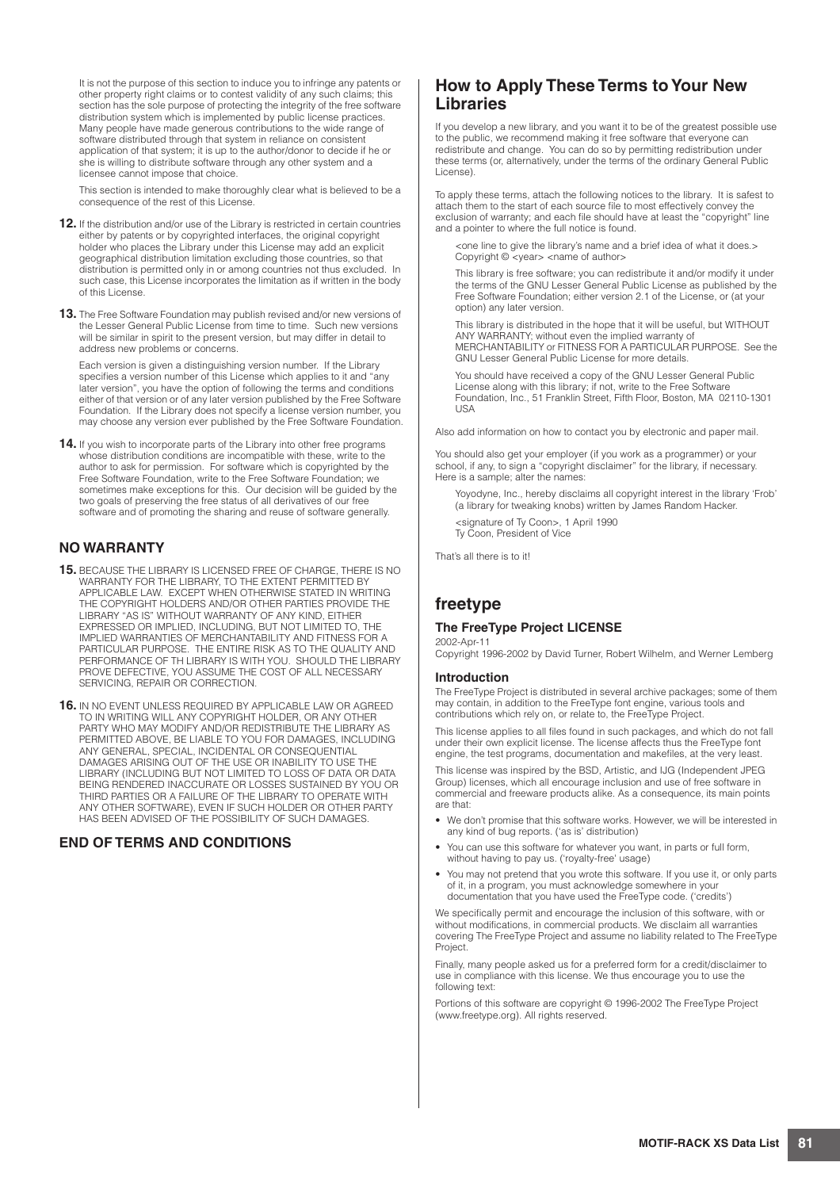It is not the purpose of this section to induce you to infringe any patents or other property right claims or to contest validity of any such claims; this section has the sole purpose of protecting the integrity of the free software distribution system which is implemented by public license practices. Many people have made generous contributions to the wide range of software distributed through that system in reliance on consistent application of that system; it is up to the author/donor to decide if he or she is willing to distribute software through any other system and a licensee cannot impose that choice.

This section is intended to make thoroughly clear what is believed to be a consequence of the rest of this License.

- **12.** If the distribution and/or use of the Library is restricted in certain countries either by patents or by copyrighted interfaces, the original copyright holder who places the Library under this License may add an explicit geographical distribution limitation excluding those countries, so that distribution is permitted only in or among countries not thus excluded. In such case, this License incorporates the limitation as if written in the body of this License.
- **13.** The Free Software Foundation may publish revised and/or new versions of the Lesser General Public License from time to time. Such new versions will be similar in spirit to the present version, but may differ in detail to address new problems or concerns.

Each version is given a distinguishing version number. If the Library specifies a version number of this License which applies to it and "any later version", you have the option of following the terms and conditions either of that version or of any later version published by the Free Software Foundation. If the Library does not specify a license version number, you may choose any version ever published by the Free Software Foundation.

**14.** If you wish to incorporate parts of the Library into other free programs whose distribution conditions are incompatible with these, write to the author to ask for permission. For software which is copyrighted by the Free Software Foundation, write to the Free Software Foundation; we sometimes make exceptions for this. Our decision will be guided by the two goals of preserving the free status of all derivatives of our free software and of promoting the sharing and reuse of software generally.

### **NO WARRANTY**

- **15.** BECAUSE THE LIBRARY IS LICENSED FREE OF CHARGE, THERE IS NO WARRANTY FOR THE LIBRARY, TO THE EXTENT PERMITTED BY APPLICABLE LAW. EXCEPT WHEN OTHERWISE STATED IN WRITING THE COPYRIGHT HOLDERS AND/OR OTHER PARTIES PROVIDE THE LIBRARY "AS IS" WITHOUT WARRANTY OF ANY KIND, EITHER EXPRESSED OR IMPLIED, INCLUDING, BUT NOT LIMITED TO, THE IMPLIED WARRANTIES OF MERCHANTABILITY AND FITNESS FOR A PARTICULAR PURPOSE. THE ENTIRE RISK AS TO THE QUALITY AND PERFORMANCE OF TH LIBRARY IS WITH YOU. SHOULD THE LIBRARY PROVE DEFECTIVE, YOU ASSUME THE COST OF ALL NECESSARY SERVICING, REPAIR OR CORRECTION.
- **16.** IN NO EVENT UNLESS REQUIRED BY APPLICABLE LAW OR AGREED TO IN WRITING WILL ANY COPYRIGHT HOLDER, OR ANY OTHER PARTY WHO MAY MODIFY AND/OR REDISTRIBUTE THE LIBRARY AS PERMITTED ABOVE, BE LIABLE TO YOU FOR DAMAGES, INCLUDING ANY GENERAL, SPECIAL, INCIDENTAL OR CONSEQUENTIAL DAMAGES ARISING OUT OF THE USE OR INABILITY TO USE THE LIBRARY (INCLUDING BUT NOT LIMITED TO LOSS OF DATA OR DATA BEING RENDERED INACCURATE OR LOSSES SUSTAINED BY YOU OR THIRD PARTIES OR A FAILURE OF THE LIBRARY TO OPERATE WITH ANY OTHER SOFTWARE), EVEN IF SUCH HOLDER OR OTHER PARTY HAS BEEN ADVISED OF THE POSSIBILITY OF SUCH DAMAGES.

### **END OF TERMS AND CONDITIONS**

# **How to Apply These Terms to Your New Libraries**

If you develop a new library, and you want it to be of the greatest possible use to the public, we recommend making it free software that everyone can redistribute and change. You can do so by permitting redistribution under these terms (or, alternatively, under the terms of the ordinary General Public License).

To apply these terms, attach the following notices to the library. It is safest to attach them to the start of each source file to most effectively convey the exclusion of warranty; and each file should have at least the "copyright" line and a pointer to where the full notice is found.

<one line to give the library's name and a brief idea of what it does.> Copyright © <year> <name of author>

This library is free software; you can redistribute it and/or modify it under the terms of the GNU Lesser General Public License as published by the Free Software Foundation; either version 2.1 of the License, or (at your option) any later version.

This library is distributed in the hope that it will be useful, but WITHOUT ANY WARRANTY; without even the implied warranty of MERCHANTABILITY or FITNESS FOR A PARTICULAR PURPOSE. See the GNU Lesser General Public License for more details.

You should have received a copy of the GNU Lesser General Public License along with this library; if not, write to the Free Software Foundation, Inc., 51 Franklin Street, Fifth Floor, Boston, MA 02110-1301 **LISA** 

Also add information on how to contact you by electronic and paper mail.

You should also get your employer (if you work as a programmer) or your school, if any, to sign a "copyright disclaimer" for the library, if necessary. Here is a sample: alter the names:

Yoyodyne, Inc., hereby disclaims all copyright interest in the library 'Frob' (a library for tweaking knobs) written by James Random Hacker.

<signature of Ty Coon>, 1 April 1990 Ty Coon, President of Vice

That's all there is to it!

# **freetype**

#### **The FreeType Project LICENSE** 2002-Apr-11

Copyright 1996-2002 by David Turner, Robert Wilhelm, and Werner Lemberg

#### **Introduction**

The FreeType Project is distributed in several archive packages; some of them may contain, in addition to the FreeType font engine, various tools and contributions which rely on, or relate to, the FreeType Project.

This license applies to all files found in such packages, and which do not fall under their own explicit license. The license affects thus the FreeType font engine, the test programs, documentation and makefiles, at the very least.

This license was inspired by the BSD, Artistic, and IJG (Independent JPEG Group) licenses, which all encourage inclusion and use of free software in commercial and freeware products alike. As a consequence, its main points are that:

- We don't promise that this software works. However, we will be interested in any kind of bug reports. ('as is' distribution)
- You can use this software for whatever you want, in parts or full form, without having to pay us. ('royalty-free' usage)
- You may not pretend that you wrote this software. If you use it, or only parts of it, in a program, you must acknowledge somewhere in your documentation that you have used the FreeType code. ('credits')

We specifically permit and encourage the inclusion of this software, with or without modifications, in commercial products. We disclaim all warranties covering The FreeType Project and assume no liability related to The FreeType Project.

Finally, many people asked us for a preferred form for a credit/disclaimer to use in compliance with this license. We thus encourage you to use the following text:

Portions of this software are copyright © 1996-2002 The FreeType Project (www.freetype.org). All rights reserved.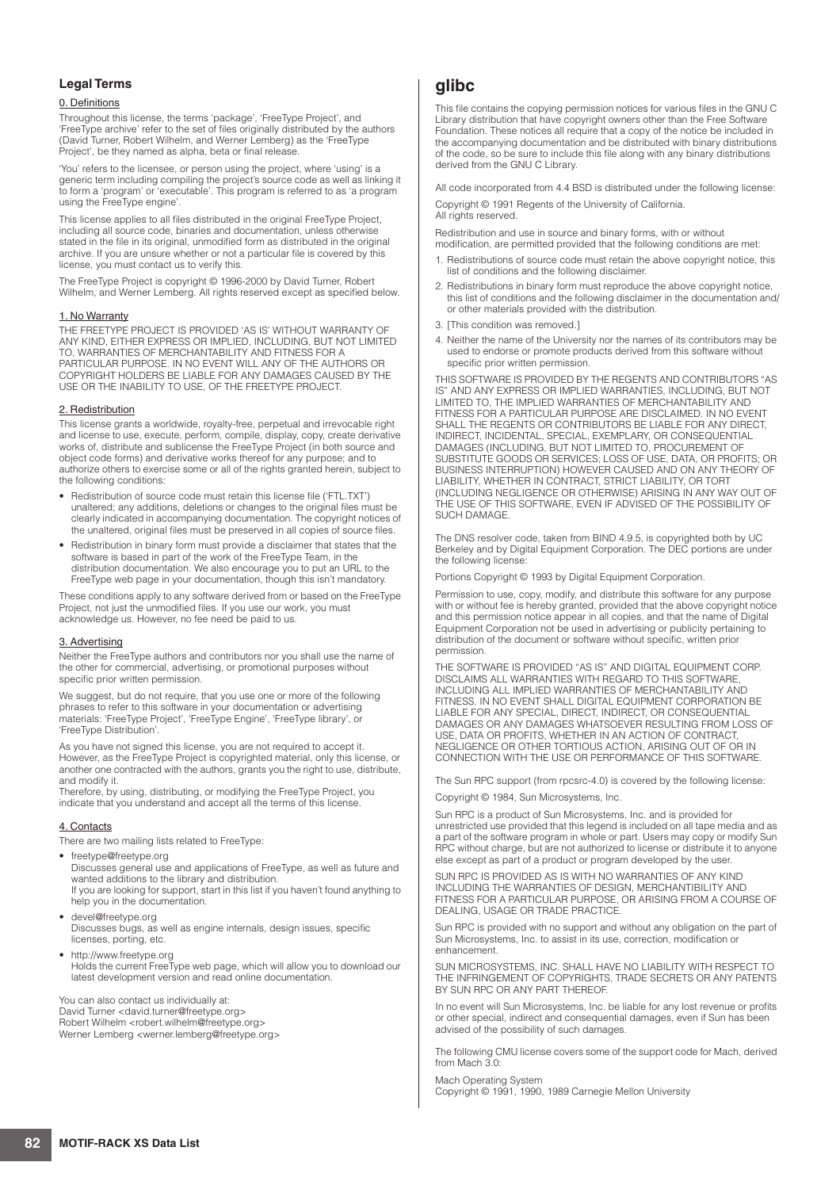#### **Legal Terms**

#### 0. Definitions

Throughout this license, the terms 'package', 'FreeType Project', and 'FreeType archive' refer to the set of files originally distributed by the authors (David Turner, Robert Wilhelm, and Werner Lemberg) as the 'FreeType Project', be they named as alpha, beta or final release.

'You' refers to the licensee, or person using the project, where 'using' is a generic term including compiling the project's source code as well as linking it to form a 'program' or 'executable'. This program is referred to as 'a program using the FreeType engine'.

This license applies to all files distributed in the original FreeType Project, including all source code, binaries and documentation, unless otherwise stated in the file in its original, unmodified form as distributed in the original archive. If you are unsure whether or not a particular file is covered by this license, you must contact us to verify this.

The FreeType Project is copyright © 1996-2000 by David Turner, Robert Wilhelm, and Werner Lemberg. All rights reserved except as specified below.

#### 1. No Warranty

THE FREETYPE PROJECT IS PROVIDED 'AS IS' WITHOUT WARRANTY OF ANY KIND, EITHER EXPRESS OR IMPLIED, INCLUDING, BUT NOT LIMITED TO, WARRANTIES OF MERCHANTABILITY AND FITNESS FOR A PARTICULAR PURPOSE. IN NO EVENT WILL ANY OF THE AUTHORS OR COPYRIGHT HOLDERS BE LIABLE FOR ANY DAMAGES CAUSED BY THE USE OR THE INABILITY TO USE, OF THE FREETYPE PROJECT.

#### 2. Redistribution

This license grants a worldwide, royalty-free, perpetual and irrevocable right and license to use, execute, perform, compile, display, copy, create derivative works of, distribute and sublicense the FreeType Project (in both source and object code forms) and derivative works thereof for any purpose; and to authorize others to exercise some or all of the rights granted herein, subject to the following conditions:

- Redistribution of source code must retain this license file ('FTL.TXT') unaltered; any additions, deletions or changes to the original files must be clearly indicated in accompanying documentation. The copyright notices of the unaltered, original files must be preserved in all copies of source files.
- Redistribution in binary form must provide a disclaimer that states that the software is based in part of the work of the FreeType Team, in the distribution documentation. We also encourage you to put an URL to the FreeType web page in your documentation, though this isn't mandatory.

These conditions apply to any software derived from or based on the FreeType Project, not just the unmodified files. If you use our work, you must acknowledge us. However, no fee need be paid to us.

#### 3. Advertising

Neither the FreeType authors and contributors nor you shall use the name of the other for commercial, advertising, or promotional purposes without specific prior written permission.

We suggest, but do not require, that you use one or more of the following phrases to refer to this software in your documentation or advertising materials: 'FreeType Project', 'FreeType Engine', 'FreeType library', or 'FreeType Distribution'.

As you have not signed this license, you are not required to accept it. However, as the FreeType Project is copyrighted material, only this license, or another one contracted with the authors, grants you the right to use, distribute, and modify it.

Therefore, by using, distributing, or modifying the FreeType Project, you indicate that you understand and accept all the terms of this license.

#### 4. Contacts

There are two mailing lists related to FreeType:

#### • freetype@freetype.org

Discusses general use and applications of FreeType, as well as future and wanted additions to the library and distribution. If you are looking for support, start in this list if you haven't found anything to

help you in the documentation. • devel@freetype.org

Discusses bugs, as well as engine internals, design issues, specific licenses, porting, etc.

• http://www.freetype.org

Holds the current FreeType web page, which will allow you to download our latest development version and read online documentation.

You can also contact us individually at: David Turner <david.turner@freetype.org>

Robert Wilhelm <robert.wilhelm@freetype.org>

Werner Lemberg <werner.lemberg@freetype.org>

# **glibc**

This file contains the copying permission notices for various files in the GNU C Library distribution that have copyright owners other than the Free Software Foundation. These notices all require that a copy of the notice be included in the accompanying documentation and be distributed with binary distributions of the code, so be sure to include this file along with any binary distributions derived from the GNU C Library.

All code incorporated from 4.4 BSD is distributed under the following license: Copyright © 1991 Regents of the University of California.

All rights reserved.

Redistribution and use in source and binary forms, with or without modification, are permitted provided that the following conditions are met:

- 1. Redistributions of source code must retain the above copyright notice, this list of conditions and the following disclaimer.
- 2. Redistributions in binary form must reproduce the above copyright notice, this list of conditions and the following disclaimer in the documentation and/ or other materials provided with the distribution.
- [This condition was removed.]
- 4. Neither the name of the University nor the names of its contributors may be used to endorse or promote products derived from this software without specific prior written permission.

THIS SOFTWARE IS PROVIDED BY THE REGENTS AND CONTRIBUTORS "AS IS" AND ANY EXPRESS OR IMPLIED WARRANTIES, INCLUDING, BUT NOT LIMITED TO, THE IMPLIED WARRANTIES OF MERCHANTABILITY AND FITNESS FOR A PARTICULAR PURPOSE ARE DISCLAIMED. IN NO EVENT SHALL THE REGENTS OR CONTRIBUTORS BE LIABLE FOR ANY DIRECT, INDIRECT, INCIDENTAL, SPECIAL, EXEMPLARY, OR CONSEQUENTIAL DAMAGES (INCLUDING, BUT NOT LIMITED TO, PROCUREMENT OF SUBSTITUTE GOODS OR SERVICES; LOSS OF USE, DATA, OR PROFITS; OR BUSINESS INTERRUPTION) HOWEVER CAUSED AND ON ANY THEORY OF LIABILITY, WHETHER IN CONTRACT, STRICT LIABILITY, OR TORT (INCLUDING NEGLIGENCE OR OTHERWISE) ARISING IN ANY WAY OUT OF THE USE OF THIS SOFTWARE, EVEN IF ADVISED OF THE POSSIBILITY OF SUCH DAMAGE.

The DNS resolver code, taken from BIND 4.9.5, is copyrighted both by UC Berkeley and by Digital Equipment Corporation. The DEC portions are under the following license:

Portions Copyright © 1993 by Digital Equipment Corporation.

Permission to use, copy, modify, and distribute this software for any purpose with or without fee is hereby granted, provided that the above copyright notice and this permission notice appear in all copies, and that the name of Digital Equipment Corporation not be used in advertising or publicity pertaining to distribution of the document or software without specific, written prior permission.

THE SOFTWARE IS PROVIDED "AS IS" AND DIGITAL EQUIPMENT CORP. DISCLAIMS ALL WARRANTIES WITH REGARD TO THIS SOFTWARE INCLUDING ALL IMPLIED WARRANTIES OF MERCHANTABILITY AND FITNESS. IN NO EVENT SHALL DIGITAL EQUIPMENT CORPORATION BE LIABLE FOR ANY SPECIAL, DIRECT, INDIRECT, OR CONSEQUENTIAL DAMAGES OR ANY DAMAGES WHATSOEVER RESULTING FROM LOSS OF USE, DATA OR PROFITS, WHETHER IN AN ACTION OF CONTRACT, NEGLIGENCE OR OTHER TORTIOUS ACTION, ARISING OUT OF OR IN CONNECTION WITH THE USE OR PERFORMANCE OF THIS SOFTWARE.

The Sun RPC support (from rpcsrc-4.0) is covered by the following license:

Copyright © 1984, Sun Microsystems, Inc.

Sun RPC is a product of Sun Microsystems, Inc. and is provided for unrestricted use provided that this legend is included on all tape media and as a part of the software program in whole or part. Users may copy or modify Sun RPC without charge, but are not authorized to license or distribute it to anyone else except as part of a product or program developed by the user.

SUN RPC IS PROVIDED AS IS WITH NO WARRANTIES OF ANY KIND INCLUDING THE WARRANTIES OF DESIGN, MERCHANTIBILITY AND FITNESS FOR A PARTICULAR PURPOSE, OR ARISING FROM A COURSE OF DEALING, USAGE OR TRADE PRACTICE

Sun RPC is provided with no support and without any obligation on the part of Sun Microsystems, Inc. to assist in its use, correction, modification or enhancement.

SUN MICROSYSTEMS, INC. SHALL HAVE NO LIABILITY WITH RESPECT TO THE INFRINGEMENT OF COPYRIGHTS, TRADE SECRETS OR ANY PATENTS BY SUN RPC OR ANY PART THEREOF.

In no event will Sun Microsystems, Inc. be liable for any lost revenue or profits or other special, indirect and consequential damages, even if Sun has been advised of the possibility of such damages.

The following CMU license covers some of the support code for Mach, derived from Mach 3.0<sup>o</sup>

Mach Operating System Copyright © 1991, 1990, 1989 Carnegie Mellon University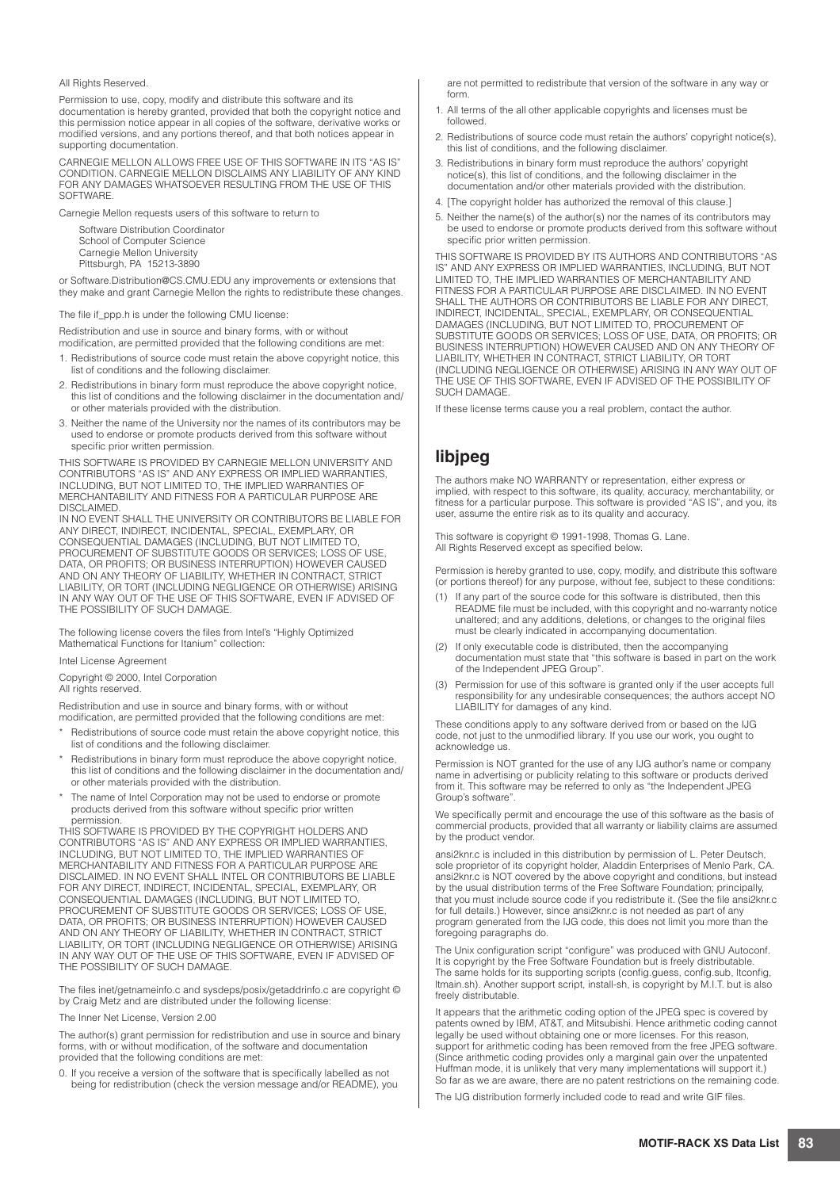#### All Rights Reserved.

Permission to use, copy, modify and distribute this software and its documentation is hereby granted, provided that both the copyright notice and this permission notice appear in all copies of the software, derivative works or modified versions, and any portions thereof, and that both notices appear in supporting documentation.

CARNEGIE MELLON ALLOWS FREE USE OF THIS SOFTWARE IN ITS "AS IS" CONDITION. CARNEGIE MELLON DISCLAIMS ANY LIABILITY OF ANY KIND FOR ANY DAMAGES WHATSOEVER RESULTING FROM THE USE OF THIS **SOFTWARE** 

Carnegie Mellon requests users of this software to return to

Software Distribution Coordinator School of Computer Science Carnegie Mellon University Pittsburgh, PA 15213-3890

or Software.Distribution@CS.CMU.EDU any improvements or extensions that they make and grant Carnegie Mellon the rights to redistribute these changes.

The file if\_ppp.h is under the following CMU license:

Redistribution and use in source and binary forms, with or without modification, are permitted provided that the following conditions are met:

- 1. Redistributions of source code must retain the above copyright notice, this list of conditions and the following disclaimer.
- 2. Redistributions in binary form must reproduce the above copyright notice, this list of conditions and the following disclaimer in the documentation and/ or other materials provided with the distribution.
- 3. Neither the name of the University nor the names of its contributors may be used to endorse or promote products derived from this software without specific prior written permission.

THIS SOFTWARE IS PROVIDED BY CARNEGIE MELLON UNIVERSITY AND CONTRIBUTORS "AS IS" AND ANY EXPRESS OR IMPLIED WARRANTIES, INCLUDING, BUT NOT LIMITED TO, THE IMPLIED WARRANTIES OF MERCHANTABILITY AND FITNESS FOR A PARTICULAR PURPOSE ARE DISCLAIMED.

IN NO EVENT SHALL THE UNIVERSITY OR CONTRIBUTORS BE LIABLE FOR ANY DIRECT, INDIRECT, INCIDENTAL, SPECIAL, EXEMPLARY, OR CONSEQUENTIAL DAMAGES (INCLUDING, BUT NOT LIMITED TO, PROCUREMENT OF SUBSTITUTE GOODS OR SERVICES; LOSS OF USE DATA, OR PROFITS; OR BUSINESS INTERRUPTION) HOWEVER CAUSED AND ON ANY THEORY OF LIABILITY, WHETHER IN CONTRACT, STRICT LIABILITY, OR TORT (INCLUDING NEGLIGENCE OR OTHERWISE) ARISING IN ANY WAY OUT OF THE USE OF THIS SOFTWARE, EVEN IF ADVISED OF THE POSSIBILITY OF SUCH DAMAGE.

The following license covers the files from Intel's "Highly Optimized Mathematical Functions for Itanium" collection:

Intel License Agreement

Copyright © 2000, Intel Corporation All rights reserved.

Redistribution and use in source and binary forms, with or without modification, are permitted provided that the following conditions are met:

- Redistributions of source code must retain the above copyright notice, this list of conditions and the following disclaimer
- \* Redistributions in binary form must reproduce the above copyright notice, this list of conditions and the following disclaimer in the documentation and/ or other materials provided with the distribution.
- \* The name of Intel Corporation may not be used to endorse or promote products derived from this software without specific prior written permission.

THIS SOFTWARE IS PROVIDED BY THE COPYRIGHT HOLDERS AND CONTRIBUTORS "AS IS" AND ANY EXPRESS OR IMPLIED WARRANTIES, INCLUDING, BUT NOT LIMITED TO, THE IMPLIED WARRANTIES OF MERCHANTABILITY AND FITNESS FOR A PARTICULAR PURPOSE ARE DISCLAIMED. IN NO EVENT SHALL INTEL OR CONTRIBUTORS BE LIABLE FOR ANY DIRECT, INDIRECT, INCIDENTAL, SPECIAL, EXEMPLARY, OR CONSEQUENTIAL DAMAGES (INCLUDING, BUT NOT LIMITED TO, PROCUREMENT OF SUBSTITUTE GOODS OR SERVICES; LOSS OF USE, DATA, OR PROFITS; OR BUSINESS INTERRUPTION) HOWEVER CAUSED AND ON ANY THEORY OF LIABILITY, WHETHER IN CONTRACT, STRICT LIABILITY, OR TORT (INCLUDING NEGLIGENCE OR OTHERWISE) ARISING IN ANY WAY OUT OF THE USE OF THIS SOFTWARE, EVEN IF ADVISED OF THE POSSIBILITY OF SUCH DAMAGE.

The files inet/getnameinfo.c and sysdeps/posix/getaddrinfo.c are copyright © by Craig Metz and are distributed under the following license:

The Inner Net License, Version 2.00

The author(s) grant permission for redistribution and use in source and binary forms, with or without modification, of the software and documentation provided that the following conditions are met:

0. If you receive a version of the software that is specifically labelled as not being for redistribution (check the version message and/or README), you are not permitted to redistribute that version of the software in any way or form.

- 1. All terms of the all other applicable copyrights and licenses must be followed.
- 2. Redistributions of source code must retain the authors' copyright notice(s), this list of conditions, and the following disclaimer.
- 3. Redistributions in binary form must reproduce the authors' copyright notice(s), this list of conditions, and the following disclaimer in the documentation and/or other materials provided with the distribution.
- 4. [The copyright holder has authorized the removal of this clause.]
- 5. Neither the name(s) of the author(s) nor the names of its contributors may be used to endorse or promote products derived from this software without specific prior written permission.

THIS SOFTWARE IS PROVIDED BY ITS AUTHORS AND CONTRIBUTORS "AS IS" AND ANY EXPRESS OR IMPLIED WARRANTIES, INCLUDING, BUT NOT LIMITED TO, THE IMPLIED WARRANTIES OF MERCHANTABILITY AND FITNESS FOR A PARTICULAR PURPOSE ARE DISCLAIMED. IN NO EVENT SHALL THE AUTHORS OR CONTRIBUTORS BE LIABLE FOR ANY DIRECT, INDIRECT, INCIDENTAL, SPECIAL, EXEMPLARY, OR CONSEQUENTIAL DAMAGES (INCLUDING, BUT NOT LIMITED TO, PROCUREMENT OF SUBSTITUTE GOODS OR SERVICES; LOSS OF USE, DATA, OR PROFITS; OR BUSINESS INTERRUPTION) HOWEVER CAUSED AND ON ANY THEORY OF LIABILITY, WHETHER IN CONTRACT, STRICT LIABILITY, OR TORT (INCLUDING NEGLIGENCE OR OTHERWISE) ARISING IN ANY WAY OUT OF THE USE OF THIS SOFTWARE, EVEN IF ADVISED OF THE POSSIBILITY OF SUCH DAMAGE.

If these license terms cause you a real problem, contact the author.

# **libjpeg**

The authors make NO WARRANTY or representation, either express or implied, with respect to this software, its quality, accuracy, merchantability, or fitness for a particular purpose. This software is provided "AS IS", and you, its user, assume the entire risk as to its quality and accuracy.

This software is copyright © 1991-1998, Thomas G. Lane. All Rights Reserved except as specified below.

Permission is hereby granted to use, copy, modify, and distribute this software (or portions thereof) for any purpose, without fee, subject to these conditions:

- (1) If any part of the source code for this software is distributed, then this README file must be included, with this copyright and no-warranty notice unaltered; and any additions, deletions, or changes to the original files must be clearly indicated in accompanying documentation.
- (2) If only executable code is distributed, then the accompanying documentation must state that "this software is based in part on the work of the Independent JPEG Group".
- (3) Permission for use of this software is granted only if the user accepts full responsibility for any undesirable consequences; the authors accept NO LIABILITY for damages of any kind.

These conditions apply to any software derived from or based on the IJG code, not just to the unmodified library. If you use our work, you ought to acknowledge us.

Permission is NOT granted for the use of any IJG author's name or company name in advertising or publicity relating to this software or products derived from it. This software may be referred to only as "the Independent JPEG Group's software".

We specifically permit and encourage the use of this software as the basis of commercial products, provided that all warranty or liability claims are assumed by the product vendor.

ansi2knr.c is included in this distribution by permission of L. Peter Deutsch, sole proprietor of its copyright holder, Aladdin Enterprises of Menlo Park, CA. ansi2knr.c is NOT covered by the above copyright and conditions, but instead by the usual distribution terms of the Free Software Foundation; principally, that you must include source code if you redistribute it. (See the file ansi2knr.c for full details.) However, since ansi2knr.c is not needed as part of any program generated from the IJG code, this does not limit you more than the foregoing paragraphs do.

The Unix configuration script "configure" was produced with GNU Autoconf. It is copyright by the Free Software Foundation but is freely distributable. The same holds for its supporting scripts (config.guess, config.sub, ltconfig, ltmain.sh). Another support script, install-sh, is copyright by M.I.T. but is also freely distributable.

It appears that the arithmetic coding option of the JPEG spec is covered by patents owned by IBM, AT&T, and Mitsubishi. Hence arithmetic coding cannot legally be used without obtaining one or more licenses. For this reason, support for arithmetic coding has been removed from the free JPEG software. (Since arithmetic coding provides only a marginal gain over the unpatented Huffman mode, it is unlikely that very many implementations will support it.) So far as we are aware, there are no patent restrictions on the remaining code.

The IJG distribution formerly included code to read and write GIF files.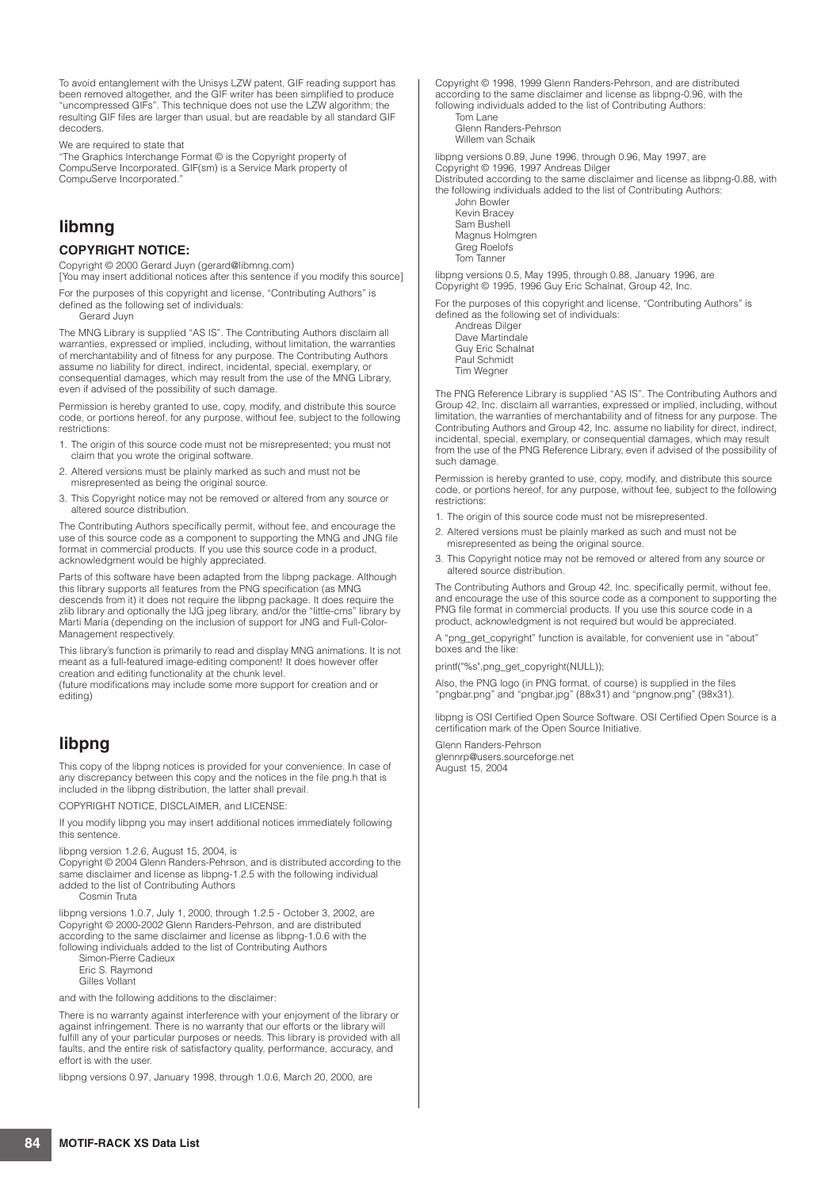To avoid entanglement with the Unisys LZW patent, GIF reading support has been removed altogether, and the GIF writer has been simplified to produce "uncompressed GIFs". This technique does not use the LZW algorithm; the resulting GIF files are larger than usual, but are readable by all standard GIF decoders.

We are required to state that

"The Graphics Interchange Format © is the Copyright property of CompuServe Incorporated. GIF(sm) is a Service Mark property of CompuServe Incorporated."

# **libmng**

#### **COPYRIGHT NOTICE:**

Copyright © 2000 Gerard Juyn (gerard@libmng.com) [You may insert additional notices after this sentence if you modify this source]

For the purposes of this copyright and license, "Contributing Authors" is

defined as the following set of individuals:

Gerard Juyn

The MNG Library is supplied "AS IS". The Contributing Authors disclaim all warranties, expressed or implied, including, without limitation, the warranties of merchantability and of fitness for any purpose. The Contributing Authors assume no liability for direct, indirect, incidental, special, exemplary, or consequential damages, which may result from the use of the MNG Library, even if advised of the possibility of such damage.

Permission is hereby granted to use, copy, modify, and distribute this source code, or portions hereof, for any purpose, without fee, subject to the following restrictions:

- 1. The origin of this source code must not be misrepresented; you must not claim that you wrote the original software.
- 2. Altered versions must be plainly marked as such and must not be misrepresented as being the original source.
- 3. This Copyright notice may not be removed or altered from any source or altered source distribution.

The Contributing Authors specifically permit, without fee, and encourage the use of this source code as a component to supporting the MNG and JNG file format in commercial products. If you use this source code in a product, acknowledgment would be highly appreciated.

Parts of this software have been adapted from the libpng package. Although this library supports all features from the PNG specification (as MNG descends from it) it does not require the libpng package. It does require the zlib library and optionally the IJG jpeg library, and/or the "little-cms" library by Marti Maria (depending on the inclusion of support for JNG and Full-Color-Management respectively.

This library's function is primarily to read and display MNG animations. It is not meant as a full-featured image-editing component! It does however offer creation and editing functionality at the chunk level.

(future modifications may include some more support for creation and or editing)

# **libpng**

This copy of the libpng notices is provided for your convenience. In case of any discrepancy between this copy and the notices in the file png.h that is included in the libpng distribution, the latter shall prevail.

COPYRIGHT NOTICE, DISCLAIMER, and LICENSE:

If you modify libpng you may insert additional notices immediately following this sentence.

libpng version 1.2.6, August 15, 2004, is

Copyright © 2004 Glenn Randers-Pehrson, and is distributed according to the same disclaimer and license as libpng-1.2.5 with the following individual added to the list of Contributing Authors Cosmin Truta

libpng versions 1.0.7, July 1, 2000, through 1.2.5 - October 3, 2002, are Copyright © 2000-2002 Glenn Randers-Pehrson, and are distributed according to the same disclaimer and license as libpng-1.0.6 with the following individuals added to the list of Contributing Authors

Simon-Pierre Cadieux Eric S. Raymond Gilles Vollant

and with the following additions to the disclaimer:

There is no warranty against interference with your enjoyment of the library or against infringement. There is no warranty that our efforts or the library will fulfill any of your particular purposes or needs. This library is provided with all faults, and the entire risk of satisfactory quality, performance, accuracy, and effort is with the user.

libpng versions 0.97, January 1998, through 1.0.6, March 20, 2000, are

Copyright © 1998, 1999 Glenn Randers-Pehrson, and are distributed according to the same disclaimer and license as libpng-0.96, with the following individuals added to the list of Contributing Authors: Tom Lane

Glenn Randers-Pehrson Willem van Schaik

libpng versions 0.89, June 1996, through 0.96, May 1997, are

Copyright © 1996, 1997 Andreas Dilger

Distributed according to the same disclaimer and license as libpng-0.88, with the following individuals added to the list of Contributing Authors:

John Bowler Kevin Bracey Sam Bushell Magnus Holmgren Greg Roelofs Tom Tanner

libpng versions 0.5, May 1995, through 0.88, January 1996, are Copyright © 1995, 1996 Guy Eric Schalnat, Group 42, Inc.

For the purposes of this copyright and license, "Contributing Authors" is defined as the following set of individuals:

Andreas Dilger Dave Martindale Guy Eric Schalnat Paul Schmidt Tim Wegner

The PNG Reference Library is supplied "AS IS". The Contributing Authors and Group 42, Inc. disclaim all warranties, expressed or implied, including, without limitation, the warranties of merchantability and of fitness for any purpose. The Contributing Authors and Group 42, Inc. assume no liability for direct, indirect, incidental, special, exemplary, or consequential damages, which may result from the use of the PNG Reference Library, even if advised of the possibility of such damage.

Permission is hereby granted to use, copy, modify, and distribute this source code, or portions hereof, for any purpose, without fee, subject to the following restrictions:

- 1. The origin of this source code must not be misrepresented.
- 2. Altered versions must be plainly marked as such and must not be misrepresented as being the original source.
- 3. This Copyright notice may not be removed or altered from any source or altered source distribution.

The Contributing Authors and Group 42, Inc. specifically permit, without fee, and encourage the use of this source code as a component to supporting the PNG file format in commercial products. If you use this source code in a product, acknowledgment is not required but would be appreciated.

A "png\_get\_copyright" function is available, for convenient use in "about" boxes and the like:

printf("%s",png\_get\_copyright(NULL));

Also, the PNG logo (in PNG format, of course) is supplied in the files "pngbar.png" and "pngbar.jpg" (88x31) and "pngnow.png" (98x31).

libpng is OSI Certified Open Source Software. OSI Certified Open Source is a certification mark of the Open Source Initiative.

Glenn Randers-Pehrson glennrp@users.sourceforge.net August 15, 2004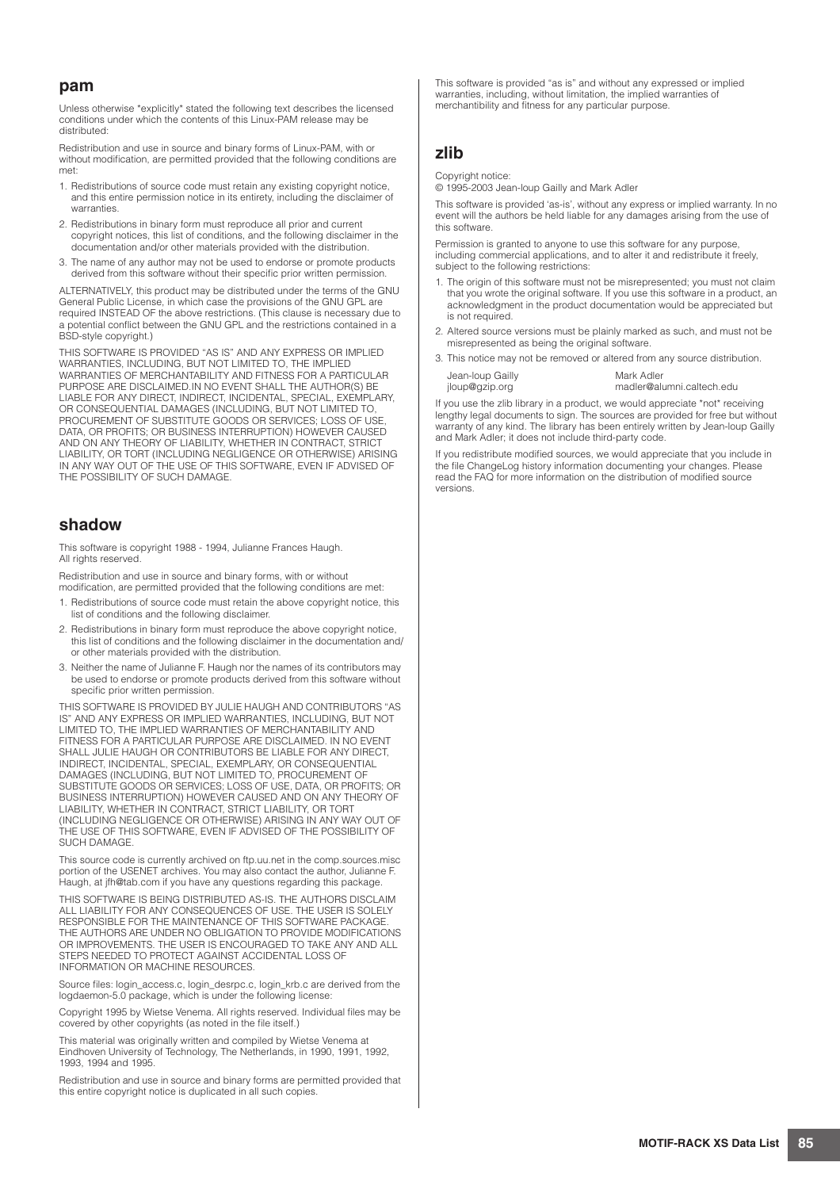#### **pam**

Unless otherwise \*explicitly\* stated the following text describes the licensed conditions under which the contents of this Linux-PAM release may be distributed:

Redistribution and use in source and binary forms of Linux-PAM, with or without modification, are permitted provided that the following conditions are met:

- 1. Redistributions of source code must retain any existing copyright notice, and this entire permission notice in its entirety, including the disclaimer of warranties.
- 2. Redistributions in binary form must reproduce all prior and current copyright notices, this list of conditions, and the following disclaimer in the documentation and/or other materials provided with the distribution.
- 3. The name of any author may not be used to endorse or promote products derived from this software without their specific prior written permission.

ALTERNATIVELY, this product may be distributed under the terms of the GNU General Public License, in which case the provisions of the GNU GPL are required INSTEAD OF the above restrictions. (This clause is necessary due to a potential conflict between the GNU GPL and the restrictions contained in a BSD-style copyright.)

THIS SOFTWARE IS PROVIDED "AS IS" AND ANY EXPRESS OR IMPLIED WARRANTIES, INCLUDING, BUT NOT LIMITED TO, THE IMPLIED WARRANTIES OF MERCHANTABILITY AND FITNESS FOR A PARTICULAR PURPOSE ARE DISCLAIMED.IN NO EVENT SHALL THE AUTHOR(S) BE LIABLE FOR ANY DIRECT, INDIRECT, INCIDENTAL, SPECIAL, EXEMPLARY, OR CONSEQUENTIAL DAMAGES (INCLUDING, BUT NOT LIMITED TO, PROCUREMENT OF SUBSTITUTE GOODS OR SERVICES; LOSS OF USE DATA, OR PROFITS; OR BUSINESS INTERRUPTION) HOWEVER CAUSED AND ON ANY THEORY OF LIABILITY, WHETHER IN CONTRACT, STRICT LIABILITY, OR TORT (INCLUDING NEGLIGENCE OR OTHERWISE) ARISING IN ANY WAY OUT OF THE USE OF THIS SOFTWARE, EVEN IF ADVISED OF THE POSSIBILITY OF SUCH DAMAGE.

# **shadow**

This software is copyright 1988 - 1994, Julianne Frances Haugh. All rights reserved.

Redistribution and use in source and binary forms, with or without modification, are permitted provided that the following conditions are met:

- 1. Redistributions of source code must retain the above copyright notice, this list of conditions and the following disclaimer.
- 2. Redistributions in binary form must reproduce the above copyright notice, this list of conditions and the following disclaimer in the documentation and/ or other materials provided with the distribution.
- 3. Neither the name of Julianne F. Haugh nor the names of its contributors may be used to endorse or promote products derived from this software without specific prior written permission.

THIS SOFTWARE IS PROVIDED BY JULIE HAUGH AND CONTRIBUTORS "AS IS" AND ANY EXPRESS OR IMPLIED WARRANTIES, INCLUDING, BUT NOT LIMITED TO, THE IMPLIED WARRANTIES OF MERCHANTABILITY AND FITNESS FOR A PARTICULAR PURPOSE ARE DISCLAIMED. IN NO EVENT SHALL JULIE HAUGH OR CONTRIBUTORS BE LIABLE FOR ANY DIRECT, INDIRECT, INCIDENTAL, SPECIAL, EXEMPLARY, OR CONSEQUENTIAL DAMAGES (INCLUDING, BUT NOT LIMITED TO, PROCUREMENT OF SUBSTITUTE GOODS OR SERVICES; LOSS OF USE, DATA, OR PROFITS; OR BUSINESS INTERRUPTION) HOWEVER CAUSED AND ON ANY THEORY OF LIABILITY, WHETHER IN CONTRACT, STRICT LIABILITY, OR TORT (INCLUDING NEGLIGENCE OR OTHERWISE) ARISING IN ANY WAY OUT OF THE USE OF THIS SOFTWARE, EVEN IF ADVISED OF THE POSSIBILITY OF SUCH DAMAGE

This source code is currently archived on ftp.uu.net in the comp.sources.misc portion of the USENET archives. You may also contact the author, Julianne F. Haugh, at jfh@tab.com if you have any questions regarding this package.

THIS SOFTWARE IS BEING DISTRIBUTED AS-IS. THE AUTHORS DISCLAIM ALL LIABILITY FOR ANY CONSEQUENCES OF USE. THE USER IS SOLELY RESPONSIBLE FOR THE MAINTENANCE OF THIS SOFTWARE PACKAGE. THE AUTHORS ARE UNDER NO OBLIGATION TO PROVIDE MODIFICATIONS OR IMPROVEMENTS. THE USER IS ENCOURAGED TO TAKE ANY AND ALL STEPS NEEDED TO PROTECT AGAINST ACCIDENTAL LOSS OF INFORMATION OR MACHINE RESOURCES.

Source files: login\_access.c, login\_desrpc.c, login\_krb.c are derived from the logdaemon-5.0 package, which is under the following license

Copyright 1995 by Wietse Venema. All rights reserved. Individual files may be covered by other copyrights (as noted in the file itself.)

This material was originally written and compiled by Wietse Venema at Eindhoven University of Technology, The Netherlands, in 1990, 1991, 1992, 1993, 1994 and 1995.

Redistribution and use in source and binary forms are permitted provided that this entire copyright notice is duplicated in all such copies.

This software is provided "as is" and without any expressed or implied warranties, including, without limitation, the implied warranties of merchantibility and fitness for any particular purpose.

# **zlib**

this software.

Copyright notice: © 1995-2003 Jean-loup Gailly and Mark Adler

This software is provided 'as-is', without any express or implied warranty. In no event will the authors be held liable for any damages arising from the use of

Permission is granted to anyone to use this software for any purpose, including commercial applications, and to alter it and redistribute it freely, subject to the following restrictions:

- 1. The origin of this software must not be misrepresented; you must not claim that you wrote the original software. If you use this software in a product, an acknowledgment in the product documentation would be appreciated but is not required.
- 2. Altered source versions must be plainly marked as such, and must not be misrepresented as being the original software.
- 3. This notice may not be removed or altered from any source distribution.

| Jean-loup Gailly | Mark Adler                |
|------------------|---------------------------|
| jloup@gzip.org   | madler@alumni.caltech.edu |

If you use the zlib library in a product, we would appreciate \*not\* receiving lengthy legal documents to sign. The sources are provided for free but without warranty of any kind. The library has been entirely written by Jean-loup Gailly and Mark Adler; it does not include third-party code.

If you redistribute modified sources, we would appreciate that you include in the file ChangeLog history information documenting your changes. Please read the FAQ for more information on the distribution of modified source versions.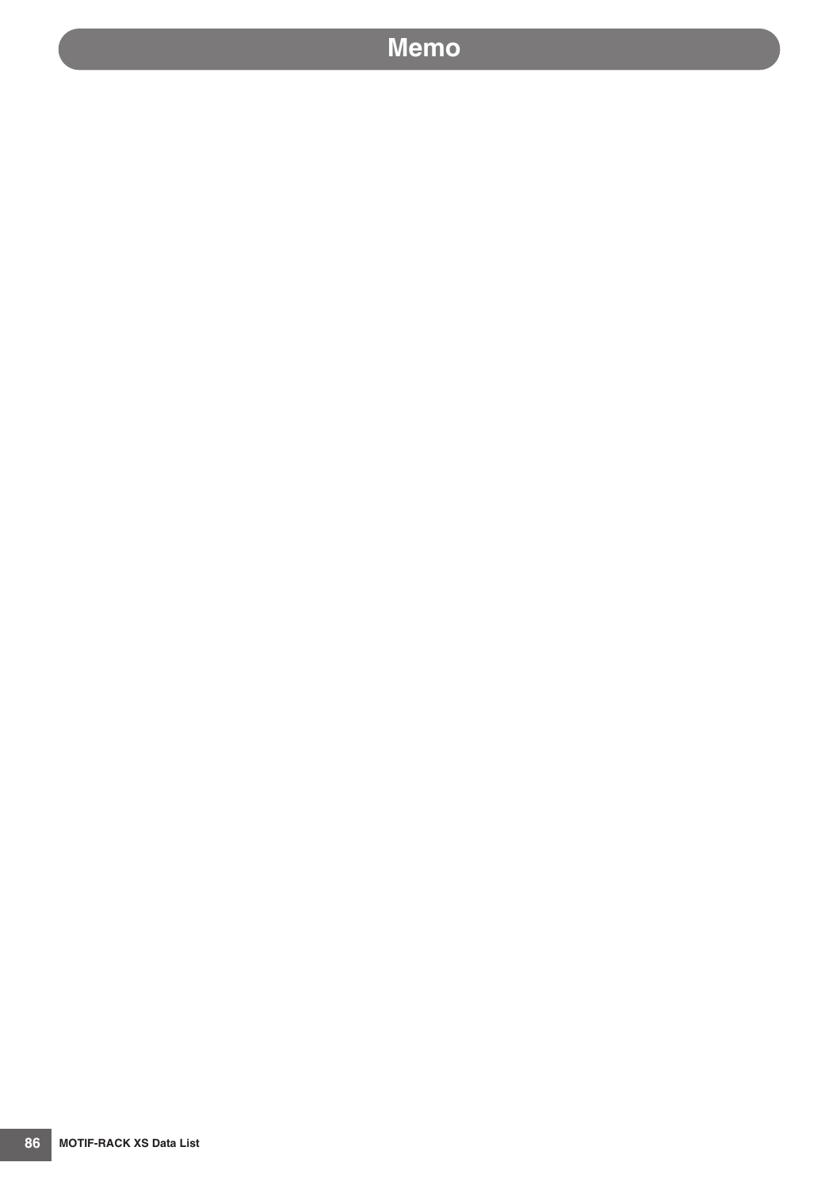# **Memo**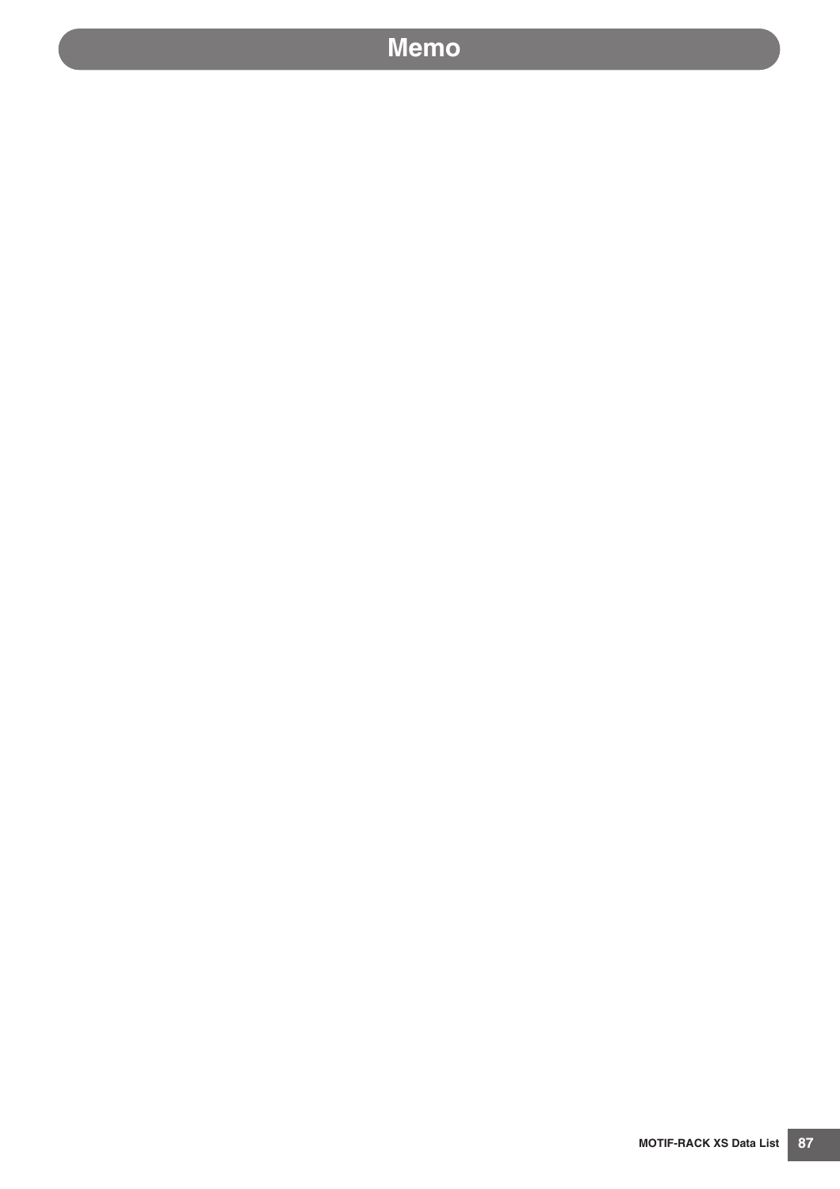# **Memo**